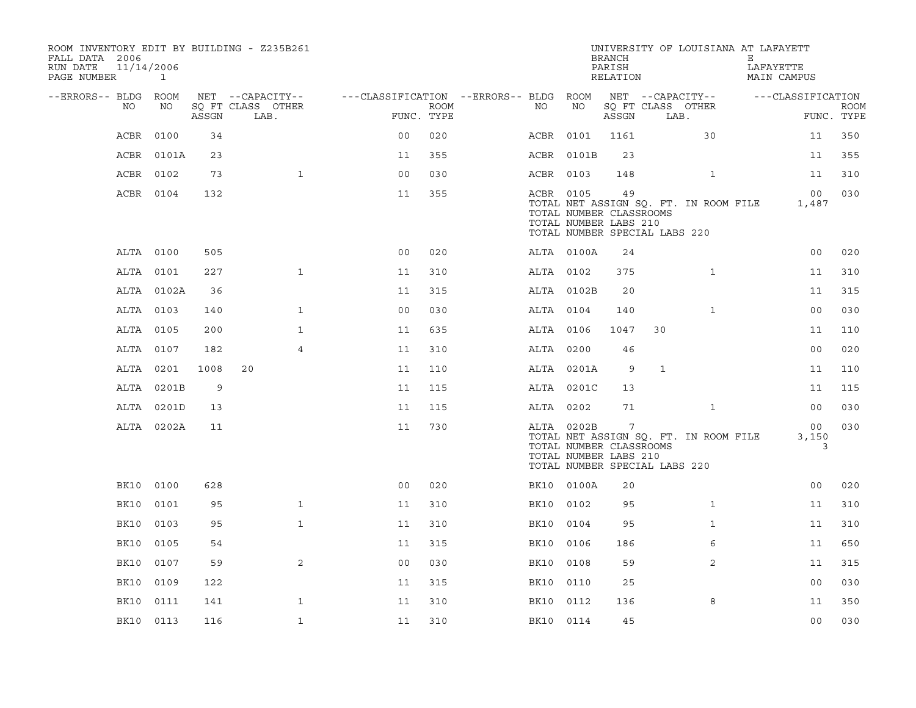| ROOM INVENTORY EDIT BY BUILDING - Z235B261<br>FALL DATA 2006<br>RUN DATE | 11/14/2006   |       |                                       |                                        |            |           |                                                                                                 | <b>BRANCH</b><br>PARISH |              | UNIVERSITY OF LOUISIANA AT LAFAYETT   | Е | LAFAYETTE                |             |
|--------------------------------------------------------------------------|--------------|-------|---------------------------------------|----------------------------------------|------------|-----------|-------------------------------------------------------------------------------------------------|-------------------------|--------------|---------------------------------------|---|--------------------------|-------------|
| PAGE NUMBER                                                              | $\mathbf{1}$ |       |                                       |                                        |            |           |                                                                                                 | RELATION                |              |                                       |   | <b>MAIN CAMPUS</b>       |             |
| --ERRORS-- BLDG ROOM<br>NO                                               | NO           |       | NET --CAPACITY--<br>SQ FT CLASS OTHER | ---CLASSIFICATION --ERRORS-- BLDG ROOM | ROOM       | NO        | NO                                                                                              |                         |              | NET --CAPACITY--<br>SQ FT CLASS OTHER |   | ---CLASSIFICATION        | <b>ROOM</b> |
|                                                                          |              | ASSGN | LAB.                                  |                                        | FUNC. TYPE |           |                                                                                                 | ASSGN                   |              | LAB.                                  |   |                          | FUNC. TYPE  |
| ACBR                                                                     | 0100         | 34    |                                       | 0 <sub>0</sub>                         | 020        | ACBR 0101 |                                                                                                 | 1161                    |              | 30                                    |   | 11                       | 350         |
| ACBR                                                                     | 0101A        | 23    |                                       | 11                                     | 355        |           | ACBR 0101B                                                                                      | 23                      |              |                                       |   | 11                       | 355         |
|                                                                          | ACBR 0102    | 73    | $\mathbf{1}$                          | 0 <sub>0</sub>                         | 030        | ACBR 0103 |                                                                                                 | 148                     |              | $\mathbf{1}$                          |   | 11                       | 310         |
|                                                                          | ACBR 0104    | 132   |                                       | 11                                     | 355        | ACBR 0105 | TOTAL NUMBER CLASSROOMS<br>TOTAL NUMBER LABS 210<br>TOTAL NUMBER SPECIAL LABS 220               | 49                      |              | TOTAL NET ASSIGN SQ. FT. IN ROOM FILE |   | 00 <sub>o</sub><br>1,487 | 030         |
|                                                                          | ALTA 0100    | 505   |                                       | 0 <sub>0</sub>                         | 020        |           | ALTA 0100A                                                                                      | 24                      |              |                                       |   | 0 <sub>0</sub>           | 020         |
|                                                                          | ALTA 0101    | 227   | $\mathbf{1}$                          | 11                                     | 310        | ALTA 0102 |                                                                                                 | 375                     |              | $\mathbf{1}$                          |   | 11                       | 310         |
|                                                                          | ALTA 0102A   | 36    |                                       | 11                                     | 315        |           | ALTA 0102B                                                                                      | 20                      |              |                                       |   | 11                       | 315         |
|                                                                          | ALTA 0103    | 140   | $\mathbf{1}$                          | 0 <sub>0</sub>                         | 030        | ALTA 0104 |                                                                                                 | 140                     |              | $\mathbf{1}$                          |   | 00                       | 030         |
|                                                                          | ALTA 0105    | 200   | $\mathbf{1}$                          | 11                                     | 635        | ALTA 0106 |                                                                                                 | 1047                    | 30           |                                       |   | 11                       | 110         |
|                                                                          | ALTA 0107    | 182   | 4                                     | 11                                     | 310        | ALTA 0200 |                                                                                                 | 46                      |              |                                       |   | 00                       | 020         |
|                                                                          | ALTA 0201    | 1008  | 20                                    | 11                                     | 110        |           | ALTA 0201A                                                                                      | 9                       | $\mathbf{1}$ |                                       |   | 11                       | 110         |
|                                                                          | ALTA 0201B   | 9     |                                       | 11                                     | 115        |           | ALTA 0201C                                                                                      | 13                      |              |                                       |   | 11                       | 115         |
|                                                                          | ALTA 0201D   | 13    |                                       | 11                                     | 115        | ALTA 0202 |                                                                                                 | 71                      |              | $\mathbf{1}$                          |   | 00                       | 030         |
|                                                                          | ALTA 0202A   | 11    |                                       | 11                                     | 730        |           | ALTA 0202B<br>TOTAL NUMBER CLASSROOMS<br>TOTAL NUMBER LABS 210<br>TOTAL NUMBER SPECIAL LABS 220 | 7                       |              | TOTAL NET ASSIGN SQ. FT. IN ROOM FILE |   | 00<br>3,150<br>3         | 030         |
| BK10                                                                     | 0100         | 628   |                                       | 0 <sub>0</sub>                         | 020        |           | BK10 0100A                                                                                      | 20                      |              |                                       |   | 0 <sub>0</sub>           | 020         |
| BK10                                                                     | 0101         | 95    | $\mathbf{1}$                          | 11                                     | 310        | BK10      | 0102                                                                                            | 95                      |              | $\mathbf{1}$                          |   | 11                       | 310         |
| BK10                                                                     | 0103         | 95    | $\mathbf{1}$                          | 11                                     | 310        | BK10 0104 |                                                                                                 | 95                      |              | $\mathbf{1}$                          |   | 11                       | 310         |
| BK10                                                                     | 0105         | 54    |                                       | 11                                     | 315        | BK10      | 0106                                                                                            | 186                     |              | 6                                     |   | 11                       | 650         |
| BK10                                                                     | 0107         | 59    | 2                                     | 0 <sub>0</sub>                         | 030        | BK10 0108 |                                                                                                 | 59                      |              | 2                                     |   | 11                       | 315         |
| BK10                                                                     | 0109         | 122   |                                       | 11                                     | 315        | BK10 0110 |                                                                                                 | 25                      |              |                                       |   | 0 <sub>0</sub>           | 030         |
| BK10                                                                     | 0111         | 141   | $\mathbf{1}$                          | 11                                     | 310        | BK10      | 0112                                                                                            | 136                     |              | 8                                     |   | 11                       | 350         |
|                                                                          | BK10 0113    | 116   | $\mathbf{1}$                          | 11                                     | 310        | BK10 0114 |                                                                                                 | 45                      |              |                                       |   | 0 <sub>0</sub>           | 030         |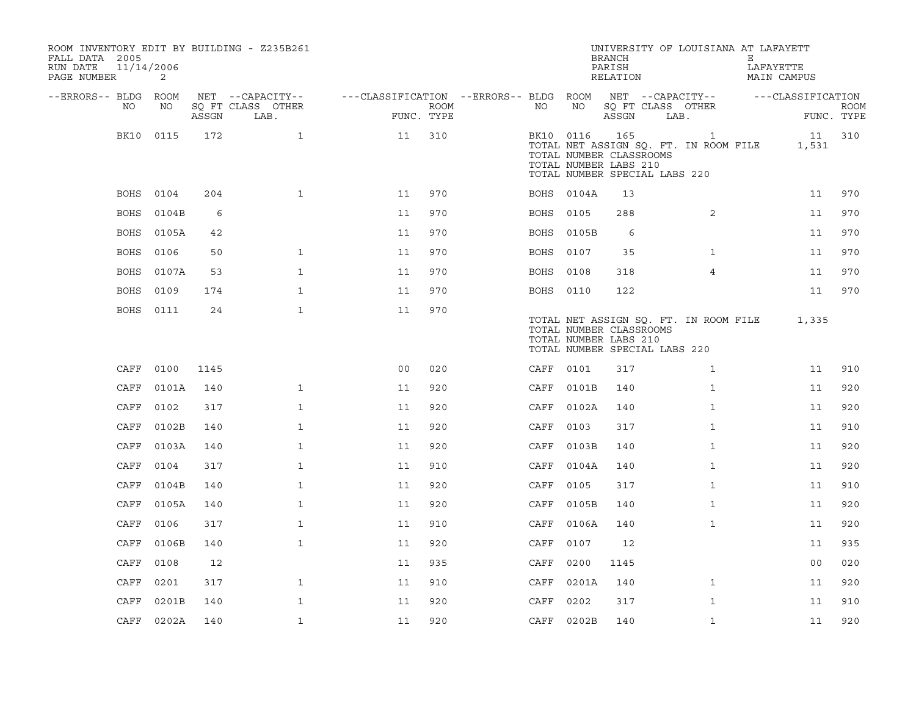| ROOM INVENTORY EDIT BY BUILDING - Z235B261<br>FALL DATA 2005<br>RUN DATE<br>11/14/2006<br>PAGE NUMBER | 2          |       |                           |                                                         |                    |           |            | <b>BRANCH</b><br>PARISH<br>RELATION                                                      | UNIVERSITY OF LOUISIANA AT LAFAYETT                   | Е<br>LAFAYETTE<br><b>MAIN CAMPUS</b> |                           |
|-------------------------------------------------------------------------------------------------------|------------|-------|---------------------------|---------------------------------------------------------|--------------------|-----------|------------|------------------------------------------------------------------------------------------|-------------------------------------------------------|--------------------------------------|---------------------------|
| --ERRORS-- BLDG ROOM                                                                                  |            |       | NET --CAPACITY--          | ---CLASSIFICATION --ERRORS-- BLDG ROOM NET --CAPACITY-- |                    |           |            |                                                                                          |                                                       | ---CLASSIFICATION                    |                           |
| NO                                                                                                    | NO         | ASSGN | SO FT CLASS OTHER<br>LAB. |                                                         | ROOM<br>FUNC. TYPE | NO        | NO         | SQ FT CLASS OTHER<br>ASSGN                                                               | LAB.                                                  |                                      | <b>ROOM</b><br>FUNC. TYPE |
|                                                                                                       | BK10 0115  | 172   | $\mathbf{1}$              | 11                                                      | 310                | BK10 0116 |            | 165<br>TOTAL NUMBER CLASSROOMS<br>TOTAL NUMBER LABS 210<br>TOTAL NUMBER SPECIAL LABS 220 | $\mathbf{1}$<br>TOTAL NET ASSIGN SQ. FT. IN ROOM FILE | 1,531                                | 11 310                    |
|                                                                                                       | BOHS 0104  | 204   | $\mathbf{1}$              | 11                                                      | 970                |           | BOHS 0104A | 13                                                                                       |                                                       | 11                                   | 970                       |
| BOHS                                                                                                  | 0104B      | 6     |                           | 11                                                      | 970                | BOHS 0105 |            | 288                                                                                      | 2                                                     | 11                                   | 970                       |
| BOHS                                                                                                  | 0105A      | 42    |                           | 11                                                      | 970                |           | BOHS 0105B | 6                                                                                        |                                                       | 11                                   | 970                       |
| BOHS                                                                                                  | 0106       | 50    | $\mathbf{1}$              | 11                                                      | 970                | BOHS 0107 |            | 35                                                                                       | $\mathbf{1}$                                          | 11                                   | 970                       |
| BOHS                                                                                                  | 0107A      | 53    | $\mathbf{1}$              | 11                                                      | 970                | BOHS 0108 |            | 318                                                                                      | $\overline{4}$                                        | 11                                   | 970                       |
| BOHS                                                                                                  | 0109       | 174   | $\mathbf{1}$              | 11                                                      | 970                | BOHS 0110 |            | 122                                                                                      |                                                       | 11                                   | 970                       |
|                                                                                                       | BOHS 0111  | 24    | $\mathbf{1}$              | 11                                                      | 970                |           |            | TOTAL NUMBER CLASSROOMS<br>TOTAL NUMBER LABS 210<br>TOTAL NUMBER SPECIAL LABS 220        | TOTAL NET ASSIGN SQ. FT. IN ROOM FILE                 | 1,335                                |                           |
| CAFF                                                                                                  | 0100       | 1145  |                           | 0 <sub>0</sub>                                          | 020                | CAFF 0101 |            | 317                                                                                      | $\mathbf{1}$                                          | 11                                   | 910                       |
| CAFF                                                                                                  | 0101A      | 140   | $\mathbf{1}$              | 11                                                      | 920                |           | CAFF 0101B | 140                                                                                      | $\mathbf{1}$                                          | 11                                   | 920                       |
| CAFF                                                                                                  | 0102       | 317   | $\mathbf{1}$              | 11                                                      | 920                |           | CAFF 0102A | 140                                                                                      | $\mathbf{1}$                                          | 11                                   | 920                       |
| CAFF                                                                                                  | 0102B      | 140   | $\mathbf 1$               | 11                                                      | 920                | CAFF      | 0103       | 317                                                                                      | $\mathbf{1}$                                          | 11                                   | 910                       |
| CAFF                                                                                                  | 0103A      | 140   | $\mathbf{1}$              | 11                                                      | 920                |           | CAFF 0103B | 140                                                                                      | $\mathbf{1}$                                          | 11                                   | 920                       |
| CAFF                                                                                                  | 0104       | 317   | $\mathbf{1}$              | 11                                                      | 910                | CAFF      | 0104A      | 140                                                                                      | $\mathbf{1}$                                          | 11                                   | 920                       |
| CAFF                                                                                                  | 0104B      | 140   | $\mathbf{1}$              | 11                                                      | 920                | CAFF 0105 |            | 317                                                                                      | $\mathbf{1}$                                          | 11                                   | 910                       |
| CAFF                                                                                                  | 0105A      | 140   | $\mathbf{1}$              | 11                                                      | 920                | CAFF      | 0105B      | 140                                                                                      | $\mathbf{1}$                                          | 11                                   | 920                       |
| CAFF                                                                                                  | 0106       | 317   | $\mathbf{1}$              | 11                                                      | 910                |           | CAFF 0106A | 140                                                                                      | $\mathbf{1}$                                          | 11                                   | 920                       |
| CAFF                                                                                                  | 0106B      | 140   | $\mathbf{1}$              | 11                                                      | 920                | CAFF      | 0107       | 12                                                                                       |                                                       | 11                                   | 935                       |
| CAFF                                                                                                  | 0108       | 12    |                           | 11                                                      | 935                | CAFF      | 0200       | 1145                                                                                     |                                                       | 0 <sub>0</sub>                       | 020                       |
| CAFF                                                                                                  | 0201       | 317   | $\mathbf{1}$              | 11                                                      | 910                | CAFF      | 0201A      | 140                                                                                      | $\mathbf{1}$                                          | 11                                   | 920                       |
| CAFF                                                                                                  | 0201B      | 140   | $\mathbf{1}$              | 11                                                      | 920                | CAFF      | 0202       | 317                                                                                      | $\mathbf{1}$                                          | 11                                   | 910                       |
|                                                                                                       | CAFF 0202A | 140   | $\mathbf{1}$              | 11                                                      | 920                |           | CAFF 0202B | 140                                                                                      | $\mathbf{1}$                                          | 11                                   | 920                       |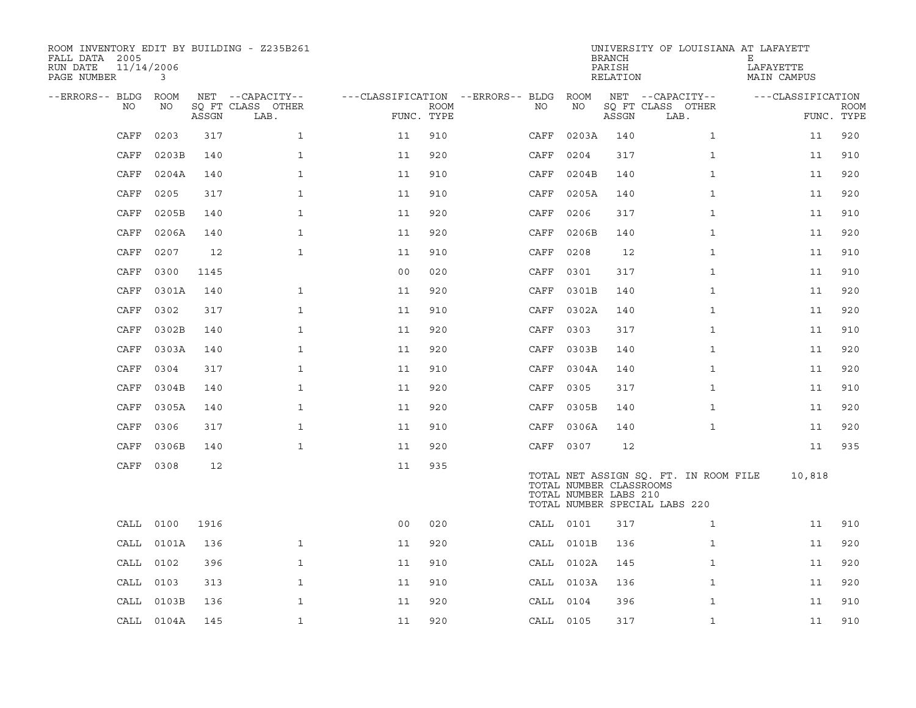| ROOM INVENTORY EDIT BY BUILDING - Z235B261<br>FALL DATA 2005<br>11/14/2006<br>RUN DATE<br>PAGE NUMBER | 3          |       |                           |                                        |             |                              |            | <b>BRANCH</b><br>PARISH<br>RELATION              | UNIVERSITY OF LOUISIANA AT LAFAYETT                                    | Е<br>LAFAYETTE<br>MAIN CAMPUS |                           |
|-------------------------------------------------------------------------------------------------------|------------|-------|---------------------------|----------------------------------------|-------------|------------------------------|------------|--------------------------------------------------|------------------------------------------------------------------------|-------------------------------|---------------------------|
| --ERRORS-- BLDG ROOM                                                                                  |            |       | NET --CAPACITY--          | ---CLASSIFICATION --ERRORS-- BLDG ROOM |             |                              |            |                                                  | NET --CAPACITY--                                                       | ---CLASSIFICATION             |                           |
| NO                                                                                                    | NO         | ASSGN | SQ FT CLASS OTHER<br>LAB. | FUNC. TYPE                             | <b>ROOM</b> | NO                           | NO         | ASSGN                                            | SQ FT CLASS OTHER<br>LAB.                                              |                               | <b>ROOM</b><br>FUNC. TYPE |
| CAFF                                                                                                  | 0203       | 317   | $\mathbf{1}$              | 11                                     | 910         | $\mathop{\rm CAFF}\nolimits$ | 0203A      | 140                                              | $\mathbf{1}$                                                           | 11                            | 920                       |
| CAFF                                                                                                  | 0203B      | 140   | $\mathbf{1}$              | 11                                     | 920         | CAFF                         | 0204       | 317                                              | $\mathbf{1}$                                                           | 11                            | 910                       |
| CAFF                                                                                                  | 0204A      | 140   | $\mathbf{1}$              | 11                                     | 910         | CAFF                         | 0204B      | 140                                              | $\mathbf{1}$                                                           | 11                            | 920                       |
| CAFF                                                                                                  | 0205       | 317   | $\mathbf{1}$              | 11                                     | 910         | CAFF                         | 0205A      | 140                                              | $\mathbf{1}$                                                           | 11                            | 920                       |
| CAFF                                                                                                  | 0205B      | 140   | $\mathbf 1$               | 11                                     | 920         | CAFF                         | 0206       | 317                                              | $\mathbf{1}$                                                           | 11                            | 910                       |
| CAFF                                                                                                  | 0206A      | 140   | $\mathbf{1}$              | 11                                     | 920         | CAFF                         | 0206B      | 140                                              | $\mathbf{1}$                                                           | 11                            | 920                       |
| CAFF                                                                                                  | 0207       | 12    | $\mathbf{1}$              | 11                                     | 910         | CAFF                         | 0208       | 12                                               | $\mathbf{1}$                                                           | 11                            | 910                       |
| CAFF                                                                                                  | 0300       | 1145  |                           | 0 <sub>0</sub>                         | 020         | CAFF                         | 0301       | 317                                              | $\mathbf{1}$                                                           | 11                            | 910                       |
| CAFF                                                                                                  | 0301A      | 140   | $\mathbf{1}$              | 11                                     | 920         | CAFF                         | 0301B      | 140                                              | $\mathbf{1}$                                                           | 11                            | 920                       |
| CAFF                                                                                                  | 0302       | 317   | $\mathbf{1}$              | 11                                     | 910         | CAFF                         | 0302A      | 140                                              | $\mathbf{1}$                                                           | 11                            | 920                       |
| CAFF                                                                                                  | 0302B      | 140   | $\mathbf{1}$              | 11                                     | 920         | CAFF                         | 0303       | 317                                              | $\mathbf{1}$                                                           | 11                            | 910                       |
| CAFF                                                                                                  | 0303A      | 140   | $\mathbf{1}$              | 11                                     | 920         | CAFF                         | 0303B      | 140                                              | $\mathbf{1}$                                                           | 11                            | 920                       |
| CAFF                                                                                                  | 0304       | 317   | $\mathbf{1}$              | 11                                     | 910         | CAFF                         | 0304A      | 140                                              | $\mathbf{1}$                                                           | 11                            | 920                       |
| CAFF                                                                                                  | 0304B      | 140   | $\mathbf{1}$              | 11                                     | 920         | CAFF                         | 0305       | 317                                              | $\mathbf{1}$                                                           | 11                            | 910                       |
| CAFF                                                                                                  | 0305A      | 140   | $\mathbf{1}$              | 11                                     | 920         | CAFF                         | 0305B      | 140                                              | $\mathbf{1}$                                                           | 11                            | 920                       |
| CAFF                                                                                                  | 0306       | 317   | $\mathbf 1$               | 11                                     | 910         | CAFF                         | 0306A      | 140                                              | $\mathbf{1}$                                                           | 11                            | 920                       |
| CAFF                                                                                                  | 0306B      | 140   | $\mathbf{1}$              | 11                                     | 920         | CAFF 0307                    |            | 12                                               |                                                                        | 11                            | 935                       |
|                                                                                                       | CAFF 0308  | 12    |                           | 11                                     | 935         |                              |            | TOTAL NUMBER CLASSROOMS<br>TOTAL NUMBER LABS 210 | TOTAL NET ASSIGN SQ. FT. IN ROOM FILE<br>TOTAL NUMBER SPECIAL LABS 220 | 10,818                        |                           |
|                                                                                                       | CALL 0100  | 1916  |                           | 0 <sub>0</sub>                         | 020         | CALL 0101                    |            | 317                                              | $\mathbf{1}$                                                           | 11                            | 910                       |
| CALL                                                                                                  | 0101A      | 136   | $\mathbf{1}$              | 11                                     | 920         |                              | CALL 0101B | 136                                              | $\mathbf{1}$                                                           | 11                            | 920                       |
| CALL                                                                                                  | 0102       | 396   | $\mathbf{1}$              | 11                                     | 910         |                              | CALL 0102A | 145                                              | $\mathbf{1}$                                                           | 11                            | 920                       |
| CALL                                                                                                  | 0103       | 313   | $\mathbf{1}$              | 11                                     | 910         |                              | CALL 0103A | 136                                              | $\mathbf{1}$                                                           | 11                            | 920                       |
| CALL                                                                                                  | 0103B      | 136   | $\mathbf{1}$              | 11                                     | 920         | CALL 0104                    |            | 396                                              | $\mathbf{1}$                                                           | 11                            | 910                       |
|                                                                                                       | CALL 0104A | 145   | $\mathbf{1}$              | 11                                     | 920         | CALL 0105                    |            | 317                                              | $\mathbf{1}$                                                           | 11                            | 910                       |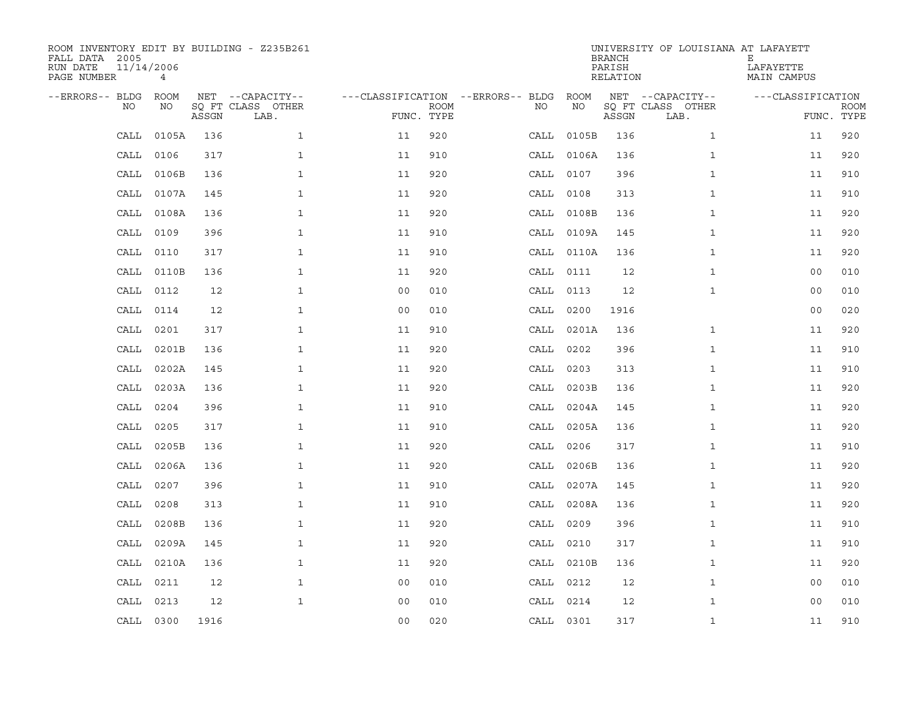| ROOM INVENTORY EDIT BY BUILDING - Z235B261<br>FALL DATA 2005<br>RUN DATE<br>PAGE NUMBER | 11/14/2006<br>$\overline{4}$ |       |                                               |                                   |                           |           |            | <b>BRANCH</b><br>PARISH<br>RELATION | UNIVERSITY OF LOUISIANA AT LAFAYETT           | Ε<br>LAFAYETTE<br>MAIN CAMPUS   |             |
|-----------------------------------------------------------------------------------------|------------------------------|-------|-----------------------------------------------|-----------------------------------|---------------------------|-----------|------------|-------------------------------------|-----------------------------------------------|---------------------------------|-------------|
| --ERRORS-- BLDG<br>NO                                                                   | ROOM<br>NO                   | ASSGN | NET --CAPACITY--<br>SQ FT CLASS OTHER<br>LAB. | ---CLASSIFICATION --ERRORS-- BLDG | <b>ROOM</b><br>FUNC. TYPE | NO        | ROOM<br>ΝO | ASSGN                               | NET --CAPACITY--<br>SQ FT CLASS OTHER<br>LAB. | ---CLASSIFICATION<br>FUNC. TYPE | <b>ROOM</b> |
| CALL                                                                                    | 0105A                        | 136   | $\mathbf{1}$                                  | 11                                | 920                       |           | CALL 0105B | 136                                 | $\mathbf{1}$                                  | 11                              | 920         |
| CALL                                                                                    | 0106                         | 317   | $\mathbf{1}$                                  | 11                                | 910                       |           | CALL 0106A | 136                                 | $\mathbf{1}$                                  | 11                              | 920         |
| CALL                                                                                    | 0106B                        | 136   | $\mathbf 1$                                   | 11                                | 920                       | CALL 0107 |            | 396                                 | $\mathbf{1}$                                  | 11                              | 910         |
| CALL                                                                                    | 0107A                        | 145   | $\mathbf{1}$                                  | 11                                | 920                       | CALL      | 0108       | 313                                 | $\mathbf{1}$                                  | 11                              | 910         |
| CALL                                                                                    | 0108A                        | 136   | $\mathbf{1}$                                  | 11                                | 920                       |           | CALL 0108B | 136                                 | $\mathbf{1}$                                  | 11                              | 920         |
| CALL                                                                                    | 0109                         | 396   | $\mathbf{1}$                                  | 11                                | 910                       |           | CALL 0109A | 145                                 | $\mathbf{1}$                                  | 11                              | 920         |
| CALL                                                                                    | 0110                         | 317   | $\mathbf{1}$                                  | 11                                | 910                       |           | CALL 0110A | 136                                 | $\mathbf{1}$                                  | 11                              | 920         |
| CALL                                                                                    | 0110B                        | 136   | $\mathbf{1}$                                  | 11                                | 920                       |           | CALL 0111  | 12                                  | $\mathbf{1}$                                  | 0 <sub>0</sub>                  | 010         |
| CALL                                                                                    | 0112                         | 12    | $\mathbf{1}$                                  | 00                                | 010                       | CALL 0113 |            | 12                                  | $\mathbf{1}$                                  | 0 <sub>0</sub>                  | 010         |
| CALL                                                                                    | 0114                         | 12    | $\mathbf{1}$                                  | 0 <sub>0</sub>                    | 010                       |           | CALL 0200  | 1916                                |                                               | 0 <sub>0</sub>                  | 020         |
| CALL                                                                                    | 0201                         | 317   | $\mathbf{1}$                                  | 11                                | 910                       |           | CALL 0201A | 136                                 | $\mathbf{1}$                                  | 11                              | 920         |
| CALL                                                                                    | 0201B                        | 136   | $\mathbf{1}$                                  | 11                                | 920                       |           | CALL 0202  | 396                                 | $\mathbf{1}$                                  | 11                              | 910         |
| CALL                                                                                    | 0202A                        | 145   | $\mathbf{1}$                                  | 11                                | 920                       | CALL      | 0203       | 313                                 | $\mathbf{1}$                                  | 11                              | 910         |
| CALL                                                                                    | 0203A                        | 136   | $\mathbf{1}$                                  | 11                                | 920                       |           | CALL 0203B | 136                                 | $\mathbf{1}$                                  | 11                              | 920         |
| CALL                                                                                    | 0204                         | 396   | $\mathbf{1}$                                  | 11                                | 910                       |           | CALL 0204A | 145                                 | $\mathbf{1}$                                  | 11                              | 920         |
| CALL                                                                                    | 0205                         | 317   | $\mathbf 1$                                   | 11                                | 910                       |           | CALL 0205A | 136                                 | $\mathbf{1}$                                  | 11                              | 920         |
| CALL                                                                                    | 0205B                        | 136   | $\mathbf{1}$                                  | 11                                | 920                       | CALL 0206 |            | 317                                 | $\mathbf{1}$                                  | 11                              | 910         |
| CALL                                                                                    | 0206A                        | 136   | $\mathbf 1$                                   | 11                                | 920                       |           | CALL 0206B | 136                                 | $\mathbf{1}$                                  | 11                              | 920         |
| CALL                                                                                    | 0207                         | 396   | $\mathbf{1}$                                  | 11                                | 910                       |           | CALL 0207A | 145                                 | $\mathbf{1}$                                  | 11                              | 920         |
| CALL                                                                                    | 0208                         | 313   | $\mathbf{1}$                                  | 11                                | 910                       | CALL      | 0208A      | 136                                 | $\mathbf{1}$                                  | 11                              | 920         |
| CALL                                                                                    | 0208B                        | 136   | $\mathbf{1}$                                  | 11                                | 920                       | CALL 0209 |            | 396                                 | $\mathbf{1}$                                  | 11                              | 910         |
| CALL                                                                                    | 0209A                        | 145   | $\mathbf{1}$                                  | 11                                | 920                       |           | CALL 0210  | 317                                 | $\mathbf{1}$                                  | 11                              | 910         |
| CALL                                                                                    | 0210A                        | 136   | $\mathbf{1}$                                  | 11                                | 920                       |           | CALL 0210B | 136                                 | $\mathbf{1}$                                  | 11                              | 920         |
| CALL                                                                                    | 0211                         | 12    | $\mathbf{1}$                                  | 0 <sub>0</sub>                    | 010                       | CALL 0212 |            | 12                                  | $\mathbf{1}$                                  | 0 <sub>0</sub>                  | 010         |
| CALL                                                                                    | 0213                         | 12    | $\mathbf{1}$                                  | 0 <sub>0</sub>                    | 010                       |           | CALL 0214  | 12                                  | $\mathbf{1}$                                  | 0 <sub>0</sub>                  | 010         |
|                                                                                         | CALL 0300                    | 1916  |                                               | 0 <sub>0</sub>                    | 020                       | CALL 0301 |            | 317                                 | $\mathbf{1}$                                  | 11                              | 910         |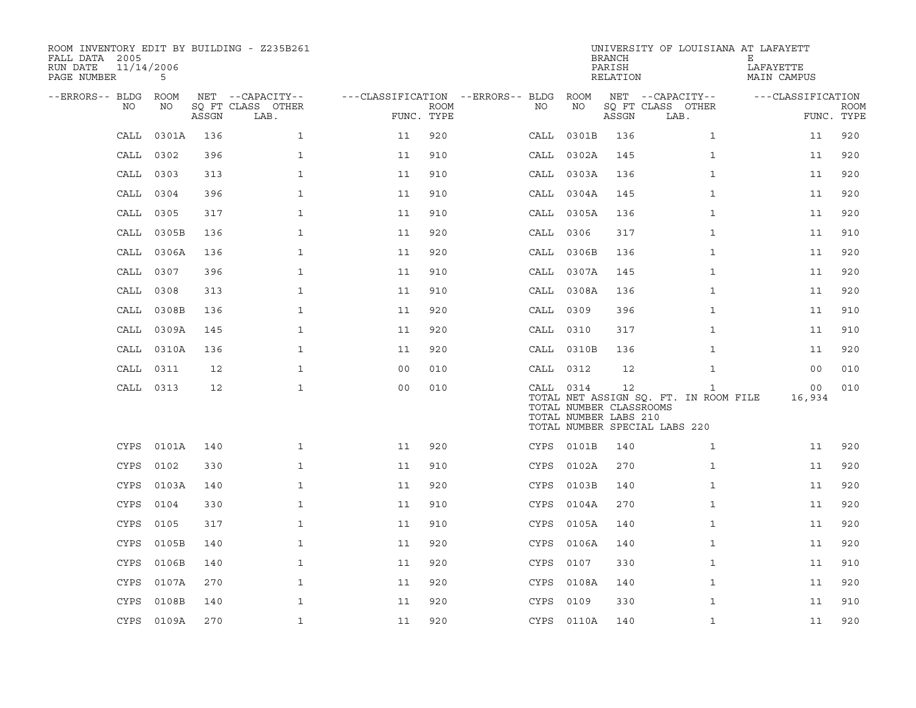| ROOM INVENTORY EDIT BY BUILDING - Z235B261<br>FALL DATA 2005<br>11/14/2006<br>RUN DATE<br>PAGE NUMBER | 5          |       |                           |                                        |             |           |                                                  | <b>BRANCH</b><br>PARISH<br>RELATION | UNIVERSITY OF LOUISIANA AT LAFAYETT                                                    | Е<br>LAFAYETTE<br>MAIN CAMPUS |                           |
|-------------------------------------------------------------------------------------------------------|------------|-------|---------------------------|----------------------------------------|-------------|-----------|--------------------------------------------------|-------------------------------------|----------------------------------------------------------------------------------------|-------------------------------|---------------------------|
| --ERRORS-- BLDG ROOM                                                                                  |            |       | NET --CAPACITY--          | ---CLASSIFICATION --ERRORS-- BLDG ROOM |             |           |                                                  |                                     | NET --CAPACITY--                                                                       | ---CLASSIFICATION             |                           |
| NO                                                                                                    | NO         | ASSGN | SQ FT CLASS OTHER<br>LAB. | FUNC. TYPE                             | <b>ROOM</b> | NO        | NO                                               | ASSGN                               | SQ FT CLASS OTHER<br>LAB.                                                              |                               | <b>ROOM</b><br>FUNC. TYPE |
| CALL                                                                                                  | 0301A      | 136   | $\mathbf{1}$              | 11                                     | 920         | CALL      | 0301B                                            | 136                                 | $\mathbf{1}$                                                                           | 11                            | 920                       |
| CALL                                                                                                  | 0302       | 396   | $\mathbf{1}$              | 11                                     | 910         |           | CALL 0302A                                       | 145                                 | $\mathbf{1}$                                                                           | 11                            | 920                       |
| CALL                                                                                                  | 0303       | 313   | $\mathbf 1$               | 11                                     | 910         |           | CALL 0303A                                       | 136                                 | $\mathbf{1}$                                                                           | 11                            | 920                       |
| CALL                                                                                                  | 0304       | 396   | $\mathbf{1}$              | 11                                     | 910         |           | CALL 0304A                                       | 145                                 | $\mathbf{1}$                                                                           | 11                            | 920                       |
| CALL                                                                                                  | 0305       | 317   | $\mathbf{1}$              | 11                                     | 910         |           | CALL 0305A                                       | 136                                 | $\mathbf{1}$                                                                           | 11                            | 920                       |
| CALL                                                                                                  | 0305B      | 136   | $\mathbf{1}$              | 11                                     | 920         | CALL 0306 |                                                  | 317                                 | $\mathbf{1}$                                                                           | 11                            | 910                       |
| CALL                                                                                                  | 0306A      | 136   | $\mathbf{1}$              | 11                                     | 920         |           | CALL 0306B                                       | 136                                 | $\mathbf{1}$                                                                           | 11                            | 920                       |
| CALL                                                                                                  | 0307       | 396   | $\mathbf{1}$              | 11                                     | 910         |           | CALL 0307A                                       | 145                                 | $\mathbf{1}$                                                                           | 11                            | 920                       |
| CALL                                                                                                  | 0308       | 313   | $\mathbf{1}$              | 11                                     | 910         |           | CALL 0308A                                       | 136                                 | $\mathbf{1}$                                                                           | 11                            | 920                       |
| CALL                                                                                                  | 0308B      | 136   | $\mathbf{1}$              | 11                                     | 920         | CALL 0309 |                                                  | 396                                 | $\mathbf{1}$                                                                           | 11                            | 910                       |
| CALL                                                                                                  | 0309A      | 145   | $\mathbf 1$               | 11                                     | 920         | CALL 0310 |                                                  | 317                                 | $\mathbf{1}$                                                                           | 11                            | 910                       |
|                                                                                                       | CALL 0310A | 136   | $\mathbf{1}$              | 11                                     | 920         |           | CALL 0310B                                       | 136                                 | $\mathbf{1}$                                                                           | 11                            | 920                       |
| CALL                                                                                                  | 0311       | 12    | $\mathbf{1}$              | 0 <sub>0</sub>                         | 010         | CALL 0312 |                                                  | 12                                  | $\mathbf{1}$                                                                           | 0 <sub>0</sub>                | 010                       |
|                                                                                                       | CALL 0313  | 12    | $\mathbf{1}$              | 00                                     | 010         | CALL 0314 | TOTAL NUMBER CLASSROOMS<br>TOTAL NUMBER LABS 210 | 12                                  | $\mathbf{1}$<br>TOTAL NET ASSIGN SQ. FT. IN ROOM FILE<br>TOTAL NUMBER SPECIAL LABS 220 | 00<br>16,934                  | 010                       |
|                                                                                                       | CYPS 0101A | 140   | $\mathbf{1}$              | 11                                     | 920         |           | CYPS 0101B                                       | 140                                 | $\mathbf{1}$                                                                           | 11                            | 920                       |
| <b>CYPS</b>                                                                                           | 0102       | 330   | $\mathbf{1}$              | 11                                     | 910         | CYPS      | 0102A                                            | 270                                 | $\mathbf{1}$                                                                           | 11                            | 920                       |
| <b>CYPS</b>                                                                                           | 0103A      | 140   | $\mathbf{1}$              | 11                                     | 920         |           | CYPS 0103B                                       | 140                                 | $\mathbf{1}$                                                                           | 11                            | 920                       |
| <b>CYPS</b>                                                                                           | 0104       | 330   | $\mathbf 1$               | 11                                     | 910         | CYPS      | 0104A                                            | 270                                 | $\mathbf{1}$                                                                           | 11                            | 920                       |
| CYPS                                                                                                  | 0105       | 317   | $\mathbf{1}$              | 11                                     | 910         |           | CYPS 0105A                                       | 140                                 | $\mathbf{1}$                                                                           | 11                            | 920                       |
| <b>CYPS</b>                                                                                           | 0105B      | 140   | $\mathbf{1}$              | 11                                     | 920         | CYPS      | 0106A                                            | 140                                 | $\mathbf{1}$                                                                           | 11                            | 920                       |
| <b>CYPS</b>                                                                                           | 0106B      | 140   | $\mathbf{1}$              | 11                                     | 920         | CYPS      | 0107                                             | 330                                 | $\mathbf{1}$                                                                           | 11                            | 910                       |
| CYPS                                                                                                  | 0107A      | 270   | $\mathbf{1}$              | 11                                     | 920         | CYPS      | 0108A                                            | 140                                 | $\mathbf{1}$                                                                           | 11                            | 920                       |
| CYPS                                                                                                  | 0108B      | 140   | $\mathbf 1$               | 11                                     | 920         | CYPS      | 0109                                             | 330                                 | $\mathbf{1}$                                                                           | 11                            | 910                       |
|                                                                                                       | CYPS 0109A | 270   | $\mathbf{1}$              | 11                                     | 920         |           | CYPS 0110A                                       | 140                                 | $\mathbf{1}$                                                                           | 11                            | 920                       |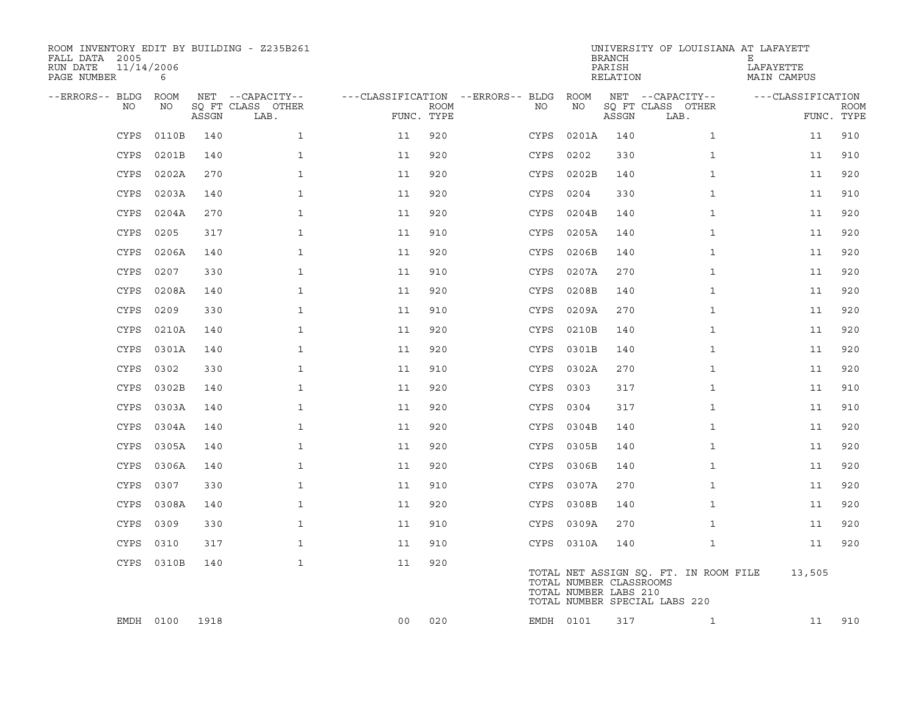| ROOM INVENTORY EDIT BY BUILDING - Z235B261<br>FALL DATA 2005<br>11/14/2006<br>RUN DATE<br>PAGE NUMBER | 6          |       |                           |                                        |                           |      |                                                  | BRANCH<br>PARISH<br>RELATION | UNIVERSITY OF LOUISIANA AT LAFAYETT                                    | Е<br>LAFAYETTE<br>MAIN CAMPUS |                           |
|-------------------------------------------------------------------------------------------------------|------------|-------|---------------------------|----------------------------------------|---------------------------|------|--------------------------------------------------|------------------------------|------------------------------------------------------------------------|-------------------------------|---------------------------|
| --ERRORS-- BLDG                                                                                       | ROOM       |       | NET --CAPACITY--          | ---CLASSIFICATION --ERRORS-- BLDG ROOM |                           |      |                                                  |                              | NET --CAPACITY--                                                       | ---CLASSIFICATION             |                           |
| NO                                                                                                    | NO         | ASSGN | SQ FT CLASS OTHER<br>LAB. |                                        | <b>ROOM</b><br>FUNC. TYPE | NO   | NO                                               | ASSGN                        | SQ FT CLASS OTHER<br>LAB.                                              |                               | <b>ROOM</b><br>FUNC. TYPE |
| <b>CYPS</b>                                                                                           | 0110B      | 140   | $\mathbf{1}$              | 11                                     | 920                       | CYPS | 0201A                                            | 140                          | $\mathbf{1}$                                                           | 11                            | 910                       |
| <b>CYPS</b>                                                                                           | 0201B      | 140   | $\mathbf{1}$              | 11                                     | 920                       | CYPS | 0202                                             | 330                          | $\mathbf{1}$                                                           | 11                            | 910                       |
| <b>CYPS</b>                                                                                           | 0202A      | 270   | $\mathbf 1$               | 11                                     | 920                       | CYPS | 0202B                                            | 140                          | $\mathbf{1}$                                                           | 11                            | 920                       |
| <b>CYPS</b>                                                                                           | 0203A      | 140   | $\mathbf{1}$              | 11                                     | 920                       | CYPS | 0204                                             | 330                          | $\mathbf{1}$                                                           | 11                            | 910                       |
| <b>CYPS</b>                                                                                           | 0204A      | 270   | $\mathbf{1}$              | 11                                     | 920                       | CYPS | 0204B                                            | 140                          | $\mathbf{1}$                                                           | 11                            | 920                       |
| <b>CYPS</b>                                                                                           | 0205       | 317   | $\mathbf 1$               | 11                                     | 910                       | CYPS | 0205A                                            | 140                          | $\mathbf{1}$                                                           | 11                            | 920                       |
| <b>CYPS</b>                                                                                           | 0206A      | 140   | $\mathbf{1}$              | 11                                     | 920                       |      | CYPS 0206B                                       | 140                          | $\mathbf{1}$                                                           | 11                            | 920                       |
| <b>CYPS</b>                                                                                           | 0207       | 330   | $\mathbf{1}$              | 11                                     | 910                       | CYPS | 0207A                                            | 270                          | $\mathbf{1}$                                                           | 11                            | 920                       |
| CYPS                                                                                                  | 0208A      | 140   | $\mathbf{1}$              | 11                                     | 920                       | CYPS | 0208B                                            | 140                          | $\mathbf{1}$                                                           | 11                            | 920                       |
| <b>CYPS</b>                                                                                           | 0209       | 330   | $\mathbf{1}$              | 11                                     | 910                       | CYPS | 0209A                                            | 270                          | $\mathbf{1}$                                                           | 11                            | 920                       |
| CYPS                                                                                                  | 0210A      | 140   | $\mathbf{1}$              | 11                                     | 920                       | CYPS | 0210B                                            | 140                          | $\mathbf{1}$                                                           | 11                            | 920                       |
| CYPS                                                                                                  | 0301A      | 140   | $\mathbf 1$               | 11                                     | 920                       | CYPS | 0301B                                            | 140                          | $\mathbf{1}$                                                           | 11                            | 920                       |
| <b>CYPS</b>                                                                                           | 0302       | 330   | $\mathbf{1}$              | 11                                     | 910                       | CYPS | 0302A                                            | 270                          | $\mathbf{1}$                                                           | 11                            | 920                       |
| <b>CYPS</b>                                                                                           | 0302B      | 140   | $\mathbf{1}$              | 11                                     | 920                       | CYPS | 0303                                             | 317                          | $\mathbf{1}$                                                           | 11                            | 910                       |
| <b>CYPS</b>                                                                                           | 0303A      | 140   | $\mathbf{1}$              | 11                                     | 920                       | CYPS | 0304                                             | 317                          | $\mathbf{1}$                                                           | 11                            | 910                       |
| <b>CYPS</b>                                                                                           | 0304A      | 140   | $\mathbf{1}$              | 11                                     | 920                       | CYPS | 0304B                                            | 140                          | $\mathbf{1}$                                                           | 11                            | 920                       |
| <b>CYPS</b>                                                                                           | 0305A      | 140   | $\mathbf{1}$              | 11                                     | 920                       |      | CYPS 0305B                                       | 140                          | $\mathbf{1}$                                                           | 11                            | 920                       |
| <b>CYPS</b>                                                                                           | 0306A      | 140   | $\mathbf{1}$              | 11                                     | 920                       | CYPS | 0306B                                            | 140                          | $\mathbf{1}$                                                           | 11                            | 920                       |
| <b>CYPS</b>                                                                                           | 0307       | 330   | $\mathbf{1}$              | 11                                     | 910                       | CYPS | 0307A                                            | 270                          | $\mathbf{1}$                                                           | 11                            | 920                       |
| <b>CYPS</b>                                                                                           | 0308A      | 140   | $\mathbf{1}$              | 11                                     | 920                       |      | CYPS 0308B                                       | 140                          | $\mathbf{1}$                                                           | 11                            | 920                       |
| <b>CYPS</b>                                                                                           | 0309       | 330   | $\mathbf{1}$              | 11                                     | 910                       |      | CYPS 0309A                                       | 270                          | $\mathbf{1}$                                                           | 11                            | 920                       |
| CYPS                                                                                                  | 0310       | 317   | $\mathbf{1}$              | 11                                     | 910                       |      | CYPS 0310A                                       | 140                          | $\mathbf{1}$                                                           | 11                            | 920                       |
|                                                                                                       | CYPS 0310B | 140   | $\mathbf{1}$              | 11                                     | 920                       |      | TOTAL NUMBER CLASSROOMS<br>TOTAL NUMBER LABS 210 |                              | TOTAL NET ASSIGN SQ. FT. IN ROOM FILE<br>TOTAL NUMBER SPECIAL LABS 220 | 13,505                        |                           |
|                                                                                                       | EMDH 0100  | 1918  |                           | 00                                     | 020                       |      | EMDH 0101                                        | 317                          | $\mathbf{1}$                                                           | 11                            | 910                       |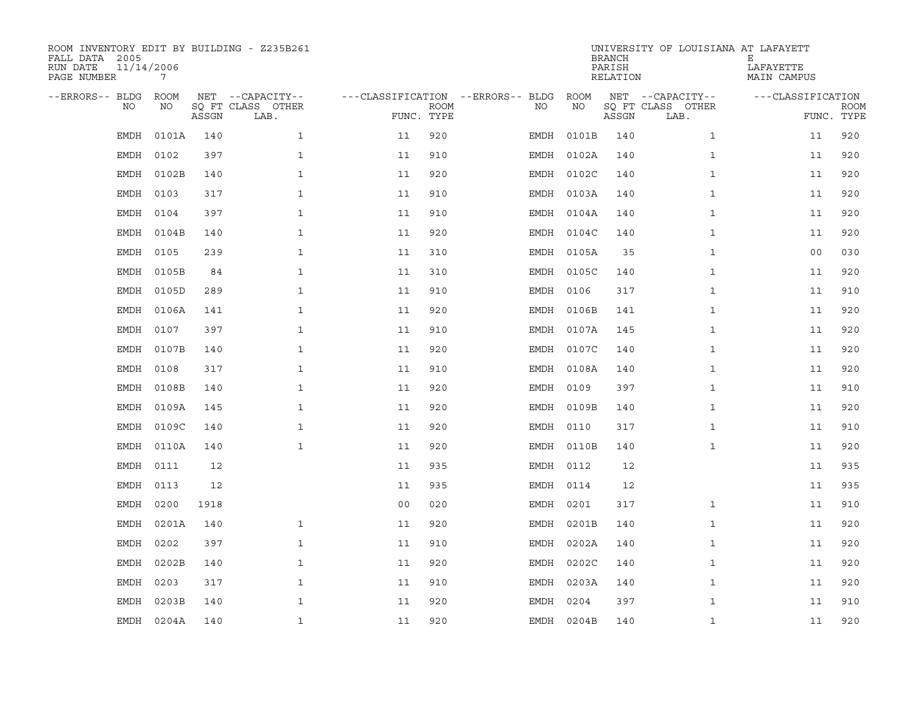| ROOM INVENTORY EDIT BY BUILDING - Z235B261<br>FALL DATA 2005<br>RUN DATE<br>PAGE NUMBER | 11/14/2006<br>7 |       |                                               |                                   |                           |           |            | <b>BRANCH</b><br>PARISH<br>RELATION | UNIVERSITY OF LOUISIANA AT LAFAYETT           | Ε<br>LAFAYETTE<br>MAIN CAMPUS   |             |
|-----------------------------------------------------------------------------------------|-----------------|-------|-----------------------------------------------|-----------------------------------|---------------------------|-----------|------------|-------------------------------------|-----------------------------------------------|---------------------------------|-------------|
| --ERRORS-- BLDG<br>NO                                                                   | ROOM<br>NO      | ASSGN | NET --CAPACITY--<br>SQ FT CLASS OTHER<br>LAB. | ---CLASSIFICATION --ERRORS-- BLDG | <b>ROOM</b><br>FUNC. TYPE | NO        | ROOM<br>ΝO | ASSGN                               | NET --CAPACITY--<br>SQ FT CLASS OTHER<br>LAB. | ---CLASSIFICATION<br>FUNC. TYPE | <b>ROOM</b> |
| EMDH                                                                                    | 0101A           | 140   | $\mathbf{1}$                                  | 11                                | 920                       | EMDH      | 0101B      | 140                                 | $\mathbf{1}$                                  | 11                              | 920         |
| EMDH                                                                                    | 0102            | 397   | $\mathbf{1}$                                  | 11                                | 910                       |           | EMDH 0102A | 140                                 | $\mathbf{1}$                                  | 11                              | 920         |
| EMDH                                                                                    | 0102B           | 140   | $\mathbf{1}$                                  | 11                                | 920                       | EMDH      | 0102C      | 140                                 | $\mathbf{1}$                                  | 11                              | 920         |
| <b>EMDH</b>                                                                             | 0103            | 317   | $\mathbf{1}$                                  | 11                                | 910                       |           | EMDH 0103A | 140                                 | $\mathbf{1}$                                  | 11                              | 920         |
| <b>EMDH</b>                                                                             | 0104            | 397   | $\mathbf{1}$                                  | 11                                | 910                       |           | EMDH 0104A | 140                                 | $\mathbf{1}$                                  | 11                              | 920         |
| EMDH                                                                                    | 0104B           | 140   | 1                                             | 11                                | 920                       |           | EMDH 0104C | 140                                 | $\mathbf{1}$                                  | 11                              | 920         |
| EMDH                                                                                    | 0105            | 239   | $\mathbf{1}$                                  | 11                                | 310                       |           | EMDH 0105A | 35                                  | $\mathbf{1}$                                  | 00                              | 030         |
| <b>EMDH</b>                                                                             | 0105B           | 84    | $\mathbf{1}$                                  | 11                                | 310                       |           | EMDH 0105C | 140                                 | $\mathbf{1}$                                  | 11                              | 920         |
| EMDH                                                                                    | 0105D           | 289   | $\mathbf{1}$                                  | 11                                | 910                       | EMDH 0106 |            | 317                                 | $\mathbf{1}$                                  | 11                              | 910         |
| <b>EMDH</b>                                                                             | 0106A           | 141   | $\mathbf{1}$                                  | 11                                | 920                       |           | EMDH 0106B | 141                                 | $\mathbf{1}$                                  | 11                              | 920         |
| <b>EMDH</b>                                                                             | 0107            | 397   | $\mathbf{1}$                                  | 11                                | 910                       |           | EMDH 0107A | 145                                 | $\mathbf{1}$                                  | 11                              | 920         |
| <b>EMDH</b>                                                                             | 0107B           | 140   | $\mathbf{1}$                                  | 11                                | 920                       |           | EMDH 0107C | 140                                 | $\mathbf{1}$                                  | 11                              | 920         |
| EMDH                                                                                    | 0108            | 317   | $\mathbf 1$                                   | 11                                | 910                       | EMDH      | 0108A      | 140                                 | $\mathbf{1}$                                  | 11                              | 920         |
| EMDH                                                                                    | 0108B           | 140   | 1                                             | 11                                | 920                       | EMDH 0109 |            | 397                                 | $\mathbf{1}$                                  | 11                              | 910         |
| EMDH                                                                                    | 0109A           | 145   | $\mathbf 1$                                   | 11                                | 920                       |           | EMDH 0109B | 140                                 | $\mathbf{1}$                                  | 11                              | 920         |
| EMDH                                                                                    | 0109C           | 140   | $\mathbf{1}$                                  | 11                                | 920                       | EMDH 0110 |            | 317                                 | $\mathbf{1}$                                  | 11                              | 910         |
| <b>EMDH</b>                                                                             | 0110A           | 140   | $\mathbf{1}$                                  | 11                                | 920                       |           | EMDH 0110B | 140                                 | $\mathbf{1}$                                  | 11                              | 920         |
| EMDH                                                                                    | 0111            | 12    |                                               | 11                                | 935                       | EMDH 0112 |            | 12                                  |                                               | 11                              | 935         |
| <b>EMDH</b>                                                                             | 0113            | 12    |                                               | 11                                | 935                       | EMDH 0114 |            | 12                                  |                                               | 11                              | 935         |
| EMDH                                                                                    | 0200            | 1918  |                                               | 0 <sub>0</sub>                    | 020                       | EMDH 0201 |            | 317                                 | $\mathbf{1}$                                  | 11                              | 910         |
| <b>EMDH</b>                                                                             | 0201A           | 140   | $\mathbf{1}$                                  | 11                                | 920                       |           | EMDH 0201B | 140                                 | $\mathbf{1}$                                  | 11                              | 920         |
| EMDH                                                                                    | 0202            | 397   | $\mathbf{1}$                                  | 11                                | 910                       |           | EMDH 0202A | 140                                 | $\mathbf{1}$                                  | 11                              | 920         |
| <b>EMDH</b>                                                                             | 0202B           | 140   | $\mathbf{1}$                                  | 11                                | 920                       |           | EMDH 0202C | 140                                 | $\mathbf{1}$                                  | 11                              | 920         |
| <b>EMDH</b>                                                                             | 0203            | 317   | $\mathbf{1}$                                  | 11                                | 910                       |           | EMDH 0203A | 140                                 | $\mathbf{1}$                                  | 11                              | 920         |
| <b>EMDH</b>                                                                             | 0203B           | 140   | $\mathbf{1}$                                  | 11                                | 920                       | EMDH      | 0204       | 397                                 | $\mathbf{1}$                                  | 11                              | 910         |
|                                                                                         | EMDH 0204A      | 140   | $\mathbf{1}$                                  | 11                                | 920                       |           | EMDH 0204B | 140                                 | $\mathbf{1}$                                  | 11                              | 920         |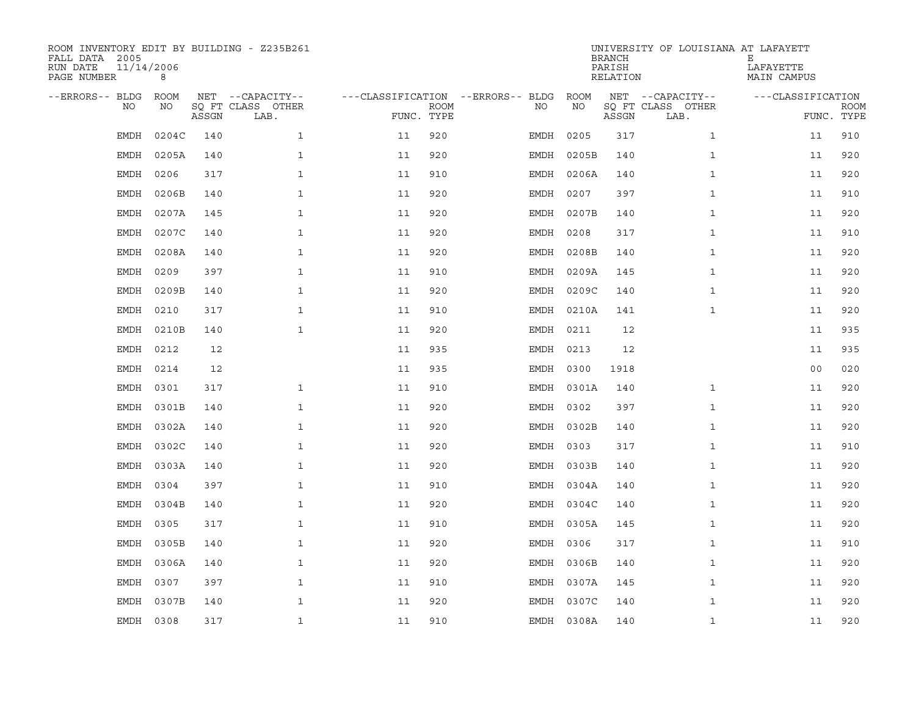| ROOM INVENTORY EDIT BY BUILDING - Z235B261<br>FALL DATA 2005<br>11/14/2006<br>RUN DATE<br>PAGE NUMBER | 8         |       |                           |                                        |             |           |            | <b>BRANCH</b><br>PARISH<br>RELATION | UNIVERSITY OF LOUISIANA AT LAFAYETT | Е<br>LAFAYETTE<br>MAIN CAMPUS |             |
|-------------------------------------------------------------------------------------------------------|-----------|-------|---------------------------|----------------------------------------|-------------|-----------|------------|-------------------------------------|-------------------------------------|-------------------------------|-------------|
| --ERRORS-- BLDG ROOM                                                                                  |           |       | NET --CAPACITY--          | ---CLASSIFICATION --ERRORS-- BLDG ROOM |             |           |            |                                     | NET --CAPACITY--                    | ---CLASSIFICATION             |             |
| NO                                                                                                    | NO        | ASSGN | SQ FT CLASS OTHER<br>LAB. | FUNC. TYPE                             | <b>ROOM</b> | NO.       | NO         | ASSGN                               | SQ FT CLASS OTHER<br>LAB.           | FUNC. TYPE                    | <b>ROOM</b> |
| <b>EMDH</b>                                                                                           | 0204C     | 140   | $\mathbf{1}$              | 11                                     | 920         | EMDH      | 0205       | 317                                 | $\mathbf{1}$                        | 11                            | 910         |
| EMDH                                                                                                  | 0205A     | 140   | $\mathbf{1}$              | 11                                     | 920         | EMDH      | 0205B      | 140                                 | $\mathbf{1}$                        | 11                            | 920         |
| EMDH                                                                                                  | 0206      | 317   | $\mathbf{1}$              | 11                                     | 910         |           | EMDH 0206A | 140                                 | $\mathbf{1}$                        | 11                            | 920         |
| EMDH                                                                                                  | 0206B     | 140   | $\mathbf{1}$              | 11                                     | 920         | EMDH 0207 |            | 397                                 | $\mathbf{1}$                        | 11                            | 910         |
| <b>EMDH</b>                                                                                           | 0207A     | 145   | $\mathbf{1}$              | 11                                     | 920         | EMDH      | 0207B      | 140                                 | $\mathbf{1}$                        | 11                            | 920         |
| <b>EMDH</b>                                                                                           | 0207C     | 140   | $\mathbf{1}$              | 11                                     | 920         | EMDH      | 0208       | 317                                 | $\mathbf{1}$                        | 11                            | 910         |
| EMDH                                                                                                  | 0208A     | 140   | $\mathbf{1}$              | 11                                     | 920         | EMDH      | 0208B      | 140                                 | $\mathbf{1}$                        | 11                            | 920         |
| <b>EMDH</b>                                                                                           | 0209      | 397   | $\mathbf{1}$              | 11                                     | 910         |           | EMDH 0209A | 145                                 | $\mathbf{1}$                        | 11                            | 920         |
| <b>EMDH</b>                                                                                           | 0209B     | 140   | $\mathbf{1}$              | 11                                     | 920         | EMDH      | 0209C      | 140                                 | $\mathbf{1}$                        | 11                            | 920         |
| <b>EMDH</b>                                                                                           | 0210      | 317   | $\mathbf{1}$              | 11                                     | 910         |           | EMDH 0210A | 141                                 | $\mathbf{1}$                        | 11                            | 920         |
| <b>EMDH</b>                                                                                           | 0210B     | 140   | $\mathbf{1}$              | 11                                     | 920         | EMDH 0211 |            | 12                                  |                                     | 11                            | 935         |
| <b>EMDH</b>                                                                                           | 0212      | 12    |                           | 11                                     | 935         | EMDH 0213 |            | 12                                  |                                     | 11                            | 935         |
| <b>EMDH</b>                                                                                           | 0214      | 12    |                           | 11                                     | 935         | EMDH      | 0300       | 1918                                |                                     | 0 <sub>0</sub>                | 020         |
| EMDH                                                                                                  | 0301      | 317   | $\mathbf{1}$              | 11                                     | 910         |           | EMDH 0301A | 140                                 | $\mathbf{1}$                        | 11                            | 920         |
| <b>EMDH</b>                                                                                           | 0301B     | 140   | $\mathbf{1}$              | 11                                     | 920         | EMDH      | 0302       | 397                                 | $\mathbf{1}$                        | 11                            | 920         |
| <b>EMDH</b>                                                                                           | 0302A     | 140   | $\mathbf{1}$              | 11                                     | 920         |           | EMDH 0302B | 140                                 | $\mathbf{1}$                        | 11                            | 920         |
| EMDH                                                                                                  | 0302C     | 140   | $\mathbf 1$               | 11                                     | 920         | EMDH 0303 |            | 317                                 | $\mathbf{1}$                        | 11                            | 910         |
| EMDH                                                                                                  | 0303A     | 140   | $\mathbf{1}$              | 11                                     | 920         |           | EMDH 0303B | 140                                 | $\mathbf{1}$                        | 11                            | 920         |
| <b>EMDH</b>                                                                                           | 0304      | 397   | $\mathbf{1}$              | 11                                     | 910         |           | EMDH 0304A | 140                                 | $\mathbf{1}$                        | 11                            | 920         |
| <b>EMDH</b>                                                                                           | 0304B     | 140   | $\mathbf{1}$              | 11                                     | 920         |           | EMDH 0304C | 140                                 | $\mathbf{1}$                        | 11                            | 920         |
| EMDH                                                                                                  | 0305      | 317   | $\mathbf{1}$              | 11                                     | 910         |           | EMDH 0305A | 145                                 | $\mathbf{1}$                        | 11                            | 920         |
| EMDH                                                                                                  | 0305B     | 140   | $\mathbf{1}$              | 11                                     | 920         | EMDH 0306 |            | 317                                 | $\mathbf{1}$                        | 11                            | 910         |
| <b>EMDH</b>                                                                                           | 0306A     | 140   | $\mathbf{1}$              | 11                                     | 920         |           | EMDH 0306B | 140                                 | $\mathbf{1}$                        | 11                            | 920         |
| EMDH                                                                                                  | 0307      | 397   | $\mathbf{1}$              | 11                                     | 910         |           | EMDH 0307A | 145                                 | $\mathbf{1}$                        | 11                            | 920         |
| <b>EMDH</b>                                                                                           | 0307B     | 140   | $\mathbf{1}$              | 11                                     | 920         |           | EMDH 0307C | 140                                 | $\mathbf{1}$                        | 11                            | 920         |
|                                                                                                       | EMDH 0308 | 317   | $\mathbf{1}$              | 11                                     | 910         |           | EMDH 0308A | 140                                 | $\mathbf{1}$                        | 11                            | 920         |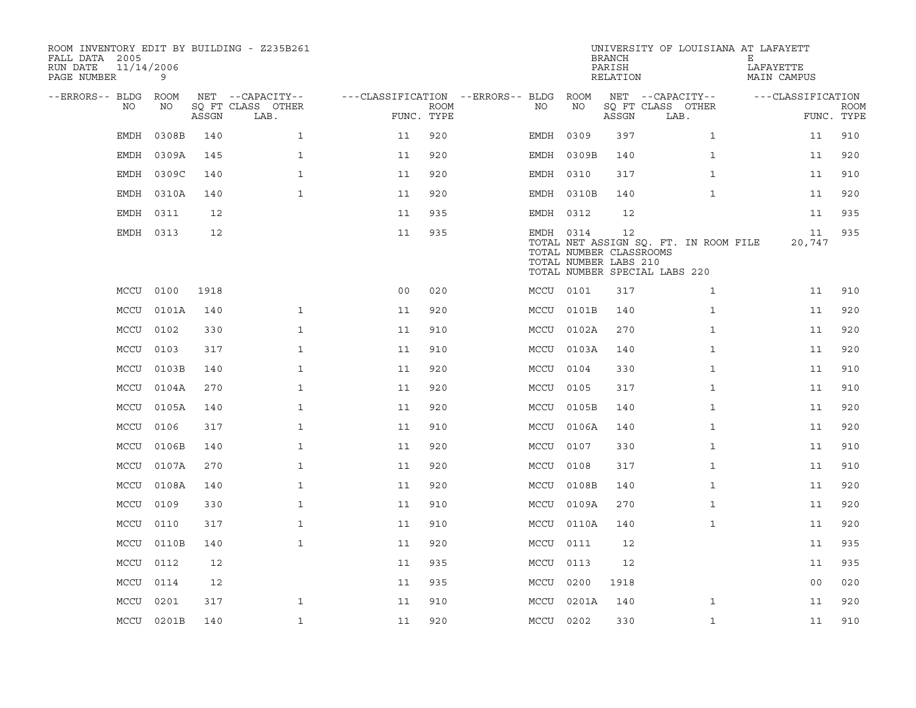| ROOM INVENTORY EDIT BY BUILDING - Z235B261<br>FALL DATA 2005<br>11/14/2006<br>RUN DATE<br>PAGE NUMBER | 9          |       |                           |                                        |             |           |            | <b>BRANCH</b><br>PARISH<br>RELATION                    | UNIVERSITY OF LOUISIANA AT LAFAYETT                                    | Е<br>LAFAYETTE<br>MAIN CAMPUS |                           |
|-------------------------------------------------------------------------------------------------------|------------|-------|---------------------------|----------------------------------------|-------------|-----------|------------|--------------------------------------------------------|------------------------------------------------------------------------|-------------------------------|---------------------------|
| --ERRORS-- BLDG ROOM                                                                                  |            |       | NET --CAPACITY--          | ---CLASSIFICATION --ERRORS-- BLDG ROOM |             |           |            |                                                        | NET --CAPACITY--                                                       | ---CLASSIFICATION             |                           |
| NO                                                                                                    | NO         | ASSGN | SQ FT CLASS OTHER<br>LAB. | FUNC. TYPE                             | <b>ROOM</b> | NO        | NO         | ASSGN                                                  | SQ FT CLASS OTHER<br>LAB.                                              |                               | <b>ROOM</b><br>FUNC. TYPE |
| EMDH                                                                                                  | 0308B      | 140   | $\mathbf{1}$              | 11                                     | 920         | EMDH 0309 |            | 397                                                    | $\mathbf{1}$                                                           | 11                            | 910                       |
| EMDH                                                                                                  | 0309A      | 145   | $\mathbf{1}$              | 11                                     | 920         |           | EMDH 0309B | 140                                                    | $\mathbf{1}$                                                           | 11                            | 920                       |
| EMDH                                                                                                  | 0309C      | 140   | $\mathbf{1}$              | 11                                     | 920         | EMDH 0310 |            | 317                                                    | $\mathbf{1}$                                                           | 11                            | 910                       |
| EMDH                                                                                                  | 0310A      | 140   | $\mathbf{1}$              | 11                                     | 920         |           | EMDH 0310B | 140                                                    | $\mathbf{1}$                                                           | 11                            | 920                       |
| EMDH                                                                                                  | 0311       | 12    |                           | 11                                     | 935         | EMDH 0312 |            | 12                                                     |                                                                        | 11                            | 935                       |
|                                                                                                       | EMDH 0313  | 12    |                           | 11                                     | 935         | EMDH 0314 |            | 12<br>TOTAL NUMBER CLASSROOMS<br>TOTAL NUMBER LABS 210 | TOTAL NET ASSIGN SQ. FT. IN ROOM FILE<br>TOTAL NUMBER SPECIAL LABS 220 | 11<br>20,747                  | 935                       |
| MCCU 0100                                                                                             |            | 1918  |                           | 0 <sub>0</sub>                         | 020         | MCCU 0101 |            | 317                                                    | $\mathbf{1}$                                                           | 11                            | 910                       |
|                                                                                                       | MCCU 0101A | 140   | $\mathbf{1}$              | 11                                     | 920         |           | MCCU 0101B | 140                                                    | $\mathbf{1}$                                                           | 11                            | 920                       |
| MCCU 0102                                                                                             |            | 330   | $\mathbf{1}$              | 11                                     | 910         |           | MCCU 0102A | 270                                                    | $\mathbf{1}$                                                           | 11                            | 920                       |
|                                                                                                       | MCCU 0103  | 317   | $\mathbf{1}$              | 11                                     | 910         |           | MCCU 0103A | 140                                                    | $\mathbf{1}$                                                           | 11                            | 920                       |
|                                                                                                       | MCCU 0103B | 140   | $\mathbf{1}$              | 11                                     | 920         | MCCU      | 0104       | 330                                                    | $\mathbf{1}$                                                           | 11                            | 910                       |
|                                                                                                       | MCCU 0104A | 270   | $\mathbf 1$               | 11                                     | 920         | MCCU 0105 |            | 317                                                    | $\mathbf{1}$                                                           | 11                            | 910                       |
|                                                                                                       | MCCU 0105A | 140   | $\mathbf 1$               | 11                                     | 920         |           | MCCU 0105B | 140                                                    | $\mathbf{1}$                                                           | 11                            | 920                       |
| MCCU 0106                                                                                             |            | 317   | $\mathbf{1}$              | 11                                     | 910         |           | MCCU 0106A | 140                                                    | $\mathbf{1}$                                                           | 11                            | 920                       |
| MCCU                                                                                                  | 0106B      | 140   | $\mathbf{1}$              | 11                                     | 920         | MCCU      | 0107       | 330                                                    | $\mathbf{1}$                                                           | 11                            | 910                       |
|                                                                                                       | MCCU 0107A | 270   | $\mathbf 1$               | 11                                     | 920         | MCCU 0108 |            | 317                                                    | $\mathbf{1}$                                                           | 11                            | 910                       |
|                                                                                                       | MCCU 0108A | 140   | $\mathbf{1}$              | 11                                     | 920         |           | MCCU 0108B | 140                                                    | $\mathbf{1}$                                                           | 11                            | 920                       |
| MCCU                                                                                                  | 0109       | 330   | $\mathbf{1}$              | 11                                     | 910         |           | MCCU 0109A | 270                                                    | $\mathbf{1}$                                                           | 11                            | 920                       |
| MCCU                                                                                                  | 0110       | 317   | $\mathbf{1}$              | 11                                     | 910         |           | MCCU 0110A | 140                                                    | $\mathbf{1}$                                                           | 11                            | 920                       |
|                                                                                                       | MCCU 0110B | 140   | $\mathbf{1}$              | 11                                     | 920         | MCCU 0111 |            | 12                                                     |                                                                        | 11                            | 935                       |
| MCCU 0112                                                                                             |            | 12    |                           | 11                                     | 935         | MCCU 0113 |            | 12                                                     |                                                                        | 11                            | 935                       |
| MCCU 0114                                                                                             |            | 12    |                           | 11                                     | 935         | MCCU 0200 |            | 1918                                                   |                                                                        | 0 <sub>0</sub>                | 020                       |
|                                                                                                       | MCCU 0201  | 317   | $\mathbf{1}$              | 11                                     | 910         |           | MCCU 0201A | 140                                                    | $\mathbf{1}$                                                           | 11                            | 920                       |
|                                                                                                       | MCCU 0201B | 140   | $\mathbf{1}$              | 11                                     | 920         | MCCU 0202 |            | 330                                                    | $\mathbf{1}$                                                           | 11                            | 910                       |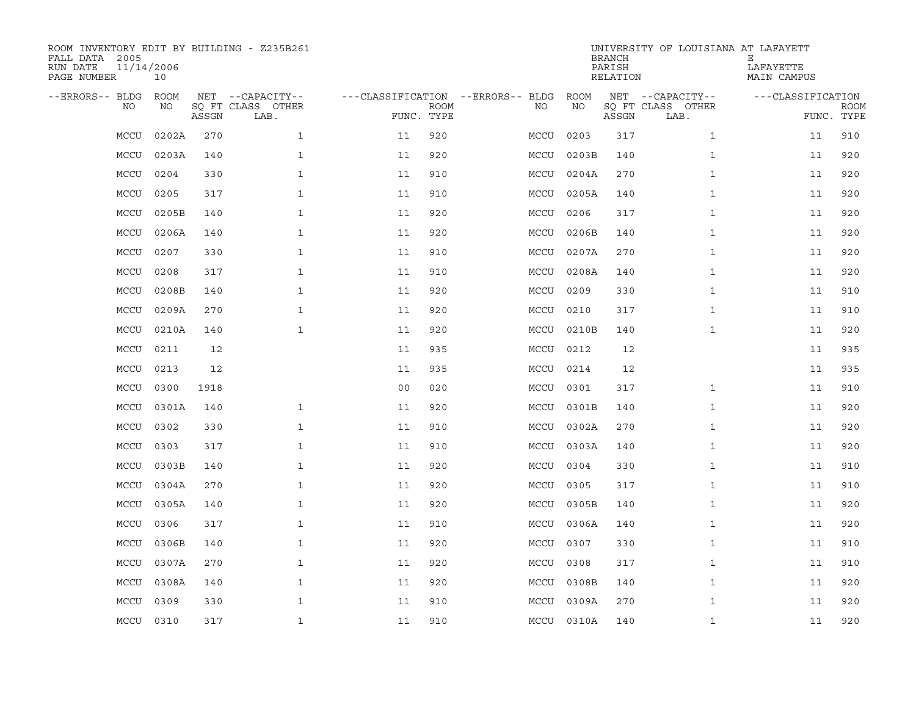| ROOM INVENTORY EDIT BY BUILDING - Z235B261<br>FALL DATA 2005<br>RUN DATE<br>PAGE NUMBER | 11/14/2006<br>10 |       |                           |                                   |             |           |            | <b>BRANCH</b><br>PARISH<br>RELATION | UNIVERSITY OF LOUISIANA AT LAFAYETT | Е<br>LAFAYETTE<br>MAIN CAMPUS |             |
|-----------------------------------------------------------------------------------------|------------------|-------|---------------------------|-----------------------------------|-------------|-----------|------------|-------------------------------------|-------------------------------------|-------------------------------|-------------|
| --ERRORS-- BLDG                                                                         | ROOM             |       | NET --CAPACITY--          | ---CLASSIFICATION --ERRORS-- BLDG |             |           | ROOM       |                                     | NET --CAPACITY--                    | ---CLASSIFICATION             |             |
| NO.                                                                                     | NO               | ASSGN | SQ FT CLASS OTHER<br>LAB. | FUNC. TYPE                        | <b>ROOM</b> | NO.       | NO         | ASSGN                               | SQ FT CLASS OTHER<br>LAB.           | FUNC. TYPE                    | <b>ROOM</b> |
| MCCU                                                                                    | 0202A            | 270   | $\mathbf{1}$              | 11                                | 920         | MCCU      | 0203       | 317                                 | $\mathbf{1}$                        | 11                            | 910         |
| MCCU                                                                                    | 0203A            | 140   | $\mathbf{1}$              | 11                                | 920         | MCCU      | 0203B      | 140                                 | $\mathbf{1}$                        | 11                            | 920         |
| MCCU                                                                                    | 0204             | 330   | $\mathbf{1}$              | 11                                | 910         | MCCU      | 0204A      | 270                                 | $\mathbf{1}$                        | 11                            | 920         |
| MCCU                                                                                    | 0205             | 317   | $\mathbf{1}$              | 11                                | 910         |           | MCCU 0205A | 140                                 | $\mathbf{1}$                        | 11                            | 920         |
| MCCU                                                                                    | 0205B            | 140   | $\mathbf{1}$              | 11                                | 920         | MCCU      | 0206       | 317                                 | $\mathbf{1}$                        | 11                            | 920         |
| MCCU                                                                                    | 0206A            | 140   | $\mathbf{1}$              | 11                                | 920         | MCCU      | 0206B      | 140                                 | $\mathbf{1}$                        | 11                            | 920         |
| MCCU                                                                                    | 0207             | 330   | $\mathbf{1}$              | 11                                | 910         | MCCU      | 0207A      | 270                                 | $\mathbf{1}$                        | 11                            | 920         |
| MCCU                                                                                    | 0208             | 317   | $\mathbf{1}$              | 11                                | 910         | MCCU      | 0208A      | 140                                 | $\mathbf{1}$                        | 11                            | 920         |
| MCCU                                                                                    | 0208B            | 140   | $\mathbf{1}$              | 11                                | 920         | MCCU      | 0209       | 330                                 | $\mathbf{1}$                        | 11                            | 910         |
| MCCU                                                                                    | 0209A            | 270   | $\mathbf{1}$              | 11                                | 920         | MCCU 0210 |            | 317                                 | $\mathbf{1}$                        | 11                            | 910         |
| MCCU                                                                                    | 0210A            | 140   | $\mathbf{1}$              | 11                                | 920         | MCCU      | 0210B      | 140                                 | $\mathbf{1}$                        | 11                            | 920         |
| MCCU                                                                                    | 0211             | 12    |                           | 11                                | 935         | MCCU 0212 |            | 12                                  |                                     | 11                            | 935         |
| MCCU                                                                                    | 0213             | 12    |                           | 11                                | 935         | MCCU      | 0214       | 12                                  |                                     | 11                            | 935         |
| MCCU                                                                                    | 0300             | 1918  |                           | 0 <sub>0</sub>                    | 020         | MCCU 0301 |            | 317                                 | $\mathbf{1}$                        | 11                            | 910         |
| MCCU                                                                                    | 0301A            | 140   | $\mathbf{1}$              | 11                                | 920         | MCCU      | 0301B      | 140                                 | $\mathbf{1}$                        | 11                            | 920         |
| MCCU                                                                                    | 0302             | 330   | $\mathbf{1}$              | 11                                | 910         |           | MCCU 0302A | 270                                 | $\mathbf{1}$                        | 11                            | 920         |
| MCCU                                                                                    | 0303             | 317   | $\mathbf 1$               | 11                                | 910         | MCCU      | 0303A      | 140                                 | $\mathbf{1}$                        | 11                            | 920         |
| MCCU                                                                                    | 0303B            | 140   | $\mathbf{1}$              | 11                                | 920         | MCCU      | 0304       | 330                                 | $\mathbf{1}$                        | 11                            | 910         |
| MCCU                                                                                    | 0304A            | 270   | $\mathbf{1}$              | 11                                | 920         | MCCU      | 0305       | 317                                 | $\mathbf{1}$                        | 11                            | 910         |
| MCCU                                                                                    | 0305A            | 140   | $\mathbf{1}$              | 11                                | 920         |           | MCCU 0305B | 140                                 | $\mathbf{1}$                        | 11                            | 920         |
| MCCU                                                                                    | 0306             | 317   | $\mathbf{1}$              | 11                                | 910         |           | MCCU 0306A | 140                                 | $\mathbf{1}$                        | 11                            | 920         |
| MCCU                                                                                    | 0306B            | 140   | $\mathbf{1}$              | 11                                | 920         | MCCU      | 0307       | 330                                 | $\mathbf{1}$                        | 11                            | 910         |
| MCCU                                                                                    | 0307A            | 270   | $\mathbf{1}$              | 11                                | 920         | MCCU 0308 |            | 317                                 | $\mathbf{1}$                        | 11                            | 910         |
| MCCU                                                                                    | 0308A            | 140   | $\mathbf{1}$              | 11                                | 920         |           | MCCU 0308B | 140                                 | $\mathbf{1}$                        | 11                            | 920         |
| MCCU                                                                                    | 0309             | 330   | $\mathbf{1}$              | 11                                | 910         | MCCU      | 0309A      | 270                                 | $\mathbf{1}$                        | 11                            | 920         |
| MCCU 0310                                                                               |                  | 317   | $\mathbf{1}$              | 11                                | 910         |           | MCCU 0310A | 140                                 | $\mathbf{1}$                        | 11                            | 920         |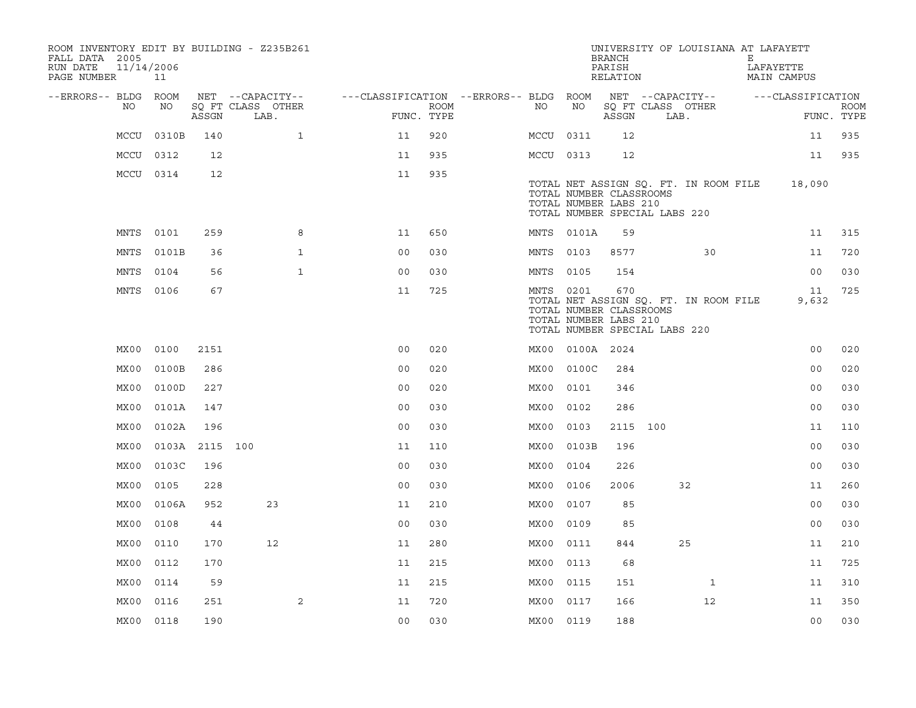| FALL DATA 2005<br>RUN DATE<br>PAGE NUMBER | 11/14/2006 | 11         |          | ROOM INVENTORY EDIT BY BUILDING - Z235B261 |                                        |                    |           |            | <b>BRANCH</b><br>PARISH<br>RELATION                                                      | UNIVERSITY OF LOUISIANA AT LAFAYETT   | Е | LAFAYETTE<br><b>MAIN CAMPUS</b> |                           |
|-------------------------------------------|------------|------------|----------|--------------------------------------------|----------------------------------------|--------------------|-----------|------------|------------------------------------------------------------------------------------------|---------------------------------------|---|---------------------------------|---------------------------|
| --ERRORS-- BLDG ROOM                      |            |            |          | NET --CAPACITY--                           | ---CLASSIFICATION --ERRORS-- BLDG ROOM |                    |           |            |                                                                                          | NET --CAPACITY--                      |   | ---CLASSIFICATION               |                           |
|                                           | NO         | NO         | ASSGN    | SQ FT CLASS OTHER<br>LAB.                  |                                        | ROOM<br>FUNC. TYPE | NO        | NO         | ASSGN                                                                                    | SO FT CLASS OTHER<br>LAB.             |   |                                 | <b>ROOM</b><br>FUNC. TYPE |
|                                           |            | MCCU 0310B | 140      | $\mathbf{1}$                               | 11                                     | 920                | MCCU 0311 |            | 12                                                                                       |                                       |   | 11                              | 935                       |
|                                           | MCCU 0312  |            | 12       |                                            | 11                                     | 935                | MCCU 0313 |            | 12                                                                                       |                                       |   | 11                              | 935                       |
|                                           | MCCU 0314  |            | 12       |                                            | 11                                     | 935                |           |            | TOTAL NUMBER CLASSROOMS<br>TOTAL NUMBER LABS 210<br>TOTAL NUMBER SPECIAL LABS 220        | TOTAL NET ASSIGN SQ. FT. IN ROOM FILE |   | 18,090                          |                           |
|                                           | MNTS 0101  |            | 259      | 8                                          | 11                                     | 650                |           | MNTS 0101A | 59                                                                                       |                                       |   | 11                              | 315                       |
|                                           | MNTS       | 0101B      | 36       | 1                                          | 0 <sub>0</sub>                         | 030                | MNTS 0103 |            | 8577                                                                                     | 30                                    |   | 11                              | 720                       |
|                                           | MNTS       | 0104       | 56       | $\mathbf{1}$                               | 0 <sub>0</sub>                         | 030                | MNTS 0105 |            | 154                                                                                      |                                       |   | 0 <sub>0</sub>                  | 030                       |
|                                           | MNTS 0106  |            | 67       |                                            | 11                                     | 725                |           | MNTS 0201  | 670<br>TOTAL NUMBER CLASSROOMS<br>TOTAL NUMBER LABS 210<br>TOTAL NUMBER SPECIAL LABS 220 | TOTAL NET ASSIGN SQ. FT. IN ROOM FILE |   | 11<br>9,632                     | 725                       |
|                                           | MX00       | 0100       | 2151     |                                            | 0 <sub>0</sub>                         | 020                |           |            | MX00 0100A 2024                                                                          |                                       |   | 0 <sub>0</sub>                  | 020                       |
|                                           | MX00       | 0100B      | 286      |                                            | 0 <sub>0</sub>                         | 020                | MX00      | 0100C      | 284                                                                                      |                                       |   | 0 <sub>0</sub>                  | 020                       |
|                                           | MX00       | 0100D      | 227      |                                            | 0 <sub>0</sub>                         | 020                | MX00      | 0101       | 346                                                                                      |                                       |   | 0 <sub>0</sub>                  | 030                       |
|                                           | MX00       | 0101A      | 147      |                                            | 0 <sub>0</sub>                         | 030                | MX00      | 0102       | 286                                                                                      |                                       |   | 0 <sub>0</sub>                  | 030                       |
|                                           | MX00       | 0102A      | 196      |                                            | 0 <sub>0</sub>                         | 030                | MX00      | 0103       | 2115 100                                                                                 |                                       |   | 11                              | 110                       |
|                                           | MX00       | 0103A      | 2115 100 |                                            | 11                                     | 110                | MX00      | 0103B      | 196                                                                                      |                                       |   | 0 <sub>0</sub>                  | 030                       |
|                                           | MX00       | 0103C      | 196      |                                            | 0 <sub>0</sub>                         | 030                | MX00      | 0104       | 226                                                                                      |                                       |   | 0 <sub>0</sub>                  | 030                       |
|                                           | MX00       | 0105       | 228      |                                            | 0 <sub>0</sub>                         | 030                | MX00      | 0106       | 2006                                                                                     | 32                                    |   | 11                              | 260                       |
|                                           | MX00       | 0106A      | 952      | 23                                         | 11                                     | 210                | MX00      | 0107       | 85                                                                                       |                                       |   | 0 <sub>0</sub>                  | 030                       |
|                                           | MX00       | 0108       | 44       |                                            | 0 <sub>0</sub>                         | 030                | MX00      | 0109       | 85                                                                                       |                                       |   | 0 <sub>0</sub>                  | 030                       |
|                                           | MX00       | 0110       | 170      | 12                                         | 11                                     | 280                | MX00      | 0111       | 844                                                                                      | 25                                    |   | 11                              | 210                       |
|                                           | MX00       | 0112       | 170      |                                            | 11                                     | 215                | MX00      | 0113       | 68                                                                                       |                                       |   | 11                              | 725                       |
|                                           | MX00       | 0114       | 59       |                                            | 11                                     | 215                | MX00      | 0115       | 151                                                                                      | $\mathbf{1}$                          |   | 11                              | 310                       |
|                                           | MX00       | 0116       | 251      | 2                                          | 11                                     | 720                | MX00 0117 |            | 166                                                                                      | 12                                    |   | 11                              | 350                       |
|                                           | MX00 0118  |            | 190      |                                            | 0 <sub>0</sub>                         | 030                | MX00 0119 |            | 188                                                                                      |                                       |   | 0 <sub>0</sub>                  | 030                       |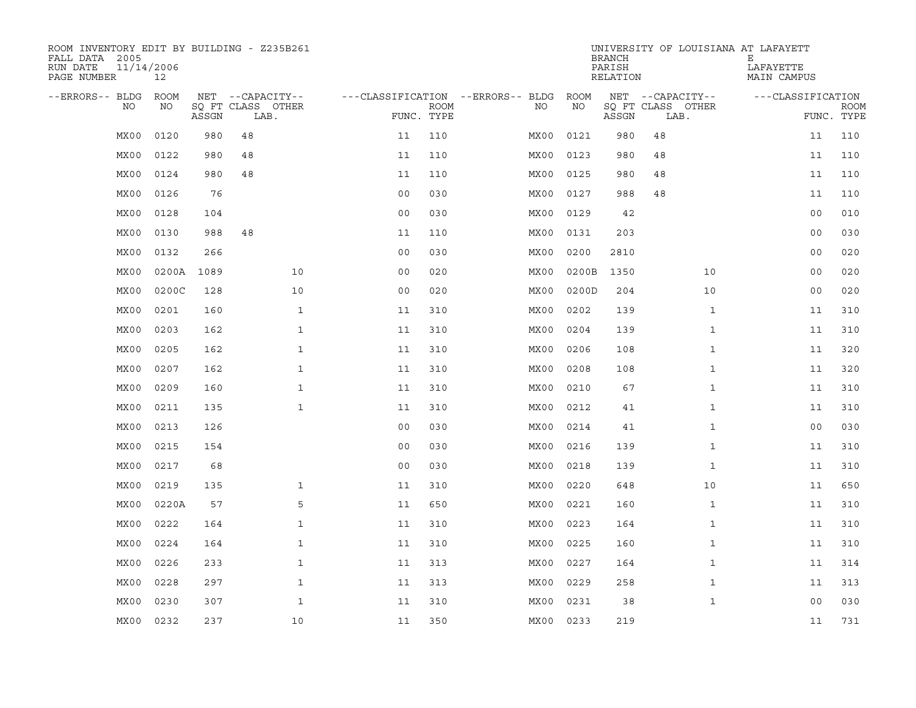| ROOM INVENTORY EDIT BY BUILDING - Z235B261<br>FALL DATA 2005<br>RUN DATE<br>PAGE NUMBER | 11/14/2006<br>12 |       |                           |              |                |                           |                                   |           | <b>BRANCH</b><br>PARISH<br>RELATION |                           |              | UNIVERSITY OF LOUISIANA AT LAFAYETT<br>Е<br>LAFAYETTE<br>MAIN CAMPUS |                |                           |
|-----------------------------------------------------------------------------------------|------------------|-------|---------------------------|--------------|----------------|---------------------------|-----------------------------------|-----------|-------------------------------------|---------------------------|--------------|----------------------------------------------------------------------|----------------|---------------------------|
| --ERRORS-- BLDG                                                                         | ROOM             |       | NET --CAPACITY--          |              |                |                           | ---CLASSIFICATION --ERRORS-- BLDG | ROOM      |                                     | NET --CAPACITY--          |              | ---CLASSIFICATION                                                    |                |                           |
| NO                                                                                      | NO               | ASSGN | SQ FT CLASS OTHER<br>LAB. |              |                | <b>ROOM</b><br>FUNC. TYPE | NO                                | NO        | ASSGN                               | SQ FT CLASS OTHER<br>LAB. |              |                                                                      |                | <b>ROOM</b><br>FUNC. TYPE |
| MX00                                                                                    | 0120             | 980   | 48                        |              | 11             | 110                       | MX00                              | 0121      | 980                                 | 48                        |              |                                                                      | 11             | 110                       |
| MX00                                                                                    | 0122             | 980   | 48                        |              | 11             | 110                       | MX00                              | 0123      | 980                                 | 48                        |              |                                                                      | 11             | 110                       |
| MX00                                                                                    | 0124             | 980   | 48                        |              | 11             | 110                       | MX00                              | 0125      | 980                                 | 48                        |              |                                                                      | 11             | 110                       |
| MX00                                                                                    | 0126             | 76    |                           |              | 0 <sub>0</sub> | 030                       | MX00                              | 0127      | 988                                 | 48                        |              |                                                                      | 11             | 110                       |
| MX00                                                                                    | 0128             | 104   |                           |              | 0 <sub>0</sub> | 030                       | MX00                              | 0129      | 42                                  |                           |              |                                                                      | 0 <sub>0</sub> | 010                       |
| MX00                                                                                    | 0130             | 988   | 48                        |              | 11             | 110                       | MX00                              | 0131      | 203                                 |                           |              |                                                                      | 0 <sub>0</sub> | 030                       |
| MX00                                                                                    | 0132             | 266   |                           |              | 0 <sub>0</sub> | 030                       | MX00                              | 0200      | 2810                                |                           |              |                                                                      | 0 <sub>0</sub> | 020                       |
| MX00                                                                                    | 0200A            | 1089  |                           | 10           | 0 <sub>0</sub> | 020                       | MX00                              | 0200B     | 1350                                |                           | 10           |                                                                      | 0 <sub>0</sub> | 020                       |
| MX00                                                                                    | 0200C            | 128   |                           | 10           | 0 <sub>0</sub> | 020                       | MX00                              | 0200D     | 204                                 |                           | 10           |                                                                      | 0 <sub>0</sub> | 020                       |
| MX00                                                                                    | 0201             | 160   |                           | $\mathbf{1}$ | 11             | 310                       | MX00                              | 0202      | 139                                 |                           | $\mathbf{1}$ |                                                                      | 11             | 310                       |
| MX00                                                                                    | 0203             | 162   |                           | $\mathbf{1}$ | 11             | 310                       | MX00                              | 0204      | 139                                 |                           | $\mathbf{1}$ |                                                                      | 11             | 310                       |
| MX00                                                                                    | 0205             | 162   |                           | $\mathbf{1}$ | 11             | 310                       | MX00                              | 0206      | 108                                 |                           | $\mathbf{1}$ |                                                                      | 11             | 320                       |
| MX00                                                                                    | 0207             | 162   |                           | $\mathbf{1}$ | 11             | 310                       | MX00                              | 0208      | 108                                 |                           | $\mathbf{1}$ |                                                                      | 11             | 320                       |
| MX00                                                                                    | 0209             | 160   |                           | $\mathbf 1$  | 11             | 310                       | MX00                              | 0210      | 67                                  |                           | $\mathbf{1}$ |                                                                      | 11             | 310                       |
| MX00                                                                                    | 0211             | 135   |                           | $\mathbf{1}$ | 11             | 310                       | MX00                              | 0212      | 41                                  |                           | $\mathbf{1}$ |                                                                      | 11             | 310                       |
| MX00                                                                                    | 0213             | 126   |                           |              | 0 <sub>0</sub> | 030                       | MX00                              | 0214      | 41                                  |                           | $\mathbf{1}$ |                                                                      | 0 <sub>0</sub> | 030                       |
| MX00                                                                                    | 0215             | 154   |                           |              | 0 <sub>0</sub> | 030                       | MX00                              | 0216      | 139                                 |                           | $\mathbf{1}$ |                                                                      | 11             | 310                       |
| MX00                                                                                    | 0217             | 68    |                           |              | 0 <sub>0</sub> | 030                       | MX00                              | 0218      | 139                                 |                           | $\mathbf{1}$ |                                                                      | 11             | 310                       |
| MX00                                                                                    | 0219             | 135   |                           | $\mathbf{1}$ | 11             | 310                       | MX00                              | 0220      | 648                                 |                           | 10           |                                                                      | 11             | 650                       |
| MX00                                                                                    | 0220A            | 57    |                           | 5            | 11             | 650                       | MX00                              | 0221      | 160                                 |                           | $\mathbf{1}$ |                                                                      | 11             | 310                       |
| MX00                                                                                    | 0222             | 164   |                           | $\mathbf{1}$ | 11             | 310                       | MX00                              | 0223      | 164                                 |                           | $\mathbf{1}$ |                                                                      | 11             | 310                       |
| MX00                                                                                    | 0224             | 164   |                           | $\mathbf{1}$ | 11             | 310                       | MX00                              | 0225      | 160                                 |                           | $\mathbf{1}$ |                                                                      | 11             | 310                       |
| MX00                                                                                    | 0226             | 233   |                           | $\mathbf{1}$ | 11             | 313                       | MX00                              | 0227      | 164                                 |                           | $\mathbf{1}$ |                                                                      | 11             | 314                       |
| MX00                                                                                    | 0228             | 297   |                           | $\mathbf{1}$ | 11             | 313                       | MX00                              | 0229      | 258                                 |                           | $\mathbf{1}$ |                                                                      | 11             | 313                       |
| MX00                                                                                    | 0230             | 307   |                           | $\mathbf{1}$ | 11             | 310                       | MX00                              | 0231      | 38                                  |                           | $\mathbf{1}$ |                                                                      | 0 <sub>0</sub> | 030                       |
| MX00                                                                                    | 0232             | 237   |                           | 10           | 11             | 350                       |                                   | MX00 0233 | 219                                 |                           |              |                                                                      | 11             | 731                       |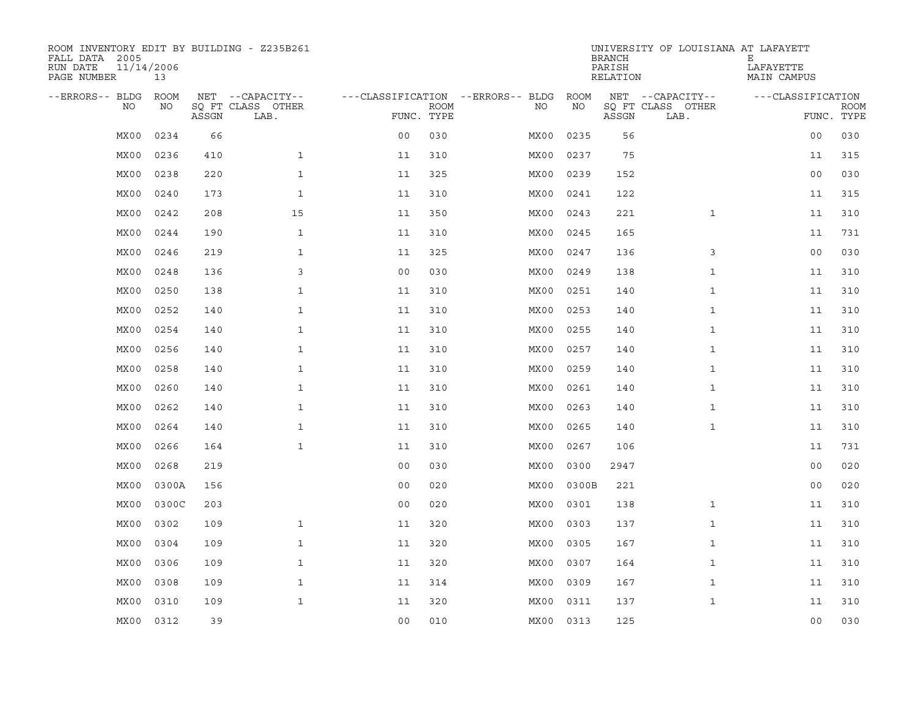| ROOM INVENTORY EDIT BY BUILDING - Z235B261<br>FALL DATA 2005<br>RUN DATE<br>PAGE NUMBER | 11/14/2006<br>13 |       |                           |                |             |                                   |           | <b>BRANCH</b><br>PARISH<br>RELATION | UNIVERSITY OF LOUISIANA AT LAFAYETT | Е<br>LAFAYETTE<br>MAIN CAMPUS |                           |
|-----------------------------------------------------------------------------------------|------------------|-------|---------------------------|----------------|-------------|-----------------------------------|-----------|-------------------------------------|-------------------------------------|-------------------------------|---------------------------|
| --ERRORS-- BLDG                                                                         | ROOM             |       | NET --CAPACITY--          |                |             | ---CLASSIFICATION --ERRORS-- BLDG | ROOM      |                                     | NET --CAPACITY--                    | ---CLASSIFICATION             |                           |
| NO.                                                                                     | NO               | ASSGN | SQ FT CLASS OTHER<br>LAB. | FUNC. TYPE     | <b>ROOM</b> | NO.                               | NO        | ASSGN                               | SQ FT CLASS OTHER<br>LAB.           |                               | <b>ROOM</b><br>FUNC. TYPE |
| MX00                                                                                    | 0234             | 66    |                           | 0 <sub>0</sub> | 030         | MX00                              | 0235      | 56                                  |                                     | 0 <sub>0</sub>                | 030                       |
| MX00                                                                                    | 0236             | 410   | $\mathbf{1}$              | 11             | 310         | MX00                              | 0237      | 75                                  |                                     | 11                            | 315                       |
| MX00                                                                                    | 0238             | 220   | $\mathbf{1}$              | 11             | 325         | MX00                              | 0239      | 152                                 |                                     | 0 <sub>0</sub>                | 030                       |
| MX00                                                                                    | 0240             | 173   | $\mathbf{1}$              | 11             | 310         | MX00                              | 0241      | 122                                 |                                     | 11                            | 315                       |
| MX00                                                                                    | 0242             | 208   | 15                        | 11             | 350         | MX00                              | 0243      | 221                                 | $\mathbf{1}$                        | 11                            | 310                       |
| MX00                                                                                    | 0244             | 190   | $\mathbf{1}$              | 11             | 310         | MX00                              | 0245      | 165                                 |                                     | 11                            | 731                       |
| MX00                                                                                    | 0246             | 219   | $\mathbf{1}$              | 11             | 325         | MX00                              | 0247      | 136                                 | 3                                   | 0 <sub>0</sub>                | 030                       |
| MX00                                                                                    | 0248             | 136   | 3                         | 0 <sub>0</sub> | 030         | MX00                              | 0249      | 138                                 | $\mathbf{1}$                        | 11                            | 310                       |
| MX00                                                                                    | 0250             | 138   | $\mathbf{1}$              | 11             | 310         | MX00                              | 0251      | 140                                 | $\mathbf{1}$                        | 11                            | 310                       |
| MX00                                                                                    | 0252             | 140   | $\mathbf{1}$              | 11             | 310         | MX00                              | 0253      | 140                                 | $\mathbf{1}$                        | 11                            | 310                       |
| MX00                                                                                    | 0254             | 140   | $\mathbf{1}$              | 11             | 310         | MX00                              | 0255      | 140                                 | $\mathbf{1}$                        | 11                            | 310                       |
| MX00                                                                                    | 0256             | 140   | $\mathbf{1}$              | 11             | 310         | MX00                              | 0257      | 140                                 | $\mathbf{1}$                        | 11                            | 310                       |
| MX00                                                                                    | 0258             | 140   | $\mathbf{1}$              | 11             | 310         | MX00                              | 0259      | 140                                 | $\mathbf{1}$                        | 11                            | 310                       |
| MX00                                                                                    | 0260             | 140   | $\mathbf{1}$              | 11             | 310         | MX00                              | 0261      | 140                                 | $\mathbf{1}$                        | 11                            | 310                       |
| MX00                                                                                    | 0262             | 140   | $\mathbf{1}$              | 11             | 310         | MX00                              | 0263      | 140                                 | $\mathbf{1}$                        | 11                            | 310                       |
| MX00                                                                                    | 0264             | 140   | $\mathbf{1}$              | 11             | 310         | MX00                              | 0265      | 140                                 | $\mathbf{1}$                        | 11                            | 310                       |
| MX00                                                                                    | 0266             | 164   | $\mathbf{1}$              | 11             | 310         | MX00                              | 0267      | 106                                 |                                     | 11                            | 731                       |
| MX00                                                                                    | 0268             | 219   |                           | 0 <sub>0</sub> | 030         | MX00                              | 0300      | 2947                                |                                     | 00                            | 020                       |
| MX00                                                                                    | 0300A            | 156   |                           | 0 <sub>0</sub> | 020         | MX00                              | 0300B     | 221                                 |                                     | 0 <sub>0</sub>                | 020                       |
| MX00                                                                                    | 0300C            | 203   |                           | 0 <sub>0</sub> | 020         | MX00                              | 0301      | 138                                 | $\mathbf{1}$                        | 11                            | 310                       |
| MX00                                                                                    | 0302             | 109   | $\mathbf{1}$              | 11             | 320         | MX00                              | 0303      | 137                                 | $\mathbf{1}$                        | 11                            | 310                       |
| MX00                                                                                    | 0304             | 109   | $\mathbf{1}$              | 11             | 320         | MX00                              | 0305      | 167                                 | $\mathbf{1}$                        | 11                            | 310                       |
| MX00                                                                                    | 0306             | 109   | $\mathbf{1}$              | 11             | 320         | MX00                              | 0307      | 164                                 | $\mathbf{1}$                        | 11                            | 310                       |
| MX00                                                                                    | 0308             | 109   | $\mathbf{1}$              | 11             | 314         | MX00                              | 0309      | 167                                 | $\mathbf{1}$                        | 11                            | 310                       |
| MX00                                                                                    | 0310             | 109   | $\mathbf{1}$              | 11             | 320         | MX00                              | 0311      | 137                                 | $\mathbf{1}$                        | 11                            | 310                       |
| MX00                                                                                    | 0312             | 39    |                           | 0 <sub>0</sub> | 010         |                                   | MX00 0313 | 125                                 |                                     | 0 <sub>0</sub>                | 030                       |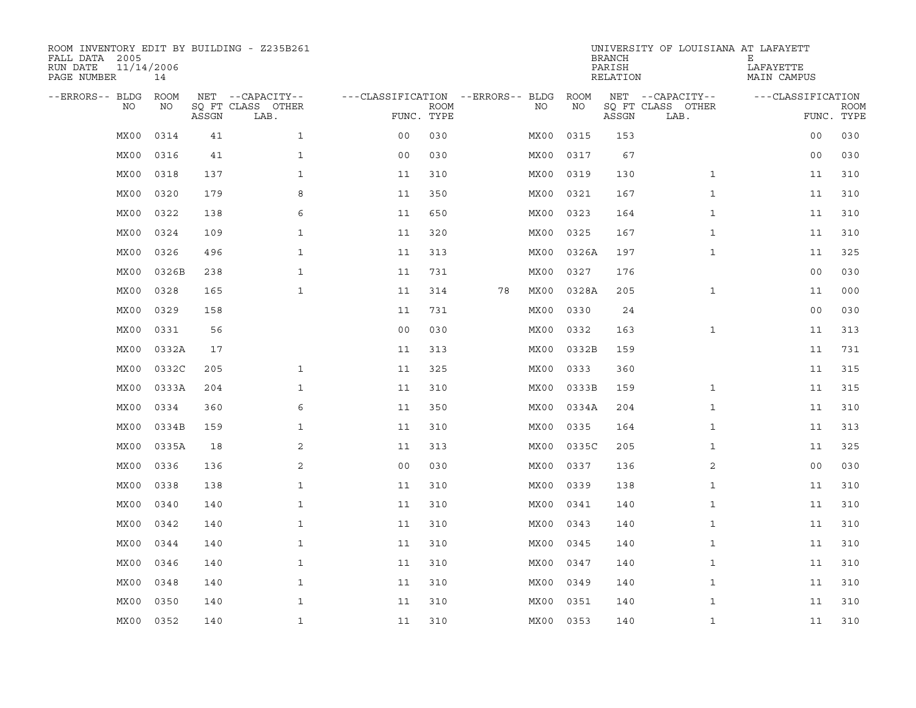| ROOM INVENTORY EDIT BY BUILDING - Z235B261<br>FALL DATA 2005<br>RUN DATE<br>PAGE NUMBER | 11/14/2006<br>14 |       |                           |                                   |             |    |           |       | <b>BRANCH</b><br>PARISH<br>RELATION | UNIVERSITY OF LOUISIANA AT LAFAYETT | Е<br>LAFAYETTE<br>MAIN CAMPUS |             |
|-----------------------------------------------------------------------------------------|------------------|-------|---------------------------|-----------------------------------|-------------|----|-----------|-------|-------------------------------------|-------------------------------------|-------------------------------|-------------|
| --ERRORS-- BLDG                                                                         | ROOM             |       | NET --CAPACITY--          | ---CLASSIFICATION --ERRORS-- BLDG |             |    |           | ROOM  |                                     | NET --CAPACITY--                    | ---CLASSIFICATION             |             |
| NO.                                                                                     | NO               | ASSGN | SQ FT CLASS OTHER<br>LAB. | FUNC. TYPE                        | <b>ROOM</b> |    | NO.       | NO    | ASSGN                               | SQ FT CLASS OTHER<br>LAB.           | FUNC. TYPE                    | <b>ROOM</b> |
| MX00                                                                                    | 0314             | 41    | $\mathbf{1}$              | 0 <sub>0</sub>                    | 030         |    | MX00      | 0315  | 153                                 |                                     | 0 <sub>0</sub>                | 030         |
| MX00                                                                                    | 0316             | 41    | $\mathbf{1}$              | 0 <sub>0</sub>                    | 030         |    | MX00      | 0317  | 67                                  |                                     | 00                            | 030         |
| MX00                                                                                    | 0318             | 137   | $\mathbf{1}$              | 11                                | 310         |    | MX00      | 0319  | 130                                 | $\mathbf{1}$                        | 11                            | 310         |
| MX00                                                                                    | 0320             | 179   | 8                         | 11                                | 350         |    | MX00      | 0321  | 167                                 | $\mathbf{1}$                        | 11                            | 310         |
| MX00                                                                                    | 0322             | 138   | 6                         | 11                                | 650         |    | MX00      | 0323  | 164                                 | $\mathbf{1}$                        | 11                            | 310         |
| MX00                                                                                    | 0324             | 109   | $\mathbf{1}$              | 11                                | 320         |    | MX00      | 0325  | 167                                 | $\mathbf{1}$                        | 11                            | 310         |
| MX00                                                                                    | 0326             | 496   | $\mathbf{1}$              | 11                                | 313         |    | MX00      | 0326A | 197                                 | $\mathbf{1}$                        | 11                            | 325         |
| MX00                                                                                    | 0326B            | 238   | $\mathbf{1}$              | 11                                | 731         |    | MX00      | 0327  | 176                                 |                                     | 00                            | 030         |
| MX00                                                                                    | 0328             | 165   | $\mathbf{1}$              | 11                                | 314         | 78 | MX00      | 0328A | 205                                 | $\mathbf{1}$                        | 11                            | 000         |
| MX00                                                                                    | 0329             | 158   |                           | 11                                | 731         |    | MX00      | 0330  | 24                                  |                                     | 0 <sub>0</sub>                | 030         |
| MX00                                                                                    | 0331             | 56    |                           | 0 <sub>0</sub>                    | 030         |    | MX00      | 0332  | 163                                 | $\mathbf{1}$                        | 11                            | 313         |
| MX00                                                                                    | 0332A            | 17    |                           | 11                                | 313         |    | MX00      | 0332B | 159                                 |                                     | 11                            | 731         |
| MX00                                                                                    | 0332C            | 205   | $\mathbf{1}$              | 11                                | 325         |    | MX00      | 0333  | 360                                 |                                     | 11                            | 315         |
| MX00                                                                                    | 0333A            | 204   | $\mathbf{1}$              | 11                                | 310         |    | MX00      | 0333B | 159                                 | $\mathbf{1}$                        | 11                            | 315         |
| MX00                                                                                    | 0334             | 360   | 6                         | 11                                | 350         |    | MX00      | 0334A | 204                                 | $\mathbf{1}$                        | 11                            | 310         |
| MX00                                                                                    | 0334B            | 159   | $\mathbf{1}$              | 11                                | 310         |    | MX00      | 0335  | 164                                 | $\mathbf{1}$                        | 11                            | 313         |
| MX00                                                                                    | 0335A            | 18    | 2                         | 11                                | 313         |    | MX00      | 0335C | 205                                 | $\mathbf{1}$                        | 11                            | 325         |
| MX00                                                                                    | 0336             | 136   | 2                         | 0 <sub>0</sub>                    | 030         |    | MX00      | 0337  | 136                                 | 2                                   | 00                            | 030         |
| MX00                                                                                    | 0338             | 138   | $\mathbf{1}$              | 11                                | 310         |    | MX00      | 0339  | 138                                 | $\mathbf{1}$                        | 11                            | 310         |
| MX00                                                                                    | 0340             | 140   | $\mathbf{1}$              | 11                                | 310         |    | MX00      | 0341  | 140                                 | $\mathbf{1}$                        | 11                            | 310         |
| MX00                                                                                    | 0342             | 140   | $\mathbf{1}$              | 11                                | 310         |    | MX00      | 0343  | 140                                 | $\mathbf{1}$                        | 11                            | 310         |
| MX00                                                                                    | 0344             | 140   | $\mathbf{1}$              | 11                                | 310         |    | MX00      | 0345  | 140                                 | $\mathbf{1}$                        | 11                            | 310         |
| MX00                                                                                    | 0346             | 140   | $\mathbf{1}$              | 11                                | 310         |    | MX00      | 0347  | 140                                 | $\mathbf{1}$                        | 11                            | 310         |
| MX00                                                                                    | 0348             | 140   | $\mathbf{1}$              | 11                                | 310         |    | MX00      | 0349  | 140                                 | $\mathbf{1}$                        | 11                            | 310         |
| MX00                                                                                    | 0350             | 140   | $\mathbf{1}$              | 11                                | 310         |    | MX00      | 0351  | 140                                 | $\mathbf{1}$                        | 11                            | 310         |
| MX00                                                                                    | 0352             | 140   | $\mathbf{1}$              | 11                                | 310         |    | MX00 0353 |       | 140                                 | $\mathbf{1}$                        | 11                            | 310         |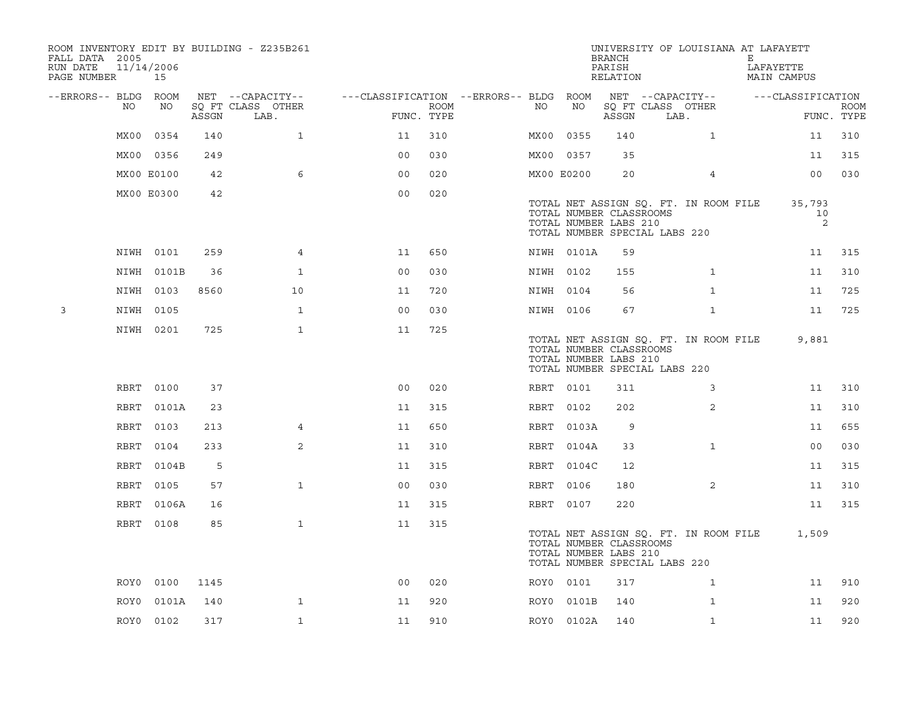| FALL DATA 2005<br>RUN DATE<br>PAGE NUMBER |             | 11/14/2006<br>15 |       | ROOM INVENTORY EDIT BY BUILDING - Z235B261 |                                        |                    |      |            | <b>BRANCH</b><br>PARISH<br>RELATION              | UNIVERSITY OF LOUISIANA AT LAFAYETT                                    | Е<br>LAFAYETTE<br>MAIN CAMPUS |                           |
|-------------------------------------------|-------------|------------------|-------|--------------------------------------------|----------------------------------------|--------------------|------|------------|--------------------------------------------------|------------------------------------------------------------------------|-------------------------------|---------------------------|
| --ERRORS-- BLDG ROOM                      |             |                  |       | NET --CAPACITY--                           | ---CLASSIFICATION --ERRORS-- BLDG ROOM |                    |      |            |                                                  | NET --CAPACITY--                                                       | ---CLASSIFICATION             |                           |
|                                           | NO          | NO               | ASSGN | SQ FT CLASS OTHER<br>LAB.                  |                                        | ROOM<br>FUNC. TYPE | NO   | NO         | ASSGN                                            | SQ FT CLASS OTHER<br>LAB.                                              |                               | <b>ROOM</b><br>FUNC. TYPE |
|                                           | MX00        | 0354             | 140   | $\mathbf{1}$                               | 11                                     | 310                | MX00 | 0355       | 140                                              | $\mathbf{1}$                                                           |                               | 310<br>11                 |
|                                           |             | MX00 0356        | 249   |                                            | 0 <sub>0</sub>                         | 030                |      | MX00 0357  | 35                                               |                                                                        |                               | 315<br>11                 |
|                                           |             | MX00 E0100       | 42    | 6                                          | 0 <sub>0</sub>                         | 020                |      | MX00 E0200 | 20                                               | 4                                                                      |                               | 00<br>030                 |
|                                           |             | MX00 E0300       | 42    |                                            | 0 <sub>0</sub>                         | 020                |      |            | TOTAL NUMBER CLASSROOMS<br>TOTAL NUMBER LABS 210 | TOTAL NET ASSIGN SQ. FT. IN ROOM FILE<br>TOTAL NUMBER SPECIAL LABS 220 | 35,793                        | 10<br>2                   |
|                                           |             | NIWH 0101        | 259   | $\overline{4}$                             | 11                                     | 650                |      | NIWH 0101A | 59                                               |                                                                        |                               | 315<br>11                 |
|                                           |             | NIWH 0101B       | 36    | $\mathbf{1}$                               | 0 <sub>0</sub>                         | 030                |      | NIWH 0102  | 155                                              | $\mathbf{1}$                                                           |                               | 11<br>310                 |
|                                           |             | NIWH 0103        | 8560  | 10                                         | 11                                     | 720                |      | NIWH 0104  | 56                                               | $\mathbf{1}$                                                           |                               | 725<br>11                 |
| 3                                         |             | NIWH 0105        |       | $\mathbf{1}$                               | 0 <sub>0</sub>                         | 030                |      | NIWH 0106  | 67                                               | $\mathbf{1}$                                                           |                               | 725<br>11                 |
|                                           |             | NIWH 0201        | 725   | $\mathbf{1}$                               | 11                                     | 725                |      |            | TOTAL NUMBER CLASSROOMS<br>TOTAL NUMBER LABS 210 | TOTAL NET ASSIGN SQ. FT. IN ROOM FILE<br>TOTAL NUMBER SPECIAL LABS 220 | 9,881                         |                           |
|                                           | RBRT        | 0100             | 37    |                                            | 0 <sub>0</sub>                         | 020                |      | RBRT 0101  | 311                                              | 3                                                                      |                               | 11<br>310                 |
|                                           | RBRT        | 0101A            | 23    |                                            | 11                                     | 315                |      | RBRT 0102  | 202                                              | 2                                                                      |                               | 310<br>11                 |
|                                           | RBRT        | 0103             | 213   | 4                                          | 11                                     | 650                |      | RBRT 0103A | 9                                                |                                                                        |                               | 655<br>11                 |
|                                           | <b>RBRT</b> | 0104             | 233   | 2                                          | 11                                     | 310                |      | RBRT 0104A | 33                                               | $\mathbf{1}$                                                           |                               | 030<br>0 <sub>0</sub>     |
|                                           | RBRT        | 0104B            | 5     |                                            | 11                                     | 315                |      | RBRT 0104C | 12                                               |                                                                        |                               | 11<br>315                 |
|                                           | RBRT        | 0105             | 57    | $\mathbf{1}$                               | 0 <sub>0</sub>                         | 030                |      | RBRT 0106  | 180                                              | 2                                                                      |                               | 11<br>310                 |
|                                           | RBRT        | 0106A            | 16    |                                            | 11                                     | 315                |      | RBRT 0107  | 220                                              |                                                                        |                               | 11<br>315                 |
|                                           |             | RBRT 0108        | 85    | $\mathbf{1}$                               | 11                                     | 315                |      |            | TOTAL NUMBER CLASSROOMS<br>TOTAL NUMBER LABS 210 | TOTAL NET ASSIGN SQ. FT. IN ROOM FILE<br>TOTAL NUMBER SPECIAL LABS 220 | 1,509                         |                           |
|                                           |             | ROY0 0100        | 1145  |                                            | 00                                     | 020                |      | ROY0 0101  | 317                                              | $\mathbf{1}$                                                           |                               | 11<br>910                 |
|                                           | ROY0        | 0101A            | 140   | $\mathbf{1}$                               | 11                                     | 920                |      | ROY0 0101B | 140                                              | 1                                                                      |                               | 920<br>11                 |
|                                           |             | ROY0 0102        | 317   | $\mathbf{1}$                               | 11                                     | 910                |      | ROY0 0102A | 140                                              | $\mathbf{1}$                                                           |                               | 920<br>11                 |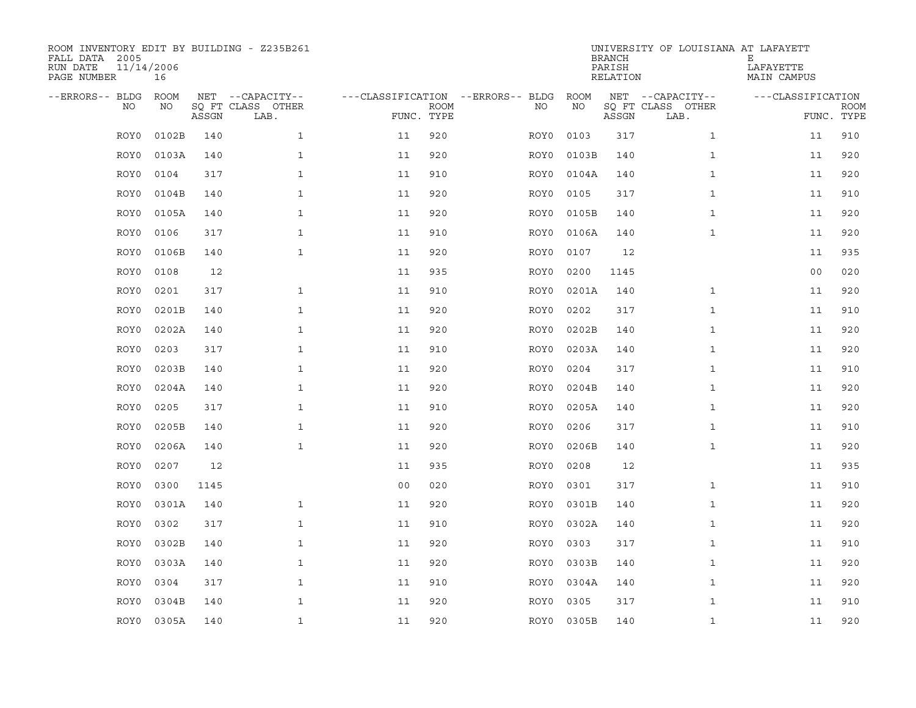| ROOM INVENTORY EDIT BY BUILDING - Z235B261<br>FALL DATA 2005<br>RUN DATE<br>PAGE NUMBER | 11/14/2006<br>16 |       |                           |                |             |                                   |            | <b>BRANCH</b><br>PARISH<br>RELATION | UNIVERSITY OF LOUISIANA AT LAFAYETT | Ε<br>LAFAYETTE<br>MAIN CAMPUS |                           |
|-----------------------------------------------------------------------------------------|------------------|-------|---------------------------|----------------|-------------|-----------------------------------|------------|-------------------------------------|-------------------------------------|-------------------------------|---------------------------|
| --ERRORS-- BLDG                                                                         | <b>ROOM</b>      |       | NET --CAPACITY--          |                |             | ---CLASSIFICATION --ERRORS-- BLDG | ROOM       |                                     | NET --CAPACITY--                    | ---CLASSIFICATION             |                           |
| NO                                                                                      | NO               | ASSGN | SO FT CLASS OTHER<br>LAB. | FUNC. TYPE     | <b>ROOM</b> | NO.                               | NO         | ASSGN                               | SQ FT CLASS OTHER<br>LAB.           |                               | <b>ROOM</b><br>FUNC. TYPE |
| ROY0                                                                                    | 0102B            | 140   | $\mathbf{1}$              | 11             | 920         | ROY0                              | 0103       | 317                                 | $\mathbf{1}$                        | 11                            | 910                       |
| ROY0                                                                                    | 0103A            | 140   | $\mathbf{1}$              | 11             | 920         | ROY0                              | 0103B      | 140                                 | $\mathbf{1}$                        | 11                            | 920                       |
| ROY0                                                                                    | 0104             | 317   | $\mathbf{1}$              | 11             | 910         | ROY0                              | 0104A      | 140                                 | $\mathbf{1}$                        | 11                            | 920                       |
| ROY0                                                                                    | 0104B            | 140   | $\mathbf{1}$              | 11             | 920         | ROY0                              | 0105       | 317                                 | $\mathbf{1}$                        | 11                            | 910                       |
| ROY0                                                                                    | 0105A            | 140   | $\mathbf 1$               | 11             | 920         | ROY0                              | 0105B      | 140                                 | $\mathbf{1}$                        | 11                            | 920                       |
| ROY0                                                                                    | 0106             | 317   | $\mathbf{1}$              | 11             | 910         | ROY0                              | 0106A      | 140                                 | $\mathbf{1}$                        | 11                            | 920                       |
| ROY0                                                                                    | 0106B            | 140   | $\mathbf{1}$              | 11             | 920         | ROY0                              | 0107       | 12                                  |                                     | 11                            | 935                       |
| ROY0                                                                                    | 0108             | 12    |                           | 11             | 935         | ROY0                              | 0200       | 1145                                |                                     | 0 <sub>0</sub>                | 020                       |
| ROY0                                                                                    | 0201             | 317   | $\mathbf{1}$              | 11             | 910         | ROY0                              | 0201A      | 140                                 | $\mathbf{1}$                        | 11                            | 920                       |
| ROY0                                                                                    | 0201B            | 140   | $\mathbf{1}$              | 11             | 920         | ROY0                              | 0202       | 317                                 | $\mathbf{1}$                        | 11                            | 910                       |
| ROY0                                                                                    | 0202A            | 140   | $\mathbf{1}$              | 11             | 920         | ROY0                              | 0202B      | 140                                 | $\mathbf{1}$                        | 11                            | 920                       |
| ROY0                                                                                    | 0203             | 317   | $\mathbf{1}$              | 11             | 910         | ROY0                              | 0203A      | 140                                 | $\mathbf{1}$                        | 11                            | 920                       |
| ROY0                                                                                    | 0203B            | 140   | $\mathbf{1}$              | 11             | 920         | ROY0                              | 0204       | 317                                 | $\mathbf{1}$                        | 11                            | 910                       |
| ROY0                                                                                    | 0204A            | 140   | $\mathbf{1}$              | 11             | 920         | ROY0                              | 0204B      | 140                                 | $\mathbf{1}$                        | 11                            | 920                       |
| ROY0                                                                                    | 0205             | 317   | $\mathbf{1}$              | 11             | 910         | ROY0                              | 0205A      | 140                                 | $\mathbf{1}$                        | 11                            | 920                       |
| ROY0                                                                                    | 0205B            | 140   | $\mathbf 1$               | 11             | 920         | ROY0                              | 0206       | 317                                 | $\mathbf{1}$                        | 11                            | 910                       |
| ROY0                                                                                    | 0206A            | 140   | $\mathbf{1}$              | 11             | 920         | ROY0                              | 0206B      | 140                                 | $\mathbf{1}$                        | 11                            | 920                       |
| ROY0                                                                                    | 0207             | 12    |                           | 11             | 935         | ROY0                              | 0208       | 12                                  |                                     | 11                            | 935                       |
| ROY0                                                                                    | 0300             | 1145  |                           | 0 <sub>0</sub> | 020         | ROY0                              | 0301       | 317                                 | $\mathbf{1}$                        | 11                            | 910                       |
| ROY0                                                                                    | 0301A            | 140   | $\mathbf{1}$              | 11             | 920         | ROY0                              | 0301B      | 140                                 | $\mathbf{1}$                        | 11                            | 920                       |
| ROY0                                                                                    | 0302             | 317   | $\mathbf{1}$              | 11             | 910         | ROY0                              | 0302A      | 140                                 | $\mathbf{1}$                        | 11                            | 920                       |
| ROY0                                                                                    | 0302B            | 140   | $\mathbf{1}$              | 11             | 920         | ROY0                              | 0303       | 317                                 | $\mathbf{1}$                        | 11                            | 910                       |
| ROY0                                                                                    | 0303A            | 140   | $\mathbf{1}$              | 11             | 920         | ROY0                              | 0303B      | 140                                 | $\mathbf{1}$                        | 11                            | 920                       |
| ROY0                                                                                    | 0304             | 317   | $\mathbf{1}$              | 11             | 910         | ROY0                              | 0304A      | 140                                 | $\mathbf{1}$                        | 11                            | 920                       |
| ROY0                                                                                    | 0304B            | 140   | $\mathbf{1}$              | 11             | 920         | ROY0                              | 0305       | 317                                 | $\mathbf{1}$                        | 11                            | 910                       |
|                                                                                         | ROY0 0305A       | 140   | $\mathbf{1}$              | 11             | 920         |                                   | ROY0 0305B | 140                                 | $\mathbf{1}$                        | 11                            | 920                       |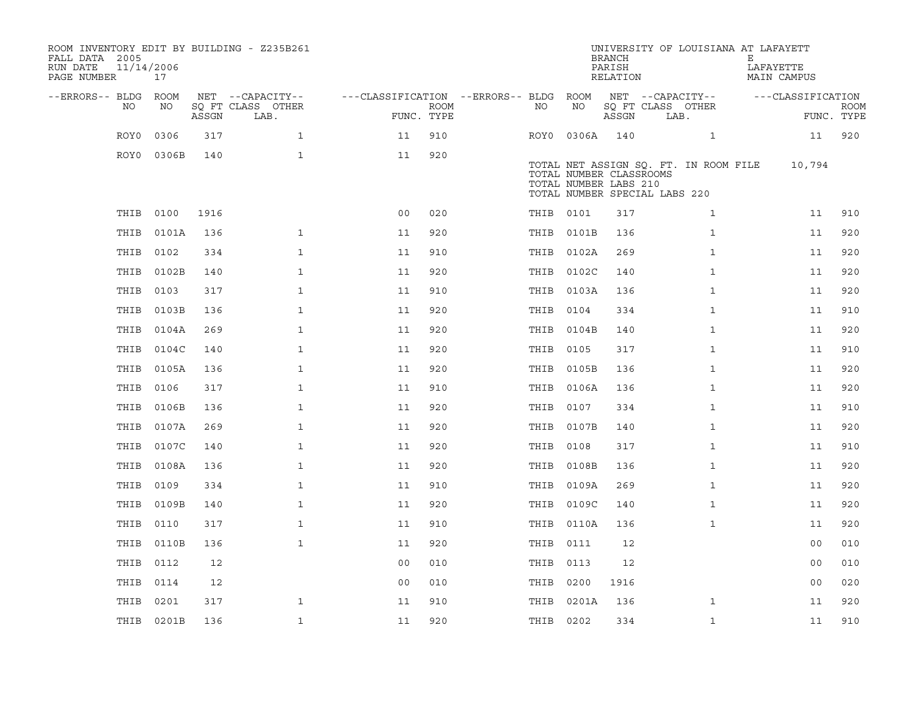| ROOM INVENTORY EDIT BY BUILDING - Z235B261<br>FALL DATA 2005<br>RUN DATE<br>PAGE NUMBER | 11/14/2006<br>17 |       |                           |                                        |                    |           |                                                                                   | <b>BRANCH</b><br>PARISH<br>RELATION | UNIVERSITY OF LOUISIANA AT LAFAYETT   | Е<br>LAFAYETTE<br>MAIN CAMPUS |                   |                           |
|-----------------------------------------------------------------------------------------|------------------|-------|---------------------------|----------------------------------------|--------------------|-----------|-----------------------------------------------------------------------------------|-------------------------------------|---------------------------------------|-------------------------------|-------------------|---------------------------|
| --ERRORS-- BLDG ROOM                                                                    |                  |       | NET --CAPACITY--          | ---CLASSIFICATION --ERRORS-- BLDG ROOM |                    |           |                                                                                   |                                     | NET --CAPACITY--                      |                               | ---CLASSIFICATION |                           |
| NO.                                                                                     | NO               | ASSGN | SQ FT CLASS OTHER<br>LAB. |                                        | ROOM<br>FUNC. TYPE | NO.       | NO                                                                                | ASSGN                               | SQ FT CLASS OTHER<br>LAB.             |                               |                   | <b>ROOM</b><br>FUNC. TYPE |
| ROY0                                                                                    | 0306             | 317   | $\mathbf{1}$              | 11                                     | 910                |           | ROY0 0306A                                                                        | 140                                 | $\mathbf{1}$                          |                               | 11                | 920                       |
|                                                                                         | ROY0 0306B       | 140   | $\mathbf{1}$              | 11                                     | 920                |           | TOTAL NUMBER CLASSROOMS<br>TOTAL NUMBER LABS 210<br>TOTAL NUMBER SPECIAL LABS 220 |                                     | TOTAL NET ASSIGN SQ. FT. IN ROOM FILE |                               | 10,794            |                           |
|                                                                                         | THIB 0100        | 1916  |                           | 0 <sub>0</sub>                         | 020                |           | THIB 0101                                                                         | 317                                 | $\mathbf{1}$                          |                               | 11                | 910                       |
| THIB                                                                                    | 0101A            | 136   | $\mathbf{1}$              | 11                                     | 920                |           | THIB 0101B                                                                        | 136                                 | $\mathbf{1}$                          |                               | 11                | 920                       |
| THIB                                                                                    | 0102             | 334   | $\mathbf{1}$              | 11                                     | 910                |           | THIB 0102A                                                                        | 269                                 | $\mathbf{1}$                          |                               | 11                | 920                       |
| THIB                                                                                    | 0102B            | 140   | $\mathbf{1}$              | 11                                     | 920                |           | THIB 0102C                                                                        | 140                                 | $\mathbf{1}$                          |                               | 11                | 920                       |
| THIB                                                                                    | 0103             | 317   | $\mathbf{1}$              | 11                                     | 910                |           | THIB 0103A                                                                        | 136                                 | $\mathbf{1}$                          |                               | 11                | 920                       |
| THIB                                                                                    | 0103B            | 136   | $\mathbf{1}$              | 11                                     | 920                | THIB 0104 |                                                                                   | 334                                 | $\mathbf{1}$                          |                               | 11                | 910                       |
| THIB                                                                                    | 0104A            | 269   | $\mathbf{1}$              | 11                                     | 920                |           | THIB 0104B                                                                        | 140                                 | $\mathbf{1}$                          |                               | 11                | 920                       |
| THIB                                                                                    | 0104C            | 140   | $\mathbf{1}$              | 11                                     | 920                | THIB 0105 |                                                                                   | 317                                 | $\mathbf{1}$                          |                               | 11                | 910                       |
| THIB                                                                                    | 0105A            | 136   | $\mathbf{1}$              | 11                                     | 920                |           | THIB 0105B                                                                        | 136                                 | $\mathbf{1}$                          |                               | 11                | 920                       |
| THIB                                                                                    | 0106             | 317   | $\mathbf{1}$              | 11                                     | 910                |           | THIB 0106A                                                                        | 136                                 | $\mathbf{1}$                          |                               | 11                | 920                       |
| THIB                                                                                    | 0106B            | 136   | $\mathbf{1}$              | 11                                     | 920                | THIB 0107 |                                                                                   | 334                                 | $\mathbf{1}$                          |                               | 11                | 910                       |
| THIB                                                                                    | 0107A            | 269   | $\mathbf{1}$              | 11                                     | 920                |           | THIB 0107B                                                                        | 140                                 | $\mathbf{1}$                          |                               | 11                | 920                       |
| THIB                                                                                    | 0107C            | 140   | $\mathbf{1}$              | 11                                     | 920                | THIB 0108 |                                                                                   | 317                                 | $\mathbf{1}$                          |                               | 11                | 910                       |
| THIB                                                                                    | 0108A            | 136   | $\mathbf{1}$              | 11                                     | 920                |           | THIB 0108B                                                                        | 136                                 | $\mathbf{1}$                          |                               | 11                | 920                       |
| THIB                                                                                    | 0109             | 334   | $\mathbf{1}$              | 11                                     | 910                |           | THIB 0109A                                                                        | 269                                 | $\mathbf{1}$                          |                               | 11                | 920                       |
| THIB                                                                                    | 0109B            | 140   | $\mathbf{1}$              | 11                                     | 920                |           | THIB 0109C                                                                        | 140                                 | $\mathbf{1}$                          |                               | 11                | 920                       |
| THIB                                                                                    | 0110             | 317   | $\mathbf{1}$              | 11                                     | 910                |           | THIB 0110A                                                                        | 136                                 | $\mathbf{1}$                          |                               | 11                | 920                       |
| THIB                                                                                    | 0110B            | 136   | $\mathbf{1}$              | 11                                     | 920                | THIB 0111 |                                                                                   | 12                                  |                                       |                               | 0 <sub>0</sub>    | 010                       |
|                                                                                         | THIB 0112        | 12    |                           | 0 <sub>0</sub>                         | 010                | THIB 0113 |                                                                                   | 12                                  |                                       |                               | 0 <sub>0</sub>    | 010                       |
| THIB                                                                                    | 0114             | 12    |                           | 0 <sub>0</sub>                         | 010                | THIB 0200 |                                                                                   | 1916                                |                                       |                               | 0 <sub>0</sub>    | 020                       |
| THIB                                                                                    | 0201             | 317   | $\mathbf{1}$              | 11                                     | 910                |           | THIB 0201A                                                                        | 136                                 | $\mathbf{1}$                          |                               | 11                | 920                       |
|                                                                                         | THIB 0201B       | 136   | $\mathbf{1}$              | 11                                     | 920                | THIB 0202 |                                                                                   | 334                                 | $\mathbf{1}$                          |                               | 11                | 910                       |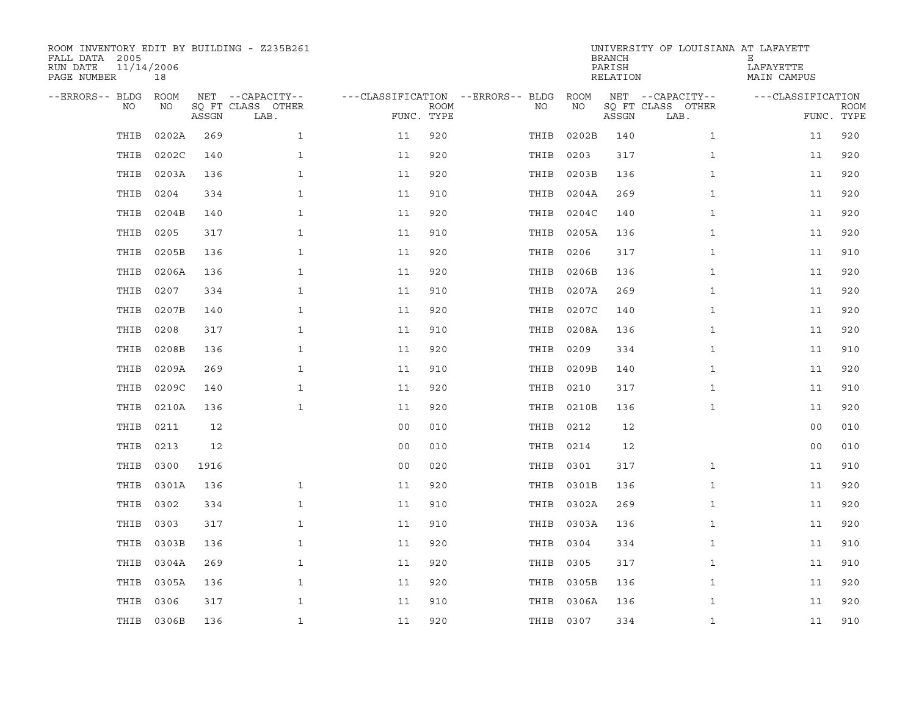| ROOM INVENTORY EDIT BY BUILDING - Z235B261<br>FALL DATA 2005<br>RUN DATE<br>PAGE NUMBER | 11/14/2006<br>18 |       |                           |                                        |             |           |            | <b>BRANCH</b><br>PARISH<br>RELATION | UNIVERSITY OF LOUISIANA AT LAFAYETT | Е<br>LAFAYETTE<br>MAIN CAMPUS |                           |
|-----------------------------------------------------------------------------------------|------------------|-------|---------------------------|----------------------------------------|-------------|-----------|------------|-------------------------------------|-------------------------------------|-------------------------------|---------------------------|
| --ERRORS-- BLDG ROOM                                                                    |                  |       | NET --CAPACITY--          | ---CLASSIFICATION --ERRORS-- BLDG ROOM |             |           |            |                                     | NET --CAPACITY--                    | ---CLASSIFICATION             |                           |
| NO.                                                                                     | NO               | ASSGN | SQ FT CLASS OTHER<br>LAB. | FUNC. TYPE                             | <b>ROOM</b> | NO.       | NO         | ASSGN                               | SQ FT CLASS OTHER<br>LAB.           |                               | <b>ROOM</b><br>FUNC. TYPE |
| THIB                                                                                    | 0202A            | 269   | $\mathbf{1}$              | 11                                     | 920         | THIB      | 0202B      | 140                                 | $\mathbf{1}$                        | 11                            | 920                       |
| THIB                                                                                    | 0202C            | 140   | $\mathbf{1}$              | 11                                     | 920         | THIB      | 0203       | 317                                 | $\mathbf{1}$                        | 11                            | 920                       |
| THIB                                                                                    | 0203A            | 136   | $\mathbf{1}$              | 11                                     | 920         | THIB      | 0203B      | 136                                 | $\mathbf{1}$                        | 11                            | 920                       |
| THIB                                                                                    | 0204             | 334   | $\mathbf{1}$              | 11                                     | 910         |           | THIB 0204A | 269                                 | $\mathbf{1}$                        | 11                            | 920                       |
| THIB                                                                                    | 0204B            | 140   | $\mathbf{1}$              | 11                                     | 920         | THIB      | 0204C      | 140                                 | $\mathbf{1}$                        | 11                            | 920                       |
| THIB                                                                                    | 0205             | 317   | $\mathbf{1}$              | 11                                     | 910         |           | THIB 0205A | 136                                 | $\mathbf{1}$                        | 11                            | 920                       |
| THIB                                                                                    | 0205B            | 136   | $\mathbf{1}$              | 11                                     | 920         | THIB      | 0206       | 317                                 | $\mathbf{1}$                        | 11                            | 910                       |
| THIB                                                                                    | 0206A            | 136   | $\mathbf{1}$              | 11                                     | 920         | THIB      | 0206B      | 136                                 | $\mathbf{1}$                        | 11                            | 920                       |
| THIB                                                                                    | 0207             | 334   | $\mathbf{1}$              | 11                                     | 910         | THIB      | 0207A      | 269                                 | $\mathbf{1}$                        | 11                            | 920                       |
| THIB                                                                                    | 0207B            | 140   | $\mathbf{1}$              | 11                                     | 920         | THIB      | 0207C      | 140                                 | $\mathbf{1}$                        | 11                            | 920                       |
| THIB                                                                                    | 0208             | 317   | $\mathbf{1}$              | 11                                     | 910         | THIB      | 0208A      | 136                                 | $\mathbf{1}$                        | 11                            | 920                       |
| THIB                                                                                    | 0208B            | 136   | $\mathbf{1}$              | 11                                     | 920         | THIB      | 0209       | 334                                 | $\mathbf{1}$                        | 11                            | 910                       |
| THIB                                                                                    | 0209A            | 269   | $\mathbf{1}$              | 11                                     | 910         | THIB      | 0209B      | 140                                 | $\mathbf{1}$                        | 11                            | 920                       |
| THIB                                                                                    | 0209C            | 140   | $\mathbf{1}$              | 11                                     | 920         | THIB 0210 |            | 317                                 | $\mathbf{1}$                        | 11                            | 910                       |
| THIB                                                                                    | 0210A            | 136   | $\mathbf{1}$              | 11                                     | 920         | THIB      | 0210B      | 136                                 | $\mathbf{1}$                        | 11                            | 920                       |
| THIB                                                                                    | 0211             | 12    |                           | 0 <sub>0</sub>                         | 010         | THIB 0212 |            | 12                                  |                                     | 0 <sub>0</sub>                | 010                       |
| THIB                                                                                    | 0213             | 12    |                           | 0 <sub>0</sub>                         | 010         | THIB      | 0214       | 12                                  |                                     | 00                            | 010                       |
| THIB                                                                                    | 0300             | 1916  |                           | 0 <sub>0</sub>                         | 020         | THIB      | 0301       | 317                                 | $\mathbf{1}$                        | 11                            | 910                       |
| THIB                                                                                    | 0301A            | 136   | $\mathbf{1}$              | 11                                     | 920         |           | THIB 0301B | 136                                 | $\mathbf{1}$                        | 11                            | 920                       |
| THIB                                                                                    | 0302             | 334   | $\mathbf{1}$              | 11                                     | 910         |           | THIB 0302A | 269                                 | $\mathbf{1}$                        | 11                            | 920                       |
| THIB                                                                                    | 0303             | 317   | $\mathbf{1}$              | 11                                     | 910         |           | THIB 0303A | 136                                 | $\mathbf{1}$                        | 11                            | 920                       |
| THIB                                                                                    | 0303B            | 136   | $\mathbf{1}$              | 11                                     | 920         | THIB      | 0304       | 334                                 | $\mathbf{1}$                        | 11                            | 910                       |
| THIB                                                                                    | 0304A            | 269   | $\mathbf{1}$              | 11                                     | 920         | THIB 0305 |            | 317                                 | $\mathbf{1}$                        | 11                            | 910                       |
| THIB                                                                                    | 0305A            | 136   | $\mathbf{1}$              | 11                                     | 920         |           | THIB 0305B | 136                                 | $\mathbf{1}$                        | 11                            | 920                       |
| THIB                                                                                    | 0306             | 317   | $\mathbf{1}$              | 11                                     | 910         | THIB      | 0306A      | 136                                 | $\mathbf{1}$                        | 11                            | 920                       |
|                                                                                         | THIB 0306B       | 136   | $\mathbf{1}$              | 11                                     | 920         | THIB 0307 |            | 334                                 | $\mathbf{1}$                        | 11                            | 910                       |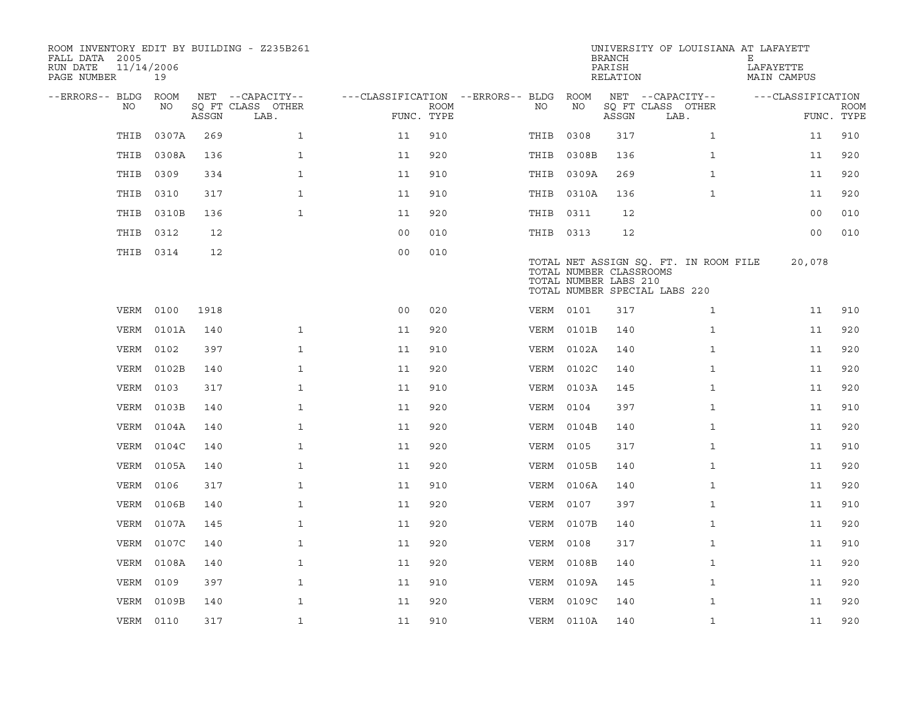| ROOM INVENTORY EDIT BY BUILDING - Z235B261<br>FALL DATA 2005<br>11/14/2006<br>RUN DATE<br>PAGE NUMBER | 19         |       |                           |                                        |             |           |            | <b>BRANCH</b><br>PARISH<br>RELATION              | UNIVERSITY OF LOUISIANA AT LAFAYETT                                    | Е<br>LAFAYETTE<br>MAIN CAMPUS |                           |
|-------------------------------------------------------------------------------------------------------|------------|-------|---------------------------|----------------------------------------|-------------|-----------|------------|--------------------------------------------------|------------------------------------------------------------------------|-------------------------------|---------------------------|
| --ERRORS-- BLDG ROOM                                                                                  |            |       | NET --CAPACITY--          | ---CLASSIFICATION --ERRORS-- BLDG ROOM |             |           |            |                                                  | NET --CAPACITY--                                                       | ---CLASSIFICATION             |                           |
| NO.                                                                                                   | NO         | ASSGN | SQ FT CLASS OTHER<br>LAB. | FUNC. TYPE                             | <b>ROOM</b> | NO        | NO         | ASSGN                                            | SQ FT CLASS OTHER<br>LAB.                                              |                               | <b>ROOM</b><br>FUNC. TYPE |
| THIB                                                                                                  | 0307A      | 269   | $\mathbf{1}$              | 11                                     | 910         | THIB      | 0308       | 317                                              | $\mathbf{1}$                                                           | 11                            | 910                       |
| THIB                                                                                                  | 0308A      | 136   | $\mathbf{1}$              | 11                                     | 920         |           | THIB 0308B | 136                                              | $\mathbf{1}$                                                           | 11                            | 920                       |
| THIB                                                                                                  | 0309       | 334   | $\mathbf{1}$              | 11                                     | 910         |           | THIB 0309A | 269                                              | $\mathbf{1}$                                                           | 11                            | 920                       |
| THIB                                                                                                  | 0310       | 317   | $\mathbf{1}$              | 11                                     | 910         |           | THIB 0310A | 136                                              | $\mathbf{1}$                                                           | 11                            | 920                       |
| THIB                                                                                                  | 0310B      | 136   | $\mathbf{1}$              | 11                                     | 920         | THIB 0311 |            | 12                                               |                                                                        | 0 <sub>0</sub>                | 010                       |
| THIB                                                                                                  | 0312       | 12    |                           | 0 <sub>0</sub>                         | 010         | THIB 0313 |            | 12                                               |                                                                        | 00                            | 010                       |
|                                                                                                       | THIB 0314  | 12    |                           | 0 <sub>0</sub>                         | 010         |           |            | TOTAL NUMBER CLASSROOMS<br>TOTAL NUMBER LABS 210 | TOTAL NET ASSIGN SQ. FT. IN ROOM FILE<br>TOTAL NUMBER SPECIAL LABS 220 | 20,078                        |                           |
| VERM                                                                                                  | 0100       | 1918  |                           | 0 <sub>0</sub>                         | 020         | VERM 0101 |            | 317                                              | $\mathbf{1}$                                                           | 11                            | 910                       |
| VERM                                                                                                  | 0101A      | 140   | $\mathbf{1}$              | 11                                     | 920         |           | VERM 0101B | 140                                              | $\mathbf{1}$                                                           | 11                            | 920                       |
| VERM                                                                                                  | 0102       | 397   | $\mathbf{1}$              | 11                                     | 910         |           | VERM 0102A | 140                                              | $\mathbf{1}$                                                           | 11                            | 920                       |
| VERM                                                                                                  | 0102B      | 140   | $\mathbf{1}$              | 11                                     | 920         |           | VERM 0102C | 140                                              | $\mathbf{1}$                                                           | 11                            | 920                       |
| VERM                                                                                                  | 0103       | 317   | $\mathbf 1$               | 11                                     | 910         |           | VERM 0103A | 145                                              | $\mathbf{1}$                                                           | 11                            | 920                       |
| VERM                                                                                                  | 0103B      | 140   | $\mathbf 1$               | 11                                     | 920         | VERM      | 0104       | 397                                              | $\mathbf{1}$                                                           | 11                            | 910                       |
|                                                                                                       | VERM 0104A | 140   | $\mathbf{1}$              | 11                                     | 920         |           | VERM 0104B | 140                                              | $\mathbf{1}$                                                           | 11                            | 920                       |
| VERM                                                                                                  | 0104C      | 140   | $\mathbf{1}$              | 11                                     | 920         | VERM      | 0105       | 317                                              | $\mathbf{1}$                                                           | 11                            | 910                       |
| VERM                                                                                                  | 0105A      | 140   | $\mathbf 1$               | 11                                     | 920         |           | VERM 0105B | 140                                              | $\mathbf{1}$                                                           | 11                            | 920                       |
| VERM                                                                                                  | 0106       | 317   | $\mathbf{1}$              | 11                                     | 910         |           | VERM 0106A | 140                                              | $\mathbf{1}$                                                           | 11                            | 920                       |
| VERM                                                                                                  | 0106B      | 140   | $\mathbf{1}$              | 11                                     | 920         | VERM 0107 |            | 397                                              | $\mathbf{1}$                                                           | 11                            | 910                       |
| VERM                                                                                                  | 0107A      | 145   | $\mathbf{1}$              | 11                                     | 920         |           | VERM 0107B | 140                                              | $\mathbf{1}$                                                           | 11                            | 920                       |
| VERM                                                                                                  | 0107C      | 140   | $\mathbf{1}$              | 11                                     | 920         | VERM      | 0108       | 317                                              | $\mathbf{1}$                                                           | 11                            | 910                       |
| VERM                                                                                                  | 0108A      | 140   | $\mathbf{1}$              | 11                                     | 920         |           | VERM 0108B | 140                                              | $\mathbf{1}$                                                           | 11                            | 920                       |
| VERM                                                                                                  | 0109       | 397   | $\mathbf{1}$              | 11                                     | 910         |           | VERM 0109A | 145                                              | $\mathbf{1}$                                                           | 11                            | 920                       |
| VERM                                                                                                  | 0109B      | 140   | $\mathbf{1}$              | 11                                     | 920         |           | VERM 0109C | 140                                              | $\mathbf{1}$                                                           | 11                            | 920                       |
|                                                                                                       | VERM 0110  | 317   | $\mathbf{1}$              | 11                                     | 910         |           | VERM 0110A | 140                                              | $\mathbf{1}$                                                           | 11                            | 920                       |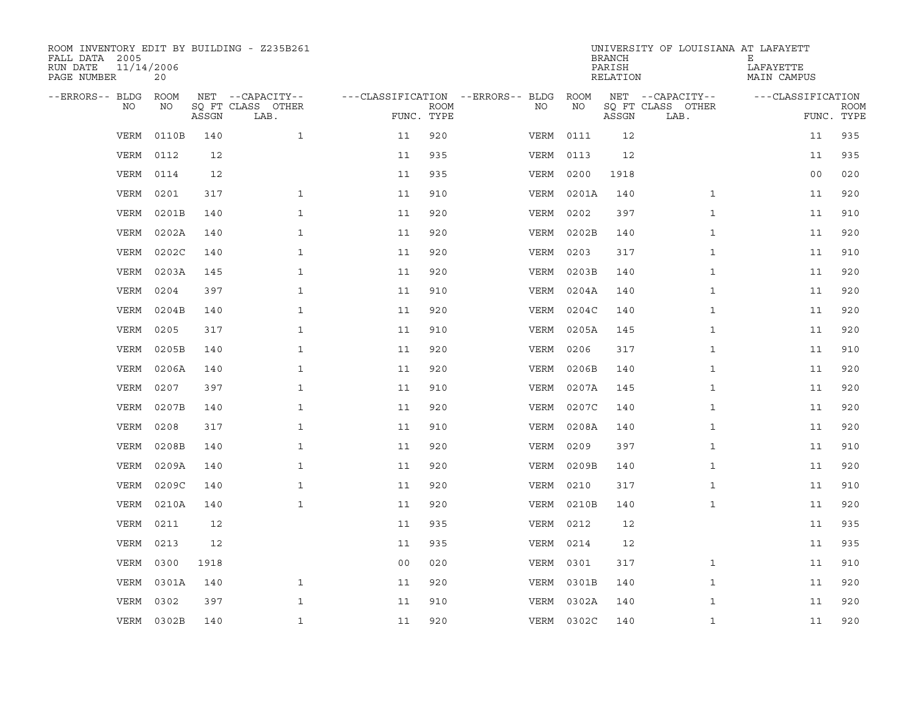| ROOM INVENTORY EDIT BY BUILDING - Z235B261<br>FALL DATA 2005<br>11/14/2006<br>RUN DATE<br>PAGE NUMBER | 20         |       |                           |                |             |                                   |            | <b>BRANCH</b><br>PARISH<br>RELATION | UNIVERSITY OF LOUISIANA AT LAFAYETT | Е<br>LAFAYETTE<br>MAIN CAMPUS |                           |
|-------------------------------------------------------------------------------------------------------|------------|-------|---------------------------|----------------|-------------|-----------------------------------|------------|-------------------------------------|-------------------------------------|-------------------------------|---------------------------|
| --ERRORS-- BLDG ROOM                                                                                  |            |       | NET --CAPACITY--          |                |             | ---CLASSIFICATION --ERRORS-- BLDG | ROOM       |                                     | NET --CAPACITY--                    | ---CLASSIFICATION             |                           |
| NO                                                                                                    | NO         | ASSGN | SQ FT CLASS OTHER<br>LAB. | FUNC. TYPE     | <b>ROOM</b> | NO                                | NO         | ASSGN                               | SQ FT CLASS OTHER<br>LAB.           |                               | <b>ROOM</b><br>FUNC. TYPE |
| VERM                                                                                                  | 0110B      | 140   | $\mathbf{1}$              | 11             | 920         | VERM                              | 0111       | 12                                  |                                     | 11                            | 935                       |
| VERM                                                                                                  | 0112       | 12    |                           | 11             | 935         | VERM                              | 0113       | 12                                  |                                     | 11                            | 935                       |
| VERM                                                                                                  | 0114       | 12    |                           | 11             | 935         | VERM                              | 0200       | 1918                                |                                     | 0 <sub>0</sub>                | 020                       |
| VERM                                                                                                  | 0201       | 317   | $\mathbf{1}$              | 11             | 910         | VERM                              | 0201A      | 140                                 | $\mathbf{1}$                        | 11                            | 920                       |
| VERM                                                                                                  | 0201B      | 140   | $\mathbf{1}$              | 11             | 920         | VERM                              | 0202       | 397                                 | $\mathbf{1}$                        | 11                            | 910                       |
| VERM                                                                                                  | 0202A      | 140   | $\mathbf{1}$              | 11             | 920         |                                   | VERM 0202B | 140                                 | $\mathbf{1}$                        | 11                            | 920                       |
| VERM                                                                                                  | 0202C      | 140   | $\mathbf{1}$              | 11             | 920         | VERM                              | 0203       | 317                                 | $\mathbf{1}$                        | 11                            | 910                       |
| VERM                                                                                                  | 0203A      | 145   | $\mathbf{1}$              | 11             | 920         | VERM                              | 0203B      | 140                                 | $\mathbf{1}$                        | 11                            | 920                       |
| VERM                                                                                                  | 0204       | 397   | $\mathbf{1}$              | 11             | 910         | VERM                              | 0204A      | 140                                 | $\mathbf{1}$                        | 11                            | 920                       |
| VERM                                                                                                  | 0204B      | 140   | $\mathbf 1$               | 11             | 920         | VERM                              | 0204C      | 140                                 | $\mathbf{1}$                        | 11                            | 920                       |
| VERM                                                                                                  | 0205       | 317   | $\mathbf{1}$              | 11             | 910         | VERM                              | 0205A      | 145                                 | $\mathbf{1}$                        | 11                            | 920                       |
| VERM                                                                                                  | 0205B      | 140   | $\mathbf{1}$              | 11             | 920         | VERM                              | 0206       | 317                                 | $\mathbf{1}$                        | 11                            | 910                       |
| VERM                                                                                                  | 0206A      | 140   | $\mathbf{1}$              | 11             | 920         | VERM                              | 0206B      | 140                                 | $\mathbf{1}$                        | 11                            | 920                       |
| VERM                                                                                                  | 0207       | 397   | $\mathbf{1}$              | 11             | 910         |                                   | VERM 0207A | 145                                 | $\mathbf{1}$                        | 11                            | 920                       |
| VERM                                                                                                  | 0207B      | 140   | $\mathbf 1$               | 11             | 920         | VERM                              | 0207C      | 140                                 | $\mathbf{1}$                        | 11                            | 920                       |
| VERM                                                                                                  | 0208       | 317   | $\mathbf{1}$              | 11             | 910         |                                   | VERM 0208A | 140                                 | $\mathbf{1}$                        | 11                            | 920                       |
| VERM                                                                                                  | 0208B      | 140   | $\mathbf{1}$              | 11             | 920         | VERM                              | 0209       | 397                                 | $\mathbf{1}$                        | 11                            | 910                       |
| VERM                                                                                                  | 0209A      | 140   | $\mathbf 1$               | 11             | 920         |                                   | VERM 0209B | 140                                 | $\mathbf{1}$                        | 11                            | 920                       |
| VERM                                                                                                  | 0209C      | 140   | $\mathbf{1}$              | 11             | 920         | VERM                              | 0210       | 317                                 | $\mathbf{1}$                        | 11                            | 910                       |
| VERM                                                                                                  | 0210A      | 140   | $\mathbf{1}$              | 11             | 920         |                                   | VERM 0210B | 140                                 | $\mathbf{1}$                        | 11                            | 920                       |
| VERM                                                                                                  | 0211       | 12    |                           | 11             | 935         | VERM                              | 0212       | 12                                  |                                     | 11                            | 935                       |
| VERM                                                                                                  | 0213       | 12    |                           | 11             | 935         | VERM                              | 0214       | 12                                  |                                     | 11                            | 935                       |
| VERM                                                                                                  | 0300       | 1918  |                           | 0 <sub>0</sub> | 020         | VERM                              | 0301       | 317                                 | $\mathbf{1}$                        | 11                            | 910                       |
| VERM                                                                                                  | 0301A      | 140   | $\mathbf{1}$              | 11             | 920         |                                   | VERM 0301B | 140                                 | $\mathbf{1}$                        | 11                            | 920                       |
| VERM                                                                                                  | 0302       | 397   | $\mathbf{1}$              | 11             | 910         | VERM                              | 0302A      | 140                                 | $\mathbf{1}$                        | 11                            | 920                       |
|                                                                                                       | VERM 0302B | 140   | $\mathbf{1}$              | 11             | 920         |                                   | VERM 0302C | 140                                 | $\mathbf{1}$                        | 11                            | 920                       |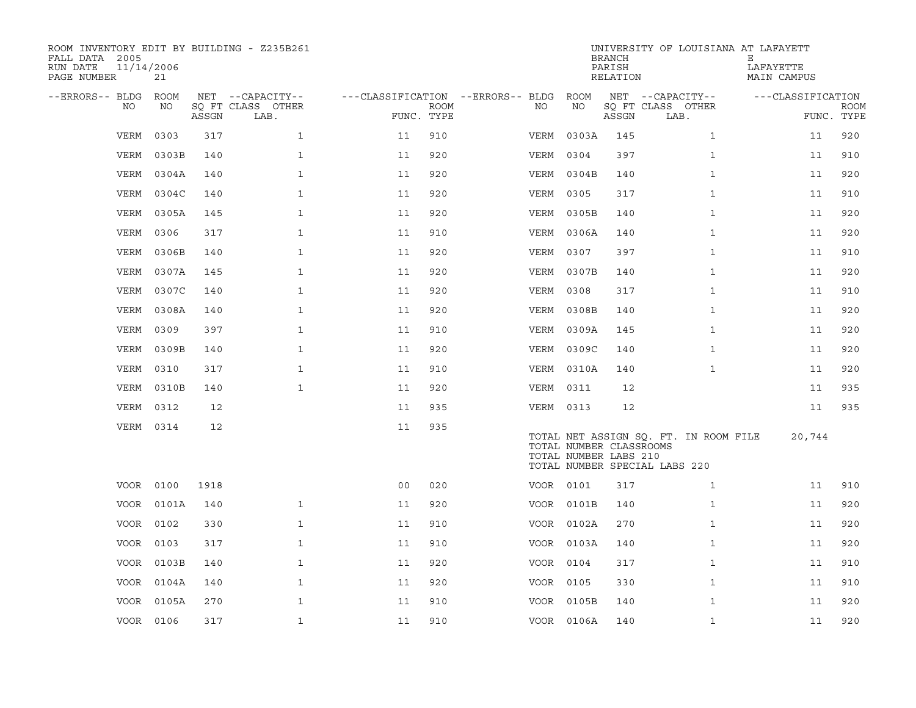| ROOM INVENTORY EDIT BY BUILDING - Z235B261<br>FALL DATA 2005<br>11/14/2006<br>RUN DATE<br>PAGE NUMBER | 21         |       |                                       |                                        |             |           |                                                  | <b>BRANCH</b><br>PARISH<br>RELATION | UNIVERSITY OF LOUISIANA AT LAFAYETT                                    | Е<br>LAFAYETTE<br>MAIN CAMPUS |             |
|-------------------------------------------------------------------------------------------------------|------------|-------|---------------------------------------|----------------------------------------|-------------|-----------|--------------------------------------------------|-------------------------------------|------------------------------------------------------------------------|-------------------------------|-------------|
| --ERRORS-- BLDG ROOM<br>NO                                                                            | NO         |       | NET --CAPACITY--<br>SQ FT CLASS OTHER | ---CLASSIFICATION --ERRORS-- BLDG ROOM | <b>ROOM</b> | NO        | NO                                               |                                     | NET --CAPACITY--<br>SQ FT CLASS OTHER                                  | ---CLASSIFICATION             | <b>ROOM</b> |
|                                                                                                       |            | ASSGN | LAB.                                  | FUNC. TYPE                             |             |           |                                                  | ASSGN                               | LAB.                                                                   |                               | FUNC. TYPE  |
| VERM                                                                                                  | 0303       | 317   | $\mathbf{1}$                          | 11                                     | 910         | VERM      | 0303A                                            | 145                                 | $\mathbf{1}$                                                           | 11                            | 920         |
| VERM                                                                                                  | 0303B      | 140   | $\mathbf{1}$                          | 11                                     | 920         | VERM      | 0304                                             | 397                                 | $\mathbf{1}$                                                           | 11                            | 910         |
|                                                                                                       | VERM 0304A | 140   | $\mathbf 1$                           | 11                                     | 920         | VERM      | 0304B                                            | 140                                 | $\mathbf{1}$                                                           | 11                            | 920         |
| VERM                                                                                                  | 0304C      | 140   | $\mathbf{1}$                          | 11                                     | 920         | VERM      | 0305                                             | 317                                 | $\mathbf{1}$                                                           | 11                            | 910         |
| VERM                                                                                                  | 0305A      | 145   | $\mathbf{1}$                          | 11                                     | 920         | VERM      | 0305B                                            | 140                                 | $\mathbf{1}$                                                           | 11                            | 920         |
| VERM                                                                                                  | 0306       | 317   | $\mathbf{1}$                          | 11                                     | 910         |           | VERM 0306A                                       | 140                                 | $\mathbf{1}$                                                           | 11                            | 920         |
|                                                                                                       | VERM 0306B | 140   | $\mathbf{1}$                          | 11                                     | 920         | VERM 0307 |                                                  | 397                                 | $\mathbf{1}$                                                           | 11                            | 910         |
| VERM                                                                                                  | 0307A      | 145   | $\mathbf{1}$                          | 11                                     | 920         |           | VERM 0307B                                       | 140                                 | $\mathbf{1}$                                                           | 11                            | 920         |
| VERM                                                                                                  | 0307C      | 140   | $\mathbf{1}$                          | 11                                     | 920         | VERM      | 0308                                             | 317                                 | $\mathbf{1}$                                                           | 11                            | 910         |
|                                                                                                       | VERM 0308A | 140   | $\mathbf{1}$                          | 11                                     | 920         |           | VERM 0308B                                       | 140                                 | $\mathbf{1}$                                                           | 11                            | 920         |
| VERM                                                                                                  | 0309       | 397   | $\mathbf 1$                           | 11                                     | 910         |           | VERM 0309A                                       | 145                                 | $\mathbf{1}$                                                           | 11                            | 920         |
|                                                                                                       | VERM 0309B | 140   | $\mathbf{1}$                          | 11                                     | 920         |           | VERM 0309C                                       | 140                                 | $\mathbf{1}$                                                           | 11                            | 920         |
| VERM                                                                                                  | 0310       | 317   | $\mathbf{1}$                          | 11                                     | 910         |           | VERM 0310A                                       | 140                                 | $\mathbf{1}$                                                           | 11                            | 920         |
|                                                                                                       | VERM 0310B | 140   | $\mathbf{1}$                          | 11                                     | 920         | VERM 0311 |                                                  | 12                                  |                                                                        | 11                            | 935         |
|                                                                                                       | VERM 0312  | 12    |                                       | 11                                     | 935         | VERM 0313 |                                                  | 12                                  |                                                                        | 11                            | 935         |
|                                                                                                       | VERM 0314  | 12    |                                       | 11                                     | 935         |           | TOTAL NUMBER CLASSROOMS<br>TOTAL NUMBER LABS 210 |                                     | TOTAL NET ASSIGN SQ. FT. IN ROOM FILE<br>TOTAL NUMBER SPECIAL LABS 220 | 20,744                        |             |
|                                                                                                       | VOOR 0100  | 1918  |                                       | 0 <sub>0</sub>                         | 020         | VOOR 0101 |                                                  | 317                                 | $\mathbf{1}$                                                           | 11                            | 910         |
|                                                                                                       | VOOR 0101A | 140   | $\mathbf{1}$                          | 11                                     | 920         |           | VOOR 0101B                                       | 140                                 | $\mathbf{1}$                                                           | 11                            | 920         |
|                                                                                                       | VOOR 0102  | 330   | $\mathbf{1}$                          | 11                                     | 910         |           | VOOR 0102A                                       | 270                                 | $\mathbf{1}$                                                           | 11                            | 920         |
| VOOR 0103                                                                                             |            | 317   | $\mathbf{1}$                          | 11                                     | 910         |           | VOOR 0103A                                       | 140                                 | $\mathbf{1}$                                                           | 11                            | 920         |
|                                                                                                       | VOOR 0103B | 140   | $\mathbf{1}$                          | 11                                     | 920         | VOOR 0104 |                                                  | 317                                 | $\mathbf{1}$                                                           | 11                            | 910         |
|                                                                                                       | VOOR 0104A | 140   | $\mathbf{1}$                          | 11                                     | 920         | VOOR 0105 |                                                  | 330                                 | $\mathbf{1}$                                                           | 11                            | 910         |
|                                                                                                       | VOOR 0105A | 270   | $\mathbf 1$                           | 11                                     | 910         |           | VOOR 0105B                                       | 140                                 | $\mathbf{1}$                                                           | 11                            | 920         |
|                                                                                                       | VOOR 0106  | 317   | $\mathbf{1}$                          | 11                                     | 910         |           | VOOR 0106A                                       | 140                                 | $\mathbf{1}$                                                           | 11                            | 920         |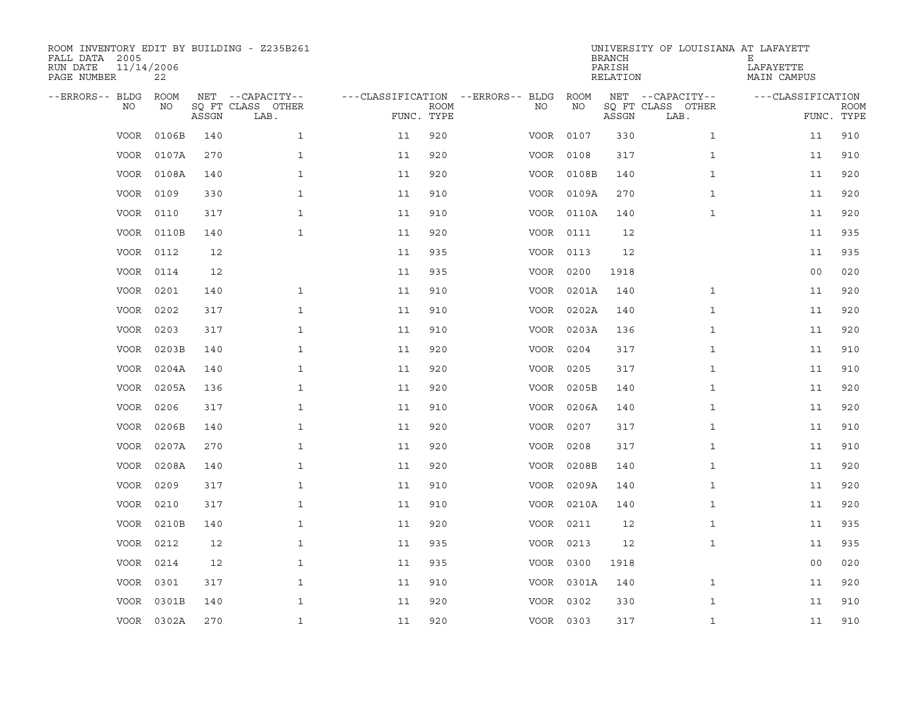| ROOM INVENTORY EDIT BY BUILDING - Z235B261<br>FALL DATA 2005<br>RUN DATE<br>PAGE NUMBER | 11/14/2006<br>22 |       |                           |                                   |             |           |            | <b>BRANCH</b><br>PARISH<br>RELATION | UNIVERSITY OF LOUISIANA AT LAFAYETT | Ε<br>LAFAYETTE<br>MAIN CAMPUS |                           |
|-----------------------------------------------------------------------------------------|------------------|-------|---------------------------|-----------------------------------|-------------|-----------|------------|-------------------------------------|-------------------------------------|-------------------------------|---------------------------|
| --ERRORS-- BLDG                                                                         | <b>ROOM</b>      |       | NET --CAPACITY--          | ---CLASSIFICATION --ERRORS-- BLDG |             |           | ROOM       |                                     | NET --CAPACITY--                    | ---CLASSIFICATION             |                           |
| NO                                                                                      | NO               | ASSGN | SO FT CLASS OTHER<br>LAB. | FUNC. TYPE                        | <b>ROOM</b> | NO.       | NO         | ASSGN                               | SQ FT CLASS OTHER<br>LAB.           |                               | <b>ROOM</b><br>FUNC. TYPE |
| <b>VOOR</b>                                                                             | 0106B            | 140   | $\mathbf{1}$              | 11                                | 920         | VOOR      | 0107       | 330                                 | $\mathbf{1}$                        | 11                            | 910                       |
| VOOR                                                                                    | 0107A            | 270   | $\mathbf{1}$              | 11                                | 920         | VOOR 0108 |            | 317                                 | $\mathbf{1}$                        | 11                            | 910                       |
| VOOR                                                                                    | 0108A            | 140   | $\mathbf{1}$              | 11                                | 920         |           | VOOR 0108B | 140                                 | $\mathbf{1}$                        | 11                            | 920                       |
| <b>VOOR</b>                                                                             | 0109             | 330   | $\mathbf{1}$              | 11                                | 910         |           | VOOR 0109A | 270                                 | $\mathbf{1}$                        | 11                            | 920                       |
| VOOR                                                                                    | 0110             | 317   | $\mathbf 1$               | 11                                | 910         |           | VOOR 0110A | 140                                 | $\mathbf{1}$                        | 11                            | 920                       |
| VOOR                                                                                    | 0110B            | 140   | $\mathbf{1}$              | 11                                | 920         | VOOR 0111 |            | 12                                  |                                     | 11                            | 935                       |
| VOOR                                                                                    | 0112             | 12    |                           | 11                                | 935         | VOOR 0113 |            | 12                                  |                                     | 11                            | 935                       |
| VOOR                                                                                    | 0114             | 12    |                           | 11                                | 935         | VOOR 0200 |            | 1918                                |                                     | 0 <sub>0</sub>                | 020                       |
| <b>VOOR</b>                                                                             | 0201             | 140   | $\mathbf{1}$              | 11                                | 910         | VOOR      | 0201A      | 140                                 | $\mathbf{1}$                        | 11                            | 920                       |
| <b>VOOR</b>                                                                             | 0202             | 317   | $\mathbf{1}$              | 11                                | 910         |           | VOOR 0202A | 140                                 | $\mathbf{1}$                        | 11                            | 920                       |
| <b>VOOR</b>                                                                             | 0203             | 317   | $\mathbf{1}$              | 11                                | 910         |           | VOOR 0203A | 136                                 | $\mathbf{1}$                        | 11                            | 920                       |
| <b>VOOR</b>                                                                             | 0203B            | 140   | $\mathbf{1}$              | 11                                | 920         | VOOR 0204 |            | 317                                 | $\mathbf{1}$                        | 11                            | 910                       |
| <b>VOOR</b>                                                                             | 0204A            | 140   | $\mathbf{1}$              | 11                                | 920         | VOOR      | 0205       | 317                                 | $\mathbf{1}$                        | 11                            | 910                       |
| <b>VOOR</b>                                                                             | 0205A            | 136   | $\mathbf{1}$              | 11                                | 920         |           | VOOR 0205B | 140                                 | $\mathbf{1}$                        | 11                            | 920                       |
| VOOR                                                                                    | 0206             | 317   | $\mathbf{1}$              | 11                                | 910         | VOOR      | 0206A      | 140                                 | $\mathbf{1}$                        | 11                            | 920                       |
| VOOR                                                                                    | 0206B            | 140   | $\mathbf 1$               | 11                                | 920         | VOOR 0207 |            | 317                                 | $\mathbf{1}$                        | 11                            | 910                       |
| VOOR                                                                                    | 0207A            | 270   | $\mathbf{1}$              | 11                                | 920         | VOOR      | 0208       | 317                                 | $\mathbf{1}$                        | 11                            | 910                       |
| <b>VOOR</b>                                                                             | 0208A            | 140   | $\mathbf{1}$              | 11                                | 920         | VOOR      | 0208B      | 140                                 | $\mathbf{1}$                        | 11                            | 920                       |
| VOOR                                                                                    | 0209             | 317   | $\mathbf{1}$              | 11                                | 910         |           | VOOR 0209A | 140                                 | $\mathbf{1}$                        | 11                            | 920                       |
| VOOR                                                                                    | 0210             | 317   | $\mathbf{1}$              | 11                                | 910         |           | VOOR 0210A | 140                                 | $\mathbf{1}$                        | 11                            | 920                       |
| VOOR                                                                                    | 0210B            | 140   | $\mathbf{1}$              | 11                                | 920         | VOOR 0211 |            | 12                                  | $\mathbf{1}$                        | 11                            | 935                       |
| VOOR                                                                                    | 0212             | 12    | $\mathbf{1}$              | 11                                | 935         | VOOR 0213 |            | 12                                  | $\mathbf{1}$                        | 11                            | 935                       |
| VOOR                                                                                    | 0214             | 12    | $\mathbf{1}$              | 11                                | 935         | VOOR 0300 |            | 1918                                |                                     | 0 <sub>0</sub>                | 020                       |
| VOOR                                                                                    | 0301             | 317   | $\mathbf{1}$              | 11                                | 910         |           | VOOR 0301A | 140                                 | $\mathbf{1}$                        | 11                            | 920                       |
| <b>VOOR</b>                                                                             | 0301B            | 140   | $\mathbf{1}$              | 11                                | 920         | VOOR 0302 |            | 330                                 | $\mathbf{1}$                        | 11                            | 910                       |
|                                                                                         | VOOR 0302A       | 270   | $\mathbf{1}$              | 11                                | 920         | VOOR 0303 |            | 317                                 | $\mathbf{1}$                        | 11                            | 910                       |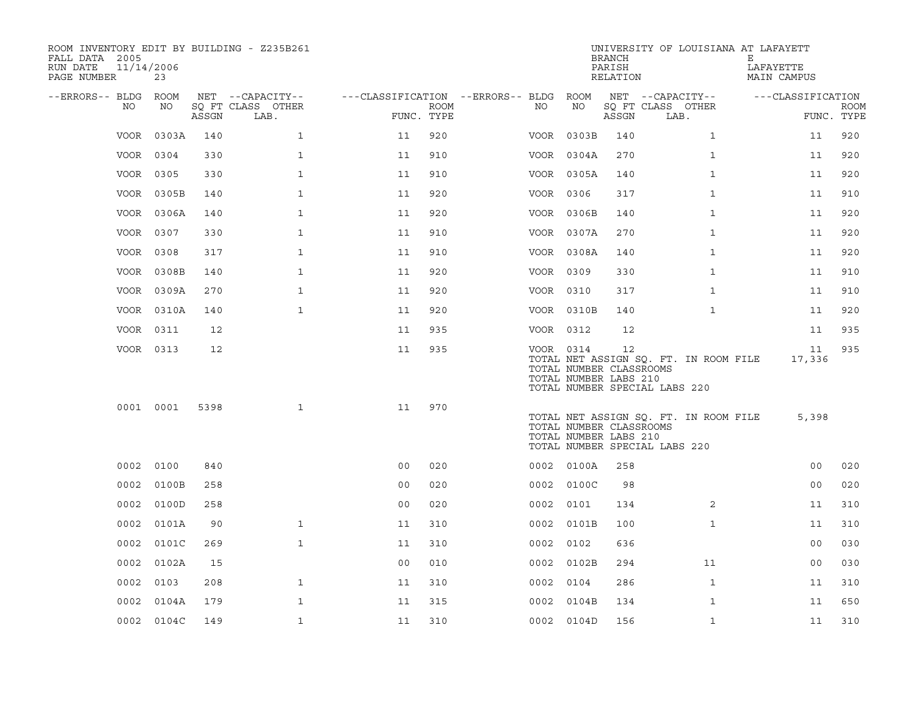| ROOM INVENTORY EDIT BY BUILDING - Z235B261<br>FALL DATA 2005<br>11/14/2006<br>RUN DATE<br>PAGE NUMBER | 23         |       |                           |                                        |      |           |            | <b>BRANCH</b><br>PARISH<br>RELATION                    | UNIVERSITY OF LOUISIANA AT LAFAYETT                                    | Е<br>LAFAYETTE<br><b>MAIN CAMPUS</b> |             |
|-------------------------------------------------------------------------------------------------------|------------|-------|---------------------------|----------------------------------------|------|-----------|------------|--------------------------------------------------------|------------------------------------------------------------------------|--------------------------------------|-------------|
| --ERRORS-- BLDG ROOM                                                                                  |            |       | NET --CAPACITY--          | ---CLASSIFICATION --ERRORS-- BLDG ROOM |      |           | NO         |                                                        | NET --CAPACITY--                                                       | ---CLASSIFICATION                    |             |
| NO.                                                                                                   | NO         | ASSGN | SQ FT CLASS OTHER<br>LAB. | FUNC. TYPE                             | ROOM | NO        |            | ASSGN                                                  | SQ FT CLASS OTHER<br>LAB.                                              | FUNC. TYPE                           | <b>ROOM</b> |
| VOOR                                                                                                  | 0303A      | 140   | $\mathbf{1}$              | 11                                     | 920  |           | VOOR 0303B | 140                                                    | $\mathbf{1}$                                                           | 11                                   | 920         |
|                                                                                                       | VOOR 0304  | 330   | $\mathbf{1}$              | 11                                     | 910  |           | VOOR 0304A | 270                                                    | $\mathbf{1}$                                                           | 11                                   | 920         |
|                                                                                                       | VOOR 0305  | 330   | $\mathbf{1}$              | 11                                     | 910  |           | VOOR 0305A | 140                                                    | $\mathbf{1}$                                                           | 11                                   | 920         |
| VOOR                                                                                                  | 0305B      | 140   | $\mathbf{1}$              | 11                                     | 920  | VOOR 0306 |            | 317                                                    | $\mathbf{1}$                                                           | 11                                   | 910         |
|                                                                                                       | VOOR 0306A | 140   | $\mathbf 1$               | 11                                     | 920  |           | VOOR 0306B | 140                                                    | $\mathbf{1}$                                                           | 11                                   | 920         |
| VOOR                                                                                                  | 0307       | 330   | $\mathbf{1}$              | 11                                     | 910  |           | VOOR 0307A | 270                                                    | $\mathbf{1}$                                                           | 11                                   | 920         |
|                                                                                                       | VOOR 0308  | 317   | $\mathbf{1}$              | 11                                     | 910  |           | VOOR 0308A | 140                                                    | $\mathbf{1}$                                                           | 11                                   | 920         |
|                                                                                                       | VOOR 0308B | 140   | $\mathbf{1}$              | 11                                     | 920  | VOOR 0309 |            | 330                                                    | $\mathbf{1}$                                                           | 11                                   | 910         |
| VOOR                                                                                                  | 0309A      | 270   | $\mathbf{1}$              | 11                                     | 920  | VOOR 0310 |            | 317                                                    | $\mathbf{1}$                                                           | 11                                   | 910         |
|                                                                                                       | VOOR 0310A | 140   | $\mathbf{1}$              | 11                                     | 920  |           | VOOR 0310B | 140                                                    | $\mathbf{1}$                                                           | 11                                   | 920         |
|                                                                                                       | VOOR 0311  | 12    |                           | 11                                     | 935  | VOOR 0312 |            | 12                                                     |                                                                        | 11                                   | 935         |
|                                                                                                       | VOOR 0313  | 12    |                           | 11                                     | 935  | VOOR 0314 |            | 12<br>TOTAL NUMBER CLASSROOMS<br>TOTAL NUMBER LABS 210 | TOTAL NET ASSIGN SQ. FT. IN ROOM FILE<br>TOTAL NUMBER SPECIAL LABS 220 | 11<br>17,336                         | 935         |
|                                                                                                       | 0001 0001  | 5398  | $\mathbf{1}$              | 11                                     | 970  |           |            | TOTAL NUMBER CLASSROOMS<br>TOTAL NUMBER LABS 210       | TOTAL NET ASSIGN SQ. FT. IN ROOM FILE<br>TOTAL NUMBER SPECIAL LABS 220 | 5,398                                |             |
|                                                                                                       | 0002 0100  | 840   |                           | 0 <sub>0</sub>                         | 020  |           | 0002 0100A | 258                                                    |                                                                        | 00                                   | 020         |
| 0002                                                                                                  | 0100B      | 258   |                           | 0 <sub>0</sub>                         | 020  |           | 0002 0100C | 98                                                     |                                                                        | 0 <sub>0</sub>                       | 020         |
| 0002                                                                                                  | 0100D      | 258   |                           | 0 <sub>0</sub>                         | 020  | 0002 0101 |            | 134                                                    | 2                                                                      | 11                                   | 310         |
| 0002                                                                                                  | 0101A      | 90    | $\mathbf{1}$              | 11                                     | 310  |           | 0002 0101B | 100                                                    | $\mathbf{1}$                                                           | 11                                   | 310         |
| 0002                                                                                                  | 0101C      | 269   | $\mathbf{1}$              | 11                                     | 310  | 0002      | 0102       | 636                                                    |                                                                        | 0 <sub>0</sub>                       | 030         |
| 0002                                                                                                  | 0102A      | 15    |                           | 0 <sub>0</sub>                         | 010  |           | 0002 0102B | 294                                                    | 11                                                                     | 00                                   | 030         |
| 0002                                                                                                  | 0103       | 208   | $\mathbf{1}$              | 11                                     | 310  | 0002      | 0104       | 286                                                    | $\mathbf{1}$                                                           | 11                                   | 310         |
| 0002                                                                                                  | 0104A      | 179   | $\mathbf{1}$              | 11                                     | 315  | 0002      | 0104B      | 134                                                    | $\mathbf{1}$                                                           | 11                                   | 650         |
|                                                                                                       | 0002 0104C | 149   | $\mathbf 1$               | 11                                     | 310  |           | 0002 0104D | 156                                                    | $\mathbf{1}$                                                           | 11                                   | 310         |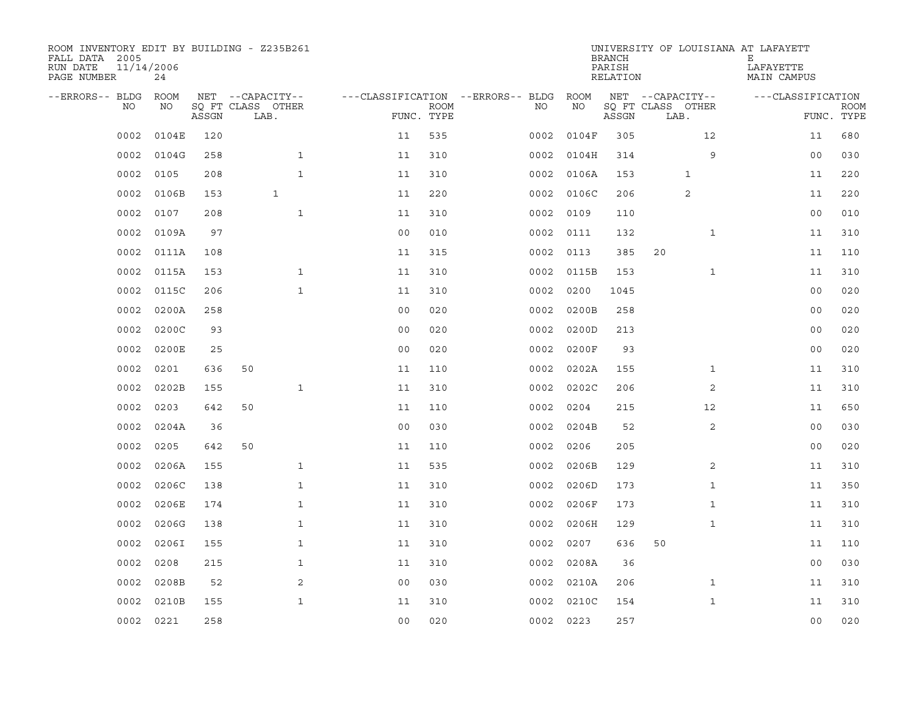| ROOM INVENTORY EDIT BY BUILDING - Z235B261<br>FALL DATA 2005<br>RUN DATE<br>PAGE NUMBER | 11/14/2006<br>24 |       |                           |              |                                   |                           |      |            | <b>BRANCH</b><br>PARISH<br>RELATION |                           |              | UNIVERSITY OF LOUISIANA AT LAFAYETT<br>Е<br>LAFAYETTE<br>MAIN CAMPUS |                           |
|-----------------------------------------------------------------------------------------|------------------|-------|---------------------------|--------------|-----------------------------------|---------------------------|------|------------|-------------------------------------|---------------------------|--------------|----------------------------------------------------------------------|---------------------------|
| --ERRORS-- BLDG ROOM                                                                    |                  |       | NET --CAPACITY--          |              | ---CLASSIFICATION --ERRORS-- BLDG |                           |      | ROOM       |                                     | NET --CAPACITY--          |              | ---CLASSIFICATION                                                    |                           |
| NO.                                                                                     | NO               | ASSGN | SO FT CLASS OTHER<br>LAB. |              |                                   | <b>ROOM</b><br>FUNC. TYPE | NO.  | NO         | ASSGN                               | SQ FT CLASS OTHER<br>LAB. |              |                                                                      | <b>ROOM</b><br>FUNC. TYPE |
| 0002                                                                                    | 0104E            | 120   |                           |              | 11                                | 535                       | 0002 | 0104F      | 305                                 |                           | 12           | 11                                                                   | 680                       |
| 0002                                                                                    | 0104G            | 258   |                           | $\mathbf{1}$ | 11                                | 310                       | 0002 | 0104H      | 314                                 |                           | 9            | 0 <sub>0</sub>                                                       | 030                       |
| 0002                                                                                    | 0105             | 208   |                           | $\mathbf{1}$ | 11                                | 310                       |      | 0002 0106A | 153                                 |                           | 1            | 11                                                                   | 220                       |
| 0002                                                                                    | 0106B            | 153   | $\mathbf{1}$              |              | 11                                | 220                       |      | 0002 0106C | 206                                 |                           | 2            | 11                                                                   | 220                       |
| 0002                                                                                    | 0107             | 208   |                           | $\mathbf{1}$ | 11                                | 310                       | 0002 | 0109       | 110                                 |                           |              | 0 <sub>0</sub>                                                       | 010                       |
| 0002                                                                                    | 0109A            | 97    |                           |              | 0 <sub>0</sub>                    | 010                       |      | 0002 0111  | 132                                 |                           | $\mathbf{1}$ | 11                                                                   | 310                       |
| 0002                                                                                    | 0111A            | 108   |                           |              | 11                                | 315                       | 0002 | 0113       | 385                                 | 20                        |              | 11                                                                   | 110                       |
| 0002                                                                                    | 0115A            | 153   |                           | $\mathbf{1}$ | 11                                | 310                       | 0002 | 0115B      | 153                                 |                           | $\mathbf{1}$ | 11                                                                   | 310                       |
| 0002                                                                                    | 0115C            | 206   |                           | $\mathbf{1}$ | 11                                | 310                       | 0002 | 0200       | 1045                                |                           |              | 0 <sub>0</sub>                                                       | 020                       |
| 0002                                                                                    | 0200A            | 258   |                           |              | 0 <sub>0</sub>                    | 020                       | 0002 | 0200B      | 258                                 |                           |              | 0 <sub>0</sub>                                                       | 020                       |
| 0002                                                                                    | 0200C            | 93    |                           |              | 0 <sub>0</sub>                    | 020                       | 0002 | 0200D      | 213                                 |                           |              | 0 <sub>0</sub>                                                       | 020                       |
| 0002                                                                                    | 0200E            | 25    |                           |              | 0 <sub>0</sub>                    | 020                       | 0002 | 0200F      | 93                                  |                           |              | 0 <sub>0</sub>                                                       | 020                       |
| 0002                                                                                    | 0201             | 636   | 50                        |              | 11                                | 110                       | 0002 | 0202A      | 155                                 |                           | $\mathbf{1}$ | 11                                                                   | 310                       |
| 0002                                                                                    | 0202B            | 155   |                           | $\mathbf{1}$ | 11                                | 310                       | 0002 | 0202C      | 206                                 |                           | 2            | 11                                                                   | 310                       |
| 0002                                                                                    | 0203             | 642   | 50                        |              | 11                                | 110                       | 0002 | 0204       | 215                                 |                           | 12           | 11                                                                   | 650                       |
| 0002                                                                                    | 0204A            | 36    |                           |              | 0 <sub>0</sub>                    | 030                       | 0002 | 0204B      | 52                                  |                           | 2            | 0 <sub>0</sub>                                                       | 030                       |
| 0002                                                                                    | 0205             | 642   | 50                        |              | 11                                | 110                       | 0002 | 0206       | 205                                 |                           |              | 00                                                                   | 020                       |
| 0002                                                                                    | 0206A            | 155   |                           | $\mathbf{1}$ | 11                                | 535                       | 0002 | 0206B      | 129                                 |                           | 2            | 11                                                                   | 310                       |
| 0002                                                                                    | 0206C            | 138   |                           | $\mathbf{1}$ | 11                                | 310                       | 0002 | 0206D      | 173                                 |                           | $\mathbf{1}$ | 11                                                                   | 350                       |
| 0002                                                                                    | 0206E            | 174   |                           | $\mathbf{1}$ | 11                                | 310                       | 0002 | 0206F      | 173                                 |                           | $\mathbf{1}$ | 11                                                                   | 310                       |
| 0002                                                                                    | 0206G            | 138   |                           | $\mathbf{1}$ | 11                                | 310                       | 0002 | 0206H      | 129                                 |                           | $\mathbf{1}$ | 11                                                                   | 310                       |
| 0002                                                                                    | 0206I            | 155   |                           | $\mathbf{1}$ | 11                                | 310                       | 0002 | 0207       | 636                                 | 50                        |              | 11                                                                   | 110                       |
| 0002                                                                                    | 0208             | 215   |                           | $\mathbf{1}$ | 11                                | 310                       | 0002 | 0208A      | 36                                  |                           |              | 0 <sub>0</sub>                                                       | 030                       |
| 0002                                                                                    | 0208B            | 52    |                           | 2            | 0 <sub>0</sub>                    | 030                       |      | 0002 0210A | 206                                 |                           | $\mathbf{1}$ | 11                                                                   | 310                       |
| 0002                                                                                    | 0210B            | 155   |                           | $\mathbf{1}$ | 11                                | 310                       | 0002 | 0210C      | 154                                 |                           | $\mathbf{1}$ | 11                                                                   | 310                       |
|                                                                                         | 0002 0221        | 258   |                           |              | 0 <sub>0</sub>                    | 020                       |      | 0002 0223  | 257                                 |                           |              | 0 <sub>0</sub>                                                       | 020                       |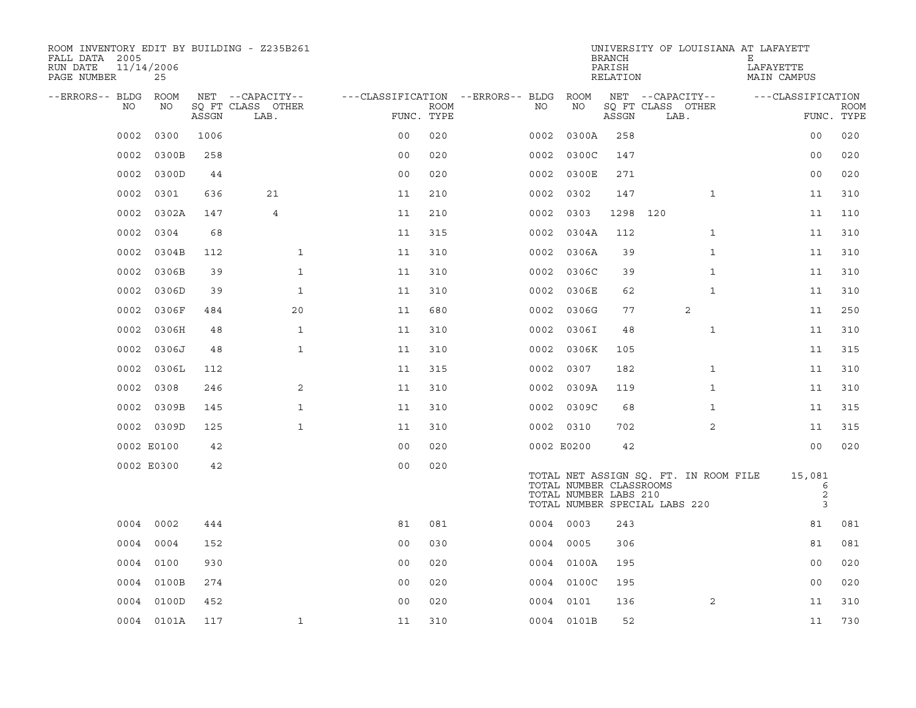| ROOM INVENTORY EDIT BY BUILDING - Z235B261<br>FALL DATA 2005<br>RUN DATE<br>PAGE NUMBER | 11/14/2006<br>25 |       |                           |                |      |                                   |                                                  | <b>BRANCH</b><br>PARISH<br>RELATION | UNIVERSITY OF LOUISIANA AT LAFAYETT                                    | Е<br>LAFAYETTE<br><b>MAIN CAMPUS</b> |                           |
|-----------------------------------------------------------------------------------------|------------------|-------|---------------------------|----------------|------|-----------------------------------|--------------------------------------------------|-------------------------------------|------------------------------------------------------------------------|--------------------------------------|---------------------------|
| --ERRORS-- BLDG                                                                         | <b>ROOM</b>      |       | NET --CAPACITY--          |                |      | ---CLASSIFICATION --ERRORS-- BLDG | ROOM                                             |                                     | NET --CAPACITY--                                                       | ---CLASSIFICATION                    |                           |
| NO                                                                                      | NO               | ASSGN | SO FT CLASS OTHER<br>LAB. | FUNC. TYPE     | ROOM | NO                                | NO                                               | ASSGN                               | SQ FT CLASS OTHER<br>LAB.                                              |                                      | <b>ROOM</b><br>FUNC. TYPE |
| 0002                                                                                    | 0300             | 1006  |                           | 0 <sub>0</sub> | 020  | 0002                              | 0300A                                            | 258                                 |                                                                        | 00                                   | 020                       |
| 0002                                                                                    | 0300B            | 258   |                           | 0 <sub>0</sub> | 020  |                                   | 0002 0300C                                       | 147                                 |                                                                        | 00                                   | 020                       |
|                                                                                         | 0002 0300D       | 44    |                           | 0 <sub>0</sub> | 020  |                                   | 0002 0300E                                       | 271                                 |                                                                        | 0 <sub>0</sub>                       | 020                       |
| 0002                                                                                    | 0301             | 636   | 21                        | 11             | 210  |                                   | 0002 0302                                        | 147                                 | $\mathbf{1}$                                                           | 11                                   | 310                       |
| 0002                                                                                    | 0302A            | 147   | 4                         | 11             | 210  | 0002                              | 0303                                             | 1298                                | 120                                                                    | 11                                   | 110                       |
| 0002                                                                                    | 0304             | 68    |                           | 11             | 315  |                                   | 0002 0304A                                       | 112                                 | $\mathbf{1}$                                                           | 11                                   | 310                       |
| 0002                                                                                    | 0304B            | 112   | $\mathbf{1}$              | 11             | 310  | 0002                              | 0306A                                            | 39                                  | $\mathbf{1}$                                                           | 11                                   | 310                       |
| 0002                                                                                    | 0306B            | 39    | $\mathbf{1}$              | 11             | 310  | 0002                              | 0306C                                            | 39                                  | $\mathbf{1}$                                                           | 11                                   | 310                       |
| 0002                                                                                    | 0306D            | 39    | $\mathbf{1}$              | 11             | 310  | 0002                              | 0306E                                            | 62                                  | $\mathbf{1}$                                                           | 11                                   | 310                       |
| 0002                                                                                    | 0306F            | 484   | 20                        | 11             | 680  | 0002                              | 0306G                                            | 77                                  | 2                                                                      | 11                                   | 250                       |
| 0002                                                                                    | 0306H            | 48    | $\mathbf{1}$              | 11             | 310  | 0002                              | 0306I                                            | 48                                  | $\mathbf{1}$                                                           | 11                                   | 310                       |
| 0002                                                                                    | 0306J            | 48    | $\mathbf{1}$              | 11             | 310  | 0002                              | 0306K                                            | 105                                 |                                                                        | 11                                   | 315                       |
| 0002                                                                                    | 0306L            | 112   |                           | 11             | 315  | 0002                              | 0307                                             | 182                                 | $\mathbf{1}$                                                           | 11                                   | 310                       |
| 0002                                                                                    | 0308             | 246   | 2                         | 11             | 310  |                                   | 0002 0309A                                       | 119                                 | $\mathbf{1}$                                                           | 11                                   | 310                       |
| 0002                                                                                    | 0309B            | 145   | $\mathbf 1$               | 11             | 310  |                                   | 0002 0309C                                       | 68                                  | $\mathbf{1}$                                                           | 11                                   | 315                       |
|                                                                                         | 0002 0309D       | 125   | $\mathbf{1}$              | 11             | 310  |                                   | 0002 0310                                        | 702                                 | 2                                                                      | 11                                   | 315                       |
|                                                                                         | 0002 E0100       | 42    |                           | 0 <sub>0</sub> | 020  |                                   | 0002 E0200                                       | 42                                  |                                                                        | 0 <sub>0</sub>                       | 020                       |
|                                                                                         | 0002 E0300       | 42    |                           | 0 <sub>0</sub> | 020  |                                   | TOTAL NUMBER CLASSROOMS<br>TOTAL NUMBER LABS 210 |                                     | TOTAL NET ASSIGN SO. FT. IN ROOM FILE<br>TOTAL NUMBER SPECIAL LABS 220 | 15,081<br>6<br>$\sqrt{2}$<br>3       |                           |
|                                                                                         | 0004 0002        | 444   |                           | 81             | 081  |                                   | 0004 0003                                        | 243                                 |                                                                        | 81                                   | 081                       |
| 0004                                                                                    | 0004             | 152   |                           | 0 <sub>0</sub> | 030  | 0004                              | 0005                                             | 306                                 |                                                                        | 81                                   | 081                       |
| 0004                                                                                    | 0100             | 930   |                           | 0 <sub>0</sub> | 020  |                                   | 0004 0100A                                       | 195                                 |                                                                        | 0 <sub>0</sub>                       | 020                       |
| 0004                                                                                    | 0100B            | 274   |                           | 0 <sub>0</sub> | 020  |                                   | 0004 0100C                                       | 195                                 |                                                                        | 0 <sub>0</sub>                       | 020                       |
|                                                                                         | 0004 0100D       | 452   |                           | 0 <sub>0</sub> | 020  |                                   | 0004 0101                                        | 136                                 | 2                                                                      | 11                                   | 310                       |
|                                                                                         | 0004 0101A       | 117   | $\mathbf{1}$              | 11             | 310  |                                   | 0004 0101B                                       | 52                                  |                                                                        | 11                                   | 730                       |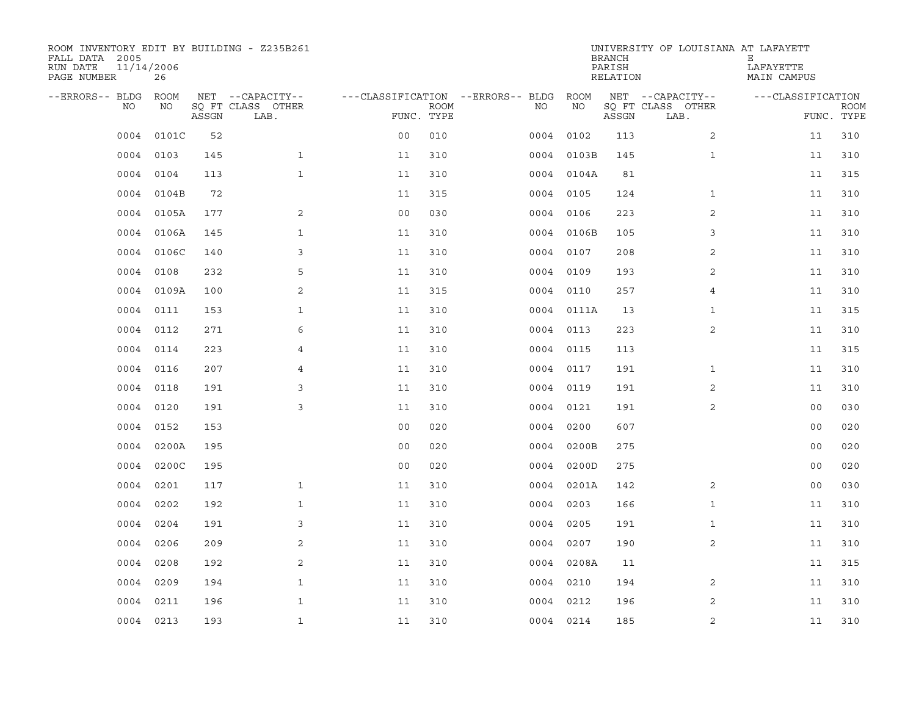| ROOM INVENTORY EDIT BY BUILDING - Z235B261<br>FALL DATA 2005<br>RUN DATE<br>PAGE NUMBER | 11/14/2006<br>26 |       |                           |                                   |             |           |            | <b>BRANCH</b><br>PARISH<br>RELATION | UNIVERSITY OF LOUISIANA AT LAFAYETT | Е<br>LAFAYETTE<br>MAIN CAMPUS |                           |
|-----------------------------------------------------------------------------------------|------------------|-------|---------------------------|-----------------------------------|-------------|-----------|------------|-------------------------------------|-------------------------------------|-------------------------------|---------------------------|
| --ERRORS-- BLDG                                                                         | ROOM             |       | NET --CAPACITY--          | ---CLASSIFICATION --ERRORS-- BLDG |             |           | ROOM       |                                     | NET --CAPACITY--                    | ---CLASSIFICATION             |                           |
| NO.                                                                                     | NO               | ASSGN | SQ FT CLASS OTHER<br>LAB. | FUNC. TYPE                        | <b>ROOM</b> | NO.       | NO         | ASSGN                               | SQ FT CLASS OTHER<br>LAB.           |                               | <b>ROOM</b><br>FUNC. TYPE |
| 0004                                                                                    | 0101C            | 52    |                           | 0 <sub>0</sub>                    | 010         | 0004      | 0102       | 113                                 | $\overline{2}$                      | 11                            | 310                       |
| 0004                                                                                    | 0103             | 145   | $\mathbf{1}$              | 11                                | 310         |           | 0004 0103B | 145                                 | $\mathbf{1}$                        | 11                            | 310                       |
| 0004                                                                                    | 0104             | 113   | $\mathbf{1}$              | 11                                | 310         |           | 0004 0104A | 81                                  |                                     | 11                            | 315                       |
| 0004                                                                                    | 0104B            | 72    |                           | 11                                | 315         |           | 0004 0105  | 124                                 | $\mathbf{1}$                        | 11                            | 310                       |
| 0004                                                                                    | 0105A            | 177   | 2                         | 00                                | 030         | 0004      | 0106       | 223                                 | 2                                   | 11                            | 310                       |
| 0004                                                                                    | 0106A            | 145   | $\mathbf{1}$              | 11                                | 310         |           | 0004 0106B | 105                                 | 3                                   | 11                            | 310                       |
| 0004                                                                                    | 0106C            | 140   | 3                         | 11                                | 310         | 0004      | 0107       | 208                                 | 2                                   | 11                            | 310                       |
| 0004                                                                                    | 0108             | 232   | 5                         | 11                                | 310         | 0004      | 0109       | 193                                 | 2                                   | 11                            | 310                       |
| 0004                                                                                    | 0109A            | 100   | 2                         | 11                                | 315         |           | 0004 0110  | 257                                 | 4                                   | 11                            | 310                       |
| 0004                                                                                    | 0111             | 153   | $\mathbf{1}$              | 11                                | 310         |           | 0004 0111A | 13                                  | $\mathbf{1}$                        | 11                            | 315                       |
| 0004                                                                                    | 0112             | 271   | 6                         | 11                                | 310         | 0004 0113 |            | 223                                 | $\overline{2}$                      | 11                            | 310                       |
|                                                                                         | 0004 0114        | 223   | 4                         | 11                                | 310         |           | 0004 0115  | 113                                 |                                     | 11                            | 315                       |
| 0004                                                                                    | 0116             | 207   | 4                         | 11                                | 310         |           | 0004 0117  | 191                                 | $\mathbf{1}$                        | 11                            | 310                       |
| 0004                                                                                    | 0118             | 191   | 3                         | 11                                | 310         |           | 0004 0119  | 191                                 | 2                                   | 11                            | 310                       |
| 0004                                                                                    | 0120             | 191   | 3                         | 11                                | 310         | 0004      | 0121       | 191                                 | 2                                   | 00                            | 030                       |
| 0004                                                                                    | 0152             | 153   |                           | 0 <sub>0</sub>                    | 020         |           | 0004 0200  | 607                                 |                                     | 0 <sub>0</sub>                | 020                       |
| 0004                                                                                    | 0200A            | 195   |                           | 0 <sub>0</sub>                    | 020         | 0004      | 0200B      | 275                                 |                                     | 00                            | 020                       |
| 0004                                                                                    | 0200C            | 195   |                           | 0 <sub>0</sub>                    | 020         | 0004      | 0200D      | 275                                 |                                     | 00                            | 020                       |
| 0004                                                                                    | 0201             | 117   | $\mathbf{1}$              | 11                                | 310         |           | 0004 0201A | 142                                 | 2                                   | 00                            | 030                       |
| 0004                                                                                    | 0202             | 192   | $\mathbf{1}$              | 11                                | 310         |           | 0004 0203  | 166                                 | $\mathbf{1}$                        | 11                            | 310                       |
| 0004                                                                                    | 0204             | 191   | 3                         | 11                                | 310         | 0004 0205 |            | 191                                 | $\mathbf{1}$                        | 11                            | 310                       |
| 0004                                                                                    | 0206             | 209   | 2                         | 11                                | 310         |           | 0004 0207  | 190                                 | 2                                   | 11                            | 310                       |
| 0004                                                                                    | 0208             | 192   | 2                         | 11                                | 310         |           | 0004 0208A | 11                                  |                                     | 11                            | 315                       |
| 0004                                                                                    | 0209             | 194   | $\mathbf{1}$              | 11                                | 310         |           | 0004 0210  | 194                                 | 2                                   | 11                            | 310                       |
| 0004                                                                                    | 0211             | 196   | $\mathbf{1}$              | 11                                | 310         | 0004      | 0212       | 196                                 | 2                                   | 11                            | 310                       |
|                                                                                         | 0004 0213        | 193   | $\mathbf{1}$              | 11                                | 310         | 0004 0214 |            | 185                                 | 2                                   | 11                            | 310                       |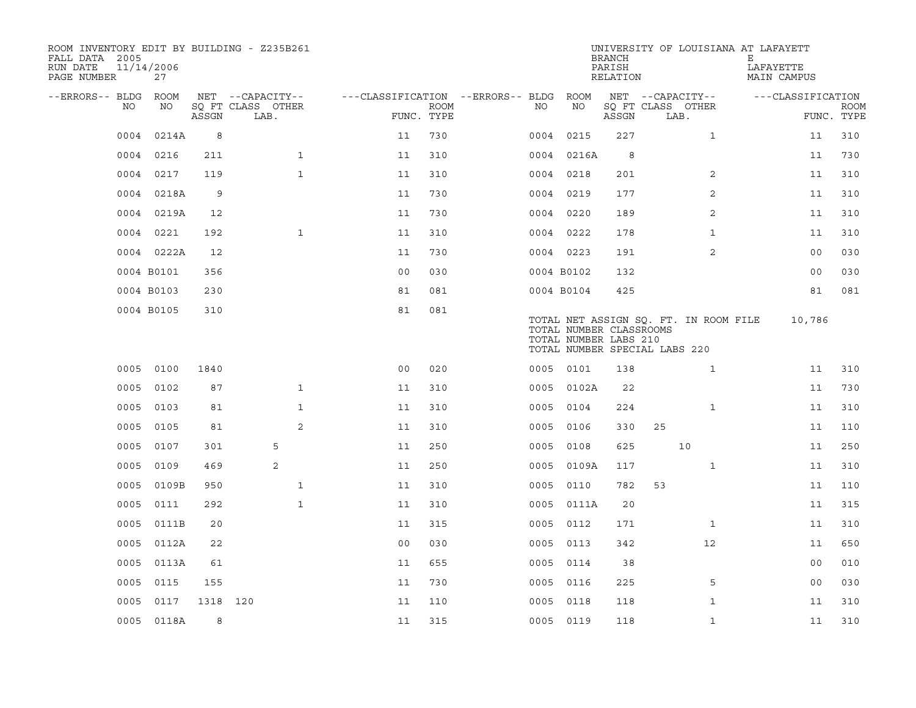| ROOM INVENTORY EDIT BY BUILDING - Z235B261<br>FALL DATA 2005<br>RUN DATE<br>PAGE NUMBER | 11/14/2006<br>27 |          |                           |                                        |             |      |                                                  | <b>BRANCH</b><br>PARISH<br>RELATION | UNIVERSITY OF LOUISIANA AT LAFAYETT                                    | Е<br>LAFAYETTE<br>MAIN CAMPUS |                           |
|-----------------------------------------------------------------------------------------|------------------|----------|---------------------------|----------------------------------------|-------------|------|--------------------------------------------------|-------------------------------------|------------------------------------------------------------------------|-------------------------------|---------------------------|
| --ERRORS-- BLDG ROOM                                                                    |                  |          | NET --CAPACITY--          | ---CLASSIFICATION --ERRORS-- BLDG ROOM |             |      |                                                  |                                     | NET --CAPACITY--                                                       | ---CLASSIFICATION             |                           |
| NO                                                                                      | NO               | ASSGN    | SQ FT CLASS OTHER<br>LAB. | FUNC. TYPE                             | <b>ROOM</b> | NO   | NO                                               | ASSGN                               | SQ FT CLASS OTHER<br>LAB.                                              |                               | <b>ROOM</b><br>FUNC. TYPE |
| 0004                                                                                    | 0214A            | 8        |                           | 11                                     | 730         | 0004 | 0215                                             | 227                                 | $\mathbf{1}$                                                           | 11                            | 310                       |
| 0004                                                                                    | 0216             | 211      | $\mathbf{1}$              | 11                                     | 310         |      | 0004 0216A                                       | 8                                   |                                                                        | 11                            | 730                       |
| 0004                                                                                    | 0217             | 119      | $\mathbf{1}$              | 11                                     | 310         |      | 0004 0218                                        | 201                                 | 2                                                                      | 11                            | 310                       |
|                                                                                         | 0004 0218A       | 9        |                           | 11                                     | 730         |      | 0004 0219                                        | 177                                 | $\overline{2}$                                                         | 11                            | 310                       |
| 0004                                                                                    | 0219A            | 12       |                           | 11                                     | 730         |      | 0004 0220                                        | 189                                 | 2                                                                      | 11                            | 310                       |
|                                                                                         | 0004 0221        | 192      | $\mathbf{1}$              | 11                                     | 310         |      | 0004 0222                                        | 178                                 | $\mathbf{1}$                                                           | 11                            | 310                       |
|                                                                                         | 0004 0222A       | 12       |                           | 11                                     | 730         |      | 0004 0223                                        | 191                                 | 2                                                                      | 0 <sub>0</sub>                | 030                       |
|                                                                                         | 0004 B0101       | 356      |                           | 0 <sub>0</sub>                         | 030         |      | 0004 B0102                                       | 132                                 |                                                                        | 00                            | 030                       |
|                                                                                         | 0004 B0103       | 230      |                           | 81                                     | 081         |      | 0004 B0104                                       | 425                                 |                                                                        | 81                            | 081                       |
|                                                                                         | 0004 B0105       | 310      |                           | 81                                     | 081         |      | TOTAL NUMBER CLASSROOMS<br>TOTAL NUMBER LABS 210 |                                     | TOTAL NET ASSIGN SQ. FT. IN ROOM FILE<br>TOTAL NUMBER SPECIAL LABS 220 | 10,786                        |                           |
|                                                                                         | 0005 0100        | 1840     |                           | 0 <sub>0</sub>                         | 020         |      | 0005 0101                                        | 138                                 | $\mathbf{1}$                                                           | 11                            | 310                       |
| 0005                                                                                    | 0102             | 87       | $\mathbf{1}$              | 11                                     | 310         |      | 0005 0102A                                       | 22                                  |                                                                        | 11                            | 730                       |
| 0005                                                                                    | 0103             | 81       | $\mathbf{1}$              | 11                                     | 310         |      | 0005 0104                                        | 224                                 | $\mathbf{1}$                                                           | 11                            | 310                       |
| 0005                                                                                    | 0105             | 81       | 2                         | 11                                     | 310         | 0005 | 0106                                             | 330                                 | 25                                                                     | 11                            | 110                       |
| 0005                                                                                    | 0107             | 301      | 5                         | 11                                     | 250         | 0005 | 0108                                             | 625                                 | 10                                                                     | 11                            | 250                       |
| 0005                                                                                    | 0109             | 469      | 2                         | 11                                     | 250         |      | 0005 0109A                                       | 117                                 | $\mathbf{1}$                                                           | 11                            | 310                       |
| 0005                                                                                    | 0109B            | 950      | $\mathbf{1}$              | 11                                     | 310         |      | 0005 0110                                        | 782                                 | 53                                                                     | 11                            | 110                       |
| 0005                                                                                    | 0111             | 292      | $\mathbf{1}$              | 11                                     | 310         |      | 0005 0111A                                       | 20                                  |                                                                        | 11                            | 315                       |
| 0005                                                                                    | 0111B            | 20       |                           | 11                                     | 315         |      | 0005 0112                                        | 171                                 | $\mathbf{1}$                                                           | 11                            | 310                       |
| 0005                                                                                    | 0112A            | 22       |                           | 0 <sub>0</sub>                         | 030         |      | 0005 0113                                        | 342                                 | $12 \overline{ }$                                                      | 11                            | 650                       |
| 0005                                                                                    | 0113A            | 61       |                           | 11                                     | 655         |      | 0005 0114                                        | 38                                  |                                                                        | 00                            | 010                       |
| 0005                                                                                    | 0115             | 155      |                           | 11                                     | 730         |      | 0005 0116                                        | 225                                 | 5                                                                      | 0 <sub>0</sub>                | 030                       |
| 0005                                                                                    | 0117             | 1318 120 |                           | 11                                     | 110         |      | 0005 0118                                        | 118                                 | $\mathbf{1}$                                                           | 11                            | 310                       |
|                                                                                         | 0005 0118A       | 8        |                           | 11                                     | 315         |      | 0005 0119                                        | 118                                 | $\mathbf{1}$                                                           | 11                            | 310                       |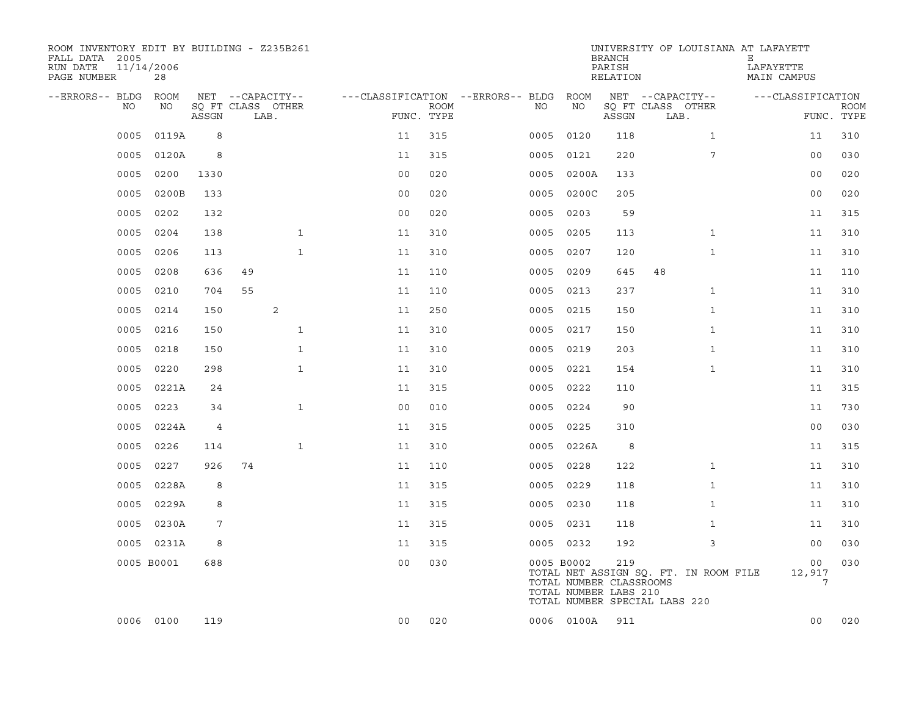| ROOM INVENTORY EDIT BY BUILDING - Z235B261<br>FALL DATA 2005<br>RUN DATE<br>PAGE NUMBER | 11/14/2006<br>28 |       |    |                           |                |                           |                                   |      |                                                                | <b>BRANCH</b><br>PARISH<br>RELATION | UNIVERSITY OF LOUISIANA AT LAFAYETT                                    | Е<br>LAFAYETTE<br><b>MAIN CAMPUS</b> |                           |
|-----------------------------------------------------------------------------------------|------------------|-------|----|---------------------------|----------------|---------------------------|-----------------------------------|------|----------------------------------------------------------------|-------------------------------------|------------------------------------------------------------------------|--------------------------------------|---------------------------|
| --ERRORS-- BLDG                                                                         | ROOM             |       |    | NET --CAPACITY--          |                |                           | ---CLASSIFICATION --ERRORS-- BLDG |      | ROOM                                                           |                                     | NET --CAPACITY--                                                       | ---CLASSIFICATION                    |                           |
| NO                                                                                      | NO               | ASSGN |    | SO FT CLASS OTHER<br>LAB. |                | <b>ROOM</b><br>FUNC. TYPE |                                   | NO   | NO                                                             | ASSGN                               | SQ FT CLASS OTHER<br>LAB.                                              |                                      | <b>ROOM</b><br>FUNC. TYPE |
| 0005                                                                                    | 0119A            | 8     |    |                           | 11             | 315                       |                                   | 0005 | 0120                                                           | 118                                 | $\mathbf{1}$                                                           | 11                                   | 310                       |
| 0005                                                                                    | 0120A            | 8     |    |                           | 11             | 315                       |                                   | 0005 | 0121                                                           | 220                                 | 7                                                                      | 00                                   | 030                       |
| 0005                                                                                    | 0200             | 1330  |    |                           | 0 <sub>0</sub> | 020                       |                                   | 0005 | 0200A                                                          | 133                                 |                                                                        | 0 <sub>0</sub>                       | 020                       |
| 0005                                                                                    | 0200B            | 133   |    |                           | 0 <sub>0</sub> | 020                       |                                   |      | 0005 0200C                                                     | 205                                 |                                                                        | 0 <sub>0</sub>                       | 020                       |
| 0005                                                                                    | 0202             | 132   |    |                           | 00             | 020                       |                                   | 0005 | 0203                                                           | 59                                  |                                                                        | 11                                   | 315                       |
| 0005                                                                                    | 0204             | 138   |    | $\mathbf{1}$              | 11             | 310                       |                                   |      | 0005 0205                                                      | 113                                 | $\mathbf{1}$                                                           | 11                                   | 310                       |
| 0005                                                                                    | 0206             | 113   |    | $\mathbf{1}$              | 11             | 310                       |                                   | 0005 | 0207                                                           | 120                                 | $\mathbf{1}$                                                           | 11                                   | 310                       |
| 0005                                                                                    | 0208             | 636   | 49 |                           | 11             | 110                       |                                   | 0005 | 0209                                                           | 645                                 | 48                                                                     | 11                                   | 110                       |
| 0005                                                                                    | 0210             | 704   | 55 |                           | 11             | 110                       |                                   | 0005 | 0213                                                           | 237                                 | $\mathbf{1}$                                                           | 11                                   | 310                       |
| 0005                                                                                    | 0214             | 150   |    | 2                         | 11             | 250                       |                                   |      | 0005 0215                                                      | 150                                 | $\mathbf{1}$                                                           | 11                                   | 310                       |
| 0005                                                                                    | 0216             | 150   |    | $\mathbf{1}$              | 11             | 310                       |                                   |      | 0005 0217                                                      | 150                                 | $\mathbf{1}$                                                           | 11                                   | 310                       |
| 0005                                                                                    | 0218             | 150   |    | $\mathbf 1$               | 11             | 310                       |                                   |      | 0005 0219                                                      | 203                                 | $\mathbf{1}$                                                           | 11                                   | 310                       |
| 0005                                                                                    | 0220             | 298   |    | $\mathbf{1}$              | 11             | 310                       |                                   | 0005 | 0221                                                           | 154                                 | $\mathbf{1}$                                                           | 11                                   | 310                       |
| 0005                                                                                    | 0221A            | 24    |    |                           | 11             | 315                       |                                   |      | 0005 0222                                                      | 110                                 |                                                                        | 11                                   | 315                       |
| 0005                                                                                    | 0223             | 34    |    | $\mathbf{1}$              | 0 <sub>0</sub> | 010                       |                                   |      | 0005 0224                                                      | 90                                  |                                                                        | 11                                   | 730                       |
| 0005                                                                                    | 0224A            | 4     |    |                           | 11             | 315                       |                                   |      | 0005 0225                                                      | 310                                 |                                                                        | 00                                   | 030                       |
| 0005                                                                                    | 0226             | 114   |    | $\mathbf{1}$              | 11             | 310                       |                                   |      | 0005 0226A                                                     | 8                                   |                                                                        | 11                                   | 315                       |
| 0005                                                                                    | 0227             | 926   | 74 |                           | 11             | 110                       |                                   |      | 0005 0228                                                      | 122                                 | $\mathbf{1}$                                                           | 11                                   | 310                       |
| 0005                                                                                    | 0228A            | 8     |    |                           | 11             | 315                       |                                   |      | 0005 0229                                                      | 118                                 | $\mathbf{1}$                                                           | 11                                   | 310                       |
| 0005                                                                                    | 0229A            | 8     |    |                           | 11             | 315                       |                                   |      | 0005 0230                                                      | 118                                 | $\mathbf{1}$                                                           | 11                                   | 310                       |
| 0005                                                                                    | 0230A            | 7     |    |                           | 11             | 315                       |                                   |      | 0005 0231                                                      | 118                                 | $\mathbf{1}$                                                           | 11                                   | 310                       |
| 0005                                                                                    | 0231A            | 8     |    |                           | 11             | 315                       |                                   |      | 0005 0232                                                      | 192                                 | 3                                                                      | 0 <sub>0</sub>                       | 030                       |
|                                                                                         | 0005 B0001       | 688   |    |                           | 0 <sub>0</sub> | 030                       |                                   |      | 0005 B0002<br>TOTAL NUMBER CLASSROOMS<br>TOTAL NUMBER LABS 210 | 219                                 | TOTAL NET ASSIGN SQ. FT. IN ROOM FILE<br>TOTAL NUMBER SPECIAL LABS 220 | 00<br>12,917                         | 030<br>7                  |
|                                                                                         | 0006 0100        | 119   |    |                           | 00             | 020                       |                                   |      | 0006 0100A                                                     | 911                                 |                                                                        | 00                                   | 020                       |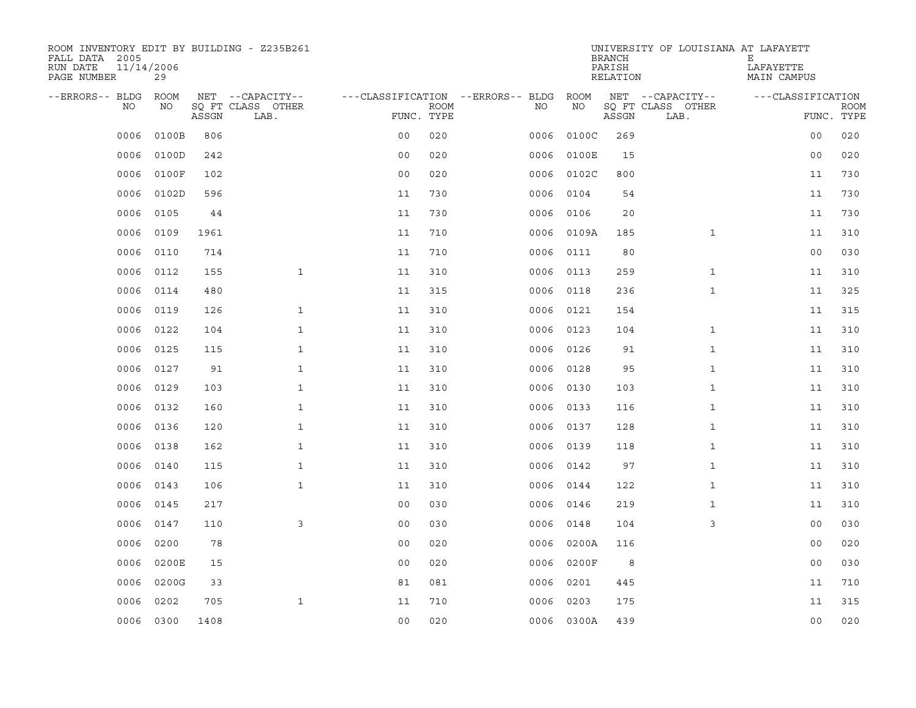| ROOM INVENTORY EDIT BY BUILDING - Z235B261<br>FALL DATA 2005<br>RUN DATE<br>PAGE NUMBER | 11/14/2006<br>29 |       |                           |                                   |             |           |            | <b>BRANCH</b><br>PARISH<br>RELATION | UNIVERSITY OF LOUISIANA AT LAFAYETT | Е<br>LAFAYETTE<br>MAIN CAMPUS |                           |
|-----------------------------------------------------------------------------------------|------------------|-------|---------------------------|-----------------------------------|-------------|-----------|------------|-------------------------------------|-------------------------------------|-------------------------------|---------------------------|
| --ERRORS-- BLDG                                                                         | <b>ROOM</b>      |       | NET --CAPACITY--          | ---CLASSIFICATION --ERRORS-- BLDG |             |           | ROOM       |                                     | NET --CAPACITY--                    | ---CLASSIFICATION             |                           |
| NO                                                                                      | NO               | ASSGN | SO FT CLASS OTHER<br>LAB. | FUNC. TYPE                        | <b>ROOM</b> | NO.       | NO         | ASSGN                               | SQ FT CLASS OTHER<br>LAB.           |                               | <b>ROOM</b><br>FUNC. TYPE |
| 0006                                                                                    | 0100B            | 806   |                           | 0 <sub>0</sub>                    | 020         | 0006      | 0100C      | 269                                 |                                     | 00                            | 020                       |
| 0006                                                                                    | 0100D            | 242   |                           | 0 <sub>0</sub>                    | 020         | 0006      | 0100E      | 15                                  |                                     | 00                            | 020                       |
| 0006                                                                                    | 0100F            | 102   |                           | 0 <sub>0</sub>                    | 020         | 0006      | 0102C      | 800                                 |                                     | 11                            | 730                       |
| 0006                                                                                    | 0102D            | 596   |                           | 11                                | 730         | 0006      | 0104       | 54                                  |                                     | 11                            | 730                       |
| 0006                                                                                    | 0105             | 44    |                           | 11                                | 730         | 0006      | 0106       | 20                                  |                                     | 11                            | 730                       |
| 0006                                                                                    | 0109             | 1961  |                           | 11                                | 710         |           | 0006 0109A | 185                                 | $\mathbf{1}$                        | 11                            | 310                       |
| 0006                                                                                    | 0110             | 714   |                           | 11                                | 710         | 0006      | 0111       | 80                                  |                                     | 00                            | 030                       |
| 0006                                                                                    | 0112             | 155   | $\mathbf{1}$              | 11                                | 310         | 0006      | 0113       | 259                                 | $\mathbf{1}$                        | 11                            | 310                       |
| 0006                                                                                    | 0114             | 480   |                           | 11                                | 315         | 0006      | 0118       | 236                                 | $\mathbf{1}$                        | 11                            | 325                       |
| 0006                                                                                    | 0119             | 126   | $\mathbf{1}$              | 11                                | 310         | 0006 0121 |            | 154                                 |                                     | 11                            | 315                       |
| 0006                                                                                    | 0122             | 104   | $\mathbf{1}$              | 11                                | 310         | 0006      | 0123       | 104                                 | $\mathbf{1}$                        | 11                            | 310                       |
| 0006                                                                                    | 0125             | 115   | $\mathbf{1}$              | 11                                | 310         | 0006 0126 |            | 91                                  | $\mathbf{1}$                        | 11                            | 310                       |
| 0006                                                                                    | 0127             | 91    | $\mathbf{1}$              | 11                                | 310         | 0006      | 0128       | 95                                  | $\mathbf{1}$                        | 11                            | 310                       |
| 0006                                                                                    | 0129             | 103   | $\mathbf{1}$              | 11                                | 310         | 0006 0130 |            | 103                                 | $\mathbf{1}$                        | 11                            | 310                       |
| 0006                                                                                    | 0132             | 160   | $\mathbf{1}$              | 11                                | 310         | 0006      | 0133       | 116                                 | $\mathbf{1}$                        | 11                            | 310                       |
| 0006                                                                                    | 0136             | 120   | $\mathbf{1}$              | 11                                | 310         | 0006      | 0137       | 128                                 | $\mathbf{1}$                        | 11                            | 310                       |
| 0006                                                                                    | 0138             | 162   | $\mathbf{1}$              | 11                                | 310         | 0006      | 0139       | 118                                 | $\mathbf{1}$                        | 11                            | 310                       |
| 0006                                                                                    | 0140             | 115   | $\mathbf{1}$              | 11                                | 310         | 0006      | 0142       | 97                                  | $\mathbf{1}$                        | 11                            | 310                       |
| 0006                                                                                    | 0143             | 106   | $\mathbf{1}$              | 11                                | 310         | 0006      | 0144       | 122                                 | $\mathbf{1}$                        | 11                            | 310                       |
| 0006                                                                                    | 0145             | 217   |                           | 0 <sub>0</sub>                    | 030         | 0006      | 0146       | 219                                 | $\mathbf{1}$                        | 11                            | 310                       |
| 0006                                                                                    | 0147             | 110   | 3                         | 0 <sub>0</sub>                    | 030         | 0006      | 0148       | 104                                 | 3                                   | 00                            | 030                       |
| 0006                                                                                    | 0200             | 78    |                           | 0 <sub>0</sub>                    | 020         | 0006      | 0200A      | 116                                 |                                     | 0 <sub>0</sub>                | 020                       |
| 0006                                                                                    | 0200E            | 15    |                           | 0 <sub>0</sub>                    | 020         | 0006      | 0200F      | 8                                   |                                     | 0 <sub>0</sub>                | 030                       |
| 0006                                                                                    | 0200G            | 33    |                           | 81                                | 081         | 0006      | 0201       | 445                                 |                                     | 11                            | 710                       |
| 0006                                                                                    | 0202             | 705   | $\mathbf{1}$              | 11                                | 710         | 0006      | 0203       | 175                                 |                                     | 11                            | 315                       |
|                                                                                         | 0006 0300        | 1408  |                           | 0 <sub>0</sub>                    | 020         |           | 0006 0300A | 439                                 |                                     | 0 <sub>0</sub>                | 020                       |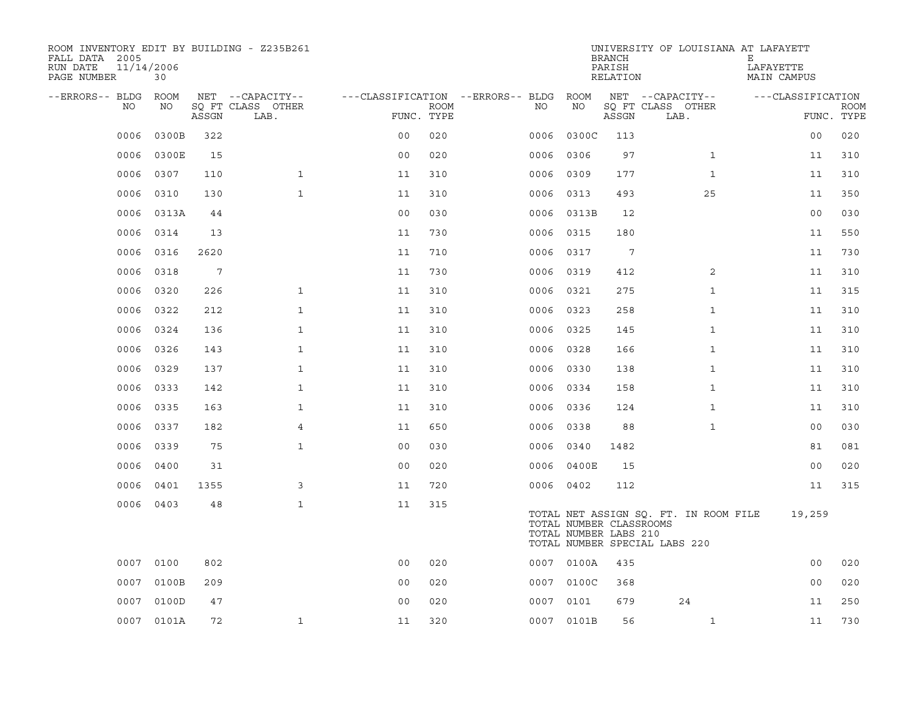| ROOM INVENTORY EDIT BY BUILDING - Z235B261<br>FALL DATA 2005<br>11/14/2006<br>RUN DATE<br>PAGE NUMBER | 30         |       |                           |                |             |                                   |                                                  | <b>BRANCH</b><br>PARISH<br>RELATION | UNIVERSITY OF LOUISIANA AT LAFAYETT                                    | Е<br>LAFAYETTE<br>MAIN CAMPUS |                           |
|-------------------------------------------------------------------------------------------------------|------------|-------|---------------------------|----------------|-------------|-----------------------------------|--------------------------------------------------|-------------------------------------|------------------------------------------------------------------------|-------------------------------|---------------------------|
| --ERRORS-- BLDG                                                                                       | ROOM       |       | NET --CAPACITY--          |                |             | ---CLASSIFICATION --ERRORS-- BLDG | ROOM                                             |                                     | NET --CAPACITY--                                                       | ---CLASSIFICATION             |                           |
| NO.                                                                                                   | NO         | ASSGN | SQ FT CLASS OTHER<br>LAB. | FUNC. TYPE     | <b>ROOM</b> | NO.                               | NO                                               | ASSGN                               | SQ FT CLASS OTHER<br>LAB.                                              |                               | <b>ROOM</b><br>FUNC. TYPE |
| 0006                                                                                                  | 0300B      | 322   |                           | 00             | 020         | 0006                              | 0300C                                            | 113                                 |                                                                        | 0 <sub>0</sub>                | 020                       |
| 0006                                                                                                  | 0300E      | 15    |                           | 0 <sub>0</sub> | 020         | 0006                              | 0306                                             | 97                                  | $\mathbf{1}$                                                           | 11                            | 310                       |
| 0006                                                                                                  | 0307       | 110   | $\mathbf{1}$              | 11             | 310         | 0006                              | 0309                                             | 177                                 | $\mathbf{1}$                                                           | 11                            | 310                       |
| 0006                                                                                                  | 0310       | 130   | $\mathbf{1}$              | 11             | 310         | 0006                              | 0313                                             | 493                                 | 25                                                                     | 11                            | 350                       |
| 0006                                                                                                  | 0313A      | 44    |                           | 0 <sub>0</sub> | 030         | 0006                              | 0313B                                            | 12                                  |                                                                        | 0 <sub>0</sub>                | 030                       |
| 0006                                                                                                  | 0314       | 13    |                           | 11             | 730         | 0006                              | 0315                                             | 180                                 |                                                                        | 11                            | 550                       |
| 0006                                                                                                  | 0316       | 2620  |                           | 11             | 710         | 0006                              | 0317                                             | 7                                   |                                                                        | 11                            | 730                       |
| 0006                                                                                                  | 0318       | 7     |                           | 11             | 730         | 0006                              | 0319                                             | 412                                 | 2                                                                      | 11                            | 310                       |
| 0006                                                                                                  | 0320       | 226   | $\mathbf{1}$              | 11             | 310         | 0006                              | 0321                                             | 275                                 | $\mathbf{1}$                                                           | 11                            | 315                       |
| 0006                                                                                                  | 0322       | 212   | $\mathbf{1}$              | 11             | 310         | 0006                              | 0323                                             | 258                                 | $\mathbf{1}$                                                           | 11                            | 310                       |
| 0006                                                                                                  | 0324       | 136   | $\mathbf{1}$              | 11             | 310         | 0006                              | 0325                                             | 145                                 | $\mathbf{1}$                                                           | 11                            | 310                       |
| 0006                                                                                                  | 0326       | 143   | $\mathbf{1}$              | 11             | 310         | 0006                              | 0328                                             | 166                                 | $\mathbf{1}$                                                           | 11                            | 310                       |
| 0006                                                                                                  | 0329       | 137   | $\mathbf{1}$              | 11             | 310         | 0006                              | 0330                                             | 138                                 | $\mathbf{1}$                                                           | 11                            | 310                       |
| 0006                                                                                                  | 0333       | 142   | $\mathbf{1}$              | 11             | 310         |                                   | 0006 0334                                        | 158                                 | $\mathbf{1}$                                                           | 11                            | 310                       |
| 0006                                                                                                  | 0335       | 163   | $\mathbf{1}$              | 11             | 310         | 0006                              | 0336                                             | 124                                 | $\mathbf{1}$                                                           | 11                            | 310                       |
| 0006                                                                                                  | 0337       | 182   | $\overline{4}$            | 11             | 650         | 0006                              | 0338                                             | 88                                  | $\mathbf{1}$                                                           | 0 <sub>0</sub>                | 030                       |
| 0006                                                                                                  | 0339       | 75    | $\mathbf{1}$              | 0 <sub>0</sub> | 030         | 0006                              | 0340                                             | 1482                                |                                                                        | 81                            | 081                       |
| 0006                                                                                                  | 0400       | 31    |                           | 0 <sub>0</sub> | 020         | 0006                              | 0400E                                            | 15                                  |                                                                        | 0 <sub>0</sub>                | 020                       |
| 0006                                                                                                  | 0401       | 1355  | 3                         | 11             | 720         |                                   | 0006 0402                                        | 112                                 |                                                                        | 11                            | 315                       |
| 0006                                                                                                  | 0403       | 48    | $\mathbf{1}$              | 11             | 315         |                                   | TOTAL NUMBER CLASSROOMS<br>TOTAL NUMBER LABS 210 |                                     | TOTAL NET ASSIGN SQ. FT. IN ROOM FILE<br>TOTAL NUMBER SPECIAL LABS 220 | 19,259                        |                           |
|                                                                                                       | 0007 0100  | 802   |                           | 0 <sub>0</sub> | 020         |                                   | 0007 0100A                                       | 435                                 |                                                                        | 0 <sub>0</sub>                | 020                       |
| 0007                                                                                                  | 0100B      | 209   |                           | 0 <sub>0</sub> | 020         |                                   | 0007 0100C                                       | 368                                 |                                                                        | 0 <sub>0</sub>                | 020                       |
|                                                                                                       | 0007 0100D | 47    |                           | 0 <sub>0</sub> | 020         |                                   | 0007 0101                                        | 679                                 | 24                                                                     | 11                            | 250                       |
|                                                                                                       | 0007 0101A | 72    | $\mathbf{1}$              | 11             | 320         |                                   | 0007 0101B                                       | 56                                  | $\mathbf{1}$                                                           | 11                            | 730                       |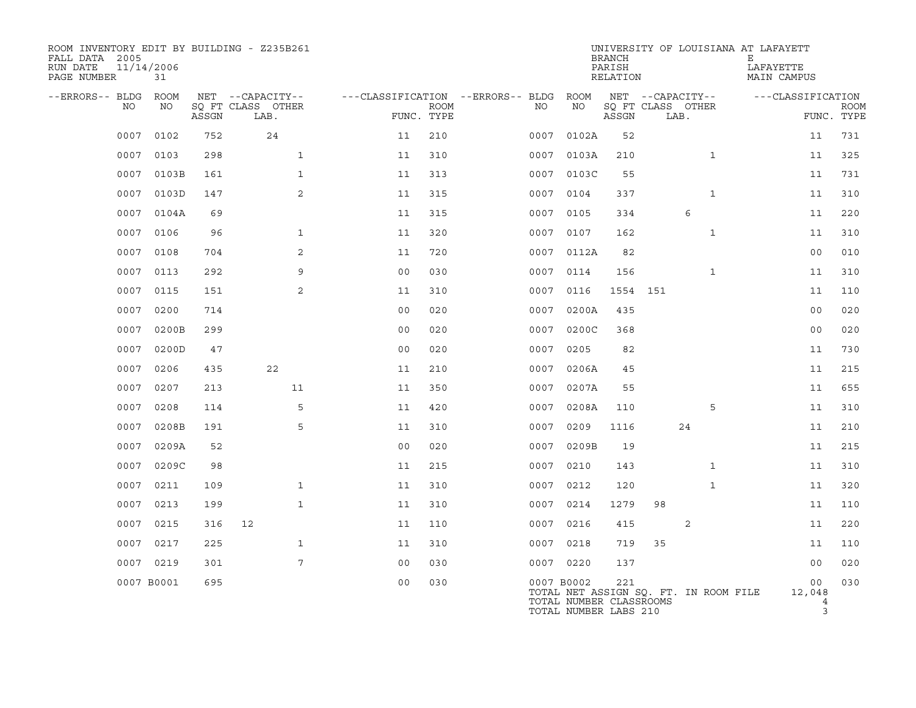| ROOM INVENTORY EDIT BY BUILDING - Z235B261<br>FALL DATA 2005<br>RUN DATE<br>PAGE NUMBER | 11/14/2006<br>31 |       |                           |                |             |                                   |                                                                | <b>BRANCH</b><br>PARISH<br>RELATION | UNIVERSITY OF LOUISIANA AT LAFAYETT   | Е<br>LAFAYETTE<br>MAIN CAMPUS |                           |
|-----------------------------------------------------------------------------------------|------------------|-------|---------------------------|----------------|-------------|-----------------------------------|----------------------------------------------------------------|-------------------------------------|---------------------------------------|-------------------------------|---------------------------|
| --ERRORS-- BLDG                                                                         | ROOM             |       | NET --CAPACITY--          |                |             | ---CLASSIFICATION --ERRORS-- BLDG | ROOM                                                           |                                     | NET --CAPACITY--                      | ---CLASSIFICATION             |                           |
| NO                                                                                      | NO               | ASSGN | SO FT CLASS OTHER<br>LAB. | FUNC. TYPE     | <b>ROOM</b> | NO                                | NO                                                             | ASSGN                               | SQ FT CLASS OTHER<br>LAB.             |                               | <b>ROOM</b><br>FUNC. TYPE |
| 0007                                                                                    | 0102             | 752   | 24                        | 11             | 210         | 0007                              | 0102A                                                          | 52                                  |                                       | 11                            | 731                       |
| 0007                                                                                    | 0103             | 298   | $\mathbf{1}$              | 11             | 310         | 0007                              | 0103A                                                          | 210                                 | $\mathbf{1}$                          | 11                            | 325                       |
| 0007                                                                                    | 0103B            | 161   | $\mathbf{1}$              | 11             | 313         |                                   | 0007 0103C                                                     | 55                                  |                                       | 11                            | 731                       |
| 0007                                                                                    | 0103D            | 147   | $\overline{2}$            | 11             | 315         | 0007                              | 0104                                                           | 337                                 | $\mathbf{1}$                          | 11                            | 310                       |
| 0007                                                                                    | 0104A            | 69    |                           | 11             | 315         |                                   | 0007 0105                                                      | 334                                 | 6                                     | 11                            | 220                       |
| 0007                                                                                    | 0106             | 96    | $\mathbf{1}$              | 11             | 320         |                                   | 0007 0107                                                      | 162                                 | $\mathbf{1}$                          | 11                            | 310                       |
| 0007                                                                                    | 0108             | 704   | 2                         | 11             | 720         |                                   | 0007 0112A                                                     | 82                                  |                                       | 00                            | 010                       |
| 0007                                                                                    | 0113             | 292   | 9                         | 0 <sub>0</sub> | 030         |                                   | 0007 0114                                                      | 156                                 | $\mathbf{1}$                          | 11                            | 310                       |
| 0007                                                                                    | 0115             | 151   | 2                         | 11             | 310         |                                   | 0007 0116                                                      | 1554 151                            |                                       | 11                            | 110                       |
| 0007                                                                                    | 0200             | 714   |                           | 0 <sub>0</sub> | 020         | 0007                              | 0200A                                                          | 435                                 |                                       | 0 <sub>0</sub>                | 020                       |
| 0007                                                                                    | 0200B            | 299   |                           | 0 <sub>0</sub> | 020         | 0007                              | 0200C                                                          | 368                                 |                                       | 0 <sub>0</sub>                | 020                       |
| 0007                                                                                    | 0200D            | 47    |                           | 0 <sub>0</sub> | 020         |                                   | 0007 0205                                                      | 82                                  |                                       | 11                            | 730                       |
| 0007                                                                                    | 0206             | 435   | 22                        | 11             | 210         | 0007                              | 0206A                                                          | 45                                  |                                       | 11                            | 215                       |
| 0007                                                                                    | 0207             | 213   | 11                        | 11             | 350         |                                   | 0007 0207A                                                     | 55                                  |                                       | 11                            | 655                       |
| 0007                                                                                    | 0208             | 114   | 5                         | 11             | 420         | 0007                              | 0208A                                                          | 110                                 | 5                                     | 11                            | 310                       |
| 0007                                                                                    | 0208B            | 191   | 5                         | 11             | 310         |                                   | 0007 0209                                                      | 1116                                | 24                                    | 11                            | 210                       |
| 0007                                                                                    | 0209A            | 52    |                           | 0 <sub>0</sub> | 020         | 0007                              | 0209B                                                          | 19                                  |                                       | 11                            | 215                       |
| 0007                                                                                    | 0209C            | 98    |                           | 11             | 215         |                                   | 0007 0210                                                      | 143                                 | $\mathbf{1}$                          | 11                            | 310                       |
| 0007                                                                                    | 0211             | 109   | $\mathbf{1}$              | 11             | 310         | 0007                              | 0212                                                           | 120                                 | $\mathbf{1}$                          | 11                            | 320                       |
| 0007                                                                                    | 0213             | 199   | $\mathbf{1}$              | 11             | 310         |                                   | 0007 0214                                                      | 1279                                | 98                                    | 11                            | 110                       |
| 0007                                                                                    | 0215             | 316   | 12                        | 11             | 110         |                                   | 0007 0216                                                      | 415                                 | 2                                     | 11                            | 220                       |
| 0007                                                                                    | 0217             | 225   | $\mathbf{1}$              | 11             | 310         |                                   | 0007 0218                                                      | 719                                 | 35                                    | 11                            | 110                       |
| 0007                                                                                    | 0219             | 301   | 7                         | 0 <sub>0</sub> | 030         |                                   | 0007 0220                                                      | 137                                 |                                       | 00                            | 020                       |
|                                                                                         | 0007 B0001       | 695   |                           | 0 <sub>0</sub> | 030         |                                   | 0007 B0002<br>TOTAL NUMBER CLASSROOMS<br>TOTAL NUMBER LABS 210 | 221                                 | TOTAL NET ASSIGN SO. FT. IN ROOM FILE | 00<br>12,048<br>4<br>3        | 030                       |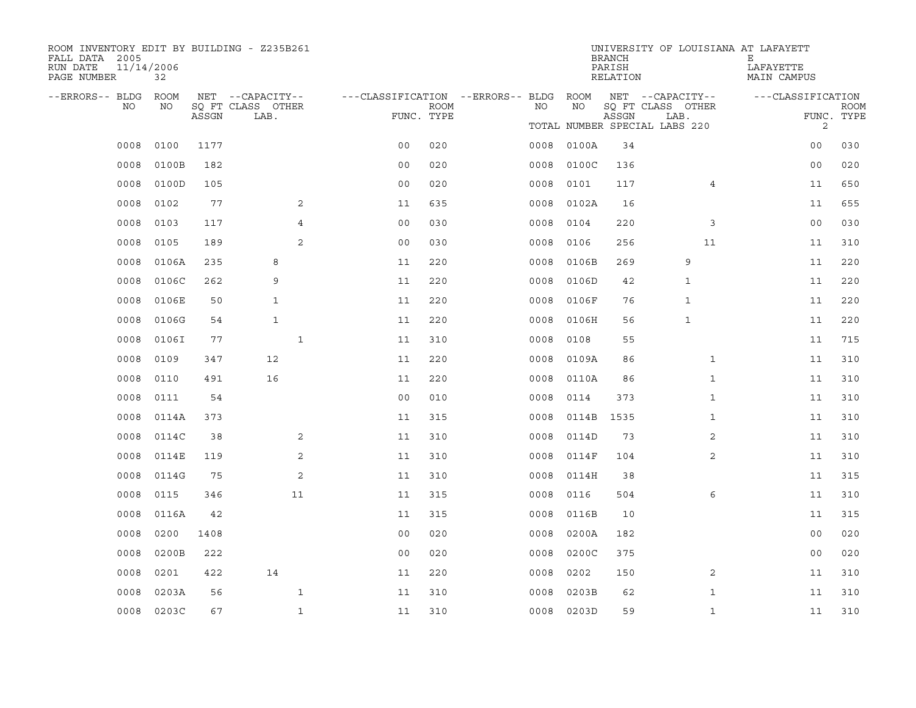| ROOM INVENTORY EDIT BY BUILDING - Z235B261<br>FALL DATA 2005<br>RUN DATE<br>PAGE NUMBER | 11/14/2006<br>32  |       |                                               |                                                      |             |      |       | <b>BRANCH</b><br>PARISH<br>RELATION | UNIVERSITY OF LOUISIANA AT LAFAYETT                                            | Е<br>LAFAYETTE<br>MAIN CAMPUS     |                           |
|-----------------------------------------------------------------------------------------|-------------------|-------|-----------------------------------------------|------------------------------------------------------|-------------|------|-------|-------------------------------------|--------------------------------------------------------------------------------|-----------------------------------|---------------------------|
| --ERRORS-- BLDG<br>NO.                                                                  | <b>ROOM</b><br>NO | ASSGN | NET --CAPACITY--<br>SQ FT CLASS OTHER<br>LAB. | ---CLASSIFICATION --ERRORS-- BLDG ROOM<br>FUNC. TYPE | <b>ROOM</b> | NO.  | NO.   | ASSGN                               | NET --CAPACITY--<br>SQ FT CLASS OTHER<br>LAB.<br>TOTAL NUMBER SPECIAL LABS 220 | ---CLASSIFICATION<br>$\mathbf{2}$ | <b>ROOM</b><br>FUNC. TYPE |
| 0008                                                                                    | 0100              | 1177  |                                               | 0 <sub>0</sub>                                       | 020         | 0008 | 0100A | 34                                  |                                                                                | 00                                | 030                       |
| 0008                                                                                    | 0100B             | 182   |                                               | 0 <sub>0</sub>                                       | 020         | 0008 | 0100C | 136                                 |                                                                                | 00                                | 020                       |
| 0008                                                                                    | 0100D             | 105   |                                               | 0 <sub>0</sub>                                       | 020         | 0008 | 0101  | 117                                 | 4                                                                              | 11                                | 650                       |
| 0008                                                                                    | 0102              | 77    | 2                                             | 11                                                   | 635         | 0008 | 0102A | 16                                  |                                                                                | 11                                | 655                       |
| 0008                                                                                    | 0103              | 117   | 4                                             | 0 <sub>0</sub>                                       | 030         | 0008 | 0104  | 220                                 | 3                                                                              | 0 <sub>0</sub>                    | 030                       |
| 0008                                                                                    | 0105              | 189   | 2                                             | 0 <sub>0</sub>                                       | 030         | 0008 | 0106  | 256                                 | 11                                                                             | 11                                | 310                       |
| 0008                                                                                    | 0106A             | 235   | 8                                             | 11                                                   | 220         | 0008 | 0106B | 269                                 | 9                                                                              | 11                                | 220                       |
| 0008                                                                                    | 0106C             | 262   | 9                                             | 11                                                   | 220         | 0008 | 0106D | 42                                  | 1                                                                              | 11                                | 220                       |
| 0008                                                                                    | 0106E             | 50    | $\mathbf{1}$                                  | 11                                                   | 220         | 0008 | 0106F | 76                                  | 1                                                                              | 11                                | 220                       |
| 0008                                                                                    | 0106G             | 54    | $\mathbf{1}$                                  | 11                                                   | 220         | 0008 | 0106H | 56                                  | 1                                                                              | 11                                | 220                       |
| 0008                                                                                    | 0106I             | 77    | $\mathbf{1}$                                  | 11                                                   | 310         | 0008 | 0108  | 55                                  |                                                                                | 11                                | 715                       |
| 0008                                                                                    | 0109              | 347   | 12                                            | 11                                                   | 220         | 0008 | 0109A | 86                                  | $\mathbf{1}$                                                                   | 11                                | 310                       |
| 0008                                                                                    | 0110              | 491   | 16                                            | 11                                                   | 220         | 0008 | 0110A | 86                                  | $\mathbf{1}$                                                                   | 11                                | 310                       |
| 0008                                                                                    | 0111              | 54    |                                               | 0 <sub>0</sub>                                       | 010         | 0008 | 0114  | 373                                 | $\mathbf{1}$                                                                   | 11                                | 310                       |
| 0008                                                                                    | 0114A             | 373   |                                               | 11                                                   | 315         | 0008 | 0114B | 1535                                | $\mathbf{1}$                                                                   | 11                                | 310                       |
| 0008                                                                                    | 0114C             | 38    | 2                                             | 11                                                   | 310         | 0008 | 0114D | 73                                  | 2                                                                              | 11                                | 310                       |
| 0008                                                                                    | 0114E             | 119   | 2                                             | 11                                                   | 310         | 0008 | 0114F | 104                                 | 2                                                                              | 11                                | 310                       |
| 0008                                                                                    | 0114G             | 75    | 2                                             | 11                                                   | 310         | 0008 | 0114H | 38                                  |                                                                                | 11                                | 315                       |
| 0008                                                                                    | 0115              | 346   | 11                                            | 11                                                   | 315         | 0008 | 0116  | 504                                 | 6                                                                              | 11                                | 310                       |
| 0008                                                                                    | 0116A             | 42    |                                               | 11                                                   | 315         | 0008 | 0116B | 10                                  |                                                                                | 11                                | 315                       |
| 0008                                                                                    | 0200              | 1408  |                                               | 0 <sub>0</sub>                                       | 020         | 0008 | 0200A | 182                                 |                                                                                | 0 <sub>0</sub>                    | 020                       |
| 0008                                                                                    | 0200B             | 222   |                                               | 0 <sub>0</sub>                                       | 020         | 0008 | 0200C | 375                                 |                                                                                | 0 <sub>0</sub>                    | 020                       |
| 0008                                                                                    | 0201              | 422   | 14                                            | 11                                                   | 220         | 0008 | 0202  | 150                                 | 2                                                                              | 11                                | 310                       |
| 0008                                                                                    | 0203A             | 56    | $\mathbf{1}$                                  | 11                                                   | 310         | 0008 | 0203B | 62                                  | $\mathbf{1}$                                                                   | 11                                | 310                       |
| 0008                                                                                    | 0203C             | 67    | $\mathbf{1}$                                  | 11                                                   | 310         | 0008 | 0203D | 59                                  | $\mathbf{1}$                                                                   | 11                                | 310                       |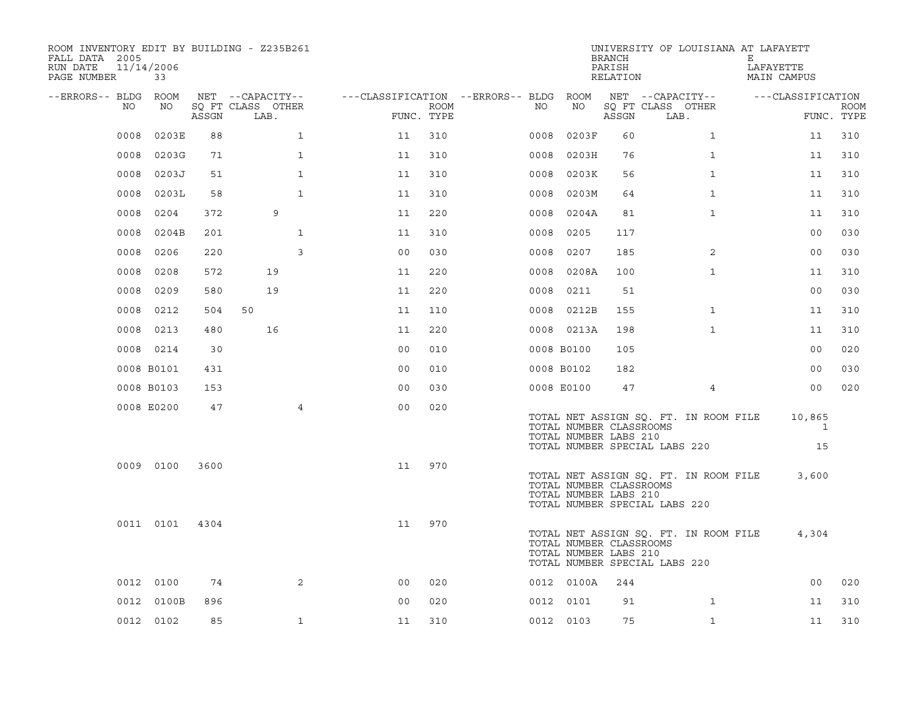| ROOM INVENTORY EDIT BY BUILDING - Z235B261<br>FALL DATA 2005<br>RUN DATE<br>PAGE NUMBER | 11/14/2006<br>33 |       |                           |                                        |                    |      |            | <b>BRANCH</b><br>PARISH<br>RELATION              | UNIVERSITY OF LOUISIANA AT LAFAYETT                                    | Е<br>LAFAYETTE<br>MAIN CAMPUS |                           |
|-----------------------------------------------------------------------------------------|------------------|-------|---------------------------|----------------------------------------|--------------------|------|------------|--------------------------------------------------|------------------------------------------------------------------------|-------------------------------|---------------------------|
| --ERRORS-- BLDG ROOM                                                                    |                  |       | NET --CAPACITY--          | ---CLASSIFICATION --ERRORS-- BLDG ROOM |                    |      |            |                                                  | NET --CAPACITY--                                                       | ---CLASSIFICATION             |                           |
| NO                                                                                      | NO               | ASSGN | SQ FT CLASS OTHER<br>LAB. |                                        | ROOM<br>FUNC. TYPE | NO   | NO         | ASSGN                                            | SQ FT CLASS OTHER<br>LAB.                                              |                               | <b>ROOM</b><br>FUNC. TYPE |
| 0008                                                                                    | 0203E            | 88    | $\mathbf{1}$              | 11                                     | 310                | 0008 | 0203F      | 60                                               | $\mathbf{1}$                                                           | 11                            | 310                       |
| 0008                                                                                    | 0203G            | 71    | $\mathbf{1}$              | 11                                     | 310                | 0008 | 0203H      | 76                                               | $\mathbf{1}$                                                           | 11                            | 310                       |
| 0008                                                                                    | 0203J            | 51    | $\mathbf{1}$              | 11                                     | 310                | 0008 | 0203K      | 56                                               | $\mathbf{1}$                                                           | 11                            | 310                       |
| 0008                                                                                    | 0203L            | 58    | $\mathbf{1}$              | 11                                     | 310                | 0008 | 0203M      | 64                                               | $\mathbf{1}$                                                           | 11                            | 310                       |
| 0008                                                                                    | 0204             | 372   | 9                         | 11                                     | 220                | 0008 | 0204A      | 81                                               | $\mathbf{1}$                                                           | 11                            | 310                       |
| 0008                                                                                    | 0204B            | 201   | $\mathbf{1}$              | 11                                     | 310                | 0008 | 0205       | 117                                              |                                                                        | 0 <sub>0</sub>                | 030                       |
| 0008                                                                                    | 0206             | 220   | 3                         | 0 <sub>0</sub>                         | 030                | 0008 | 0207       | 185                                              | $\overline{2}$                                                         | 0 <sub>0</sub>                | 030                       |
| 0008                                                                                    | 0208             | 572   | 19                        | 11                                     | 220                | 0008 | 0208A      | 100                                              | $\mathbf{1}$                                                           | 11                            | 310                       |
| 0008                                                                                    | 0209             | 580   | 19                        | 11                                     | 220                | 0008 | 0211       | 51                                               |                                                                        | 0 <sub>0</sub>                | 030                       |
| 0008                                                                                    | 0212             | 504   | 50                        | 11                                     | 110                |      | 0008 0212B | 155                                              | $\mathbf{1}$                                                           | 11                            | 310                       |
| 0008                                                                                    | 0213             | 480   | 16                        | 11                                     | 220                |      | 0008 0213A | 198                                              | $\mathbf{1}$                                                           | 11                            | 310                       |
|                                                                                         | 0008 0214        | 30    |                           | 0 <sub>0</sub>                         | 010                |      | 0008 B0100 | 105                                              |                                                                        | 0 <sub>0</sub>                | 020                       |
|                                                                                         | 0008 B0101       | 431   |                           | 0 <sub>0</sub>                         | 010                |      | 0008 B0102 | 182                                              |                                                                        | 0 <sub>0</sub>                | 030                       |
|                                                                                         | 0008 B0103       | 153   |                           | 0 <sub>0</sub>                         | 030                |      | 0008 E0100 | 47                                               | $\overline{4}$                                                         | 0 <sub>0</sub>                | 020                       |
|                                                                                         | 0008 E0200       | 47    | $\overline{4}$            | 0 <sub>0</sub>                         | 020                |      |            | TOTAL NUMBER CLASSROOMS<br>TOTAL NUMBER LABS 210 | TOTAL NET ASSIGN SQ. FT. IN ROOM FILE<br>TOTAL NUMBER SPECIAL LABS 220 | 10,865<br>1<br>15             |                           |
|                                                                                         | 0009 0100        | 3600  |                           | 11                                     | 970                |      |            | TOTAL NUMBER CLASSROOMS<br>TOTAL NUMBER LABS 210 | TOTAL NET ASSIGN SQ. FT. IN ROOM FILE<br>TOTAL NUMBER SPECIAL LABS 220 | 3,600                         |                           |
|                                                                                         | 0011 0101        | 4304  |                           | 11                                     | 970                |      |            | TOTAL NUMBER CLASSROOMS<br>TOTAL NUMBER LABS 210 | TOTAL NET ASSIGN SQ. FT. IN ROOM FILE<br>TOTAL NUMBER SPECIAL LABS 220 | 4,304                         |                           |
|                                                                                         | 0012 0100        | 74    | 2                         | 0 <sub>0</sub>                         | 020                |      | 0012 0100A | 244                                              |                                                                        | 0 <sub>0</sub>                | 020                       |
| 0012                                                                                    | 0100B            | 896   |                           | 0 <sub>0</sub>                         | 020                |      | 0012 0101  | 91                                               | $\mathbf{1}$                                                           | 11                            | 310                       |
|                                                                                         | 0012 0102        | 85    | $\mathbf{1}$              | 11                                     | 310                |      | 0012 0103  | 75                                               | $\mathbf{1}$                                                           | 11                            | 310                       |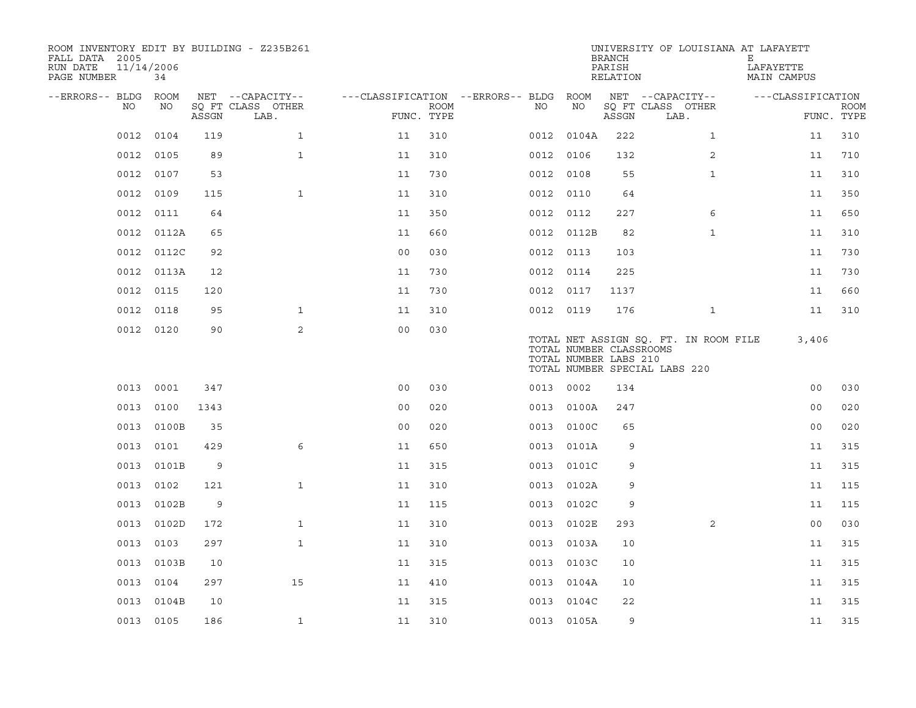| ROOM INVENTORY EDIT BY BUILDING - Z235B261<br>FALL DATA 2005<br>RUN DATE<br>PAGE NUMBER | 11/14/2006<br>34 |       |                           |                                        |             |           |                                                  | <b>BRANCH</b><br>PARISH<br>RELATION | UNIVERSITY OF LOUISIANA AT LAFAYETT                                    | Е<br>LAFAYETTE<br>MAIN CAMPUS |                           |
|-----------------------------------------------------------------------------------------|------------------|-------|---------------------------|----------------------------------------|-------------|-----------|--------------------------------------------------|-------------------------------------|------------------------------------------------------------------------|-------------------------------|---------------------------|
| --ERRORS-- BLDG ROOM                                                                    |                  |       | NET --CAPACITY--          | ---CLASSIFICATION --ERRORS-- BLDG ROOM |             |           |                                                  |                                     | NET --CAPACITY--                                                       | ---CLASSIFICATION             |                           |
| NO                                                                                      | NO               | ASSGN | SQ FT CLASS OTHER<br>LAB. | FUNC. TYPE                             | <b>ROOM</b> | NO        | NO                                               | ASSGN                               | SQ FT CLASS OTHER<br>LAB.                                              |                               | <b>ROOM</b><br>FUNC. TYPE |
| 0012                                                                                    | 0104             | 119   | $\mathbf{1}$              | 11                                     | 310         |           | 0012 0104A                                       | 222                                 | $\mathbf{1}$                                                           | 11                            | 310                       |
| 0012                                                                                    | 0105             | 89    | $\mathbf{1}$              | 11                                     | 310         | 0012 0106 |                                                  | 132                                 | 2                                                                      | 11                            | 710                       |
|                                                                                         | 0012 0107        | 53    |                           | 11                                     | 730         | 0012 0108 |                                                  | 55                                  | $\mathbf{1}$                                                           | 11                            | 310                       |
| 0012                                                                                    | 0109             | 115   | $\mathbf{1}$              | 11                                     | 310         |           | 0012 0110                                        | 64                                  |                                                                        | 11                            | 350                       |
| 0012                                                                                    | 0111             | 64    |                           | 11                                     | 350         | 0012 0112 |                                                  | 227                                 | 6                                                                      | 11                            | 650                       |
| 0012                                                                                    | 0112A            | 65    |                           | 11                                     | 660         |           | 0012 0112B                                       | 82                                  | $\mathbf{1}$                                                           | 11                            | 310                       |
| 0012                                                                                    | 0112C            | 92    |                           | 0 <sub>0</sub>                         | 030         | 0012 0113 |                                                  | 103                                 |                                                                        | 11                            | 730                       |
| 0012                                                                                    | 0113A            | 12    |                           | 11                                     | 730         | 0012 0114 |                                                  | 225                                 |                                                                        | 11                            | 730                       |
| 0012                                                                                    | 0115             | 120   |                           | 11                                     | 730         |           | 0012 0117                                        | 1137                                |                                                                        | 11                            | 660                       |
| 0012                                                                                    | 0118             | 95    | $\mathbf{1}$              | 11                                     | 310         | 0012 0119 |                                                  | 176                                 | $\mathbf{1}$                                                           | 11                            | 310                       |
|                                                                                         | 0012 0120        | 90    | $\overline{2}$            | 0 <sub>0</sub>                         | 030         |           | TOTAL NUMBER CLASSROOMS<br>TOTAL NUMBER LABS 210 |                                     | TOTAL NET ASSIGN SQ. FT. IN ROOM FILE<br>TOTAL NUMBER SPECIAL LABS 220 | 3,406                         |                           |
| 0013                                                                                    | 0001             | 347   |                           | 0 <sub>0</sub>                         | 030         | 0013 0002 |                                                  | 134                                 |                                                                        | 0 <sub>0</sub>                | 030                       |
| 0013                                                                                    | 0100             | 1343  |                           | 0 <sub>0</sub>                         | 020         |           | 0013 0100A                                       | 247                                 |                                                                        | 0 <sub>0</sub>                | 020                       |
| 0013                                                                                    | 0100B            | 35    |                           | 0 <sub>0</sub>                         | 020         | 0013      | 0100C                                            | 65                                  |                                                                        | 0 <sub>0</sub>                | 020                       |
| 0013                                                                                    | 0101             | 429   | 6                         | 11                                     | 650         |           | 0013 0101A                                       | 9                                   |                                                                        | 11                            | 315                       |
| 0013                                                                                    | 0101B            | 9     |                           | 11                                     | 315         | 0013      | 0101C                                            | 9                                   |                                                                        | 11                            | 315                       |
| 0013                                                                                    | 0102             | 121   | $\mathbf{1}$              | 11                                     | 310         |           | 0013 0102A                                       | 9                                   |                                                                        | 11                            | 115                       |
| 0013                                                                                    | 0102B            | 9     |                           | 11                                     | 115         | 0013      | 0102C                                            | 9                                   |                                                                        | 11                            | 115                       |
| 0013                                                                                    | 0102D            | 172   | $\mathbf{1}$              | 11                                     | 310         |           | 0013 0102E                                       | 293                                 | 2                                                                      | 0 <sub>0</sub>                | 030                       |
| 0013                                                                                    | 0103             | 297   | $\mathbf{1}$              | 11                                     | 310         | 0013      | 0103A                                            | 10                                  |                                                                        | 11                            | 315                       |
| 0013                                                                                    | 0103B            | 10    |                           | 11                                     | 315         |           | 0013 0103C                                       | 10                                  |                                                                        | 11                            | 315                       |
| 0013                                                                                    | 0104             | 297   | 15                        | 11                                     | 410         |           | 0013 0104A                                       | 10                                  |                                                                        | 11                            | 315                       |
| 0013                                                                                    | 0104B            | 10    |                           | 11                                     | 315         |           | 0013 0104C                                       | 22                                  |                                                                        | 11                            | 315                       |
|                                                                                         | 0013 0105        | 186   | $\mathbf{1}$              | 11                                     | 310         |           | 0013 0105A                                       | 9                                   |                                                                        | 11                            | 315                       |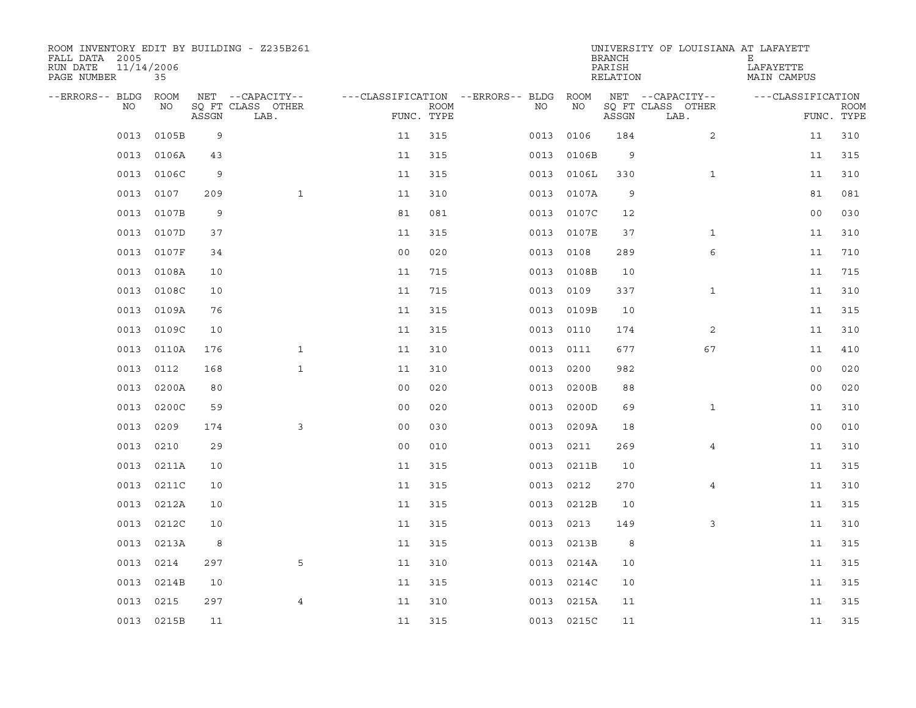| ROOM INVENTORY EDIT BY BUILDING - Z235B261<br>FALL DATA 2005<br>RUN DATE<br>PAGE NUMBER | 11/14/2006<br>35 |       |                           |                                        |                           |      |            | <b>BRANCH</b><br>PARISH<br>RELATION | UNIVERSITY OF LOUISIANA AT LAFAYETT | Е<br>LAFAYETTE<br>MAIN CAMPUS |                           |
|-----------------------------------------------------------------------------------------|------------------|-------|---------------------------|----------------------------------------|---------------------------|------|------------|-------------------------------------|-------------------------------------|-------------------------------|---------------------------|
| --ERRORS-- BLDG ROOM                                                                    |                  |       | NET --CAPACITY--          | ---CLASSIFICATION --ERRORS-- BLDG ROOM |                           |      |            |                                     | NET --CAPACITY--                    | ---CLASSIFICATION             |                           |
| NO.                                                                                     | NO               | ASSGN | SQ FT CLASS OTHER<br>LAB. |                                        | <b>ROOM</b><br>FUNC. TYPE | NO.  | NO         | ASSGN                               | SQ FT CLASS OTHER<br>LAB.           |                               | <b>ROOM</b><br>FUNC. TYPE |
| 0013                                                                                    | 0105B            | 9     |                           | 11                                     | 315                       | 0013 | 0106       | 184                                 | $\overline{2}$                      | 11                            | 310                       |
| 0013                                                                                    | 0106A            | 43    |                           | 11                                     | 315                       | 0013 | 0106B      | 9                                   |                                     | 11                            | 315                       |
| 0013                                                                                    | 0106C            | 9     |                           | 11                                     | 315                       | 0013 | 0106L      | 330                                 | $\mathbf{1}$                        | 11                            | 310                       |
| 0013                                                                                    | 0107             | 209   | $\mathbf{1}$              | 11                                     | 310                       | 0013 | 0107A      | 9                                   |                                     | 81                            | 081                       |
| 0013                                                                                    | 0107B            | 9     |                           | 81                                     | 081                       | 0013 | 0107C      | 12                                  |                                     | 0 <sub>0</sub>                | 030                       |
| 0013                                                                                    | 0107D            | 37    |                           | 11                                     | 315                       |      | 0013 0107E | 37                                  | $\mathbf{1}$                        | 11                            | 310                       |
| 0013                                                                                    | 0107F            | 34    |                           | 0 <sub>0</sub>                         | 020                       | 0013 | 0108       | 289                                 | 6                                   | 11                            | 710                       |
| 0013                                                                                    | 0108A            | 10    |                           | 11                                     | 715                       |      | 0013 0108B | 10                                  |                                     | 11                            | 715                       |
| 0013                                                                                    | 0108C            | 10    |                           | 11                                     | 715                       | 0013 | 0109       | 337                                 | $\mathbf{1}$                        | 11                            | 310                       |
| 0013                                                                                    | 0109A            | 76    |                           | 11                                     | 315                       |      | 0013 0109B | 10                                  |                                     | 11                            | 315                       |
| 0013                                                                                    | 0109C            | 10    |                           | 11                                     | 315                       | 0013 | 0110       | 174                                 | 2                                   | 11                            | 310                       |
| 0013                                                                                    | 0110A            | 176   | $\mathbf{1}$              | 11                                     | 310                       |      | 0013 0111  | 677                                 | 67                                  | 11                            | 410                       |
| 0013                                                                                    | 0112             | 168   | $\mathbf{1}$              | 11                                     | 310                       | 0013 | 0200       | 982                                 |                                     | 0 <sub>0</sub>                | 020                       |
| 0013                                                                                    | 0200A            | 80    |                           | 0 <sub>0</sub>                         | 020                       | 0013 | 0200B      | 88                                  |                                     | 0 <sub>0</sub>                | 020                       |
| 0013                                                                                    | 0200C            | 59    |                           | 0 <sub>0</sub>                         | 020                       | 0013 | 0200D      | 69                                  | $\mathbf{1}$                        | 11                            | 310                       |
| 0013                                                                                    | 0209             | 174   | 3                         | 0 <sub>0</sub>                         | 030                       | 0013 | 0209A      | 18                                  |                                     | 0 <sub>0</sub>                | 010                       |
| 0013                                                                                    | 0210             | 29    |                           | 0 <sub>0</sub>                         | 010                       | 0013 | 0211       | 269                                 | 4                                   | 11                            | 310                       |
| 0013                                                                                    | 0211A            | 10    |                           | 11                                     | 315                       | 0013 | 0211B      | 10                                  |                                     | 11                            | 315                       |
| 0013                                                                                    | 0211C            | 10    |                           | 11                                     | 315                       | 0013 | 0212       | 270                                 | 4                                   | 11                            | 310                       |
| 0013                                                                                    | 0212A            | 10    |                           | 11                                     | 315                       | 0013 | 0212B      | 10                                  |                                     | 11                            | 315                       |
| 0013                                                                                    | 0212C            | 10    |                           | 11                                     | 315                       | 0013 | 0213       | 149                                 | 3                                   | 11                            | 310                       |
| 0013                                                                                    | 0213A            | 8     |                           | 11                                     | 315                       | 0013 | 0213B      | 8                                   |                                     | 11                            | 315                       |
| 0013                                                                                    | 0214             | 297   | 5                         | 11                                     | 310                       |      | 0013 0214A | 10                                  |                                     | 11                            | 315                       |
| 0013                                                                                    | 0214B            | 10    |                           | 11                                     | 315                       |      | 0013 0214C | 10                                  |                                     | 11                            | 315                       |
| 0013                                                                                    | 0215             | 297   | $\overline{4}$            | 11                                     | 310                       |      | 0013 0215A | 11                                  |                                     | 11                            | 315                       |
|                                                                                         | 0013 0215B       | 11    |                           | 11                                     | 315                       |      | 0013 0215C | 11                                  |                                     | 11                            | 315                       |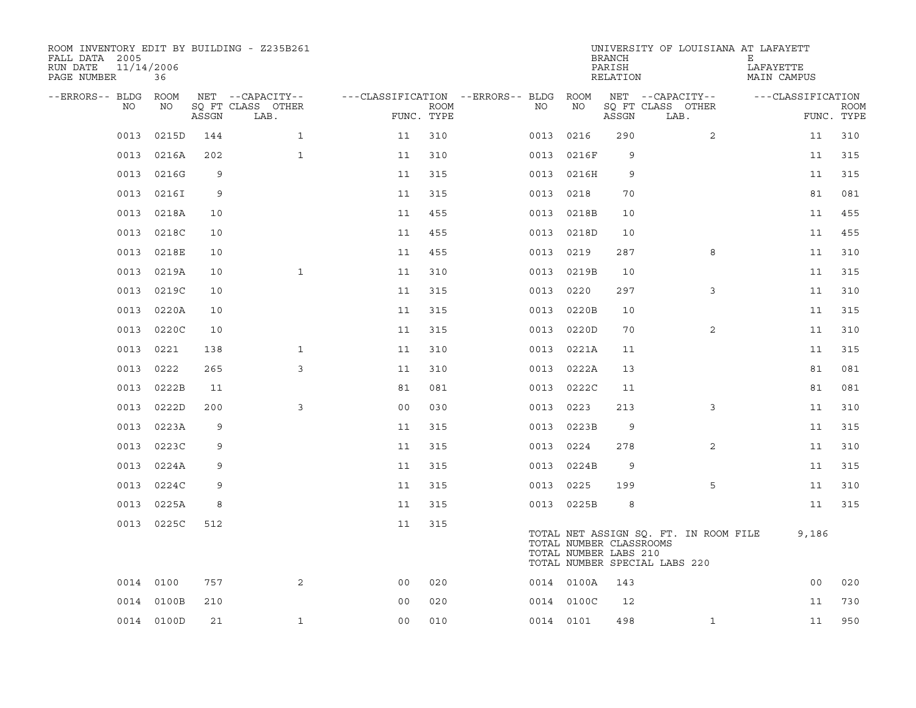| ROOM INVENTORY EDIT BY BUILDING - Z235B261<br>FALL DATA 2005<br>11/14/2006<br>RUN DATE<br>PAGE NUMBER | 36         |       |                           |                                   |             |           |                                                  | <b>BRANCH</b><br>PARISH<br>RELATION | UNIVERSITY OF LOUISIANA AT LAFAYETT                                    | Е<br>LAFAYETTE<br>MAIN CAMPUS |                           |
|-------------------------------------------------------------------------------------------------------|------------|-------|---------------------------|-----------------------------------|-------------|-----------|--------------------------------------------------|-------------------------------------|------------------------------------------------------------------------|-------------------------------|---------------------------|
| --ERRORS-- BLDG                                                                                       | ROOM       |       | NET --CAPACITY--          | ---CLASSIFICATION --ERRORS-- BLDG |             |           | ROOM                                             |                                     | NET --CAPACITY--                                                       | ---CLASSIFICATION             |                           |
| NO.                                                                                                   | NO         | ASSGN | SO FT CLASS OTHER<br>LAB. | FUNC. TYPE                        | <b>ROOM</b> | NO.       | NO                                               | ASSGN                               | SQ FT CLASS OTHER<br>LAB.                                              |                               | <b>ROOM</b><br>FUNC. TYPE |
| 0013                                                                                                  | 0215D      | 144   | $\mathbf{1}$              | 11                                | 310         | 0013      | 0216                                             | 290                                 | $\overline{2}$                                                         | 11                            | 310                       |
| 0013                                                                                                  | 0216A      | 202   | $\mathbf{1}$              | 11                                | 310         | 0013      | 0216F                                            | 9                                   |                                                                        | 11                            | 315                       |
| 0013                                                                                                  | 0216G      | 9     |                           | 11                                | 315         | 0013      | 0216H                                            | 9                                   |                                                                        | 11                            | 315                       |
| 0013                                                                                                  | 0216I      | 9     |                           | 11                                | 315         | 0013 0218 |                                                  | 70                                  |                                                                        | 81                            | 081                       |
| 0013                                                                                                  | 0218A      | 10    |                           | 11                                | 455         | 0013      | 0218B                                            | 10                                  |                                                                        | 11                            | 455                       |
| 0013                                                                                                  | 0218C      | 10    |                           | 11                                | 455         |           | 0013 0218D                                       | 10                                  |                                                                        | 11                            | 455                       |
| 0013                                                                                                  | 0218E      | 10    |                           | 11                                | 455         | 0013      | 0219                                             | 287                                 | 8                                                                      | 11                            | 310                       |
| 0013                                                                                                  | 0219A      | 10    | $\mathbf{1}$              | 11                                | 310         | 0013      | 0219B                                            | 10                                  |                                                                        | 11                            | 315                       |
| 0013                                                                                                  | 0219C      | 10    |                           | 11                                | 315         | 0013      | 0220                                             | 297                                 | 3                                                                      | 11                            | 310                       |
| 0013                                                                                                  | 0220A      | 10    |                           | 11                                | 315         | 0013      | 0220B                                            | 10                                  |                                                                        | 11                            | 315                       |
| 0013                                                                                                  | 0220C      | 10    |                           | 11                                | 315         | 0013      | 0220D                                            | 70                                  | $\overline{2}$                                                         | 11                            | 310                       |
| 0013                                                                                                  | 0221       | 138   | $\mathbf{1}$              | 11                                | 310         | 0013      | 0221A                                            | 11                                  |                                                                        | 11                            | 315                       |
| 0013                                                                                                  | 0222       | 265   | 3                         | 11                                | 310         | 0013      | 0222A                                            | 13                                  |                                                                        | 81                            | 081                       |
| 0013                                                                                                  | 0222B      | 11    |                           | 81                                | 081         | 0013      | 0222C                                            | 11                                  |                                                                        | 81                            | 081                       |
| 0013                                                                                                  | 0222D      | 200   | 3                         | 0 <sub>0</sub>                    | 030         | 0013      | 0223                                             | 213                                 | 3                                                                      | 11                            | 310                       |
| 0013                                                                                                  | 0223A      | 9     |                           | 11                                | 315         | 0013      | 0223B                                            | 9                                   |                                                                        | 11                            | 315                       |
| 0013                                                                                                  | 0223C      | 9     |                           | 11                                | 315         | 0013      | 0224                                             | 278                                 | 2                                                                      | 11                            | 310                       |
| 0013                                                                                                  | 0224A      | 9     |                           | 11                                | 315         | 0013      | 0224B                                            | 9                                   |                                                                        | 11                            | 315                       |
| 0013                                                                                                  | 0224C      | 9     |                           | 11                                | 315         | 0013      | 0225                                             | 199                                 | 5                                                                      | 11                            | 310                       |
| 0013                                                                                                  | 0225A      | 8     |                           | 11                                | 315         |           | 0013 0225B                                       | 8                                   |                                                                        | 11                            | 315                       |
|                                                                                                       | 0013 0225C | 512   |                           | 11                                | 315         |           | TOTAL NUMBER CLASSROOMS<br>TOTAL NUMBER LABS 210 |                                     | TOTAL NET ASSIGN SQ. FT. IN ROOM FILE<br>TOTAL NUMBER SPECIAL LABS 220 | 9,186                         |                           |
|                                                                                                       | 0014 0100  | 757   | 2                         | 0 <sub>0</sub>                    | 020         |           | 0014 0100A                                       | 143                                 |                                                                        | 0 <sub>0</sub>                | 020                       |
|                                                                                                       | 0014 0100B | 210   |                           | 0 <sub>0</sub>                    | 020         |           | 0014 0100C                                       | 12                                  |                                                                        | 11                            | 730                       |
|                                                                                                       | 0014 0100D | 21    | $\mathbf{1}$              | 0 <sub>0</sub>                    | 010         | 0014 0101 |                                                  | 498                                 | $\mathbf{1}$                                                           | 11                            | 950                       |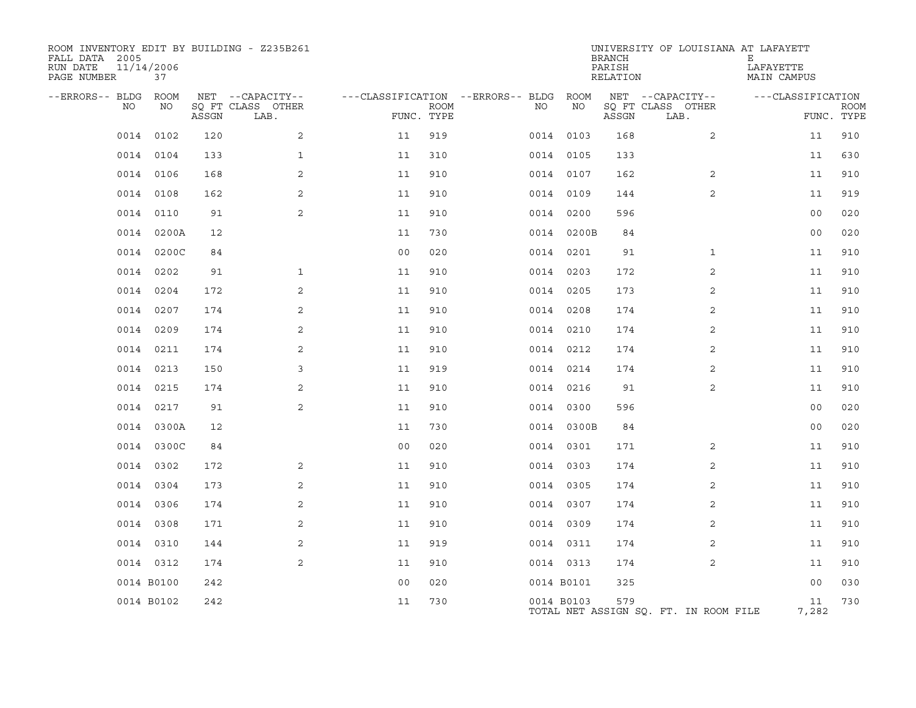| ROOM INVENTORY EDIT BY BUILDING - Z235B261<br>FALL DATA 2005<br>RUN DATE<br>PAGE NUMBER | 11/14/2006<br>37 |       |                           |                |             |                                   |            | <b>BRANCH</b><br>PARISH<br>RELATION | UNIVERSITY OF LOUISIANA AT LAFAYETT   | Е<br>LAFAYETTE<br>MAIN CAMPUS |                           |
|-----------------------------------------------------------------------------------------|------------------|-------|---------------------------|----------------|-------------|-----------------------------------|------------|-------------------------------------|---------------------------------------|-------------------------------|---------------------------|
| --ERRORS-- BLDG ROOM                                                                    |                  |       | NET --CAPACITY--          |                |             | ---CLASSIFICATION --ERRORS-- BLDG | ROOM       |                                     | NET --CAPACITY--                      | ---CLASSIFICATION             |                           |
| NO                                                                                      | NO               | ASSGN | SQ FT CLASS OTHER<br>LAB. | FUNC. TYPE     | <b>ROOM</b> | NO                                | ΝO         | ASSGN                               | SQ FT CLASS OTHER<br>LAB.             |                               | <b>ROOM</b><br>FUNC. TYPE |
| 0014                                                                                    | 0102             | 120   | 2                         | 11             | 919         |                                   | 0014 0103  | 168                                 | 2                                     | 11                            | 910                       |
|                                                                                         | 0014 0104        | 133   | $\mathbf{1}$              | 11             | 310         |                                   | 0014 0105  | 133                                 |                                       | 11                            | 630                       |
|                                                                                         | 0014 0106        | 168   | 2                         | 11             | 910         |                                   | 0014 0107  | 162                                 | 2                                     | 11                            | 910                       |
|                                                                                         | 0014 0108        | 162   | 2                         | 11             | 910         |                                   | 0014 0109  | 144                                 | 2                                     | 11                            | 919                       |
|                                                                                         | 0014 0110        | 91    | 2                         | 11             | 910         |                                   | 0014 0200  | 596                                 |                                       | 0 <sub>0</sub>                | 020                       |
|                                                                                         | 0014 0200A       | 12    |                           | 11             | 730         |                                   | 0014 0200B | 84                                  |                                       | 0 <sub>0</sub>                | 020                       |
|                                                                                         | 0014 0200C       | 84    |                           | 0 <sub>0</sub> | 020         |                                   | 0014 0201  | 91                                  | $\mathbf{1}$                          | 11                            | 910                       |
| 0014                                                                                    | 0202             | 91    | $\mathbf{1}$              | 11             | 910         |                                   | 0014 0203  | 172                                 | 2                                     | 11                            | 910                       |
|                                                                                         | 0014 0204        | 172   | 2                         | 11             | 910         |                                   | 0014 0205  | 173                                 | 2                                     | 11                            | 910                       |
|                                                                                         | 0014 0207        | 174   | 2                         | 11             | 910         |                                   | 0014 0208  | 174                                 | 2                                     | 11                            | 910                       |
|                                                                                         | 0014 0209        | 174   | 2                         | 11             | 910         |                                   | 0014 0210  | 174                                 | 2                                     | 11                            | 910                       |
|                                                                                         | 0014 0211        | 174   | 2                         | 11             | 910         |                                   | 0014 0212  | 174                                 | $\overline{2}$                        | 11                            | 910                       |
|                                                                                         | 0014 0213        | 150   | 3                         | 11             | 919         |                                   | 0014 0214  | 174                                 | 2                                     | 11                            | 910                       |
|                                                                                         | 0014 0215        | 174   | 2                         | 11             | 910         |                                   | 0014 0216  | 91                                  | 2                                     | 11                            | 910                       |
| 0014                                                                                    | 0217             | 91    | 2                         | 11             | 910         |                                   | 0014 0300  | 596                                 |                                       | 0 <sub>0</sub>                | 020                       |
|                                                                                         | 0014 0300A       | 12    |                           | 11             | 730         |                                   | 0014 0300B | 84                                  |                                       | 00                            | 020                       |
| 0014                                                                                    | 0300C            | 84    |                           | 0 <sub>0</sub> | 020         |                                   | 0014 0301  | 171                                 | 2                                     | 11                            | 910                       |
|                                                                                         | 0014 0302        | 172   | 2                         | 11             | 910         |                                   | 0014 0303  | 174                                 | $\overline{2}$                        | 11                            | 910                       |
| 0014                                                                                    | 0304             | 173   | 2                         | 11             | 910         |                                   | 0014 0305  | 174                                 | 2                                     | 11                            | 910                       |
|                                                                                         | 0014 0306        | 174   | 2                         | 11             | 910         |                                   | 0014 0307  | 174                                 | 2                                     | 11                            | 910                       |
|                                                                                         | 0014 0308        | 171   | 2                         | 11             | 910         |                                   | 0014 0309  | 174                                 | 2                                     | 11                            | 910                       |
|                                                                                         | 0014 0310        | 144   | 2                         | 11             | 919         |                                   | 0014 0311  | 174                                 | 2                                     | 11                            | 910                       |
|                                                                                         | 0014 0312        | 174   | $\overline{2}$            | 11             | 910         |                                   | 0014 0313  | 174                                 | 2                                     | 11                            | 910                       |
|                                                                                         | 0014 B0100       | 242   |                           | 0 <sub>0</sub> | 020         |                                   | 0014 B0101 | 325                                 |                                       | 00                            | 030                       |
|                                                                                         | 0014 B0102       | 242   |                           | 11             | 730         |                                   | 0014 B0103 | 579                                 | TOTAL NET ASSIGN SQ. FT. IN ROOM FILE | 11<br>7,282                   | 730                       |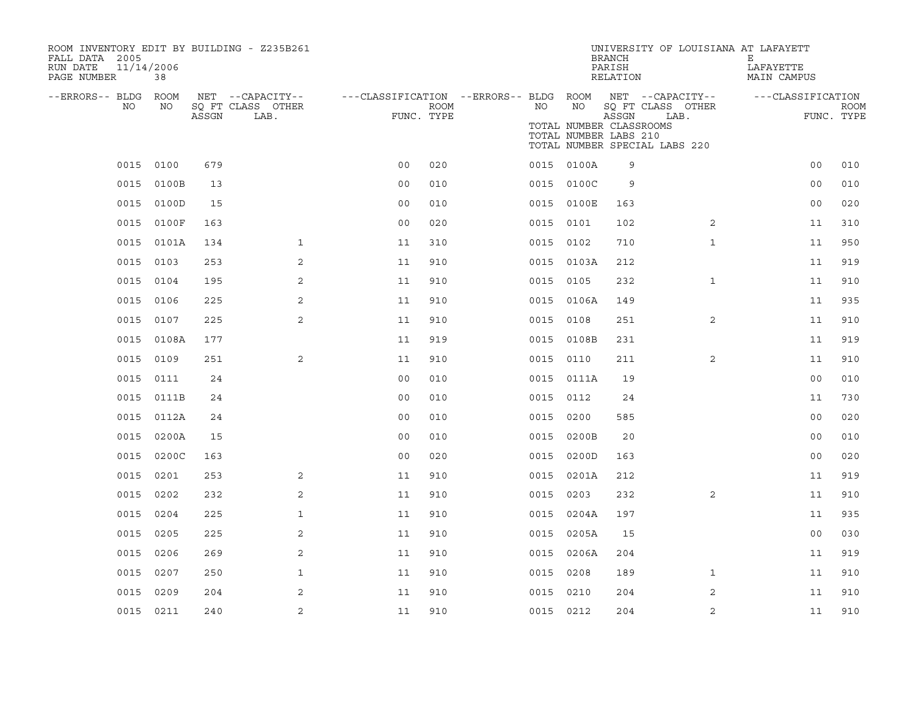| ROOM INVENTORY EDIT BY BUILDING - Z235B261<br>FALL DATA 2005<br>RUN DATE<br>PAGE NUMBER | 11/14/2006<br>38 |       |                                       |                                                         |             |           |            | <b>BRANCH</b><br>PARISH<br>RELATION                       | UNIVERSITY OF LOUISIANA AT LAFAYETT   | Е<br>LAFAYETTE<br>MAIN CAMPUS |                       |  |
|-----------------------------------------------------------------------------------------|------------------|-------|---------------------------------------|---------------------------------------------------------|-------------|-----------|------------|-----------------------------------------------------------|---------------------------------------|-------------------------------|-----------------------|--|
| --ERRORS-- BLDG ROOM<br>NO.                                                             | NO.              |       | NET --CAPACITY--<br>SQ FT CLASS OTHER | ---CLASSIFICATION --ERRORS-- BLDG ROOM NET --CAPACITY-- | <b>ROOM</b> | NO        | NO         |                                                           | SQ FT CLASS OTHER                     | ---CLASSIFICATION             | <b>ROOM</b>           |  |
|                                                                                         |                  | ASSGN | LAB.                                  |                                                         | FUNC. TYPE  |           |            | ASSGN<br>TOTAL NUMBER CLASSROOMS<br>TOTAL NUMBER LABS 210 | LAB.<br>TOTAL NUMBER SPECIAL LABS 220 |                               | FUNC. TYPE            |  |
|                                                                                         | 0015 0100        | 679   |                                       | 0 <sub>0</sub>                                          | 020         |           | 0015 0100A | 9                                                         |                                       |                               | 010<br>0 <sub>0</sub> |  |
|                                                                                         | 0015 0100B       | 13    |                                       | 0 <sub>0</sub>                                          | 010         |           | 0015 0100C | 9                                                         |                                       |                               | 0 <sub>0</sub><br>010 |  |
|                                                                                         | 0015 0100D       | 15    |                                       | 0 <sub>0</sub>                                          | 010         |           | 0015 0100E | 163                                                       |                                       | 0 <sub>0</sub>                | 020                   |  |
| 0015                                                                                    | 0100F            | 163   |                                       | 0 <sub>0</sub>                                          | 020         | 0015 0101 |            | 102                                                       | $\overline{2}$                        | 11                            | 310                   |  |
|                                                                                         | 0015 0101A       | 134   | $\mathbf{1}$                          | 11                                                      | 310         | 0015 0102 |            | 710                                                       | $\mathbf{1}$                          | 11                            | 950                   |  |
| 0015                                                                                    | 0103             | 253   | 2                                     | 11                                                      | 910         |           | 0015 0103A | 212                                                       |                                       | 11                            | 919                   |  |
|                                                                                         | 0015 0104        | 195   | 2                                     | 11                                                      | 910         | 0015 0105 |            | 232                                                       | $\mathbf{1}$                          | 11                            | 910                   |  |
| 0015                                                                                    | 0106             | 225   | 2                                     | 11                                                      | 910         |           | 0015 0106A | 149                                                       |                                       | 11                            | 935                   |  |
|                                                                                         | 0015 0107        | 225   | 2                                     | 11                                                      | 910         | 0015 0108 |            | 251                                                       | 2                                     | 11                            | 910                   |  |
| 0015                                                                                    | 0108A            | 177   |                                       | 11                                                      | 919         |           | 0015 0108B | 231                                                       |                                       | 11                            | 919                   |  |
|                                                                                         | 0015 0109        | 251   | 2                                     | 11                                                      | 910         | 0015 0110 |            | 211                                                       | 2                                     | 11                            | 910                   |  |
| 0015                                                                                    | 0111             | 24    |                                       | 0 <sub>0</sub>                                          | 010         |           | 0015 0111A | 19                                                        |                                       |                               | 0 <sub>0</sub><br>010 |  |
|                                                                                         | 0015 0111B       | 24    |                                       | 0 <sub>0</sub>                                          | 010         | 0015 0112 |            | 24                                                        |                                       | 11                            | 730                   |  |
|                                                                                         | 0015 0112A       | 24    |                                       | 0 <sub>0</sub>                                          | 010         | 0015 0200 |            | 585                                                       |                                       | 0 <sub>0</sub>                | 020                   |  |
|                                                                                         | 0015 0200A       | 15    |                                       | 0 <sub>0</sub>                                          | 010         |           | 0015 0200B | 20                                                        |                                       | 0 <sub>0</sub>                | 010                   |  |
| 0015                                                                                    | 0200C            | 163   |                                       | 0 <sub>0</sub>                                          | 020         | 0015      | 0200D      | 163                                                       |                                       | 0 <sub>0</sub>                | 020                   |  |
| 0015                                                                                    | 0201             | 253   | 2                                     | 11                                                      | 910         |           | 0015 0201A | 212                                                       |                                       | 11                            | 919                   |  |
| 0015                                                                                    | 0202             | 232   | 2                                     | 11                                                      | 910         | 0015 0203 |            | 232                                                       | $\overline{2}$                        | 11                            | 910                   |  |
| 0015                                                                                    | 0204             | 225   | $\mathbf{1}$                          | 11                                                      | 910         |           | 0015 0204A | 197                                                       |                                       | 11                            | 935                   |  |
| 0015                                                                                    | 0205             | 225   | 2                                     | 11                                                      | 910         | 0015      | 0205A      | 15                                                        |                                       |                               | 030<br>0 <sub>0</sub> |  |
| 0015                                                                                    | 0206             | 269   | 2                                     | 11                                                      | 910         |           | 0015 0206A | 204                                                       |                                       | 11                            | 919                   |  |
| 0015                                                                                    | 0207             | 250   | $\mathbf{1}$                          | 11                                                      | 910         | 0015 0208 |            | 189                                                       | $\mathbf{1}$                          | 11                            | 910                   |  |
| 0015                                                                                    | 0209             | 204   | 2                                     | 11                                                      | 910         | 0015 0210 |            | 204                                                       | 2                                     | 11                            | 910                   |  |
|                                                                                         | 0015 0211        | 240   | 2                                     | 11                                                      | 910         | 0015 0212 |            | 204                                                       | 2                                     |                               | 910<br>11             |  |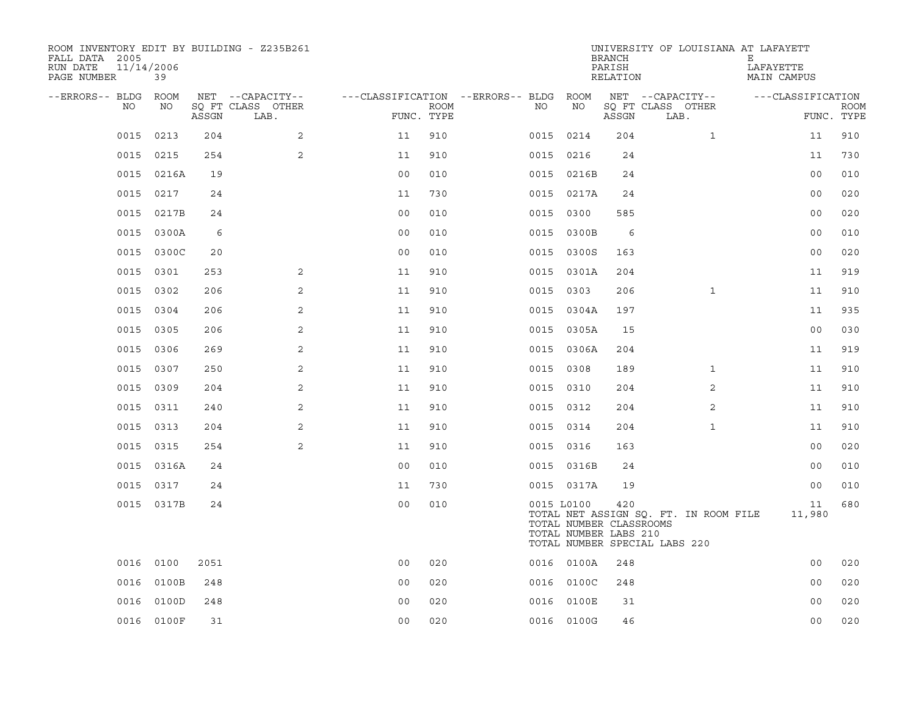| ROOM INVENTORY EDIT BY BUILDING - Z235B261<br>FALL DATA 2005<br>11/14/2006<br>RUN DATE<br>PAGE NUMBER | 39         |       |                           |                                        |      |     |                                                                | <b>BRANCH</b><br>PARISH<br>RELATION | UNIVERSITY OF LOUISIANA AT LAFAYETT                                    | Е<br>LAFAYETTE<br>MAIN CAMPUS |                           |
|-------------------------------------------------------------------------------------------------------|------------|-------|---------------------------|----------------------------------------|------|-----|----------------------------------------------------------------|-------------------------------------|------------------------------------------------------------------------|-------------------------------|---------------------------|
| --ERRORS-- BLDG ROOM                                                                                  |            |       | NET --CAPACITY--          | ---CLASSIFICATION --ERRORS-- BLDG ROOM |      |     |                                                                |                                     | NET --CAPACITY--                                                       | ---CLASSIFICATION             |                           |
| NO.                                                                                                   | NO         | ASSGN | SQ FT CLASS OTHER<br>LAB. | FUNC. TYPE                             | ROOM | NO. | NO                                                             | ASSGN                               | SQ FT CLASS OTHER<br>LAB.                                              |                               | <b>ROOM</b><br>FUNC. TYPE |
| 0015                                                                                                  | 0213       | 204   | 2                         | 11                                     | 910  |     | 0015 0214                                                      | 204                                 | $\mathbf{1}$                                                           | 11                            | 910                       |
|                                                                                                       | 0015 0215  | 254   | 2                         | 11                                     | 910  |     | 0015 0216                                                      | 24                                  |                                                                        | 11                            | 730                       |
|                                                                                                       | 0015 0216A | 19    |                           | 0 <sub>0</sub>                         | 010  |     | 0015 0216B                                                     | 24                                  |                                                                        | 0 <sub>0</sub>                | 010                       |
|                                                                                                       | 0015 0217  | 24    |                           | 11                                     | 730  |     | 0015 0217A                                                     | 24                                  |                                                                        | 0 <sub>0</sub>                | 020                       |
| 0015                                                                                                  | 0217B      | 24    |                           | 0 <sub>0</sub>                         | 010  |     | 0015 0300                                                      | 585                                 |                                                                        | 0 <sub>0</sub>                | 020                       |
|                                                                                                       | 0015 0300A | 6     |                           | 0 <sub>0</sub>                         | 010  |     | 0015 0300B                                                     | 6                                   |                                                                        | 00                            | 010                       |
| 0015                                                                                                  | 0300C      | 20    |                           | 0 <sub>0</sub>                         | 010  |     | 0015 0300S                                                     | 163                                 |                                                                        | 0 <sub>0</sub>                | 020                       |
| 0015                                                                                                  | 0301       | 253   | 2                         | 11                                     | 910  |     | 0015 0301A                                                     | 204                                 |                                                                        | 11                            | 919                       |
| 0015                                                                                                  | 0302       | 206   | 2                         | 11                                     | 910  |     | 0015 0303                                                      | 206                                 | $\mathbf{1}$                                                           | 11                            | 910                       |
|                                                                                                       | 0015 0304  | 206   | 2                         | 11                                     | 910  |     | 0015 0304A                                                     | 197                                 |                                                                        | 11                            | 935                       |
| 0015                                                                                                  | 0305       | 206   | 2                         | 11                                     | 910  |     | 0015 0305A                                                     | 15                                  |                                                                        | 0 <sub>0</sub>                | 030                       |
|                                                                                                       | 0015 0306  | 269   | 2                         | 11                                     | 910  |     | 0015 0306A                                                     | 204                                 |                                                                        | 11                            | 919                       |
| 0015                                                                                                  | 0307       | 250   | 2                         | 11                                     | 910  |     | 0015 0308                                                      | 189                                 | $\mathbf{1}$                                                           | 11                            | 910                       |
|                                                                                                       | 0015 0309  | 204   | 2                         | 11                                     | 910  |     | 0015 0310                                                      | 204                                 | 2                                                                      | 11                            | 910                       |
| 0015                                                                                                  | 0311       | 240   | 2                         | 11                                     | 910  |     | 0015 0312                                                      | 204                                 | 2                                                                      | 11                            | 910                       |
|                                                                                                       | 0015 0313  | 204   | 2                         | 11                                     | 910  |     | 0015 0314                                                      | 204                                 | $\mathbf{1}$                                                           | 11                            | 910                       |
| 0015                                                                                                  | 0315       | 254   | 2                         | 11                                     | 910  |     | 0015 0316                                                      | 163                                 |                                                                        | 00                            | 020                       |
|                                                                                                       | 0015 0316A | 24    |                           | 0 <sub>0</sub>                         | 010  |     | 0015 0316B                                                     | 24                                  |                                                                        | 00                            | 010                       |
|                                                                                                       | 0015 0317  | 24    |                           | 11                                     | 730  |     | 0015 0317A                                                     | 19                                  |                                                                        | 0 <sub>0</sub>                | 010                       |
|                                                                                                       | 0015 0317B | 24    |                           | 0 <sub>0</sub>                         | 010  |     | 0015 L0100<br>TOTAL NUMBER CLASSROOMS<br>TOTAL NUMBER LABS 210 | 420                                 | TOTAL NET ASSIGN SQ. FT. IN ROOM FILE<br>TOTAL NUMBER SPECIAL LABS 220 | 11<br>11,980                  | 680                       |
|                                                                                                       | 0016 0100  | 2051  |                           | 0 <sub>0</sub>                         | 020  |     | 0016 0100A                                                     | 248                                 |                                                                        | 00                            | 020                       |
| 0016                                                                                                  | 0100B      | 248   |                           | 00                                     | 020  |     | 0016 0100C                                                     | 248                                 |                                                                        | 0 <sub>0</sub>                | 020                       |
| 0016                                                                                                  | 0100D      | 248   |                           | 0 <sub>0</sub>                         | 020  |     | 0016 0100E                                                     | 31                                  |                                                                        | 0 <sub>0</sub>                | 020                       |
|                                                                                                       | 0016 0100F | 31    |                           | 0 <sub>0</sub>                         | 020  |     | 0016 0100G                                                     | 46                                  |                                                                        | 0 <sub>0</sub>                | 020                       |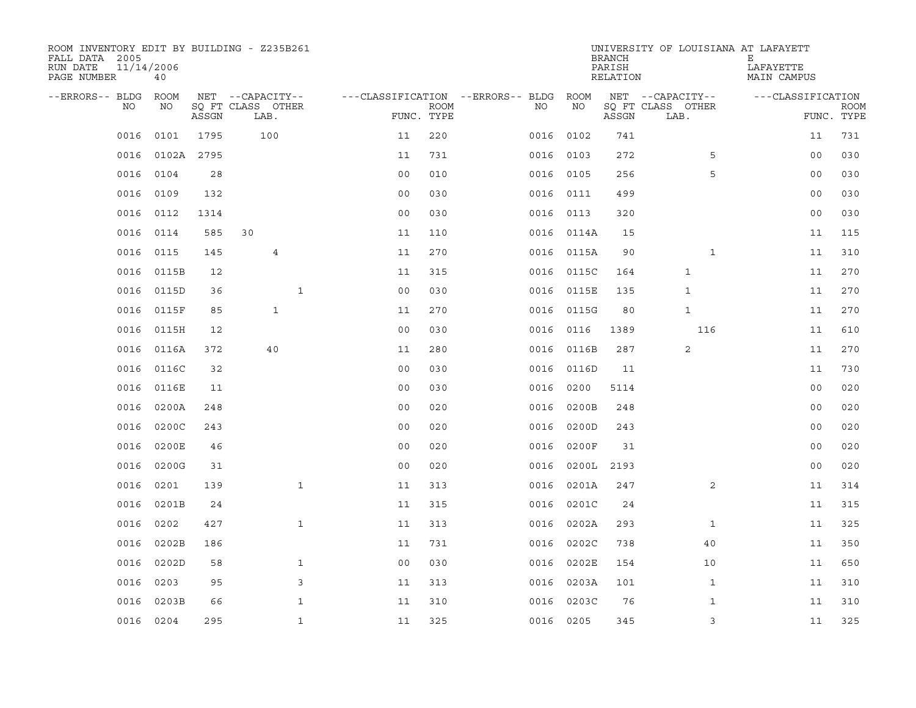| ROOM INVENTORY EDIT BY BUILDING - Z235B261<br>FALL DATA 2005<br>RUN DATE<br>PAGE NUMBER | 11/14/2006<br>40 |       |                           |                |             |                                        |            | <b>BRANCH</b><br>PARISH<br>RELATION | UNIVERSITY OF LOUISIANA AT LAFAYETT | Е<br>LAFAYETTE<br>MAIN CAMPUS |                           |
|-----------------------------------------------------------------------------------------|------------------|-------|---------------------------|----------------|-------------|----------------------------------------|------------|-------------------------------------|-------------------------------------|-------------------------------|---------------------------|
| --ERRORS-- BLDG ROOM                                                                    |                  |       | NET --CAPACITY--          |                |             | ---CLASSIFICATION --ERRORS-- BLDG ROOM |            |                                     | NET --CAPACITY--                    | ---CLASSIFICATION             |                           |
| NO                                                                                      | NO               | ASSGN | SQ FT CLASS OTHER<br>LAB. | FUNC. TYPE     | <b>ROOM</b> | NO                                     | NO         | ASSGN                               | SQ FT CLASS OTHER<br>LAB.           |                               | <b>ROOM</b><br>FUNC. TYPE |
| 0016                                                                                    | 0101             | 1795  | 100                       | 11             | 220         | 0016                                   | 0102       | 741                                 |                                     | 11                            | 731                       |
| 0016                                                                                    | 0102A 2795       |       |                           | 11             | 731         |                                        | 0016 0103  | 272                                 | 5                                   | 0 <sub>0</sub>                | 030                       |
| 0016                                                                                    | 0104             | 28    |                           | 0 <sub>0</sub> | 010         |                                        | 0016 0105  | 256                                 | 5                                   | 00                            | 030                       |
| 0016                                                                                    | 0109             | 132   |                           | 0 <sub>0</sub> | 030         |                                        | 0016 0111  | 499                                 |                                     | 00                            | 030                       |
| 0016                                                                                    | 0112             | 1314  |                           | 00             | 030         |                                        | 0016 0113  | 320                                 |                                     | 0 <sub>0</sub>                | 030                       |
| 0016                                                                                    | 0114             | 585   | 30                        | 11             | 110         |                                        | 0016 0114A | 15                                  |                                     | 11                            | 115                       |
| 0016                                                                                    | 0115             | 145   | 4                         | 11             | 270         |                                        | 0016 0115A | 90                                  | $\mathbf{1}$                        | 11                            | 310                       |
| 0016                                                                                    | 0115B            | 12    |                           | 11             | 315         |                                        | 0016 0115C | 164                                 | $\mathbf{1}$                        | 11                            | 270                       |
| 0016                                                                                    | 0115D            | 36    | $\mathbf{1}$              | 0 <sub>0</sub> | 030         | 0016                                   | 0115E      | 135                                 | $\mathbf{1}$                        | 11                            | 270                       |
| 0016                                                                                    | 0115F            | 85    | $\mathbf{1}$              | 11             | 270         |                                        | 0016 0115G | 80                                  | $\mathbf{1}$                        | 11                            | 270                       |
| 0016                                                                                    | 0115H            | 12    |                           | 0 <sub>0</sub> | 030         | 0016                                   | 0116       | 1389                                | 116                                 | 11                            | 610                       |
| 0016                                                                                    | 0116A            | 372   | 40                        | 11             | 280         | 0016                                   | 0116B      | 287                                 | 2                                   | 11                            | 270                       |
| 0016                                                                                    | 0116C            | 32    |                           | 0 <sub>0</sub> | 030         | 0016                                   | 0116D      | 11                                  |                                     | 11                            | 730                       |
| 0016                                                                                    | 0116E            | 11    |                           | 0 <sub>0</sub> | 030         | 0016                                   | 0200       | 5114                                |                                     | 0 <sub>0</sub>                | 020                       |
| 0016                                                                                    | 0200A            | 248   |                           | 0 <sub>0</sub> | 020         | 0016                                   | 0200B      | 248                                 |                                     | 0 <sub>0</sub>                | 020                       |
| 0016                                                                                    | 0200C            | 243   |                           | 0 <sub>0</sub> | 020         | 0016                                   | 0200D      | 243                                 |                                     | 0 <sub>0</sub>                | 020                       |
| 0016                                                                                    | 0200E            | 46    |                           | 0 <sub>0</sub> | 020         | 0016                                   | 0200F      | 31                                  |                                     | 0 <sub>0</sub>                | 020                       |
| 0016                                                                                    | 0200G            | 31    |                           | 0 <sub>0</sub> | 020         | 0016                                   | 0200L      | 2193                                |                                     | 0 <sub>0</sub>                | 020                       |
| 0016                                                                                    | 0201             | 139   | $\mathbf{1}$              | 11             | 313         |                                        | 0016 0201A | 247                                 | 2                                   | 11                            | 314                       |
| 0016                                                                                    | 0201B            | 24    |                           | 11             | 315         | 0016                                   | 0201C      | 24                                  |                                     | 11                            | 315                       |
| 0016                                                                                    | 0202             | 427   | $\mathbf{1}$              | 11             | 313         | 0016                                   | 0202A      | 293                                 | $\mathbf{1}$                        | 11                            | 325                       |
| 0016                                                                                    | 0202B            | 186   |                           | 11             | 731         | 0016                                   | 0202C      | 738                                 | 40                                  | 11                            | 350                       |
| 0016                                                                                    | 0202D            | 58    | $\mathbf{1}$              | 0 <sub>0</sub> | 030         | 0016                                   | 0202E      | 154                                 | 10                                  | 11                            | 650                       |
| 0016                                                                                    | 0203             | 95    | 3                         | 11             | 313         | 0016                                   | 0203A      | 101                                 | $\mathbf{1}$                        | 11                            | 310                       |
| 0016                                                                                    | 0203B            | 66    | $\mathbf{1}$              | 11             | 310         | 0016                                   | 0203C      | 76                                  | $\mathbf{1}$                        | 11                            | 310                       |
|                                                                                         | 0016 0204        | 295   | $\mathbf{1}$              | 11             | 325         |                                        | 0016 0205  | 345                                 | 3                                   | 11                            | 325                       |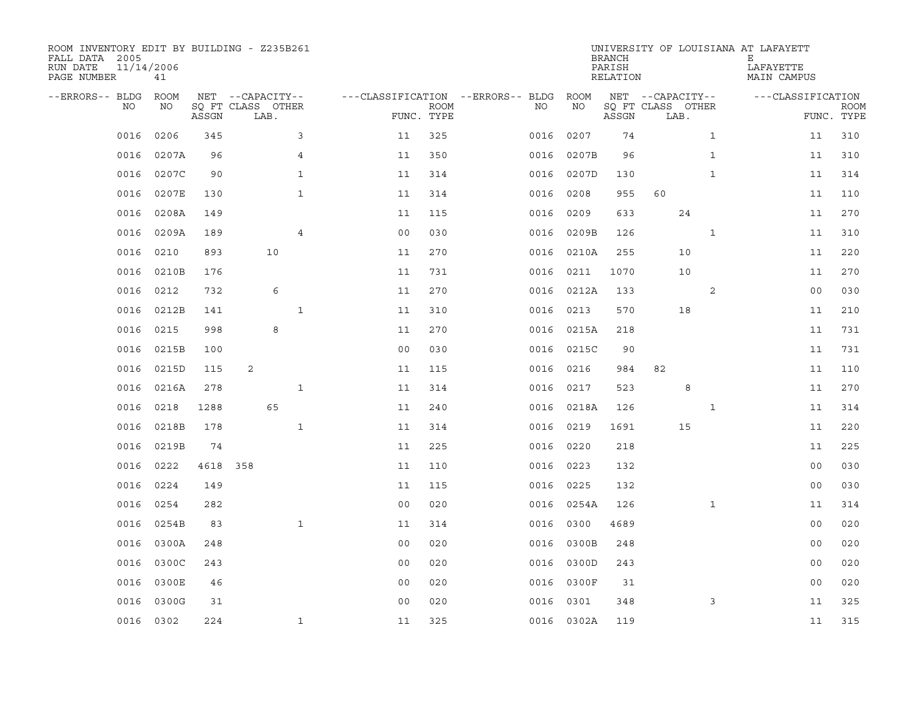| ROOM INVENTORY EDIT BY BUILDING - Z235B261<br>FALL DATA 2005<br>RUN DATE<br>PAGE NUMBER | 11/14/2006<br>41 |       |                           |              |                                        |      |           |            | <b>BRANCH</b><br>PARISH<br>RELATION |                           |              | UNIVERSITY OF LOUISIANA AT LAFAYETT<br>Е<br>LAFAYETTE<br>MAIN CAMPUS |                           |
|-----------------------------------------------------------------------------------------|------------------|-------|---------------------------|--------------|----------------------------------------|------|-----------|------------|-------------------------------------|---------------------------|--------------|----------------------------------------------------------------------|---------------------------|
| --ERRORS-- BLDG ROOM                                                                    |                  |       | NET --CAPACITY--          |              | ---CLASSIFICATION --ERRORS-- BLDG ROOM |      |           |            |                                     | NET --CAPACITY--          |              | ---CLASSIFICATION                                                    |                           |
| NO.                                                                                     | NO               | ASSGN | SQ FT CLASS OTHER<br>LAB. |              | FUNC. TYPE                             | ROOM | NO.       | NO         | ASSGN                               | SQ FT CLASS OTHER<br>LAB. |              |                                                                      | <b>ROOM</b><br>FUNC. TYPE |
| 0016                                                                                    | 0206             | 345   |                           | 3            | 11                                     | 325  | 0016      | 0207       | 74                                  |                           | $\mathbf{1}$ | 11                                                                   | 310                       |
| 0016                                                                                    | 0207A            | 96    |                           | 4            | 11                                     | 350  |           | 0016 0207B | 96                                  |                           | $\mathbf{1}$ | 11                                                                   | 310                       |
| 0016                                                                                    | 0207C            | 90    |                           | $\mathbf{1}$ | 11                                     | 314  |           | 0016 0207D | 130                                 |                           | $\mathbf{1}$ | 11                                                                   | 314                       |
| 0016                                                                                    | 0207E            | 130   |                           | $\mathbf{1}$ | 11                                     | 314  | 0016      | 0208       | 955                                 | 60                        |              | 11                                                                   | 110                       |
| 0016                                                                                    | 0208A            | 149   |                           |              | 11                                     | 115  | 0016      | 0209       | 633                                 | 24                        |              | 11                                                                   | 270                       |
| 0016                                                                                    | 0209A            | 189   |                           | 4            | 0 <sub>0</sub>                         | 030  |           | 0016 0209B | 126                                 |                           | $\mathbf{1}$ | 11                                                                   | 310                       |
| 0016                                                                                    | 0210             | 893   | 10                        |              | 11                                     | 270  |           | 0016 0210A | 255                                 | 10                        |              | 11                                                                   | 220                       |
| 0016                                                                                    | 0210B            | 176   |                           |              | 11                                     | 731  | 0016      | 0211       | 1070                                | 10                        |              | 11                                                                   | 270                       |
| 0016                                                                                    | 0212             | 732   | 6                         |              | 11                                     | 270  | 0016      | 0212A      | 133                                 |                           | 2            | 0 <sub>0</sub>                                                       | 030                       |
| 0016                                                                                    | 0212B            | 141   |                           | $\mathbf 1$  | 11                                     | 310  | 0016 0213 |            | 570                                 | 18                        |              | 11                                                                   | 210                       |
| 0016                                                                                    | 0215             | 998   | 8                         |              | 11                                     | 270  |           | 0016 0215A | 218                                 |                           |              | 11                                                                   | 731                       |
| 0016                                                                                    | 0215B            | 100   |                           |              | 0 <sub>0</sub>                         | 030  |           | 0016 0215C | 90                                  |                           |              | 11                                                                   | 731                       |
| 0016                                                                                    | 0215D            | 115   | 2                         |              | 11                                     | 115  | 0016      | 0216       | 984                                 | 82                        |              | 11                                                                   | 110                       |
| 0016                                                                                    | 0216A            | 278   |                           | 1            | 11                                     | 314  | 0016      | 0217       | 523                                 | 8                         |              | 11                                                                   | 270                       |
| 0016                                                                                    | 0218             | 1288  | 65                        |              | 11                                     | 240  | 0016      | 0218A      | 126                                 |                           | $\mathbf{1}$ | 11                                                                   | 314                       |
| 0016                                                                                    | 0218B            | 178   |                           | $\mathbf{1}$ | 11                                     | 314  | 0016      | 0219       | 1691                                | 15                        |              | 11                                                                   | 220                       |
| 0016                                                                                    | 0219B            | 74    |                           |              | 11                                     | 225  | 0016      | 0220       | 218                                 |                           |              | 11                                                                   | 225                       |
| 0016                                                                                    | 0222             | 4618  | 358                       |              | 11                                     | 110  | 0016      | 0223       | 132                                 |                           |              | 0 <sub>0</sub>                                                       | 030                       |
| 0016                                                                                    | 0224             | 149   |                           |              | 11                                     | 115  | 0016 0225 |            | 132                                 |                           |              | 00                                                                   | 030                       |
| 0016                                                                                    | 0254             | 282   |                           |              | 0 <sub>0</sub>                         | 020  |           | 0016 0254A | 126                                 |                           | $\mathbf{1}$ | 11                                                                   | 314                       |
| 0016                                                                                    | 0254B            | 83    |                           | $\mathbf{1}$ | 11                                     | 314  |           | 0016 0300  | 4689                                |                           |              | 0 <sub>0</sub>                                                       | 020                       |
| 0016                                                                                    | 0300A            | 248   |                           |              | 0 <sub>0</sub>                         | 020  | 0016      | 0300B      | 248                                 |                           |              | 0 <sub>0</sub>                                                       | 020                       |
| 0016                                                                                    | 0300C            | 243   |                           |              | 0 <sub>0</sub>                         | 020  |           | 0016 0300D | 243                                 |                           |              | 0 <sub>0</sub>                                                       | 020                       |
| 0016                                                                                    | 0300E            | 46    |                           |              | 00                                     | 020  | 0016      | 0300F      | 31                                  |                           |              | 00                                                                   | 020                       |
| 0016                                                                                    | 0300G            | 31    |                           |              | 0 <sub>0</sub>                         | 020  | 0016      | 0301       | 348                                 |                           | 3            | 11                                                                   | 325                       |
|                                                                                         | 0016 0302        | 224   |                           | $\mathbf{1}$ | 11                                     | 325  |           | 0016 0302A | 119                                 |                           |              | 11                                                                   | 315                       |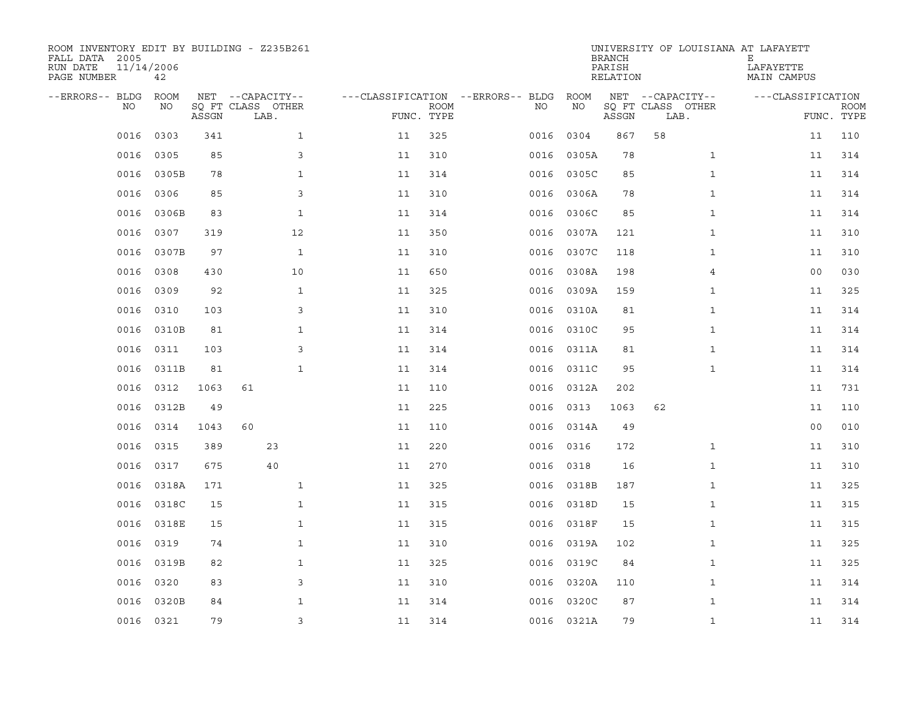| ROOM INVENTORY EDIT BY BUILDING - Z235B261<br>FALL DATA 2005<br>RUN DATE<br>PAGE NUMBER | 11/14/2006<br>42 |       |                           |                    |                           |                                   |            | <b>BRANCH</b><br>PARISH<br>RELATION | UNIVERSITY OF LOUISIANA AT LAFAYETT | Е<br>LAFAYETTE<br>MAIN CAMPUS |                           |
|-----------------------------------------------------------------------------------------|------------------|-------|---------------------------|--------------------|---------------------------|-----------------------------------|------------|-------------------------------------|-------------------------------------|-------------------------------|---------------------------|
| --ERRORS-- BLDG                                                                         | ROOM             |       | NET --CAPACITY--          |                    |                           | ---CLASSIFICATION --ERRORS-- BLDG | ROOM       |                                     | NET --CAPACITY--                    | ---CLASSIFICATION             |                           |
| NO                                                                                      | NO               | ASSGN | SQ FT CLASS OTHER<br>LAB. |                    | <b>ROOM</b><br>FUNC. TYPE | NO                                | NO         | ASSGN                               | SQ FT CLASS OTHER<br>LAB.           |                               | <b>ROOM</b><br>FUNC. TYPE |
| 0016                                                                                    | 0303             | 341   | $\mathbf{1}$              | 11                 | 325                       | 0016                              | 0304       | 867                                 | 58                                  | 11                            | 110                       |
| 0016                                                                                    | 0305             | 85    |                           | 3<br>11            | 310                       | 0016                              | 0305A      | 78                                  | $\mathbf{1}$                        | 11                            | 314                       |
| 0016                                                                                    | 0305B            | 78    | $\mathbf{1}$              | 11                 | 314                       | 0016                              | 0305C      | 85                                  | $\mathbf{1}$                        | 11                            | 314                       |
| 0016                                                                                    | 0306             | 85    |                           | 3<br>11            | 310                       | 0016                              | 0306A      | 78                                  | $\mathbf{1}$                        | 11                            | 314                       |
| 0016                                                                                    | 0306B            | 83    | 1                         | 11                 | 314                       | 0016                              | 0306C      | 85                                  | $\mathbf{1}$                        | 11                            | 314                       |
| 0016                                                                                    | 0307             | 319   | 12                        | 11                 | 350                       | 0016                              | 0307A      | 121                                 | $\mathbf{1}$                        | 11                            | 310                       |
| 0016                                                                                    | 0307B            | 97    | $\mathbf{1}$              | 11                 | 310                       | 0016                              | 0307C      | 118                                 | $\mathbf{1}$                        | 11                            | 310                       |
| 0016                                                                                    | 0308             | 430   | 10                        | 11                 | 650                       | 0016                              | 0308A      | 198                                 | 4                                   | 0 <sub>0</sub>                | 030                       |
| 0016                                                                                    | 0309             | 92    | $\mathbf{1}$              | 11                 | 325                       | 0016                              | 0309A      | 159                                 | $\mathbf{1}$                        | 11                            | 325                       |
| 0016                                                                                    | 0310             | 103   |                           | 3<br>11            | 310                       | 0016                              | 0310A      | 81                                  | $\mathbf{1}$                        | 11                            | 314                       |
| 0016                                                                                    | 0310B            | 81    | $\mathbf{1}$              | 11                 | 314                       | 0016                              | 0310C      | 95                                  | $\mathbf{1}$                        | 11                            | 314                       |
| 0016                                                                                    | 0311             | 103   |                           | 3<br>11            | 314                       | 0016                              | 0311A      | 81                                  | $\mathbf{1}$                        | 11                            | 314                       |
| 0016                                                                                    | 0311B            | 81    | $\mathbf{1}$              | 11                 | 314                       | 0016                              | 0311C      | 95                                  | $\mathbf{1}$                        | 11                            | 314                       |
| 0016                                                                                    | 0312             | 1063  | 61                        | 11                 | 110                       | 0016                              | 0312A      | 202                                 |                                     | 11                            | 731                       |
| 0016                                                                                    | 0312B            | 49    |                           | 11                 | 225                       | 0016                              | 0313       | 1063                                | 62                                  | 11                            | 110                       |
| 0016                                                                                    | 0314             | 1043  | 60                        | 11                 | 110                       | 0016                              | 0314A      | 49                                  |                                     | 00                            | 010                       |
| 0016                                                                                    | 0315             | 389   | 23                        | 11                 | 220                       | 0016                              | 0316       | 172                                 | $\mathbf{1}$                        | 11                            | 310                       |
| 0016                                                                                    | 0317             | 675   | 40                        | 11                 | 270                       | 0016                              | 0318       | 16                                  | $\mathbf{1}$                        | 11                            | 310                       |
| 0016                                                                                    | 0318A            | 171   | $\mathbf{1}$              | 11                 | 325                       |                                   | 0016 0318B | 187                                 | $\mathbf{1}$                        | 11                            | 325                       |
| 0016                                                                                    | 0318C            | 15    |                           | $\mathbf 1$<br>11  | 315                       | 0016                              | 0318D      | 15                                  | $\mathbf{1}$                        | 11                            | 315                       |
| 0016                                                                                    | 0318E            | 15    | $\mathbf{1}$              | 11                 | 315                       |                                   | 0016 0318F | 15                                  | $\mathbf{1}$                        | 11                            | 315                       |
| 0016                                                                                    | 0319             | 74    |                           | $\mathbf{1}$<br>11 | 310                       | 0016                              | 0319A      | 102                                 | $\mathbf{1}$                        | 11                            | 325                       |
| 0016                                                                                    | 0319B            | 82    |                           | $\mathbf{1}$<br>11 | 325                       |                                   | 0016 0319C | 84                                  | $\mathbf{1}$                        | 11                            | 325                       |
| 0016                                                                                    | 0320             | 83    |                           | 3<br>11            | 310                       | 0016                              | 0320A      | 110                                 | $\mathbf{1}$                        | 11                            | 314                       |
| 0016                                                                                    | 0320B            | 84    |                           | $\mathbf{1}$<br>11 | 314                       | 0016                              | 0320C      | 87                                  | $\mathbf{1}$                        | 11                            | 314                       |
|                                                                                         | 0016 0321        | 79    |                           | 3<br>11            | 314                       |                                   | 0016 0321A | 79                                  | $\mathbf{1}$                        | 11                            | 314                       |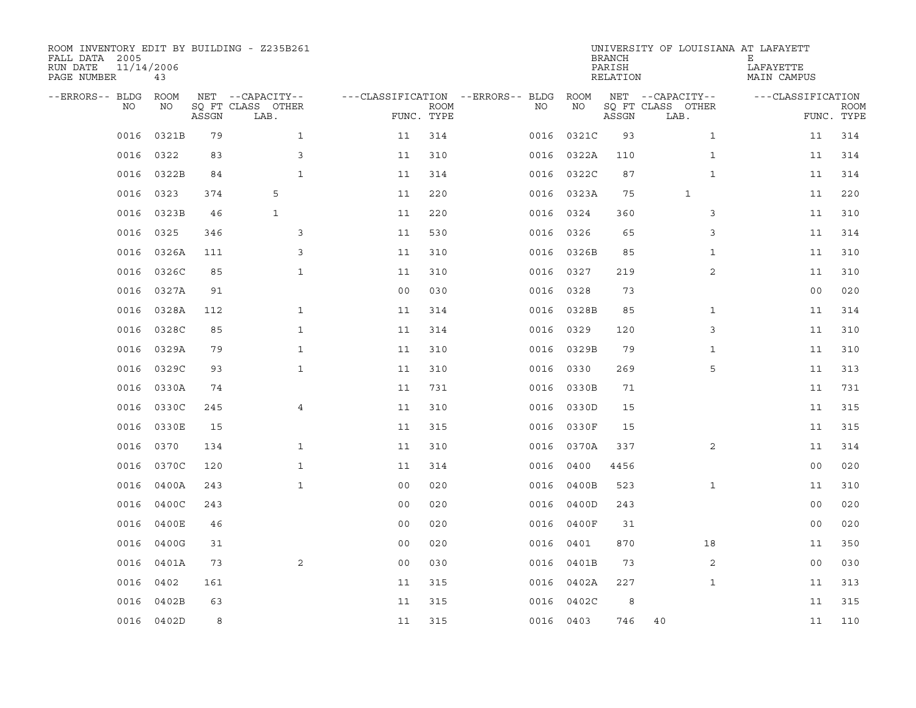| ROOM INVENTORY EDIT BY BUILDING - Z235B261<br>FALL DATA 2005<br>RUN DATE<br>PAGE NUMBER | 11/14/2006<br>43 |       |                           |                                   |             |           |            | <b>BRANCH</b><br>PARISH<br>RELATION | UNIVERSITY OF LOUISIANA AT LAFAYETT | Е<br>LAFAYETTE<br>MAIN CAMPUS |                           |
|-----------------------------------------------------------------------------------------|------------------|-------|---------------------------|-----------------------------------|-------------|-----------|------------|-------------------------------------|-------------------------------------|-------------------------------|---------------------------|
| --ERRORS-- BLDG                                                                         | ROOM             |       | NET --CAPACITY--          | ---CLASSIFICATION --ERRORS-- BLDG |             |           | ROOM       |                                     | NET --CAPACITY--                    | ---CLASSIFICATION             |                           |
| NO                                                                                      | NO               | ASSGN | SQ FT CLASS OTHER<br>LAB. | FUNC. TYPE                        | <b>ROOM</b> | NO        | NO         | ASSGN                               | SQ FT CLASS OTHER<br>LAB.           |                               | <b>ROOM</b><br>FUNC. TYPE |
| 0016                                                                                    | 0321B            | 79    | $\mathbf{1}$              | 11                                | 314         | 0016      | 0321C      | 93                                  | $\mathbf{1}$                        | 11                            | 314                       |
| 0016                                                                                    | 0322             | 83    | 3                         | 11                                | 310         |           | 0016 0322A | 110                                 | $\mathbf{1}$                        | 11                            | 314                       |
| 0016                                                                                    | 0322B            | 84    | $\mathbf{1}$              | 11                                | 314         |           | 0016 0322C | 87                                  | $\mathbf{1}$                        | 11                            | 314                       |
| 0016                                                                                    | 0323             | 374   | 5                         | 11                                | 220         |           | 0016 0323A | 75                                  | $\mathbf 1$                         | 11                            | 220                       |
| 0016                                                                                    | 0323B            | 46    | $\mathbf{1}$              | 11                                | 220         | 0016      | 0324       | 360                                 | 3                                   | 11                            | 310                       |
| 0016                                                                                    | 0325             | 346   | 3                         | 11                                | 530         | 0016 0326 |            | 65                                  | 3                                   | 11                            | 314                       |
| 0016                                                                                    | 0326A            | 111   | 3                         | 11                                | 310         |           | 0016 0326B | 85                                  | $\mathbf{1}$                        | 11                            | 310                       |
| 0016                                                                                    | 0326C            | 85    | $\mathbf{1}$              | 11                                | 310         | 0016      | 0327       | 219                                 | 2                                   | 11                            | 310                       |
| 0016                                                                                    | 0327A            | 91    |                           | 0 <sub>0</sub>                    | 030         | 0016      | 0328       | 73                                  |                                     | 0 <sub>0</sub>                | 020                       |
| 0016                                                                                    | 0328A            | 112   | $\mathbf{1}$              | 11                                | 314         |           | 0016 0328B | 85                                  | $\mathbf{1}$                        | 11                            | 314                       |
| 0016                                                                                    | 0328C            | 85    | $\mathbf{1}$              | 11                                | 314         | 0016 0329 |            | 120                                 | 3                                   | 11                            | 310                       |
| 0016                                                                                    | 0329A            | 79    | $\mathbf{1}$              | 11                                | 310         |           | 0016 0329B | 79                                  | $\mathbf{1}$                        | 11                            | 310                       |
| 0016                                                                                    | 0329C            | 93    | $\mathbf{1}$              | 11                                | 310         | 0016      | 0330       | 269                                 | 5                                   | 11                            | 313                       |
| 0016                                                                                    | 0330A            | 74    |                           | 11                                | 731         |           | 0016 0330B | 71                                  |                                     | 11                            | 731                       |
| 0016                                                                                    | 0330C            | 245   | $\overline{4}$            | 11                                | 310         | 0016      | 0330D      | 15                                  |                                     | 11                            | 315                       |
| 0016                                                                                    | 0330E            | 15    |                           | 11                                | 315         |           | 0016 0330F | 15                                  |                                     | 11                            | 315                       |
| 0016                                                                                    | 0370             | 134   | $\mathbf{1}$              | 11                                | 310         |           | 0016 0370A | 337                                 | $\overline{2}$                      | 11                            | 314                       |
| 0016                                                                                    | 0370C            | 120   | $\mathbf{1}$              | 11                                | 314         | 0016      | 0400       | 4456                                |                                     | 0 <sub>0</sub>                | 020                       |
| 0016                                                                                    | 0400A            | 243   | $\mathbf{1}$              | 0 <sub>0</sub>                    | 020         |           | 0016 0400B | 523                                 | $\mathbf{1}$                        | 11                            | 310                       |
| 0016                                                                                    | 0400C            | 243   |                           | 0 <sub>0</sub>                    | 020         | 0016      | 0400D      | 243                                 |                                     | 0 <sub>0</sub>                | 020                       |
| 0016                                                                                    | 0400E            | 46    |                           | 0 <sub>0</sub>                    | 020         |           | 0016 0400F | 31                                  |                                     | 0 <sub>0</sub>                | 020                       |
| 0016                                                                                    | 0400G            | 31    |                           | 0 <sub>0</sub>                    | 020         | 0016      | 0401       | 870                                 | 18                                  | 11                            | 350                       |
| 0016                                                                                    | 0401A            | 73    | 2                         | 0 <sub>0</sub>                    | 030         |           | 0016 0401B | 73                                  | 2                                   | 0 <sub>0</sub>                | 030                       |
| 0016                                                                                    | 0402             | 161   |                           | 11                                | 315         |           | 0016 0402A | 227                                 | $\mathbf{1}$                        | 11                            | 313                       |
| 0016                                                                                    | 0402B            | 63    |                           | 11                                | 315         | 0016      | 0402C      | 8                                   |                                     | 11                            | 315                       |
|                                                                                         | 0016 0402D       | 8     |                           | 11                                | 315         | 0016 0403 |            | 746                                 | 40                                  | 11                            | 110                       |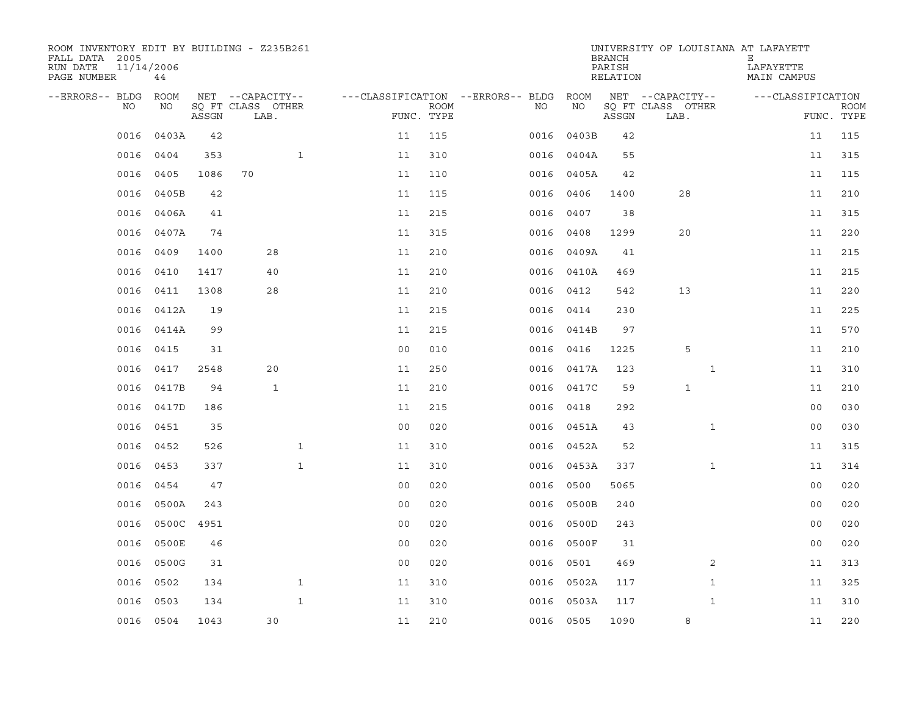| ROOM INVENTORY EDIT BY BUILDING - Z235B261<br>FALL DATA 2005<br>RUN DATE<br>PAGE NUMBER | 11/14/2006<br>44 |       |                           |              |                |             |                                        |            | <b>BRANCH</b><br>PARISH<br>RELATION | UNIVERSITY OF LOUISIANA AT LAFAYETT | Е<br>LAFAYETTE<br>MAIN CAMPUS |                           |
|-----------------------------------------------------------------------------------------|------------------|-------|---------------------------|--------------|----------------|-------------|----------------------------------------|------------|-------------------------------------|-------------------------------------|-------------------------------|---------------------------|
| --ERRORS-- BLDG ROOM                                                                    |                  |       | NET --CAPACITY--          |              |                |             | ---CLASSIFICATION --ERRORS-- BLDG ROOM |            |                                     | NET --CAPACITY--                    | ---CLASSIFICATION             |                           |
| NO                                                                                      | NO               | ASSGN | SQ FT CLASS OTHER<br>LAB. |              | FUNC. TYPE     | <b>ROOM</b> | NO                                     | NO         | ASSGN                               | SQ FT CLASS OTHER<br>LAB.           |                               | <b>ROOM</b><br>FUNC. TYPE |
| 0016                                                                                    | 0403A            | 42    |                           |              | 11             | 115         | 0016                                   | 0403B      | 42                                  |                                     | 11                            | 115                       |
| 0016                                                                                    | 0404             | 353   |                           | $\mathbf{1}$ | 11             | 310         |                                        | 0016 0404A | 55                                  |                                     | 11                            | 315                       |
| 0016                                                                                    | 0405             | 1086  | 70                        |              | 11             | 110         | 0016                                   | 0405A      | 42                                  |                                     | 11                            | 115                       |
| 0016                                                                                    | 0405B            | 42    |                           |              | 11             | 115         | 0016                                   | 0406       | 1400                                | 28                                  | 11                            | 210                       |
| 0016                                                                                    | 0406A            | 41    |                           |              | 11             | 215         | 0016                                   | 0407       | 38                                  |                                     | 11                            | 315                       |
| 0016                                                                                    | 0407A            | 74    |                           |              | 11             | 315         | 0016                                   | 0408       | 1299                                | 20                                  | 11                            | 220                       |
| 0016                                                                                    | 0409             | 1400  | 28                        |              | 11             | 210         |                                        | 0016 0409A | 41                                  |                                     | 11                            | 215                       |
| 0016                                                                                    | 0410             | 1417  | 40                        |              | 11             | 210         |                                        | 0016 0410A | 469                                 |                                     | 11                            | 215                       |
| 0016                                                                                    | 0411             | 1308  | 28                        |              | 11             | 210         |                                        | 0016 0412  | 542                                 | 13                                  | 11                            | 220                       |
| 0016                                                                                    | 0412A            | 19    |                           |              | 11             | 215         |                                        | 0016 0414  | 230                                 |                                     | 11                            | 225                       |
| 0016                                                                                    | 0414A            | 99    |                           |              | 11             | 215         |                                        | 0016 0414B | 97                                  |                                     | 11                            | 570                       |
| 0016                                                                                    | 0415             | 31    |                           |              | 0 <sub>0</sub> | 010         |                                        | 0016 0416  | 1225                                | 5                                   | 11                            | 210                       |
| 0016                                                                                    | 0417             | 2548  | 20                        |              | 11             | 250         | 0016                                   | 0417A      | 123                                 | $\mathbf{1}$                        | 11                            | 310                       |
| 0016                                                                                    | 0417B            | 94    | $\mathbf{1}$              |              | 11             | 210         | 0016                                   | 0417C      | 59                                  | $\mathbf{1}$                        | 11                            | 210                       |
| 0016                                                                                    | 0417D            | 186   |                           |              | 11             | 215         |                                        | 0016 0418  | 292                                 |                                     | 0 <sub>0</sub>                | 030                       |
| 0016                                                                                    | 0451             | 35    |                           |              | 0 <sub>0</sub> | 020         |                                        | 0016 0451A | 43                                  | $\mathbf{1}$                        | 00                            | 030                       |
| 0016                                                                                    | 0452             | 526   |                           | $\mathbf{1}$ | 11             | 310         | 0016                                   | 0452A      | 52                                  |                                     | 11                            | 315                       |
| 0016                                                                                    | 0453             | 337   |                           | $\mathbf{1}$ | 11             | 310         |                                        | 0016 0453A | 337                                 | $\mathbf{1}$                        | 11                            | 314                       |
| 0016                                                                                    | 0454             | 47    |                           |              | 0 <sub>0</sub> | 020         |                                        | 0016 0500  | 5065                                |                                     | 0 <sub>0</sub>                | 020                       |
| 0016                                                                                    | 0500A            | 243   |                           |              | 0 <sub>0</sub> | 020         | 0016                                   | 0500B      | 240                                 |                                     | 0 <sub>0</sub>                | 020                       |
| 0016                                                                                    | 0500C 4951       |       |                           |              | 0 <sub>0</sub> | 020         |                                        | 0016 0500D | 243                                 |                                     | 0 <sub>0</sub>                | 020                       |
| 0016                                                                                    | 0500E            | 46    |                           |              | 0 <sub>0</sub> | 020         |                                        | 0016 0500F | 31                                  |                                     | 0 <sub>0</sub>                | 020                       |
| 0016                                                                                    | 0500G            | 31    |                           |              | 0 <sub>0</sub> | 020         |                                        | 0016 0501  | 469                                 | 2                                   | 11                            | 313                       |
| 0016                                                                                    | 0502             | 134   |                           | $\mathbf{1}$ | 11             | 310         | 0016                                   | 0502A      | 117                                 | $\mathbf{1}$                        | 11                            | 325                       |
| 0016                                                                                    | 0503             | 134   |                           | $\mathbf{1}$ | 11             | 310         | 0016                                   | 0503A      | 117                                 | $\mathbf{1}$                        | 11                            | 310                       |
|                                                                                         | 0016 0504        | 1043  | 30                        |              | 11             | 210         |                                        | 0016 0505  | 1090                                | 8                                   | 11                            | 220                       |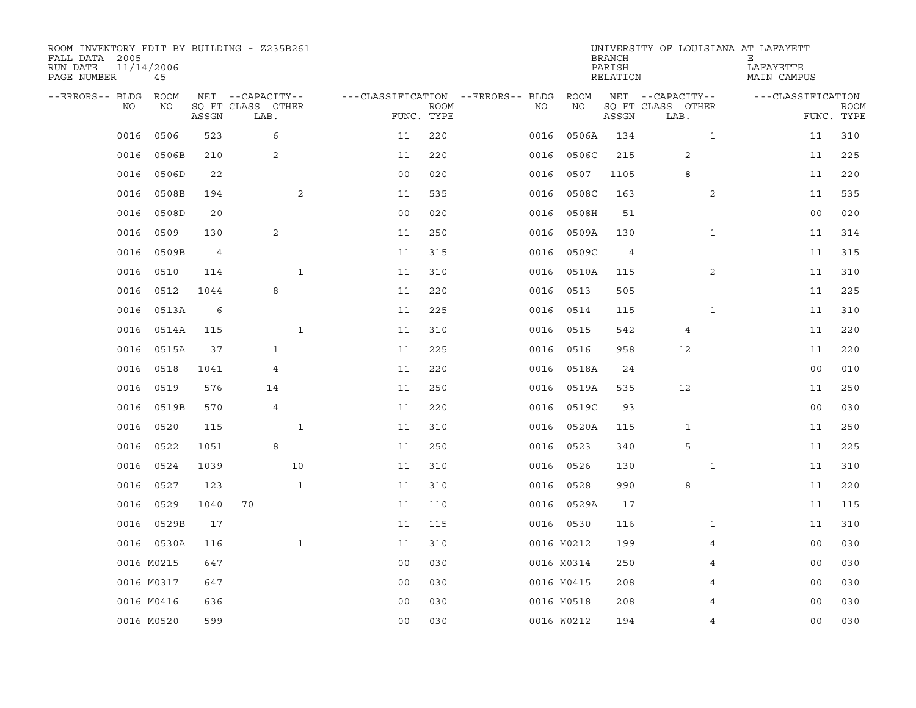| ROOM INVENTORY EDIT BY BUILDING - Z235B261<br>FALL DATA 2005<br>RUN DATE<br>PAGE NUMBER | 11/14/2006<br>45 |       |                           |              |                |             |                                   |            | <b>BRANCH</b><br>PARISH<br>RELATION | UNIVERSITY OF LOUISIANA AT LAFAYETT | Е<br>LAFAYETTE<br>MAIN CAMPUS |                           |
|-----------------------------------------------------------------------------------------|------------------|-------|---------------------------|--------------|----------------|-------------|-----------------------------------|------------|-------------------------------------|-------------------------------------|-------------------------------|---------------------------|
| --ERRORS-- BLDG                                                                         | ROOM             |       | NET --CAPACITY--          |              |                |             | ---CLASSIFICATION --ERRORS-- BLDG | ROOM       |                                     | NET --CAPACITY--                    | ---CLASSIFICATION             |                           |
| NO                                                                                      | NO               | ASSGN | SQ FT CLASS OTHER<br>LAB. |              | FUNC. TYPE     | <b>ROOM</b> | NO                                | NO         | ASSGN                               | SQ FT CLASS OTHER<br>LAB.           |                               | <b>ROOM</b><br>FUNC. TYPE |
| 0016                                                                                    | 0506             | 523   | 6                         |              | 11             | 220         | 0016                              | 0506A      | 134                                 | $\mathbf{1}$                        | 11                            | 310                       |
| 0016                                                                                    | 0506B            | 210   | 2                         |              | 11             | 220         | 0016                              | 0506C      | 215                                 | 2                                   | 11                            | 225                       |
| 0016                                                                                    | 0506D            | 22    |                           |              | 0 <sub>0</sub> | 020         | 0016                              | 0507       | 1105                                | 8                                   | 11                            | 220                       |
| 0016                                                                                    | 0508B            | 194   |                           | 2            | 11             | 535         | 0016                              | 0508C      | 163                                 | 2                                   | 11                            | 535                       |
| 0016                                                                                    | 0508D            | 20    |                           |              | 0 <sub>0</sub> | 020         | 0016                              | 0508H      | 51                                  |                                     | 0 <sub>0</sub>                | 020                       |
| 0016                                                                                    | 0509             | 130   | 2                         |              | 11             | 250         | 0016                              | 0509A      | 130                                 | $\mathbf{1}$                        | 11                            | 314                       |
| 0016                                                                                    | 0509B            | 4     |                           |              | 11             | 315         | 0016                              | 0509C      | 4                                   |                                     | 11                            | 315                       |
| 0016                                                                                    | 0510             | 114   |                           | $\mathbf{1}$ | 11             | 310         |                                   | 0016 0510A | 115                                 | 2                                   | 11                            | 310                       |
| 0016                                                                                    | 0512             | 1044  | 8                         |              | 11             | 220         | 0016                              | 0513       | 505                                 |                                     | 11                            | 225                       |
| 0016                                                                                    | 0513A            | 6     |                           |              | 11             | 225         |                                   | 0016 0514  | 115                                 | $\mathbf{1}$                        | 11                            | 310                       |
| 0016                                                                                    | 0514A            | 115   |                           | $\mathbf{1}$ | 11             | 310         | 0016                              | 0515       | 542                                 | 4                                   | 11                            | 220                       |
| 0016                                                                                    | 0515A            | 37    | $\mathbf{1}$              |              | 11             | 225         | 0016                              | 0516       | 958                                 | 12                                  | 11                            | 220                       |
| 0016                                                                                    | 0518             | 1041  | 4                         |              | 11             | 220         | 0016                              | 0518A      | 24                                  |                                     | 0 <sub>0</sub>                | 010                       |
| 0016                                                                                    | 0519             | 576   | 14                        |              | 11             | 250         | 0016                              | 0519A      | 535                                 | 12                                  | 11                            | 250                       |
| 0016                                                                                    | 0519B            | 570   | 4                         |              | 11             | 220         | 0016                              | 0519C      | 93                                  |                                     | 0 <sub>0</sub>                | 030                       |
| 0016                                                                                    | 0520             | 115   |                           | $\mathbf{1}$ | 11             | 310         | 0016                              | 0520A      | 115                                 | 1                                   | 11                            | 250                       |
| 0016                                                                                    | 0522             | 1051  | 8                         |              | 11             | 250         | 0016                              | 0523       | 340                                 | 5                                   | 11                            | 225                       |
| 0016                                                                                    | 0524             | 1039  |                           | 10           | 11             | 310         | 0016                              | 0526       | 130                                 | $\mathbf{1}$                        | 11                            | 310                       |
| 0016                                                                                    | 0527             | 123   |                           | $\mathbf{1}$ | 11             | 310         | 0016                              | 0528       | 990                                 | 8                                   | 11                            | 220                       |
| 0016                                                                                    | 0529             | 1040  | 70                        |              | 11             | 110         |                                   | 0016 0529A | 17                                  |                                     | 11                            | 115                       |
|                                                                                         | 0016 0529B       | 17    |                           |              | 11             | 115         |                                   | 0016 0530  | 116                                 | $\mathbf{1}$                        | 11                            | 310                       |
|                                                                                         | 0016 0530A       | 116   |                           | $\mathbf{1}$ | 11             | 310         |                                   | 0016 M0212 | 199                                 | 4                                   | 00                            | 030                       |
|                                                                                         | 0016 M0215       | 647   |                           |              | 0 <sub>0</sub> | 030         |                                   | 0016 M0314 | 250                                 | 4                                   | 00                            | 030                       |
|                                                                                         | 0016 M0317       | 647   |                           |              | 00             | 030         |                                   | 0016 M0415 | 208                                 | 4                                   | 00                            | 030                       |
|                                                                                         | 0016 M0416       | 636   |                           |              | 0 <sub>0</sub> | 030         |                                   | 0016 M0518 | 208                                 | 4                                   | 00                            | 030                       |
|                                                                                         | 0016 M0520       | 599   |                           |              | 0 <sub>0</sub> | 030         |                                   | 0016 W0212 | 194                                 | 4                                   | 0 <sub>0</sub>                | 030                       |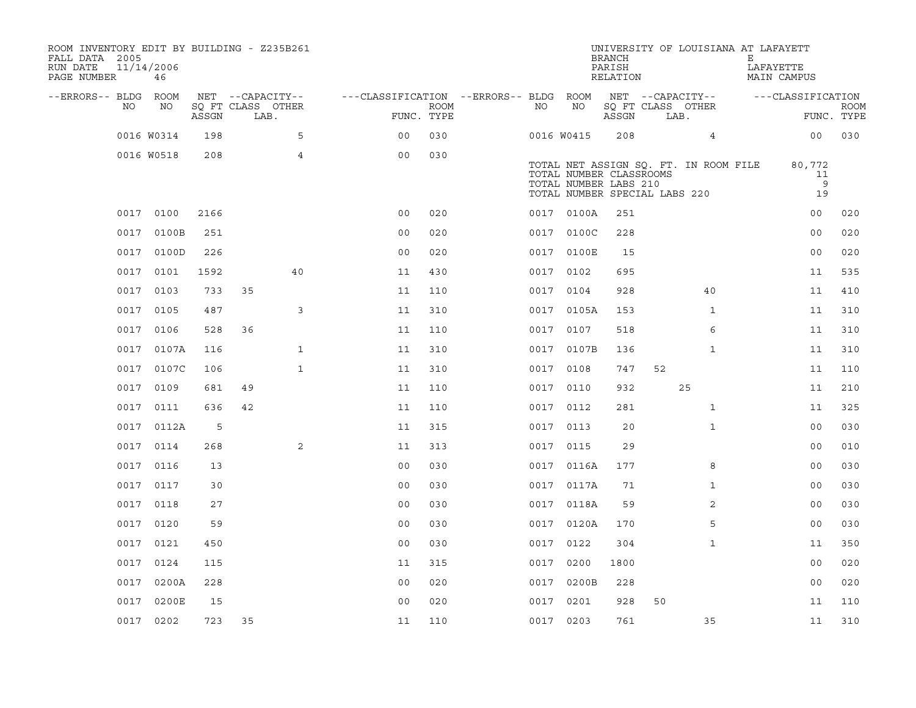| ROOM INVENTORY EDIT BY BUILDING - Z235B261<br>FALL DATA 2005<br>RUN DATE<br>PAGE NUMBER | 11/14/2006<br>46 |       |                           |                                        |      |           |                                                                                   | <b>BRANCH</b><br>PARISH<br>RELATION |      | UNIVERSITY OF LOUISIANA AT LAFAYETT   | Е<br>LAFAYETTE | MAIN CAMPUS             |                           |
|-----------------------------------------------------------------------------------------|------------------|-------|---------------------------|----------------------------------------|------|-----------|-----------------------------------------------------------------------------------|-------------------------------------|------|---------------------------------------|----------------|-------------------------|---------------------------|
| --ERRORS-- BLDG ROOM                                                                    |                  |       | NET --CAPACITY--          | ---CLASSIFICATION --ERRORS-- BLDG ROOM |      |           |                                                                                   |                                     |      | NET --CAPACITY--                      |                | ---CLASSIFICATION       |                           |
| NO.                                                                                     | NO               | ASSGN | SO FT CLASS OTHER<br>LAB. | FUNC. TYPE                             | ROOM | NO.       | NO                                                                                | ASSGN                               | LAB. | SQ FT CLASS OTHER                     |                |                         | <b>ROOM</b><br>FUNC. TYPE |
|                                                                                         | 0016 W0314       | 198   | 5                         | 0 <sub>0</sub>                         | 030  |           | 0016 W0415                                                                        | 208                                 |      | $\overline{4}$                        |                | 0 <sup>0</sup>          | 030                       |
|                                                                                         | 0016 W0518       | 208   | $\overline{4}$            | 0 <sub>0</sub>                         | 030  |           | TOTAL NUMBER CLASSROOMS<br>TOTAL NUMBER LABS 210<br>TOTAL NUMBER SPECIAL LABS 220 |                                     |      | TOTAL NET ASSIGN SQ. FT. IN ROOM FILE |                | 80,772<br>11<br>9<br>19 |                           |
|                                                                                         | 0017 0100        | 2166  |                           | 0 <sub>0</sub>                         | 020  |           | 0017 0100A                                                                        | 251                                 |      |                                       |                | 00                      | 020                       |
|                                                                                         | 0017 0100B       | 251   |                           | 0 <sub>0</sub>                         | 020  |           | 0017 0100C                                                                        | 228                                 |      |                                       |                | 0 <sub>0</sub>          | 020                       |
|                                                                                         | 0017 0100D       | 226   |                           | 0 <sub>0</sub>                         | 020  |           | 0017 0100E                                                                        | 15                                  |      |                                       |                | 0 <sub>0</sub>          | 020                       |
|                                                                                         | 0017 0101        | 1592  | 40                        | 11                                     | 430  |           | 0017 0102                                                                         | 695                                 |      |                                       |                | 11                      | 535                       |
| 0017                                                                                    | 0103             | 733   | 35                        | 11                                     | 110  | 0017      | 0104                                                                              | 928                                 |      | 40                                    |                | 11                      | 410                       |
|                                                                                         | 0017 0105        | 487   | 3                         | 11                                     | 310  |           | 0017 0105A                                                                        | 153                                 |      | $\mathbf{1}$                          |                | 11                      | 310                       |
| 0017                                                                                    | 0106             | 528   | 36                        | 11                                     | 110  | 0017 0107 |                                                                                   | 518                                 |      | 6                                     |                | 11                      | 310                       |
|                                                                                         | 0017 0107A       | 116   | $\mathbf{1}$              | 11                                     | 310  |           | 0017 0107B                                                                        | 136                                 |      | $\mathbf{1}$                          |                | 11                      | 310                       |
|                                                                                         | 0017 0107C       | 106   | $\mathbf{1}$              | 11                                     | 310  | 0017 0108 |                                                                                   | 747                                 | 52   |                                       |                | 11                      | 110                       |
|                                                                                         | 0017 0109        | 681   | 49                        | 11                                     | 110  |           | 0017 0110                                                                         | 932                                 |      | 25                                    |                | 11                      | 210                       |
| 0017                                                                                    | 0111             | 636   | 42                        | 11                                     | 110  | 0017 0112 |                                                                                   | 281                                 |      | $\mathbf{1}$                          |                | 11                      | 325                       |
|                                                                                         | 0017 0112A       | 5     |                           | 11                                     | 315  |           | 0017 0113                                                                         | 20                                  |      | $\mathbf{1}$                          |                | 0 <sub>0</sub>          | 030                       |
| 0017                                                                                    | 0114             | 268   | $\overline{2}$            | 11                                     | 313  |           | 0017 0115                                                                         | 29                                  |      |                                       |                | 00                      | 010                       |
|                                                                                         | 0017 0116        | 13    |                           | 0 <sub>0</sub>                         | 030  |           | 0017 0116A                                                                        | 177                                 |      | 8                                     |                | 00                      | 030                       |
|                                                                                         | 0017 0117        | 30    |                           | 0 <sub>0</sub>                         | 030  |           | 0017 0117A                                                                        | 71                                  |      | $\mathbf{1}$                          |                | 0 <sub>0</sub>          | 030                       |
|                                                                                         | 0017 0118        | 27    |                           | 0 <sub>0</sub>                         | 030  |           | 0017 0118A                                                                        | 59                                  |      | 2                                     |                | 0 <sub>0</sub>          | 030                       |
|                                                                                         | 0017 0120        | 59    |                           | 0 <sub>0</sub>                         | 030  |           | 0017 0120A                                                                        | 170                                 |      | 5                                     |                | 0 <sub>0</sub>          | 030                       |
|                                                                                         | 0017 0121        | 450   |                           | 0 <sub>0</sub>                         | 030  |           | 0017 0122                                                                         | 304                                 |      | $\mathbf{1}$                          |                | 11                      | 350                       |
|                                                                                         | 0017 0124        | 115   |                           | 11                                     | 315  | 0017 0200 |                                                                                   | 1800                                |      |                                       |                | 0 <sub>0</sub>          | 020                       |
|                                                                                         | 0017 0200A       | 228   |                           | 00                                     | 020  |           | 0017 0200B                                                                        | 228                                 |      |                                       |                | 0 <sub>0</sub>          | 020                       |
|                                                                                         | 0017 0200E       | 15    |                           | 0 <sub>0</sub>                         | 020  |           | 0017 0201                                                                         | 928                                 | 50   |                                       |                | 11                      | 110                       |
|                                                                                         | 0017 0202        | 723   | 35                        | 11                                     | 110  | 0017 0203 |                                                                                   | 761                                 |      | 35                                    |                | 11                      | 310                       |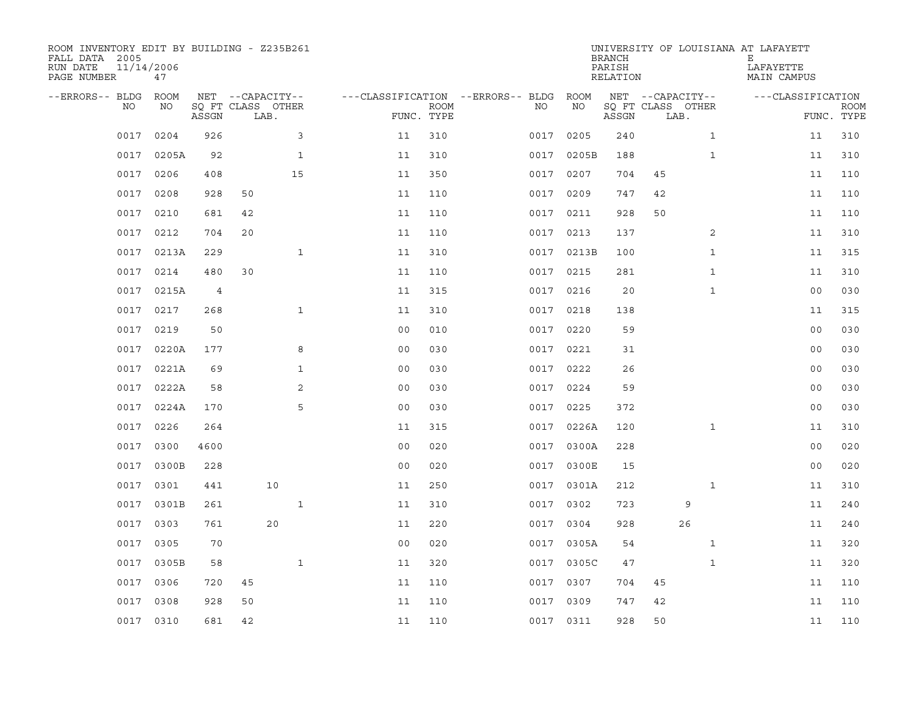| ROOM INVENTORY EDIT BY BUILDING - Z235B261<br>FALL DATA 2005<br>RUN DATE<br>PAGE NUMBER | 11/14/2006<br>47 |       |                           |              |                |             |                                        |           |            | <b>BRANCH</b><br>PARISH<br>RELATION |                           |              | UNIVERSITY OF LOUISIANA AT LAFAYETT<br>Е<br>LAFAYETTE<br>MAIN CAMPUS |                |                           |
|-----------------------------------------------------------------------------------------|------------------|-------|---------------------------|--------------|----------------|-------------|----------------------------------------|-----------|------------|-------------------------------------|---------------------------|--------------|----------------------------------------------------------------------|----------------|---------------------------|
| --ERRORS-- BLDG ROOM                                                                    |                  |       | NET --CAPACITY--          |              |                |             | ---CLASSIFICATION --ERRORS-- BLDG ROOM |           |            |                                     | NET --CAPACITY--          |              | ---CLASSIFICATION                                                    |                |                           |
| NO.                                                                                     | NO               | ASSGN | SQ FT CLASS OTHER<br>LAB. |              | FUNC. TYPE     | <b>ROOM</b> |                                        | NO.       | NO         | ASSGN                               | SQ FT CLASS OTHER<br>LAB. |              |                                                                      |                | <b>ROOM</b><br>FUNC. TYPE |
| 0017                                                                                    | 0204             | 926   |                           | 3            | 11             | 310         |                                        | 0017      | 0205       | 240                                 |                           | $\mathbf{1}$ |                                                                      | 11             | 310                       |
| 0017                                                                                    | 0205A            | 92    |                           | $\mathbf{1}$ | 11             | 310         |                                        |           | 0017 0205B | 188                                 |                           | $\mathbf{1}$ |                                                                      | 11             | 310                       |
| 0017                                                                                    | 0206             | 408   | 15                        |              | 11             | 350         |                                        | 0017      | 0207       | 704                                 | 45                        |              |                                                                      | 11             | 110                       |
| 0017                                                                                    | 0208             | 928   | 50                        |              | 11             | 110         |                                        | 0017 0209 |            | 747                                 | 42                        |              |                                                                      | 11             | 110                       |
| 0017                                                                                    | 0210             | 681   | 42                        |              | 11             | 110         |                                        | 0017      | 0211       | 928                                 | 50                        |              |                                                                      | 11             | 110                       |
| 0017                                                                                    | 0212             | 704   | 20                        |              | 11             | 110         |                                        | 0017 0213 |            | 137                                 |                           | 2            |                                                                      | 11             | 310                       |
| 0017                                                                                    | 0213A            | 229   |                           | $\mathbf{1}$ | 11             | 310         |                                        |           | 0017 0213B | 100                                 |                           | $\mathbf{1}$ |                                                                      | 11             | 315                       |
| 0017                                                                                    | 0214             | 480   | 30                        |              | 11             | 110         |                                        | 0017 0215 |            | 281                                 |                           | $\mathbf{1}$ |                                                                      | 11             | 310                       |
| 0017                                                                                    | 0215A            | 4     |                           |              | 11             | 315         |                                        | 0017      | 0216       | 20                                  |                           | $\mathbf{1}$ |                                                                      | 0 <sub>0</sub> | 030                       |
| 0017                                                                                    | 0217             | 268   |                           | $\mathbf{1}$ | 11             | 310         |                                        | 0017 0218 |            | 138                                 |                           |              |                                                                      | 11             | 315                       |
| 0017                                                                                    | 0219             | 50    |                           |              | 0 <sub>0</sub> | 010         |                                        | 0017      | 0220       | 59                                  |                           |              |                                                                      | 0 <sub>0</sub> | 030                       |
| 0017                                                                                    | 0220A            | 177   |                           | 8            | 0 <sub>0</sub> | 030         |                                        | 0017 0221 |            | 31                                  |                           |              |                                                                      | 00             | 030                       |
| 0017                                                                                    | 0221A            | 69    |                           | $\mathbf{1}$ | 0 <sub>0</sub> | 030         |                                        | 0017      | 0222       | 26                                  |                           |              |                                                                      | 00             | 030                       |
| 0017                                                                                    | 0222A            | 58    |                           | 2            | 0 <sub>0</sub> | 030         |                                        | 0017 0224 |            | 59                                  |                           |              |                                                                      | 00             | 030                       |
| 0017                                                                                    | 0224A            | 170   |                           | 5            | 0 <sub>0</sub> | 030         |                                        | 0017      | 0225       | 372                                 |                           |              |                                                                      | 00             | 030                       |
| 0017                                                                                    | 0226             | 264   |                           |              | 11             | 315         |                                        |           | 0017 0226A | 120                                 |                           | $\mathbf{1}$ |                                                                      | 11             | 310                       |
| 0017                                                                                    | 0300             | 4600  |                           |              | 0 <sub>0</sub> | 020         |                                        | 0017      | 0300A      | 228                                 |                           |              |                                                                      | 00             | 020                       |
| 0017                                                                                    | 0300B            | 228   |                           |              | 0 <sub>0</sub> | 020         |                                        |           | 0017 0300E | 15                                  |                           |              |                                                                      | 00             | 020                       |
| 0017                                                                                    | 0301             | 441   | 10                        |              | 11             | 250         |                                        |           | 0017 0301A | 212                                 |                           | $\mathbf{1}$ |                                                                      | 11             | 310                       |
| 0017                                                                                    | 0301B            | 261   |                           | $\mathbf{1}$ | 11             | 310         |                                        | 0017      | 0302       | 723                                 |                           | 9            |                                                                      | 11             | 240                       |
| 0017                                                                                    | 0303             | 761   | 20                        |              | 11             | 220         |                                        | 0017 0304 |            | 928                                 |                           | 26           |                                                                      | 11             | 240                       |
| 0017                                                                                    | 0305             | 70    |                           |              | 0 <sub>0</sub> | 020         |                                        |           | 0017 0305A | 54                                  |                           | $\mathbf{1}$ |                                                                      | 11             | 320                       |
| 0017                                                                                    | 0305B            | 58    |                           | $\mathbf{1}$ | 11             | 320         |                                        |           | 0017 0305C | 47                                  |                           | $\mathbf{1}$ |                                                                      | 11             | 320                       |
| 0017                                                                                    | 0306             | 720   | 45                        |              | 11             | 110         |                                        | 0017 0307 |            | 704                                 | 45                        |              |                                                                      | 11             | 110                       |
| 0017                                                                                    | 0308             | 928   | 50                        |              | 11             | 110         |                                        | 0017 0309 |            | 747                                 | 42                        |              |                                                                      | 11             | 110                       |
|                                                                                         | 0017 0310        | 681   | 42                        |              | 11             | 110         |                                        | 0017 0311 |            | 928                                 | 50                        |              |                                                                      | 11             | 110                       |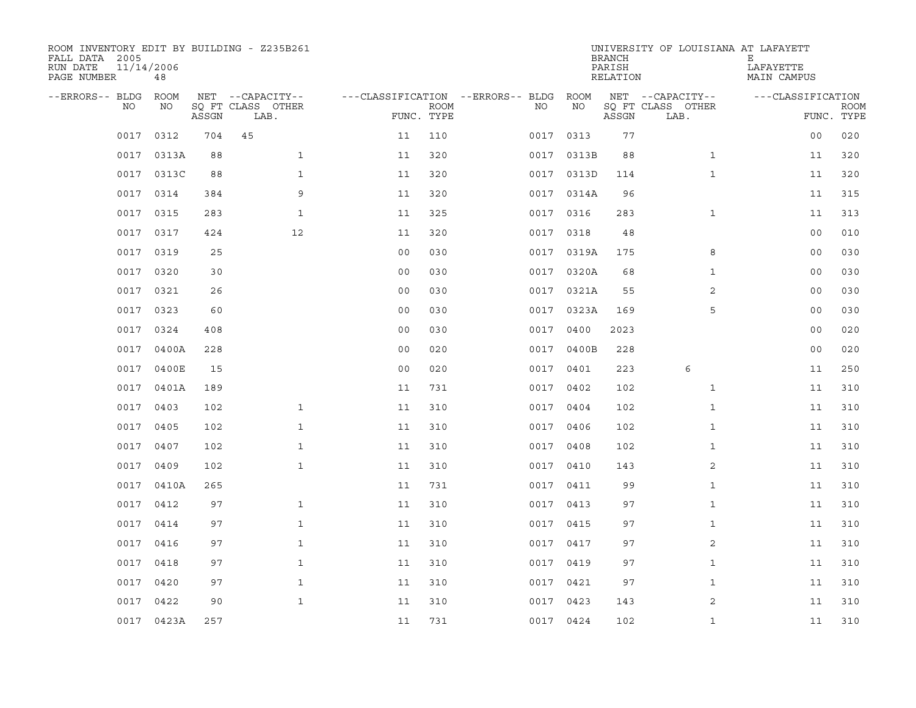| ROOM INVENTORY EDIT BY BUILDING - Z235B261<br>FALL DATA 2005<br>RUN DATE<br>PAGE NUMBER | 11/14/2006<br>48 |       |                           |                                        |             |           |            | <b>BRANCH</b><br>PARISH<br>RELATION | UNIVERSITY OF LOUISIANA AT LAFAYETT | Е<br>LAFAYETTE<br>MAIN CAMPUS |                           |
|-----------------------------------------------------------------------------------------|------------------|-------|---------------------------|----------------------------------------|-------------|-----------|------------|-------------------------------------|-------------------------------------|-------------------------------|---------------------------|
| --ERRORS-- BLDG ROOM                                                                    |                  |       | NET --CAPACITY--          | ---CLASSIFICATION --ERRORS-- BLDG ROOM |             |           |            |                                     | NET --CAPACITY--                    | ---CLASSIFICATION             |                           |
| NO.                                                                                     | NO               | ASSGN | SQ FT CLASS OTHER<br>LAB. | FUNC. TYPE                             | <b>ROOM</b> | NO.       | NO         | ASSGN                               | SQ FT CLASS OTHER<br>LAB.           |                               | <b>ROOM</b><br>FUNC. TYPE |
| 0017                                                                                    | 0312             | 704   | 45                        | 11                                     | 110         | 0017      | 0313       | 77                                  |                                     | 0 <sub>0</sub>                | 020                       |
| 0017                                                                                    | 0313A            | 88    | $\mathbf{1}$              | 11                                     | 320         |           | 0017 0313B | 88                                  | $\mathbf{1}$                        | 11                            | 320                       |
| 0017                                                                                    | 0313C            | 88    | $\mathbf{1}$              | 11                                     | 320         |           | 0017 0313D | 114                                 | $\mathbf{1}$                        | 11                            | 320                       |
| 0017                                                                                    | 0314             | 384   | 9                         | 11                                     | 320         |           | 0017 0314A | 96                                  |                                     | 11                            | 315                       |
| 0017                                                                                    | 0315             | 283   | $\mathbf{1}$              | 11                                     | 325         |           | 0017 0316  | 283                                 | $\mathbf{1}$                        | 11                            | 313                       |
| 0017                                                                                    | 0317             | 424   | 12                        | 11                                     | 320         |           | 0017 0318  | 48                                  |                                     | 0 <sub>0</sub>                | 010                       |
| 0017                                                                                    | 0319             | 25    |                           | 0 <sub>0</sub>                         | 030         |           | 0017 0319A | 175                                 | 8                                   | 0 <sub>0</sub>                | 030                       |
| 0017                                                                                    | 0320             | 30    |                           | 0 <sub>0</sub>                         | 030         |           | 0017 0320A | 68                                  | $\mathbf{1}$                        | 00                            | 030                       |
| 0017                                                                                    | 0321             | 26    |                           | 0 <sub>0</sub>                         | 030         | 0017      | 0321A      | 55                                  | $\overline{2}$                      | 0 <sub>0</sub>                | 030                       |
| 0017                                                                                    | 0323             | 60    |                           | 0 <sub>0</sub>                         | 030         |           | 0017 0323A | 169                                 | 5                                   | 00                            | 030                       |
| 0017                                                                                    | 0324             | 408   |                           | 0 <sub>0</sub>                         | 030         | 0017      | 0400       | 2023                                |                                     | 0 <sub>0</sub>                | 020                       |
| 0017                                                                                    | 0400A            | 228   |                           | 0 <sub>0</sub>                         | 020         |           | 0017 0400B | 228                                 |                                     | 00                            | 020                       |
| 0017                                                                                    | 0400E            | 15    |                           | 0 <sub>0</sub>                         | 020         | 0017 0401 |            | 223                                 | 6                                   | 11                            | 250                       |
|                                                                                         | 0017 0401A       | 189   |                           | 11                                     | 731         |           | 0017 0402  | 102                                 | $\mathbf{1}$                        | 11                            | 310                       |
| 0017                                                                                    | 0403             | 102   | $\mathbf{1}$              | 11                                     | 310         | 0017      | 0404       | 102                                 | $\mathbf{1}$                        | 11                            | 310                       |
| 0017                                                                                    | 0405             | 102   | $\mathbf{1}$              | 11                                     | 310         | 0017 0406 |            | 102                                 | $\mathbf{1}$                        | 11                            | 310                       |
| 0017                                                                                    | 0407             | 102   | $\mathbf{1}$              | 11                                     | 310         | 0017      | 0408       | 102                                 | $\mathbf{1}$                        | 11                            | 310                       |
| 0017                                                                                    | 0409             | 102   | $\mathbf{1}$              | 11                                     | 310         | 0017 0410 |            | 143                                 | 2                                   | 11                            | 310                       |
| 0017                                                                                    | 0410A            | 265   |                           | 11                                     | 731         | 0017 0411 |            | 99                                  | $\mathbf{1}$                        | 11                            | 310                       |
| 0017                                                                                    | 0412             | 97    | $\mathbf{1}$              | 11                                     | 310         | 0017 0413 |            | 97                                  | $\mathbf{1}$                        | 11                            | 310                       |
| 0017                                                                                    | 0414             | 97    | $\mathbf{1}$              | 11                                     | 310         | 0017 0415 |            | 97                                  | $\mathbf{1}$                        | 11                            | 310                       |
| 0017                                                                                    | 0416             | 97    | $\mathbf{1}$              | 11                                     | 310         | 0017 0417 |            | 97                                  | 2                                   | 11                            | 310                       |
| 0017                                                                                    | 0418             | 97    | $\mathbf{1}$              | 11                                     | 310         | 0017 0419 |            | 97                                  | $\mathbf{1}$                        | 11                            | 310                       |
| 0017                                                                                    | 0420             | 97    | $\mathbf{1}$              | 11                                     | 310         | 0017 0421 |            | 97                                  | $\mathbf{1}$                        | 11                            | 310                       |
| 0017                                                                                    | 0422             | 90    | $\mathbf{1}$              | 11                                     | 310         | 0017 0423 |            | 143                                 | 2                                   | 11                            | 310                       |
|                                                                                         | 0017 0423A       | 257   |                           | 11                                     | 731         | 0017 0424 |            | 102                                 | $\mathbf{1}$                        | 11                            | 310                       |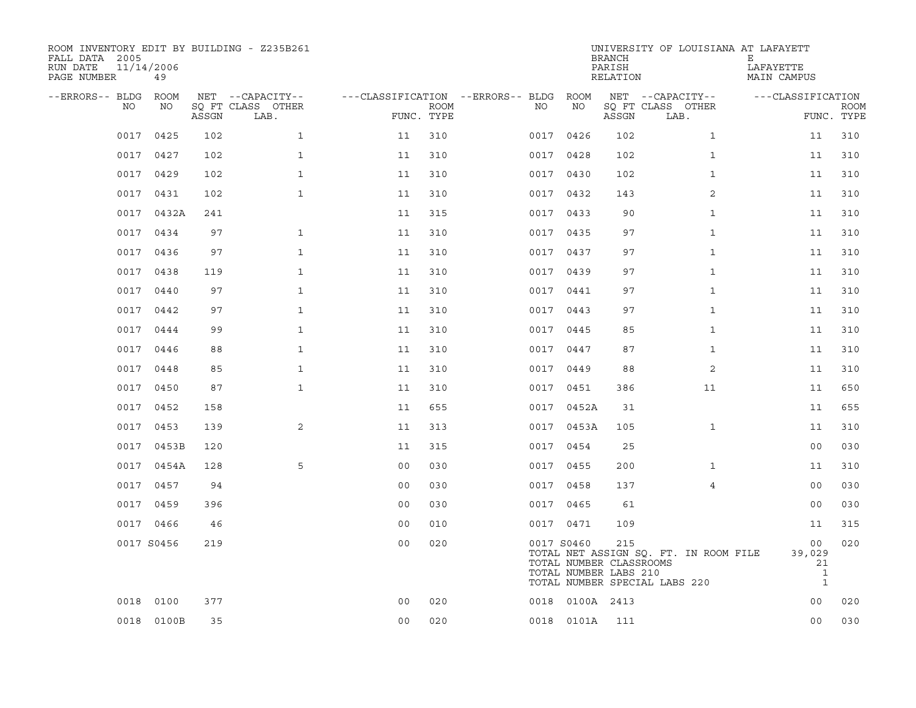| ROOM INVENTORY EDIT BY BUILDING - Z235B261<br>FALL DATA 2005<br>RUN DATE<br>PAGE NUMBER | 11/14/2006<br>49 |       |                                               |                |                           |                                              |                 | <b>BRANCH</b><br>PARISH<br>RELATION                     | UNIVERSITY OF LOUISIANA AT LAFAYETT                                    | Е<br>LAFAYETTE<br><b>MAIN CAMPUS</b>               |                           |
|-----------------------------------------------------------------------------------------|------------------|-------|-----------------------------------------------|----------------|---------------------------|----------------------------------------------|-----------------|---------------------------------------------------------|------------------------------------------------------------------------|----------------------------------------------------|---------------------------|
| --ERRORS-- BLDG<br>NO                                                                   | ROOM<br>NO       | ASSGN | NET --CAPACITY--<br>SQ FT CLASS OTHER<br>LAB. |                | <b>ROOM</b><br>FUNC. TYPE | ---CLASSIFICATION --ERRORS-- BLDG ROOM<br>NO | NO              | ASSGN                                                   | NET --CAPACITY--<br>SQ FT CLASS OTHER<br>LAB.                          | ---CLASSIFICATION                                  | <b>ROOM</b><br>FUNC. TYPE |
| 0017                                                                                    | 0425             | 102   | $\mathbf{1}$                                  | 11             | 310                       |                                              | 0017 0426       | 102                                                     | $\mathbf{1}$                                                           | 11                                                 | 310                       |
| 0017                                                                                    | 0427             | 102   | $\mathbf{1}$                                  | 11             | 310                       |                                              | 0017 0428       | 102                                                     | $\mathbf{1}$                                                           | 11                                                 | 310                       |
| 0017                                                                                    | 0429             | 102   | $\mathbf{1}$                                  | 11             | 310                       |                                              | 0017 0430       | 102                                                     | $\mathbf{1}$                                                           | 11                                                 | 310                       |
|                                                                                         | 0017 0431        | 102   | $\mathbf{1}$                                  | 11             | 310                       |                                              | 0017 0432       | 143                                                     | 2                                                                      | 11                                                 | 310                       |
| 0017                                                                                    | 0432A            | 241   |                                               | 11             | 315                       |                                              | 0017 0433       | 90                                                      | $\mathbf{1}$                                                           | 11                                                 | 310                       |
|                                                                                         | 0017 0434        | 97    | $\mathbf{1}$                                  | 11             | 310                       |                                              | 0017 0435       | 97                                                      | $\mathbf{1}$                                                           | 11                                                 | 310                       |
| 0017                                                                                    | 0436             | 97    | $\mathbf{1}$                                  | 11             | 310                       |                                              | 0017 0437       | 97                                                      | $\mathbf{1}$                                                           | 11                                                 | 310                       |
|                                                                                         | 0017 0438        | 119   | $\mathbf{1}$                                  | 11             | 310                       |                                              | 0017 0439       | 97                                                      | $\mathbf{1}$                                                           | 11                                                 | 310                       |
| 0017                                                                                    | 0440             | 97    | $\mathbf{1}$                                  | 11             | 310                       |                                              | 0017 0441       | 97                                                      | $\mathbf{1}$                                                           | 11                                                 | 310                       |
|                                                                                         | 0017 0442        | 97    | $\mathbf{1}$                                  | 11             | 310                       |                                              | 0017 0443       | 97                                                      | $\mathbf{1}$                                                           | 11                                                 | 310                       |
| 0017                                                                                    | 0444             | 99    | $\mathbf{1}$                                  | 11             | 310                       |                                              | 0017 0445       | 85                                                      | $\mathbf{1}$                                                           | 11                                                 | 310                       |
|                                                                                         | 0017 0446        | 88    | $\mathbf{1}$                                  | 11             | 310                       |                                              | 0017 0447       | 87                                                      | $\mathbf{1}$                                                           | 11                                                 | 310                       |
| 0017                                                                                    | 0448             | 85    | $\mathbf{1}$                                  | 11             | 310                       |                                              | 0017 0449       | 88                                                      | 2                                                                      | 11                                                 | 310                       |
| 0017                                                                                    | 0450             | 87    | $\mathbf{1}$                                  | 11             | 310                       |                                              | 0017 0451       | 386                                                     | 11                                                                     | 11                                                 | 650                       |
| 0017                                                                                    | 0452             | 158   |                                               | 11             | 655                       |                                              | 0017 0452A      | 31                                                      |                                                                        | 11                                                 | 655                       |
| 0017                                                                                    | 0453             | 139   | 2                                             | 11             | 313                       |                                              | 0017 0453A      | 105                                                     | $\mathbf{1}$                                                           | 11                                                 | 310                       |
| 0017                                                                                    | 0453B            | 120   |                                               | 11             | 315                       |                                              | 0017 0454       | 25                                                      |                                                                        | 0 <sub>0</sub>                                     | 030                       |
| 0017                                                                                    | 0454A            | 128   | 5                                             | 0 <sub>0</sub> | 030                       |                                              | 0017 0455       | 200                                                     | $\mathbf{1}$                                                           | 11                                                 | 310                       |
| 0017                                                                                    | 0457             | 94    |                                               | 0 <sub>0</sub> | 030                       |                                              | 0017 0458       | 137                                                     | 4                                                                      | 00                                                 | 030                       |
| 0017                                                                                    | 0459             | 396   |                                               | 0 <sub>0</sub> | 030                       |                                              | 0017 0465       | 61                                                      |                                                                        | 0 <sub>0</sub>                                     | 030                       |
|                                                                                         | 0017 0466        | 46    |                                               | 0 <sub>0</sub> | 010                       |                                              | 0017 0471       | 109                                                     |                                                                        | 11                                                 | 315                       |
|                                                                                         | 0017 S0456       | 219   |                                               | 0 <sub>0</sub> | 020                       |                                              | 0017 S0460      | 215<br>TOTAL NUMBER CLASSROOMS<br>TOTAL NUMBER LABS 210 | TOTAL NET ASSIGN SQ. FT. IN ROOM FILE<br>TOTAL NUMBER SPECIAL LABS 220 | 00<br>39,029<br>21<br>$\mathbf{1}$<br>$\mathbf{1}$ | 020                       |
| 0018                                                                                    | 0100             | 377   |                                               | 0 <sub>0</sub> | 020                       |                                              | 0018 0100A 2413 |                                                         |                                                                        | 0 <sub>0</sub>                                     | 020                       |
|                                                                                         | 0018 0100B       | 35    |                                               | 0 <sub>0</sub> | 020                       |                                              | 0018 0101A      | 111                                                     |                                                                        | 0 <sub>0</sub>                                     | 030                       |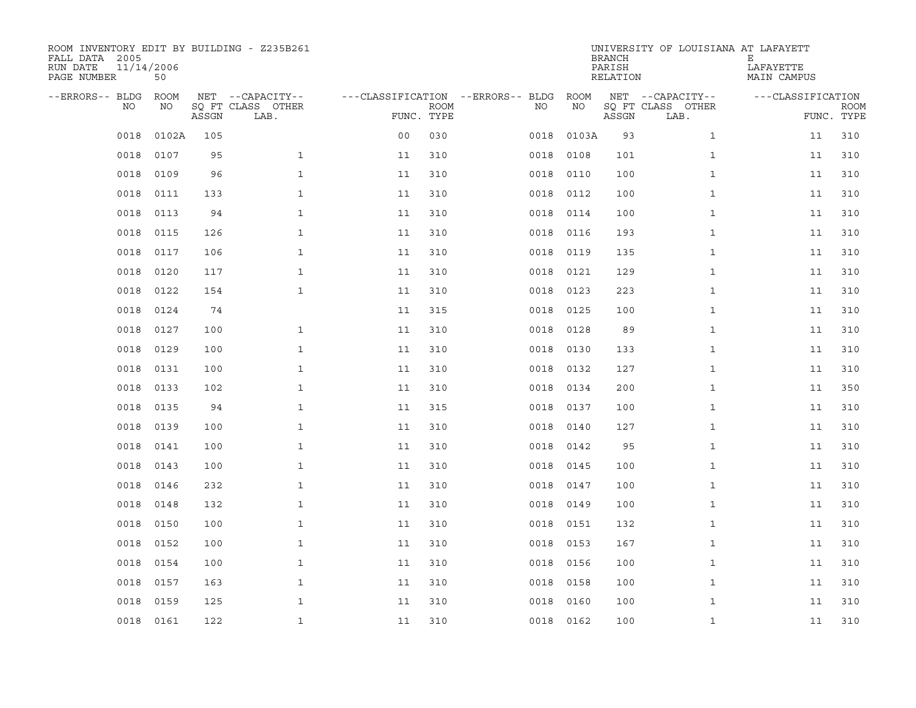| ROOM INVENTORY EDIT BY BUILDING - Z235B261<br>FALL DATA 2005<br>RUN DATE<br>PAGE NUMBER | 11/14/2006<br>50 |       |                                               |                |                           |                                   |      |            | <b>BRANCH</b><br>PARISH<br><b>RELATION</b> | UNIVERSITY OF LOUISIANA AT LAFAYETT           | Ε<br>LAFAYETTE<br>MAIN CAMPUS   |             |
|-----------------------------------------------------------------------------------------|------------------|-------|-----------------------------------------------|----------------|---------------------------|-----------------------------------|------|------------|--------------------------------------------|-----------------------------------------------|---------------------------------|-------------|
| --ERRORS-- BLDG<br>NO                                                                   | ROOM<br>NO       | ASSGN | NET --CAPACITY--<br>SQ FT CLASS OTHER<br>LAB. |                | <b>ROOM</b><br>FUNC. TYPE | ---CLASSIFICATION --ERRORS-- BLDG | NO   | ROOM<br>ΝO | ASSGN                                      | NET --CAPACITY--<br>SQ FT CLASS OTHER<br>LAB. | ---CLASSIFICATION<br>FUNC. TYPE | <b>ROOM</b> |
| 0018                                                                                    | 0102A            | 105   |                                               | 0 <sub>0</sub> | 030                       |                                   | 0018 | 0103A      | 93                                         | $\mathbf{1}$                                  | 11                              | 310         |
| 0018                                                                                    | 0107             | 95    | $\mathbf{1}$                                  | 11             | 310                       |                                   | 0018 | 0108       | 101                                        | $\mathbf{1}$                                  | 11                              | 310         |
| 0018                                                                                    | 0109             | 96    | $\mathbf{1}$                                  | 11             | 310                       |                                   | 0018 | 0110       | 100                                        | $\mathbf{1}$                                  | 11                              | 310         |
| 0018                                                                                    | 0111             | 133   | $\mathbf{1}$                                  | 11             | 310                       |                                   | 0018 | 0112       | 100                                        | $\mathbf{1}$                                  | 11                              | 310         |
| 0018                                                                                    | 0113             | 94    | $\mathbf{1}$                                  | 11             | 310                       |                                   | 0018 | 0114       | 100                                        | $\mathbf{1}$                                  | 11                              | 310         |
| 0018                                                                                    | 0115             | 126   | $\mathbf{1}$                                  | 11             | 310                       |                                   | 0018 | 0116       | 193                                        | $\mathbf{1}$                                  | 11                              | 310         |
| 0018                                                                                    | 0117             | 106   | $\mathbf{1}$                                  | 11             | 310                       |                                   | 0018 | 0119       | 135                                        | $\mathbf{1}$                                  | 11                              | 310         |
| 0018                                                                                    | 0120             | 117   | $\mathbf{1}$                                  | 11             | 310                       |                                   | 0018 | 0121       | 129                                        | $\mathbf{1}$                                  | 11                              | 310         |
| 0018                                                                                    | 0122             | 154   | $\mathbf{1}$                                  | 11             | 310                       |                                   | 0018 | 0123       | 223                                        | $\mathbf{1}$                                  | 11                              | 310         |
| 0018                                                                                    | 0124             | 74    |                                               | 11             | 315                       |                                   | 0018 | 0125       | 100                                        | $\mathbf{1}$                                  | 11                              | 310         |
| 0018                                                                                    | 0127             | 100   | $\mathbf{1}$                                  | 11             | 310                       |                                   | 0018 | 0128       | 89                                         | $\mathbf{1}$                                  | 11                              | 310         |
| 0018                                                                                    | 0129             | 100   | $\mathbf{1}$                                  | 11             | 310                       |                                   | 0018 | 0130       | 133                                        | $\mathbf{1}$                                  | 11                              | 310         |
| 0018                                                                                    | 0131             | 100   | $\mathbf{1}$                                  | 11             | 310                       |                                   | 0018 | 0132       | 127                                        | $\mathbf{1}$                                  | 11                              | 310         |
| 0018                                                                                    | 0133             | 102   | $\mathbf{1}$                                  | 11             | 310                       |                                   | 0018 | 0134       | 200                                        | $\mathbf{1}$                                  | 11                              | 350         |
| 0018                                                                                    | 0135             | 94    | $\mathbf{1}$                                  | 11             | 315                       |                                   | 0018 | 0137       | 100                                        | $\mathbf{1}$                                  | 11                              | 310         |
| 0018                                                                                    | 0139             | 100   | $\mathbf 1$                                   | 11             | 310                       |                                   | 0018 | 0140       | 127                                        | $\mathbf{1}$                                  | 11                              | 310         |
| 0018                                                                                    | 0141             | 100   | $\mathbf{1}$                                  | 11             | 310                       |                                   | 0018 | 0142       | 95                                         | $\mathbf{1}$                                  | 11                              | 310         |
| 0018                                                                                    | 0143             | 100   | $\mathbf{1}$                                  | 11             | 310                       |                                   | 0018 | 0145       | 100                                        | $\mathbf{1}$                                  | 11                              | 310         |
| 0018                                                                                    | 0146             | 232   | $\mathbf{1}$                                  | 11             | 310                       |                                   | 0018 | 0147       | 100                                        | $\mathbf{1}$                                  | 11                              | 310         |
| 0018                                                                                    | 0148             | 132   | $\mathbf{1}$                                  | 11             | 310                       |                                   | 0018 | 0149       | 100                                        | $\mathbf{1}$                                  | 11                              | 310         |
| 0018                                                                                    | 0150             | 100   | $\mathbf{1}$                                  | 11             | 310                       |                                   |      | 0018 0151  | 132                                        | $\mathbf{1}$                                  | 11                              | 310         |
| 0018                                                                                    | 0152             | 100   | $\mathbf{1}$                                  | 11             | 310                       |                                   | 0018 | 0153       | 167                                        | $\mathbf{1}$                                  | 11                              | 310         |
| 0018                                                                                    | 0154             | 100   | $\mathbf{1}$                                  | 11             | 310                       |                                   |      | 0018 0156  | 100                                        | $\mathbf{1}$                                  | 11                              | 310         |
| 0018                                                                                    | 0157             | 163   | $\mathbf{1}$                                  | 11             | 310                       |                                   | 0018 | 0158       | 100                                        | $\mathbf{1}$                                  | 11                              | 310         |
| 0018                                                                                    | 0159             | 125   | $\mathbf{1}$                                  | 11             | 310                       |                                   | 0018 | 0160       | 100                                        | $\mathbf{1}$                                  | 11                              | 310         |
|                                                                                         | 0018 0161        | 122   | $\mathbf{1}$                                  | 11             | 310                       |                                   |      | 0018 0162  | 100                                        | $\mathbf{1}$                                  | 11                              | 310         |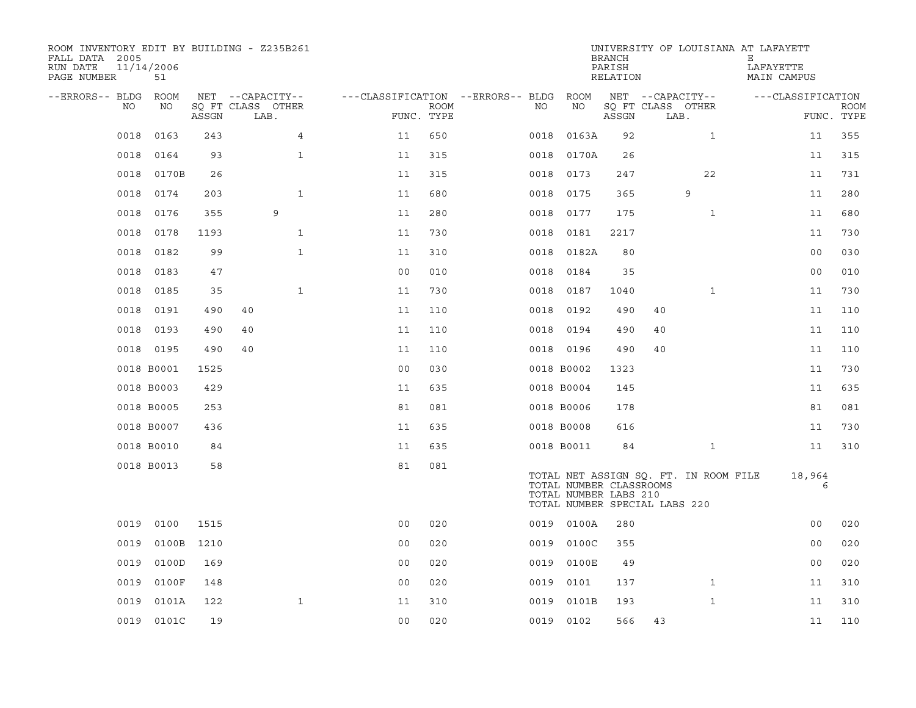| ROOM INVENTORY EDIT BY BUILDING - Z235B261<br>FALL DATA 2005<br>RUN DATE<br>PAGE NUMBER | 11/14/2006<br>51 |       |                           |                                        |                           |      |                                                  | <b>BRANCH</b><br>PARISH<br>RELATION |                               |                                       | UNIVERSITY OF LOUISIANA AT LAFAYETT<br>Е<br>LAFAYETTE<br>MAIN CAMPUS |                |             |
|-----------------------------------------------------------------------------------------|------------------|-------|---------------------------|----------------------------------------|---------------------------|------|--------------------------------------------------|-------------------------------------|-------------------------------|---------------------------------------|----------------------------------------------------------------------|----------------|-------------|
| --ERRORS-- BLDG ROOM                                                                    |                  |       | NET --CAPACITY--          | ---CLASSIFICATION --ERRORS-- BLDG ROOM |                           |      |                                                  |                                     | NET --CAPACITY--              |                                       | ---CLASSIFICATION                                                    |                |             |
| NO                                                                                      | NO               | ASSGN | SQ FT CLASS OTHER<br>LAB. |                                        | <b>ROOM</b><br>FUNC. TYPE | NO   | NO                                               | ASSGN                               | SQ FT CLASS OTHER<br>LAB.     |                                       |                                                                      | FUNC. TYPE     | <b>ROOM</b> |
| 0018                                                                                    | 0163             | 243   | 4                         | 11                                     | 650                       | 0018 | 0163A                                            | 92                                  |                               | $\mathbf{1}$                          |                                                                      | 11             | 355         |
| 0018                                                                                    | 0164             | 93    | $\mathbf{1}$              | 11                                     | 315                       |      | 0018 0170A                                       | 26                                  |                               |                                       |                                                                      | 11             | 315         |
| 0018                                                                                    | 0170B            | 26    |                           | 11                                     | 315                       |      | 0018 0173                                        | 247                                 |                               | 22                                    |                                                                      | 11             | 731         |
| 0018                                                                                    | 0174             | 203   | $\mathbf{1}$              | 11                                     | 680                       |      | 0018 0175                                        | 365                                 |                               | 9                                     |                                                                      | 11             | 280         |
| 0018                                                                                    | 0176             | 355   | 9                         | 11                                     | 280                       | 0018 | 0177                                             | 175                                 |                               | $\mathbf{1}$                          |                                                                      | 11             | 680         |
| 0018                                                                                    | 0178             | 1193  | $\mathbf{1}$              | 11                                     | 730                       | 0018 | 0181                                             | 2217                                |                               |                                       |                                                                      | 11             | 730         |
| 0018                                                                                    | 0182             | 99    | $\mathbf{1}$              | 11                                     | 310                       | 0018 | 0182A                                            | 80                                  |                               |                                       |                                                                      | 0 <sub>0</sub> | 030         |
| 0018                                                                                    | 0183             | 47    |                           | 0 <sub>0</sub>                         | 010                       | 0018 | 0184                                             | 35                                  |                               |                                       |                                                                      | 0 <sub>0</sub> | 010         |
| 0018                                                                                    | 0185             | 35    | $\mathbf{1}$              | 11                                     | 730                       | 0018 | 0187                                             | 1040                                |                               | $\mathbf{1}$                          |                                                                      | 11             | 730         |
| 0018                                                                                    | 0191             | 490   | 40                        | 11                                     | 110                       |      | 0018 0192                                        | 490                                 | 40                            |                                       |                                                                      | 11             | 110         |
| 0018                                                                                    | 0193             | 490   | 40                        | 11                                     | 110                       |      | 0018 0194                                        | 490                                 | 40                            |                                       |                                                                      | 11             | 110         |
|                                                                                         | 0018 0195        | 490   | 40                        | 11                                     | 110                       |      | 0018 0196                                        | 490                                 | 40                            |                                       |                                                                      | 11             | 110         |
|                                                                                         | 0018 B0001       | 1525  |                           | 0 <sub>0</sub>                         | 030                       |      | 0018 B0002                                       | 1323                                |                               |                                       |                                                                      | 11             | 730         |
|                                                                                         | 0018 B0003       | 429   |                           | 11                                     | 635                       |      | 0018 B0004                                       | 145                                 |                               |                                       |                                                                      | 11             | 635         |
|                                                                                         | 0018 B0005       | 253   |                           | 81                                     | 081                       |      | 0018 B0006                                       | 178                                 |                               |                                       |                                                                      | 81             | 081         |
|                                                                                         | 0018 B0007       | 436   |                           | 11                                     | 635                       |      | 0018 B0008                                       | 616                                 |                               |                                       |                                                                      | 11             | 730         |
|                                                                                         | 0018 B0010       | 84    |                           | 11                                     | 635                       |      | 0018 B0011                                       | 84                                  |                               | $\mathbf{1}$                          |                                                                      | 11             | 310         |
|                                                                                         | 0018 B0013       | 58    |                           | 81                                     | 081                       |      | TOTAL NUMBER CLASSROOMS<br>TOTAL NUMBER LABS 210 |                                     | TOTAL NUMBER SPECIAL LABS 220 | TOTAL NET ASSIGN SQ. FT. IN ROOM FILE |                                                                      | 18,964<br>6    |             |
|                                                                                         | 0019 0100        | 1515  |                           | 0 <sub>0</sub>                         | 020                       |      | 0019 0100A                                       | 280                                 |                               |                                       |                                                                      | 00             | 020         |
| 0019                                                                                    | 0100B            | 1210  |                           | 0 <sub>0</sub>                         | 020                       | 0019 | 0100C                                            | 355                                 |                               |                                       |                                                                      | 0 <sub>0</sub> | 020         |
| 0019                                                                                    | 0100D            | 169   |                           | 0 <sub>0</sub>                         | 020                       |      | 0019 0100E                                       | 49                                  |                               |                                       |                                                                      | 0 <sub>0</sub> | 020         |
| 0019                                                                                    | 0100F            | 148   |                           | 0 <sub>0</sub>                         | 020                       | 0019 | 0101                                             | 137                                 |                               | $\mathbf{1}$                          |                                                                      | 11             | 310         |
| 0019                                                                                    | 0101A            | 122   | $\mathbf{1}$              | 11                                     | 310                       | 0019 | 0101B                                            | 193                                 |                               | $\mathbf{1}$                          |                                                                      | 11             | 310         |
|                                                                                         | 0019 0101C       | 19    |                           | 0 <sub>0</sub>                         | 020                       |      | 0019 0102                                        | 566                                 | 43                            |                                       |                                                                      | 11             | 110         |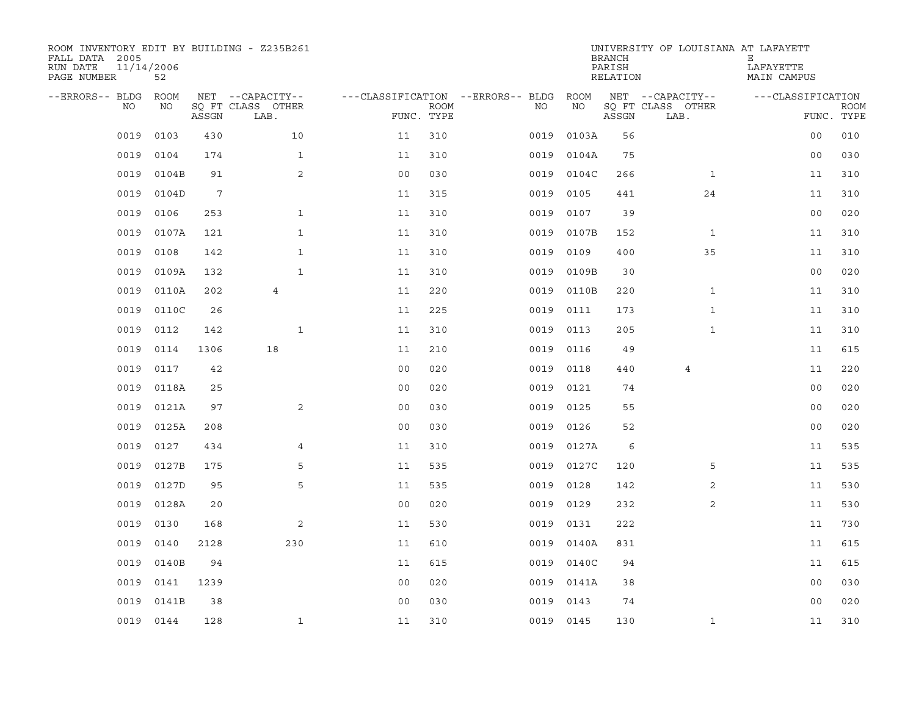| ROOM INVENTORY EDIT BY BUILDING - Z235B261<br>FALL DATA 2005<br>RUN DATE<br>PAGE NUMBER | 11/14/2006<br>52 |       |                           |                                   |             |           |            | <b>BRANCH</b><br>PARISH<br>RELATION | UNIVERSITY OF LOUISIANA AT LAFAYETT | Е<br>LAFAYETTE<br>MAIN CAMPUS |                           |
|-----------------------------------------------------------------------------------------|------------------|-------|---------------------------|-----------------------------------|-------------|-----------|------------|-------------------------------------|-------------------------------------|-------------------------------|---------------------------|
| --ERRORS-- BLDG                                                                         | <b>ROOM</b>      |       | NET --CAPACITY--          | ---CLASSIFICATION --ERRORS-- BLDG |             |           | ROOM       |                                     | NET --CAPACITY--                    | ---CLASSIFICATION             |                           |
| NO                                                                                      | NO               | ASSGN | SO FT CLASS OTHER<br>LAB. | FUNC. TYPE                        | <b>ROOM</b> | NO.       | NO         | ASSGN                               | SQ FT CLASS OTHER<br>LAB.           |                               | <b>ROOM</b><br>FUNC. TYPE |
| 0019                                                                                    | 0103             | 430   | 10                        | 11                                | 310         | 0019      | 0103A      | 56                                  |                                     | 0 <sub>0</sub>                | 010                       |
| 0019                                                                                    | 0104             | 174   | $\mathbf{1}$              | 11                                | 310         | 0019      | 0104A      | 75                                  |                                     | 0 <sub>0</sub>                | 030                       |
| 0019                                                                                    | 0104B            | 91    | 2                         | 0 <sub>0</sub>                    | 030         | 0019      | 0104C      | 266                                 | $\mathbf{1}$                        | 11                            | 310                       |
| 0019                                                                                    | 0104D            | 7     |                           | 11                                | 315         | 0019      | 0105       | 441                                 | 24                                  | 11                            | 310                       |
| 0019                                                                                    | 0106             | 253   | $\mathbf{1}$              | 11                                | 310         | 0019      | 0107       | 39                                  |                                     | 0 <sub>0</sub>                | 020                       |
| 0019                                                                                    | 0107A            | 121   | $\mathbf{1}$              | 11                                | 310         |           | 0019 0107B | 152                                 | $\mathbf{1}$                        | 11                            | 310                       |
| 0019                                                                                    | 0108             | 142   | $\mathbf{1}$              | 11                                | 310         | 0019      | 0109       | 400                                 | 35                                  | 11                            | 310                       |
| 0019                                                                                    | 0109A            | 132   | $\mathbf{1}$              | 11                                | 310         | 0019      | 0109B      | 30                                  |                                     | 0 <sub>0</sub>                | 020                       |
| 0019                                                                                    | 0110A            | 202   | $\overline{4}$            | 11                                | 220         | 0019      | 0110B      | 220                                 | $\mathbf{1}$                        | 11                            | 310                       |
| 0019                                                                                    | 0110C            | 26    |                           | 11                                | 225         | 0019      | 0111       | 173                                 | $\mathbf{1}$                        | 11                            | 310                       |
| 0019                                                                                    | 0112             | 142   | $\mathbf{1}$              | 11                                | 310         | 0019      | 0113       | 205                                 | $\mathbf{1}$                        | 11                            | 310                       |
| 0019                                                                                    | 0114             | 1306  | 18                        | 11                                | 210         | 0019      | 0116       | 49                                  |                                     | 11                            | 615                       |
| 0019                                                                                    | 0117             | 42    |                           | 0 <sub>0</sub>                    | 020         | 0019      | 0118       | 440                                 | $\overline{4}$                      | 11                            | 220                       |
| 0019                                                                                    | 0118A            | 25    |                           | 0 <sub>0</sub>                    | 020         | 0019      | 0121       | 74                                  |                                     | 0 <sub>0</sub>                | 020                       |
| 0019                                                                                    | 0121A            | 97    | $\mathbf{2}$              | 0 <sub>0</sub>                    | 030         | 0019      | 0125       | 55                                  |                                     | 0 <sub>0</sub>                | 020                       |
| 0019                                                                                    | 0125A            | 208   |                           | 0 <sub>0</sub>                    | 030         | 0019      | 0126       | 52                                  |                                     | 00                            | 020                       |
| 0019                                                                                    | 0127             | 434   | 4                         | 11                                | 310         | 0019      | 0127A      | 6                                   |                                     | 11                            | 535                       |
| 0019                                                                                    | 0127B            | 175   | 5                         | 11                                | 535         | 0019      | 0127C      | 120                                 | 5                                   | 11                            | 535                       |
| 0019                                                                                    | 0127D            | 95    | 5                         | 11                                | 535         | 0019      | 0128       | 142                                 | $\overline{2}$                      | 11                            | 530                       |
| 0019                                                                                    | 0128A            | 20    |                           | 0 <sub>0</sub>                    | 020         | 0019      | 0129       | 232                                 | 2                                   | 11                            | 530                       |
| 0019                                                                                    | 0130             | 168   | 2                         | 11                                | 530         | 0019      | 0131       | 222                                 |                                     | 11                            | 730                       |
| 0019                                                                                    | 0140             | 2128  | 230                       | 11                                | 610         | 0019      | 0140A      | 831                                 |                                     | 11                            | 615                       |
| 0019                                                                                    | 0140B            | 94    |                           | 11                                | 615         |           | 0019 0140C | 94                                  |                                     | 11                            | 615                       |
| 0019                                                                                    | 0141             | 1239  |                           | 0 <sub>0</sub>                    | 020         |           | 0019 0141A | 38                                  |                                     | 0 <sub>0</sub>                | 030                       |
| 0019                                                                                    | 0141B            | 38    |                           | 0 <sub>0</sub>                    | 030         |           | 0019 0143  | 74                                  |                                     | 0 <sub>0</sub>                | 020                       |
|                                                                                         | 0019 0144        | 128   | $\mathbf{1}$              | 11                                | 310         | 0019 0145 |            | 130                                 | $\mathbf{1}$                        | 11                            | 310                       |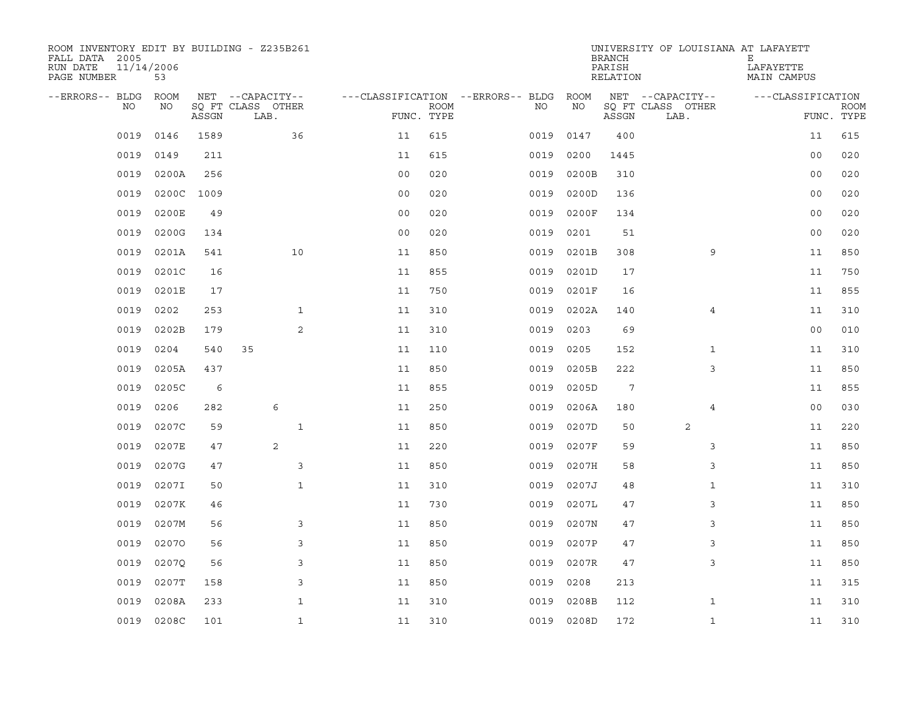| ROOM INVENTORY EDIT BY BUILDING - Z235B261<br>FALL DATA 2005<br>11/14/2006<br>RUN DATE<br>PAGE NUMBER | 53         |       |                           |                |             |                                        |            | <b>BRANCH</b><br>PARISH<br>RELATION | UNIVERSITY OF LOUISIANA AT LAFAYETT | Ε<br>LAFAYETTE<br>MAIN CAMPUS |                           |
|-------------------------------------------------------------------------------------------------------|------------|-------|---------------------------|----------------|-------------|----------------------------------------|------------|-------------------------------------|-------------------------------------|-------------------------------|---------------------------|
| --ERRORS-- BLDG ROOM                                                                                  |            |       | NET --CAPACITY--          |                |             | ---CLASSIFICATION --ERRORS-- BLDG ROOM |            |                                     | NET --CAPACITY--                    | ---CLASSIFICATION             |                           |
| NO.                                                                                                   | NO         | ASSGN | SQ FT CLASS OTHER<br>LAB. | FUNC. TYPE     | <b>ROOM</b> | NO                                     | NO         | ASSGN                               | SQ FT CLASS OTHER<br>LAB.           |                               | <b>ROOM</b><br>FUNC. TYPE |
| 0019                                                                                                  | 0146       | 1589  | 36                        | 11             | 615         | 0019                                   | 0147       | 400                                 |                                     | 11                            | 615                       |
| 0019                                                                                                  | 0149       | 211   |                           | 11             | 615         | 0019                                   | 0200       | 1445                                |                                     | 0 <sub>0</sub>                | 020                       |
| 0019                                                                                                  | 0200A      | 256   |                           | 0 <sub>0</sub> | 020         | 0019                                   | 0200B      | 310                                 |                                     | 0 <sub>0</sub>                | 020                       |
| 0019                                                                                                  | 0200C      | 1009  |                           | 0 <sub>0</sub> | 020         | 0019                                   | 0200D      | 136                                 |                                     | 0 <sub>0</sub>                | 020                       |
| 0019                                                                                                  | 0200E      | 49    |                           | 0 <sub>0</sub> | 020         | 0019                                   | 0200F      | 134                                 |                                     | 0 <sub>0</sub>                | 020                       |
| 0019                                                                                                  | 0200G      | 134   |                           | 0 <sub>0</sub> | 020         | 0019                                   | 0201       | 51                                  |                                     | 0 <sub>0</sub>                | 020                       |
| 0019                                                                                                  | 0201A      | 541   | 10                        | 11             | 850         | 0019                                   | 0201B      | 308                                 | 9                                   | 11                            | 850                       |
| 0019                                                                                                  | 0201C      | 16    |                           | 11             | 855         | 0019                                   | 0201D      | 17                                  |                                     | 11                            | 750                       |
| 0019                                                                                                  | 0201E      | 17    |                           | 11             | 750         | 0019                                   | 0201F      | 16                                  |                                     | 11                            | 855                       |
| 0019                                                                                                  | 0202       | 253   | $\mathbf{1}$              | 11             | 310         | 0019                                   | 0202A      | 140                                 | $\overline{4}$                      | 11                            | 310                       |
| 0019                                                                                                  | 0202B      | 179   | 2                         | 11             | 310         | 0019                                   | 0203       | 69                                  |                                     | 0 <sub>0</sub>                | 010                       |
| 0019                                                                                                  | 0204       | 540   | 35                        | 11             | 110         | 0019                                   | 0205       | 152                                 | $\mathbf{1}$                        | 11                            | 310                       |
| 0019                                                                                                  | 0205A      | 437   |                           | 11             | 850         | 0019                                   | 0205B      | 222                                 | 3                                   | 11                            | 850                       |
| 0019                                                                                                  | 0205C      | 6     |                           | 11             | 855         | 0019                                   | 0205D      | 7                                   |                                     | 11                            | 855                       |
| 0019                                                                                                  | 0206       | 282   | 6                         | 11             | 250         | 0019                                   | 0206A      | 180                                 | 4                                   | 0 <sub>0</sub>                | 030                       |
| 0019                                                                                                  | 0207C      | 59    | $\mathbf{1}$              | 11             | 850         | 0019                                   | 0207D      | 50                                  | 2                                   | 11                            | 220                       |
| 0019                                                                                                  | 0207E      | 47    | 2                         | 11             | 220         | 0019                                   | 0207F      | 59                                  | 3                                   | 11                            | 850                       |
| 0019                                                                                                  | 0207G      | 47    | 3                         | 11             | 850         | 0019                                   | 0207H      | 58                                  | 3                                   | 11                            | 850                       |
| 0019                                                                                                  | 0207I      | 50    | $\mathbf{1}$              | 11             | 310         | 0019                                   | 0207J      | 48                                  | $\mathbf{1}$                        | 11                            | 310                       |
| 0019                                                                                                  | 0207K      | 46    |                           | 11             | 730         | 0019                                   | 0207L      | 47                                  | 3                                   | 11                            | 850                       |
| 0019                                                                                                  | 0207M      | 56    | 3                         | 11             | 850         | 0019                                   | 0207N      | 47                                  | 3                                   | 11                            | 850                       |
| 0019                                                                                                  | 02070      | 56    | 3                         | 11             | 850         | 0019                                   | 0207P      | 47                                  | 3                                   | 11                            | 850                       |
| 0019                                                                                                  | 0207Q      | 56    | 3                         | 11             | 850         | 0019                                   | 0207R      | 47                                  | 3                                   | 11                            | 850                       |
| 0019                                                                                                  | 0207T      | 158   | 3                         | 11             | 850         | 0019                                   | 0208       | 213                                 |                                     | 11                            | 315                       |
| 0019                                                                                                  | 0208A      | 233   | 1                         | 11             | 310         | 0019                                   | 0208B      | 112                                 | $\mathbf{1}$                        | 11                            | 310                       |
|                                                                                                       | 0019 0208C | 101   | $\mathbf{1}$              | 11             | 310         |                                        | 0019 0208D | 172                                 | $\mathbf{1}$                        | 11                            | 310                       |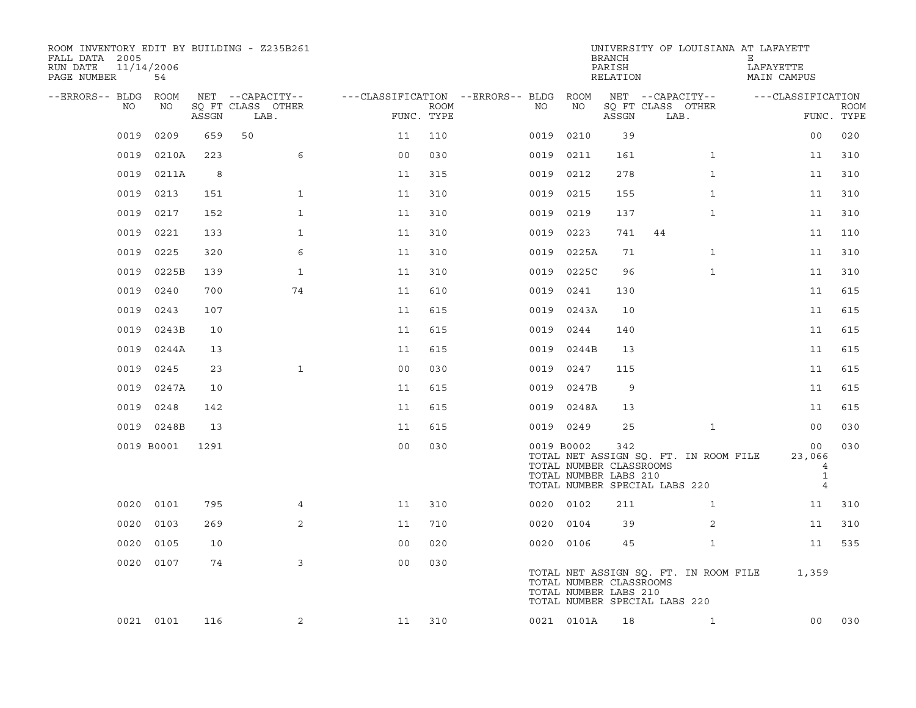| ROOM INVENTORY EDIT BY BUILDING - Z235B261<br>FALL DATA 2005<br>RUN DATE<br>PAGE NUMBER | 11/14/2006<br>54 |       |                                               |                |                    |                                              |                                                                | <b>BRANCH</b><br>PARISH<br>RELATION | UNIVERSITY OF LOUISIANA AT LAFAYETT                                    | Е<br>LAFAYETTE<br>MAIN CAMPUS                       |                           |
|-----------------------------------------------------------------------------------------|------------------|-------|-----------------------------------------------|----------------|--------------------|----------------------------------------------|----------------------------------------------------------------|-------------------------------------|------------------------------------------------------------------------|-----------------------------------------------------|---------------------------|
| --ERRORS-- BLDG<br>NO                                                                   | ROOM<br>NO       | ASSGN | NET --CAPACITY--<br>SQ FT CLASS OTHER<br>LAB. |                | ROOM<br>FUNC. TYPE | ---CLASSIFICATION --ERRORS-- BLDG ROOM<br>NO | NO                                                             | ASSGN                               | NET --CAPACITY--<br>SQ FT CLASS OTHER<br>LAB.                          | ---CLASSIFICATION                                   | <b>ROOM</b><br>FUNC. TYPE |
| 0019                                                                                    | 0209             | 659   | 50                                            | 11             | 110                | 0019                                         | 0210                                                           | 39                                  |                                                                        | 00                                                  | 020                       |
| 0019                                                                                    | 0210A            | 223   | 6                                             | 0 <sub>0</sub> | 030                |                                              | 0019 0211                                                      | 161                                 | $\mathbf{1}$                                                           | 11                                                  | 310                       |
| 0019                                                                                    | 0211A            | 8     |                                               | 11             | 315                |                                              | 0019 0212                                                      | 278                                 | $\mathbf{1}$                                                           | 11                                                  | 310                       |
| 0019                                                                                    | 0213             | 151   | $\mathbf{1}$                                  | 11             | 310                |                                              | 0019 0215                                                      | 155                                 | $\mathbf{1}$                                                           | 11                                                  | 310                       |
| 0019                                                                                    | 0217             | 152   | $\mathbf{1}$                                  | 11             | 310                |                                              | 0019 0219                                                      | 137                                 | $\mathbf{1}$                                                           | 11                                                  | 310                       |
| 0019                                                                                    | 0221             | 133   | $\mathbf 1$                                   | 11             | 310                |                                              | 0019 0223                                                      | 741                                 | 44                                                                     | 11                                                  | 110                       |
| 0019                                                                                    | 0225             | 320   | 6                                             | 11             | 310                |                                              | 0019 0225A                                                     | 71                                  | $\mathbf{1}$                                                           | 11                                                  | 310                       |
| 0019                                                                                    | 0225B            | 139   | $\mathbf{1}$                                  | 11             | 310                |                                              | 0019 0225C                                                     | 96                                  | $\mathbf{1}$                                                           | 11                                                  | 310                       |
| 0019                                                                                    | 0240             | 700   | 74                                            | 11             | 610                | 0019                                         | 0241                                                           | 130                                 |                                                                        | 11                                                  | 615                       |
| 0019                                                                                    | 0243             | 107   |                                               | 11             | 615                |                                              | 0019 0243A                                                     | 10                                  |                                                                        | 11                                                  | 615                       |
| 0019                                                                                    | 0243B            | 10    |                                               | 11             | 615                | 0019                                         | 0244                                                           | 140                                 |                                                                        | 11                                                  | 615                       |
| 0019                                                                                    | 0244A            | 13    |                                               | 11             | 615                |                                              | 0019 0244B                                                     | 13                                  |                                                                        | 11                                                  | 615                       |
| 0019                                                                                    | 0245             | 23    | $\mathbf{1}$                                  | 0 <sub>0</sub> | 030                | 0019                                         | 0247                                                           | 115                                 |                                                                        | 11                                                  | 615                       |
| 0019                                                                                    | 0247A            | 10    |                                               | 11             | 615                |                                              | 0019 0247B                                                     | 9                                   |                                                                        | 11                                                  | 615                       |
| 0019                                                                                    | 0248             | 142   |                                               | 11             | 615                |                                              | 0019 0248A                                                     | 13                                  |                                                                        | 11                                                  | 615                       |
|                                                                                         | 0019 0248B       | 13    |                                               | 11             | 615                |                                              | 0019 0249                                                      | 25                                  | $\mathbf{1}$                                                           | 0 <sub>0</sub>                                      | 030                       |
|                                                                                         | 0019 B0001       | 1291  |                                               | 0 <sub>0</sub> | 030                |                                              | 0019 B0002<br>TOTAL NUMBER CLASSROOMS<br>TOTAL NUMBER LABS 210 | 342                                 | TOTAL NET ASSIGN SQ. FT. IN ROOM FILE<br>TOTAL NUMBER SPECIAL LABS 220 | 00<br>23,066<br>4<br>$\mathbf{1}$<br>$\overline{4}$ | 030                       |
| 0020                                                                                    | 0101             | 795   | $\overline{4}$                                | 11             | 310                |                                              | 0020 0102                                                      | 211                                 | $\mathbf{1}$                                                           | 11                                                  | 310                       |
| 0020                                                                                    | 0103             | 269   | 2                                             | 11             | 710                |                                              | 0020 0104                                                      | 39                                  | 2                                                                      | 11                                                  | 310                       |
| 0020                                                                                    | 0105             | 10    |                                               | 00             | 020                |                                              | 0020 0106                                                      | 45                                  | $\mathbf{1}$                                                           | 11                                                  | 535                       |
|                                                                                         | 0020 0107        | 74    | 3                                             | 0 <sub>0</sub> | 030                |                                              | TOTAL NUMBER CLASSROOMS<br>TOTAL NUMBER LABS 210               |                                     | TOTAL NET ASSIGN SQ. FT. IN ROOM FILE<br>TOTAL NUMBER SPECIAL LABS 220 | 1,359                                               |                           |
|                                                                                         | 0021 0101        | 116   | 2                                             | 11             | 310                |                                              | 0021 0101A                                                     | 18                                  | $\mathbf{1}$                                                           | 0 <sub>0</sub>                                      | 030                       |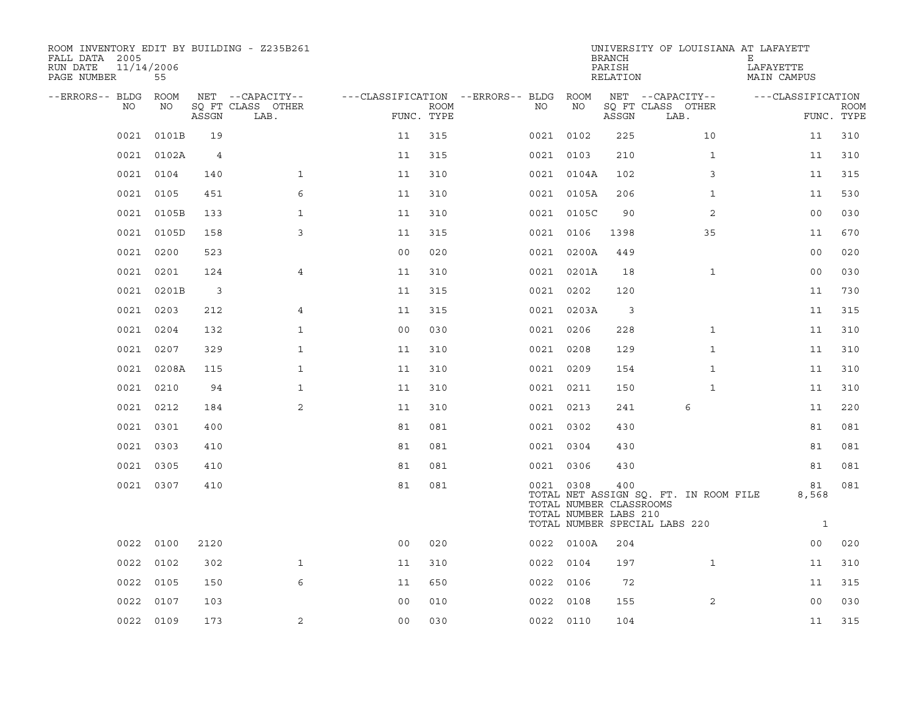| ROOM INVENTORY EDIT BY BUILDING - Z235B261<br>FALL DATA 2005<br>11/14/2006<br>RUN DATE<br>PAGE NUMBER | 55         |                |                           |                                        |                           |           |                                                  | <b>BRANCH</b><br>PARISH<br>RELATION | UNIVERSITY OF LOUISIANA AT LAFAYETT                                    | Е<br>LAFAYETTE<br>MAIN CAMPUS |             |
|-------------------------------------------------------------------------------------------------------|------------|----------------|---------------------------|----------------------------------------|---------------------------|-----------|--------------------------------------------------|-------------------------------------|------------------------------------------------------------------------|-------------------------------|-------------|
| --ERRORS-- BLDG ROOM                                                                                  |            |                | NET --CAPACITY--          | ---CLASSIFICATION --ERRORS-- BLDG ROOM |                           |           |                                                  |                                     | NET --CAPACITY--                                                       | ---CLASSIFICATION             |             |
| NO                                                                                                    | NO         | ASSGN          | SQ FT CLASS OTHER<br>LAB. |                                        | <b>ROOM</b><br>FUNC. TYPE | NO        | NO                                               | ASSGN                               | SQ FT CLASS OTHER<br>LAB.                                              | FUNC. TYPE                    | <b>ROOM</b> |
| 0021                                                                                                  | 0101B      | 19             |                           | 11                                     | 315                       | 0021 0102 |                                                  | 225                                 | 10                                                                     | 11                            | 310         |
|                                                                                                       | 0021 0102A | $\overline{4}$ |                           | 11                                     | 315                       | 0021 0103 |                                                  | 210                                 | $\mathbf{1}$                                                           | 11                            | 310         |
|                                                                                                       | 0021 0104  | 140            | $\mathbf{1}$              | 11                                     | 310                       |           | 0021 0104A                                       | 102                                 | 3                                                                      | 11                            | 315         |
| 0021                                                                                                  | 0105       | 451            | 6                         | 11                                     | 310                       |           | 0021 0105A                                       | 206                                 | $\mathbf{1}$                                                           | 11                            | 530         |
| 0021                                                                                                  | 0105B      | 133            | $\mathbf{1}$              | 11                                     | 310                       |           | 0021 0105C                                       | 90                                  | 2                                                                      | 0 <sub>0</sub>                | 030         |
| 0021                                                                                                  | 0105D      | 158            | 3                         | 11                                     | 315                       | 0021 0106 |                                                  | 1398                                | 35                                                                     | 11                            | 670         |
| 0021                                                                                                  | 0200       | 523            |                           | 0 <sub>0</sub>                         | 020                       |           | 0021 0200A                                       | 449                                 |                                                                        | 0 <sub>0</sub>                | 020         |
|                                                                                                       | 0021 0201  | 124            | $\overline{4}$            | 11                                     | 310                       |           | 0021 0201A                                       | 18                                  | $\mathbf{1}$                                                           | 0 <sub>0</sub>                | 030         |
| 0021                                                                                                  | 0201B      | $\mathbf{3}$   |                           | 11                                     | 315                       | 0021 0202 |                                                  | 120                                 |                                                                        | 11                            | 730         |
|                                                                                                       | 0021 0203  | 212            | 4                         | 11                                     | 315                       |           | 0021 0203A                                       | 3                                   |                                                                        | 11                            | 315         |
|                                                                                                       | 0021 0204  | 132            | $\mathbf{1}$              | 0 <sub>0</sub>                         | 030                       | 0021 0206 |                                                  | 228                                 | $\mathbf{1}$                                                           | 11                            | 310         |
| 0021                                                                                                  | 0207       | 329            | $\mathbf{1}$              | 11                                     | 310                       | 0021 0208 |                                                  | 129                                 | $\mathbf{1}$                                                           | 11                            | 310         |
| 0021                                                                                                  | 0208A      | 115            | $\mathbf{1}$              | 11                                     | 310                       | 0021 0209 |                                                  | 154                                 | $\mathbf{1}$                                                           | 11                            | 310         |
| 0021                                                                                                  | 0210       | 94             | $\mathbf{1}$              | 11                                     | 310                       | 0021 0211 |                                                  | 150                                 | $\mathbf{1}$                                                           | 11                            | 310         |
|                                                                                                       | 0021 0212  | 184            | 2                         | 11                                     | 310                       | 0021 0213 |                                                  | 241                                 | 6                                                                      | 11                            | 220         |
|                                                                                                       | 0021 0301  | 400            |                           | 81                                     | 081                       | 0021 0302 |                                                  | 430                                 |                                                                        | 81                            | 081         |
|                                                                                                       | 0021 0303  | 410            |                           | 81                                     | 081                       | 0021 0304 |                                                  | 430                                 |                                                                        | 81                            | 081         |
|                                                                                                       | 0021 0305  | 410            |                           | 81                                     | 081                       | 0021 0306 |                                                  | 430                                 |                                                                        | 81                            | 081         |
|                                                                                                       | 0021 0307  | 410            |                           | 81                                     | 081                       | 0021 0308 | TOTAL NUMBER CLASSROOMS<br>TOTAL NUMBER LABS 210 | 400                                 | TOTAL NET ASSIGN SQ. FT. IN ROOM FILE<br>TOTAL NUMBER SPECIAL LABS 220 | 81<br>8,568<br>$\mathbf{1}$   | 081         |
| 0022                                                                                                  | 0100       | 2120           |                           | 0 <sub>0</sub>                         | 020                       |           | 0022 0100A                                       | 204                                 |                                                                        | 00                            | 020         |
| 0022                                                                                                  | 0102       | 302            | $\mathbf{1}$              | 11                                     | 310                       | 0022      | 0104                                             | 197                                 | $\mathbf{1}$                                                           | 11                            | 310         |
| 0022                                                                                                  | 0105       | 150            | 6                         | 11                                     | 650                       | 0022      | 0106                                             | 72                                  |                                                                        | 11                            | 315         |
| 0022                                                                                                  | 0107       | 103            |                           | 0 <sub>0</sub>                         | 010                       | 0022 0108 |                                                  | 155                                 | 2                                                                      | 00                            | 030         |
|                                                                                                       | 0022 0109  | 173            | 2                         | 0 <sub>0</sub>                         | 030                       | 0022 0110 |                                                  | 104                                 |                                                                        | 11                            | 315         |
|                                                                                                       |            |                |                           |                                        |                           |           |                                                  |                                     |                                                                        |                               |             |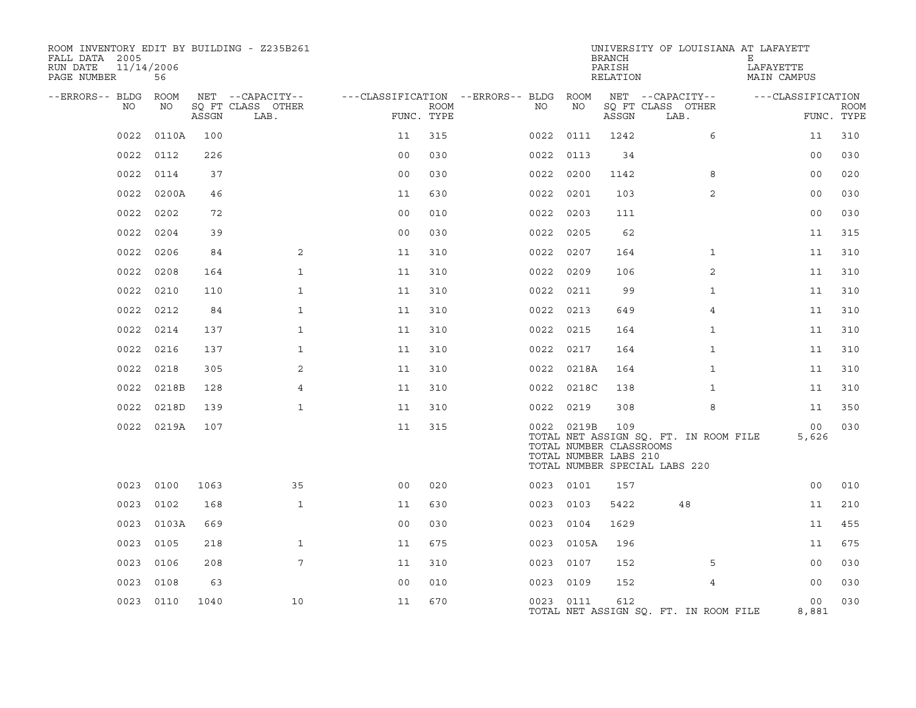| ROOM INVENTORY EDIT BY BUILDING - Z235B261<br>FALL DATA 2005<br>RUN DATE<br>PAGE NUMBER | 11/14/2006<br>56 |       |                           |                |             |                                        |            | <b>BRANCH</b><br>PARISH<br>RELATION                     | UNIVERSITY OF LOUISIANA AT LAFAYETT                                    | Ε<br>LAFAYETTE<br>MAIN CAMPUS |                           |
|-----------------------------------------------------------------------------------------|------------------|-------|---------------------------|----------------|-------------|----------------------------------------|------------|---------------------------------------------------------|------------------------------------------------------------------------|-------------------------------|---------------------------|
| --ERRORS-- BLDG ROOM                                                                    |                  |       | NET --CAPACITY--          |                |             | ---CLASSIFICATION --ERRORS-- BLDG ROOM |            |                                                         | NET --CAPACITY--                                                       | ---CLASSIFICATION             |                           |
| NO.                                                                                     | NO               | ASSGN | SQ FT CLASS OTHER<br>LAB. | FUNC. TYPE     | <b>ROOM</b> | NO                                     | NO         | ASSGN                                                   | SQ FT CLASS OTHER<br>LAB.                                              |                               | <b>ROOM</b><br>FUNC. TYPE |
| 0022                                                                                    | 0110A            | 100   |                           | 11             | 315         | 0022                                   | 0111       | 1242                                                    | 6                                                                      | 11                            | 310                       |
| 0022                                                                                    | 0112             | 226   |                           | 0 <sub>0</sub> | 030         | 0022                                   | 0113       | 34                                                      |                                                                        | 0 <sub>0</sub>                | 030                       |
| 0022                                                                                    | 0114             | 37    |                           | 0 <sub>0</sub> | 030         |                                        | 0022 0200  | 1142                                                    | 8                                                                      | 0 <sub>0</sub>                | 020                       |
| 0022                                                                                    | 0200A            | 46    |                           | 11             | 630         | 0022                                   | 0201       | 103                                                     | 2                                                                      | 0 <sub>0</sub>                | 030                       |
| 0022                                                                                    | 0202             | 72    |                           | 0 <sub>0</sub> | 010         | 0022                                   | 0203       | 111                                                     |                                                                        | 0 <sub>0</sub>                | 030                       |
| 0022                                                                                    | 0204             | 39    |                           | 0 <sub>0</sub> | 030         |                                        | 0022 0205  | 62                                                      |                                                                        | 11                            | 315                       |
| 0022                                                                                    | 0206             | 84    | 2                         | 11             | 310         |                                        | 0022 0207  | 164                                                     | $\mathbf{1}$                                                           | 11                            | 310                       |
| 0022                                                                                    | 0208             | 164   | $\mathbf{1}$              | 11             | 310         | 0022                                   | 0209       | 106                                                     | 2                                                                      | 11                            | 310                       |
| 0022                                                                                    | 0210             | 110   | $\mathbf{1}$              | 11             | 310         |                                        | 0022 0211  | 99                                                      | $\mathbf{1}$                                                           | 11                            | 310                       |
| 0022                                                                                    | 0212             | 84    | $\mathbf{1}$              | 11             | 310         |                                        | 0022 0213  | 649                                                     | $\overline{4}$                                                         | 11                            | 310                       |
| 0022                                                                                    | 0214             | 137   | $\mathbf{1}$              | 11             | 310         |                                        | 0022 0215  | 164                                                     | $\mathbf{1}$                                                           | 11                            | 310                       |
| 0022                                                                                    | 0216             | 137   | $\mathbf{1}$              | 11             | 310         |                                        | 0022 0217  | 164                                                     | $\mathbf{1}$                                                           | 11                            | 310                       |
| 0022                                                                                    | 0218             | 305   | 2                         | 11             | 310         |                                        | 0022 0218A | 164                                                     | $\mathbf{1}$                                                           | 11                            | 310                       |
| 0022                                                                                    | 0218B            | 128   | $\overline{4}$            | 11             | 310         |                                        | 0022 0218C | 138                                                     | $\mathbf{1}$                                                           | 11                            | 310                       |
| 0022                                                                                    | 0218D            | 139   | $\mathbf{1}$              | 11             | 310         |                                        | 0022 0219  | 308                                                     | 8                                                                      | 11                            | 350                       |
|                                                                                         | 0022 0219A       | 107   |                           | 11             | 315         |                                        | 0022 0219B | 109<br>TOTAL NUMBER CLASSROOMS<br>TOTAL NUMBER LABS 210 | TOTAL NET ASSIGN SQ. FT. IN ROOM FILE<br>TOTAL NUMBER SPECIAL LABS 220 | 0 <sub>0</sub><br>5,626       | 030                       |
|                                                                                         | 0023 0100        | 1063  | 35                        | 0 <sub>0</sub> | 020         |                                        | 0023 0101  | 157                                                     |                                                                        | 0 <sub>0</sub>                | 010                       |
| 0023                                                                                    | 0102             | 168   | $\mathbf{1}$              | 11             | 630         |                                        | 0023 0103  | 5422                                                    | 48                                                                     | 11                            | 210                       |
| 0023                                                                                    | 0103A            | 669   |                           | 0 <sub>0</sub> | 030         | 0023                                   | 0104       | 1629                                                    |                                                                        | 11                            | 455                       |
| 0023                                                                                    | 0105             | 218   | $\mathbf{1}$              | 11             | 675         |                                        | 0023 0105A | 196                                                     |                                                                        | 11                            | 675                       |
| 0023                                                                                    | 0106             | 208   | 7                         | 11             | 310         | 0023                                   | 0107       | 152                                                     | 5                                                                      | 0 <sub>0</sub>                | 030                       |
| 0023                                                                                    | 0108             | 63    |                           | 0 <sub>0</sub> | 010         |                                        | 0023 0109  | 152                                                     | 4                                                                      | 0 <sub>0</sub>                | 030                       |
|                                                                                         | 0023 0110        | 1040  | 10                        | 11             | 670         |                                        | 0023 0111  | 612                                                     | TOTAL NET ASSIGN SQ. FT. IN ROOM FILE                                  | 0 <sub>0</sub><br>8,881       | 030                       |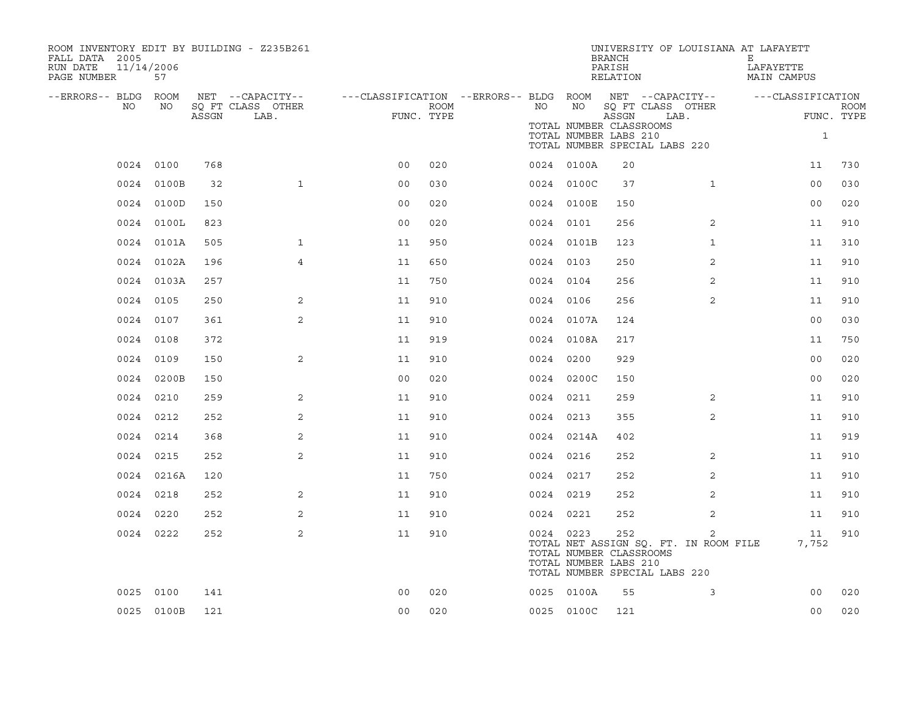| ROOM INVENTORY EDIT BY BUILDING - Z235B261<br>FALL DATA 2005<br>11/14/2006<br>RUN DATE<br>PAGE NUMBER | 57         |       |                           |                                                         |      |           |                                                        | <b>BRANCH</b><br>PARISH<br>RELATION | UNIVERSITY OF LOUISIANA AT LAFAYETT                                         | Е<br>LAFAYETTE<br>MAIN CAMPUS |                           |
|-------------------------------------------------------------------------------------------------------|------------|-------|---------------------------|---------------------------------------------------------|------|-----------|--------------------------------------------------------|-------------------------------------|-----------------------------------------------------------------------------|-------------------------------|---------------------------|
| --ERRORS-- BLDG ROOM                                                                                  |            |       | NET --CAPACITY--          | ---CLASSIFICATION --ERRORS-- BLDG ROOM NET --CAPACITY-- |      |           |                                                        |                                     |                                                                             | ---CLASSIFICATION             |                           |
| NO                                                                                                    | NO         | ASSGN | SQ FT CLASS OTHER<br>LAB. | FUNC. TYPE                                              | ROOM | NO        | NO<br>TOTAL NUMBER CLASSROOMS<br>TOTAL NUMBER LABS 210 | ASSGN                               | SQ FT CLASS OTHER<br>LAB.<br>TOTAL NUMBER SPECIAL LABS 220                  | $\mathbf{1}$                  | <b>ROOM</b><br>FUNC. TYPE |
|                                                                                                       | 0024 0100  | 768   |                           | 0 <sub>0</sub>                                          | 020  |           | 0024 0100A                                             | 20                                  |                                                                             | 11                            | 730                       |
|                                                                                                       | 0024 0100B | 32    | $\mathbf{1}$              | 0 <sub>0</sub>                                          | 030  |           | 0024 0100C                                             | 37                                  | $\mathbf{1}$                                                                | 00                            | 030                       |
|                                                                                                       | 0024 0100D | 150   |                           | 0 <sub>0</sub>                                          | 020  |           | 0024 0100E                                             | 150                                 |                                                                             | 0 <sub>0</sub>                | 020                       |
|                                                                                                       | 0024 0100L | 823   |                           | 0 <sub>0</sub>                                          | 020  | 0024 0101 |                                                        | 256                                 | 2                                                                           | 11                            | 910                       |
|                                                                                                       | 0024 0101A | 505   | 1                         | 11                                                      | 950  |           | 0024 0101B                                             | 123                                 | $\mathbf{1}$                                                                | 11                            | 310                       |
|                                                                                                       | 0024 0102A | 196   | 4                         | 11                                                      | 650  | 0024 0103 |                                                        | 250                                 | 2                                                                           | 11                            | 910                       |
|                                                                                                       | 0024 0103A | 257   |                           | 11                                                      | 750  | 0024 0104 |                                                        | 256                                 | 2                                                                           | 11                            | 910                       |
|                                                                                                       | 0024 0105  | 250   | 2                         | 11                                                      | 910  | 0024 0106 |                                                        | 256                                 | 2                                                                           | 11                            | 910                       |
|                                                                                                       | 0024 0107  | 361   | 2                         | 11                                                      | 910  |           | 0024 0107A                                             | 124                                 |                                                                             | 00                            | 030                       |
|                                                                                                       | 0024 0108  | 372   |                           | 11                                                      | 919  |           | 0024 0108A                                             | 217                                 |                                                                             | 11                            | 750                       |
|                                                                                                       | 0024 0109  | 150   | 2                         | 11                                                      | 910  | 0024 0200 |                                                        | 929                                 |                                                                             | 0 <sub>0</sub>                | 020                       |
|                                                                                                       | 0024 0200B | 150   |                           | 0 <sub>0</sub>                                          | 020  |           | 0024 0200C                                             | 150                                 |                                                                             | 0 <sub>0</sub>                | 020                       |
|                                                                                                       | 0024 0210  | 259   | 2                         | 11                                                      | 910  | 0024 0211 |                                                        | 259                                 | 2                                                                           | 11                            | 910                       |
|                                                                                                       | 0024 0212  | 252   | 2                         | 11                                                      | 910  | 0024 0213 |                                                        | 355                                 | $\overline{2}$                                                              | 11                            | 910                       |
|                                                                                                       | 0024 0214  | 368   | 2                         | 11                                                      | 910  |           | 0024 0214A                                             | 402                                 |                                                                             | 11                            | 919                       |
|                                                                                                       | 0024 0215  | 252   | 2                         | 11                                                      | 910  | 0024 0216 |                                                        | 252                                 | 2                                                                           | 11                            | 910                       |
|                                                                                                       | 0024 0216A | 120   |                           | 11                                                      | 750  | 0024 0217 |                                                        | 252                                 | 2                                                                           | 11                            | 910                       |
|                                                                                                       | 0024 0218  | 252   | 2                         | 11                                                      | 910  | 0024 0219 |                                                        | 252                                 | 2                                                                           | 11                            | 910                       |
|                                                                                                       | 0024 0220  | 252   | 2                         | 11                                                      | 910  | 0024 0221 |                                                        | 252                                 | 2                                                                           | 11                            | 910                       |
|                                                                                                       | 0024 0222  | 252   | 2                         | 11                                                      | 910  | 0024 0223 | TOTAL NUMBER CLASSROOMS<br>TOTAL NUMBER LABS 210       | 252                                 | 2<br>TOTAL NET ASSIGN SQ. FT. IN ROOM FILE<br>TOTAL NUMBER SPECIAL LABS 220 | 11<br>7,752                   | 910                       |
|                                                                                                       | 0025 0100  | 141   |                           | 0 <sub>0</sub>                                          | 020  |           | 0025 0100A                                             | 55                                  | 3                                                                           | 0 <sub>0</sub>                | 020                       |
|                                                                                                       | 0025 0100B | 121   |                           | 0 <sub>0</sub>                                          | 020  |           | 0025 0100C                                             | 121                                 |                                                                             | 0 <sub>0</sub>                | 020                       |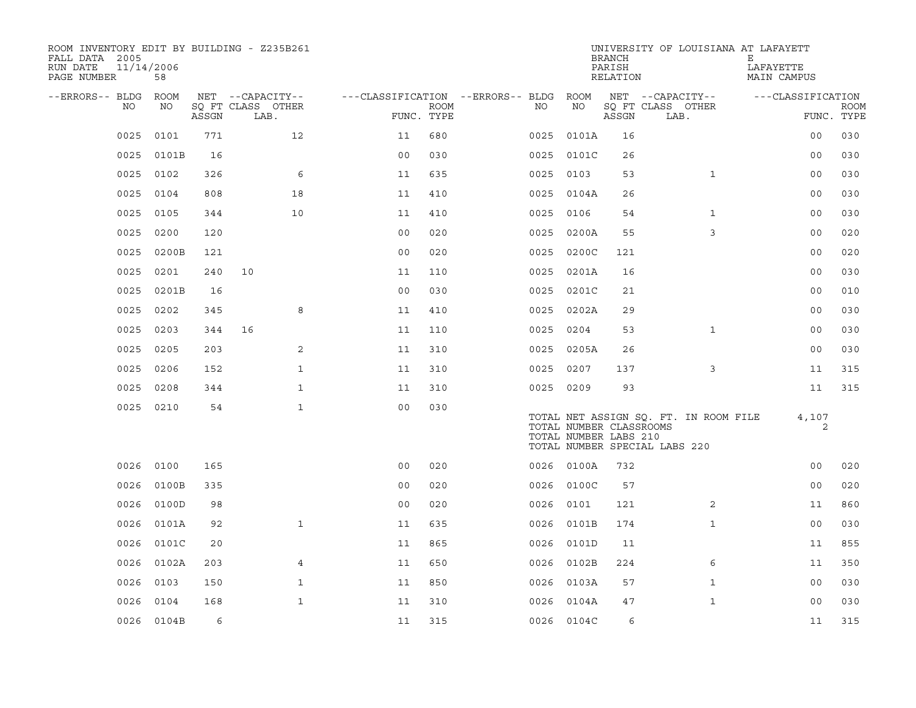| ROOM INVENTORY EDIT BY BUILDING - Z235B261<br>FALL DATA 2005<br>RUN DATE<br>PAGE NUMBER | 11/14/2006<br>58 |       |                                       |                                        |             |           |            | <b>BRANCH</b><br>PARISH<br>RELATION              | UNIVERSITY OF LOUISIANA AT LAFAYETT                                    | Е<br>LAFAYETTE<br><b>MAIN CAMPUS</b> |             |
|-----------------------------------------------------------------------------------------|------------------|-------|---------------------------------------|----------------------------------------|-------------|-----------|------------|--------------------------------------------------|------------------------------------------------------------------------|--------------------------------------|-------------|
| --ERRORS-- BLDG ROOM<br>NO.                                                             | NO               |       | NET --CAPACITY--<br>SQ FT CLASS OTHER | ---CLASSIFICATION --ERRORS-- BLDG ROOM | <b>ROOM</b> | NO        | NO         |                                                  | NET --CAPACITY--<br>SQ FT CLASS OTHER                                  | ---CLASSIFICATION                    | <b>ROOM</b> |
|                                                                                         |                  | ASSGN | LAB.                                  | FUNC. TYPE                             |             |           |            | ASSGN                                            | LAB.                                                                   |                                      | FUNC. TYPE  |
| 0025                                                                                    | 0101             | 771   | 12                                    | 11                                     | 680         | 0025      | 0101A      | 16                                               |                                                                        | 0 <sub>0</sub>                       | 030         |
| 0025                                                                                    | 0101B            | 16    |                                       | 0 <sub>0</sub>                         | 030         |           | 0025 0101C | 26                                               |                                                                        | 0 <sub>0</sub>                       | 030         |
| 0025                                                                                    | 0102             | 326   | 6                                     | 11                                     | 635         | 0025 0103 |            | 53                                               | $\mathbf{1}$                                                           | 0 <sub>0</sub>                       | 030         |
| 0025                                                                                    | 0104             | 808   | 18                                    | 11                                     | 410         |           | 0025 0104A | 26                                               |                                                                        | 0 <sub>0</sub>                       | 030         |
| 0025                                                                                    | 0105             | 344   | 10                                    | 11                                     | 410         | 0025 0106 |            | 54                                               | $\mathbf{1}$                                                           | 0 <sub>0</sub>                       | 030         |
| 0025                                                                                    | 0200             | 120   |                                       | 0 <sub>0</sub>                         | 020         |           | 0025 0200A | 55                                               | 3                                                                      | 00                                   | 020         |
| 0025                                                                                    | 0200B            | 121   |                                       | 0 <sub>0</sub>                         | 020         | 0025      | 0200C      | 121                                              |                                                                        | 0 <sub>0</sub>                       | 020         |
| 0025                                                                                    | 0201             | 240   | 10                                    | 11                                     | 110         | 0025      | 0201A      | 16                                               |                                                                        | 0 <sub>0</sub>                       | 030         |
| 0025                                                                                    | 0201B            | 16    |                                       | 0 <sub>0</sub>                         | 030         | 0025      | 0201C      | 21                                               |                                                                        | 0 <sub>0</sub>                       | 010         |
| 0025                                                                                    | 0202             | 345   | 8                                     | 11                                     | 410         |           | 0025 0202A | 29                                               |                                                                        | 0 <sub>0</sub>                       | 030         |
| 0025                                                                                    | 0203             | 344   | 16                                    | 11                                     | 110         | 0025 0204 |            | 53                                               | $\mathbf{1}$                                                           | 0 <sub>0</sub>                       | 030         |
| 0025                                                                                    | 0205             | 203   | 2                                     | 11                                     | 310         |           | 0025 0205A | 26                                               |                                                                        | 0 <sub>0</sub>                       | 030         |
| 0025                                                                                    | 0206             | 152   | $\mathbf{1}$                          | 11                                     | 310         | 0025      | 0207       | 137                                              | 3                                                                      | 11                                   | 315         |
| 0025                                                                                    | 0208             | 344   | $\mathbf{1}$                          | 11                                     | 310         | 0025 0209 |            | 93                                               |                                                                        | 11                                   | 315         |
|                                                                                         | 0025 0210        | 54    | $\mathbf{1}$                          | 0 <sub>0</sub>                         | 030         |           |            | TOTAL NUMBER CLASSROOMS<br>TOTAL NUMBER LABS 210 | TOTAL NET ASSIGN SQ. FT. IN ROOM FILE<br>TOTAL NUMBER SPECIAL LABS 220 | 4,107<br>2                           |             |
| 0026                                                                                    | 0100             | 165   |                                       | 0 <sub>0</sub>                         | 020         |           | 0026 0100A | 732                                              |                                                                        | 0 <sub>0</sub>                       | 020         |
| 0026                                                                                    | 0100B            | 335   |                                       | 0 <sub>0</sub>                         | 020         |           | 0026 0100C | 57                                               |                                                                        | 0 <sub>0</sub>                       | 020         |
| 0026                                                                                    | 0100D            | 98    |                                       | 0 <sub>0</sub>                         | 020         | 0026      | 0101       | 121                                              | $\overline{a}$                                                         | 11                                   | 860         |
| 0026                                                                                    | 0101A            | 92    | $\mathbf{1}$                          | 11                                     | 635         |           | 0026 0101B | 174                                              | $\mathbf{1}$                                                           | 0 <sub>0</sub>                       | 030         |
| 0026                                                                                    | 0101C            | 20    |                                       | 11                                     | 865         | 0026      | 0101D      | 11                                               |                                                                        | 11                                   | 855         |
| 0026                                                                                    | 0102A            | 203   | 4                                     | 11                                     | 650         |           | 0026 0102B | 224                                              | 6                                                                      | 11                                   | 350         |
| 0026                                                                                    | 0103             | 150   | $\mathbf{1}$                          | 11                                     | 850         | 0026      | 0103A      | 57                                               | $\mathbf{1}$                                                           | 0 <sub>0</sub>                       | 030         |
| 0026                                                                                    | 0104             | 168   | $\mathbf{1}$                          | 11                                     | 310         | 0026      | 0104A      | 47                                               | $\mathbf{1}$                                                           | 00                                   | 030         |
|                                                                                         | 0026 0104B       | 6     |                                       | 11                                     | 315         |           | 0026 0104C | 6                                                |                                                                        | 11                                   | 315         |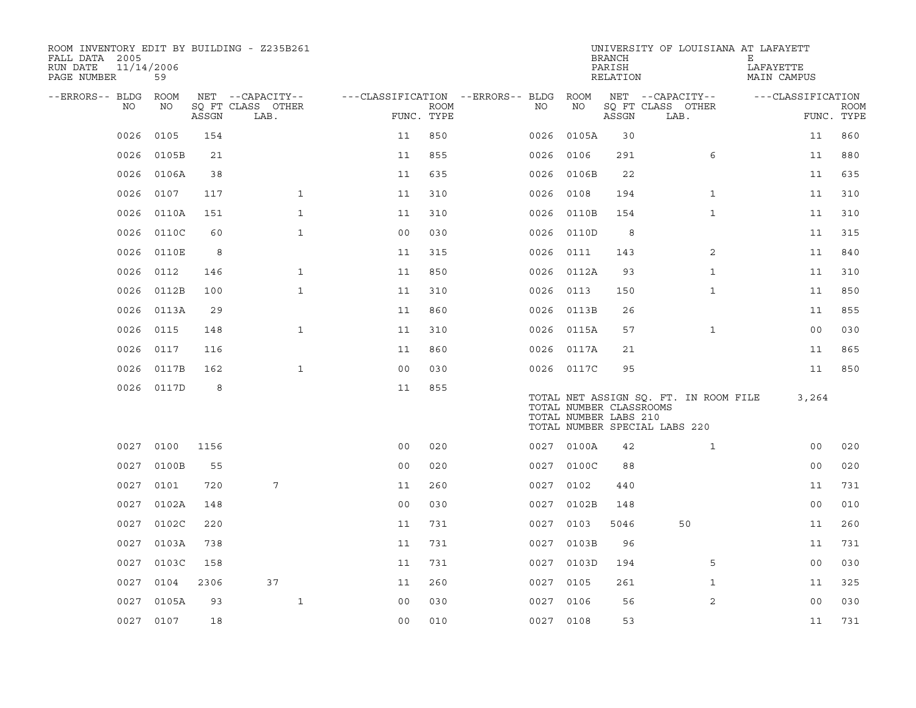| ROOM INVENTORY EDIT BY BUILDING - Z235B261<br>FALL DATA 2005<br>RUN DATE<br>PAGE NUMBER | 11/14/2006<br>59 |       |                                       |                |             |                                        |      |            | <b>BRANCH</b><br>PARISH<br>RELATION              | UNIVERSITY OF LOUISIANA AT LAFAYETT                                    | Е<br>LAFAYETTE<br>MAIN CAMPUS |             |
|-----------------------------------------------------------------------------------------|------------------|-------|---------------------------------------|----------------|-------------|----------------------------------------|------|------------|--------------------------------------------------|------------------------------------------------------------------------|-------------------------------|-------------|
| --ERRORS-- BLDG ROOM<br>NO.                                                             | NO               |       | NET --CAPACITY--<br>SQ FT CLASS OTHER |                | <b>ROOM</b> | ---CLASSIFICATION --ERRORS-- BLDG ROOM | NO   | NO         |                                                  | NET --CAPACITY--<br>SQ FT CLASS OTHER                                  | ---CLASSIFICATION             | <b>ROOM</b> |
|                                                                                         |                  | ASSGN | LAB.                                  | FUNC. TYPE     |             |                                        |      |            | ASSGN                                            | LAB.                                                                   |                               | FUNC. TYPE  |
| 0026                                                                                    | 0105             | 154   |                                       | 11             | 850         |                                        | 0026 | 0105A      | 30                                               |                                                                        | 11                            | 860         |
| 0026                                                                                    | 0105B            | 21    |                                       | 11             | 855         |                                        | 0026 | 0106       | 291                                              | 6                                                                      | 11                            | 880         |
| 0026                                                                                    | 0106A            | 38    |                                       | 11             | 635         |                                        |      | 0026 0106B | 22                                               |                                                                        | 11                            | 635         |
| 0026                                                                                    | 0107             | 117   | $\mathbf{1}$                          | 11             | 310         |                                        | 0026 | 0108       | 194                                              | $\mathbf{1}$                                                           | 11                            | 310         |
| 0026                                                                                    | 0110A            | 151   | $\mathbf{1}$                          | 11             | 310         |                                        | 0026 | 0110B      | 154                                              | $\mathbf{1}$                                                           | 11                            | 310         |
| 0026                                                                                    | 0110C            | 60    | $\mathbf{1}$                          | 0 <sub>0</sub> | 030         |                                        |      | 0026 0110D | 8                                                |                                                                        | 11                            | 315         |
| 0026                                                                                    | 0110E            | 8     |                                       | 11             | 315         |                                        | 0026 | 0111       | 143                                              | 2                                                                      | 11                            | 840         |
| 0026                                                                                    | 0112             | 146   | $\mathbf{1}$                          | 11             | 850         |                                        |      | 0026 0112A | 93                                               | $\mathbf{1}$                                                           | 11                            | 310         |
| 0026                                                                                    | 0112B            | 100   | $\mathbf{1}$                          | 11             | 310         |                                        | 0026 | 0113       | 150                                              | $\mathbf{1}$                                                           | 11                            | 850         |
| 0026                                                                                    | 0113A            | 29    |                                       | 11             | 860         |                                        |      | 0026 0113B | 26                                               |                                                                        | 11                            | 855         |
| 0026                                                                                    | 0115             | 148   | $\mathbf{1}$                          | 11             | 310         |                                        |      | 0026 0115A | 57                                               | $\mathbf{1}$                                                           | 0 <sub>0</sub>                | 030         |
| 0026                                                                                    | 0117             | 116   |                                       | 11             | 860         |                                        |      | 0026 0117A | 21                                               |                                                                        | 11                            | 865         |
| 0026                                                                                    | 0117B            | 162   | $\mathbf{1}$                          | 0 <sub>0</sub> | 030         |                                        |      | 0026 0117C | 95                                               |                                                                        | 11                            | 850         |
|                                                                                         | 0026 0117D       | 8     |                                       | 11             | 855         |                                        |      |            | TOTAL NUMBER CLASSROOMS<br>TOTAL NUMBER LABS 210 | TOTAL NET ASSIGN SO. FT. IN ROOM FILE<br>TOTAL NUMBER SPECIAL LABS 220 | 3,264                         |             |
|                                                                                         | 0027 0100        | 1156  |                                       | 0 <sub>0</sub> | 020         |                                        |      | 0027 0100A | 42                                               | $\mathbf{1}$                                                           | 0 <sub>0</sub>                | 020         |
| 0027                                                                                    | 0100B            | 55    |                                       | 0 <sub>0</sub> | 020         |                                        |      | 0027 0100C | 88                                               |                                                                        | 0 <sub>0</sub>                | 020         |
| 0027                                                                                    | 0101             | 720   | 7                                     | 11             | 260         |                                        |      | 0027 0102  | 440                                              |                                                                        | 11                            | 731         |
| 0027                                                                                    | 0102A            | 148   |                                       | 0 <sub>0</sub> | 030         |                                        | 0027 | 0102B      | 148                                              |                                                                        | 0 <sub>0</sub>                | 010         |
| 0027                                                                                    | 0102C            | 220   |                                       | 11             | 731         |                                        |      | 0027 0103  | 5046                                             | 50                                                                     | 11                            | 260         |
| 0027                                                                                    | 0103A            | 738   |                                       | 11             | 731         |                                        | 0027 | 0103B      | 96                                               |                                                                        | 11                            | 731         |
| 0027                                                                                    | 0103C            | 158   |                                       | 11             | 731         |                                        |      | 0027 0103D | 194                                              | 5                                                                      | 0 <sub>0</sub>                | 030         |
| 0027                                                                                    | 0104             | 2306  | 37                                    | 11             | 260         |                                        | 0027 | 0105       | 261                                              | $\mathbf{1}$                                                           | 11                            | 325         |
| 0027                                                                                    | 0105A            | 93    | $\mathbf{1}$                          | 0 <sub>0</sub> | 030         |                                        |      | 0027 0106  | 56                                               | 2                                                                      | 00                            | 030         |
|                                                                                         | 0027 0107        | 18    |                                       | 0 <sub>0</sub> | 010         |                                        |      | 0027 0108  | 53                                               |                                                                        | 11                            | 731         |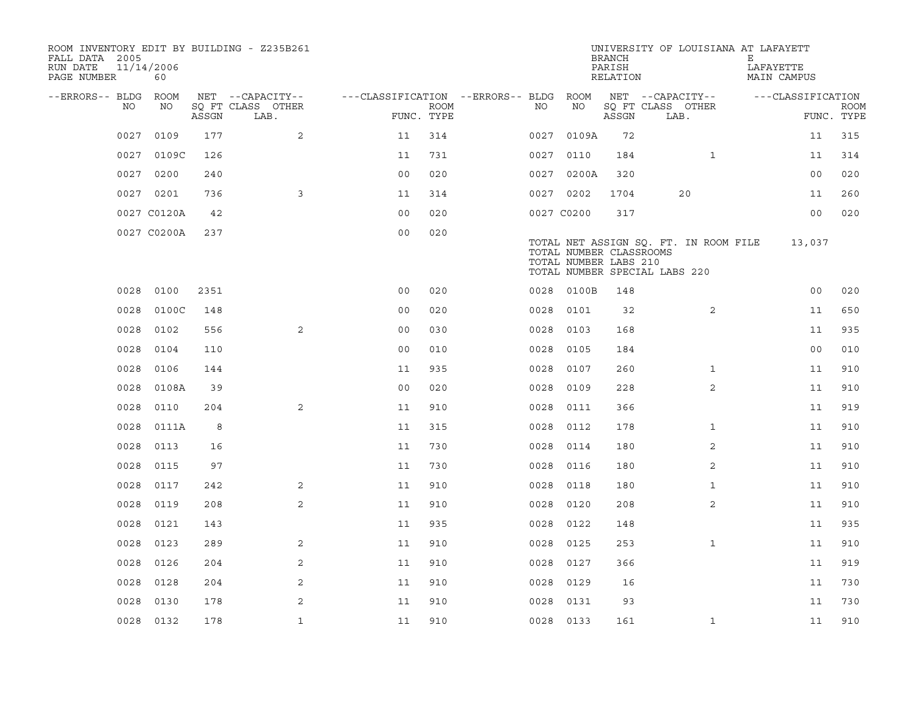| ROOM INVENTORY EDIT BY BUILDING - Z235B261<br>FALL DATA 2005<br>RUN DATE<br>PAGE NUMBER | 11/14/2006<br>60 |       |                           |                                   |             |            |            | <b>BRANCH</b><br>PARISH<br>RELATION              |                                                                        |              | UNIVERSITY OF LOUISIANA AT LAFAYETT<br>Е<br>LAFAYETTE<br>MAIN CAMPUS |                   |             |
|-----------------------------------------------------------------------------------------|------------------|-------|---------------------------|-----------------------------------|-------------|------------|------------|--------------------------------------------------|------------------------------------------------------------------------|--------------|----------------------------------------------------------------------|-------------------|-------------|
| --ERRORS-- BLDG                                                                         | <b>ROOM</b>      |       | NET --CAPACITY--          | ---CLASSIFICATION --ERRORS-- BLDG |             |            | ROOM       |                                                  | NET --CAPACITY--                                                       |              |                                                                      | ---CLASSIFICATION |             |
| NO                                                                                      | NO               | ASSGN | SQ FT CLASS OTHER<br>LAB. | FUNC. TYPE                        | <b>ROOM</b> | NO         | NO         | ASSGN                                            | SQ FT CLASS OTHER<br>LAB.                                              |              |                                                                      | FUNC. TYPE        | <b>ROOM</b> |
| 0027                                                                                    | 0109             | 177   | 2                         | 11                                | 314         |            | 0027 0109A | 72                                               |                                                                        |              |                                                                      | 11                | 315         |
| 0027                                                                                    | 0109C            | 126   |                           | 11                                | 731         | 0027 0110  |            | 184                                              |                                                                        | $\mathbf{1}$ |                                                                      | 11                | 314         |
| 0027                                                                                    | 0200             | 240   |                           | 0 <sub>0</sub>                    | 020         |            | 0027 0200A | 320                                              |                                                                        |              |                                                                      | 00                | 020         |
|                                                                                         | 0027 0201        | 736   | 3                         | 11                                | 314         | 0027 0202  |            | 1704                                             | 20                                                                     |              |                                                                      | 11                | 260         |
|                                                                                         | 0027 C0120A      | 42    |                           | 0 <sub>0</sub>                    | 020         | 0027 C0200 |            | 317                                              |                                                                        |              |                                                                      | 0 <sub>0</sub>    | 020         |
|                                                                                         | 0027 C0200A      | 237   |                           | 0 <sub>0</sub>                    | 020         |            |            | TOTAL NUMBER CLASSROOMS<br>TOTAL NUMBER LABS 210 | TOTAL NET ASSIGN SQ. FT. IN ROOM FILE<br>TOTAL NUMBER SPECIAL LABS 220 |              |                                                                      | 13,037            |             |
| 0028                                                                                    | 0100             | 2351  |                           | 0 <sub>0</sub>                    | 020         | 0028       | 0100B      | 148                                              |                                                                        |              |                                                                      | 0 <sub>0</sub>    | 020         |
| 0028                                                                                    | 0100C            | 148   |                           | 0 <sub>0</sub>                    | 020         | 0028       | 0101       | 32                                               |                                                                        | 2            |                                                                      | 11                | 650         |
| 0028                                                                                    | 0102             | 556   | $\overline{2}$            | 0 <sub>0</sub>                    | 030         | 0028       | 0103       | 168                                              |                                                                        |              |                                                                      | 11                | 935         |
| 0028                                                                                    | 0104             | 110   |                           | 0 <sub>0</sub>                    | 010         | 0028       | 0105       | 184                                              |                                                                        |              |                                                                      | 00                | 010         |
| 0028                                                                                    | 0106             | 144   |                           | 11                                | 935         | 0028       | 0107       | 260                                              |                                                                        | $\mathbf{1}$ |                                                                      | 11                | 910         |
| 0028                                                                                    | 0108A            | 39    |                           | 0 <sub>0</sub>                    | 020         | 0028 0109  |            | 228                                              |                                                                        | 2            |                                                                      | 11                | 910         |
| 0028                                                                                    | 0110             | 204   | 2                         | 11                                | 910         | 0028       | 0111       | 366                                              |                                                                        |              |                                                                      | 11                | 919         |
| 0028                                                                                    | 0111A            | 8     |                           | 11                                | 315         | 0028 0112  |            | 178                                              |                                                                        | $\mathbf{1}$ |                                                                      | 11                | 910         |
| 0028                                                                                    | 0113             | 16    |                           | 11                                | 730         | 0028       | 0114       | 180                                              |                                                                        | 2            |                                                                      | 11                | 910         |
| 0028                                                                                    | 0115             | 97    |                           | 11                                | 730         | 0028       | 0116       | 180                                              |                                                                        | 2            |                                                                      | 11                | 910         |
| 0028                                                                                    | 0117             | 242   | 2                         | 11                                | 910         | 0028       | 0118       | 180                                              |                                                                        | $\mathbf{1}$ |                                                                      | 11                | 910         |
| 0028                                                                                    | 0119             | 208   | 2                         | 11                                | 910         | 0028       | 0120       | 208                                              |                                                                        | 2            |                                                                      | 11                | 910         |
| 0028                                                                                    | 0121             | 143   |                           | 11                                | 935         | 0028       | 0122       | 148                                              |                                                                        |              |                                                                      | 11                | 935         |
| 0028                                                                                    | 0123             | 289   | 2                         | 11                                | 910         | 0028       | 0125       | 253                                              |                                                                        | $\mathbf{1}$ |                                                                      | 11                | 910         |
| 0028                                                                                    | 0126             | 204   | 2                         | 11                                | 910         | 0028 0127  |            | 366                                              |                                                                        |              |                                                                      | 11                | 919         |
| 0028                                                                                    | 0128             | 204   | 2                         | 11                                | 910         | 0028 0129  |            | 16                                               |                                                                        |              |                                                                      | 11                | 730         |
| 0028                                                                                    | 0130             | 178   | 2                         | 11                                | 910         | 0028       | 0131       | 93                                               |                                                                        |              |                                                                      | 11                | 730         |
|                                                                                         | 0028 0132        | 178   | $\mathbf{1}$              | 11                                | 910         | 0028 0133  |            | 161                                              |                                                                        | $\mathbf{1}$ |                                                                      | 11                | 910         |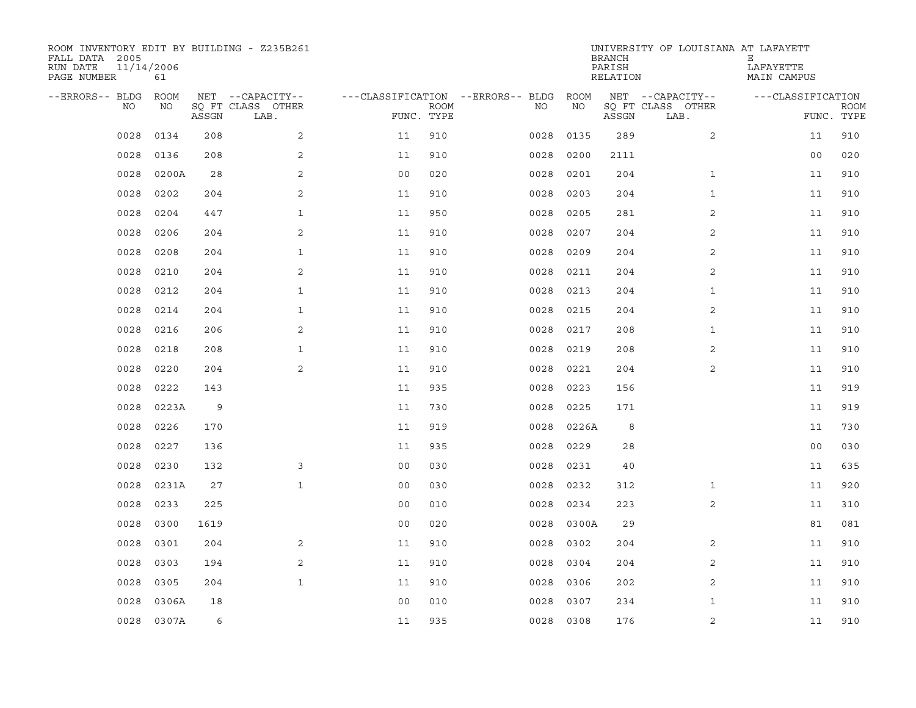| ROOM INVENTORY EDIT BY BUILDING - Z235B261<br>FALL DATA 2005<br>RUN DATE<br>PAGE NUMBER | 11/14/2006<br>61 |       |                           |                |             |                                   |      |           | <b>BRANCH</b><br>PARISH<br>RELATION | UNIVERSITY OF LOUISIANA AT LAFAYETT | Е<br>LAFAYETTE<br>MAIN CAMPUS |                           |
|-----------------------------------------------------------------------------------------|------------------|-------|---------------------------|----------------|-------------|-----------------------------------|------|-----------|-------------------------------------|-------------------------------------|-------------------------------|---------------------------|
| --ERRORS-- BLDG                                                                         | <b>ROOM</b>      |       | NET --CAPACITY--          |                |             | ---CLASSIFICATION --ERRORS-- BLDG |      | ROOM      |                                     | NET --CAPACITY--                    | ---CLASSIFICATION             |                           |
| NO                                                                                      | NO               | ASSGN | SO FT CLASS OTHER<br>LAB. | FUNC. TYPE     | <b>ROOM</b> |                                   | NO.  | NO        | ASSGN                               | SQ FT CLASS OTHER<br>LAB.           |                               | <b>ROOM</b><br>FUNC. TYPE |
| 0028                                                                                    | 0134             | 208   | 2                         | 11             | 910         |                                   | 0028 | 0135      | 289                                 | $\overline{a}$                      | 11                            | 910                       |
| 0028                                                                                    | 0136             | 208   | 2                         | 11             | 910         |                                   | 0028 | 0200      | 2111                                |                                     | 0 <sub>0</sub>                | 020                       |
| 0028                                                                                    | 0200A            | 28    | 2                         | 0 <sub>0</sub> | 020         |                                   | 0028 | 0201      | 204                                 | $\mathbf{1}$                        | 11                            | 910                       |
| 0028                                                                                    | 0202             | 204   | 2                         | 11             | 910         |                                   | 0028 | 0203      | 204                                 | $\mathbf{1}$                        | 11                            | 910                       |
| 0028                                                                                    | 0204             | 447   | $\mathbf{1}$              | 11             | 950         |                                   | 0028 | 0205      | 281                                 | 2                                   | 11                            | 910                       |
| 0028                                                                                    | 0206             | 204   | 2                         | 11             | 910         |                                   | 0028 | 0207      | 204                                 | 2                                   | 11                            | 910                       |
| 0028                                                                                    | 0208             | 204   | $\mathbf{1}$              | 11             | 910         |                                   | 0028 | 0209      | 204                                 | 2                                   | 11                            | 910                       |
| 0028                                                                                    | 0210             | 204   | 2                         | 11             | 910         |                                   | 0028 | 0211      | 204                                 | 2                                   | 11                            | 910                       |
| 0028                                                                                    | 0212             | 204   | $\mathbf{1}$              | 11             | 910         |                                   | 0028 | 0213      | 204                                 | $\mathbf{1}$                        | 11                            | 910                       |
| 0028                                                                                    | 0214             | 204   | $\mathbf{1}$              | 11             | 910         |                                   | 0028 | 0215      | 204                                 | 2                                   | 11                            | 910                       |
| 0028                                                                                    | 0216             | 206   | 2                         | 11             | 910         |                                   | 0028 | 0217      | 208                                 | $\mathbf{1}$                        | 11                            | 910                       |
| 0028                                                                                    | 0218             | 208   | $\mathbf{1}$              | 11             | 910         |                                   | 0028 | 0219      | 208                                 | 2                                   | 11                            | 910                       |
| 0028                                                                                    | 0220             | 204   | 2                         | 11             | 910         |                                   | 0028 | 0221      | 204                                 | $\overline{2}$                      | 11                            | 910                       |
| 0028                                                                                    | 0222             | 143   |                           | 11             | 935         |                                   | 0028 | 0223      | 156                                 |                                     | 11                            | 919                       |
| 0028                                                                                    | 0223A            | 9     |                           | 11             | 730         |                                   | 0028 | 0225      | 171                                 |                                     | 11                            | 919                       |
| 0028                                                                                    | 0226             | 170   |                           | 11             | 919         |                                   | 0028 | 0226A     | 8                                   |                                     | 11                            | 730                       |
| 0028                                                                                    | 0227             | 136   |                           | 11             | 935         |                                   | 0028 | 0229      | 28                                  |                                     | 0 <sub>0</sub>                | 030                       |
| 0028                                                                                    | 0230             | 132   | 3                         | 0 <sub>0</sub> | 030         |                                   | 0028 | 0231      | 40                                  |                                     | 11                            | 635                       |
| 0028                                                                                    | 0231A            | 27    | $\mathbf{1}$              | 0 <sub>0</sub> | 030         |                                   | 0028 | 0232      | 312                                 | $\mathbf{1}$                        | 11                            | 920                       |
| 0028                                                                                    | 0233             | 225   |                           | 0 <sub>0</sub> | 010         |                                   | 0028 | 0234      | 223                                 | 2                                   | 11                            | 310                       |
| 0028                                                                                    | 0300             | 1619  |                           | 0 <sub>0</sub> | 020         |                                   | 0028 | 0300A     | 29                                  |                                     | 81                            | 081                       |
| 0028                                                                                    | 0301             | 204   | 2                         | 11             | 910         |                                   | 0028 | 0302      | 204                                 | 2                                   | 11                            | 910                       |
| 0028                                                                                    | 0303             | 194   | 2                         | 11             | 910         |                                   | 0028 | 0304      | 204                                 | 2                                   | 11                            | 910                       |
| 0028                                                                                    | 0305             | 204   | $\mathbf{1}$              | 11             | 910         |                                   | 0028 | 0306      | 202                                 | 2                                   | 11                            | 910                       |
| 0028                                                                                    | 0306A            | 18    |                           | 0 <sub>0</sub> | 010         |                                   | 0028 | 0307      | 234                                 | $\mathbf{1}$                        | 11                            | 910                       |
| 0028                                                                                    | 0307A            | 6     |                           | 11             | 935         |                                   |      | 0028 0308 | 176                                 | 2                                   | 11                            | 910                       |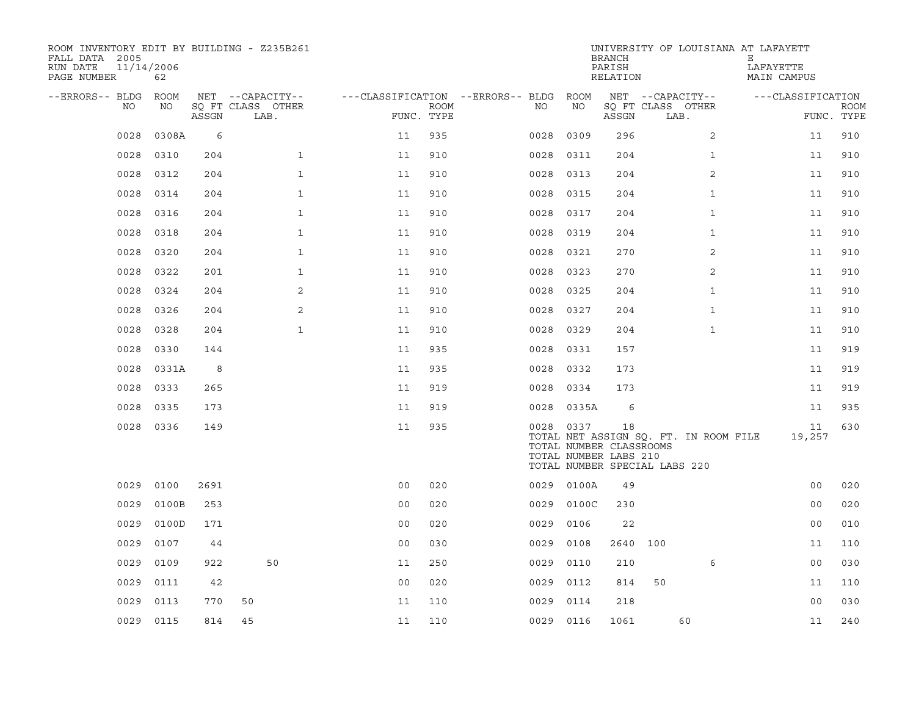| ROOM INVENTORY EDIT BY BUILDING - Z235B261<br>FALL DATA 2005<br>RUN DATE<br>PAGE NUMBER | 11/14/2006<br>62 |       |                           |                                        |                           |           |                                                                                   | <b>BRANCH</b><br>PARISH<br>RELATION |                  |                                       | UNIVERSITY OF LOUISIANA AT LAFAYETT<br>Ε<br>LAFAYETTE<br>MAIN CAMPUS |                   |                           |
|-----------------------------------------------------------------------------------------|------------------|-------|---------------------------|----------------------------------------|---------------------------|-----------|-----------------------------------------------------------------------------------|-------------------------------------|------------------|---------------------------------------|----------------------------------------------------------------------|-------------------|---------------------------|
| --ERRORS-- BLDG                                                                         | ROOM             |       | NET --CAPACITY--          | ---CLASSIFICATION --ERRORS-- BLDG ROOM |                           |           |                                                                                   |                                     | NET --CAPACITY-- |                                       |                                                                      | ---CLASSIFICATION |                           |
| NO                                                                                      | NO               | ASSGN | SQ FT CLASS OTHER<br>LAB. |                                        | <b>ROOM</b><br>FUNC. TYPE | NO        | NO                                                                                | ASSGN                               | LAB.             | SQ FT CLASS OTHER                     |                                                                      |                   | <b>ROOM</b><br>FUNC. TYPE |
| 0028                                                                                    | 0308A            | 6     |                           | 11                                     | 935                       | 0028      | 0309                                                                              | 296                                 |                  | $\overline{2}$                        |                                                                      | 11                | 910                       |
| 0028                                                                                    | 0310             | 204   | $\mathbf{1}$              | 11                                     | 910                       | 0028      | 0311                                                                              | 204                                 |                  | $\mathbf{1}$                          |                                                                      | 11                | 910                       |
| 0028                                                                                    | 0312             | 204   | $\mathbf{1}$              | 11                                     | 910                       | 0028      | 0313                                                                              | 204                                 |                  | 2                                     |                                                                      | 11                | 910                       |
| 0028                                                                                    | 0314             | 204   | $\mathbf{1}$              | 11                                     | 910                       | 0028      | 0315                                                                              | 204                                 |                  | $\mathbf{1}$                          |                                                                      | 11                | 910                       |
| 0028                                                                                    | 0316             | 204   | $\mathbf{1}$              | 11                                     | 910                       | 0028      | 0317                                                                              | 204                                 |                  | $\mathbf{1}$                          |                                                                      | 11                | 910                       |
| 0028                                                                                    | 0318             | 204   | $\mathbf 1$               | 11                                     | 910                       | 0028      | 0319                                                                              | 204                                 |                  | $\mathbf{1}$                          |                                                                      | 11                | 910                       |
| 0028                                                                                    | 0320             | 204   | $\mathbf{1}$              | 11                                     | 910                       | 0028      | 0321                                                                              | 270                                 |                  | 2                                     |                                                                      | 11                | 910                       |
| 0028                                                                                    | 0322             | 201   | $\mathbf{1}$              | 11                                     | 910                       | 0028      | 0323                                                                              | 270                                 |                  | $\overline{2}$                        |                                                                      | 11                | 910                       |
| 0028                                                                                    | 0324             | 204   | 2                         | 11                                     | 910                       | 0028      | 0325                                                                              | 204                                 |                  | $\mathbf{1}$                          |                                                                      | 11                | 910                       |
| 0028                                                                                    | 0326             | 204   | 2                         | 11                                     | 910                       | 0028      | 0327                                                                              | 204                                 |                  | $\mathbf{1}$                          |                                                                      | 11                | 910                       |
| 0028                                                                                    | 0328             | 204   | $\mathbf{1}$              | 11                                     | 910                       | 0028      | 0329                                                                              | 204                                 |                  | $\mathbf{1}$                          |                                                                      | 11                | 910                       |
| 0028                                                                                    | 0330             | 144   |                           | 11                                     | 935                       | 0028      | 0331                                                                              | 157                                 |                  |                                       |                                                                      | 11                | 919                       |
| 0028                                                                                    | 0331A            | 8     |                           | 11                                     | 935                       | 0028      | 0332                                                                              | 173                                 |                  |                                       |                                                                      | 11                | 919                       |
| 0028                                                                                    | 0333             | 265   |                           | 11                                     | 919                       | 0028      | 0334                                                                              | 173                                 |                  |                                       |                                                                      | 11                | 919                       |
| 0028                                                                                    | 0335             | 173   |                           | 11                                     | 919                       |           | 0028 0335A                                                                        | 6                                   |                  |                                       |                                                                      | 11                | 935                       |
|                                                                                         | 0028 0336        | 149   |                           | 11                                     | 935                       | 0028 0337 | TOTAL NUMBER CLASSROOMS<br>TOTAL NUMBER LABS 210<br>TOTAL NUMBER SPECIAL LABS 220 | 18                                  |                  | TOTAL NET ASSIGN SQ. FT. IN ROOM FILE |                                                                      | 11<br>19,257      | 630                       |
| 0029                                                                                    | 0100             | 2691  |                           | 0 <sub>0</sub>                         | 020                       |           | 0029 0100A                                                                        | 49                                  |                  |                                       |                                                                      | 0 <sub>0</sub>    | 020                       |
| 0029                                                                                    | 0100B            | 253   |                           | 00                                     | 020                       | 0029      | 0100C                                                                             | 230                                 |                  |                                       |                                                                      | 0 <sub>0</sub>    | 020                       |
| 0029                                                                                    | 0100D            | 171   |                           | 0 <sub>0</sub>                         | 020                       | 0029      | 0106                                                                              | 22                                  |                  |                                       |                                                                      | 0 <sub>0</sub>    | 010                       |
| 0029                                                                                    | 0107             | 44    |                           | 0 <sub>0</sub>                         | 030                       | 0029      | 0108                                                                              | 2640                                | 100              |                                       |                                                                      | 11                | 110                       |
| 0029                                                                                    | 0109             | 922   | 50                        | 11                                     | 250                       | 0029      | 0110                                                                              | 210                                 |                  | 6                                     |                                                                      | 00                | 030                       |
| 0029                                                                                    | 0111             | 42    |                           | 0 <sub>0</sub>                         | 020                       | 0029      | 0112                                                                              | 814                                 | 50               |                                       |                                                                      | 11                | 110                       |
| 0029                                                                                    | 0113             | 770   | 50                        | 11                                     | 110                       | 0029      | 0114                                                                              | 218                                 |                  |                                       |                                                                      | 0 <sub>0</sub>    | 030                       |
|                                                                                         | 0029 0115        | 814   | 45                        | 11                                     | 110                       | 0029 0116 |                                                                                   | 1061                                |                  | 60                                    |                                                                      | 11                | 240                       |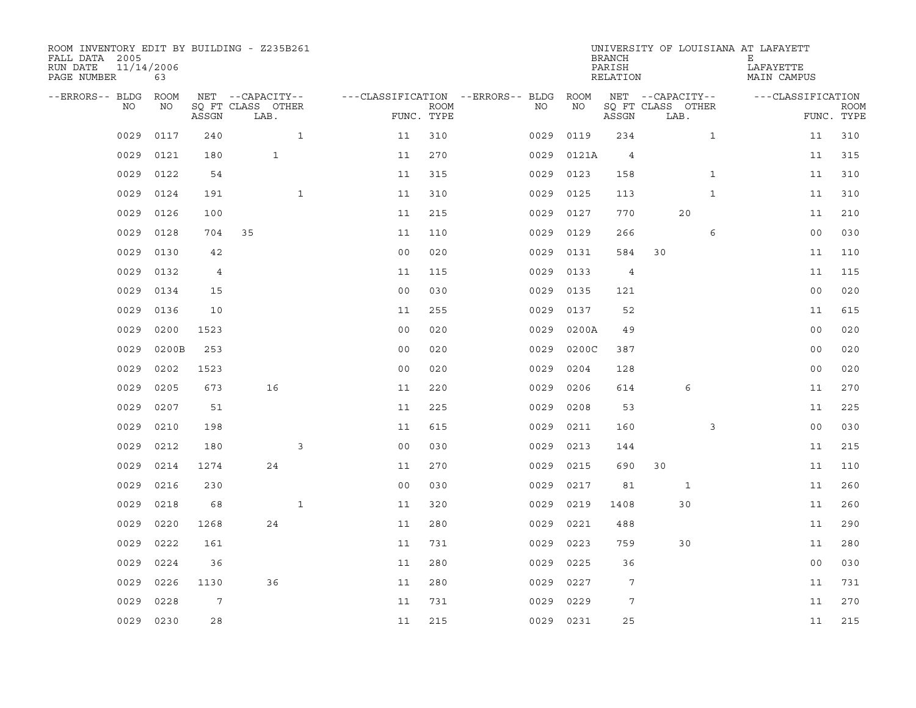| ROOM INVENTORY EDIT BY BUILDING - Z235B261<br>FALL DATA 2005<br>RUN DATE<br>PAGE NUMBER | 11/14/2006<br>63 |       |                           |                |             |                                        |      |            | <b>BRANCH</b><br>PARISH<br>RELATION |                           |              | UNIVERSITY OF LOUISIANA AT LAFAYETT<br>Е<br>LAFAYETTE<br>MAIN CAMPUS |                           |
|-----------------------------------------------------------------------------------------|------------------|-------|---------------------------|----------------|-------------|----------------------------------------|------|------------|-------------------------------------|---------------------------|--------------|----------------------------------------------------------------------|---------------------------|
| --ERRORS-- BLDG ROOM                                                                    |                  |       | NET --CAPACITY--          |                |             | ---CLASSIFICATION --ERRORS-- BLDG ROOM |      |            |                                     | NET --CAPACITY--          |              | ---CLASSIFICATION                                                    |                           |
| NO.                                                                                     | NO               | ASSGN | SQ FT CLASS OTHER<br>LAB. | FUNC. TYPE     | <b>ROOM</b> | NO.                                    |      | <b>NO</b>  | ASSGN                               | SQ FT CLASS OTHER<br>LAB. |              |                                                                      | <b>ROOM</b><br>FUNC. TYPE |
| 0029                                                                                    | 0117             | 240   | $\mathbf{1}$              | 11             | 310         |                                        | 0029 | 0119       | 234                                 |                           | $\mathbf{1}$ |                                                                      | 11<br>310                 |
| 0029                                                                                    | 0121             | 180   | $\mathbf{1}$              | 11             | 270         |                                        |      | 0029 0121A | $\overline{4}$                      |                           |              |                                                                      | 315<br>11                 |
| 0029                                                                                    | 0122             | 54    |                           | 11             | 315         |                                        | 0029 | 0123       | 158                                 |                           | $\mathbf{1}$ |                                                                      | 310<br>11                 |
| 0029                                                                                    | 0124             | 191   | $\mathbf{1}$              | 11             | 310         |                                        |      | 0029 0125  | 113                                 |                           | $\mathbf{1}$ |                                                                      | 310<br>11                 |
| 0029                                                                                    | 0126             | 100   |                           | 11             | 215         |                                        | 0029 | 0127       | 770                                 | 20                        |              |                                                                      | 210<br>11                 |
| 0029                                                                                    | 0128             | 704   | 35                        | 11             | 110         |                                        |      | 0029 0129  | 266                                 |                           | 6            |                                                                      | 00<br>030                 |
| 0029                                                                                    | 0130             | 42    |                           | 0 <sub>0</sub> | 020         |                                        | 0029 | 0131       | 584                                 | 30                        |              |                                                                      | 11<br>110                 |
| 0029                                                                                    | 0132             | 4     |                           | 11             | 115         |                                        | 0029 | 0133       | $\overline{4}$                      |                           |              |                                                                      | 11<br>115                 |
| 0029                                                                                    | 0134             | 15    |                           | 0 <sub>0</sub> | 030         |                                        | 0029 | 0135       | 121                                 |                           |              |                                                                      | 0 <sub>0</sub><br>020     |
| 0029                                                                                    | 0136             | 10    |                           | 11             | 255         |                                        | 0029 | 0137       | 52                                  |                           |              |                                                                      | 615<br>11                 |
| 0029                                                                                    | 0200             | 1523  |                           | 0 <sub>0</sub> | 020         |                                        | 0029 | 0200A      | 49                                  |                           |              |                                                                      | 0 <sub>0</sub><br>020     |
| 0029                                                                                    | 0200B            | 253   |                           | 0 <sub>0</sub> | 020         |                                        | 0029 | 0200C      | 387                                 |                           |              |                                                                      | 020<br>0 <sub>0</sub>     |
| 0029                                                                                    | 0202             | 1523  |                           | 0 <sub>0</sub> | 020         |                                        | 0029 | 0204       | 128                                 |                           |              |                                                                      | 020<br>0 <sub>0</sub>     |
| 0029                                                                                    | 0205             | 673   | 16                        | 11             | 220         |                                        | 0029 | 0206       | 614                                 |                           | 6            |                                                                      | 270<br>11                 |
| 0029                                                                                    | 0207             | 51    |                           | 11             | 225         |                                        | 0029 | 0208       | 53                                  |                           |              |                                                                      | 225<br>11                 |
| 0029                                                                                    | 0210             | 198   |                           | 11             | 615         |                                        | 0029 | 0211       | 160                                 |                           | 3            |                                                                      | 0 <sub>0</sub><br>030     |
| 0029                                                                                    | 0212             | 180   | 3                         | 0 <sub>0</sub> | 030         |                                        | 0029 | 0213       | 144                                 |                           |              |                                                                      | 215<br>11                 |
| 0029                                                                                    | 0214             | 1274  | 24                        | 11             | 270         |                                        | 0029 | 0215       | 690                                 | 30                        |              |                                                                      | 11<br>110                 |
| 0029                                                                                    | 0216             | 230   |                           | 0 <sub>0</sub> | 030         |                                        |      | 0029 0217  | 81                                  |                           | $\mathbf{1}$ |                                                                      | 260<br>11                 |
| 0029                                                                                    | 0218             | 68    | $\mathbf{1}$              | 11             | 320         |                                        | 0029 | 0219       | 1408                                | 30                        |              |                                                                      | 11<br>260                 |
| 0029                                                                                    | 0220             | 1268  | 24                        | 11             | 280         |                                        | 0029 | 0221       | 488                                 |                           |              |                                                                      | 11<br>290                 |
| 0029                                                                                    | 0222             | 161   |                           | 11             | 731         |                                        | 0029 | 0223       | 759                                 | 30                        |              |                                                                      | 280<br>11                 |
| 0029                                                                                    | 0224             | 36    |                           | 11             | 280         |                                        | 0029 | 0225       | 36                                  |                           |              |                                                                      | 0 <sub>0</sub><br>030     |
| 0029                                                                                    | 0226             | 1130  | 36                        | 11             | 280         |                                        | 0029 | 0227       | 7                                   |                           |              |                                                                      | 11<br>731                 |
| 0029                                                                                    | 0228             | 7     |                           | 11             | 731         |                                        | 0029 | 0229       | 7                                   |                           |              |                                                                      | 270<br>11                 |
| 0029                                                                                    | 0230             | 28    |                           | 11             | 215         |                                        |      | 0029 0231  | 25                                  |                           |              |                                                                      | 215<br>11                 |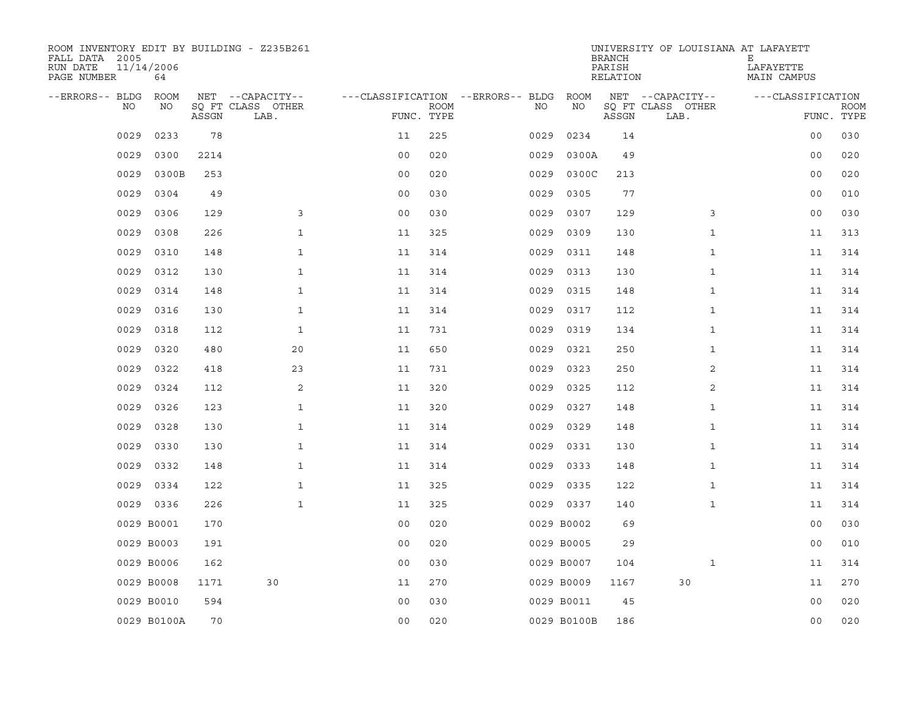| ROOM INVENTORY EDIT BY BUILDING - Z235B261<br>FALL DATA 2005<br>RUN DATE<br>PAGE NUMBER | 11/14/2006<br>64 |       |                           |                                   |             |      |             | <b>BRANCH</b><br>PARISH<br>RELATION | UNIVERSITY OF LOUISIANA AT LAFAYETT | Е<br>LAFAYETTE<br>MAIN CAMPUS |                           |
|-----------------------------------------------------------------------------------------|------------------|-------|---------------------------|-----------------------------------|-------------|------|-------------|-------------------------------------|-------------------------------------|-------------------------------|---------------------------|
| --ERRORS-- BLDG                                                                         | ROOM             |       | NET --CAPACITY--          | ---CLASSIFICATION --ERRORS-- BLDG |             |      | ROOM        |                                     | NET --CAPACITY--                    | ---CLASSIFICATION             |                           |
| NO.                                                                                     | NO               | ASSGN | SQ FT CLASS OTHER<br>LAB. | FUNC. TYPE                        | <b>ROOM</b> | NO.  | NO          | ASSGN                               | SQ FT CLASS OTHER<br>LAB.           |                               | <b>ROOM</b><br>FUNC. TYPE |
| 0029                                                                                    | 0233             | 78    |                           | 11                                | 225         | 0029 | 0234        | 14                                  |                                     | 0 <sub>0</sub>                | 030                       |
| 0029                                                                                    | 0300             | 2214  |                           | 0 <sub>0</sub>                    | 020         | 0029 | 0300A       | 49                                  |                                     | 0 <sub>0</sub>                | 020                       |
| 0029                                                                                    | 0300B            | 253   |                           | 0 <sub>0</sub>                    | 020         | 0029 | 0300C       | 213                                 |                                     | 0 <sub>0</sub>                | 020                       |
| 0029                                                                                    | 0304             | 49    |                           | 0 <sub>0</sub>                    | 030         | 0029 | 0305        | 77                                  |                                     | 0 <sub>0</sub>                | 010                       |
| 0029                                                                                    | 0306             | 129   | 3                         | 0 <sub>0</sub>                    | 030         | 0029 | 0307        | 129                                 | 3                                   | 0 <sub>0</sub>                | 030                       |
| 0029                                                                                    | 0308             | 226   | $\mathbf{1}$              | 11                                | 325         | 0029 | 0309        | 130                                 | $\mathbf{1}$                        | 11                            | 313                       |
| 0029                                                                                    | 0310             | 148   | $\mathbf{1}$              | 11                                | 314         | 0029 | 0311        | 148                                 | $\mathbf{1}$                        | 11                            | 314                       |
| 0029                                                                                    | 0312             | 130   | $\mathbf{1}$              | 11                                | 314         | 0029 | 0313        | 130                                 | $\mathbf{1}$                        | 11                            | 314                       |
| 0029                                                                                    | 0314             | 148   | $\mathbf{1}$              | 11                                | 314         | 0029 | 0315        | 148                                 | $\mathbf{1}$                        | 11                            | 314                       |
| 0029                                                                                    | 0316             | 130   | $\mathbf{1}$              | 11                                | 314         | 0029 | 0317        | 112                                 | $\mathbf{1}$                        | 11                            | 314                       |
| 0029                                                                                    | 0318             | 112   | $\mathbf{1}$              | 11                                | 731         | 0029 | 0319        | 134                                 | $\mathbf{1}$                        | 11                            | 314                       |
| 0029                                                                                    | 0320             | 480   | 20                        | 11                                | 650         | 0029 | 0321        | 250                                 | $\mathbf{1}$                        | 11                            | 314                       |
| 0029                                                                                    | 0322             | 418   | 23                        | 11                                | 731         | 0029 | 0323        | 250                                 | 2                                   | 11                            | 314                       |
| 0029                                                                                    | 0324             | 112   | 2                         | 11                                | 320         | 0029 | 0325        | 112                                 | 2                                   | 11                            | 314                       |
| 0029                                                                                    | 0326             | 123   | $\mathbf{1}$              | 11                                | 320         | 0029 | 0327        | 148                                 | $\mathbf{1}$                        | 11                            | 314                       |
| 0029                                                                                    | 0328             | 130   | $\mathbf{1}$              | 11                                | 314         | 0029 | 0329        | 148                                 | $\mathbf{1}$                        | 11                            | 314                       |
| 0029                                                                                    | 0330             | 130   | $\mathbf{1}$              | 11                                | 314         | 0029 | 0331        | 130                                 | $\mathbf{1}$                        | 11                            | 314                       |
| 0029                                                                                    | 0332             | 148   | $\mathbf 1$               | 11                                | 314         | 0029 | 0333        | 148                                 | $\mathbf{1}$                        | 11                            | 314                       |
| 0029                                                                                    | 0334             | 122   | $\mathbf{1}$              | 11                                | 325         |      | 0029 0335   | 122                                 | $\mathbf{1}$                        | 11                            | 314                       |
| 0029                                                                                    | 0336             | 226   | $\mathbf{1}$              | 11                                | 325         |      | 0029 0337   | 140                                 | $\mathbf{1}$                        | 11                            | 314                       |
|                                                                                         | 0029 B0001       | 170   |                           | 0 <sub>0</sub>                    | 020         |      | 0029 B0002  | 69                                  |                                     | 0 <sub>0</sub>                | 030                       |
|                                                                                         | 0029 B0003       | 191   |                           | 0 <sub>0</sub>                    | 020         |      | 0029 B0005  | 29                                  |                                     | 00                            | 010                       |
|                                                                                         | 0029 B0006       | 162   |                           | 0 <sub>0</sub>                    | 030         |      | 0029 B0007  | 104                                 | $\mathbf{1}$                        | 11                            | 314                       |
|                                                                                         | 0029 B0008       | 1171  | 30                        | 11                                | 270         |      | 0029 B0009  | 1167                                | 30                                  | 11                            | 270                       |
|                                                                                         | 0029 B0010       | 594   |                           | 0 <sub>0</sub>                    | 030         |      | 0029 B0011  | 45                                  |                                     | 0 <sub>0</sub>                | 020                       |
|                                                                                         | 0029 B0100A      | 70    |                           | 0 <sub>0</sub>                    | 020         |      | 0029 B0100B | 186                                 |                                     | 0 <sub>0</sub>                | 020                       |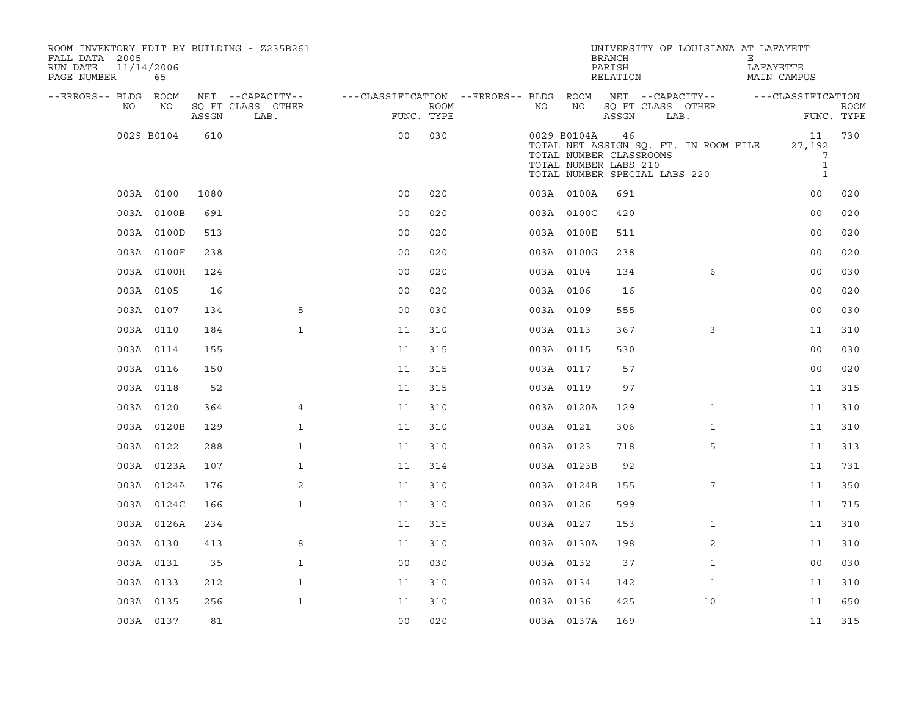| ROOM INVENTORY EDIT BY BUILDING - Z235B261<br>FALL DATA 2005<br>RUN DATE<br>PAGE NUMBER | 11/14/2006<br>65 |       |                           |                                        |      |           |             | <b>BRANCH</b><br>PARISH<br>RELATION                                                     |      | UNIVERSITY OF LOUISIANA AT LAFAYETT   | Е | LAFAYETTE<br>MAIN CAMPUS                          |             |
|-----------------------------------------------------------------------------------------|------------------|-------|---------------------------|----------------------------------------|------|-----------|-------------|-----------------------------------------------------------------------------------------|------|---------------------------------------|---|---------------------------------------------------|-------------|
| --ERRORS-- BLDG ROOM                                                                    |                  |       | NET --CAPACITY--          | ---CLASSIFICATION --ERRORS-- BLDG ROOM |      |           |             | NET --CAPACITY--                                                                        |      |                                       |   | ---CLASSIFICATION                                 |             |
| NO.                                                                                     | NO               | ASSGN | SQ FT CLASS OTHER<br>LAB. | FUNC. TYPE                             | ROOM | NO        | NO          | SQ FT CLASS OTHER<br>ASSGN                                                              | LAB. |                                       |   | FUNC. TYPE                                        | <b>ROOM</b> |
|                                                                                         | 0029 B0104       | 610   |                           | 0 <sub>0</sub>                         | 030  |           | 0029 B0104A | 46<br>TOTAL NUMBER CLASSROOMS<br>TOTAL NUMBER LABS 210<br>TOTAL NUMBER SPECIAL LABS 220 |      | TOTAL NET ASSIGN SQ. FT. IN ROOM FILE |   | 11<br>27,192<br>7<br>$\mathbf{1}$<br>$\mathbf{1}$ | 730         |
|                                                                                         | 003A 0100        | 1080  |                           | 0 <sub>0</sub>                         | 020  |           | 003A 0100A  | 691                                                                                     |      |                                       |   | 00                                                | 020         |
|                                                                                         | 003A 0100B       | 691   |                           | 0 <sub>0</sub>                         | 020  |           | 003A 0100C  | 420                                                                                     |      |                                       |   | 0 <sub>0</sub>                                    | 020         |
|                                                                                         | 003A 0100D       | 513   |                           | 0 <sub>0</sub>                         | 020  |           | 003A 0100E  | 511                                                                                     |      |                                       |   | 0 <sub>0</sub>                                    | 020         |
|                                                                                         | 003A 0100F       | 238   |                           | 00                                     | 020  |           | 003A 0100G  | 238                                                                                     |      |                                       |   | 0 <sub>0</sub>                                    | 020         |
|                                                                                         | 003A 0100H       | 124   |                           | 0 <sub>0</sub>                         | 020  | 003A 0104 |             | 134                                                                                     |      | 6                                     |   | 00                                                | 030         |
|                                                                                         | 003A 0105        | 16    |                           | 0 <sub>0</sub>                         | 020  | 003A 0106 |             | 16                                                                                      |      |                                       |   | 0 <sub>0</sub>                                    | 020         |
|                                                                                         | 003A 0107        | 134   | 5                         | 0 <sub>0</sub>                         | 030  | 003A 0109 |             | 555                                                                                     |      |                                       |   | 0 <sub>0</sub>                                    | 030         |
|                                                                                         | 003A 0110        | 184   | $\mathbf{1}$              | 11                                     | 310  | 003A 0113 |             | 367                                                                                     |      | 3                                     |   | 11                                                | 310         |
|                                                                                         | 003A 0114        | 155   |                           | 11                                     | 315  | 003A 0115 |             | 530                                                                                     |      |                                       |   | 0 <sub>0</sub>                                    | 030         |
|                                                                                         | 003A 0116        | 150   |                           | 11                                     | 315  | 003A 0117 |             | 57                                                                                      |      |                                       |   | 0 <sub>0</sub>                                    | 020         |
|                                                                                         | 003A 0118        | 52    |                           | 11                                     | 315  | 003A 0119 |             | 97                                                                                      |      |                                       |   | 11                                                | 315         |
|                                                                                         | 003A 0120        | 364   | $\overline{4}$            | 11                                     | 310  |           | 003A 0120A  | 129                                                                                     |      | $\mathbf{1}$                          |   | 11                                                | 310         |
|                                                                                         | 003A 0120B       | 129   | $\mathbf{1}$              | 11                                     | 310  | 003A 0121 |             | 306                                                                                     |      | $\mathbf{1}$                          |   | 11                                                | 310         |
|                                                                                         | 003A 0122        | 288   | $\mathbf{1}$              | 11                                     | 310  | 003A 0123 |             | 718                                                                                     |      | 5                                     |   | 11                                                | 313         |
|                                                                                         | 003A 0123A       | 107   | $\mathbf 1$               | 11                                     | 314  |           | 003A 0123B  | 92                                                                                      |      |                                       |   | 11                                                | 731         |
|                                                                                         | 003A 0124A       | 176   | 2                         | 11                                     | 310  |           | 003A 0124B  | 155                                                                                     |      | 7                                     |   | 11                                                | 350         |
|                                                                                         | 003A 0124C       | 166   | $\mathbf{1}$              | 11                                     | 310  | 003A 0126 |             | 599                                                                                     |      |                                       |   | 11                                                | 715         |
|                                                                                         | 003A 0126A       | 234   |                           | 11                                     | 315  | 003A 0127 |             | 153                                                                                     |      | $\mathbf{1}$                          |   | 11                                                | 310         |
|                                                                                         | 003A 0130        | 413   | 8                         | 11                                     | 310  |           | 003A 0130A  | 198                                                                                     |      | 2                                     |   | 11                                                | 310         |
|                                                                                         | 003A 0131        | 35    | $\mathbf{1}$              | 0 <sub>0</sub>                         | 030  | 003A 0132 |             | 37                                                                                      |      | $\mathbf{1}$                          |   | 00                                                | 030         |
|                                                                                         | 003A 0133        | 212   | $\mathbf{1}$              | 11                                     | 310  | 003A 0134 |             | 142                                                                                     |      | $\mathbf{1}$                          |   | 11                                                | 310         |
|                                                                                         | 003A 0135        | 256   | $\mathbf{1}$              | 11                                     | 310  | 003A 0136 |             | 425                                                                                     |      | 10                                    |   | 11                                                | 650         |
|                                                                                         | 003A 0137        | 81    |                           | 0 <sub>0</sub>                         | 020  |           | 003A 0137A  | 169                                                                                     |      |                                       |   | 11                                                | 315         |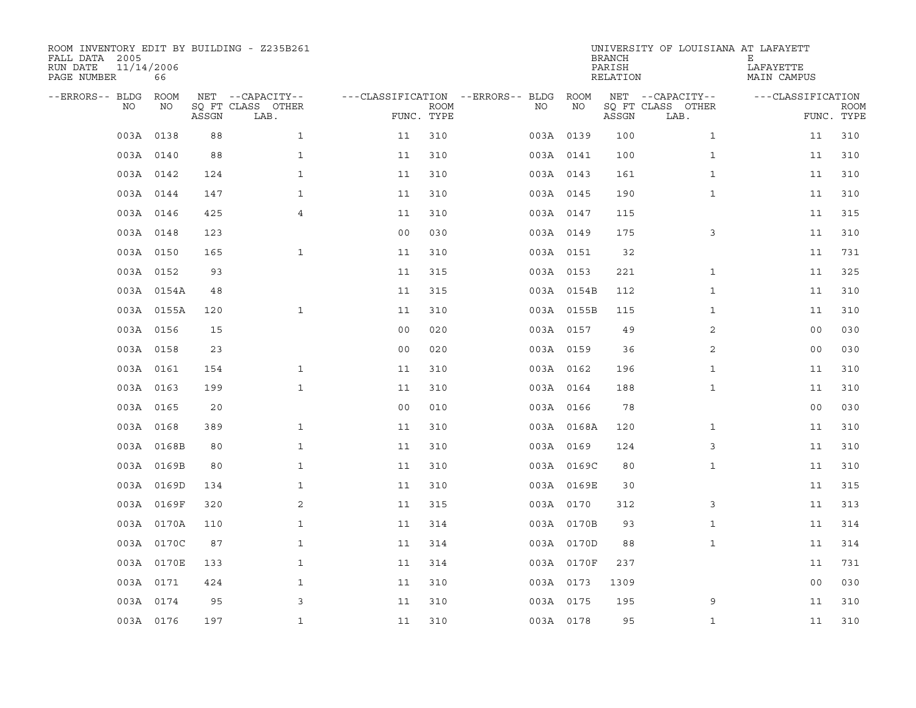| ROOM INVENTORY EDIT BY BUILDING - Z235B261<br>FALL DATA 2005<br>RUN DATE<br>PAGE NUMBER | 11/14/2006<br>66 |       |                           |                                   |                           |           |            | <b>BRANCH</b><br>PARISH<br>RELATION | UNIVERSITY OF LOUISIANA AT LAFAYETT | Е<br>LAFAYETTE<br>MAIN CAMPUS |                           |
|-----------------------------------------------------------------------------------------|------------------|-------|---------------------------|-----------------------------------|---------------------------|-----------|------------|-------------------------------------|-------------------------------------|-------------------------------|---------------------------|
| --ERRORS-- BLDG                                                                         | ROOM             |       | NET --CAPACITY--          | ---CLASSIFICATION --ERRORS-- BLDG |                           |           | ROOM       |                                     | NET --CAPACITY--                    | ---CLASSIFICATION             |                           |
| NO                                                                                      | NO               | ASSGN | SO FT CLASS OTHER<br>LAB. |                                   | <b>ROOM</b><br>FUNC. TYPE | NO.       | NO         | ASSGN                               | SQ FT CLASS OTHER<br>LAB.           |                               | <b>ROOM</b><br>FUNC. TYPE |
|                                                                                         | 003A 0138        | 88    | $\mathbf{1}$              | 11                                | 310                       |           | 003A 0139  | 100                                 | $\mathbf{1}$                        | 11                            | 310                       |
|                                                                                         | 003A 0140        | 88    | $\mathbf{1}$              | 11                                | 310                       | 003A 0141 |            | 100                                 | $\mathbf{1}$                        | 11                            | 310                       |
|                                                                                         | 003A 0142        | 124   | $\mathbf{1}$              | 11                                | 310                       |           | 003A 0143  | 161                                 | $\mathbf{1}$                        | 11                            | 310                       |
|                                                                                         | 003A 0144        | 147   | $\mathbf{1}$              | 11                                | 310                       |           | 003A 0145  | 190                                 | $\mathbf{1}$                        | 11                            | 310                       |
|                                                                                         | 003A 0146        | 425   | $\overline{4}$            | 11                                | 310                       | 003A 0147 |            | 115                                 |                                     | 11                            | 315                       |
|                                                                                         | 003A 0148        | 123   |                           | 0 <sub>0</sub>                    | 030                       |           | 003A 0149  | 175                                 | 3                                   | 11                            | 310                       |
|                                                                                         | 003A 0150        | 165   | $\mathbf{1}$              | 11                                | 310                       | 003A 0151 |            | 32                                  |                                     | 11                            | 731                       |
|                                                                                         | 003A 0152        | 93    |                           | 11                                | 315                       | 003A 0153 |            | 221                                 | $\mathbf{1}$                        | 11                            | 325                       |
|                                                                                         | 003A 0154A       | 48    |                           | 11                                | 315                       |           | 003A 0154B | 112                                 | $\mathbf{1}$                        | 11                            | 310                       |
|                                                                                         | 003A 0155A       | 120   | $\mathbf{1}$              | 11                                | 310                       |           | 003A 0155B | 115                                 | $\mathbf{1}$                        | 11                            | 310                       |
|                                                                                         | 003A 0156        | 15    |                           | 0 <sub>0</sub>                    | 020                       | 003A 0157 |            | 49                                  | 2                                   | 0 <sub>0</sub>                | 030                       |
|                                                                                         | 003A 0158        | 23    |                           | 0 <sub>0</sub>                    | 020                       |           | 003A 0159  | 36                                  | 2                                   | 00                            | 030                       |
|                                                                                         | 003A 0161        | 154   | $\mathbf{1}$              | 11                                | 310                       |           | 003A 0162  | 196                                 | $\mathbf{1}$                        | 11                            | 310                       |
|                                                                                         | 003A 0163        | 199   | $\mathbf{1}$              | 11                                | 310                       |           | 003A 0164  | 188                                 | $\mathbf{1}$                        | 11                            | 310                       |
|                                                                                         | 003A 0165        | 20    |                           | 0 <sub>0</sub>                    | 010                       |           | 003A 0166  | 78                                  |                                     | 0 <sub>0</sub>                | 030                       |
|                                                                                         | 003A 0168        | 389   | $\mathbf 1$               | 11                                | 310                       |           | 003A 0168A | 120                                 | $\mathbf{1}$                        | 11                            | 310                       |
|                                                                                         | 003A 0168B       | 80    | $\mathbf{1}$              | 11                                | 310                       |           | 003A 0169  | 124                                 | 3                                   | 11                            | 310                       |
|                                                                                         | 003A 0169B       | 80    | $\mathbf{1}$              | 11                                | 310                       |           | 003A 0169C | 80                                  | $\mathbf{1}$                        | 11                            | 310                       |
|                                                                                         | 003A 0169D       | 134   | $\mathbf{1}$              | 11                                | 310                       |           | 003A 0169E | 30                                  |                                     | 11                            | 315                       |
|                                                                                         | 003A 0169F       | 320   | 2                         | 11                                | 315                       |           | 003A 0170  | 312                                 | 3                                   | 11                            | 313                       |
|                                                                                         | 003A 0170A       | 110   | $\mathbf 1$               | 11                                | 314                       |           | 003A 0170B | 93                                  | $\mathbf{1}$                        | 11                            | 314                       |
|                                                                                         | 003A 0170C       | 87    | $\mathbf{1}$              | 11                                | 314                       |           | 003A 0170D | 88                                  | $\mathbf{1}$                        | 11                            | 314                       |
|                                                                                         | 003A 0170E       | 133   | $\mathbf{1}$              | 11                                | 314                       |           | 003A 0170F | 237                                 |                                     | 11                            | 731                       |
|                                                                                         | 003A 0171        | 424   | $\mathbf{1}$              | 11                                | 310                       | 003A 0173 |            | 1309                                |                                     | 0 <sub>0</sub>                | 030                       |
|                                                                                         | 003A 0174        | 95    | 3                         | 11                                | 310                       |           | 003A 0175  | 195                                 | 9                                   | 11                            | 310                       |
|                                                                                         | 003A 0176        | 197   | $\mathbf{1}$              | 11                                | 310                       | 003A 0178 |            | 95                                  | $\mathbf{1}$                        | 11                            | 310                       |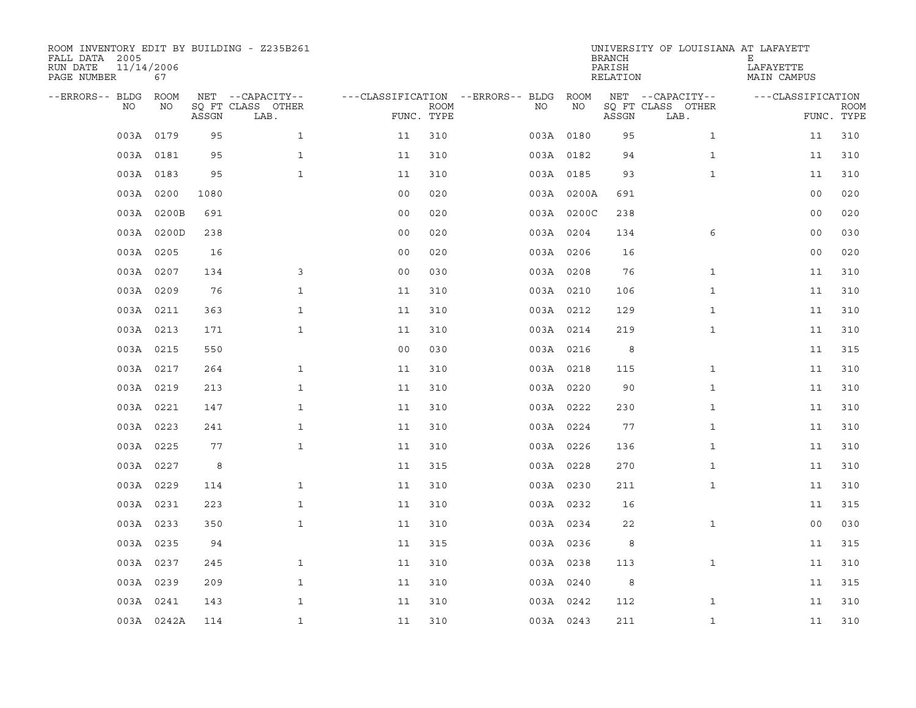| ROOM INVENTORY EDIT BY BUILDING - Z235B261<br>FALL DATA 2005<br>RUN DATE<br>PAGE NUMBER | 11/14/2006<br>67 |       |                           |                                        |             |           |            | <b>BRANCH</b><br>PARISH<br>RELATION | UNIVERSITY OF LOUISIANA AT LAFAYETT | Е<br>LAFAYETTE<br>MAIN CAMPUS |                           |
|-----------------------------------------------------------------------------------------|------------------|-------|---------------------------|----------------------------------------|-------------|-----------|------------|-------------------------------------|-------------------------------------|-------------------------------|---------------------------|
| --ERRORS-- BLDG ROOM                                                                    |                  |       | NET --CAPACITY--          | ---CLASSIFICATION --ERRORS-- BLDG ROOM |             |           |            |                                     | NET --CAPACITY--                    | ---CLASSIFICATION             |                           |
| NO.                                                                                     | NO               | ASSGN | SQ FT CLASS OTHER<br>LAB. | FUNC. TYPE                             | <b>ROOM</b> | NO.       | NO         | ASSGN                               | SQ FT CLASS OTHER<br>LAB.           |                               | <b>ROOM</b><br>FUNC. TYPE |
|                                                                                         | 003A 0179        | 95    | $\mathbf{1}$              | 11                                     | 310         | 003A 0180 |            | 95                                  | $\mathbf{1}$                        | 11                            | 310                       |
|                                                                                         | 003A 0181        | 95    | $\mathbf{1}$              | 11                                     | 310         | 003A 0182 |            | 94                                  | $\mathbf{1}$                        | 11                            | 310                       |
|                                                                                         | 003A 0183        | 95    | $\mathbf{1}$              | 11                                     | 310         | 003A 0185 |            | 93                                  | $\mathbf{1}$                        | 11                            | 310                       |
|                                                                                         | 003A 0200        | 1080  |                           | 0 <sub>0</sub>                         | 020         |           | 003A 0200A | 691                                 |                                     | 0 <sub>0</sub>                | 020                       |
|                                                                                         | 003A 0200B       | 691   |                           | 0 <sub>0</sub>                         | 020         |           | 003A 0200C | 238                                 |                                     | 0 <sub>0</sub>                | 020                       |
|                                                                                         | 003A 0200D       | 238   |                           | 0 <sub>0</sub>                         | 020         | 003A 0204 |            | 134                                 | 6                                   | 0 <sub>0</sub>                | 030                       |
|                                                                                         | 003A 0205        | 16    |                           | 00                                     | 020         | 003A 0206 |            | 16                                  |                                     | 0 <sub>0</sub>                | 020                       |
|                                                                                         | 003A 0207        | 134   | 3                         | 0 <sub>0</sub>                         | 030         | 003A 0208 |            | 76                                  | $\mathbf{1}$                        | 11                            | 310                       |
|                                                                                         | 003A 0209        | 76    | $\mathbf{1}$              | 11                                     | 310         | 003A 0210 |            | 106                                 | $\mathbf{1}$                        | 11                            | 310                       |
|                                                                                         | 003A 0211        | 363   | $\mathbf{1}$              | 11                                     | 310         | 003A 0212 |            | 129                                 | $\mathbf{1}$                        | 11                            | 310                       |
|                                                                                         | 003A 0213        | 171   | $\mathbf{1}$              | 11                                     | 310         | 003A 0214 |            | 219                                 | $\mathbf{1}$                        | 11                            | 310                       |
|                                                                                         | 003A 0215        | 550   |                           | 0 <sub>0</sub>                         | 030         | 003A 0216 |            | 8                                   |                                     | 11                            | 315                       |
|                                                                                         | 003A 0217        | 264   | $\mathbf{1}$              | 11                                     | 310         | 003A 0218 |            | 115                                 | $\mathbf{1}$                        | 11                            | 310                       |
|                                                                                         | 003A 0219        | 213   | $\mathbf{1}$              | 11                                     | 310         | 003A 0220 |            | 90                                  | $\mathbf{1}$                        | 11                            | 310                       |
|                                                                                         | 003A 0221        | 147   | $\mathbf{1}$              | 11                                     | 310         | 003A 0222 |            | 230                                 | $\mathbf{1}$                        | 11                            | 310                       |
|                                                                                         | 003A 0223        | 241   | $\mathbf{1}$              | 11                                     | 310         | 003A 0224 |            | 77                                  | $\mathbf{1}$                        | 11                            | 310                       |
|                                                                                         | 003A 0225        | 77    | $\mathbf{1}$              | 11                                     | 310         | 003A 0226 |            | 136                                 | $\mathbf{1}$                        | 11                            | 310                       |
|                                                                                         | 003A 0227        | 8     |                           | 11                                     | 315         | 003A 0228 |            | 270                                 | $\mathbf{1}$                        | 11                            | 310                       |
|                                                                                         | 003A 0229        | 114   | $\mathbf{1}$              | 11                                     | 310         | 003A 0230 |            | 211                                 | $\mathbf{1}$                        | 11                            | 310                       |
|                                                                                         | 003A 0231        | 223   | $\mathbf{1}$              | 11                                     | 310         | 003A 0232 |            | 16                                  |                                     | 11                            | 315                       |
|                                                                                         | 003A 0233        | 350   | $\mathbf{1}$              | 11                                     | 310         | 003A 0234 |            | 22                                  | $\mathbf{1}$                        | 0 <sub>0</sub>                | 030                       |
|                                                                                         | 003A 0235        | 94    |                           | 11                                     | 315         | 003A 0236 |            | 8                                   |                                     | 11                            | 315                       |
|                                                                                         | 003A 0237        | 245   | $\mathbf{1}$              | 11                                     | 310         | 003A 0238 |            | 113                                 | $\mathbf{1}$                        | 11                            | 310                       |
|                                                                                         | 003A 0239        | 209   | $\mathbf{1}$              | 11                                     | 310         | 003A 0240 |            | 8                                   |                                     | 11                            | 315                       |
|                                                                                         | 003A 0241        | 143   | $\mathbf{1}$              | 11                                     | 310         | 003A 0242 |            | 112                                 | $\mathbf{1}$                        | 11                            | 310                       |
|                                                                                         | 003A 0242A       | 114   | $\mathbf{1}$              | 11                                     | 310         | 003A 0243 |            | 211                                 | $\mathbf{1}$                        | 11                            | 310                       |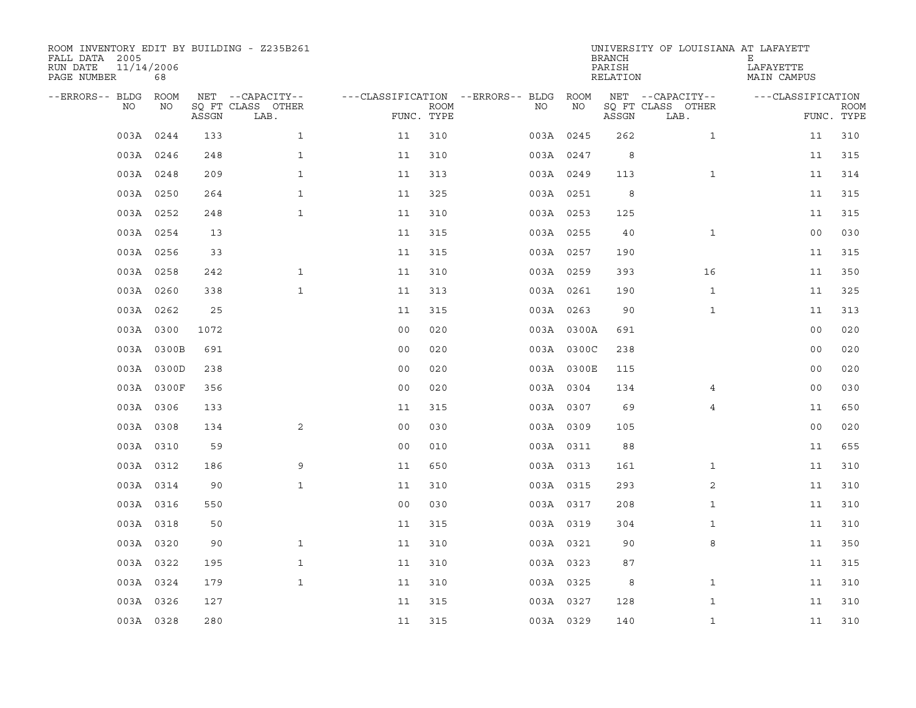| ROOM INVENTORY EDIT BY BUILDING - Z235B261<br>FALL DATA 2005<br>RUN DATE<br>PAGE NUMBER | 11/14/2006<br>68 |       |                           |                                        |             |     |            | <b>BRANCH</b><br>PARISH<br>RELATION | UNIVERSITY OF LOUISIANA AT LAFAYETT | Е<br>LAFAYETTE<br>MAIN CAMPUS |                           |
|-----------------------------------------------------------------------------------------|------------------|-------|---------------------------|----------------------------------------|-------------|-----|------------|-------------------------------------|-------------------------------------|-------------------------------|---------------------------|
| --ERRORS-- BLDG ROOM                                                                    |                  |       | NET --CAPACITY--          | ---CLASSIFICATION --ERRORS-- BLDG ROOM |             |     |            |                                     | NET --CAPACITY--                    | ---CLASSIFICATION             |                           |
| NO.                                                                                     | NO               | ASSGN | SQ FT CLASS OTHER<br>LAB. | FUNC. TYPE                             | <b>ROOM</b> | NO. | NO         | ASSGN                               | SQ FT CLASS OTHER<br>LAB.           |                               | <b>ROOM</b><br>FUNC. TYPE |
|                                                                                         | 003A 0244        | 133   | $\mathbf{1}$              | 11                                     | 310         |     | 003A 0245  | 262                                 | $\mathbf{1}$                        | 11                            | 310                       |
|                                                                                         | 003A 0246        | 248   | $\mathbf{1}$              | 11                                     | 310         |     | 003A 0247  | 8                                   |                                     | 11                            | 315                       |
|                                                                                         | 003A 0248        | 209   | $\mathbf{1}$              | 11                                     | 313         |     | 003A 0249  | 113                                 | $\mathbf{1}$                        | 11                            | 314                       |
|                                                                                         | 003A 0250        | 264   | $\mathbf{1}$              | 11                                     | 325         |     | 003A 0251  | 8                                   |                                     | 11                            | 315                       |
|                                                                                         | 003A 0252        | 248   | $\mathbf{1}$              | 11                                     | 310         |     | 003A 0253  | 125                                 |                                     | 11                            | 315                       |
|                                                                                         | 003A 0254        | 13    |                           | 11                                     | 315         |     | 003A 0255  | 40                                  | $\mathbf{1}$                        | 0 <sub>0</sub>                | 030                       |
|                                                                                         | 003A 0256        | 33    |                           | 11                                     | 315         |     | 003A 0257  | 190                                 |                                     | 11                            | 315                       |
|                                                                                         | 003A 0258        | 242   | $\mathbf{1}$              | 11                                     | 310         |     | 003A 0259  | 393                                 | 16                                  | 11                            | 350                       |
|                                                                                         | 003A 0260        | 338   | $\mathbf{1}$              | 11                                     | 313         |     | 003A 0261  | 190                                 | $\mathbf{1}$                        | 11                            | 325                       |
|                                                                                         | 003A 0262        | 25    |                           | 11                                     | 315         |     | 003A 0263  | 90                                  | $\mathbf{1}$                        | 11                            | 313                       |
|                                                                                         | 003A 0300        | 1072  |                           | 0 <sub>0</sub>                         | 020         |     | 003A 0300A | 691                                 |                                     | 0 <sub>0</sub>                | 020                       |
|                                                                                         | 003A 0300B       | 691   |                           | 0 <sub>0</sub>                         | 020         |     | 003A 0300C | 238                                 |                                     | 0 <sub>0</sub>                | 020                       |
|                                                                                         | 003A 0300D       | 238   |                           | 0 <sub>0</sub>                         | 020         |     | 003A 0300E | 115                                 |                                     | 0 <sub>0</sub>                | 020                       |
|                                                                                         | 003A 0300F       | 356   |                           | 0 <sub>0</sub>                         | 020         |     | 003A 0304  | 134                                 | 4                                   | 00                            | 030                       |
|                                                                                         | 003A 0306        | 133   |                           | 11                                     | 315         |     | 003A 0307  | 69                                  | $\overline{4}$                      | 11                            | 650                       |
|                                                                                         | 003A 0308        | 134   | 2                         | 0 <sub>0</sub>                         | 030         |     | 003A 0309  | 105                                 |                                     | 0 <sub>0</sub>                | 020                       |
|                                                                                         | 003A 0310        | 59    |                           | 0 <sub>0</sub>                         | 010         |     | 003A 0311  | 88                                  |                                     | 11                            | 655                       |
|                                                                                         | 003A 0312        | 186   | 9                         | 11                                     | 650         |     | 003A 0313  | 161                                 | $\mathbf{1}$                        | 11                            | 310                       |
|                                                                                         | 003A 0314        | 90    | $\mathbf{1}$              | 11                                     | 310         |     | 003A 0315  | 293                                 | 2                                   | 11                            | 310                       |
|                                                                                         | 003A 0316        | 550   |                           | 0 <sub>0</sub>                         | 030         |     | 003A 0317  | 208                                 | $\mathbf{1}$                        | 11                            | 310                       |
|                                                                                         | 003A 0318        | 50    |                           | 11                                     | 315         |     | 003A 0319  | 304                                 | $\mathbf{1}$                        | 11                            | 310                       |
|                                                                                         | 003A 0320        | 90    | $\mathbf{1}$              | 11                                     | 310         |     | 003A 0321  | 90                                  | 8                                   | 11                            | 350                       |
|                                                                                         | 003A 0322        | 195   | $\mathbf{1}$              | 11                                     | 310         |     | 003A 0323  | 87                                  |                                     | 11                            | 315                       |
|                                                                                         | 003A 0324        | 179   | $\mathbf{1}$              | 11                                     | 310         |     | 003A 0325  | 8                                   | $\mathbf{1}$                        | 11                            | 310                       |
|                                                                                         | 003A 0326        | 127   |                           | 11                                     | 315         |     | 003A 0327  | 128                                 | $\mathbf{1}$                        | 11                            | 310                       |
|                                                                                         | 003A 0328        | 280   |                           | 11                                     | 315         |     | 003A 0329  | 140                                 | $\mathbf{1}$                        | 11                            | 310                       |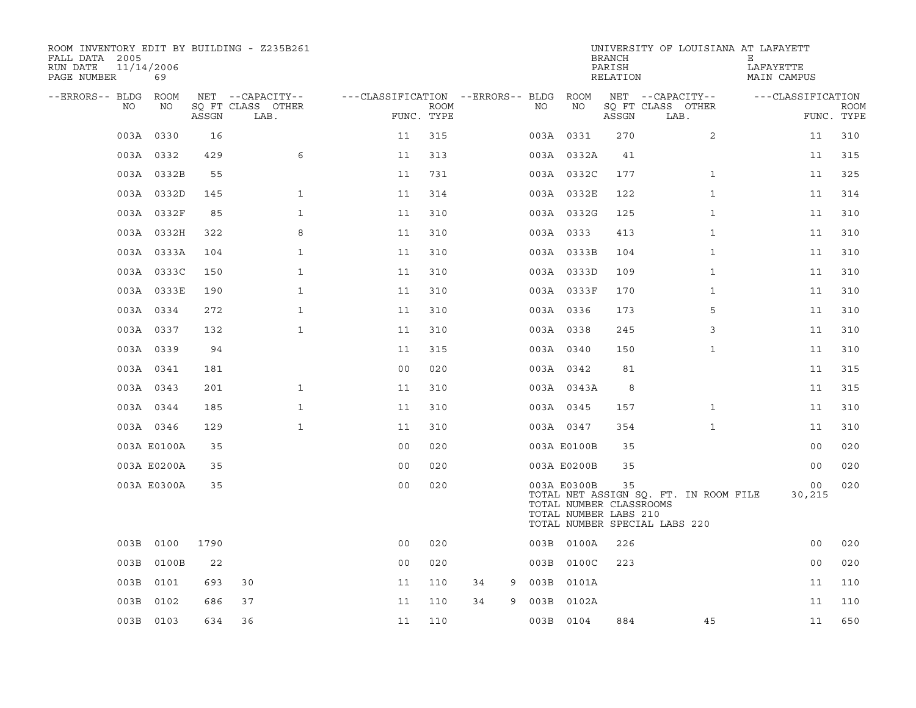| ROOM INVENTORY EDIT BY BUILDING - Z235B261<br>FALL DATA 2005<br>RUN DATE<br>PAGE NUMBER | 11/14/2006<br>69 |       |                           |                                   |                    |         |      |                                                                 | <b>BRANCH</b><br>PARISH<br>RELATION | UNIVERSITY OF LOUISIANA AT LAFAYETT                                    | Е<br>LAFAYETTE<br>MAIN CAMPUS |                           |
|-----------------------------------------------------------------------------------------|------------------|-------|---------------------------|-----------------------------------|--------------------|---------|------|-----------------------------------------------------------------|-------------------------------------|------------------------------------------------------------------------|-------------------------------|---------------------------|
| --ERRORS-- BLDG                                                                         | ROOM             |       | NET --CAPACITY--          | ---CLASSIFICATION --ERRORS-- BLDG |                    |         |      | ROOM                                                            |                                     | NET --CAPACITY--                                                       | ---CLASSIFICATION             |                           |
| NO.                                                                                     | NO               | ASSGN | SO FT CLASS OTHER<br>LAB. |                                   | ROOM<br>FUNC. TYPE |         | NO.  | NO                                                              | ASSGN                               | SQ FT CLASS OTHER<br>LAB.                                              |                               | <b>ROOM</b><br>FUNC. TYPE |
|                                                                                         | 003A 0330        | 16    |                           | 11                                | 315                |         |      | 003A 0331                                                       | 270                                 | $\overline{2}$                                                         | 11                            | 310                       |
|                                                                                         | 003A 0332        | 429   | 6                         | 11                                | 313                |         |      | 003A 0332A                                                      | 41                                  |                                                                        | 11                            | 315                       |
|                                                                                         | 003A 0332B       | 55    |                           | 11                                | 731                |         |      | 003A 0332C                                                      | 177                                 | $\mathbf{1}$                                                           | 11                            | 325                       |
|                                                                                         | 003A 0332D       | 145   | $\mathbf{1}$              | 11                                | 314                |         |      | 003A 0332E                                                      | 122                                 | $\mathbf{1}$                                                           | 11                            | 314                       |
|                                                                                         | 003A 0332F       | 85    | $\mathbf{1}$              | 11                                | 310                |         |      | 003A 0332G                                                      | 125                                 | $\mathbf{1}$                                                           | 11                            | 310                       |
|                                                                                         | 003A 0332H       | 322   | 8                         | 11                                | 310                |         |      | 003A 0333                                                       | 413                                 | $\mathbf{1}$                                                           | 11                            | 310                       |
|                                                                                         | 003A 0333A       | 104   | $\mathbf{1}$              | 11                                | 310                |         |      | 003A 0333B                                                      | 104                                 | $\mathbf{1}$                                                           | 11                            | 310                       |
|                                                                                         | 003A 0333C       | 150   | $\mathbf{1}$              | 11                                | 310                |         |      | 003A 0333D                                                      | 109                                 | $\mathbf{1}$                                                           | 11                            | 310                       |
|                                                                                         | 003A 0333E       | 190   | $\mathbf{1}$              | 11                                | 310                |         |      | 003A 0333F                                                      | 170                                 | $\mathbf{1}$                                                           | 11                            | 310                       |
|                                                                                         | 003A 0334        | 272   | $\mathbf{1}$              | 11                                | 310                |         |      | 003A 0336                                                       | 173                                 | 5                                                                      | 11                            | 310                       |
|                                                                                         | 003A 0337        | 132   | $\mathbf{1}$              | 11                                | 310                |         |      | 003A 0338                                                       | 245                                 | 3                                                                      | 11                            | 310                       |
|                                                                                         | 003A 0339        | 94    |                           | 11                                | 315                |         |      | 003A 0340                                                       | 150                                 | $\mathbf{1}$                                                           | 11                            | 310                       |
|                                                                                         | 003A 0341        | 181   |                           | 0 <sub>0</sub>                    | 020                |         |      | 003A 0342                                                       | 81                                  |                                                                        | 11                            | 315                       |
|                                                                                         | 003A 0343        | 201   | $\mathbf{1}$              | 11                                | 310                |         |      | 003A 0343A                                                      | 8                                   |                                                                        | 11                            | 315                       |
|                                                                                         | 003A 0344        | 185   | $\mathbf{1}$              | 11                                | 310                |         |      | 003A 0345                                                       | 157                                 | $\mathbf{1}$                                                           | 11                            | 310                       |
|                                                                                         | 003A 0346        | 129   | $\mathbf{1}$              | 11                                | 310                |         |      | 003A 0347                                                       | 354                                 | $\mathbf{1}$                                                           | 11                            | 310                       |
|                                                                                         | 003A E0100A      | 35    |                           | 0 <sub>0</sub>                    | 020                |         |      | 003A E0100B                                                     | 35                                  |                                                                        | 0 <sub>0</sub>                | 020                       |
|                                                                                         | 003A E0200A      | 35    |                           | 0 <sub>0</sub>                    | 020                |         |      | 003A E0200B                                                     | 35                                  |                                                                        | 0 <sub>0</sub>                | 020                       |
|                                                                                         | 003A E0300A      | 35    |                           | 0 <sub>0</sub>                    | 020                |         |      | 003A E0300B<br>TOTAL NUMBER CLASSROOMS<br>TOTAL NUMBER LABS 210 | 35                                  | TOTAL NET ASSIGN SO. FT. IN ROOM FILE<br>TOTAL NUMBER SPECIAL LABS 220 | 00<br>30,215                  | 020                       |
| 003B                                                                                    | 0100             | 1790  |                           | 00                                | 020                |         |      | 003B 0100A                                                      | 226                                 |                                                                        | 0 <sub>0</sub>                | 020                       |
| 003B                                                                                    | 0100B            | 22    |                           | 0 <sub>0</sub>                    | 020                |         |      | 003B 0100C                                                      | 223                                 |                                                                        | 00                            | 020                       |
| 003B                                                                                    | 0101             | 693   | 30                        | 11                                | 110                | 34<br>9 |      | 003B 0101A                                                      |                                     |                                                                        | 11                            | 110                       |
| 003B                                                                                    | 0102             | 686   | 37                        | 11                                | 110                | 34<br>9 | 003B | 0102A                                                           |                                     |                                                                        | 11                            | 110                       |
|                                                                                         | 003B 0103        | 634   | 36                        | 11                                | 110                |         |      | 003B 0104                                                       | 884                                 | 45                                                                     | 11                            | 650                       |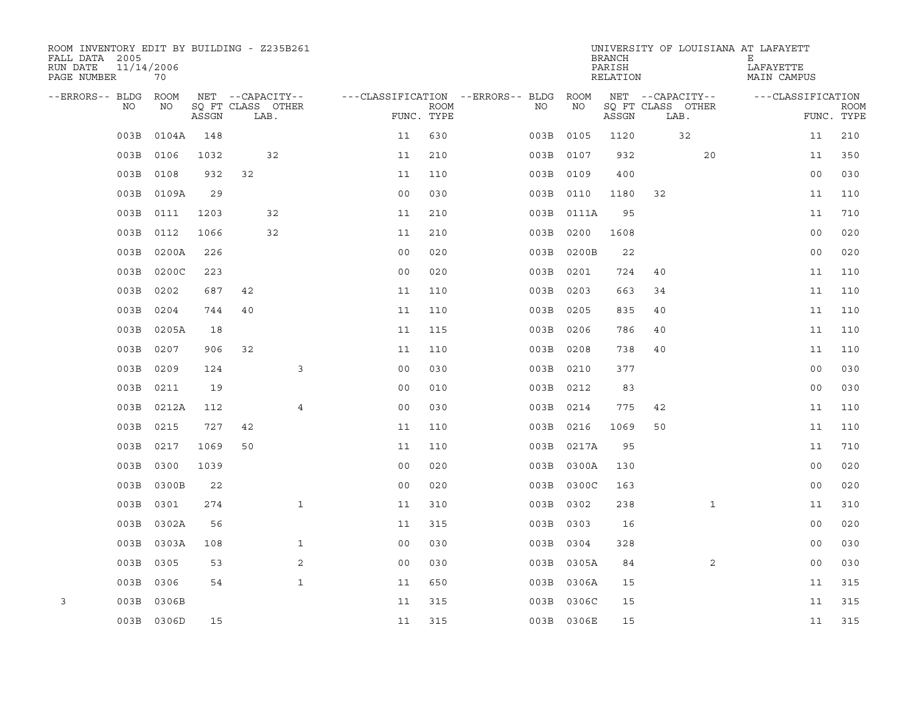| ROOM INVENTORY EDIT BY BUILDING - Z235B261<br>FALL DATA 2005<br>RUN DATE<br>PAGE NUMBER | 11/14/2006<br>70 |       |    |                           |                |             |                                   |           |            | <b>BRANCH</b><br>PARISH<br>RELATION |    |                           | UNIVERSITY OF LOUISIANA AT LAFAYETT<br>Е<br>LAFAYETTE | MAIN CAMPUS       |                           |
|-----------------------------------------------------------------------------------------|------------------|-------|----|---------------------------|----------------|-------------|-----------------------------------|-----------|------------|-------------------------------------|----|---------------------------|-------------------------------------------------------|-------------------|---------------------------|
| --ERRORS-- BLDG                                                                         | <b>ROOM</b>      |       |    | NET --CAPACITY--          |                |             | ---CLASSIFICATION --ERRORS-- BLDG |           | ROOM       |                                     |    | NET --CAPACITY--          |                                                       | ---CLASSIFICATION |                           |
| NO                                                                                      | NO               | ASSGN |    | SO FT CLASS OTHER<br>LAB. | FUNC. TYPE     | <b>ROOM</b> |                                   | NO        | NO         | ASSGN                               |    | SQ FT CLASS OTHER<br>LAB. |                                                       |                   | <b>ROOM</b><br>FUNC. TYPE |
| 003B                                                                                    | 0104A            | 148   |    |                           | 11             | 630         |                                   | 003B      | 0105       | 1120                                |    | 32                        |                                                       | 11                | 210                       |
| 003B                                                                                    | 0106             | 1032  |    | 32                        | 11             | 210         |                                   | 003B 0107 |            | 932                                 |    | 20                        |                                                       | 11                | 350                       |
| 003B                                                                                    | 0108             | 932   | 32 |                           | 11             | 110         |                                   | 003B 0109 |            | 400                                 |    |                           |                                                       | 0 <sub>0</sub>    | 030                       |
| 003B                                                                                    | 0109A            | 29    |    |                           | 0 <sub>0</sub> | 030         |                                   | 003B 0110 |            | 1180                                | 32 |                           |                                                       | 11                | 110                       |
| 003B                                                                                    | 0111             | 1203  |    | 32                        | 11             | 210         |                                   |           | 003B 0111A | 95                                  |    |                           |                                                       | 11                | 710                       |
| 003B                                                                                    | 0112             | 1066  |    | 32                        | 11             | 210         |                                   | 003B 0200 |            | 1608                                |    |                           |                                                       | 0 <sub>0</sub>    | 020                       |
| 003B                                                                                    | 0200A            | 226   |    |                           | 0 <sub>0</sub> | 020         |                                   |           | 003B 0200B | 22                                  |    |                           |                                                       | 0 <sub>0</sub>    | 020                       |
| 003B                                                                                    | 0200C            | 223   |    |                           | 0 <sub>0</sub> | 020         |                                   | 003B 0201 |            | 724                                 | 40 |                           |                                                       | 11                | 110                       |
| 003B                                                                                    | 0202             | 687   | 42 |                           | 11             | 110         |                                   | 003B      | 0203       | 663                                 | 34 |                           |                                                       | 11                | 110                       |
| 003B                                                                                    | 0204             | 744   | 40 |                           | 11             | 110         |                                   | 003B 0205 |            | 835                                 | 40 |                           |                                                       | 11                | 110                       |
| 003B                                                                                    | 0205A            | 18    |    |                           | 11             | 115         |                                   | 003B      | 0206       | 786                                 | 40 |                           |                                                       | 11                | 110                       |
| 003B                                                                                    | 0207             | 906   | 32 |                           | 11             | 110         |                                   | 003B 0208 |            | 738                                 | 40 |                           |                                                       | 11                | 110                       |
| 003B                                                                                    | 0209             | 124   |    | 3                         | 0 <sub>0</sub> | 030         |                                   | 003B 0210 |            | 377                                 |    |                           |                                                       | 0 <sub>0</sub>    | 030                       |
| 003B                                                                                    | 0211             | 19    |    |                           | 0 <sub>0</sub> | 010         |                                   | 003B 0212 |            | 83                                  |    |                           |                                                       | 0 <sub>0</sub>    | 030                       |
| 003B                                                                                    | 0212A            | 112   |    | 4                         | 0 <sub>0</sub> | 030         |                                   | 003B 0214 |            | 775                                 | 42 |                           |                                                       | 11                | 110                       |
| 003B                                                                                    | 0215             | 727   | 42 |                           | 11             | 110         |                                   | 003B 0216 |            | 1069                                | 50 |                           |                                                       | 11                | 110                       |
| 003B                                                                                    | 0217             | 1069  | 50 |                           | 11             | 110         |                                   |           | 003B 0217A | 95                                  |    |                           |                                                       | 11                | 710                       |
| 003B                                                                                    | 0300             | 1039  |    |                           | 0 <sub>0</sub> | 020         |                                   |           | 003B 0300A | 130                                 |    |                           |                                                       | 00                | 020                       |
| 003B                                                                                    | 0300B            | 22    |    |                           | 0 <sub>0</sub> | 020         |                                   |           | 003B 0300C | 163                                 |    |                           |                                                       | 0 <sub>0</sub>    | 020                       |
| 003B                                                                                    | 0301             | 274   |    | $\mathbf{1}$              | 11             | 310         |                                   | 003B 0302 |            | 238                                 |    | $\mathbf{1}$              |                                                       | 11                | 310                       |
| 003B                                                                                    | 0302A            | 56    |    |                           | 11             | 315         |                                   | 003B 0303 |            | 16                                  |    |                           |                                                       | 00                | 020                       |
| 003B                                                                                    | 0303A            | 108   |    | $\mathbf{1}$              | 00             | 030         |                                   | 003B 0304 |            | 328                                 |    |                           |                                                       | 0 <sub>0</sub>    | 030                       |
| 003B                                                                                    | 0305             | 53    |    | 2                         | 0 <sub>0</sub> | 030         |                                   |           | 003B 0305A | 84                                  |    | 2                         |                                                       | 0 <sub>0</sub>    | 030                       |
| 003B                                                                                    | 0306             | 54    |    | $\mathbf{1}$              | 11             | 650         |                                   |           | 003B 0306A | 15                                  |    |                           |                                                       | 11                | 315                       |
| 3<br>003B                                                                               | 0306B            |       |    |                           | 11             | 315         |                                   |           | 003B 0306C | 15                                  |    |                           |                                                       | 11                | 315                       |
|                                                                                         | 003B 0306D       | 15    |    |                           | 11             | 315         |                                   |           | 003B 0306E | 15                                  |    |                           |                                                       | 11                | 315                       |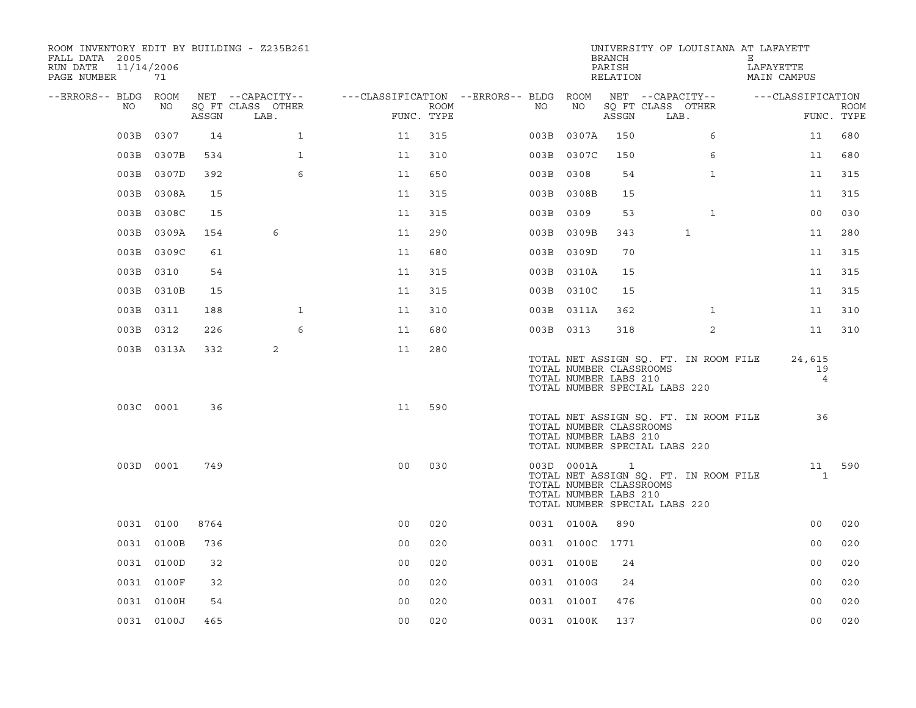| ROOM INVENTORY EDIT BY BUILDING - Z235B261<br>FALL DATA 2005<br>11/14/2006<br>RUN DATE<br>PAGE NUMBER | 71         |       |                           |                                        |      |           |                                                                | <b>BRANCH</b><br>PARISH<br>RELATION |                               |                                       | UNIVERSITY OF LOUISIANA AT LAFAYETT<br>Е<br>LAFAYETTE<br>MAIN CAMPUS |                   |             |
|-------------------------------------------------------------------------------------------------------|------------|-------|---------------------------|----------------------------------------|------|-----------|----------------------------------------------------------------|-------------------------------------|-------------------------------|---------------------------------------|----------------------------------------------------------------------|-------------------|-------------|
| --ERRORS-- BLDG ROOM                                                                                  |            |       | NET --CAPACITY--          | ---CLASSIFICATION --ERRORS-- BLDG ROOM |      |           |                                                                |                                     | NET --CAPACITY--              |                                       |                                                                      | ---CLASSIFICATION |             |
| NO                                                                                                    | NO         | ASSGN | SQ FT CLASS OTHER<br>LAB. | FUNC. TYPE                             | ROOM | NO        | NO                                                             | ASSGN                               | SQ FT CLASS OTHER<br>LAB.     |                                       |                                                                      | FUNC. TYPE        | <b>ROOM</b> |
| 003B                                                                                                  | 0307       | 14    | $\mathbf{1}$              | 11                                     | 315  |           | 003B 0307A                                                     | 150                                 |                               | 6                                     |                                                                      | 11                | 680         |
|                                                                                                       | 003B 0307B | 534   | $\mathbf{1}$              | 11                                     | 310  |           | 003B 0307C                                                     | 150                                 |                               | 6                                     |                                                                      | 11                | 680         |
|                                                                                                       | 003B 0307D | 392   | 6                         | 11                                     | 650  | 003B 0308 |                                                                | 54                                  |                               | $\mathbf{1}$                          |                                                                      | 11                | 315         |
|                                                                                                       | 003B 0308A | 15    |                           | 11                                     | 315  |           | 003B 0308B                                                     | 15                                  |                               |                                       |                                                                      | 11                | 315         |
| 003B                                                                                                  | 0308C      | 15    |                           | 11                                     | 315  | 003B 0309 |                                                                | 53                                  |                               | $\mathbf{1}$                          |                                                                      | 0 <sub>0</sub>    | 030         |
| 003B                                                                                                  | 0309A      | 154   | 6                         | 11                                     | 290  |           | 003B 0309B                                                     | 343                                 |                               | $\mathbf{1}$                          |                                                                      | 11                | 280         |
|                                                                                                       | 003B 0309C | 61    |                           | 11                                     | 680  |           | 003B 0309D                                                     | 70                                  |                               |                                       |                                                                      | 11                | 315         |
|                                                                                                       | 003B 0310  | 54    |                           | 11                                     | 315  |           | 003B 0310A                                                     | 15                                  |                               |                                       |                                                                      | 11                | 315         |
|                                                                                                       | 003B 0310B | 15    |                           | 11                                     | 315  |           | 003B 0310C                                                     | 15                                  |                               |                                       |                                                                      | 11                | 315         |
|                                                                                                       | 003B 0311  | 188   | $\mathbf{1}$              | 11                                     | 310  |           | 003B 0311A                                                     | 362                                 |                               | $\mathbf{1}$                          |                                                                      | 11                | 310         |
|                                                                                                       | 003B 0312  | 226   | 6                         | 11                                     | 680  | 003B 0313 |                                                                | 318                                 |                               | $\overline{2}$                        |                                                                      | 11                | 310         |
|                                                                                                       | 003B 0313A | 332   | 2                         | 11                                     | 280  |           | TOTAL NUMBER CLASSROOMS<br>TOTAL NUMBER LABS 210               |                                     | TOTAL NUMBER SPECIAL LABS 220 | TOTAL NET ASSIGN SQ. FT. IN ROOM FILE |                                                                      | 24,615<br>19<br>4 |             |
|                                                                                                       | 003C 0001  | 36    |                           | 11                                     | 590  |           | TOTAL NUMBER CLASSROOMS<br>TOTAL NUMBER LABS 210               |                                     | TOTAL NUMBER SPECIAL LABS 220 | TOTAL NET ASSIGN SQ. FT. IN ROOM FILE |                                                                      | 36                |             |
|                                                                                                       | 003D 0001  | 749   |                           | 0 <sub>0</sub>                         | 030  |           | 003D 0001A<br>TOTAL NUMBER CLASSROOMS<br>TOTAL NUMBER LABS 210 | $\mathbf{1}$                        | TOTAL NUMBER SPECIAL LABS 220 | TOTAL NET ASSIGN SQ. FT. IN ROOM FILE |                                                                      | 11<br>1           | 590         |
|                                                                                                       | 0031 0100  | 8764  |                           | 0 <sub>0</sub>                         | 020  |           | 0031 0100A                                                     | 890                                 |                               |                                       |                                                                      | 0 <sub>0</sub>    | 020         |
|                                                                                                       | 0031 0100B | 736   |                           | 0 <sub>0</sub>                         | 020  |           | 0031 0100C 1771                                                |                                     |                               |                                       |                                                                      | 0 <sub>0</sub>    | 020         |
|                                                                                                       | 0031 0100D | 32    |                           | 0 <sub>0</sub>                         | 020  |           | 0031 0100E                                                     | 24                                  |                               |                                       |                                                                      | 0 <sub>0</sub>    | 020         |
|                                                                                                       | 0031 0100F | 32    |                           | 0 <sub>0</sub>                         | 020  |           | 0031 0100G                                                     | 24                                  |                               |                                       |                                                                      | 0 <sub>0</sub>    | 020         |
|                                                                                                       | 0031 0100H | 54    |                           | 0 <sub>0</sub>                         | 020  |           | 0031 0100I                                                     | 476                                 |                               |                                       |                                                                      | 0 <sub>0</sub>    | 020         |
|                                                                                                       | 0031 0100J | 465   |                           | 0 <sub>0</sub>                         | 020  |           | 0031 0100K                                                     | 137                                 |                               |                                       |                                                                      | 0 <sub>0</sub>    | 020         |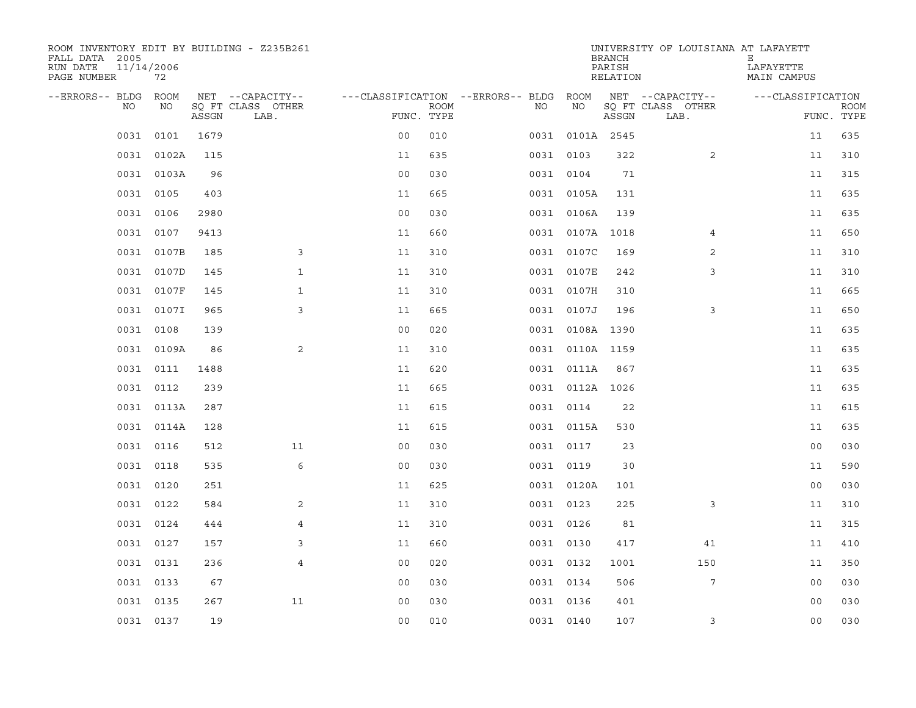| ROOM INVENTORY EDIT BY BUILDING - Z235B261<br>FALL DATA 2005<br>RUN DATE<br>PAGE NUMBER | 11/14/2006<br>72 |       |                           |                                        |             |           |                 | <b>BRANCH</b><br>PARISH<br>RELATION | UNIVERSITY OF LOUISIANA AT LAFAYETT | Е<br>LAFAYETTE<br>MAIN CAMPUS |                           |
|-----------------------------------------------------------------------------------------|------------------|-------|---------------------------|----------------------------------------|-------------|-----------|-----------------|-------------------------------------|-------------------------------------|-------------------------------|---------------------------|
| --ERRORS-- BLDG ROOM                                                                    |                  |       | NET --CAPACITY--          | ---CLASSIFICATION --ERRORS-- BLDG ROOM |             |           |                 |                                     | NET --CAPACITY--                    | ---CLASSIFICATION             |                           |
| NO.                                                                                     | NO               | ASSGN | SQ FT CLASS OTHER<br>LAB. | FUNC. TYPE                             | <b>ROOM</b> | NO.       | NO              | ASSGN                               | SQ FT CLASS OTHER<br>LAB.           |                               | <b>ROOM</b><br>FUNC. TYPE |
| 0031                                                                                    | 0101             | 1679  |                           | 0 <sub>0</sub>                         | 010         |           | 0031 0101A 2545 |                                     |                                     | 11                            | 635                       |
|                                                                                         | 0031 0102A       | 115   |                           | 11                                     | 635         | 0031 0103 |                 | 322                                 | 2                                   | 11                            | 310                       |
|                                                                                         | 0031 0103A       | 96    |                           | 0 <sub>0</sub>                         | 030         | 0031 0104 |                 | 71                                  |                                     | 11                            | 315                       |
|                                                                                         | 0031 0105        | 403   |                           | 11                                     | 665         |           | 0031 0105A      | 131                                 |                                     | 11                            | 635                       |
|                                                                                         | 0031 0106        | 2980  |                           | 0 <sub>0</sub>                         | 030         |           | 0031 0106A      | 139                                 |                                     | 11                            | 635                       |
|                                                                                         | 0031 0107        | 9413  |                           | 11                                     | 660         |           | 0031 0107A 1018 |                                     | $\overline{4}$                      | 11                            | 650                       |
| 0031                                                                                    | 0107B            | 185   | 3                         | 11                                     | 310         |           | 0031 0107C      | 169                                 | $\overline{2}$                      | 11                            | 310                       |
| 0031                                                                                    | 0107D            | 145   | $\mathbf{1}$              | 11                                     | 310         |           | 0031 0107E      | 242                                 | 3                                   | 11                            | 310                       |
| 0031                                                                                    | 0107F            | 145   | $\mathbf{1}$              | 11                                     | 310         |           | 0031 0107H      | 310                                 |                                     | 11                            | 665                       |
|                                                                                         | 0031 0107I       | 965   | 3                         | 11                                     | 665         |           | 0031 0107J      | 196                                 | 3                                   | 11                            | 650                       |
|                                                                                         | 0031 0108        | 139   |                           | 0 <sub>0</sub>                         | 020         |           | 0031 0108A 1390 |                                     |                                     | 11                            | 635                       |
|                                                                                         | 0031 0109A       | 86    | 2                         | 11                                     | 310         |           | 0031 0110A 1159 |                                     |                                     | 11                            | 635                       |
|                                                                                         | 0031 0111        | 1488  |                           | 11                                     | 620         |           | 0031 0111A      | 867                                 |                                     | 11                            | 635                       |
|                                                                                         | 0031 0112        | 239   |                           | 11                                     | 665         |           | 0031 0112A 1026 |                                     |                                     | 11                            | 635                       |
|                                                                                         | 0031 0113A       | 287   |                           | 11                                     | 615         |           | 0031 0114       | 22                                  |                                     | 11                            | 615                       |
|                                                                                         | 0031 0114A       | 128   |                           | 11                                     | 615         |           | 0031 0115A      | 530                                 |                                     | 11                            | 635                       |
| 0031                                                                                    | 0116             | 512   | 11                        | 0 <sub>0</sub>                         | 030         |           | 0031 0117       | 23                                  |                                     | 00                            | 030                       |
|                                                                                         | 0031 0118        | 535   | 6                         | 0 <sub>0</sub>                         | 030         | 0031 0119 |                 | 30                                  |                                     | 11                            | 590                       |
|                                                                                         | 0031 0120        | 251   |                           | 11                                     | 625         |           | 0031 0120A      | 101                                 |                                     | 00                            | 030                       |
|                                                                                         | 0031 0122        | 584   | $\overline{2}$            | 11                                     | 310         | 0031 0123 |                 | 225                                 | 3                                   | 11                            | 310                       |
|                                                                                         | 0031 0124        | 444   | $\overline{4}$            | 11                                     | 310         |           | 0031 0126       | 81                                  |                                     | 11                            | 315                       |
|                                                                                         | 0031 0127        | 157   | 3                         | 11                                     | 660         | 0031 0130 |                 | 417                                 | 41                                  | 11                            | 410                       |
|                                                                                         | 0031 0131        | 236   | $\overline{4}$            | 0 <sub>0</sub>                         | 020         | 0031 0132 |                 | 1001                                | 150                                 | 11                            | 350                       |
|                                                                                         | 0031 0133        | 67    |                           | 00                                     | 030         | 0031 0134 |                 | 506                                 | 7                                   | 0 <sub>0</sub>                | 030                       |
|                                                                                         | 0031 0135        | 267   | 11                        | 0 <sub>0</sub>                         | 030         | 0031 0136 |                 | 401                                 |                                     | 0 <sub>0</sub>                | 030                       |
|                                                                                         | 0031 0137        | 19    |                           | 0 <sub>0</sub>                         | 010         | 0031 0140 |                 | 107                                 | 3                                   | 0 <sub>0</sub>                | 030                       |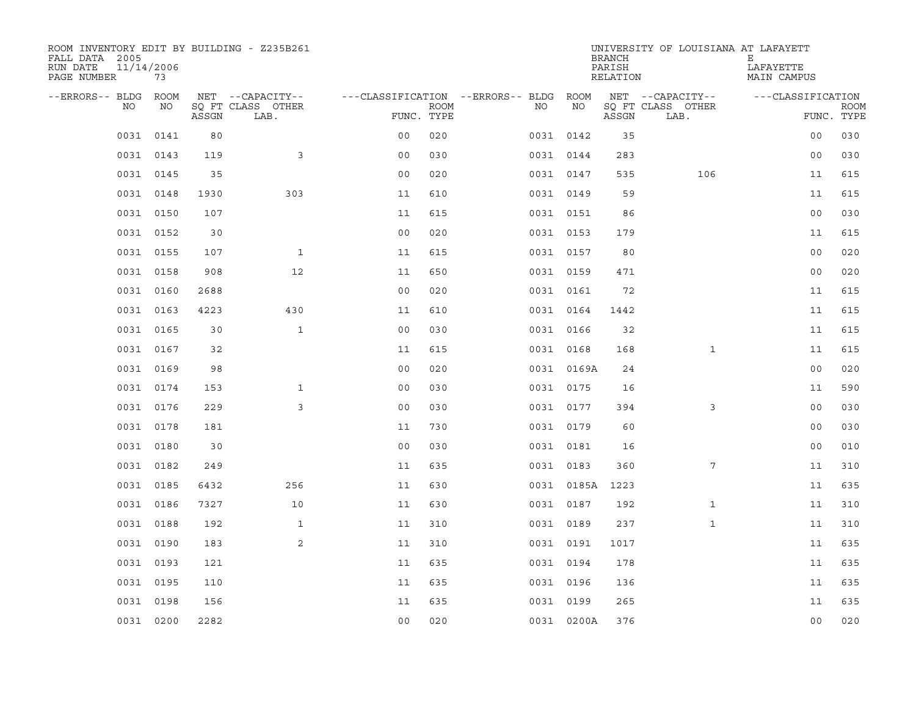| ROOM INVENTORY EDIT BY BUILDING - Z235B261<br>FALL DATA 2005<br>RUN DATE<br>PAGE NUMBER | 11/14/2006<br>73 |       |                           |                                        |             |           |            | <b>BRANCH</b><br>PARISH<br>RELATION | UNIVERSITY OF LOUISIANA AT LAFAYETT | Е<br>LAFAYETTE<br>MAIN CAMPUS |                           |
|-----------------------------------------------------------------------------------------|------------------|-------|---------------------------|----------------------------------------|-------------|-----------|------------|-------------------------------------|-------------------------------------|-------------------------------|---------------------------|
| --ERRORS-- BLDG ROOM                                                                    |                  |       | NET --CAPACITY--          | ---CLASSIFICATION --ERRORS-- BLDG ROOM |             |           |            |                                     | NET --CAPACITY--                    | ---CLASSIFICATION             |                           |
| NO.                                                                                     | NO               | ASSGN | SQ FT CLASS OTHER<br>LAB. | FUNC. TYPE                             | <b>ROOM</b> | NO.       | NO         | ASSGN                               | SQ FT CLASS OTHER<br>LAB.           |                               | <b>ROOM</b><br>FUNC. TYPE |
| 0031                                                                                    | 0141             | 80    |                           | 0 <sub>0</sub>                         | 020         | 0031 0142 |            | 35                                  |                                     | 0 <sub>0</sub>                | 030                       |
|                                                                                         | 0031 0143        | 119   | 3                         | 0 <sub>0</sub>                         | 030         | 0031 0144 |            | 283                                 |                                     | 0 <sub>0</sub>                | 030                       |
|                                                                                         | 0031 0145        | 35    |                           | 0 <sub>0</sub>                         | 020         | 0031 0147 |            | 535                                 | 106                                 | 11                            | 615                       |
|                                                                                         | 0031 0148        | 1930  | 303                       | 11                                     | 610         | 0031 0149 |            | 59                                  |                                     | 11                            | 615                       |
|                                                                                         | 0031 0150        | 107   |                           | 11                                     | 615         | 0031 0151 |            | 86                                  |                                     | 0 <sub>0</sub>                | 030                       |
|                                                                                         | 0031 0152        | 30    |                           | 0 <sub>0</sub>                         | 020         | 0031 0153 |            | 179                                 |                                     | 11                            | 615                       |
|                                                                                         | 0031 0155        | 107   | $\mathbf{1}$              | 11                                     | 615         | 0031 0157 |            | 80                                  |                                     | 0 <sub>0</sub>                | 020                       |
|                                                                                         | 0031 0158        | 908   | 12                        | 11                                     | 650         | 0031 0159 |            | 471                                 |                                     | 0 <sub>0</sub>                | 020                       |
|                                                                                         | 0031 0160        | 2688  |                           | 0 <sub>0</sub>                         | 020         | 0031 0161 |            | 72                                  |                                     | 11                            | 615                       |
|                                                                                         | 0031 0163        | 4223  | 430                       | 11                                     | 610         | 0031 0164 |            | 1442                                |                                     | 11                            | 615                       |
|                                                                                         | 0031 0165        | 30    | $\mathbf{1}$              | 0 <sub>0</sub>                         | 030         | 0031 0166 |            | 32                                  |                                     | 11                            | 615                       |
|                                                                                         | 0031 0167        | 32    |                           | 11                                     | 615         | 0031 0168 |            | 168                                 | $\mathbf{1}$                        | 11                            | 615                       |
|                                                                                         | 0031 0169        | 98    |                           | 0 <sub>0</sub>                         | 020         |           | 0031 0169A | 24                                  |                                     | 0 <sub>0</sub>                | 020                       |
|                                                                                         | 0031 0174        | 153   | $\mathbf{1}$              | 0 <sub>0</sub>                         | 030         | 0031 0175 |            | 16                                  |                                     | 11                            | 590                       |
|                                                                                         | 0031 0176        | 229   | 3                         | 0 <sub>0</sub>                         | 030         | 0031 0177 |            | 394                                 | 3                                   | 0 <sub>0</sub>                | 030                       |
|                                                                                         | 0031 0178        | 181   |                           | 11                                     | 730         | 0031 0179 |            | 60                                  |                                     | 0 <sub>0</sub>                | 030                       |
| 0031                                                                                    | 0180             | 30    |                           | 0 <sub>0</sub>                         | 030         | 0031 0181 |            | 16                                  |                                     | 00                            | 010                       |
|                                                                                         | 0031 0182        | 249   |                           | 11                                     | 635         | 0031 0183 |            | 360                                 | 7                                   | 11                            | 310                       |
|                                                                                         | 0031 0185        | 6432  | 256                       | 11                                     | 630         |           | 0031 0185A | 1223                                |                                     | 11                            | 635                       |
|                                                                                         | 0031 0186        | 7327  | 10                        | 11                                     | 630         | 0031 0187 |            | 192                                 | $\mathbf{1}$                        | 11                            | 310                       |
|                                                                                         | 0031 0188        | 192   | $\mathbf{1}$              | 11                                     | 310         | 0031 0189 |            | 237                                 | $\mathbf{1}$                        | 11                            | 310                       |
|                                                                                         | 0031 0190        | 183   | 2                         | 11                                     | 310         | 0031 0191 |            | 1017                                |                                     | 11                            | 635                       |
|                                                                                         | 0031 0193        | 121   |                           | 11                                     | 635         | 0031 0194 |            | 178                                 |                                     | 11                            | 635                       |
|                                                                                         | 0031 0195        | 110   |                           | 11                                     | 635         | 0031 0196 |            | 136                                 |                                     | 11                            | 635                       |
|                                                                                         | 0031 0198        | 156   |                           | 11                                     | 635         | 0031 0199 |            | 265                                 |                                     | 11                            | 635                       |
|                                                                                         | 0031 0200        | 2282  |                           | 0 <sub>0</sub>                         | 020         |           | 0031 0200A | 376                                 |                                     | 0 <sub>0</sub>                | 020                       |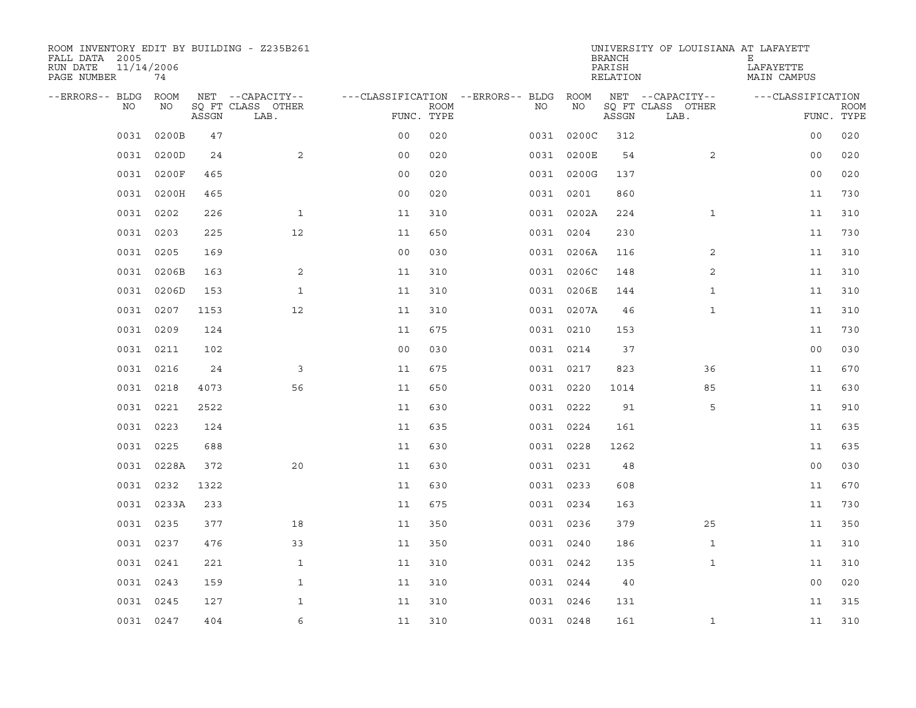| ROOM INVENTORY EDIT BY BUILDING - Z235B261<br>FALL DATA 2005<br>RUN DATE<br>PAGE NUMBER | 11/14/2006<br>74 |       |                           |                                        |             |           |            | <b>BRANCH</b><br>PARISH<br>RELATION | UNIVERSITY OF LOUISIANA AT LAFAYETT | Е<br>LAFAYETTE<br>MAIN CAMPUS |             |
|-----------------------------------------------------------------------------------------|------------------|-------|---------------------------|----------------------------------------|-------------|-----------|------------|-------------------------------------|-------------------------------------|-------------------------------|-------------|
| --ERRORS-- BLDG ROOM                                                                    |                  |       | NET --CAPACITY--          | ---CLASSIFICATION --ERRORS-- BLDG ROOM |             |           |            |                                     | NET --CAPACITY--                    | ---CLASSIFICATION             |             |
| NO.                                                                                     | NO               | ASSGN | SQ FT CLASS OTHER<br>LAB. | FUNC. TYPE                             | <b>ROOM</b> | NO.       | NO         | ASSGN                               | SQ FT CLASS OTHER<br>LAB.           | FUNC. TYPE                    | <b>ROOM</b> |
| 0031                                                                                    | 0200B            | 47    |                           | 0 <sub>0</sub>                         | 020         |           | 0031 0200C | 312                                 |                                     | 0 <sub>0</sub>                | 020         |
| 0031                                                                                    | 0200D            | 24    | 2                         | 0 <sub>0</sub>                         | 020         |           | 0031 0200E | 54                                  | 2                                   | 00                            | 020         |
|                                                                                         | 0031 0200F       | 465   |                           | 0 <sub>0</sub>                         | 020         |           | 0031 0200G | 137                                 |                                     | 0 <sub>0</sub>                | 020         |
|                                                                                         | 0031 0200H       | 465   |                           | 0 <sub>0</sub>                         | 020         | 0031 0201 |            | 860                                 |                                     | 11                            | 730         |
| 0031                                                                                    | 0202             | 226   | $\mathbf{1}$              | 11                                     | 310         |           | 0031 0202A | 224                                 | $\mathbf{1}$                        | 11                            | 310         |
| 0031                                                                                    | 0203             | 225   | 12                        | 11                                     | 650         | 0031 0204 |            | 230                                 |                                     | 11                            | 730         |
| 0031                                                                                    | 0205             | 169   |                           | 0 <sub>0</sub>                         | 030         |           | 0031 0206A | 116                                 | 2                                   | 11                            | 310         |
| 0031                                                                                    | 0206B            | 163   | 2                         | 11                                     | 310         |           | 0031 0206C | 148                                 | 2                                   | 11                            | 310         |
| 0031                                                                                    | 0206D            | 153   | $\mathbf{1}$              | 11                                     | 310         |           | 0031 0206E | 144                                 | $\mathbf{1}$                        | 11                            | 310         |
|                                                                                         | 0031 0207        | 1153  | 12                        | 11                                     | 310         |           | 0031 0207A | 46                                  | $\mathbf{1}$                        | 11                            | 310         |
|                                                                                         | 0031 0209        | 124   |                           | 11                                     | 675         | 0031 0210 |            | 153                                 |                                     | 11                            | 730         |
|                                                                                         | 0031 0211        | 102   |                           | 0 <sub>0</sub>                         | 030         | 0031 0214 |            | 37                                  |                                     | 0 <sub>0</sub>                | 030         |
| 0031                                                                                    | 0216             | 24    | 3                         | 11                                     | 675         | 0031 0217 |            | 823                                 | 36                                  | 11                            | 670         |
|                                                                                         | 0031 0218        | 4073  | 56                        | 11                                     | 650         | 0031 0220 |            | 1014                                | 85                                  | 11                            | 630         |
| 0031                                                                                    | 0221             | 2522  |                           | 11                                     | 630         | 0031 0222 |            | 91                                  | 5                                   | 11                            | 910         |
|                                                                                         | 0031 0223        | 124   |                           | 11                                     | 635         | 0031 0224 |            | 161                                 |                                     | 11                            | 635         |
| 0031                                                                                    | 0225             | 688   |                           | 11                                     | 630         | 0031 0228 |            | 1262                                |                                     | 11                            | 635         |
| 0031                                                                                    | 0228A            | 372   | 20                        | 11                                     | 630         | 0031 0231 |            | 48                                  |                                     | 0 <sub>0</sub>                | 030         |
|                                                                                         | 0031 0232        | 1322  |                           | 11                                     | 630         | 0031 0233 |            | 608                                 |                                     | 11                            | 670         |
|                                                                                         | 0031 0233A       | 233   |                           | 11                                     | 675         | 0031 0234 |            | 163                                 |                                     | 11                            | 730         |
|                                                                                         | 0031 0235        | 377   | 18                        | 11                                     | 350         | 0031 0236 |            | 379                                 | 25                                  | 11                            | 350         |
|                                                                                         | 0031 0237        | 476   | 33                        | 11                                     | 350         | 0031 0240 |            | 186                                 | $\mathbf{1}$                        | 11                            | 310         |
|                                                                                         | 0031 0241        | 221   | $\mathbf{1}$              | 11                                     | 310         | 0031 0242 |            | 135                                 | $\mathbf{1}$                        | 11                            | 310         |
| 0031                                                                                    | 0243             | 159   | $\mathbf{1}$              | 11                                     | 310         | 0031 0244 |            | 40                                  |                                     | 0 <sub>0</sub>                | 020         |
| 0031                                                                                    | 0245             | 127   | $\mathbf{1}$              | 11                                     | 310         | 0031 0246 |            | 131                                 |                                     | 11                            | 315         |
|                                                                                         | 0031 0247        | 404   | 6                         | 11                                     | 310         | 0031 0248 |            | 161                                 | $\mathbf{1}$                        | 11                            | 310         |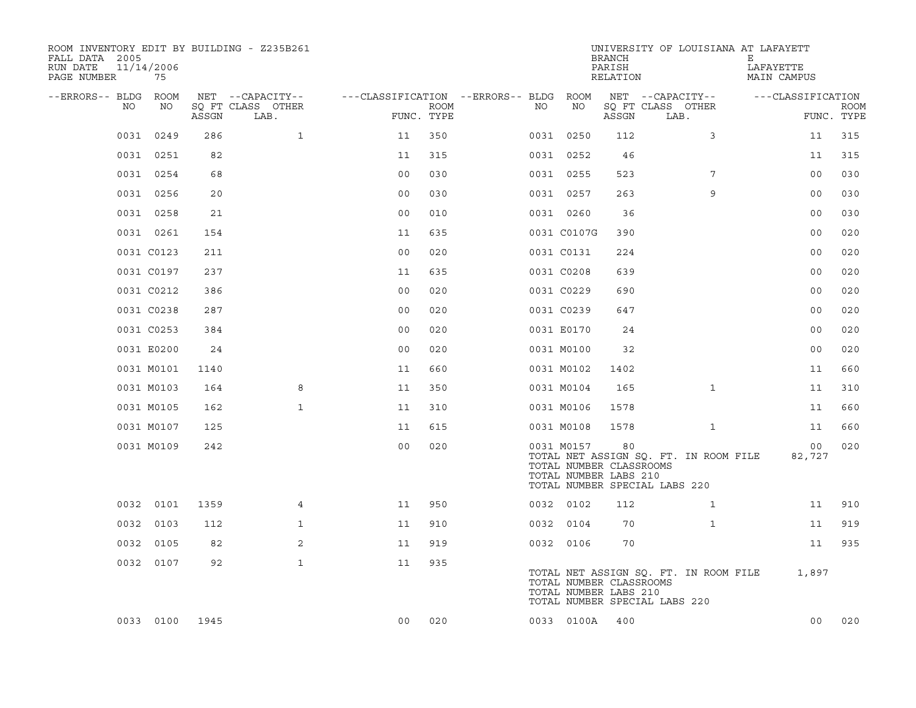| ROOM INVENTORY EDIT BY BUILDING - Z235B261<br>FALL DATA 2005<br>RUN DATE<br>PAGE NUMBER | 11/14/2006<br>75 |       |                           |                                        |                           |    |                                                                | BRANCH<br>PARISH<br>RELATION | UNIVERSITY OF LOUISIANA AT LAFAYETT                                    | Е<br>LAFAYETTE<br>MAIN CAMPUS |                           |
|-----------------------------------------------------------------------------------------|------------------|-------|---------------------------|----------------------------------------|---------------------------|----|----------------------------------------------------------------|------------------------------|------------------------------------------------------------------------|-------------------------------|---------------------------|
| --ERRORS-- BLDG ROOM                                                                    |                  |       | NET --CAPACITY--          | ---CLASSIFICATION --ERRORS-- BLDG ROOM |                           |    |                                                                |                              | NET --CAPACITY--                                                       | ---CLASSIFICATION             |                           |
| NO.                                                                                     | NO               | ASSGN | SQ FT CLASS OTHER<br>LAB. |                                        | <b>ROOM</b><br>FUNC. TYPE | NO | NO                                                             | ASSGN                        | SQ FT CLASS OTHER<br>LAB.                                              |                               | <b>ROOM</b><br>FUNC. TYPE |
| 0031                                                                                    | 0249             | 286   | $\mathbf{1}$              | 11                                     | 350                       |    | 0031 0250                                                      | 112                          | 3                                                                      | 11                            | 315                       |
|                                                                                         | 0031 0251        | 82    |                           | 11                                     | 315                       |    | 0031 0252                                                      | 46                           |                                                                        | 11                            | 315                       |
|                                                                                         | 0031 0254        | 68    |                           | 0 <sub>0</sub>                         | 030                       |    | 0031 0255                                                      | 523                          | 7                                                                      | 0 <sub>0</sub>                | 030                       |
|                                                                                         | 0031 0256        | 20    |                           | 0 <sub>0</sub>                         | 030                       |    | 0031 0257                                                      | 263                          | 9                                                                      | 00                            | 030                       |
|                                                                                         | 0031 0258        | 21    |                           | 0 <sub>0</sub>                         | 010                       |    | 0031 0260                                                      | 36                           |                                                                        | 0 <sub>0</sub>                | 030                       |
|                                                                                         | 0031 0261        | 154   |                           | 11                                     | 635                       |    | 0031 C0107G                                                    | 390                          |                                                                        | 0 <sub>0</sub>                | 020                       |
|                                                                                         | 0031 C0123       | 211   |                           | 0 <sub>0</sub>                         | 020                       |    | 0031 C0131                                                     | 224                          |                                                                        | 0 <sub>0</sub>                | 020                       |
|                                                                                         | 0031 C0197       | 237   |                           | 11                                     | 635                       |    | 0031 C0208                                                     | 639                          |                                                                        | 0 <sub>0</sub>                | 020                       |
|                                                                                         | 0031 C0212       | 386   |                           | 0 <sub>0</sub>                         | 020                       |    | 0031 C0229                                                     | 690                          |                                                                        | 0 <sub>0</sub>                | 020                       |
|                                                                                         | 0031 C0238       | 287   |                           | 0 <sub>0</sub>                         | 020                       |    | 0031 C0239                                                     | 647                          |                                                                        | 0 <sub>0</sub>                | 020                       |
|                                                                                         | 0031 C0253       | 384   |                           | 0 <sub>0</sub>                         | 020                       |    | 0031 E0170                                                     | 24                           |                                                                        | 0 <sub>0</sub>                | 020                       |
|                                                                                         | 0031 E0200       | 24    |                           | 0 <sub>0</sub>                         | 020                       |    | 0031 M0100                                                     | 32                           |                                                                        | 0 <sub>0</sub>                | 020                       |
|                                                                                         | 0031 M0101       | 1140  |                           | 11                                     | 660                       |    | 0031 M0102                                                     | 1402                         |                                                                        | 11                            | 660                       |
|                                                                                         | 0031 M0103       | 164   | 8                         | 11                                     | 350                       |    | 0031 M0104                                                     | 165                          | $\mathbf{1}$                                                           | 11                            | 310                       |
|                                                                                         | 0031 M0105       | 162   | $\mathbf{1}$              | 11                                     | 310                       |    | 0031 M0106                                                     | 1578                         |                                                                        | 11                            | 660                       |
|                                                                                         | 0031 M0107       | 125   |                           | 11                                     | 615                       |    | 0031 M0108                                                     | 1578                         | $\mathbf{1}$                                                           | 11                            | 660                       |
|                                                                                         | 0031 M0109       | 242   |                           | 0 <sub>0</sub>                         | 020                       |    | 0031 M0157<br>TOTAL NUMBER CLASSROOMS<br>TOTAL NUMBER LABS 210 | 80                           | TOTAL NET ASSIGN SQ. FT. IN ROOM FILE<br>TOTAL NUMBER SPECIAL LABS 220 | 00<br>82,727                  | 020                       |
| 0032                                                                                    | 0101             | 1359  | 4                         | 11                                     | 950                       |    | 0032 0102                                                      | 112                          | $\mathbf{1}$                                                           | 11                            | 910                       |
|                                                                                         | 0032 0103        | 112   | $\mathbf{1}$              | 11                                     | 910                       |    | 0032 0104                                                      | 70                           | $\mathbf{1}$                                                           | 11                            | 919                       |
| 0032                                                                                    | 0105             | 82    | 2                         | 11                                     | 919                       |    | 0032 0106                                                      | 70                           |                                                                        | 11                            | 935                       |
|                                                                                         | 0032 0107        | 92    | $\mathbf{1}$              | 11                                     | 935                       |    | TOTAL NUMBER CLASSROOMS<br>TOTAL NUMBER LABS 210               |                              | TOTAL NET ASSIGN SQ. FT. IN ROOM FILE<br>TOTAL NUMBER SPECIAL LABS 220 | 1,897                         |                           |
|                                                                                         | 0033 0100        | 1945  |                           | 0 <sub>0</sub>                         | 020                       |    | 0033 0100A                                                     | 400                          |                                                                        | 0 <sub>0</sub>                | 020                       |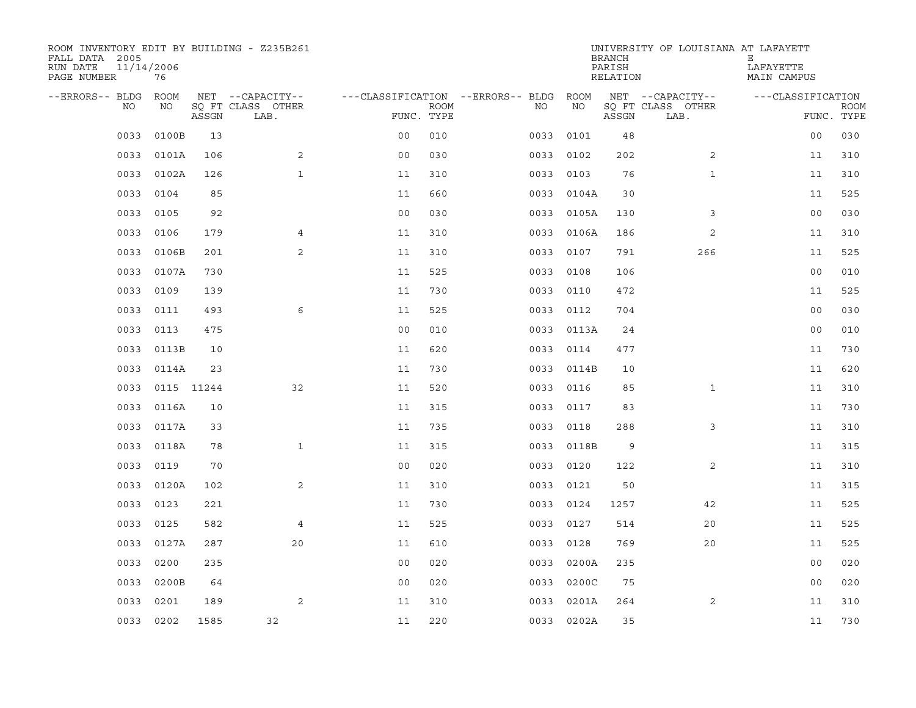| ROOM INVENTORY EDIT BY BUILDING - Z235B261<br>FALL DATA 2005<br>RUN DATE<br>PAGE NUMBER | 11/14/2006<br>76 |       |                           |                                        |             |           |            | <b>BRANCH</b><br>PARISH<br>RELATION | UNIVERSITY OF LOUISIANA AT LAFAYETT | Е<br>LAFAYETTE<br>MAIN CAMPUS |                           |
|-----------------------------------------------------------------------------------------|------------------|-------|---------------------------|----------------------------------------|-------------|-----------|------------|-------------------------------------|-------------------------------------|-------------------------------|---------------------------|
| --ERRORS-- BLDG ROOM                                                                    |                  |       | NET --CAPACITY--          | ---CLASSIFICATION --ERRORS-- BLDG ROOM |             |           |            |                                     | NET --CAPACITY--                    | ---CLASSIFICATION             |                           |
| NO.                                                                                     | NO               | ASSGN | SQ FT CLASS OTHER<br>LAB. | FUNC. TYPE                             | <b>ROOM</b> | NO.       | NO         | ASSGN                               | SQ FT CLASS OTHER<br>LAB.           |                               | <b>ROOM</b><br>FUNC. TYPE |
| 0033                                                                                    | 0100B            | 13    |                           | 0 <sub>0</sub>                         | 010         | 0033      | 0101       | 48                                  |                                     | 0 <sub>0</sub>                | 030                       |
| 0033                                                                                    | 0101A            | 106   | 2                         | 0 <sub>0</sub>                         | 030         | 0033      | 0102       | 202                                 | 2                                   | 11                            | 310                       |
| 0033                                                                                    | 0102A            | 126   | $\mathbf{1}$              | 11                                     | 310         | 0033      | 0103       | 76                                  | $\mathbf{1}$                        | 11                            | 310                       |
| 0033                                                                                    | 0104             | 85    |                           | 11                                     | 660         |           | 0033 0104A | 30                                  |                                     | 11                            | 525                       |
| 0033                                                                                    | 0105             | 92    |                           | 0 <sub>0</sub>                         | 030         | 0033      | 0105A      | 130                                 | 3                                   | 0 <sub>0</sub>                | 030                       |
| 0033                                                                                    | 0106             | 179   | $\overline{4}$            | 11                                     | 310         |           | 0033 0106A | 186                                 | 2                                   | 11                            | 310                       |
| 0033                                                                                    | 0106B            | 201   | $\mathbf{2}$              | 11                                     | 310         | 0033      | 0107       | 791                                 | 266                                 | 11                            | 525                       |
| 0033                                                                                    | 0107A            | 730   |                           | 11                                     | 525         |           | 0033 0108  | 106                                 |                                     | 00                            | 010                       |
| 0033                                                                                    | 0109             | 139   |                           | 11                                     | 730         | 0033      | 0110       | 472                                 |                                     | 11                            | 525                       |
| 0033                                                                                    | 0111             | 493   | 6                         | 11                                     | 525         |           | 0033 0112  | 704                                 |                                     | 0 <sub>0</sub>                | 030                       |
| 0033                                                                                    | 0113             | 475   |                           | 0 <sub>0</sub>                         | 010         |           | 0033 0113A | 24                                  |                                     | 0 <sub>0</sub>                | 010                       |
| 0033                                                                                    | 0113B            | 10    |                           | 11                                     | 620         |           | 0033 0114  | 477                                 |                                     | 11                            | 730                       |
| 0033                                                                                    | 0114A            | 23    |                           | 11                                     | 730         | 0033      | 0114B      | 10                                  |                                     | 11                            | 620                       |
| 0033                                                                                    | 0115 11244       |       | 32                        | 11                                     | 520         |           | 0033 0116  | 85                                  | $\mathbf{1}$                        | 11                            | 310                       |
| 0033                                                                                    | 0116A            | 10    |                           | 11                                     | 315         | 0033      | 0117       | 83                                  |                                     | 11                            | 730                       |
| 0033                                                                                    | 0117A            | 33    |                           | 11                                     | 735         |           | 0033 0118  | 288                                 | 3                                   | 11                            | 310                       |
| 0033                                                                                    | 0118A            | 78    | $\mathbf{1}$              | 11                                     | 315         | 0033      | 0118B      | 9                                   |                                     | 11                            | 315                       |
| 0033                                                                                    | 0119             | 70    |                           | 0 <sub>0</sub>                         | 020         |           | 0033 0120  | 122                                 | 2                                   | 11                            | 310                       |
| 0033                                                                                    | 0120A            | 102   | 2                         | 11                                     | 310         | 0033      | 0121       | 50                                  |                                     | 11                            | 315                       |
| 0033                                                                                    | 0123             | 221   |                           | 11                                     | 730         | 0033 0124 |            | 1257                                | 42                                  | 11                            | 525                       |
| 0033                                                                                    | 0125             | 582   | $\overline{4}$            | 11                                     | 525         | 0033      | 0127       | 514                                 | 20                                  | 11                            | 525                       |
| 0033                                                                                    | 0127A            | 287   | 20                        | 11                                     | 610         | 0033      | 0128       | 769                                 | 20                                  | 11                            | 525                       |
| 0033                                                                                    | 0200             | 235   |                           | 0 <sub>0</sub>                         | 020         | 0033      | 0200A      | 235                                 |                                     | 00                            | 020                       |
| 0033                                                                                    | 0200B            | 64    |                           | 0 <sub>0</sub>                         | 020         | 0033      | 0200C      | 75                                  |                                     | 0 <sub>0</sub>                | 020                       |
| 0033                                                                                    | 0201             | 189   | 2                         | 11                                     | 310         | 0033      | 0201A      | 264                                 | 2                                   | 11                            | 310                       |
|                                                                                         | 0033 0202        | 1585  | 32                        | 11                                     | 220         |           | 0033 0202A | 35                                  |                                     | 11                            | 730                       |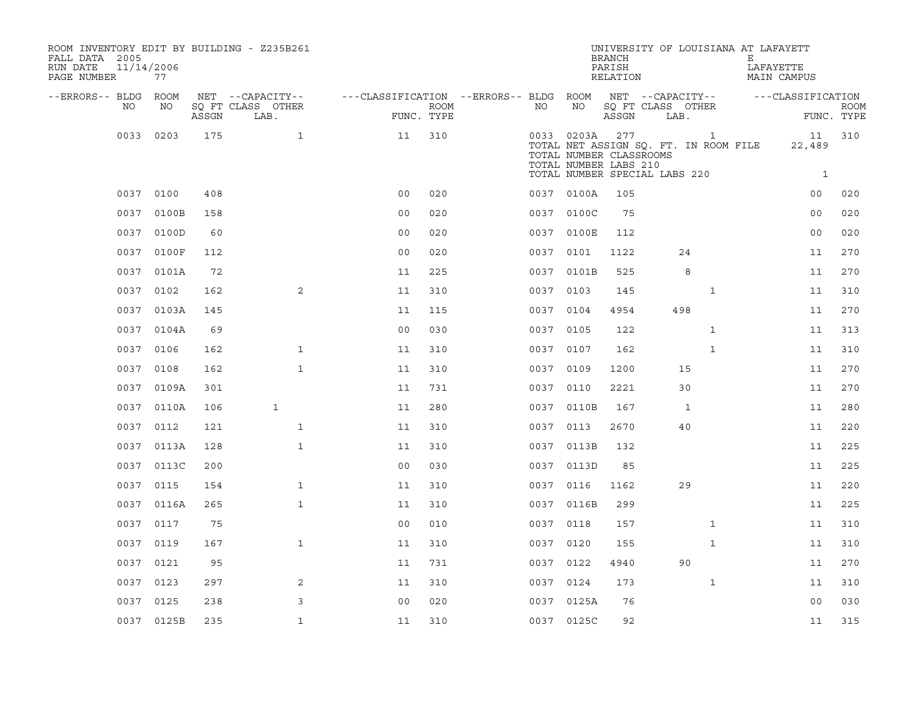| ROOM INVENTORY EDIT BY BUILDING - Z235B261<br>FALL DATA 2005<br>RUN DATE<br>PAGE NUMBER | 11/14/2006<br>77 |       |                                               |                                                      |             |           |            | <b>BRANCH</b><br>PARISH<br>RELATION                                                                                               |      |     | Е            | UNIVERSITY OF LOUISIANA AT LAFAYETT<br>LAFAYETTE<br><b>MAIN CAMPUS</b> |                              |                           |
|-----------------------------------------------------------------------------------------|------------------|-------|-----------------------------------------------|------------------------------------------------------|-------------|-----------|------------|-----------------------------------------------------------------------------------------------------------------------------------|------|-----|--------------|------------------------------------------------------------------------|------------------------------|---------------------------|
| --ERRORS-- BLDG ROOM<br>NO                                                              | NO               | ASSGN | NET --CAPACITY--<br>SQ FT CLASS OTHER<br>LAB. | ---CLASSIFICATION --ERRORS-- BLDG ROOM<br>FUNC. TYPE | <b>ROOM</b> | NO        | NO         | NET --CAPACITY--<br>SQ FT CLASS OTHER<br>ASSGN                                                                                    | LAB. |     |              | ---CLASSIFICATION                                                      |                              | <b>ROOM</b><br>FUNC. TYPE |
| 0033                                                                                    | 0203             | 175   | $\mathbf{1}$                                  | 11                                                   | 310         |           | 0033 0203A | 277<br>TOTAL NET ASSIGN SQ. FT. IN ROOM FILE<br>TOTAL NUMBER CLASSROOMS<br>TOTAL NUMBER LABS 210<br>TOTAL NUMBER SPECIAL LABS 220 |      |     | $\mathbf{1}$ |                                                                        | 11<br>22,489<br>$\mathbf{1}$ | 310                       |
|                                                                                         | 0037 0100        | 408   |                                               | 0 <sub>0</sub>                                       | 020         |           | 0037 0100A | 105                                                                                                                               |      |     |              |                                                                        | 0 <sub>0</sub>               | 020                       |
| 0037                                                                                    | 0100B            | 158   |                                               | 0 <sub>0</sub>                                       | 020         |           | 0037 0100C | 75                                                                                                                                |      |     |              |                                                                        | 0 <sub>0</sub>               | 020                       |
| 0037                                                                                    | 0100D            | 60    |                                               | 0 <sub>0</sub>                                       | 020         |           | 0037 0100E | 112                                                                                                                               |      |     |              |                                                                        | 0 <sub>0</sub>               | 020                       |
| 0037                                                                                    | 0100F            | 112   |                                               | 0 <sub>0</sub>                                       | 020         | 0037 0101 |            | 1122                                                                                                                              |      | 24  |              |                                                                        | 11                           | 270                       |
|                                                                                         | 0037 0101A       | 72    |                                               | 11                                                   | 225         |           | 0037 0101B | 525                                                                                                                               |      | 8   |              |                                                                        | 11                           | 270                       |
|                                                                                         | 0037 0102        | 162   | 2                                             | 11                                                   | 310         | 0037 0103 |            | 145                                                                                                                               |      |     | $\mathbf{1}$ |                                                                        | 11                           | 310                       |
|                                                                                         | 0037 0103A       | 145   |                                               | 11                                                   | 115         | 0037 0104 |            | 4954                                                                                                                              |      | 498 |              |                                                                        | 11                           | 270                       |
|                                                                                         | 0037 0104A       | 69    |                                               | 0 <sub>0</sub>                                       | 030         | 0037 0105 |            | 122                                                                                                                               |      |     | $\mathbf{1}$ |                                                                        | 11                           | 313                       |
|                                                                                         | 0037 0106        | 162   | $\mathbf{1}$                                  | 11                                                   | 310         | 0037 0107 |            | 162                                                                                                                               |      |     | $\mathbf{1}$ |                                                                        | 11                           | 310                       |
| 0037                                                                                    | 0108             | 162   | $\mathbf{1}$                                  | 11                                                   | 310         | 0037      | 0109       | 1200                                                                                                                              |      | 15  |              |                                                                        | 11                           | 270                       |
|                                                                                         | 0037 0109A       | 301   |                                               | 11                                                   | 731         | 0037 0110 |            | 2221                                                                                                                              |      | 30  |              |                                                                        | 11                           | 270                       |
|                                                                                         | 0037 0110A       | 106   | $\mathbf{1}$                                  | 11                                                   | 280         |           | 0037 0110B | 167                                                                                                                               |      | 1   |              |                                                                        | 11                           | 280                       |
|                                                                                         | 0037 0112        | 121   | $\mathbf{1}$                                  | 11                                                   | 310         | 0037 0113 |            | 2670                                                                                                                              |      | 40  |              |                                                                        | 11                           | 220                       |
|                                                                                         | 0037 0113A       | 128   | $\mathbf{1}$                                  | 11                                                   | 310         |           | 0037 0113B | 132                                                                                                                               |      |     |              |                                                                        | 11                           | 225                       |
|                                                                                         | 0037 0113C       | 200   |                                               | 0 <sub>0</sub>                                       | 030         |           | 0037 0113D | 85                                                                                                                                |      |     |              |                                                                        | 11                           | 225                       |
|                                                                                         | 0037 0115        | 154   | $\mathbf{1}$                                  | 11                                                   | 310         | 0037 0116 |            | 1162                                                                                                                              |      | 29  |              |                                                                        | 11                           | 220                       |
|                                                                                         | 0037 0116A       | 265   | $\mathbf{1}$                                  | 11                                                   | 310         |           | 0037 0116B | 299                                                                                                                               |      |     |              |                                                                        | 11                           | 225                       |
|                                                                                         | 0037 0117        | 75    |                                               | 0 <sub>0</sub>                                       | 010         | 0037 0118 |            | 157                                                                                                                               |      |     | $\mathbf{1}$ |                                                                        | 11                           | 310                       |
|                                                                                         | 0037 0119        | 167   | $\mathbf{1}$                                  | 11                                                   | 310         | 0037 0120 |            | 155                                                                                                                               |      |     | $\mathbf{1}$ |                                                                        | 11                           | 310                       |
|                                                                                         | 0037 0121        | 95    |                                               | 11                                                   | 731         | 0037 0122 |            | 4940                                                                                                                              |      | 90  |              |                                                                        | 11                           | 270                       |
| 0037                                                                                    | 0123             | 297   | 2                                             | 11                                                   | 310         | 0037 0124 |            | 173                                                                                                                               |      |     | $\mathbf{1}$ |                                                                        | 11                           | 310                       |
|                                                                                         | 0037 0125        | 238   | 3                                             | 0 <sub>0</sub>                                       | 020         |           | 0037 0125A | 76                                                                                                                                |      |     |              |                                                                        | 0 <sub>0</sub>               | 030                       |
|                                                                                         | 0037 0125B       | 235   | $\mathbf{1}$                                  | 11                                                   | 310         |           | 0037 0125C | 92                                                                                                                                |      |     |              |                                                                        | 11                           | 315                       |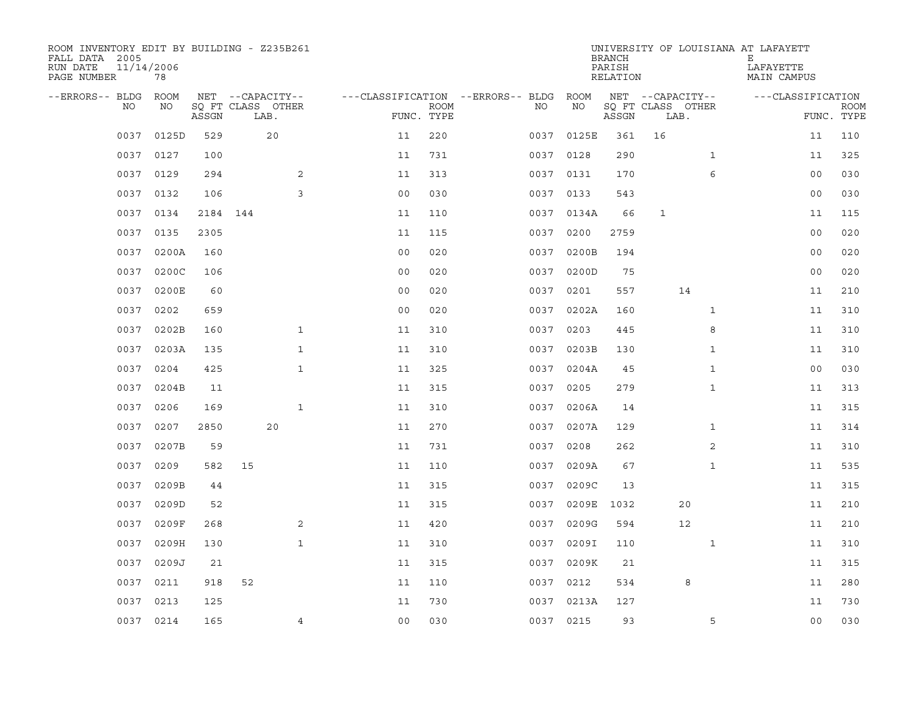| ROOM INVENTORY EDIT BY BUILDING - Z235B261<br>FALL DATA 2005<br>RUN DATE<br>PAGE NUMBER | 11/14/2006<br>78 |          |                           |                |                           |                                   |            | <b>BRANCH</b><br>PARISH<br>RELATION |                           |              | UNIVERSITY OF LOUISIANA AT LAFAYETT<br>Е<br>LAFAYETTE<br>MAIN CAMPUS |                           |
|-----------------------------------------------------------------------------------------|------------------|----------|---------------------------|----------------|---------------------------|-----------------------------------|------------|-------------------------------------|---------------------------|--------------|----------------------------------------------------------------------|---------------------------|
| --ERRORS-- BLDG                                                                         | <b>ROOM</b>      |          | NET --CAPACITY--          |                |                           | ---CLASSIFICATION --ERRORS-- BLDG | ROOM       |                                     | NET --CAPACITY--          |              | ---CLASSIFICATION                                                    |                           |
| NO                                                                                      | NO               | ASSGN    | SQ FT CLASS OTHER<br>LAB. |                | <b>ROOM</b><br>FUNC. TYPE | NO                                | NO         | ASSGN                               | SQ FT CLASS OTHER<br>LAB. |              |                                                                      | <b>ROOM</b><br>FUNC. TYPE |
| 0037                                                                                    | 0125D            | 529      | 20                        | 11             | 220                       |                                   | 0037 0125E | 361                                 | 16                        |              | 11                                                                   | 110                       |
| 0037                                                                                    | 0127             | 100      |                           | 11             | 731                       |                                   | 0037 0128  | 290                                 |                           | $\mathbf{1}$ | 11                                                                   | 325                       |
| 0037                                                                                    | 0129             | 294      | 2                         | 11             | 313                       |                                   | 0037 0131  | 170                                 |                           | 6            | 00                                                                   | 030                       |
| 0037                                                                                    | 0132             | 106      | 3                         | 0 <sub>0</sub> | 030                       |                                   | 0037 0133  | 543                                 |                           |              | 0 <sub>0</sub>                                                       | 030                       |
| 0037                                                                                    | 0134             | 2184 144 |                           | 11             | 110                       |                                   | 0037 0134A | 66                                  | $\mathbf{1}$              |              | 11                                                                   | 115                       |
| 0037                                                                                    | 0135             | 2305     |                           | 11             | 115                       |                                   | 0037 0200  | 2759                                |                           |              | 00                                                                   | 020                       |
| 0037                                                                                    | 0200A            | 160      |                           | 0 <sub>0</sub> | 020                       | 0037                              | 0200B      | 194                                 |                           |              | 0 <sub>0</sub>                                                       | 020                       |
| 0037                                                                                    | 0200C            | 106      |                           | 0 <sub>0</sub> | 020                       | 0037                              | 0200D      | 75                                  |                           |              | 0 <sub>0</sub>                                                       | 020                       |
| 0037                                                                                    | 0200E            | 60       |                           | 0 <sub>0</sub> | 020                       | 0037                              | 0201       | 557                                 |                           | 14           | 11                                                                   | 210                       |
| 0037                                                                                    | 0202             | 659      |                           | 0 <sub>0</sub> | 020                       |                                   | 0037 0202A | 160                                 |                           | $\mathbf{1}$ | 11                                                                   | 310                       |
| 0037                                                                                    | 0202B            | 160      | $\mathbf{1}$              | 11             | 310                       | 0037                              | 0203       | 445                                 |                           | 8            | 11                                                                   | 310                       |
| 0037                                                                                    | 0203A            | 135      | $\mathbf{1}$              | 11             | 310                       |                                   | 0037 0203B | 130                                 |                           | $\mathbf{1}$ | 11                                                                   | 310                       |
| 0037                                                                                    | 0204             | 425      | $\mathbf{1}$              | 11             | 325                       | 0037                              | 0204A      | 45                                  |                           | $\mathbf{1}$ | 0 <sub>0</sub>                                                       | 030                       |
| 0037                                                                                    | 0204B            | 11       |                           | 11             | 315                       |                                   | 0037 0205  | 279                                 |                           | $\mathbf{1}$ | 11                                                                   | 313                       |
| 0037                                                                                    | 0206             | 169      | $\mathbf{1}$              | 11             | 310                       | 0037                              | 0206A      | 14                                  |                           |              | 11                                                                   | 315                       |
| 0037                                                                                    | 0207             | 2850     | 20                        | 11             | 270                       |                                   | 0037 0207A | 129                                 |                           | $\mathbf{1}$ | 11                                                                   | 314                       |
| 0037                                                                                    | 0207B            | 59       |                           | 11             | 731                       | 0037                              | 0208       | 262                                 |                           | 2            | 11                                                                   | 310                       |
| 0037                                                                                    | 0209             | 582      | 15                        | 11             | 110                       | 0037                              | 0209A      | 67                                  |                           | $\mathbf{1}$ | 11                                                                   | 535                       |
| 0037                                                                                    | 0209B            | 44       |                           | 11             | 315                       | 0037                              | 0209C      | 13                                  |                           |              | 11                                                                   | 315                       |
| 0037                                                                                    | 0209D            | 52       |                           | 11             | 315                       | 0037                              | 0209E      | 1032                                |                           | 20           | 11                                                                   | 210                       |
| 0037                                                                                    | 0209F            | 268      | 2                         | 11             | 420                       | 0037                              | 0209G      | 594                                 |                           | 12           | 11                                                                   | 210                       |
| 0037                                                                                    | 0209H            | 130      | $\mathbf{1}$              | 11             | 310                       | 0037                              | 0209I      | 110                                 |                           | $\mathbf{1}$ | 11                                                                   | 310                       |
| 0037                                                                                    | 0209J            | 21       |                           | 11             | 315                       |                                   | 0037 0209K | 21                                  |                           |              | 11                                                                   | 315                       |
| 0037                                                                                    | 0211             | 918      | 52                        | 11             | 110                       | 0037                              | 0212       | 534                                 |                           | 8            | 11                                                                   | 280                       |
| 0037                                                                                    | 0213             | 125      |                           | 11             | 730                       |                                   | 0037 0213A | 127                                 |                           |              | 11                                                                   | 730                       |
|                                                                                         | 0037 0214        | 165      | $\overline{4}$            | 0 <sub>0</sub> | 030                       |                                   | 0037 0215  | 93                                  |                           | 5            | 0 <sub>0</sub>                                                       | 030                       |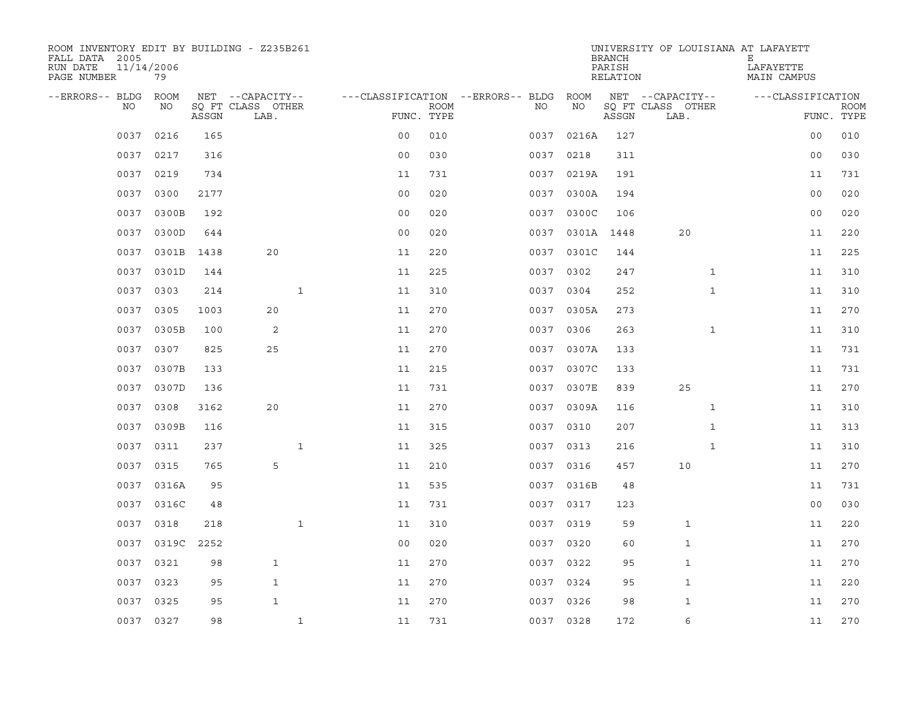| ROOM INVENTORY EDIT BY BUILDING - Z235B261<br>FALL DATA 2005<br>RUN DATE | 11/14/2006        |       |                                       |                    |             |                                         |            | <b>BRANCH</b><br>PARISH | UNIVERSITY OF LOUISIANA AT LAFAYETT   | Е<br>LAFAYETTE    |             |
|--------------------------------------------------------------------------|-------------------|-------|---------------------------------------|--------------------|-------------|-----------------------------------------|------------|-------------------------|---------------------------------------|-------------------|-------------|
| PAGE NUMBER                                                              | 79                |       |                                       |                    |             |                                         |            | RELATION                |                                       | MAIN CAMPUS       |             |
| --ERRORS-- BLDG<br>NO                                                    | <b>ROOM</b><br>NO |       | NET --CAPACITY--<br>SO FT CLASS OTHER |                    | <b>ROOM</b> | ---CLASSIFICATION --ERRORS-- BLDG<br>NO | ROOM<br>NO |                         | NET --CAPACITY--<br>SQ FT CLASS OTHER | ---CLASSIFICATION | <b>ROOM</b> |
|                                                                          |                   | ASSGN | LAB.                                  | FUNC. TYPE         |             |                                         |            | ASSGN                   | LAB.                                  |                   | FUNC. TYPE  |
| 0037                                                                     | 0216              | 165   |                                       | 0 <sub>0</sub>     | 010         | 0037                                    | 0216A      | 127                     |                                       | 00                | 010         |
| 0037                                                                     | 0217              | 316   |                                       | 0 <sub>0</sub>     | 030         | 0037                                    | 0218       | 311                     |                                       | 0 <sub>0</sub>    | 030         |
| 0037                                                                     | 0219              | 734   |                                       | 11                 | 731         | 0037                                    | 0219A      | 191                     |                                       | 11                | 731         |
| 0037                                                                     | 0300              | 2177  |                                       | 0 <sub>0</sub>     | 020         |                                         | 0037 0300A | 194                     |                                       | 0 <sub>0</sub>    | 020         |
| 0037                                                                     | 0300B             | 192   |                                       | 0 <sub>0</sub>     | 020         | 0037                                    | 0300C      | 106                     |                                       | 0 <sub>0</sub>    | 020         |
| 0037                                                                     | 0300D             | 644   |                                       | 0 <sub>0</sub>     | 020         |                                         | 0037 0301A | 1448                    | 20                                    | 11                | 220         |
| 0037                                                                     | 0301B             | 1438  | 20                                    | 11                 | 220         | 0037                                    | 0301C      | 144                     |                                       | 11                | 225         |
| 0037                                                                     | 0301D             | 144   |                                       | 11                 | 225         |                                         | 0037 0302  | 247                     | $\mathbf{1}$                          | 11                | 310         |
| 0037                                                                     | 0303              | 214   |                                       | $\mathbf{1}$<br>11 | 310         | 0037                                    | 0304       | 252                     | $\mathbf{1}$                          | 11                | 310         |
| 0037                                                                     | 0305              | 1003  | 20                                    | 11                 | 270         |                                         | 0037 0305A | 273                     |                                       | 11                | 270         |
| 0037                                                                     | 0305B             | 100   | 2                                     | 11                 | 270         | 0037                                    | 0306       | 263                     | $\mathbf{1}$                          | 11                | 310         |
|                                                                          | 0037 0307         | 825   | 25                                    | 11                 | 270         |                                         | 0037 0307A | 133                     |                                       | 11                | 731         |
| 0037                                                                     | 0307B             | 133   |                                       | 11                 | 215         | 0037                                    | 0307C      | 133                     |                                       | 11                | 731         |
|                                                                          | 0037 0307D        | 136   |                                       | 11                 | 731         |                                         | 0037 0307E | 839                     | 25                                    | 11                | 270         |
| 0037                                                                     | 0308              | 3162  | 20                                    | 11                 | 270         |                                         | 0037 0309A | 116                     | $\mathbf{1}$                          | 11                | 310         |
| 0037                                                                     | 0309B             | 116   |                                       | 11                 | 315         |                                         | 0037 0310  | 207                     | $\mathbf{1}$                          | 11                | 313         |
| 0037                                                                     | 0311              | 237   |                                       | $\mathbf{1}$<br>11 | 325         | 0037                                    | 0313       | 216                     | $\mathbf{1}$                          | 11                | 310         |
| 0037                                                                     | 0315              | 765   | 5                                     | 11                 | 210         |                                         | 0037 0316  | 457                     | 10                                    | 11                | 270         |
| 0037                                                                     | 0316A             | 95    |                                       | 11                 | 535         |                                         | 0037 0316B | 48                      |                                       | 11                | 731         |
| 0037                                                                     | 0316C             | 48    |                                       | 11                 | 731         |                                         | 0037 0317  | 123                     |                                       | 0 <sub>0</sub>    | 030         |
| 0037                                                                     | 0318              | 218   |                                       | $\mathbf{1}$<br>11 | 310         |                                         | 0037 0319  | 59                      | 1                                     | 11                | 220         |
| 0037                                                                     | 0319C             | 2252  |                                       | 0 <sub>0</sub>     | 020         | 0037                                    | 0320       | 60                      | 1                                     | 11                | 270         |
| 0037                                                                     | 0321              | 98    | $\mathbf{1}$                          | 11                 | 270         |                                         | 0037 0322  | 95                      | $\mathbf{1}$                          | 11                | 270         |
| 0037                                                                     | 0323              | 95    | $\mathbf{1}$                          | 11                 | 270         | 0037                                    | 0324       | 95                      | 1                                     | 11                | 220         |
| 0037                                                                     | 0325              | 95    | $\mathbf{1}$                          | 11                 | 270         |                                         | 0037 0326  | 98                      | $\mathbf{1}$                          | 11                | 270         |
|                                                                          | 0037 0327         | 98    |                                       | $\mathbf{1}$<br>11 | 731         |                                         | 0037 0328  | 172                     | 6                                     | 11                | 270         |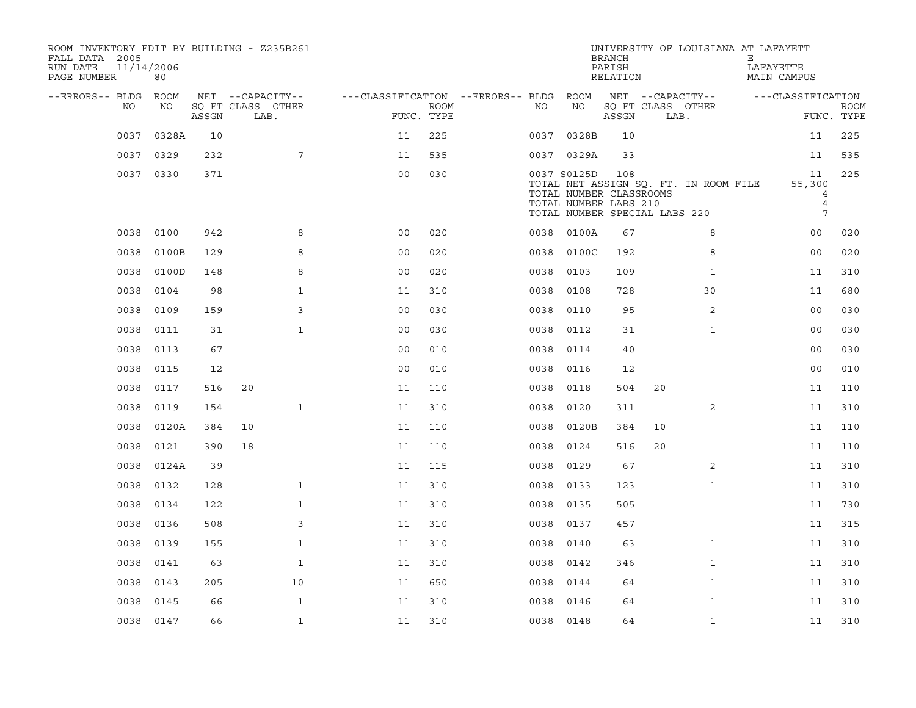| ROOM INVENTORY EDIT BY BUILDING - Z235B261<br>FALL DATA 2005<br>RUN DATE<br>PAGE NUMBER | 11/14/2006<br>80 |       |                           |                                        |                           |      |                                                                                                  | <b>BRANCH</b><br>PARISH<br>RELATION |    | UNIVERSITY OF LOUISIANA AT LAFAYETT   | Е | LAFAYETTE<br>MAIN CAMPUS                 |                           |
|-----------------------------------------------------------------------------------------|------------------|-------|---------------------------|----------------------------------------|---------------------------|------|--------------------------------------------------------------------------------------------------|-------------------------------------|----|---------------------------------------|---|------------------------------------------|---------------------------|
| --ERRORS-- BLDG ROOM                                                                    |                  |       | NET --CAPACITY--          | ---CLASSIFICATION --ERRORS-- BLDG ROOM |                           |      |                                                                                                  |                                     |    | NET --CAPACITY--                      |   | ---CLASSIFICATION                        |                           |
| NO.                                                                                     | NO               | ASSGN | SQ FT CLASS OTHER<br>LAB. |                                        | <b>ROOM</b><br>FUNC. TYPE | NO   | NO                                                                                               | ASSGN                               |    | SQ FT CLASS OTHER<br>LAB.             |   |                                          | <b>ROOM</b><br>FUNC. TYPE |
| 0037                                                                                    | 0328A            | 10    |                           | 11                                     | 225                       |      | 0037 0328B                                                                                       | 10                                  |    |                                       |   | 11                                       | 225                       |
| 0037                                                                                    | 0329             | 232   | $7\overline{ }$           | 11                                     | 535                       |      | 0037 0329A                                                                                       | 33                                  |    |                                       |   | 11                                       | 535                       |
|                                                                                         | 0037 0330        | 371   |                           | 0 <sub>0</sub>                         | 030                       |      | 0037 S0125D<br>TOTAL NUMBER CLASSROOMS<br>TOTAL NUMBER LABS 210<br>TOTAL NUMBER SPECIAL LABS 220 | 108                                 |    | TOTAL NET ASSIGN SQ. FT. IN ROOM FILE |   | 11<br>55,300<br>4<br>$\overline{4}$<br>7 | 225                       |
| 0038                                                                                    | 0100             | 942   | 8                         | 0 <sub>0</sub>                         | 020                       |      | 0038 0100A                                                                                       | 67                                  |    | 8                                     |   | 00                                       | 020                       |
| 0038                                                                                    | 0100B            | 129   | 8                         | 0 <sub>0</sub>                         | 020                       | 0038 | 0100C                                                                                            | 192                                 |    | 8                                     |   | 0 <sub>0</sub>                           | 020                       |
| 0038                                                                                    | 0100D            | 148   | 8                         | 0 <sub>0</sub>                         | 020                       | 0038 | 0103                                                                                             | 109                                 |    | $\mathbf{1}$                          |   | 11                                       | 310                       |
| 0038                                                                                    | 0104             | 98    | $\mathbf{1}$              | 11                                     | 310                       | 0038 | 0108                                                                                             | 728                                 |    | 30                                    |   | 11                                       | 680                       |
| 0038                                                                                    | 0109             | 159   | 3                         | 0 <sub>0</sub>                         | 030                       |      | 0038 0110                                                                                        | 95                                  |    | 2                                     |   | 00                                       | 030                       |
| 0038                                                                                    | 0111             | 31    | $\mathbf{1}$              | 0 <sub>0</sub>                         | 030                       | 0038 | 0112                                                                                             | 31                                  |    | $\mathbf{1}$                          |   | 0 <sub>0</sub>                           | 030                       |
| 0038                                                                                    | 0113             | 67    |                           | 0 <sub>0</sub>                         | 010                       | 0038 | 0114                                                                                             | 40                                  |    |                                       |   | 0 <sub>0</sub>                           | 030                       |
| 0038                                                                                    | 0115             | 12    |                           | 0 <sub>0</sub>                         | 010                       | 0038 | 0116                                                                                             | 12                                  |    |                                       |   | 0 <sub>0</sub>                           | 010                       |
| 0038                                                                                    | 0117             | 516   | 20                        | 11                                     | 110                       | 0038 | 0118                                                                                             | 504                                 | 20 |                                       |   | 11                                       | 110                       |
| 0038                                                                                    | 0119             | 154   | $\mathbf{1}$              | 11                                     | 310                       | 0038 | 0120                                                                                             | 311                                 |    | $\overline{2}$                        |   | 11                                       | 310                       |
| 0038                                                                                    | 0120A            | 384   | 10                        | 11                                     | 110                       |      | 0038 0120B                                                                                       | 384                                 | 10 |                                       |   | 11                                       | 110                       |
| 0038                                                                                    | 0121             | 390   | 18                        | 11                                     | 110                       | 0038 | 0124                                                                                             | 516                                 | 20 |                                       |   | 11                                       | 110                       |
| 0038                                                                                    | 0124A            | 39    |                           | 11                                     | 115                       | 0038 | 0129                                                                                             | 67                                  |    | 2                                     |   | 11                                       | 310                       |
| 0038                                                                                    | 0132             | 128   | $\mathbf{1}$              | 11                                     | 310                       |      | 0038 0133                                                                                        | 123                                 |    | $\mathbf{1}$                          |   | 11                                       | 310                       |
| 0038                                                                                    | 0134             | 122   | $\mathbf{1}$              | 11                                     | 310                       |      | 0038 0135                                                                                        | 505                                 |    |                                       |   | 11                                       | 730                       |
| 0038                                                                                    | 0136             | 508   | 3                         | 11                                     | 310                       | 0038 | 0137                                                                                             | 457                                 |    |                                       |   | 11                                       | 315                       |
| 0038                                                                                    | 0139             | 155   | $\mathbf{1}$              | 11                                     | 310                       | 0038 | 0140                                                                                             | 63                                  |    | $\mathbf{1}$                          |   | 11                                       | 310                       |
| 0038                                                                                    | 0141             | 63    | $\mathbf{1}$              | 11                                     | 310                       |      | 0038 0142                                                                                        | 346                                 |    | $\mathbf{1}$                          |   | 11                                       | 310                       |
| 0038                                                                                    | 0143             | 205   | 10                        | 11                                     | 650                       |      | 0038 0144                                                                                        | 64                                  |    | $\mathbf{1}$                          |   | 11                                       | 310                       |
| 0038                                                                                    | 0145             | 66    | $\mathbf{1}$              | 11                                     | 310                       | 0038 | 0146                                                                                             | 64                                  |    | $\mathbf{1}$                          |   | 11                                       | 310                       |
|                                                                                         | 0038 0147        | 66    | $\mathbf{1}$              | 11                                     | 310                       |      | 0038 0148                                                                                        | 64                                  |    | $\mathbf{1}$                          |   | 11                                       | 310                       |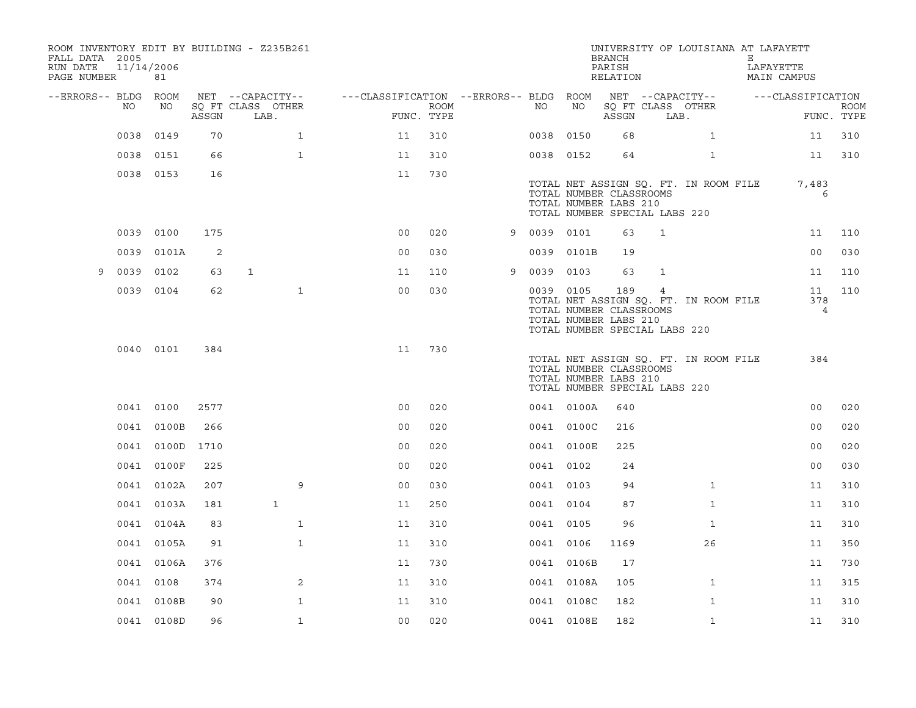| ROOM INVENTORY EDIT BY BUILDING - Z235B261<br>FALL DATA 2005<br>RUN DATE<br>PAGE NUMBER | 11/14/2006 | 81         |       |              |                           |                |             |                                                         |           |            | <b>BRANCH</b><br>PARISH<br>RELATION                                                      |              | UNIVERSITY OF LOUISIANA AT LAFAYETT   | Е | LAFAYETTE<br>MAIN CAMPUS    |                           |
|-----------------------------------------------------------------------------------------|------------|------------|-------|--------------|---------------------------|----------------|-------------|---------------------------------------------------------|-----------|------------|------------------------------------------------------------------------------------------|--------------|---------------------------------------|---|-----------------------------|---------------------------|
| --ERRORS-- BLDG ROOM                                                                    |            |            |       |              | NET --CAPACITY--          |                |             | ---CLASSIFICATION --ERRORS-- BLDG ROOM NET --CAPACITY-- |           |            |                                                                                          |              |                                       |   | ---CLASSIFICATION           |                           |
|                                                                                         | NO         | NO         | ASSGN |              | SO FT CLASS OTHER<br>LAB. | FUNC. TYPE     | <b>ROOM</b> |                                                         | NO        | NO         | ASSGN                                                                                    | LAB.         | SO FT CLASS OTHER                     |   |                             | <b>ROOM</b><br>FUNC. TYPE |
|                                                                                         | 0038       | 0149       | 70    |              | $\mathbf{1}$              | 11             | 310         |                                                         | 0038      | 0150       | 68                                                                                       |              | $\mathbf{1}$                          |   | 11                          | 310                       |
|                                                                                         | 0038       | 0151       | 66    |              | $\mathbf{1}$              | 11             | 310         |                                                         | 0038 0152 |            | 64                                                                                       |              | $\mathbf{1}$                          |   | 11                          | 310                       |
|                                                                                         | 0038 0153  |            | 16    |              |                           | 11             | 730         |                                                         |           |            |                                                                                          |              |                                       |   |                             |                           |
|                                                                                         |            |            |       |              |                           |                |             |                                                         |           |            | TOTAL NUMBER CLASSROOMS<br>TOTAL NUMBER LABS 210<br>TOTAL NUMBER SPECIAL LABS 220        |              | TOTAL NET ASSIGN SQ. FT. IN ROOM FILE |   | 7,483<br>6                  |                           |
|                                                                                         | 0039 0100  |            | 175   |              |                           | 0 <sub>0</sub> | 020         | 9                                                       | 0039 0101 |            | 63                                                                                       | $\mathbf{1}$ |                                       |   | 11                          | 110                       |
|                                                                                         | 0039       | 0101A      | 2     |              |                           | 0 <sub>0</sub> | 030         |                                                         |           | 0039 0101B | 19                                                                                       |              |                                       |   | 00                          | 030                       |
| 9                                                                                       | 0039       | 0102       | 63    | $\mathbf{1}$ |                           | 11             | 110         | 9                                                       | 0039 0103 |            | 63                                                                                       | $\mathbf{1}$ |                                       |   | 11                          | 110                       |
|                                                                                         | 0039 0104  |            | 62    |              | $\mathbf{1}$              | 0 <sub>0</sub> | 030         |                                                         | 0039 0105 |            | 189<br>TOTAL NUMBER CLASSROOMS<br>TOTAL NUMBER LABS 210<br>TOTAL NUMBER SPECIAL LABS 220 | 4            | TOTAL NET ASSIGN SQ. FT. IN ROOM FILE |   | 11<br>378<br>$\overline{4}$ | 110                       |
|                                                                                         |            | 0040 0101  | 384   |              |                           | 11             | 730         |                                                         |           |            | TOTAL NUMBER CLASSROOMS<br>TOTAL NUMBER LABS 210<br>TOTAL NUMBER SPECIAL LABS 220        |              | TOTAL NET ASSIGN SQ. FT. IN ROOM FILE |   | 384                         |                           |
|                                                                                         | 0041 0100  |            | 2577  |              |                           | 0 <sub>0</sub> | 020         |                                                         |           | 0041 0100A | 640                                                                                      |              |                                       |   | 0 <sub>0</sub>              | 020                       |
|                                                                                         |            | 0041 0100B | 266   |              |                           | 0 <sub>0</sub> | 020         |                                                         |           | 0041 0100C | 216                                                                                      |              |                                       |   | 0 <sub>0</sub>              | 020                       |
|                                                                                         |            | 0041 0100D | 1710  |              |                           | 0 <sub>0</sub> | 020         |                                                         |           | 0041 0100E | 225                                                                                      |              |                                       |   | 00                          | 020                       |
|                                                                                         |            | 0041 0100F | 225   |              |                           | 0 <sub>0</sub> | 020         |                                                         | 0041 0102 |            | 24                                                                                       |              |                                       |   | 0 <sub>0</sub>              | 030                       |
|                                                                                         |            | 0041 0102A | 207   |              | 9                         | 0 <sub>0</sub> | 030         |                                                         | 0041 0103 |            | 94                                                                                       |              | $\mathbf{1}$                          |   | 11                          | 310                       |
|                                                                                         |            | 0041 0103A | 181   |              | $\mathbf{1}$              | 11             | 250         |                                                         | 0041 0104 |            | 87                                                                                       |              | $\mathbf{1}$                          |   | 11                          | 310                       |
|                                                                                         |            | 0041 0104A | 83    |              | $\mathbf{1}$              | 11             | 310         |                                                         | 0041 0105 |            | 96                                                                                       |              | $\mathbf{1}$                          |   | 11                          | 310                       |
|                                                                                         |            | 0041 0105A | 91    |              | $\mathbf{1}$              | 11             | 310         |                                                         | 0041 0106 |            | 1169                                                                                     |              | 26                                    |   | 11                          | 350                       |
|                                                                                         |            | 0041 0106A | 376   |              |                           | 11             | 730         |                                                         |           | 0041 0106B | 17                                                                                       |              |                                       |   | 11                          | 730                       |
|                                                                                         | 0041 0108  |            | 374   |              | 2                         | 11             | 310         |                                                         |           | 0041 0108A | 105                                                                                      |              | $\mathbf{1}$                          |   | 11                          | 315                       |
|                                                                                         |            | 0041 0108B | 90    |              | $\mathbf{1}$              | 11             | 310         |                                                         |           | 0041 0108C | 182                                                                                      |              | $\mathbf{1}$                          |   | 11                          | 310                       |
|                                                                                         |            | 0041 0108D | 96    |              | $\mathbf{1}$              | 0 <sub>0</sub> | 020         |                                                         |           | 0041 0108E | 182                                                                                      |              | $\mathbf{1}$                          |   | 11                          | 310                       |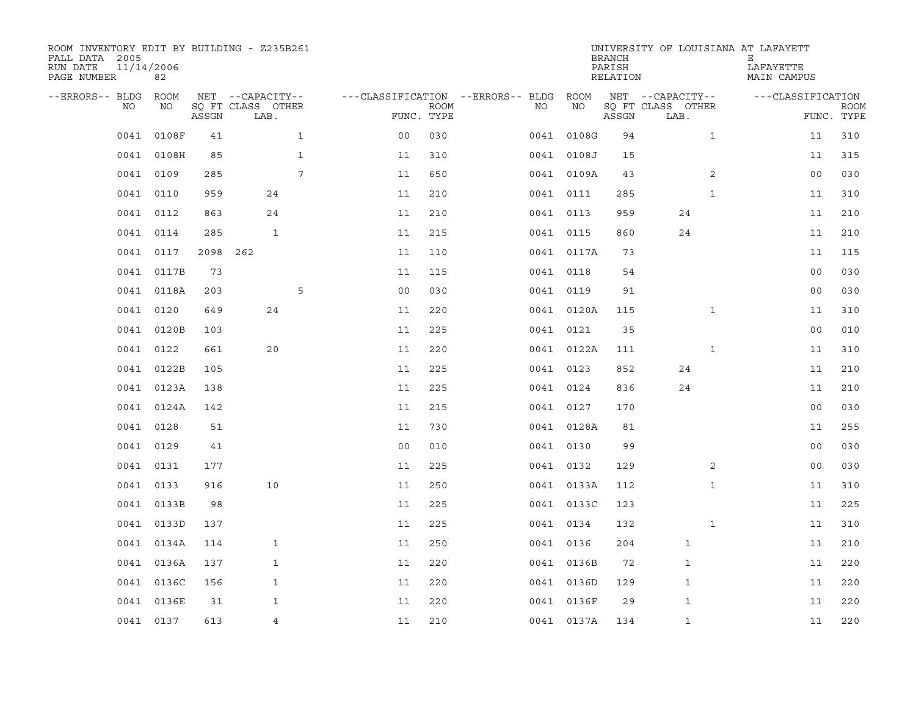| ROOM INVENTORY EDIT BY BUILDING - Z235B261<br>FALL DATA 2005<br>RUN DATE<br>PAGE NUMBER | 11/14/2006<br>82 |       |                           |              |                                        |             |           |            | <b>BRANCH</b><br>PARISH<br>RELATION |                           | UNIVERSITY OF LOUISIANA AT LAFAYETT<br>Е<br>LAFAYETTE<br>MAIN CAMPUS |                |             |
|-----------------------------------------------------------------------------------------|------------------|-------|---------------------------|--------------|----------------------------------------|-------------|-----------|------------|-------------------------------------|---------------------------|----------------------------------------------------------------------|----------------|-------------|
| --ERRORS-- BLDG ROOM                                                                    |                  |       | NET --CAPACITY--          |              | ---CLASSIFICATION --ERRORS-- BLDG ROOM |             |           |            |                                     | NET --CAPACITY--          | ---CLASSIFICATION                                                    |                |             |
| NO.                                                                                     | NO               | ASSGN | SQ FT CLASS OTHER<br>LAB. |              | FUNC. TYPE                             | <b>ROOM</b> | NO.       | NO         | ASSGN                               | SQ FT CLASS OTHER<br>LAB. |                                                                      | FUNC. TYPE     | <b>ROOM</b> |
| 0041                                                                                    | 0108F            | 41    |                           | $\mathbf{1}$ | 0 <sub>0</sub>                         | 030         |           | 0041 0108G | 94                                  | $\mathbf{1}$              |                                                                      | 11             | 310         |
| 0041                                                                                    | 0108H            | 85    |                           | $\mathbf{1}$ | 11                                     | 310         |           | 0041 0108J | 15                                  |                           |                                                                      | 11             | 315         |
|                                                                                         | 0041 0109        | 285   |                           | 7            | 11                                     | 650         |           | 0041 0109A | 43                                  | 2                         |                                                                      | 0 <sub>0</sub> | 030         |
|                                                                                         | 0041 0110        | 959   | 24                        |              | 11                                     | 210         |           | 0041 0111  | 285                                 | $\mathbf{1}$              |                                                                      | 11             | 310         |
| 0041                                                                                    | 0112             | 863   | 24                        |              | 11                                     | 210         | 0041 0113 |            | 959                                 | 24                        |                                                                      | 11             | 210         |
| 0041                                                                                    | 0114             | 285   | $\mathbf{1}$              |              | 11                                     | 215         |           | 0041 0115  | 860                                 | 24                        |                                                                      | 11             | 210         |
| 0041                                                                                    | 0117             | 2098  | 262                       |              | 11                                     | 110         |           | 0041 0117A | 73                                  |                           |                                                                      | 11             | 115         |
| 0041                                                                                    | 0117B            | 73    |                           |              | 11                                     | 115         | 0041 0118 |            | 54                                  |                           |                                                                      | 0 <sub>0</sub> | 030         |
| 0041                                                                                    | 0118A            | 203   |                           | 5            | 0 <sub>0</sub>                         | 030         | 0041 0119 |            | 91                                  |                           |                                                                      | 0 <sub>0</sub> | 030         |
| 0041                                                                                    | 0120             | 649   | 24                        |              | 11                                     | 220         |           | 0041 0120A | 115                                 | $\mathbf{1}$              |                                                                      | 11             | 310         |
| 0041                                                                                    | 0120B            | 103   |                           |              | 11                                     | 225         | 0041 0121 |            | 35                                  |                           |                                                                      | 0 <sub>0</sub> | 010         |
|                                                                                         | 0041 0122        | 661   | 20                        |              | 11                                     | 220         |           | 0041 0122A | 111                                 | $\mathbf{1}$              |                                                                      | 11             | 310         |
| 0041                                                                                    | 0122B            | 105   |                           |              | 11                                     | 225         |           | 0041 0123  | 852                                 | 24                        |                                                                      | 11             | 210         |
|                                                                                         | 0041 0123A       | 138   |                           |              | 11                                     | 225         | 0041 0124 |            | 836                                 | 24                        |                                                                      | 11             | 210         |
| 0041                                                                                    | 0124A            | 142   |                           |              | 11                                     | 215         |           | 0041 0127  | 170                                 |                           |                                                                      | 0 <sub>0</sub> | 030         |
| 0041                                                                                    | 0128             | 51    |                           |              | 11                                     | 730         |           | 0041 0128A | 81                                  |                           |                                                                      | 11             | 255         |
| 0041                                                                                    | 0129             | 41    |                           |              | 0 <sub>0</sub>                         | 010         |           | 0041 0130  | 99                                  |                           |                                                                      | 0 <sub>0</sub> | 030         |
| 0041                                                                                    | 0131             | 177   |                           |              | 11                                     | 225         |           | 0041 0132  | 129                                 |                           | 2                                                                    | 0 <sub>0</sub> | 030         |
|                                                                                         | 0041 0133        | 916   | 10                        |              | 11                                     | 250         |           | 0041 0133A | 112                                 | $\mathbf{1}$              |                                                                      | 11             | 310         |
| 0041                                                                                    | 0133B            | 98    |                           |              | 11                                     | 225         |           | 0041 0133C | 123                                 |                           |                                                                      | 11             | 225         |
|                                                                                         | 0041 0133D       | 137   |                           |              | 11                                     | 225         |           | 0041 0134  | 132                                 | $\mathbf{1}$              |                                                                      | 11             | 310         |
| 0041                                                                                    | 0134A            | 114   | $\mathbf{1}$              |              | 11                                     | 250         |           | 0041 0136  | 204                                 | $\mathbf{1}$              |                                                                      | 11             | 210         |
|                                                                                         | 0041 0136A       | 137   | $\mathbf{1}$              |              | 11                                     | 220         |           | 0041 0136B | 72                                  | 1                         |                                                                      | 11             | 220         |
| 0041                                                                                    | 0136C            | 156   | $\mathbf{1}$              |              | 11                                     | 220         |           | 0041 0136D | 129                                 | 1                         |                                                                      | 11             | 220         |
| 0041                                                                                    | 0136E            | 31    | 1                         |              | 11                                     | 220         |           | 0041 0136F | 29                                  | $\mathbf 1$               |                                                                      | 11             | 220         |
|                                                                                         | 0041 0137        | 613   | $\overline{4}$            |              | 11                                     | 210         |           | 0041 0137A | 134                                 | $\mathbf{1}$              |                                                                      | 11             | 220         |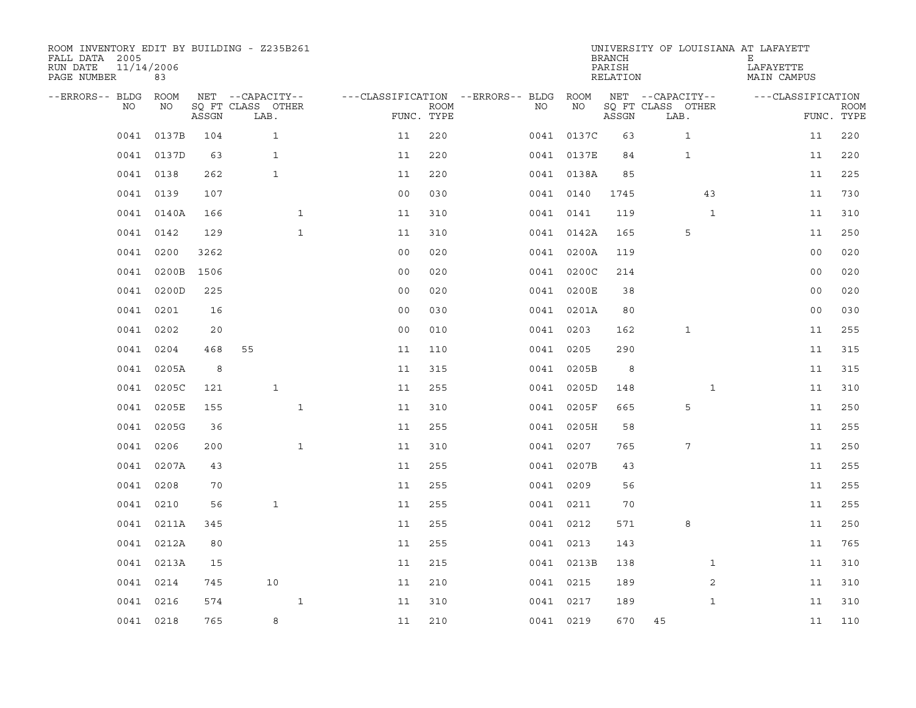| ROOM INVENTORY EDIT BY BUILDING - Z235B261<br>FALL DATA 2005<br>RUN DATE<br>PAGE NUMBER | 11/14/2006<br>83 |       |                           |              |                                        |             |           |            | <b>BRANCH</b><br>PARISH<br>RELATION |                           | UNIVERSITY OF LOUISIANA AT LAFAYETT<br>Е<br>LAFAYETTE<br>MAIN CAMPUS |                           |
|-----------------------------------------------------------------------------------------|------------------|-------|---------------------------|--------------|----------------------------------------|-------------|-----------|------------|-------------------------------------|---------------------------|----------------------------------------------------------------------|---------------------------|
| --ERRORS-- BLDG ROOM                                                                    |                  |       | NET --CAPACITY--          |              | ---CLASSIFICATION --ERRORS-- BLDG ROOM |             |           |            |                                     | NET --CAPACITY--          | ---CLASSIFICATION                                                    |                           |
| NO.                                                                                     | NO               | ASSGN | SQ FT CLASS OTHER<br>LAB. |              | FUNC. TYPE                             | <b>ROOM</b> | NO.       | <b>NO</b>  | ASSGN                               | SQ FT CLASS OTHER<br>LAB. |                                                                      | <b>ROOM</b><br>FUNC. TYPE |
| 0041                                                                                    | 0137B            | 104   | $\mathbf{1}$              |              | 11                                     | 220         |           | 0041 0137C | 63                                  | $\mathbf{1}$              | 11                                                                   | 220                       |
| 0041                                                                                    | 0137D            | 63    | $\mathbf{1}$              |              | 11                                     | 220         |           | 0041 0137E | 84                                  | $\mathbf{1}$              | 11                                                                   | 220                       |
|                                                                                         | 0041 0138        | 262   | $\mathbf{1}$              |              | 11                                     | 220         |           | 0041 0138A | 85                                  |                           | 11                                                                   | 225                       |
|                                                                                         | 0041 0139        | 107   |                           |              | 0 <sub>0</sub>                         | 030         |           | 0041 0140  | 1745                                | 43                        | 11                                                                   | 730                       |
| 0041                                                                                    | 0140A            | 166   |                           | $\mathbf{1}$ | 11                                     | 310         |           | 0041 0141  | 119                                 | $\mathbf{1}$              | 11                                                                   | 310                       |
| 0041                                                                                    | 0142             | 129   |                           | $\mathbf{1}$ | 11                                     | 310         |           | 0041 0142A | 165                                 | 5                         | 11                                                                   | 250                       |
| 0041                                                                                    | 0200             | 3262  |                           |              | 0 <sub>0</sub>                         | 020         |           | 0041 0200A | 119                                 |                           | 0 <sub>0</sub>                                                       | 020                       |
| 0041                                                                                    | 0200B            | 1506  |                           |              | 0 <sub>0</sub>                         | 020         |           | 0041 0200C | 214                                 |                           | 0 <sub>0</sub>                                                       | 020                       |
| 0041                                                                                    | 0200D            | 225   |                           |              | 0 <sub>0</sub>                         | 020         |           | 0041 0200E | 38                                  |                           | 0 <sub>0</sub>                                                       | 020                       |
| 0041                                                                                    | 0201             | 16    |                           |              | 0 <sub>0</sub>                         | 030         |           | 0041 0201A | 80                                  |                           | 0 <sub>0</sub>                                                       | 030                       |
| 0041                                                                                    | 0202             | 20    |                           |              | 0 <sub>0</sub>                         | 010         |           | 0041 0203  | 162                                 | $\mathbf 1$               | 11                                                                   | 255                       |
|                                                                                         | 0041 0204        | 468   | 55                        |              | 11                                     | 110         |           | 0041 0205  | 290                                 |                           | 11                                                                   | 315                       |
| 0041                                                                                    | 0205A            | 8     |                           |              | 11                                     | 315         |           | 0041 0205B | 8                                   |                           | 11                                                                   | 315                       |
| 0041                                                                                    | 0205C            | 121   | $\mathbf{1}$              |              | 11                                     | 255         |           | 0041 0205D | 148                                 | $\mathbf{1}$              | 11                                                                   | 310                       |
| 0041                                                                                    | 0205E            | 155   |                           | $\mathbf{1}$ | 11                                     | 310         |           | 0041 0205F | 665                                 | 5                         | 11                                                                   | 250                       |
| 0041                                                                                    | 0205G            | 36    |                           |              | 11                                     | 255         |           | 0041 0205H | 58                                  |                           | 11                                                                   | 255                       |
| 0041                                                                                    | 0206             | 200   |                           | $\mathbf{1}$ | 11                                     | 310         |           | 0041 0207  | 765                                 | 7                         | 11                                                                   | 250                       |
| 0041                                                                                    | 0207A            | 43    |                           |              | 11                                     | 255         |           | 0041 0207B | 43                                  |                           | 11                                                                   | 255                       |
| 0041                                                                                    | 0208             | 70    |                           |              | 11                                     | 255         |           | 0041 0209  | 56                                  |                           | 11                                                                   | 255                       |
| 0041                                                                                    | 0210             | 56    | $\mathbf{1}$              |              | 11                                     | 255         |           | 0041 0211  | 70                                  |                           | 11                                                                   | 255                       |
|                                                                                         | 0041 0211A       | 345   |                           |              | 11                                     | 255         |           | 0041 0212  | 571                                 | 8                         | 11                                                                   | 250                       |
| 0041                                                                                    | 0212A            | 80    |                           |              | 11                                     | 255         |           | 0041 0213  | 143                                 |                           | 11                                                                   | 765                       |
|                                                                                         | 0041 0213A       | 15    |                           |              | 11                                     | 215         |           | 0041 0213B | 138                                 | $\mathbf{1}$              | 11                                                                   | 310                       |
| 0041                                                                                    | 0214             | 745   | 10                        |              | 11                                     | 210         | 0041 0215 |            | 189                                 | 2                         | 11                                                                   | 310                       |
| 0041                                                                                    | 0216             | 574   |                           | $\mathbf{1}$ | 11                                     | 310         |           | 0041 0217  | 189                                 | $\mathbf{1}$              | 11                                                                   | 310                       |
|                                                                                         | 0041 0218        | 765   | 8                         |              | 11                                     | 210         |           | 0041 0219  | 670                                 | 45                        | 11                                                                   | 110                       |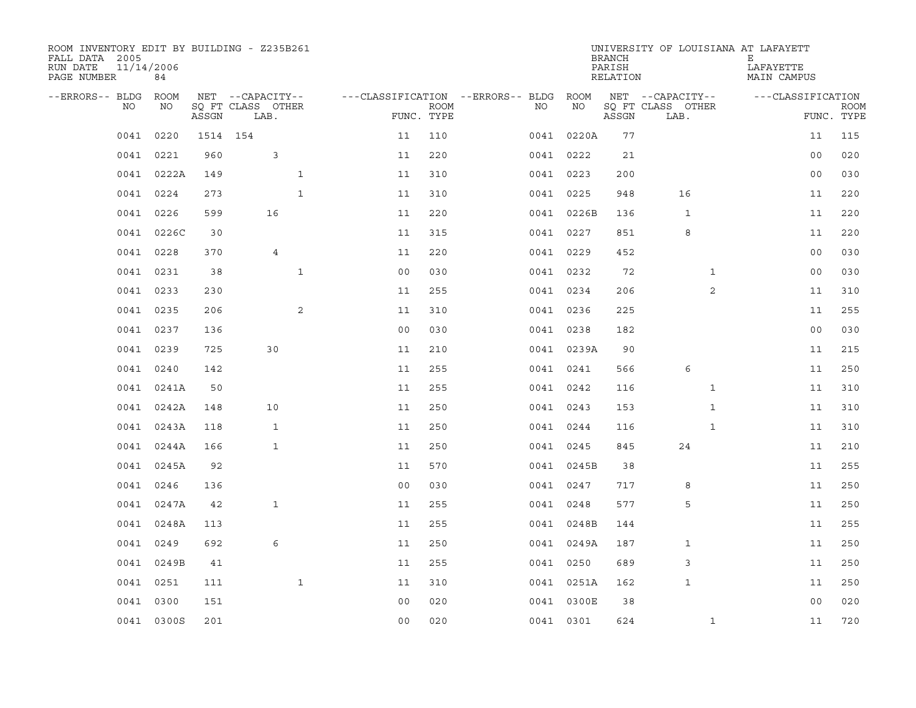| ROOM INVENTORY EDIT BY BUILDING - Z235B261<br>FALL DATA 2005<br>RUN DATE<br>PAGE NUMBER | 11/14/2006<br>84 |          |                           |              |                |                           |                                        |            | <b>BRANCH</b><br>PARISH<br>RELATION | UNIVERSITY OF LOUISIANA AT LAFAYETT | Е<br>LAFAYETTE<br>MAIN CAMPUS |                           |
|-----------------------------------------------------------------------------------------|------------------|----------|---------------------------|--------------|----------------|---------------------------|----------------------------------------|------------|-------------------------------------|-------------------------------------|-------------------------------|---------------------------|
| --ERRORS-- BLDG ROOM                                                                    |                  |          | NET --CAPACITY--          |              |                |                           | ---CLASSIFICATION --ERRORS-- BLDG ROOM |            |                                     | NET --CAPACITY--                    | ---CLASSIFICATION             |                           |
| NO                                                                                      | NO               | ASSGN    | SQ FT CLASS OTHER<br>LAB. |              |                | <b>ROOM</b><br>FUNC. TYPE | NO                                     | NO         | ASSGN                               | SQ FT CLASS OTHER<br>LAB.           |                               | <b>ROOM</b><br>FUNC. TYPE |
| 0041                                                                                    | 0220             | 1514 154 |                           |              | 11             | 110                       |                                        | 0041 0220A | 77                                  |                                     | 11                            | 115                       |
|                                                                                         | 0041 0221        | 960      | 3                         |              | 11             | 220                       |                                        | 0041 0222  | 21                                  |                                     | 0 <sub>0</sub>                | 020                       |
| 0041                                                                                    | 0222A            | 149      |                           | $\mathbf{1}$ | 11             | 310                       |                                        | 0041 0223  | 200                                 |                                     | 0 <sub>0</sub>                | 030                       |
| 0041                                                                                    | 0224             | 273      |                           | $\mathbf{1}$ | 11             | 310                       |                                        | 0041 0225  | 948                                 | 16                                  | 11                            | 220                       |
| 0041                                                                                    | 0226             | 599      | 16                        |              | 11             | 220                       |                                        | 0041 0226B | 136                                 | $\mathbf{1}$                        | 11                            | 220                       |
|                                                                                         | 0041 0226C       | 30       |                           |              | 11             | 315                       |                                        | 0041 0227  | 851                                 | 8                                   | 11                            | 220                       |
| 0041                                                                                    | 0228             | 370      | 4                         |              | 11             | 220                       |                                        | 0041 0229  | 452                                 |                                     | 0 <sub>0</sub>                | 030                       |
|                                                                                         | 0041 0231        | 38       |                           | $\mathbf{1}$ | 0 <sub>0</sub> | 030                       |                                        | 0041 0232  | 72                                  | $\mathbf{1}$                        | 0 <sub>0</sub>                | 030                       |
| 0041                                                                                    | 0233             | 230      |                           |              | 11             | 255                       |                                        | 0041 0234  | 206                                 | $\overline{2}$                      | 11                            | 310                       |
|                                                                                         | 0041 0235        | 206      |                           | 2            | 11             | 310                       |                                        | 0041 0236  | 225                                 |                                     | 11                            | 255                       |
| 0041                                                                                    | 0237             | 136      |                           |              | 0 <sub>0</sub> | 030                       |                                        | 0041 0238  | 182                                 |                                     | 0 <sub>0</sub>                | 030                       |
|                                                                                         | 0041 0239        | 725      | 30                        |              | 11             | 210                       |                                        | 0041 0239A | 90                                  |                                     | 11                            | 215                       |
| 0041                                                                                    | 0240             | 142      |                           |              | 11             | 255                       |                                        | 0041 0241  | 566                                 | 6                                   | 11                            | 250                       |
|                                                                                         | 0041 0241A       | 50       |                           |              | 11             | 255                       |                                        | 0041 0242  | 116                                 | $\mathbf{1}$                        | 11                            | 310                       |
|                                                                                         | 0041 0242A       | 148      | 10                        |              | 11             | 250                       |                                        | 0041 0243  | 153                                 | $\mathbf{1}$                        | 11                            | 310                       |
|                                                                                         | 0041 0243A       | 118      | $\mathbf{1}$              |              | 11             | 250                       |                                        | 0041 0244  | 116                                 | $\mathbf{1}$                        | 11                            | 310                       |
| 0041                                                                                    | 0244A            | 166      | $\mathbf{1}$              |              | 11             | 250                       |                                        | 0041 0245  | 845                                 | 24                                  | 11                            | 210                       |
| 0041                                                                                    | 0245A            | 92       |                           |              | 11             | 570                       |                                        | 0041 0245B | 38                                  |                                     | 11                            | 255                       |
| 0041                                                                                    | 0246             | 136      |                           |              | 0 <sub>0</sub> | 030                       |                                        | 0041 0247  | 717                                 | 8                                   | 11                            | 250                       |
|                                                                                         | 0041 0247A       | 42       | $\mathbf{1}$              |              | 11             | 255                       |                                        | 0041 0248  | 577                                 | 5                                   | 11                            | 250                       |
| 0041                                                                                    | 0248A            | 113      |                           |              | 11             | 255                       |                                        | 0041 0248B | 144                                 |                                     | 11                            | 255                       |
| 0041                                                                                    | 0249             | 692      | 6                         |              | 11             | 250                       |                                        | 0041 0249A | 187                                 | 1                                   | 11                            | 250                       |
|                                                                                         | 0041 0249B       | 41       |                           |              | 11             | 255                       |                                        | 0041 0250  | 689                                 | 3                                   | 11                            | 250                       |
|                                                                                         | 0041 0251        | 111      |                           | $\mathbf{1}$ | 11             | 310                       |                                        | 0041 0251A | 162                                 | $\mathbf 1$                         | 11                            | 250                       |
| 0041                                                                                    | 0300             | 151      |                           |              | 0 <sub>0</sub> | 020                       |                                        | 0041 0300E | 38                                  |                                     | 0 <sub>0</sub>                | 020                       |
|                                                                                         | 0041 0300S       | 201      |                           |              | 0 <sub>0</sub> | 020                       |                                        | 0041 0301  | 624                                 | $\mathbf{1}$                        | 11                            | 720                       |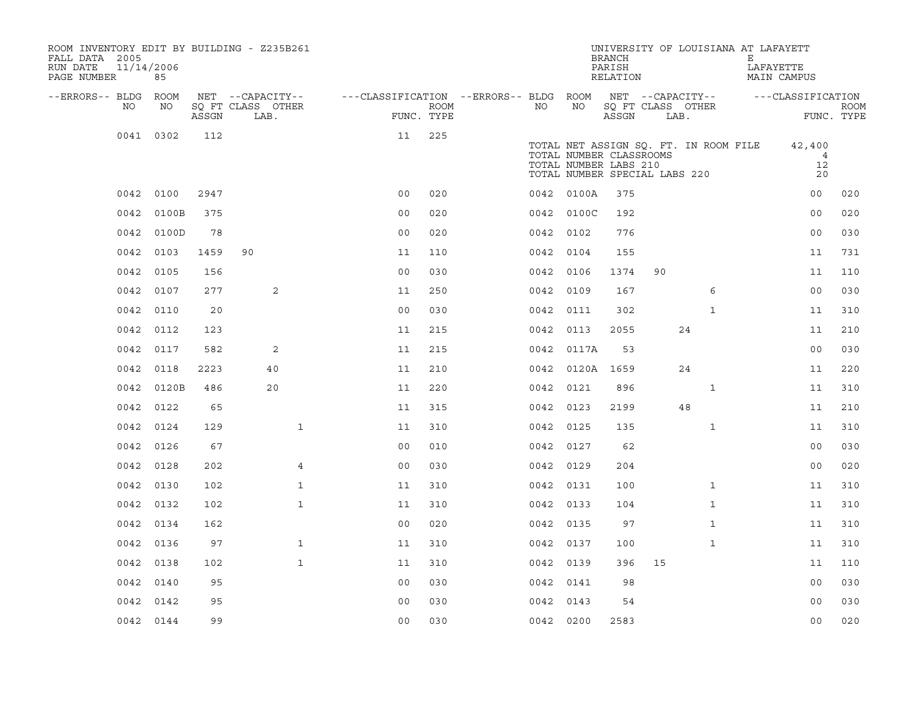| ROOM INVENTORY EDIT BY BUILDING - Z235B261<br>FALL DATA 2005<br>11/14/2006<br>RUN DATE<br>PAGE NUMBER | 85         |       |                           |                                        |      |           |                                                                                   | <b>BRANCH</b><br>PARISH<br>RELATION |      | UNIVERSITY OF LOUISIANA AT LAFAYETT   | Е | LAFAYETTE<br>MAIN CAMPUS             |                           |
|-------------------------------------------------------------------------------------------------------|------------|-------|---------------------------|----------------------------------------|------|-----------|-----------------------------------------------------------------------------------|-------------------------------------|------|---------------------------------------|---|--------------------------------------|---------------------------|
| --ERRORS-- BLDG ROOM                                                                                  |            |       | NET --CAPACITY--          | ---CLASSIFICATION --ERRORS-- BLDG ROOM |      |           |                                                                                   |                                     |      |                                       |   | NET --CAPACITY-- - --CLASSIFICATION  |                           |
| NO                                                                                                    | NO         | ASSGN | SQ FT CLASS OTHER<br>LAB. | FUNC. TYPE                             | ROOM | NO.       | NO                                                                                | ASSGN                               | LAB. | SQ FT CLASS OTHER                     |   |                                      | <b>ROOM</b><br>FUNC. TYPE |
|                                                                                                       | 0041 0302  | 112   |                           | 11                                     | 225  |           | TOTAL NUMBER CLASSROOMS<br>TOTAL NUMBER LABS 210<br>TOTAL NUMBER SPECIAL LABS 220 |                                     |      | TOTAL NET ASSIGN SQ. FT. IN ROOM FILE |   | 42,400<br>$\overline{4}$<br>12<br>20 |                           |
|                                                                                                       | 0042 0100  | 2947  |                           | 0 <sub>0</sub>                         | 020  |           | 0042 0100A                                                                        | 375                                 |      |                                       |   | 00                                   | 020                       |
| 0042                                                                                                  | 0100B      | 375   |                           | 0 <sub>0</sub>                         | 020  |           | 0042 0100C                                                                        | 192                                 |      |                                       |   | 0 <sub>0</sub>                       | 020                       |
|                                                                                                       | 0042 0100D | 78    |                           | 0 <sub>0</sub>                         | 020  | 0042 0102 |                                                                                   | 776                                 |      |                                       |   | 0 <sub>0</sub>                       | 030                       |
| 0042                                                                                                  | 0103       | 1459  | 90                        | 11                                     | 110  | 0042 0104 |                                                                                   | 155                                 |      |                                       |   | 11                                   | 731                       |
| 0042                                                                                                  | 0105       | 156   |                           | 0 <sub>0</sub>                         | 030  | 0042 0106 |                                                                                   | 1374                                | 90   |                                       |   | 11                                   | 110                       |
| 0042                                                                                                  | 0107       | 277   | 2                         | 11                                     | 250  | 0042 0109 |                                                                                   | 167                                 |      | 6                                     |   | 0 <sub>0</sub>                       | 030                       |
|                                                                                                       | 0042 0110  | 20    |                           | 0 <sub>0</sub>                         | 030  | 0042 0111 |                                                                                   | 302                                 |      | $\mathbf{1}$                          |   | 11                                   | 310                       |
| 0042                                                                                                  | 0112       | 123   |                           | 11                                     | 215  | 0042 0113 |                                                                                   | 2055                                |      | 24                                    |   | 11                                   | 210                       |
|                                                                                                       | 0042 0117  | 582   | 2                         | 11                                     | 215  |           | 0042 0117A                                                                        | 53                                  |      |                                       |   | 0 <sub>0</sub>                       | 030                       |
| 0042                                                                                                  | 0118       | 2223  | 40                        | 11                                     | 210  |           | 0042 0120A 1659                                                                   |                                     |      | 24                                    |   | 11                                   | 220                       |
|                                                                                                       | 0042 0120B | 486   | 20                        | 11                                     | 220  | 0042 0121 |                                                                                   | 896                                 |      | $\mathbf{1}$                          |   | 11                                   | 310                       |
|                                                                                                       | 0042 0122  | 65    |                           | 11                                     | 315  | 0042 0123 |                                                                                   | 2199                                |      | 48                                    |   | 11                                   | 210                       |
|                                                                                                       | 0042 0124  | 129   | $\mathbf{1}$              | 11                                     | 310  | 0042 0125 |                                                                                   | 135                                 |      | $\mathbf{1}$                          |   | 11                                   | 310                       |
|                                                                                                       | 0042 0126  | 67    |                           | 0 <sub>0</sub>                         | 010  | 0042 0127 |                                                                                   | 62                                  |      |                                       |   | 00                                   | 030                       |
| 0042                                                                                                  | 0128       | 202   | 4                         | 0 <sub>0</sub>                         | 030  | 0042 0129 |                                                                                   | 204                                 |      |                                       |   | 00                                   | 020                       |
|                                                                                                       | 0042 0130  | 102   | $\mathbf{1}$              | 11                                     | 310  | 0042 0131 |                                                                                   | 100                                 |      | $\mathbf{1}$                          |   | 11                                   | 310                       |
|                                                                                                       | 0042 0132  | 102   | $\mathbf{1}$              | 11                                     | 310  | 0042 0133 |                                                                                   | 104                                 |      | $\mathbf{1}$                          |   | 11                                   | 310                       |
|                                                                                                       | 0042 0134  | 162   |                           | 0 <sub>0</sub>                         | 020  | 0042 0135 |                                                                                   | 97                                  |      | $\mathbf{1}$                          |   | 11                                   | 310                       |
|                                                                                                       | 0042 0136  | 97    | $\mathbf{1}$              | 11                                     | 310  | 0042 0137 |                                                                                   | 100                                 |      | $\mathbf{1}$                          |   | 11                                   | 310                       |
|                                                                                                       | 0042 0138  | 102   | $\mathbf{1}$              | 11                                     | 310  | 0042 0139 |                                                                                   | 396                                 | 15   |                                       |   | 11                                   | 110                       |
|                                                                                                       | 0042 0140  | 95    |                           | 0 <sub>0</sub>                         | 030  | 0042 0141 |                                                                                   | 98                                  |      |                                       |   | 0 <sub>0</sub>                       | 030                       |
|                                                                                                       | 0042 0142  | 95    |                           | 0 <sub>0</sub>                         | 030  | 0042 0143 |                                                                                   | 54                                  |      |                                       |   | 0 <sub>0</sub>                       | 030                       |
|                                                                                                       | 0042 0144  | 99    |                           | 0 <sub>0</sub>                         | 030  | 0042 0200 |                                                                                   | 2583                                |      |                                       |   | 0 <sub>0</sub>                       | 020                       |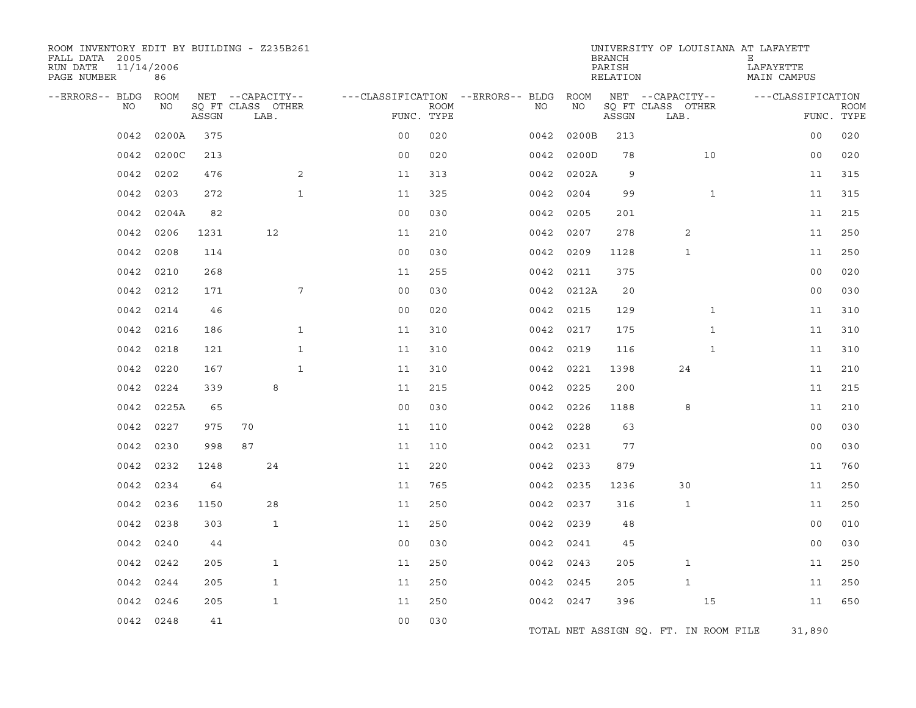| ROOM INVENTORY EDIT BY BUILDING - Z235B261<br>FALL DATA 2005<br>RUN DATE<br>PAGE NUMBER | 11/14/2006<br>86 |       |                                       |                |             |                                         |               | <b>BRANCH</b><br>PARISH<br>RELATION |                                       |              | UNIVERSITY OF LOUISIANA AT LAFAYETT<br>Е<br>LAFAYETTE<br>MAIN CAMPUS |             |
|-----------------------------------------------------------------------------------------|------------------|-------|---------------------------------------|----------------|-------------|-----------------------------------------|---------------|-------------------------------------|---------------------------------------|--------------|----------------------------------------------------------------------|-------------|
| --ERRORS-- BLDG<br>NO                                                                   | ROOM<br>NO       |       | NET --CAPACITY--<br>SQ FT CLASS OTHER |                | <b>ROOM</b> | ---CLASSIFICATION --ERRORS-- BLDG<br>NO | ROOM<br>ΝO    |                                     | NET --CAPACITY--<br>SO FT CLASS OTHER |              | ---CLASSIFICATION                                                    | <b>ROOM</b> |
|                                                                                         |                  | ASSGN | LAB.                                  |                | FUNC. TYPE  |                                         |               | ASSGN                               | LAB.                                  |              |                                                                      | FUNC. TYPE  |
| 0042                                                                                    | 0200A            | 375   |                                       | 0 <sup>0</sup> | 020         | 0042                                    | 0200B         | 213                                 |                                       |              | 0 <sub>0</sub>                                                       | 020         |
| 0042                                                                                    | 0200C            | 213   |                                       | 0 <sub>0</sub> | 020         | 0042                                    | 0200D         | 78                                  |                                       | 10           | 0 <sub>0</sub>                                                       | 020         |
| 0042                                                                                    | 0202             | 476   | 2                                     | 11             | 313         |                                         | 0042<br>0202A | 9                                   |                                       |              | 11                                                                   | 315         |
| 0042                                                                                    | 0203             | 272   | $\mathbf{1}$                          | 11             | 325         | 0042                                    | 0204          | 99                                  |                                       | $\mathbf{1}$ | 11                                                                   | 315         |
| 0042                                                                                    | 0204A            | 82    |                                       | 0 <sub>0</sub> | 030         |                                         | 0042<br>0205  | 201                                 |                                       |              | 11                                                                   | 215         |
| 0042                                                                                    | 0206             | 1231  | 12                                    | 11             | 210         |                                         | 0207<br>0042  | 278                                 | 2                                     |              | 11                                                                   | 250         |
| 0042                                                                                    | 0208             | 114   |                                       | 0 <sub>0</sub> | 030         |                                         | 0042 0209     | 1128                                | $\mathbf 1$                           |              | 11                                                                   | 250         |
| 0042                                                                                    | 0210             | 268   |                                       | 11             | 255         |                                         | 0042 0211     | 375                                 |                                       |              | 0 <sub>0</sub>                                                       | 020         |
| 0042                                                                                    | 0212             | 171   | 7                                     | 0 <sub>0</sub> | 030         |                                         | 0042 0212A    | 20                                  |                                       |              | 0 <sub>0</sub>                                                       | 030         |
| 0042                                                                                    | 0214             | 46    |                                       | 0 <sub>0</sub> | 020         |                                         | 0215<br>0042  | 129                                 |                                       | $\mathbf{1}$ | 11                                                                   | 310         |
| 0042                                                                                    | 0216             | 186   | $\mathbf{1}$                          | 11             | 310         |                                         | 0042 0217     | 175                                 |                                       | $\mathbf{1}$ | 11                                                                   | 310         |
| 0042                                                                                    | 0218             | 121   | $\mathbf{1}$                          | 11             | 310         |                                         | 0042 0219     | 116                                 |                                       | $\mathbf{1}$ | 11                                                                   | 310         |
| 0042                                                                                    | 0220             | 167   | $\mathbf{1}$                          | 11             | 310         |                                         | 0042 0221     | 1398                                | 24                                    |              | 11                                                                   | 210         |
| 0042                                                                                    | 0224             | 339   | 8                                     | 11             | 215         |                                         | 0225<br>0042  | 200                                 |                                       |              | 11                                                                   | 215         |
| 0042                                                                                    | 0225A            | 65    |                                       | 0 <sub>0</sub> | 030         | 0042                                    | 0226          | 1188                                | 8                                     |              | 11                                                                   | 210         |
| 0042                                                                                    | 0227             | 975   | 70                                    | 11             | 110         |                                         | 0042 0228     | 63                                  |                                       |              | 0 <sub>0</sub>                                                       | 030         |
| 0042                                                                                    | 0230             | 998   | 87                                    | 11             | 110         |                                         | 0042 0231     | 77                                  |                                       |              | 0 <sub>0</sub>                                                       | 030         |
| 0042                                                                                    | 0232             | 1248  | 24                                    | 11             | 220         |                                         | 0042 0233     | 879                                 |                                       |              | 11                                                                   | 760         |
| 0042                                                                                    | 0234             | 64    |                                       | 11             | 765         |                                         | 0042 0235     | 1236                                | 30                                    |              | 11                                                                   | 250         |
| 0042                                                                                    | 0236             | 1150  | 28                                    | 11             | 250         |                                         | 0042<br>0237  | 316                                 | 1                                     |              | 11                                                                   | 250         |
| 0042                                                                                    | 0238             | 303   | $\mathbf{1}$                          | 11             | 250         |                                         | 0042 0239     | 48                                  |                                       |              | 00                                                                   | 010         |
| 0042                                                                                    | 0240             | 44    |                                       | 0 <sub>0</sub> | 030         |                                         | 0042 0241     | 45                                  |                                       |              | 0 <sub>0</sub>                                                       | 030         |
| 0042                                                                                    | 0242             | 205   | $\mathbf{1}$                          | 11             | 250         |                                         | 0042 0243     | 205                                 | $\mathbf 1$                           |              | 11                                                                   | 250         |
| 0042                                                                                    | 0244             | 205   | $\mathbf{1}$                          | 11             | 250         | 0042                                    | 0245          | 205                                 | 1                                     |              | 11                                                                   | 250         |
| 0042                                                                                    | 0246             | 205   | $\mathbf{1}$                          | 11             | 250         |                                         | 0042 0247     | 396                                 |                                       | 15           | 11                                                                   | 650         |
|                                                                                         | 0042 0248        | 41    |                                       | 0 <sub>0</sub> | 030         |                                         |               |                                     | TOTAL NET ASSIGN SQ. FT. IN ROOM FILE |              | 31,890                                                               |             |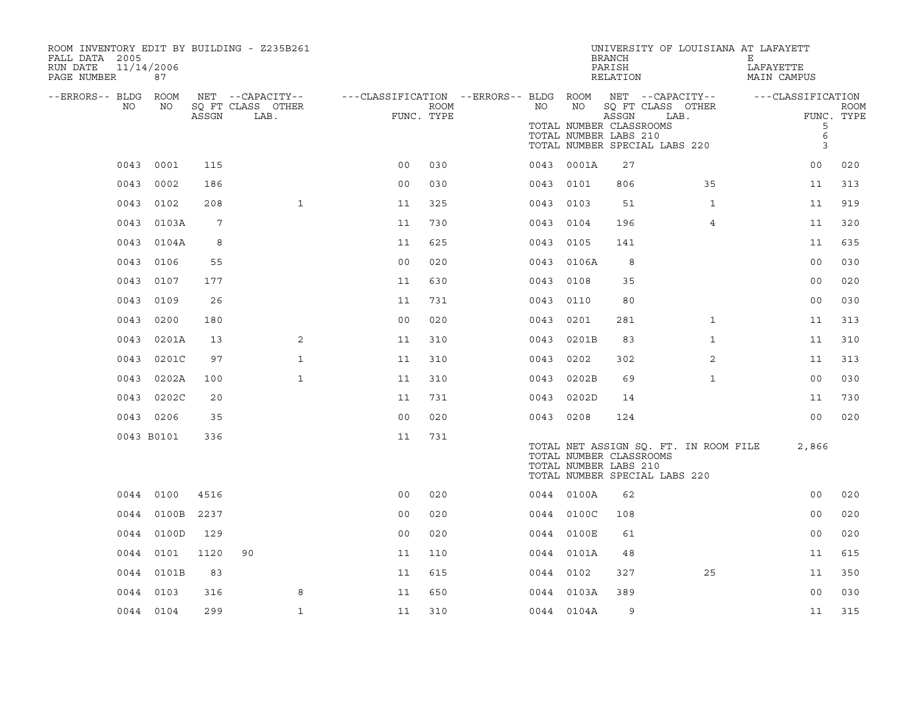| ROOM INVENTORY EDIT BY BUILDING - Z235B261<br>FALL DATA 2005<br>11/14/2006<br>RUN DATE<br>PAGE NUMBER | 87         |       |                           |                                                         |                    |           |                                                        | <b>BRANCH</b><br>PARISH<br>RELATION | UNIVERSITY OF LOUISIANA AT LAFAYETT                                    | Е<br>LAFAYETTE<br>MAIN CAMPUS |                           |
|-------------------------------------------------------------------------------------------------------|------------|-------|---------------------------|---------------------------------------------------------|--------------------|-----------|--------------------------------------------------------|-------------------------------------|------------------------------------------------------------------------|-------------------------------|---------------------------|
| --ERRORS-- BLDG ROOM                                                                                  |            |       | NET --CAPACITY--          | ---CLASSIFICATION --ERRORS-- BLDG ROOM NET --CAPACITY-- |                    |           |                                                        |                                     |                                                                        | ---CLASSIFICATION             |                           |
| NO                                                                                                    | NO         | ASSGN | SQ FT CLASS OTHER<br>LAB. |                                                         | ROOM<br>FUNC. TYPE | NO        | NO<br>TOTAL NUMBER CLASSROOMS<br>TOTAL NUMBER LABS 210 | ASSGN                               | SQ FT CLASS OTHER<br>LAB.<br>TOTAL NUMBER SPECIAL LABS 220             | 5<br>$\epsilon$<br>3          | <b>ROOM</b><br>FUNC. TYPE |
| 0043                                                                                                  | 0001       | 115   |                           | 0 <sub>0</sub>                                          | 030                |           | 0043 0001A                                             | 27                                  |                                                                        | 0 <sub>0</sub>                | 020                       |
| 0043                                                                                                  | 0002       | 186   |                           | 0 <sub>0</sub>                                          | 030                | 0043 0101 |                                                        | 806                                 | 35                                                                     | 11                            | 313                       |
| 0043                                                                                                  | 0102       | 208   | $\mathbf{1}$              | 11                                                      | 325                | 0043      | 0103                                                   | 51                                  | $\mathbf{1}$                                                           | 11                            | 919                       |
|                                                                                                       | 0043 0103A | 7     |                           | 11                                                      | 730                | 0043      | 0104                                                   | 196                                 | $\overline{4}$                                                         | 11                            | 320                       |
| 0043                                                                                                  | 0104A      | 8     |                           | 11                                                      | 625                | 0043      | 0105                                                   | 141                                 |                                                                        | 11                            | 635                       |
| 0043                                                                                                  | 0106       | 55    |                           | 0 <sub>0</sub>                                          | 020                |           | 0043 0106A                                             | 8                                   |                                                                        | 00                            | 030                       |
| 0043                                                                                                  | 0107       | 177   |                           | 11                                                      | 630                | 0043      | 0108                                                   | 35                                  |                                                                        | 0 <sub>0</sub>                | 020                       |
| 0043                                                                                                  | 0109       | 26    |                           | 11                                                      | 731                | 0043 0110 |                                                        | 80                                  |                                                                        | 0 <sub>0</sub>                | 030                       |
| 0043                                                                                                  | 0200       | 180   |                           | 0 <sub>0</sub>                                          | 020                | 0043      | 0201                                                   | 281                                 | $\mathbf{1}$                                                           | 11                            | 313                       |
| 0043                                                                                                  | 0201A      | 13    | $\overline{2}$            | 11                                                      | 310                |           | 0043 0201B                                             | 83                                  | $\mathbf{1}$                                                           | 11                            | 310                       |
| 0043                                                                                                  | 0201C      | 97    | $\mathbf{1}$              | 11                                                      | 310                | 0043      | 0202                                                   | 302                                 | 2                                                                      | 11                            | 313                       |
|                                                                                                       | 0043 0202A | 100   | $\mathbf{1}$              | 11                                                      | 310                |           | 0043 0202B                                             | 69                                  | $\mathbf{1}$                                                           | 0 <sub>0</sub>                | 030                       |
|                                                                                                       | 0043 0202C | 20    |                           | 11                                                      | 731                | 0043      | 0202D                                                  | 14                                  |                                                                        | 11                            | 730                       |
|                                                                                                       | 0043 0206  | 35    |                           | 0 <sub>0</sub>                                          | 020                | 0043 0208 |                                                        | 124                                 |                                                                        | 00                            | 020                       |
|                                                                                                       | 0043 B0101 | 336   |                           | 11                                                      | 731                |           | TOTAL NUMBER CLASSROOMS<br>TOTAL NUMBER LABS 210       |                                     | TOTAL NET ASSIGN SQ. FT. IN ROOM FILE<br>TOTAL NUMBER SPECIAL LABS 220 | 2,866                         |                           |
|                                                                                                       | 0044 0100  | 4516  |                           | 0 <sub>0</sub>                                          | 020                |           | 0044 0100A                                             | 62                                  |                                                                        | 0 <sub>0</sub>                | 020                       |
|                                                                                                       | 0044 0100B | 2237  |                           | 00                                                      | 020                |           | 0044 0100C                                             | 108                                 |                                                                        | 0 <sub>0</sub>                | 020                       |
|                                                                                                       | 0044 0100D | 129   |                           | 0 <sub>0</sub>                                          | 020                |           | 0044 0100E                                             | 61                                  |                                                                        | 0 <sub>0</sub>                | 020                       |
|                                                                                                       | 0044 0101  | 1120  | 90                        | 11                                                      | 110                |           | 0044 0101A                                             | 48                                  |                                                                        | 11                            | 615                       |
|                                                                                                       | 0044 0101B | 83    |                           | 11                                                      | 615                | 0044 0102 |                                                        | 327                                 | 25                                                                     | 11                            | 350                       |
|                                                                                                       | 0044 0103  | 316   | 8                         | 11                                                      | 650                |           | 0044 0103A                                             | 389                                 |                                                                        | 0 <sub>0</sub>                | 030                       |
|                                                                                                       | 0044 0104  | 299   | $\mathbf{1}$              | 11                                                      | 310                |           | 0044 0104A                                             | 9                                   |                                                                        | 11                            | 315                       |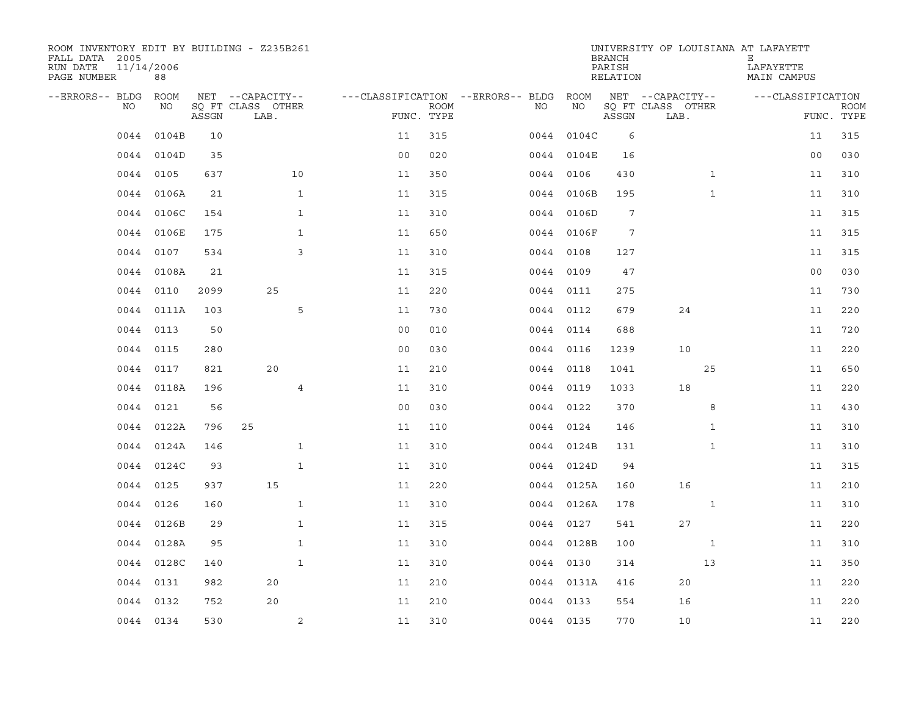| ROOM INVENTORY EDIT BY BUILDING - Z235B261<br>FALL DATA 2005<br>RUN DATE<br>PAGE NUMBER | 11/14/2006<br>88 |       |                           |                                        |             |           |            | <b>BRANCH</b><br>PARISH<br>RELATION | UNIVERSITY OF LOUISIANA AT LAFAYETT | Е<br>LAFAYETTE<br>MAIN CAMPUS |                           |
|-----------------------------------------------------------------------------------------|------------------|-------|---------------------------|----------------------------------------|-------------|-----------|------------|-------------------------------------|-------------------------------------|-------------------------------|---------------------------|
| --ERRORS-- BLDG ROOM                                                                    |                  |       | NET --CAPACITY--          | ---CLASSIFICATION --ERRORS-- BLDG ROOM |             |           |            |                                     | NET --CAPACITY--                    | ---CLASSIFICATION             |                           |
| NO                                                                                      | NO               | ASSGN | SQ FT CLASS OTHER<br>LAB. | FUNC. TYPE                             | <b>ROOM</b> | NO.       | NO         | ASSGN                               | SQ FT CLASS OTHER<br>LAB.           |                               | <b>ROOM</b><br>FUNC. TYPE |
| 0044                                                                                    | 0104B            | 10    |                           | 11                                     | 315         |           | 0044 0104C | 6                                   |                                     | 11                            | 315                       |
|                                                                                         | 0044 0104D       | 35    |                           | 0 <sub>0</sub>                         | 020         |           | 0044 0104E | 16                                  |                                     | 0 <sub>0</sub>                | 030                       |
|                                                                                         | 0044 0105        | 637   | 10                        | 11                                     | 350         |           | 0044 0106  | 430                                 | $\mathbf{1}$                        | 11                            | 310                       |
|                                                                                         | 0044 0106A       | 21    | $\mathbf{1}$              | 11                                     | 315         |           | 0044 0106B | 195                                 | $\mathbf{1}$                        | 11                            | 310                       |
| 0044                                                                                    | 0106C            | 154   | $\mathbf{1}$              | 11                                     | 310         |           | 0044 0106D | 7                                   |                                     | 11                            | 315                       |
|                                                                                         | 0044 0106E       | 175   | $\mathbf{1}$              | 11                                     | 650         |           | 0044 0106F | 7                                   |                                     | 11                            | 315                       |
| 0044                                                                                    | 0107             | 534   | 3                         | 11                                     | 310         |           | 0044 0108  | 127                                 |                                     | 11                            | 315                       |
| 0044                                                                                    | 0108A            | 21    |                           | 11                                     | 315         |           | 0044 0109  | 47                                  |                                     | 0 <sub>0</sub>                | 030                       |
| 0044                                                                                    | 0110             | 2099  | 25                        | 11                                     | 220         |           | 0044 0111  | 275                                 |                                     | 11                            | 730                       |
|                                                                                         | 0044 0111A       | 103   | 5                         | 11                                     | 730         |           | 0044 0112  | 679                                 | 24                                  | 11                            | 220                       |
| 0044                                                                                    | 0113             | 50    |                           | 0 <sub>0</sub>                         | 010         | 0044 0114 |            | 688                                 |                                     | 11                            | 720                       |
|                                                                                         | 0044 0115        | 280   |                           | 0 <sub>0</sub>                         | 030         |           | 0044 0116  | 1239                                | 10                                  | 11                            | 220                       |
| 0044                                                                                    | 0117             | 821   | 20                        | 11                                     | 210         |           | 0044 0118  | 1041                                | 25                                  | 11                            | 650                       |
|                                                                                         | 0044 0118A       | 196   | $\overline{4}$            | 11                                     | 310         |           | 0044 0119  | 1033                                | 18                                  | 11                            | 220                       |
| 0044                                                                                    | 0121             | 56    |                           | 0 <sub>0</sub>                         | 030         |           | 0044 0122  | 370                                 | 8                                   | 11                            | 430                       |
|                                                                                         | 0044 0122A       | 796   | 25                        | 11                                     | 110         |           | 0044 0124  | 146                                 | $\mathbf{1}$                        | 11                            | 310                       |
| 0044                                                                                    | 0124A            | 146   | $\mathbf{1}$              | 11                                     | 310         |           | 0044 0124B | 131                                 | $\mathbf{1}$                        | 11                            | 310                       |
| 0044                                                                                    | 0124C            | 93    | $\mathbf{1}$              | 11                                     | 310         |           | 0044 0124D | 94                                  |                                     | 11                            | 315                       |
|                                                                                         | 0044 0125        | 937   | 15                        | 11                                     | 220         |           | 0044 0125A | 160                                 | 16                                  | 11                            | 210                       |
| 0044                                                                                    | 0126             | 160   | $\mathbf{1}$              | 11                                     | 310         |           | 0044 0126A | 178                                 | $\mathbf{1}$                        | 11                            | 310                       |
|                                                                                         | 0044 0126B       | 29    | $\mathbf{1}$              | 11                                     | 315         |           | 0044 0127  | 541                                 | 27                                  | 11                            | 220                       |
|                                                                                         | 0044 0128A       | 95    | $\mathbf{1}$              | 11                                     | 310         |           | 0044 0128B | 100                                 | $\mathbf{1}$                        | 11                            | 310                       |
|                                                                                         | 0044 0128C       | 140   | $\mathbf{1}$              | 11                                     | 310         |           | 0044 0130  | 314                                 | 13                                  | 11                            | 350                       |
|                                                                                         | 0044 0131        | 982   | 20                        | 11                                     | 210         |           | 0044 0131A | 416                                 | 20                                  | 11                            | 220                       |
| 0044                                                                                    | 0132             | 752   | 20                        | 11                                     | 210         |           | 0044 0133  | 554                                 | 16                                  | 11                            | 220                       |
|                                                                                         | 0044 0134        | 530   | 2                         | 11                                     | 310         |           | 0044 0135  | 770                                 | 10                                  | 11                            | 220                       |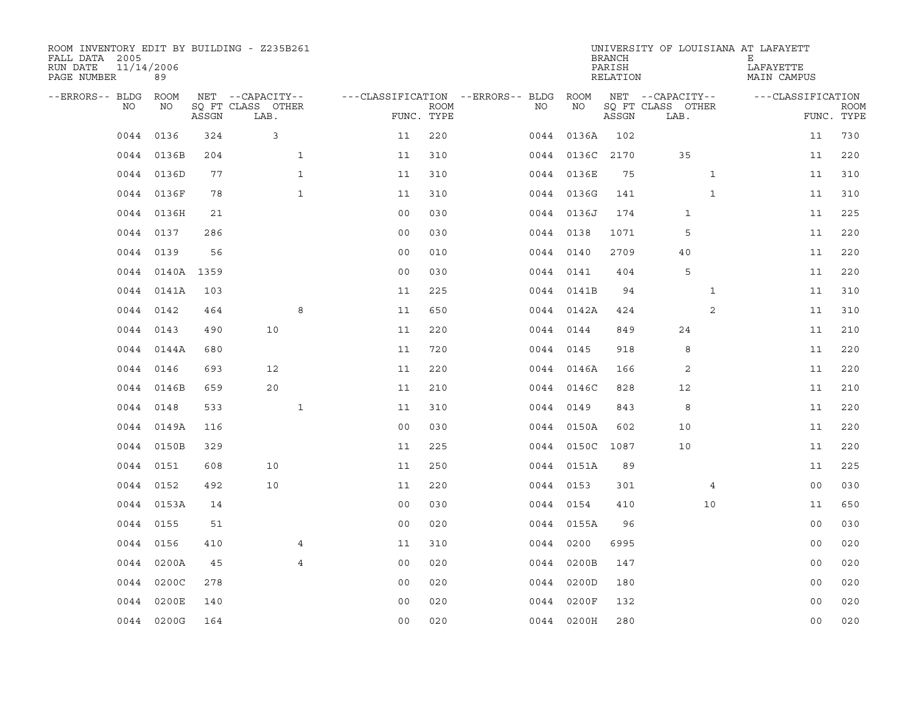| ROOM INVENTORY EDIT BY BUILDING - Z235B261<br>FALL DATA 2005<br>RUN DATE<br>PAGE NUMBER | 11/14/2006<br>89 |       |                           |                |                           |                                   |      |                 | <b>BRANCH</b><br>PARISH<br>RELATION | UNIVERSITY OF LOUISIANA AT LAFAYETT | Е<br>LAFAYETTE<br>MAIN CAMPUS |                           |
|-----------------------------------------------------------------------------------------|------------------|-------|---------------------------|----------------|---------------------------|-----------------------------------|------|-----------------|-------------------------------------|-------------------------------------|-------------------------------|---------------------------|
| --ERRORS-- BLDG                                                                         | <b>ROOM</b>      |       | NET --CAPACITY--          |                |                           | ---CLASSIFICATION --ERRORS-- BLDG |      | ROOM            |                                     | NET --CAPACITY--                    | ---CLASSIFICATION             |                           |
| NO                                                                                      | NO               | ASSGN | SO FT CLASS OTHER<br>LAB. |                | <b>ROOM</b><br>FUNC. TYPE |                                   | NO.  | NO              | ASSGN                               | SQ FT CLASS OTHER<br>LAB.           |                               | <b>ROOM</b><br>FUNC. TYPE |
| 0044                                                                                    | 0136             | 324   | 3                         | 11             | 220                       |                                   | 0044 | 0136A           | 102                                 |                                     | 11                            | 730                       |
|                                                                                         | 0044 0136B       | 204   | $\mathbf{1}$              | 11             | 310                       |                                   |      | 0044 0136C 2170 |                                     | 35                                  | 11                            | 220                       |
|                                                                                         | 0044 0136D       | 77    | $\mathbf{1}$              | 11             | 310                       |                                   |      | 0044 0136E      | 75                                  | $\mathbf{1}$                        | 11                            | 310                       |
| 0044                                                                                    | 0136F            | 78    | $\mathbf{1}$              | 11             | 310                       |                                   |      | 0044 0136G      | 141                                 | $\mathbf{1}$                        | 11                            | 310                       |
| 0044                                                                                    | 0136H            | 21    |                           | 00             | 030                       |                                   |      | 0044 0136J      | 174                                 | 1                                   | 11                            | 225                       |
| 0044                                                                                    | 0137             | 286   |                           | 0 <sub>0</sub> | 030                       |                                   |      | 0044 0138       | 1071                                | 5                                   | 11                            | 220                       |
| 0044                                                                                    | 0139             | 56    |                           | 0 <sub>0</sub> | 010                       |                                   |      | 0044 0140       | 2709                                | 40                                  | 11                            | 220                       |
| 0044                                                                                    | 0140A 1359       |       |                           | 0 <sub>0</sub> | 030                       |                                   |      | 0044 0141       | 404                                 | 5                                   | 11                            | 220                       |
| 0044                                                                                    | 0141A            | 103   |                           | 11             | 225                       |                                   |      | 0044 0141B      | 94                                  | $\mathbf{1}$                        | 11                            | 310                       |
|                                                                                         | 0044 0142        | 464   | 8                         | 11             | 650                       |                                   |      | 0044 0142A      | 424                                 | 2                                   | 11                            | 310                       |
|                                                                                         | 0044 0143        | 490   | 10                        | 11             | 220                       |                                   |      | 0044 0144       | 849                                 | 24                                  | 11                            | 210                       |
|                                                                                         | 0044 0144A       | 680   |                           | 11             | 720                       |                                   |      | 0044 0145       | 918                                 | 8                                   | 11                            | 220                       |
| 0044                                                                                    | 0146             | 693   | 12                        | 11             | 220                       |                                   |      | 0044 0146A      | 166                                 | $\overline{2}$                      | 11                            | 220                       |
| 0044                                                                                    | 0146B            | 659   | 20                        | 11             | 210                       |                                   |      | 0044 0146C      | 828                                 | 12                                  | 11                            | 210                       |
| 0044                                                                                    | 0148             | 533   | $\mathbf{1}$              | 11             | 310                       |                                   | 0044 | 0149            | 843                                 | 8                                   | 11                            | 220                       |
| 0044                                                                                    | 0149A            | 116   |                           | 0 <sub>0</sub> | 030                       |                                   |      | 0044 0150A      | 602                                 | 10                                  | 11                            | 220                       |
| 0044                                                                                    | 0150B            | 329   |                           | 11             | 225                       |                                   |      | 0044 0150C      | 1087                                | 10                                  | 11                            | 220                       |
| 0044                                                                                    | 0151             | 608   | 10                        | 11             | 250                       |                                   |      | 0044 0151A      | 89                                  |                                     | 11                            | 225                       |
| 0044                                                                                    | 0152             | 492   | 10                        | 11             | 220                       |                                   |      | 0044 0153       | 301                                 | 4                                   | 0 <sub>0</sub>                | 030                       |
| 0044                                                                                    | 0153A            | 14    |                           | 0 <sub>0</sub> | 030                       |                                   |      | 0044 0154       | 410                                 | 10                                  | 11                            | 650                       |
|                                                                                         | 0044 0155        | 51    |                           | 0 <sub>0</sub> | 020                       |                                   |      | 0044 0155A      | 96                                  |                                     | 0 <sub>0</sub>                | 030                       |
| 0044                                                                                    | 0156             | 410   | 4                         | 11             | 310                       |                                   |      | 0044 0200       | 6995                                |                                     | 00                            | 020                       |
| 0044                                                                                    | 0200A            | 45    | $\overline{4}$            | 0 <sub>0</sub> | 020                       |                                   |      | 0044 0200B      | 147                                 |                                     | 0 <sub>0</sub>                | 020                       |
| 0044                                                                                    | 0200C            | 278   |                           | 00             | 020                       |                                   |      | 0044 0200D      | 180                                 |                                     | 0 <sub>0</sub>                | 020                       |
| 0044                                                                                    | 0200E            | 140   |                           | 0 <sub>0</sub> | 020                       |                                   | 0044 | 0200F           | 132                                 |                                     | 0 <sub>0</sub>                | 020                       |
|                                                                                         | 0044 0200G       | 164   |                           | 0 <sub>0</sub> | 020                       |                                   |      | 0044 0200H      | 280                                 |                                     | 0 <sub>0</sub>                | 020                       |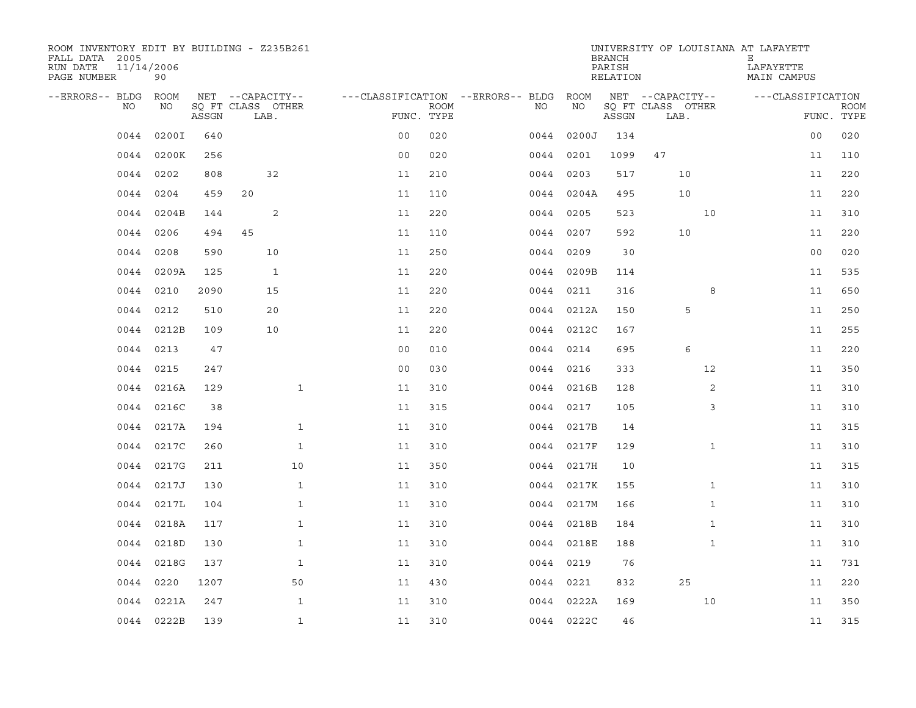| ROOM INVENTORY EDIT BY BUILDING - Z235B261<br>FALL DATA 2005<br>11/14/2006<br>RUN DATE<br>PAGE NUMBER | 90          |       |                           |                |             |                                   |            | <b>BRANCH</b><br>PARISH<br>RELATION | UNIVERSITY OF LOUISIANA AT LAFAYETT | Е<br>LAFAYETTE<br>MAIN CAMPUS |                           |
|-------------------------------------------------------------------------------------------------------|-------------|-------|---------------------------|----------------|-------------|-----------------------------------|------------|-------------------------------------|-------------------------------------|-------------------------------|---------------------------|
| --ERRORS-- BLDG                                                                                       | <b>ROOM</b> |       | NET --CAPACITY--          |                |             | ---CLASSIFICATION --ERRORS-- BLDG | ROOM       |                                     | NET --CAPACITY--                    | ---CLASSIFICATION             |                           |
| NO                                                                                                    | NO          | ASSGN | SO FT CLASS OTHER<br>LAB. | FUNC. TYPE     | <b>ROOM</b> | NO                                | NO         | ASSGN                               | SQ FT CLASS OTHER<br>LAB.           |                               | <b>ROOM</b><br>FUNC. TYPE |
| 0044                                                                                                  | 0200I       | 640   |                           | 0 <sup>0</sup> | 020         | 0044                              | 0200J      | 134                                 |                                     | 00                            | 020                       |
| 0044                                                                                                  | 0200K       | 256   |                           | 0 <sub>0</sub> | 020         | 0044                              | 0201       | 1099                                | 47                                  | 11                            | 110                       |
| 0044                                                                                                  | 0202        | 808   | 32                        | 11             | 210         |                                   | 0044 0203  | 517                                 | 10                                  | 11                            | 220                       |
| 0044                                                                                                  | 0204        | 459   | 20                        | 11             | 110         |                                   | 0044 0204A | 495                                 | 10                                  | 11                            | 220                       |
| 0044                                                                                                  | 0204B       | 144   | 2                         | 11             | 220         |                                   | 0044 0205  | 523                                 | 10                                  | 11                            | 310                       |
|                                                                                                       | 0044 0206   | 494   | 45                        | 11             | 110         |                                   | 0044 0207  | 592                                 | 10                                  | 11                            | 220                       |
| 0044                                                                                                  | 0208        | 590   | 10                        | 11             | 250         |                                   | 0044 0209  | 30                                  |                                     | 0 <sub>0</sub>                | 020                       |
| 0044                                                                                                  | 0209A       | 125   | 1                         | 11             | 220         |                                   | 0044 0209B | 114                                 |                                     | 11                            | 535                       |
| 0044                                                                                                  | 0210        | 2090  | 15                        | 11             | 220         |                                   | 0044 0211  | 316                                 | 8                                   | 11                            | 650                       |
| 0044                                                                                                  | 0212        | 510   | 20                        | 11             | 220         |                                   | 0044 0212A | 150                                 | 5                                   | 11                            | 250                       |
| 0044                                                                                                  | 0212B       | 109   | 10                        | 11             | 220         |                                   | 0044 0212C | 167                                 |                                     | 11                            | 255                       |
| 0044                                                                                                  | 0213        | 47    |                           | 0 <sub>0</sub> | 010         |                                   | 0044 0214  | 695                                 | 6                                   | 11                            | 220                       |
| 0044                                                                                                  | 0215        | 247   |                           | 0 <sub>0</sub> | 030         |                                   | 0044 0216  | 333                                 | 12                                  | 11                            | 350                       |
| 0044                                                                                                  | 0216A       | 129   | $\mathbf{1}$              | 11             | 310         |                                   | 0044 0216B | 128                                 | 2                                   | 11                            | 310                       |
| 0044                                                                                                  | 0216C       | 38    |                           | 11             | 315         | 0044                              | 0217       | 105                                 | 3                                   | 11                            | 310                       |
| 0044                                                                                                  | 0217A       | 194   | $\mathbf 1$               | 11             | 310         |                                   | 0044 0217B | 14                                  |                                     | 11                            | 315                       |
| 0044                                                                                                  | 0217C       | 260   | $\mathbf{1}$              | 11             | 310         |                                   | 0044 0217F | 129                                 | $\mathbf{1}$                        | 11                            | 310                       |
| 0044                                                                                                  | 0217G       | 211   | 10                        | 11             | 350         |                                   | 0044 0217H | 10                                  |                                     | 11                            | 315                       |
| 0044                                                                                                  | 0217J       | 130   | $\mathbf{1}$              | 11             | 310         |                                   | 0044 0217K | 155                                 | $\mathbf{1}$                        | 11                            | 310                       |
| 0044                                                                                                  | 0217L       | 104   | $\mathbf{1}$              | 11             | 310         |                                   | 0044 0217M | 166                                 | $\mathbf{1}$                        | 11                            | 310                       |
|                                                                                                       | 0044 0218A  | 117   | $\mathbf 1$               | 11             | 310         |                                   | 0044 0218B | 184                                 | $\mathbf{1}$                        | 11                            | 310                       |
| 0044                                                                                                  | 0218D       | 130   | $\mathbf{1}$              | 11             | 310         |                                   | 0044 0218E | 188                                 | $\mathbf{1}$                        | 11                            | 310                       |
| 0044                                                                                                  | 0218G       | 137   | $\mathbf{1}$              | 11             | 310         |                                   | 0044 0219  | 76                                  |                                     | 11                            | 731                       |
| 0044                                                                                                  | 0220        | 1207  | 50                        | 11             | 430         |                                   | 0044 0221  | 832                                 | 25                                  | 11                            | 220                       |
| 0044                                                                                                  | 0221A       | 247   | $\mathbf{1}$              | 11             | 310         |                                   | 0044 0222A | 169                                 | 10                                  | 11                            | 350                       |
|                                                                                                       | 0044 0222B  | 139   | $\mathbf{1}$              | 11             | 310         |                                   | 0044 0222C | 46                                  |                                     | 11                            | 315                       |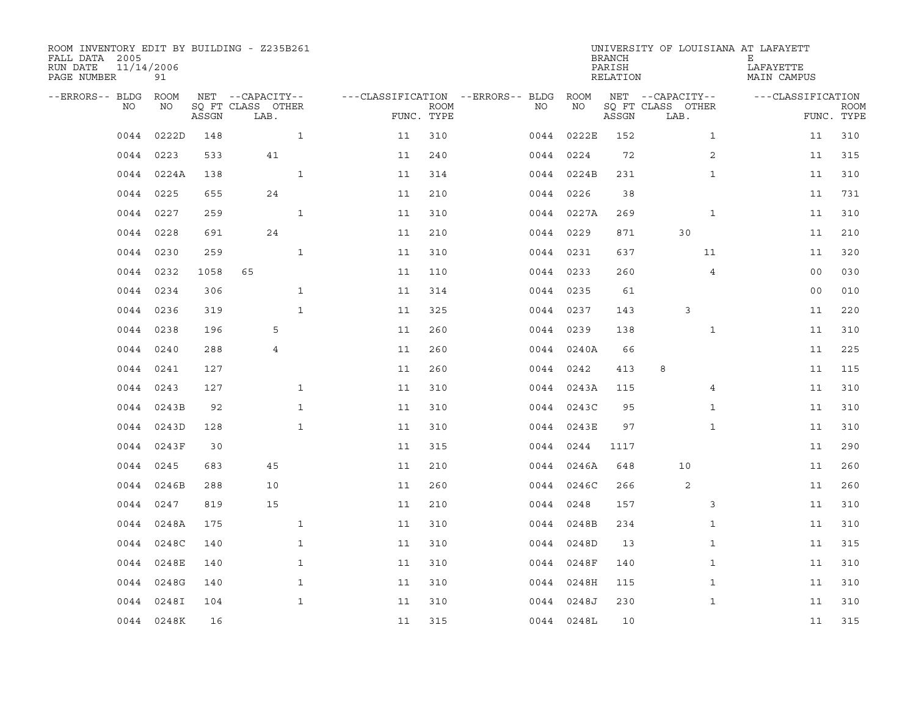| ROOM INVENTORY EDIT BY BUILDING - Z235B261<br>FALL DATA 2005<br>RUN DATE<br>PAGE NUMBER | 11/14/2006<br>91 |       |                           |    |                           |                                   |            | <b>BRANCH</b><br>PARISH<br>RELATION | UNIVERSITY OF LOUISIANA AT LAFAYETT | Е<br>LAFAYETTE<br>MAIN CAMPUS |                           |
|-----------------------------------------------------------------------------------------|------------------|-------|---------------------------|----|---------------------------|-----------------------------------|------------|-------------------------------------|-------------------------------------|-------------------------------|---------------------------|
| --ERRORS-- BLDG ROOM                                                                    |                  |       | NET --CAPACITY--          |    |                           | ---CLASSIFICATION --ERRORS-- BLDG | ROOM       |                                     | NET --CAPACITY--                    | ---CLASSIFICATION             |                           |
| NO                                                                                      | NO               | ASSGN | SQ FT CLASS OTHER<br>LAB. |    | <b>ROOM</b><br>FUNC. TYPE | NO                                | NO         | ASSGN                               | SQ FT CLASS OTHER<br>LAB.           |                               | <b>ROOM</b><br>FUNC. TYPE |
| 0044                                                                                    | 0222D            | 148   | $\mathbf{1}$              | 11 | 310                       | 0044                              | 0222E      | 152                                 | $\mathbf{1}$                        | 11                            | 310                       |
| 0044                                                                                    | 0223             | 533   | 41                        | 11 | 240                       |                                   | 0044 0224  | 72                                  | 2                                   | 11                            | 315                       |
| 0044                                                                                    | 0224A            | 138   | $\mathbf{1}$              | 11 | 314                       |                                   | 0044 0224B | 231                                 | $\mathbf{1}$                        | 11                            | 310                       |
| 0044                                                                                    | 0225             | 655   | 24                        | 11 | 210                       |                                   | 0044 0226  | 38                                  |                                     | 11                            | 731                       |
| 0044                                                                                    | 0227             | 259   | $\mathbf{1}$              | 11 | 310                       |                                   | 0044 0227A | 269                                 | $\mathbf{1}$                        | 11                            | 310                       |
| 0044                                                                                    | 0228             | 691   | 24                        | 11 | 210                       |                                   | 0044 0229  | 871                                 | 30                                  | 11                            | 210                       |
| 0044                                                                                    | 0230             | 259   | $\mathbf{1}$              | 11 | 310                       |                                   | 0044 0231  | 637                                 | 11                                  | 11                            | 320                       |
| 0044                                                                                    | 0232             | 1058  | 65                        | 11 | 110                       |                                   | 0044 0233  | 260                                 | 4                                   | 0 <sub>0</sub>                | 030                       |
| 0044                                                                                    | 0234             | 306   | $\mathbf{1}$              | 11 | 314                       |                                   | 0044 0235  | 61                                  |                                     | 0 <sub>0</sub>                | 010                       |
|                                                                                         | 0044 0236        | 319   | $\mathbf{1}$              | 11 | 325                       |                                   | 0044 0237  | 143                                 | 3                                   | 11                            | 220                       |
| 0044                                                                                    | 0238             | 196   | 5                         | 11 | 260                       |                                   | 0044 0239  | 138                                 | $\mathbf{1}$                        | 11                            | 310                       |
|                                                                                         | 0044 0240        | 288   | 4                         | 11 | 260                       |                                   | 0044 0240A | 66                                  |                                     | 11                            | 225                       |
| 0044                                                                                    | 0241             | 127   |                           | 11 | 260                       |                                   | 0044 0242  | 413                                 | 8                                   | 11                            | 115                       |
| 0044                                                                                    | 0243             | 127   | $\mathbf{1}$              | 11 | 310                       |                                   | 0044 0243A | 115                                 | 4                                   | 11                            | 310                       |
| 0044                                                                                    | 0243B            | 92    | $\mathbf{1}$              | 11 | 310                       |                                   | 0044 0243C | 95                                  | $\mathbf{1}$                        | 11                            | 310                       |
| 0044                                                                                    | 0243D            | 128   | $\mathbf{1}$              | 11 | 310                       |                                   | 0044 0243E | 97                                  | $\mathbf{1}$                        | 11                            | 310                       |
|                                                                                         | 0044 0243F       | 30    |                           | 11 | 315                       |                                   | 0044 0244  | 1117                                |                                     | 11                            | 290                       |
| 0044                                                                                    | 0245             | 683   | 45                        | 11 | 210                       | 0044                              | 0246A      | 648                                 | 10                                  | 11                            | 260                       |
|                                                                                         | 0044 0246B       | 288   | 10                        | 11 | 260                       |                                   | 0044 0246C | 266                                 | 2                                   | 11                            | 260                       |
| 0044                                                                                    | 0247             | 819   | 15                        | 11 | 210                       |                                   | 0044 0248  | 157                                 | 3                                   | 11                            | 310                       |
|                                                                                         | 0044 0248A       | 175   | $\mathbf{1}$              | 11 | 310                       |                                   | 0044 0248B | 234                                 | $\mathbf{1}$                        | 11                            | 310                       |
| 0044                                                                                    | 0248C            | 140   | $\mathbf{1}$              | 11 | 310                       | 0044                              | 0248D      | 13                                  | $\mathbf{1}$                        | 11                            | 315                       |
| 0044                                                                                    | 0248E            | 140   | $\mathbf{1}$              | 11 | 310                       |                                   | 0044 0248F | 140                                 | $\mathbf{1}$                        | 11                            | 310                       |
| 0044                                                                                    | 0248G            | 140   | $\mathbf{1}$              | 11 | 310                       |                                   | 0044 0248H | 115                                 | $\mathbf{1}$                        | 11                            | 310                       |
| 0044                                                                                    | 0248I            | 104   | $\mathbf{1}$              | 11 | 310                       |                                   | 0044 0248J | 230                                 | $\mathbf{1}$                        | 11                            | 310                       |
|                                                                                         | 0044 0248K       | 16    |                           | 11 | 315                       |                                   | 0044 0248L | 10                                  |                                     | 11                            | 315                       |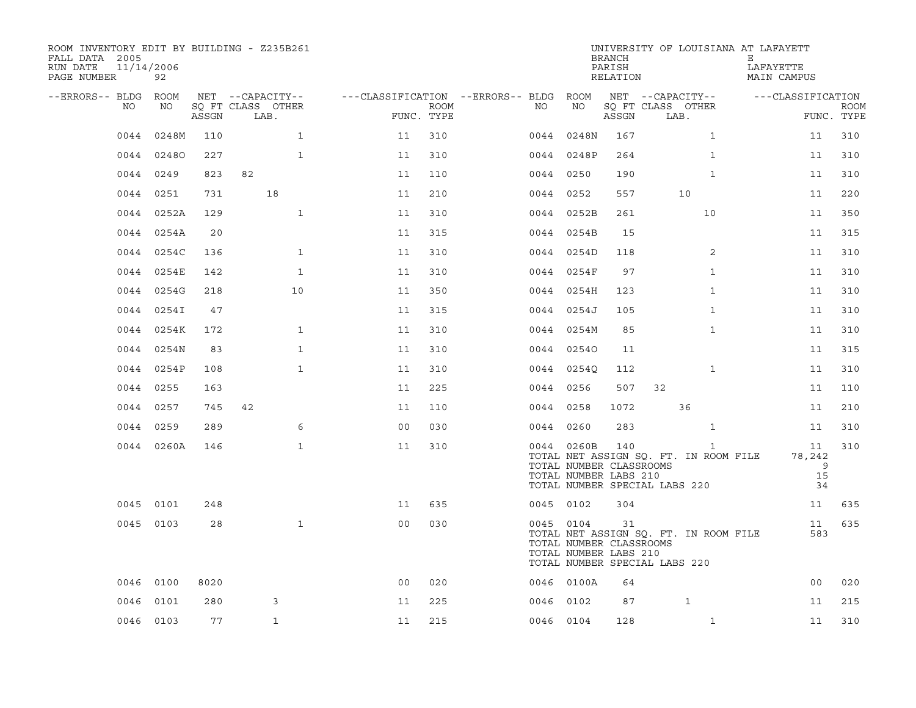| ROOM INVENTORY EDIT BY BUILDING - Z235B261<br>FALL DATA 2005<br>RUN DATE<br>11/14/2006<br>PAGE NUMBER | 92         |       |                           |                |                    |                                        |                                                                | <b>BRANCH</b><br>PARISH<br>RELATION | UNIVERSITY OF LOUISIANA AT LAFAYETT                                                    | Е<br>LAFAYETTE<br>MAIN CAMPUS |                           |
|-------------------------------------------------------------------------------------------------------|------------|-------|---------------------------|----------------|--------------------|----------------------------------------|----------------------------------------------------------------|-------------------------------------|----------------------------------------------------------------------------------------|-------------------------------|---------------------------|
| --ERRORS-- BLDG ROOM                                                                                  |            |       | NET --CAPACITY--          |                |                    | ---CLASSIFICATION --ERRORS-- BLDG ROOM |                                                                |                                     | NET --CAPACITY--                                                                       | ---CLASSIFICATION             |                           |
| NO                                                                                                    | NO         | ASSGN | SQ FT CLASS OTHER<br>LAB. |                | ROOM<br>FUNC. TYPE | NO                                     | NO                                                             | ASSGN                               | SQ FT CLASS OTHER<br>LAB.                                                              |                               | <b>ROOM</b><br>FUNC. TYPE |
| 0044                                                                                                  | 0248M      | 110   | $\mathbf{1}$              | 11             | 310                |                                        | 0044 0248N                                                     | 167                                 | $\mathbf{1}$                                                                           | 11                            | 310                       |
|                                                                                                       | 0044 02480 | 227   | 1                         | 11             | 310                |                                        | 0044 0248P                                                     | 264                                 | $\mathbf{1}$                                                                           | 11                            | 310                       |
|                                                                                                       | 0044 0249  | 823   | 82                        | 11             | 110                |                                        | 0044 0250                                                      | 190                                 | $\mathbf{1}$                                                                           | 11                            | 310                       |
|                                                                                                       | 0044 0251  | 731   | 18                        | 11             | 210                |                                        | 0044 0252                                                      | 557                                 | 10                                                                                     | 11                            | 220                       |
|                                                                                                       | 0044 0252A | 129   | $\mathbf{1}$              | 11             | 310                |                                        | 0044 0252B                                                     | 261                                 | 10                                                                                     | 11                            | 350                       |
|                                                                                                       | 0044 0254A | 20    |                           | 11             | 315                |                                        | 0044 0254B                                                     | 15                                  |                                                                                        | 11                            | 315                       |
|                                                                                                       | 0044 0254C | 136   | $\mathbf{1}$              | 11             | 310                |                                        | 0044 0254D                                                     | 118                                 | 2                                                                                      | 11                            | 310                       |
|                                                                                                       | 0044 0254E | 142   | $\mathbf{1}$              | 11             | 310                |                                        | 0044 0254F                                                     | 97                                  | $\mathbf{1}$                                                                           | 11                            | 310                       |
|                                                                                                       | 0044 0254G | 218   | 10                        | 11             | 350                |                                        | 0044 0254H                                                     | 123                                 | $\mathbf{1}$                                                                           | 11                            | 310                       |
|                                                                                                       | 0044 0254I | 47    |                           | 11             | 315                |                                        | 0044 0254J                                                     | 105                                 | $\mathbf{1}$                                                                           | 11                            | 310                       |
|                                                                                                       | 0044 0254K | 172   | $\mathbf{1}$              | 11             | 310                |                                        | 0044 0254M                                                     | 85                                  | $\mathbf{1}$                                                                           | 11                            | 310                       |
|                                                                                                       | 0044 0254N | 83    | $\mathbf{1}$              | 11             | 310                |                                        | 0044 02540                                                     | 11                                  |                                                                                        | 11                            | 315                       |
|                                                                                                       | 0044 0254P | 108   | $\mathbf{1}$              | 11             | 310                |                                        | 0044 0254Q                                                     | 112                                 | $\mathbf{1}$                                                                           | 11                            | 310                       |
|                                                                                                       | 0044 0255  | 163   |                           | 11             | 225                |                                        | 0044 0256                                                      | 507                                 | 32                                                                                     | 11                            | 110                       |
|                                                                                                       | 0044 0257  | 745   | 42                        | 11             | 110                |                                        | 0044 0258                                                      | 1072                                | 36                                                                                     | 11                            | 210                       |
|                                                                                                       | 0044 0259  | 289   | 6                         | 0 <sub>0</sub> | 030                |                                        | 0044 0260                                                      | 283                                 | $\mathbf{1}$                                                                           | 11                            | 310                       |
|                                                                                                       | 0044 0260A | 146   | $\mathbf{1}$              | 11             | 310                |                                        | 0044 0260B<br>TOTAL NUMBER CLASSROOMS<br>TOTAL NUMBER LABS 210 | 140                                 | $\mathbf{1}$<br>TOTAL NET ASSIGN SQ. FT. IN ROOM FILE<br>TOTAL NUMBER SPECIAL LABS 220 | 11<br>78,242<br>9<br>15<br>34 | 310                       |
|                                                                                                       | 0045 0101  | 248   |                           | 11             | 635                |                                        | 0045 0102                                                      | 304                                 |                                                                                        | 11                            | 635                       |
|                                                                                                       | 0045 0103  | 28    | $\mathbf{1}$              | 0 <sub>0</sub> | 030                |                                        | 0045 0104<br>TOTAL NUMBER CLASSROOMS<br>TOTAL NUMBER LABS 210  | 31                                  | TOTAL NET ASSIGN SQ. FT. IN ROOM FILE<br>TOTAL NUMBER SPECIAL LABS 220                 | 583                           | 11 635                    |
|                                                                                                       | 0046 0100  | 8020  |                           | 0 <sub>0</sub> | 020                |                                        | 0046 0100A                                                     | 64                                  |                                                                                        | 00                            | 020                       |
|                                                                                                       | 0046 0101  | 280   | 3                         | 11             | 225                |                                        | 0046 0102                                                      | 87                                  | $\mathbf{1}$                                                                           | 11                            | 215                       |
|                                                                                                       | 0046 0103  | 77    | $\mathbf{1}$              | 11             | 215                |                                        | 0046 0104                                                      | 128                                 | $\mathbf{1}$                                                                           | 11                            | 310                       |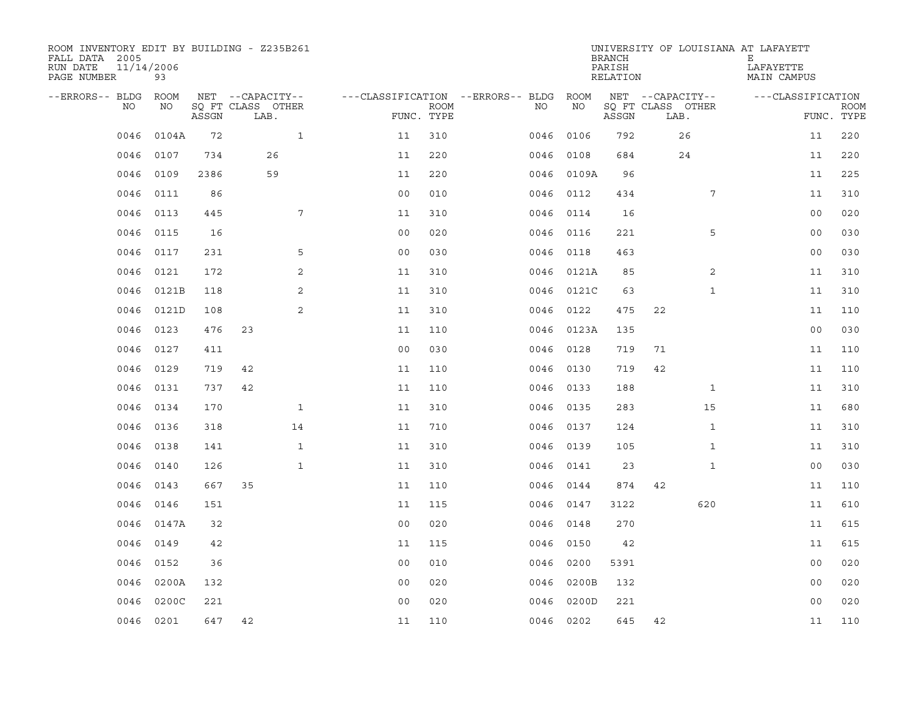| ROOM INVENTORY EDIT BY BUILDING - Z235B261<br>FALL DATA 2005<br>RUN DATE<br>11/14/2006<br>PAGE NUMBER | 93        |       |                           |                |             |                                   |            | <b>BRANCH</b><br>PARISH<br>RELATION | UNIVERSITY OF LOUISIANA AT LAFAYETT | Е<br>LAFAYETTE<br>MAIN CAMPUS |                           |
|-------------------------------------------------------------------------------------------------------|-----------|-------|---------------------------|----------------|-------------|-----------------------------------|------------|-------------------------------------|-------------------------------------|-------------------------------|---------------------------|
| --ERRORS-- BLDG ROOM                                                                                  |           |       | NET --CAPACITY--          |                |             | ---CLASSIFICATION --ERRORS-- BLDG | ROOM       |                                     | NET --CAPACITY--                    | ---CLASSIFICATION             |                           |
| NO                                                                                                    | NO        | ASSGN | SQ FT CLASS OTHER<br>LAB. | FUNC. TYPE     | <b>ROOM</b> | NO                                | NO         | ASSGN                               | SQ FT CLASS OTHER<br>LAB.           |                               | <b>ROOM</b><br>FUNC. TYPE |
| 0046                                                                                                  | 0104A     | 72    | $\mathbf{1}$              | 11             | 310         | 0046                              | 0106       | 792                                 | 26                                  | 11                            | 220                       |
| 0046                                                                                                  | 0107      | 734   | 26                        | 11             | 220         | 0046                              | 0108       | 684                                 | 24                                  | 11                            | 220                       |
| 0046                                                                                                  | 0109      | 2386  | 59                        | 11             | 220         |                                   | 0046 0109A | 96                                  |                                     | 11                            | 225                       |
| 0046                                                                                                  | 0111      | 86    |                           | 0 <sub>0</sub> | 010         |                                   | 0046 0112  | 434                                 | 7                                   | 11                            | 310                       |
| 0046                                                                                                  | 0113      | 445   | 7                         | 11             | 310         | 0046                              | 0114       | 16                                  |                                     | 0 <sub>0</sub>                | 020                       |
| 0046                                                                                                  | 0115      | 16    |                           | 0 <sub>0</sub> | 020         |                                   | 0046 0116  | 221                                 | 5                                   | 00                            | 030                       |
| 0046                                                                                                  | 0117      | 231   | 5                         | 00             | 030         | 0046                              | 0118       | 463                                 |                                     | 0 <sub>0</sub>                | 030                       |
| 0046                                                                                                  | 0121      | 172   | 2                         | 11             | 310         |                                   | 0046 0121A | 85                                  | 2                                   | 11                            | 310                       |
| 0046                                                                                                  | 0121B     | 118   | 2                         | 11             | 310         |                                   | 0046 0121C | 63                                  | $\mathbf{1}$                        | 11                            | 310                       |
| 0046                                                                                                  | 0121D     | 108   | 2                         | 11             | 310         |                                   | 0046 0122  | 475                                 | 22                                  | 11                            | 110                       |
| 0046                                                                                                  | 0123      | 476   | 23                        | 11             | 110         |                                   | 0046 0123A | 135                                 |                                     | 0 <sub>0</sub>                | 030                       |
| 0046                                                                                                  | 0127      | 411   |                           | 0 <sub>0</sub> | 030         | 0046                              | 0128       | 719                                 | 71                                  | 11                            | 110                       |
| 0046                                                                                                  | 0129      | 719   | 42                        | 11             | 110         | 0046                              | 0130       | 719                                 | 42                                  | 11                            | 110                       |
| 0046                                                                                                  | 0131      | 737   | 42                        | 11             | 110         |                                   | 0046 0133  | 188                                 | $\mathbf{1}$                        | 11                            | 310                       |
| 0046                                                                                                  | 0134      | 170   | $\mathbf{1}$              | 11             | 310         | 0046                              | 0135       | 283                                 | 15                                  | 11                            | 680                       |
| 0046                                                                                                  | 0136      | 318   | 14                        | 11             | 710         |                                   | 0046 0137  | 124                                 | $\mathbf{1}$                        | 11                            | 310                       |
| 0046                                                                                                  | 0138      | 141   | $\mathbf{1}$              | 11             | 310         | 0046                              | 0139       | 105                                 | $\mathbf{1}$                        | 11                            | 310                       |
| 0046                                                                                                  | 0140      | 126   | $\mathbf{1}$              | 11             | 310         |                                   | 0046 0141  | 23                                  | $\mathbf{1}$                        | 00                            | 030                       |
| 0046                                                                                                  | 0143      | 667   | 35                        | 11             | 110         | 0046                              | 0144       | 874                                 | 42                                  | 11                            | 110                       |
| 0046                                                                                                  | 0146      | 151   |                           | 11             | 115         |                                   | 0046 0147  | 3122                                | 620                                 | 11                            | 610                       |
| 0046                                                                                                  | 0147A     | 32    |                           | 0 <sub>0</sub> | 020         | 0046                              | 0148       | 270                                 |                                     | 11                            | 615                       |
| 0046                                                                                                  | 0149      | 42    |                           | 11             | 115         | 0046                              | 0150       | 42                                  |                                     | 11                            | 615                       |
| 0046                                                                                                  | 0152      | 36    |                           | 0 <sub>0</sub> | 010         | 0046                              | 0200       | 5391                                |                                     | 00                            | 020                       |
| 0046                                                                                                  | 0200A     | 132   |                           | 0 <sub>0</sub> | 020         | 0046                              | 0200B      | 132                                 |                                     | 00                            | 020                       |
| 0046                                                                                                  | 0200C     | 221   |                           | 0 <sub>0</sub> | 020         | 0046                              | 0200D      | 221                                 |                                     | 0 <sub>0</sub>                | 020                       |
|                                                                                                       | 0046 0201 | 647   | 42                        | 11             | 110         |                                   | 0046 0202  | 645                                 | 42                                  | 11                            | 110                       |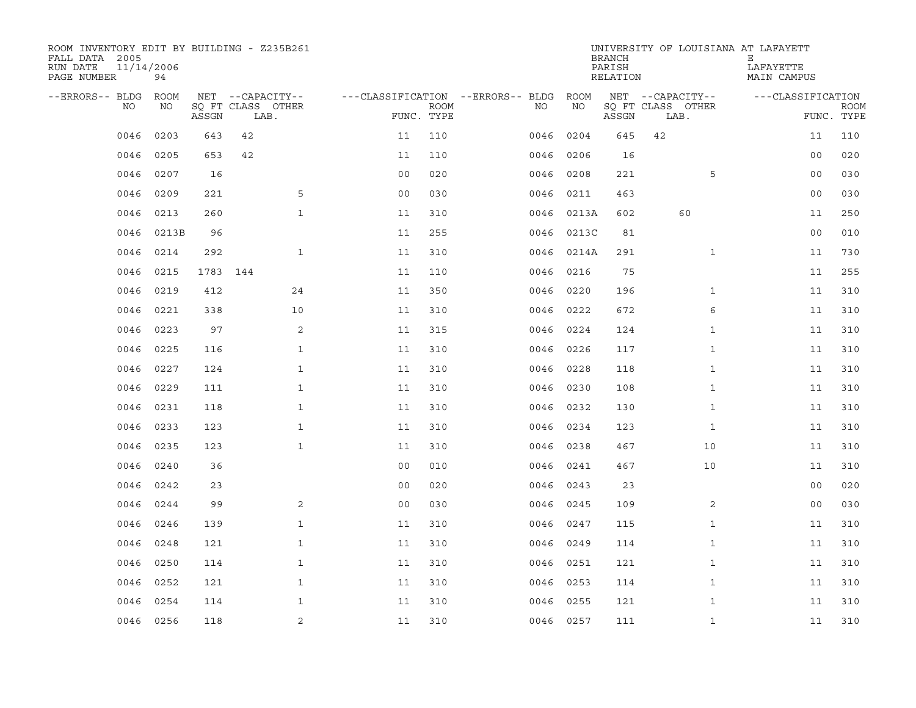| ROOM INVENTORY EDIT BY BUILDING - Z235B261<br>FALL DATA 2005<br>RUN DATE<br>PAGE NUMBER | 11/14/2006<br>94  |          |                                               |                |                                   |                           |           |            | <b>BRANCH</b><br>PARISH<br>RELATION | UNIVERSITY OF LOUISIANA AT LAFAYETT           | Е<br>LAFAYETTE<br>MAIN CAMPUS |                           |
|-----------------------------------------------------------------------------------------|-------------------|----------|-----------------------------------------------|----------------|-----------------------------------|---------------------------|-----------|------------|-------------------------------------|-----------------------------------------------|-------------------------------|---------------------------|
| --ERRORS-- BLDG<br>NO                                                                   | <b>ROOM</b><br>NO | ASSGN    | NET --CAPACITY--<br>SQ FT CLASS OTHER<br>LAB. |                | ---CLASSIFICATION --ERRORS-- BLDG | <b>ROOM</b><br>FUNC. TYPE | NO        | ROOM<br>NO | ASSGN                               | NET --CAPACITY--<br>SQ FT CLASS OTHER<br>LAB. | ---CLASSIFICATION             | <b>ROOM</b><br>FUNC. TYPE |
| 0046                                                                                    | 0203              | 643      | 42                                            |                | 11                                | 110                       | 0046      | 0204       | 645                                 | 42                                            | 11                            | 110                       |
| 0046                                                                                    | 0205              | 653      | 42                                            |                | 11                                | 110                       | 0046      | 0206       | 16                                  |                                               | 00                            | 020                       |
| 0046                                                                                    | 0207              | 16       |                                               |                | 0 <sub>0</sub>                    | 020                       | 0046      | 0208       | 221                                 | 5                                             | 0 <sub>0</sub>                | 030                       |
| 0046                                                                                    | 0209              | 221      |                                               | 5              | 0 <sub>0</sub>                    | 030                       | 0046      | 0211       | 463                                 |                                               | 00                            | 030                       |
| 0046                                                                                    | 0213              | 260      |                                               | $\mathbf{1}$   | 11                                | 310                       | 0046      | 0213A      | 602                                 | 60                                            | 11                            | 250                       |
| 0046                                                                                    | 0213B             | 96       |                                               |                | 11                                | 255                       |           | 0046 0213C | 81                                  |                                               | 00                            | 010                       |
| 0046                                                                                    | 0214              | 292      |                                               | $\mathbf{1}$   | 11                                | 310                       | 0046      | 0214A      | 291                                 | $\mathbf{1}$                                  | 11                            | 730                       |
| 0046                                                                                    | 0215              | 1783 144 |                                               |                | 11                                | 110                       | 0046      | 0216       | 75                                  |                                               | 11                            | 255                       |
| 0046                                                                                    | 0219              | 412      |                                               | 24             | 11                                | 350                       | 0046      | 0220       | 196                                 | $\mathbf{1}$                                  | 11                            | 310                       |
| 0046                                                                                    | 0221              | 338      |                                               | 10             | 11                                | 310                       | 0046 0222 |            | 672                                 | 6                                             | 11                            | 310                       |
| 0046                                                                                    | 0223              | 97       |                                               | 2              | 11                                | 315                       | 0046      | 0224       | 124                                 | $\mathbf{1}$                                  | 11                            | 310                       |
| 0046                                                                                    | 0225              | 116      |                                               | $\mathbf{1}$   | 11                                | 310                       | 0046      | 0226       | 117                                 | $\mathbf{1}$                                  | 11                            | 310                       |
| 0046                                                                                    | 0227              | 124      |                                               | $\mathbf{1}$   | 11                                | 310                       | 0046      | 0228       | 118                                 | $\mathbf{1}$                                  | 11                            | 310                       |
| 0046                                                                                    | 0229              | 111      |                                               | $\mathbf{1}$   | 11                                | 310                       | 0046 0230 |            | 108                                 | $\mathbf{1}$                                  | 11                            | 310                       |
| 0046                                                                                    | 0231              | 118      |                                               | $\mathbf{1}$   | 11                                | 310                       | 0046      | 0232       | 130                                 | $\mathbf{1}$                                  | 11                            | 310                       |
| 0046                                                                                    | 0233              | 123      |                                               | $\mathbf{1}$   | 11                                | 310                       | 0046      | 0234       | 123                                 | $\mathbf{1}$                                  | 11                            | 310                       |
| 0046                                                                                    | 0235              | 123      |                                               | $\mathbf{1}$   | 11                                | 310                       | 0046      | 0238       | 467                                 | 10                                            | 11                            | 310                       |
| 0046                                                                                    | 0240              | 36       |                                               |                | 0 <sub>0</sub>                    | 010                       | 0046      | 0241       | 467                                 | 10                                            | 11                            | 310                       |
| 0046                                                                                    | 0242              | 23       |                                               |                | 0 <sub>0</sub>                    | 020                       | 0046      | 0243       | 23                                  |                                               | 00                            | 020                       |
| 0046                                                                                    | 0244              | 99       |                                               | 2              | 0 <sub>0</sub>                    | 030                       | 0046      | 0245       | 109                                 | 2                                             | 0 <sub>0</sub>                | 030                       |
| 0046                                                                                    | 0246              | 139      |                                               | $\mathbf{1}$   | 11                                | 310                       | 0046 0247 |            | 115                                 | $\mathbf{1}$                                  | 11                            | 310                       |
| 0046                                                                                    | 0248              | 121      |                                               | $\mathbf{1}$   | 11                                | 310                       | 0046      | 0249       | 114                                 | $\mathbf{1}$                                  | 11                            | 310                       |
| 0046                                                                                    | 0250              | 114      |                                               | 1              | 11                                | 310                       | 0046      | 0251       | 121                                 | $\mathbf{1}$                                  | 11                            | 310                       |
| 0046                                                                                    | 0252              | 121      |                                               | 1              | 11                                | 310                       | 0046      | 0253       | 114                                 | $\mathbf{1}$                                  | 11                            | 310                       |
| 0046                                                                                    | 0254              | 114      |                                               | 1              | 11                                | 310                       | 0046      | 0255       | 121                                 | $\mathbf{1}$                                  | 11                            | 310                       |
| 0046                                                                                    | 0256              | 118      |                                               | $\overline{2}$ | 11                                | 310                       | 0046 0257 |            | 111                                 | $\mathbf{1}$                                  | 11                            | 310                       |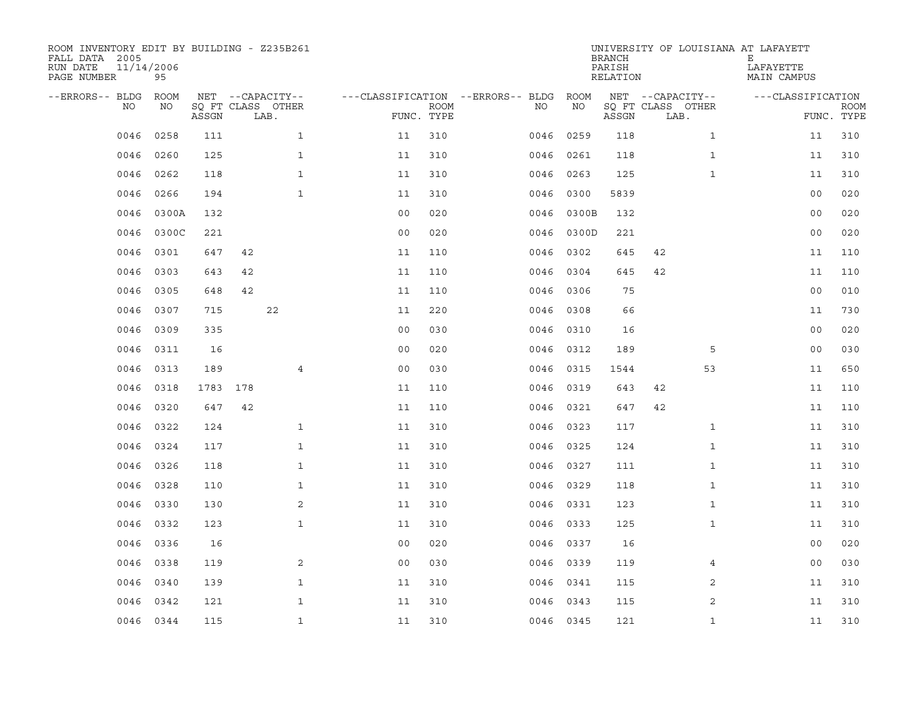| ROOM INVENTORY EDIT BY BUILDING - Z235B261<br>FALL DATA 2005<br>RUN DATE<br>11/14/2006<br>PAGE NUMBER | 95        |       |     |                           |                                        |      |           |       | <b>BRANCH</b><br>PARISH<br>RELATION |    |                           | UNIVERSITY OF LOUISIANA AT LAFAYETT<br>Е<br>LAFAYETTE<br>MAIN CAMPUS |                |                           |
|-------------------------------------------------------------------------------------------------------|-----------|-------|-----|---------------------------|----------------------------------------|------|-----------|-------|-------------------------------------|----|---------------------------|----------------------------------------------------------------------|----------------|---------------------------|
| --ERRORS-- BLDG ROOM                                                                                  |           |       |     | NET --CAPACITY--          | ---CLASSIFICATION --ERRORS-- BLDG ROOM |      |           |       |                                     |    | NET --CAPACITY--          | ---CLASSIFICATION                                                    |                |                           |
| NO                                                                                                    | NO        | ASSGN |     | SQ FT CLASS OTHER<br>LAB. | FUNC. TYPE                             | ROOM | NO        | NO    | ASSGN                               |    | SQ FT CLASS OTHER<br>LAB. |                                                                      |                | <b>ROOM</b><br>FUNC. TYPE |
| 0046                                                                                                  | 0258      | 111   |     | $\mathbf{1}$              | 11                                     | 310  | 0046      | 0259  | 118                                 |    | $\mathbf{1}$              |                                                                      | 11             | 310                       |
| 0046                                                                                                  | 0260      | 125   |     | $\mathbf{1}$              | 11                                     | 310  | 0046      | 0261  | 118                                 |    | $\mathbf{1}$              |                                                                      | 11             | 310                       |
| 0046                                                                                                  | 0262      | 118   |     | $\mathbf{1}$              | 11                                     | 310  | 0046      | 0263  | 125                                 |    | $\mathbf{1}$              |                                                                      | 11             | 310                       |
| 0046                                                                                                  | 0266      | 194   |     | $\mathbf{1}$              | 11                                     | 310  | 0046      | 0300  | 5839                                |    |                           |                                                                      | 00             | 020                       |
| 0046                                                                                                  | 0300A     | 132   |     |                           | 0 <sub>0</sub>                         | 020  | 0046      | 0300B | 132                                 |    |                           |                                                                      | 00             | 020                       |
| 0046                                                                                                  | 0300C     | 221   |     |                           | 0 <sub>0</sub>                         | 020  | 0046      | 0300D | 221                                 |    |                           |                                                                      | 00             | 020                       |
| 0046                                                                                                  | 0301      | 647   | 42  |                           | 11                                     | 110  | 0046      | 0302  | 645                                 | 42 |                           |                                                                      | 11             | 110                       |
| 0046                                                                                                  | 0303      | 643   | 42  |                           | 11                                     | 110  | 0046      | 0304  | 645                                 | 42 |                           |                                                                      | 11             | 110                       |
| 0046                                                                                                  | 0305      | 648   | 42  |                           | 11                                     | 110  | 0046      | 0306  | 75                                  |    |                           |                                                                      | 0 <sub>0</sub> | 010                       |
| 0046                                                                                                  | 0307      | 715   |     | 22                        | 11                                     | 220  | 0046 0308 |       | 66                                  |    |                           |                                                                      | 11             | 730                       |
| 0046                                                                                                  | 0309      | 335   |     |                           | 0 <sub>0</sub>                         | 030  | 0046      | 0310  | 16                                  |    |                           |                                                                      | 0 <sub>0</sub> | 020                       |
| 0046                                                                                                  | 0311      | 16    |     |                           | 0 <sub>0</sub>                         | 020  | 0046 0312 |       | 189                                 |    | 5                         |                                                                      | 00             | 030                       |
| 0046                                                                                                  | 0313      | 189   |     | $\overline{4}$            | 0 <sub>0</sub>                         | 030  | 0046      | 0315  | 1544                                |    | 53                        |                                                                      | 11             | 650                       |
| 0046                                                                                                  | 0318      | 1783  | 178 |                           | 11                                     | 110  | 0046      | 0319  | 643                                 | 42 |                           |                                                                      | 11             | 110                       |
| 0046                                                                                                  | 0320      | 647   | 42  |                           | 11                                     | 110  | 0046      | 0321  | 647                                 | 42 |                           |                                                                      | 11             | 110                       |
| 0046                                                                                                  | 0322      | 124   |     | $\mathbf{1}$              | 11                                     | 310  | 0046      | 0323  | 117                                 |    | $\mathbf{1}$              |                                                                      | 11             | 310                       |
| 0046                                                                                                  | 0324      | 117   |     | $\mathbf{1}$              | 11                                     | 310  | 0046      | 0325  | 124                                 |    | $\mathbf{1}$              |                                                                      | 11             | 310                       |
| 0046                                                                                                  | 0326      | 118   |     | $\mathbf{1}$              | 11                                     | 310  | 0046      | 0327  | 111                                 |    | $\mathbf{1}$              |                                                                      | 11             | 310                       |
| 0046                                                                                                  | 0328      | 110   |     | $\mathbf{1}$              | 11                                     | 310  | 0046 0329 |       | 118                                 |    | $\mathbf{1}$              |                                                                      | 11             | 310                       |
| 0046                                                                                                  | 0330      | 130   |     | 2                         | 11                                     | 310  | 0046      | 0331  | 123                                 |    | $\mathbf{1}$              |                                                                      | 11             | 310                       |
| 0046                                                                                                  | 0332      | 123   |     | $\mathbf{1}$              | 11                                     | 310  | 0046 0333 |       | 125                                 |    | $\mathbf{1}$              |                                                                      | 11             | 310                       |
| 0046                                                                                                  | 0336      | 16    |     |                           | 00                                     | 020  | 0046      | 0337  | 16                                  |    |                           |                                                                      | 0 <sub>0</sub> | 020                       |
| 0046                                                                                                  | 0338      | 119   |     | 2                         | 0 <sub>0</sub>                         | 030  | 0046 0339 |       | 119                                 |    | $\overline{4}$            |                                                                      | 0 <sub>0</sub> | 030                       |
| 0046                                                                                                  | 0340      | 139   |     | $\mathbf{1}$              | 11                                     | 310  | 0046      | 0341  | 115                                 |    | 2                         |                                                                      | 11             | 310                       |
| 0046                                                                                                  | 0342      | 121   |     | $\mathbf{1}$              | 11                                     | 310  | 0046 0343 |       | 115                                 |    | 2                         |                                                                      | 11             | 310                       |
|                                                                                                       | 0046 0344 | 115   |     | $\mathbf{1}$              | 11                                     | 310  | 0046 0345 |       | 121                                 |    | $\mathbf{1}$              |                                                                      | 11             | 310                       |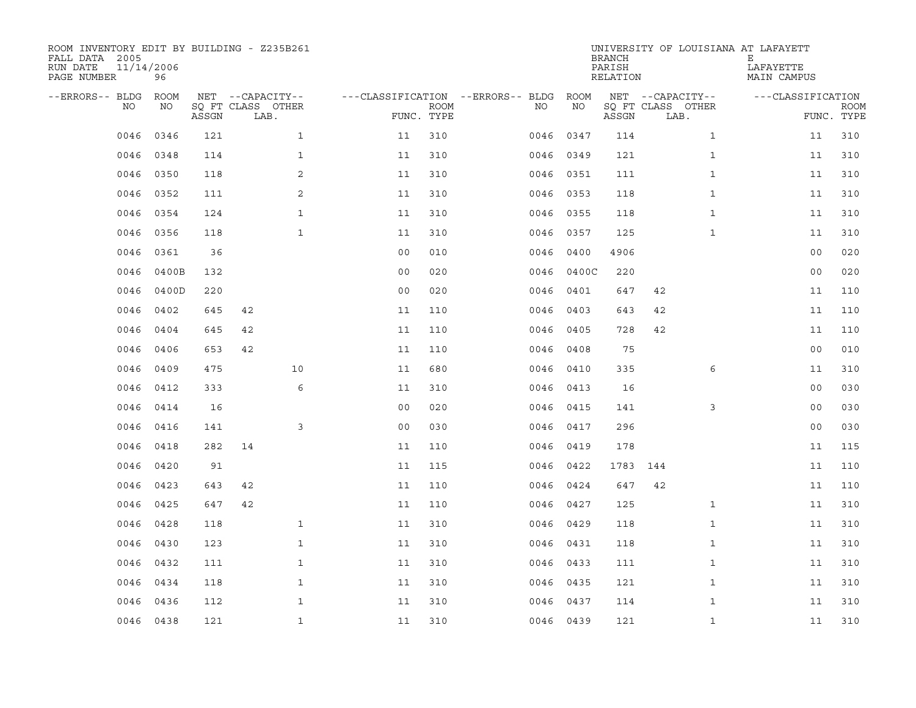| ROOM INVENTORY EDIT BY BUILDING - Z235B261<br>FALL DATA 2005<br>RUN DATE<br>PAGE NUMBER | 11/14/2006<br>96 |       |                           |                |                           |                                        |           | <b>BRANCH</b><br>PARISH<br>RELATION | UNIVERSITY OF LOUISIANA AT LAFAYETT | Е<br>LAFAYETTE<br>MAIN CAMPUS |                           |
|-----------------------------------------------------------------------------------------|------------------|-------|---------------------------|----------------|---------------------------|----------------------------------------|-----------|-------------------------------------|-------------------------------------|-------------------------------|---------------------------|
| --ERRORS-- BLDG ROOM                                                                    |                  |       | NET --CAPACITY--          |                |                           | ---CLASSIFICATION --ERRORS-- BLDG ROOM |           |                                     | NET --CAPACITY--                    | ---CLASSIFICATION             |                           |
| NO                                                                                      | NO               | ASSGN | SQ FT CLASS OTHER<br>LAB. |                | <b>ROOM</b><br>FUNC. TYPE | NO                                     | ΝO        | ASSGN                               | SQ FT CLASS OTHER<br>LAB.           |                               | <b>ROOM</b><br>FUNC. TYPE |
| 0046                                                                                    | 0346             | 121   | $\mathbf{1}$              | 11             | 310                       | 0046                                   | 0347      | 114                                 | $\mathbf{1}$                        | 11                            | 310                       |
| 0046                                                                                    | 0348             | 114   | $\mathbf{1}$              | 11             | 310                       |                                        | 0046 0349 | 121                                 | $\mathbf{1}$                        | 11                            | 310                       |
| 0046                                                                                    | 0350             | 118   | 2                         | 11             | 310                       |                                        | 0046 0351 | 111                                 | $\mathbf{1}$                        | 11                            | 310                       |
| 0046                                                                                    | 0352             | 111   | 2                         | 11             | 310                       |                                        | 0046 0353 | 118                                 | $\mathbf{1}$                        | 11                            | 310                       |
| 0046                                                                                    | 0354             | 124   | $\mathbf 1$               | 11             | 310                       | 0046                                   | 0355      | 118                                 | $\mathbf{1}$                        | 11                            | 310                       |
| 0046                                                                                    | 0356             | 118   | $\mathbf{1}$              | 11             | 310                       |                                        | 0046 0357 | 125                                 | $\mathbf{1}$                        | 11                            | 310                       |
| 0046                                                                                    | 0361             | 36    |                           | 0 <sub>0</sub> | 010                       | 0046                                   | 0400      | 4906                                |                                     | 0 <sub>0</sub>                | 020                       |
| 0046                                                                                    | 0400B            | 132   |                           | 0 <sub>0</sub> | 020                       | 0046                                   | 0400C     | 220                                 |                                     | 0 <sub>0</sub>                | 020                       |
| 0046                                                                                    | 0400D            | 220   |                           | 0 <sub>0</sub> | 020                       | 0046                                   | 0401      | 647                                 | 42                                  | 11                            | 110                       |
| 0046                                                                                    | 0402             | 645   | 42                        | 11             | 110                       | 0046                                   | 0403      | 643                                 | 42                                  | 11                            | 110                       |
| 0046                                                                                    | 0404             | 645   | 42                        | 11             | 110                       | 0046                                   | 0405      | 728                                 | 42                                  | 11                            | 110                       |
| 0046                                                                                    | 0406             | 653   | 42                        | 11             | 110                       |                                        | 0046 0408 | 75                                  |                                     | 0 <sub>0</sub>                | 010                       |
| 0046                                                                                    | 0409             | 475   | 10                        | 11             | 680                       | 0046                                   | 0410      | 335                                 | 6                                   | 11                            | 310                       |
| 0046                                                                                    | 0412             | 333   | 6                         | 11             | 310                       | 0046                                   | 0413      | 16                                  |                                     | 00                            | 030                       |
| 0046                                                                                    | 0414             | 16    |                           | 0 <sub>0</sub> | 020                       | 0046                                   | 0415      | 141                                 | 3                                   | 0 <sub>0</sub>                | 030                       |
| 0046                                                                                    | 0416             | 141   | 3                         | 0 <sub>0</sub> | 030                       | 0046                                   | 0417      | 296                                 |                                     | 00                            | 030                       |
| 0046                                                                                    | 0418             | 282   | 14                        | 11             | 110                       |                                        | 0046 0419 | 178                                 |                                     | 11                            | 115                       |
| 0046                                                                                    | 0420             | 91    |                           | 11             | 115                       | 0046                                   | 0422      | 1783                                | 144                                 | 11                            | 110                       |
| 0046                                                                                    | 0423             | 643   | 42                        | 11             | 110                       |                                        | 0046 0424 | 647                                 | 42                                  | 11                            | 110                       |
| 0046                                                                                    | 0425             | 647   | 42                        | 11             | 110                       |                                        | 0046 0427 | 125                                 | $\mathbf{1}$                        | 11                            | 310                       |
| 0046                                                                                    | 0428             | 118   | $\mathbf{1}$              | 11             | 310                       |                                        | 0046 0429 | 118                                 | $\mathbf{1}$                        | 11                            | 310                       |
| 0046                                                                                    | 0430             | 123   | $\mathbf{1}$              | 11             | 310                       | 0046                                   | 0431      | 118                                 | $\mathbf{1}$                        | 11                            | 310                       |
| 0046                                                                                    | 0432             | 111   | $\mathbf{1}$              | 11             | 310                       |                                        | 0046 0433 | 111                                 | $\mathbf{1}$                        | 11                            | 310                       |
| 0046                                                                                    | 0434             | 118   | $\mathbf{1}$              | 11             | 310                       |                                        | 0046 0435 | 121                                 | $\mathbf{1}$                        | 11                            | 310                       |
| 0046                                                                                    | 0436             | 112   | $\mathbf{1}$              | 11             | 310                       |                                        | 0046 0437 | 114                                 | $\mathbf{1}$                        | 11                            | 310                       |
|                                                                                         | 0046 0438        | 121   | $\mathbf{1}$              | 11             | 310                       |                                        | 0046 0439 | 121                                 | $\mathbf{1}$                        | 11                            | 310                       |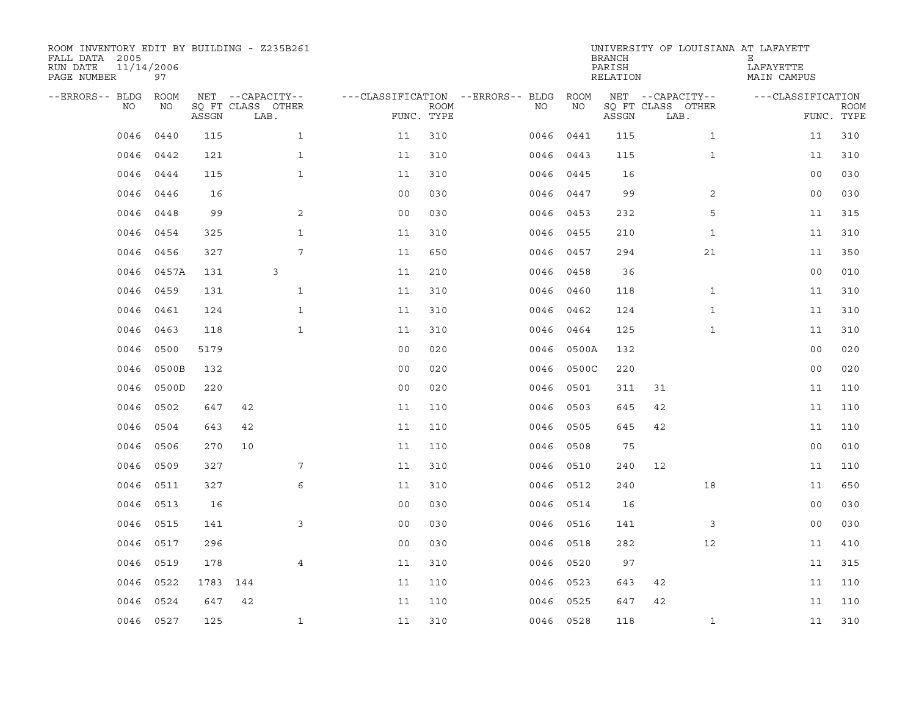| ROOM INVENTORY EDIT BY BUILDING - Z235B261<br>FALL DATA 2005<br>RUN DATE<br>PAGE NUMBER | 11/14/2006<br>97 |          |                           |                |                           |                                   |           | <b>BRANCH</b><br>PARISH<br>RELATION | UNIVERSITY OF LOUISIANA AT LAFAYETT | Е<br>LAFAYETTE<br>MAIN CAMPUS |                           |
|-----------------------------------------------------------------------------------------|------------------|----------|---------------------------|----------------|---------------------------|-----------------------------------|-----------|-------------------------------------|-------------------------------------|-------------------------------|---------------------------|
| --ERRORS-- BLDG                                                                         | ROOM             |          | NET --CAPACITY--          |                |                           | ---CLASSIFICATION --ERRORS-- BLDG | ROOM      |                                     | NET --CAPACITY--                    | ---CLASSIFICATION             |                           |
| NO                                                                                      | NO               | ASSGN    | SQ FT CLASS OTHER<br>LAB. |                | <b>ROOM</b><br>FUNC. TYPE | NO                                | ΝO        | ASSGN                               | SQ FT CLASS OTHER<br>LAB.           |                               | <b>ROOM</b><br>FUNC. TYPE |
| 0046                                                                                    | 0440             | 115      | $\mathbf{1}$              | 11             | 310                       | 0046                              | 0441      | 115                                 | $\mathbf{1}$                        | 11                            | 310                       |
| 0046                                                                                    | 0442             | 121      | $\mathbf{1}$              | 11             | 310                       | 0046                              | 0443      | 115                                 | $\mathbf{1}$                        | 11                            | 310                       |
| 0046                                                                                    | 0444             | 115      | $\mathbf{1}$              | 11             | 310                       | 0046                              | 0445      | 16                                  |                                     | 0 <sub>0</sub>                | 030                       |
| 0046                                                                                    | 0446             | 16       |                           | 0 <sub>0</sub> | 030                       |                                   | 0046 0447 | 99                                  | 2                                   | 0 <sub>0</sub>                | 030                       |
| 0046                                                                                    | 0448             | 99       | $\mathbf{2}$              | 00             | 030                       | 0046                              | 0453      | 232                                 | 5                                   | 11                            | 315                       |
| 0046                                                                                    | 0454             | 325      | $\mathbf{1}$              | 11             | 310                       |                                   | 0046 0455 | 210                                 | $\mathbf{1}$                        | 11                            | 310                       |
| 0046                                                                                    | 0456             | 327      | 7                         | 11             | 650                       |                                   | 0046 0457 | 294                                 | 21                                  | 11                            | 350                       |
| 0046                                                                                    | 0457A            | 131      | 3                         | 11             | 210                       |                                   | 0046 0458 | 36                                  |                                     | 0 <sub>0</sub>                | 010                       |
| 0046                                                                                    | 0459             | 131      | $\mathbf{1}$              | 11             | 310                       | 0046                              | 0460      | 118                                 | $\mathbf{1}$                        | 11                            | 310                       |
| 0046                                                                                    | 0461             | 124      | $\mathbf{1}$              | 11             | 310                       |                                   | 0046 0462 | 124                                 | $\mathbf{1}$                        | 11                            | 310                       |
| 0046                                                                                    | 0463             | 118      | $\mathbf{1}$              | 11             | 310                       | 0046                              | 0464      | 125                                 | $\mathbf{1}$                        | 11                            | 310                       |
| 0046                                                                                    | 0500             | 5179     |                           | 0 <sub>0</sub> | 020                       | 0046                              | 0500A     | 132                                 |                                     | 0 <sub>0</sub>                | 020                       |
| 0046                                                                                    | 0500B            | 132      |                           | 0 <sub>0</sub> | 020                       | 0046                              | 0500C     | 220                                 |                                     | 0 <sub>0</sub>                | 020                       |
| 0046                                                                                    | 0500D            | 220      |                           | 0 <sub>0</sub> | 020                       | 0046                              | 0501      | 311                                 | 31                                  | 11                            | 110                       |
| 0046                                                                                    | 0502             | 647      | 42                        | 11             | 110                       | 0046                              | 0503      | 645                                 | 42                                  | 11                            | 110                       |
| 0046                                                                                    | 0504             | 643      | 42                        | 11             | 110                       | 0046                              | 0505      | 645                                 | 42                                  | 11                            | 110                       |
| 0046                                                                                    | 0506             | 270      | 10                        | 11             | 110                       | 0046                              | 0508      | 75                                  |                                     | 0 <sub>0</sub>                | 010                       |
| 0046                                                                                    | 0509             | 327      | 7                         | 11             | 310                       | 0046                              | 0510      | 240                                 | 12                                  | 11                            | 110                       |
| 0046                                                                                    | 0511             | 327      | 6                         | 11             | 310                       |                                   | 0046 0512 | 240                                 | 18                                  | 11                            | 650                       |
| 0046                                                                                    | 0513             | 16       |                           | 0 <sub>0</sub> | 030                       | 0046                              | 0514      | 16                                  |                                     | 00                            | 030                       |
| 0046                                                                                    | 0515             | 141      | 3                         | 0 <sub>0</sub> | 030                       |                                   | 0046 0516 | 141                                 | 3                                   | 0 <sub>0</sub>                | 030                       |
| 0046                                                                                    | 0517             | 296      |                           | 0 <sub>0</sub> | 030                       | 0046                              | 0518      | 282                                 | 12                                  | 11                            | 410                       |
| 0046                                                                                    | 0519             | 178      | $\overline{4}$            | 11             | 310                       |                                   | 0046 0520 | 97                                  |                                     | 11                            | 315                       |
| 0046                                                                                    | 0522             | 1783 144 |                           | 11             | 110                       | 0046                              | 0523      | 643                                 | 42                                  | 11                            | 110                       |
| 0046                                                                                    | 0524             | 647      | 42                        | 11             | 110                       | 0046                              | 0525      | 647                                 | 42                                  | 11                            | 110                       |
|                                                                                         | 0046 0527        | 125      | $\mathbf{1}$              | 11             | 310                       |                                   | 0046 0528 | 118                                 | $\mathbf{1}$                        | 11                            | 310                       |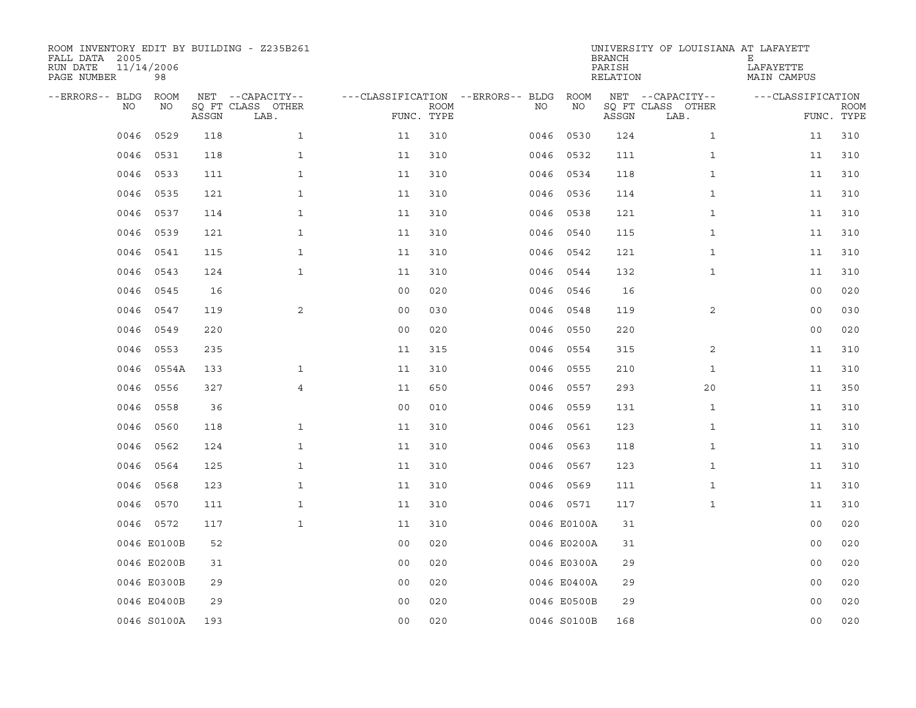| ROOM INVENTORY EDIT BY BUILDING - Z235B261<br>FALL DATA 2005<br>RUN DATE<br>PAGE NUMBER | 11/14/2006<br>98 |       |                                               |                |                           |                                         |             | <b>BRANCH</b><br>PARISH<br>RELATION | UNIVERSITY OF LOUISIANA AT LAFAYETT           | Ε<br>LAFAYETTE<br>MAIN CAMPUS |                           |
|-----------------------------------------------------------------------------------------|------------------|-------|-----------------------------------------------|----------------|---------------------------|-----------------------------------------|-------------|-------------------------------------|-----------------------------------------------|-------------------------------|---------------------------|
| --ERRORS-- BLDG<br>NO                                                                   | ROOM<br>NO       | ASSGN | NET --CAPACITY--<br>SQ FT CLASS OTHER<br>LAB. |                | <b>ROOM</b><br>FUNC. TYPE | ---CLASSIFICATION --ERRORS-- BLDG<br>NO | ROOM<br>ΝO  | ASSGN                               | NET --CAPACITY--<br>SQ FT CLASS OTHER<br>LAB. | ---CLASSIFICATION             | <b>ROOM</b><br>FUNC. TYPE |
| 0046                                                                                    | 0529             | 118   | $\mathbf{1}$                                  | 11             | 310                       | 0046                                    | 0530        | 124                                 | $\mathbf{1}$                                  | 11                            | 310                       |
| 0046                                                                                    | 0531             | 118   | $\mathbf{1}$                                  | 11             | 310                       |                                         | 0046 0532   | 111                                 | $\mathbf{1}$                                  | 11                            | 310                       |
| 0046                                                                                    | 0533             | 111   | $\mathbf{1}$                                  | 11             | 310                       | 0046                                    | 0534        | 118                                 | $\mathbf{1}$                                  | 11                            | 310                       |
| 0046                                                                                    | 0535             | 121   | $\mathbf{1}$                                  | 11             | 310                       |                                         | 0046 0536   | 114                                 | $\mathbf{1}$                                  | 11                            | 310                       |
| 0046                                                                                    | 0537             | 114   | $\mathbf{1}$                                  | 11             | 310                       | 0046                                    | 0538        | 121                                 | $\mathbf{1}$                                  | 11                            | 310                       |
| 0046                                                                                    | 0539             | 121   | $\mathbf 1$                                   | 11             | 310                       |                                         | 0046 0540   | 115                                 | $\mathbf{1}$                                  | 11                            | 310                       |
| 0046                                                                                    | 0541             | 115   | $\mathbf{1}$                                  | 11             | 310                       |                                         | 0046 0542   | 121                                 | $\mathbf{1}$                                  | 11                            | 310                       |
| 0046                                                                                    | 0543             | 124   | $\mathbf{1}$                                  | 11             | 310                       |                                         | 0046 0544   | 132                                 | $\mathbf{1}$                                  | 11                            | 310                       |
| 0046                                                                                    | 0545             | 16    |                                               | 0 <sub>0</sub> | 020                       | 0046                                    | 0546        | 16                                  |                                               | 0 <sub>0</sub>                | 020                       |
| 0046                                                                                    | 0547             | 119   | 2                                             | 0 <sub>0</sub> | 030                       |                                         | 0046 0548   | 119                                 | 2                                             | 0 <sub>0</sub>                | 030                       |
| 0046                                                                                    | 0549             | 220   |                                               | 0 <sub>0</sub> | 020                       | 0046                                    | 0550        | 220                                 |                                               | 0 <sub>0</sub>                | 020                       |
| 0046                                                                                    | 0553             | 235   |                                               | 11             | 315                       |                                         | 0046 0554   | 315                                 | 2                                             | 11                            | 310                       |
| 0046                                                                                    | 0554A            | 133   | $\mathbf{1}$                                  | 11             | 310                       | 0046                                    | 0555        | 210                                 | $\mathbf{1}$                                  | 11                            | 310                       |
| 0046                                                                                    | 0556             | 327   | $\overline{4}$                                | 11             | 650                       | 0046                                    | 0557        | 293                                 | 20                                            | 11                            | 350                       |
| 0046                                                                                    | 0558             | 36    |                                               | 0 <sub>0</sub> | 010                       | 0046                                    | 0559        | 131                                 | $\mathbf{1}$                                  | 11                            | 310                       |
| 0046                                                                                    | 0560             | 118   | $\mathbf{1}$                                  | 11             | 310                       | 0046                                    | 0561        | 123                                 | $\mathbf{1}$                                  | 11                            | 310                       |
| 0046                                                                                    | 0562             | 124   | $\mathbf{1}$                                  | 11             | 310                       | 0046                                    | 0563        | 118                                 | $\mathbf{1}$                                  | 11                            | 310                       |
| 0046                                                                                    | 0564             | 125   | $\mathbf{1}$                                  | 11             | 310                       | 0046                                    | 0567        | 123                                 | $\mathbf{1}$                                  | 11                            | 310                       |
| 0046                                                                                    | 0568             | 123   | $\mathbf{1}$                                  | 11             | 310                       |                                         | 0046 0569   | 111                                 | $\mathbf{1}$                                  | 11                            | 310                       |
| 0046                                                                                    | 0570             | 111   | $\mathbf{1}$                                  | 11             | 310                       |                                         | 0046 0571   | 117                                 | $\mathbf{1}$                                  | 11                            | 310                       |
|                                                                                         | 0046 0572        | 117   | $\mathbf{1}$                                  | 11             | 310                       |                                         | 0046 E0100A | 31                                  |                                               | 0 <sub>0</sub>                | 020                       |
|                                                                                         | 0046 E0100B      | 52    |                                               | 0 <sub>0</sub> | 020                       |                                         | 0046 E0200A | 31                                  |                                               | 00                            | 020                       |
|                                                                                         | 0046 E0200B      | 31    |                                               | 0 <sub>0</sub> | 020                       |                                         | 0046 E0300A | 29                                  |                                               | 0 <sub>0</sub>                | 020                       |
|                                                                                         | 0046 E0300B      | 29    |                                               | 0 <sub>0</sub> | 020                       |                                         | 0046 E0400A | 29                                  |                                               | 0 <sub>0</sub>                | 020                       |
|                                                                                         | 0046 E0400B      | 29    |                                               | 0 <sub>0</sub> | 020                       |                                         | 0046 E0500B | 29                                  |                                               | 0 <sub>0</sub>                | 020                       |
|                                                                                         | 0046 S0100A      | 193   |                                               | 0 <sub>0</sub> | 020                       |                                         | 0046 S0100B | 168                                 |                                               | 0 <sub>0</sub>                | 020                       |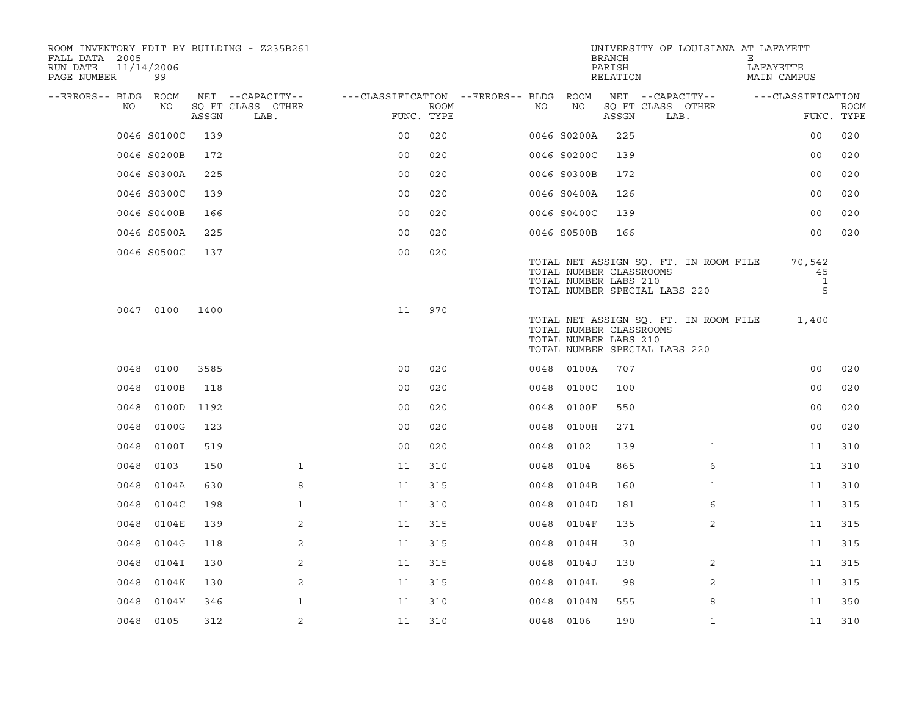| ROOM INVENTORY EDIT BY BUILDING - Z235B261<br>FALL DATA 2005<br>RUN DATE<br>PAGE NUMBER | 11/14/2006<br>99 |       |                           |                                        |      |      |                                                  | <b>BRANCH</b><br>PARISH<br>RELATION | UNIVERSITY OF LOUISIANA AT LAFAYETT                                    | Е<br>LAFAYETTE | MAIN CAMPUS                       |             |
|-----------------------------------------------------------------------------------------|------------------|-------|---------------------------|----------------------------------------|------|------|--------------------------------------------------|-------------------------------------|------------------------------------------------------------------------|----------------|-----------------------------------|-------------|
| --ERRORS-- BLDG ROOM                                                                    |                  |       | NET --CAPACITY--          | ---CLASSIFICATION --ERRORS-- BLDG ROOM |      |      |                                                  |                                     | NET --CAPACITY--                                                       |                | ---CLASSIFICATION                 |             |
| NO.                                                                                     | NO               | ASSGN | SQ FT CLASS OTHER<br>LAB. | FUNC. TYPE                             | ROOM | NO   | NO                                               | ASSGN                               | SQ FT CLASS OTHER<br>LAB.                                              |                | FUNC. TYPE                        | <b>ROOM</b> |
|                                                                                         | 0046 S0100C      | 139   |                           | 0 <sup>0</sup>                         | 020  |      | 0046 S0200A                                      | 225                                 |                                                                        |                | 0 <sub>0</sub>                    | 020         |
|                                                                                         | 0046 S0200B      | 172   |                           | 0 <sub>0</sub>                         | 020  |      | 0046 S0200C                                      | 139                                 |                                                                        |                | 0 <sub>0</sub>                    | 020         |
|                                                                                         | 0046 S0300A      | 225   |                           | 0 <sub>0</sub>                         | 020  |      | 0046 S0300B                                      | 172                                 |                                                                        |                | 0 <sub>0</sub>                    | 020         |
|                                                                                         | 0046 S0300C      | 139   |                           | 0 <sub>0</sub>                         | 020  |      | 0046 S0400A                                      | 126                                 |                                                                        |                | 0 <sub>0</sub>                    | 020         |
|                                                                                         | 0046 S0400B      | 166   |                           | 0 <sub>0</sub>                         | 020  |      | 0046 S0400C                                      | 139                                 |                                                                        |                | 0 <sub>0</sub>                    | 020         |
|                                                                                         | 0046 S0500A      | 225   |                           | 0 <sub>0</sub>                         | 020  |      | 0046 S0500B                                      | 166                                 |                                                                        |                | 0 <sub>0</sub>                    | 020         |
|                                                                                         | 0046 S0500C      | 137   |                           | 0 <sub>0</sub>                         | 020  |      | TOTAL NUMBER CLASSROOMS<br>TOTAL NUMBER LABS 210 |                                     | TOTAL NET ASSIGN SQ. FT. IN ROOM FILE<br>TOTAL NUMBER SPECIAL LABS 220 |                | 70,542<br>45<br><sup>1</sup><br>5 |             |
|                                                                                         | 0047 0100        | 1400  |                           | 11                                     | 970  |      | TOTAL NUMBER CLASSROOMS<br>TOTAL NUMBER LABS 210 |                                     | TOTAL NET ASSIGN SQ. FT. IN ROOM FILE<br>TOTAL NUMBER SPECIAL LABS 220 |                | 1,400                             |             |
|                                                                                         | 0048 0100        | 3585  |                           | 0 <sub>0</sub>                         | 020  |      | 0048 0100A                                       | 707                                 |                                                                        |                | 0 <sub>0</sub>                    | 020         |
| 0048                                                                                    | 0100B            | 118   |                           | 0 <sub>0</sub>                         | 020  | 0048 | 0100C                                            | 100                                 |                                                                        |                | 00                                | 020         |
| 0048                                                                                    | 0100D            | 1192  |                           | 0 <sub>0</sub>                         | 020  | 0048 | 0100F                                            | 550                                 |                                                                        |                | 0 <sub>0</sub>                    | 020         |
| 0048                                                                                    | 0100G            | 123   |                           | 0 <sub>0</sub>                         | 020  | 0048 | 0100H                                            | 271                                 |                                                                        |                | 0 <sub>0</sub>                    | 020         |
| 0048                                                                                    | 0100I            | 519   |                           | 0 <sub>0</sub>                         | 020  | 0048 | 0102                                             | 139                                 | $\mathbf{1}$                                                           |                | 11                                | 310         |
| 0048                                                                                    | 0103             | 150   | $\mathbf{1}$              | 11                                     | 310  | 0048 | 0104                                             | 865                                 | 6                                                                      |                | 11                                | 310         |
| 0048                                                                                    | 0104A            | 630   | 8                         | 11                                     | 315  |      | 0048 0104B                                       | 160                                 | $\mathbf{1}$                                                           |                | 11                                | 310         |
| 0048                                                                                    | 0104C            | 198   | $\mathbf{1}$              | 11                                     | 310  | 0048 | 0104D                                            | 181                                 | 6                                                                      |                | 11                                | 315         |
| 0048                                                                                    | 0104E            | 139   | 2                         | 11                                     | 315  |      | 0048 0104F                                       | 135                                 | 2                                                                      |                | 11                                | 315         |
| 0048                                                                                    | 0104G            | 118   | 2                         | 11                                     | 315  | 0048 | 0104H                                            | 30                                  |                                                                        |                | 11                                | 315         |
| 0048                                                                                    | 0104I            | 130   | 2                         | 11                                     | 315  |      | 0048 0104J                                       | 130                                 | 2                                                                      |                | 11                                | 315         |
| 0048                                                                                    | 0104K            | 130   | 2                         | 11                                     | 315  | 0048 | 0104L                                            | 98                                  | 2                                                                      |                | 11                                | 315         |
| 0048                                                                                    | 0104M            | 346   | $\mathbf{1}$              | 11                                     | 310  |      | 0048 0104N                                       | 555                                 | 8                                                                      |                | 11                                | 350         |
|                                                                                         | 0048 0105        | 312   | 2                         | 11                                     | 310  |      | 0048 0106                                        | 190                                 | $\mathbf{1}$                                                           |                | 11                                | 310         |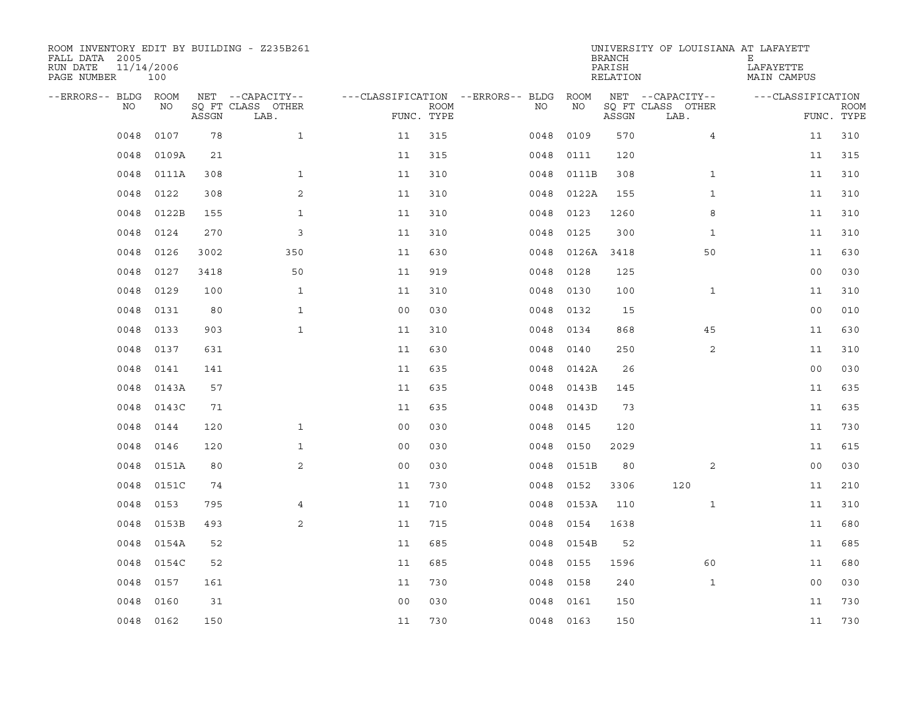| ROOM INVENTORY EDIT BY BUILDING - Z235B261<br>FALL DATA 2005<br>RUN DATE<br>PAGE NUMBER | 11/14/2006<br>100 |       |                           |                                   |                           |           |       | <b>BRANCH</b><br>PARISH<br>RELATION | UNIVERSITY OF LOUISIANA AT LAFAYETT | Е<br>LAFAYETTE<br>MAIN CAMPUS |                           |
|-----------------------------------------------------------------------------------------|-------------------|-------|---------------------------|-----------------------------------|---------------------------|-----------|-------|-------------------------------------|-------------------------------------|-------------------------------|---------------------------|
| --ERRORS-- BLDG                                                                         | <b>ROOM</b>       |       | NET --CAPACITY--          | ---CLASSIFICATION --ERRORS-- BLDG |                           |           | ROOM  |                                     | NET --CAPACITY--                    | ---CLASSIFICATION             |                           |
| NO                                                                                      | NO                | ASSGN | SO FT CLASS OTHER<br>LAB. |                                   | <b>ROOM</b><br>FUNC. TYPE | NO.       | NO    | ASSGN                               | SQ FT CLASS OTHER<br>LAB.           |                               | <b>ROOM</b><br>FUNC. TYPE |
| 0048                                                                                    | 0107              | 78    | $\mathbf{1}$              | 11                                | 315                       | 0048      | 0109  | 570                                 | $\overline{4}$                      | 11                            | 310                       |
| 0048                                                                                    | 0109A             | 21    |                           | 11                                | 315                       | 0048      | 0111  | 120                                 |                                     | 11                            | 315                       |
| 0048                                                                                    | 0111A             | 308   | $\mathbf{1}$              | 11                                | 310                       | 0048      | 0111B | 308                                 | $\mathbf{1}$                        | 11                            | 310                       |
| 0048                                                                                    | 0122              | 308   | 2                         | 11                                | 310                       | 0048      | 0122A | 155                                 | $\mathbf{1}$                        | 11                            | 310                       |
| 0048                                                                                    | 0122B             | 155   | $\mathbf{1}$              | 11                                | 310                       | 0048      | 0123  | 1260                                | 8                                   | 11                            | 310                       |
| 0048                                                                                    | 0124              | 270   | 3                         | 11                                | 310                       | 0048      | 0125  | 300                                 | $\mathbf{1}$                        | 11                            | 310                       |
| 0048                                                                                    | 0126              | 3002  | 350                       | 11                                | 630                       | 0048      | 0126A | 3418                                | 50                                  | 11                            | 630                       |
| 0048                                                                                    | 0127              | 3418  | 50                        | 11                                | 919                       | 0048      | 0128  | 125                                 |                                     | 0 <sub>0</sub>                | 030                       |
| 0048                                                                                    | 0129              | 100   | $\mathbf{1}$              | 11                                | 310                       | 0048      | 0130  | 100                                 | $\mathbf{1}$                        | 11                            | 310                       |
| 0048                                                                                    | 0131              | 80    | $\mathbf{1}$              | 0 <sub>0</sub>                    | 030                       | 0048      | 0132  | 15                                  |                                     | 0 <sub>0</sub>                | 010                       |
| 0048                                                                                    | 0133              | 903   | $\mathbf{1}$              | 11                                | 310                       | 0048      | 0134  | 868                                 | 45                                  | 11                            | 630                       |
| 0048                                                                                    | 0137              | 631   |                           | 11                                | 630                       | 0048      | 0140  | 250                                 | 2                                   | 11                            | 310                       |
| 0048                                                                                    | 0141              | 141   |                           | 11                                | 635                       | 0048      | 0142A | 26                                  |                                     | 0 <sub>0</sub>                | 030                       |
| 0048                                                                                    | 0143A             | 57    |                           | 11                                | 635                       | 0048      | 0143B | 145                                 |                                     | 11                            | 635                       |
| 0048                                                                                    | 0143C             | 71    |                           | 11                                | 635                       | 0048      | 0143D | 73                                  |                                     | 11                            | 635                       |
| 0048                                                                                    | 0144              | 120   | $\mathbf{1}$              | 0 <sub>0</sub>                    | 030                       | 0048      | 0145  | 120                                 |                                     | 11                            | 730                       |
| 0048                                                                                    | 0146              | 120   | $\mathbf{1}$              | 0 <sub>0</sub>                    | 030                       | 0048      | 0150  | 2029                                |                                     | 11                            | 615                       |
| 0048                                                                                    | 0151A             | 80    | 2                         | 0 <sub>0</sub>                    | 030                       | 0048      | 0151B | 80                                  | 2                                   | 00                            | 030                       |
| 0048                                                                                    | 0151C             | 74    |                           | 11                                | 730                       | 0048      | 0152  | 3306                                | 120                                 | 11                            | 210                       |
| 0048                                                                                    | 0153              | 795   | $\overline{4}$            | 11                                | 710                       | 0048      | 0153A | 110                                 | $\mathbf{1}$                        | 11                            | 310                       |
| 0048                                                                                    | 0153B             | 493   | 2                         | 11                                | 715                       | 0048      | 0154  | 1638                                |                                     | 11                            | 680                       |
| 0048                                                                                    | 0154A             | 52    |                           | 11                                | 685                       | 0048      | 0154B | 52                                  |                                     | 11                            | 685                       |
| 0048                                                                                    | 0154C             | 52    |                           | 11                                | 685                       | 0048      | 0155  | 1596                                | 60                                  | 11                            | 680                       |
| 0048                                                                                    | 0157              | 161   |                           | 11                                | 730                       | 0048      | 0158  | 240                                 | $\mathbf{1}$                        | 0 <sub>0</sub>                | 030                       |
| 0048                                                                                    | 0160              | 31    |                           | 0 <sub>0</sub>                    | 030                       | 0048      | 0161  | 150                                 |                                     | 11                            | 730                       |
| 0048                                                                                    | 0162              | 150   |                           | 11                                | 730                       | 0048 0163 |       | 150                                 |                                     | 11                            | 730                       |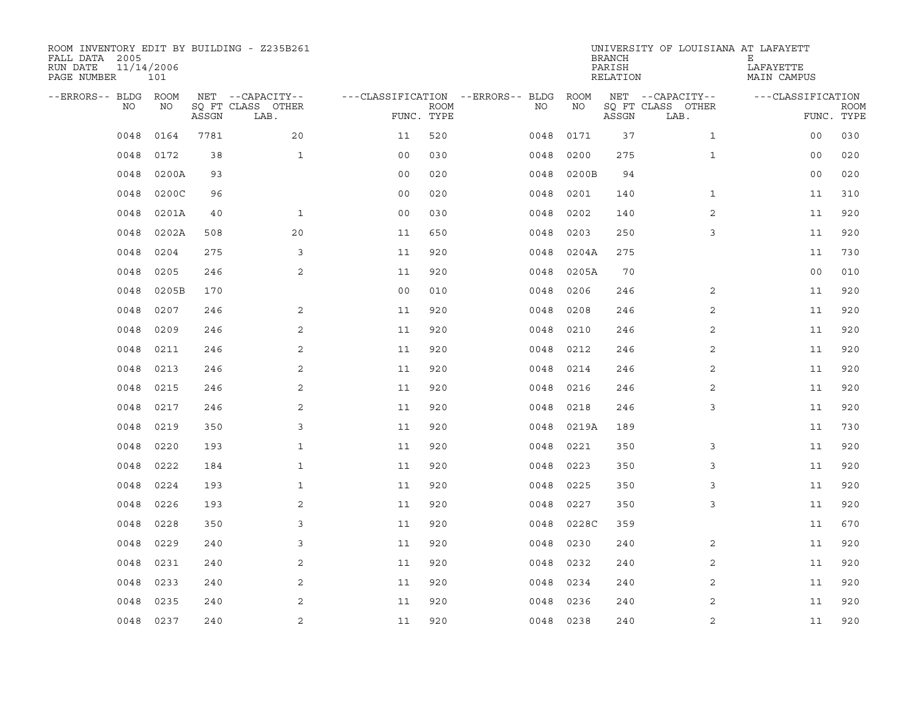| ROOM INVENTORY EDIT BY BUILDING - Z235B261<br>FALL DATA 2005<br>RUN DATE<br>PAGE NUMBER | 11/14/2006<br>101 |       |                                               |                                                 |             |           |            | <b>BRANCH</b><br>PARISH<br>RELATION | UNIVERSITY OF LOUISIANA AT LAFAYETT           | Е<br>LAFAYETTE<br>MAIN CAMPUS   |             |
|-----------------------------------------------------------------------------------------|-------------------|-------|-----------------------------------------------|-------------------------------------------------|-------------|-----------|------------|-------------------------------------|-----------------------------------------------|---------------------------------|-------------|
| --ERRORS-- BLDG ROOM<br>NO                                                              | NO                | ASSGN | NET --CAPACITY--<br>SQ FT CLASS OTHER<br>LAB. | ---CLASSIFICATION --ERRORS-- BLDG<br>FUNC. TYPE | <b>ROOM</b> | NO        | ROOM<br>NO | ASSGN                               | NET --CAPACITY--<br>SQ FT CLASS OTHER<br>LAB. | ---CLASSIFICATION<br>FUNC. TYPE | <b>ROOM</b> |
| 0048                                                                                    | 0164              | 7781  | 20                                            | 11                                              | 520         | 0048      | 0171       | 37                                  | $\mathbf{1}$                                  | 0 <sub>0</sub>                  | 030         |
| 0048                                                                                    | 0172              | 38    | $\mathbf{1}$                                  | 0 <sub>0</sub>                                  | 030         | 0048      | 0200       | 275                                 | $\mathbf{1}$                                  | 00                              | 020         |
| 0048                                                                                    | 0200A             | 93    |                                               | 0 <sub>0</sub>                                  | 020         | 0048      | 0200B      | 94                                  |                                               | 0 <sub>0</sub>                  | 020         |
| 0048                                                                                    | 0200C             | 96    |                                               | 0 <sub>0</sub>                                  | 020         | 0048      | 0201       | 140                                 | $\mathbf{1}$                                  | 11                              | 310         |
| 0048                                                                                    | 0201A             | 40    | $\mathbf{1}$                                  | 00                                              | 030         | 0048      | 0202       | 140                                 | 2                                             | 11                              | 920         |
| 0048                                                                                    | 0202A             | 508   | 20                                            | 11                                              | 650         | 0048      | 0203       | 250                                 | 3                                             | 11                              | 920         |
| 0048                                                                                    | 0204              | 275   | 3                                             | 11                                              | 920         | 0048      | 0204A      | 275                                 |                                               | 11                              | 730         |
| 0048                                                                                    | 0205              | 246   | $\mathbf{2}$                                  | 11                                              | 920         | 0048      | 0205A      | 70                                  |                                               | 0 <sub>0</sub>                  | 010         |
| 0048                                                                                    | 0205B             | 170   |                                               | 0 <sub>0</sub>                                  | 010         | 0048      | 0206       | 246                                 | 2                                             | 11                              | 920         |
| 0048                                                                                    | 0207              | 246   | 2                                             | 11                                              | 920         | 0048      | 0208       | 246                                 | 2                                             | 11                              | 920         |
| 0048                                                                                    | 0209              | 246   | 2                                             | 11                                              | 920         | 0048      | 0210       | 246                                 | $\overline{2}$                                | 11                              | 920         |
| 0048                                                                                    | 0211              | 246   | 2                                             | 11                                              | 920         | 0048      | 0212       | 246                                 | $\overline{a}$                                | 11                              | 920         |
| 0048                                                                                    | 0213              | 246   | 2                                             | 11                                              | 920         | 0048      | 0214       | 246                                 | 2                                             | 11                              | 920         |
| 0048                                                                                    | 0215              | 246   | 2                                             | 11                                              | 920         | 0048      | 0216       | 246                                 | 2                                             | 11                              | 920         |
| 0048                                                                                    | 0217              | 246   | 2                                             | 11                                              | 920         | 0048      | 0218       | 246                                 | 3                                             | 11                              | 920         |
| 0048                                                                                    | 0219              | 350   | 3                                             | 11                                              | 920         | 0048      | 0219A      | 189                                 |                                               | 11                              | 730         |
| 0048                                                                                    | 0220              | 193   | $\mathbf{1}$                                  | 11                                              | 920         | 0048      | 0221       | 350                                 | 3                                             | 11                              | 920         |
| 0048                                                                                    | 0222              | 184   | $\mathbf{1}$                                  | 11                                              | 920         | 0048      | 0223       | 350                                 | 3                                             | 11                              | 920         |
| 0048                                                                                    | 0224              | 193   | $\mathbf{1}$                                  | 11                                              | 920         | 0048      | 0225       | 350                                 | 3                                             | 11                              | 920         |
| 0048                                                                                    | 0226              | 193   | 2                                             | 11                                              | 920         | 0048      | 0227       | 350                                 | 3                                             | 11                              | 920         |
| 0048                                                                                    | 0228              | 350   | 3                                             | 11                                              | 920         | 0048      | 0228C      | 359                                 |                                               | 11                              | 670         |
| 0048                                                                                    | 0229              | 240   | 3                                             | 11                                              | 920         | 0048      | 0230       | 240                                 | 2                                             | 11                              | 920         |
| 0048                                                                                    | 0231              | 240   | 2                                             | 11                                              | 920         | 0048      | 0232       | 240                                 | 2                                             | 11                              | 920         |
| 0048                                                                                    | 0233              | 240   | 2                                             | 11                                              | 920         | 0048      | 0234       | 240                                 | 2                                             | 11                              | 920         |
| 0048                                                                                    | 0235              | 240   | 2                                             | 11                                              | 920         | 0048      | 0236       | 240                                 | 2                                             | 11                              | 920         |
| 0048                                                                                    | 0237              | 240   | 2                                             | 11                                              | 920         | 0048 0238 |            | 240                                 | 2                                             | 11                              | 920         |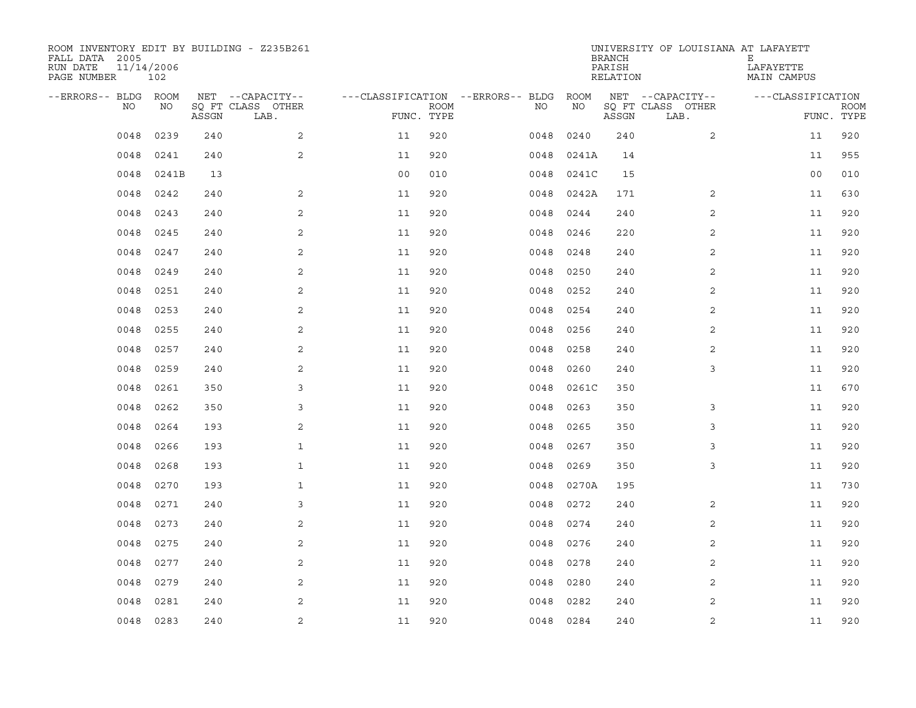| ROOM INVENTORY EDIT BY BUILDING - Z235B261<br>FALL DATA 2005<br>RUN DATE<br>PAGE NUMBER | 11/14/2006<br>102 |       |                           |                                   |             |      |       | <b>BRANCH</b><br>PARISH<br>RELATION | UNIVERSITY OF LOUISIANA AT LAFAYETT | Е<br>LAFAYETTE<br>MAIN CAMPUS |                           |
|-----------------------------------------------------------------------------------------|-------------------|-------|---------------------------|-----------------------------------|-------------|------|-------|-------------------------------------|-------------------------------------|-------------------------------|---------------------------|
| --ERRORS-- BLDG ROOM                                                                    |                   |       | NET --CAPACITY--          | ---CLASSIFICATION --ERRORS-- BLDG |             |      | ROOM  |                                     | NET --CAPACITY--                    | ---CLASSIFICATION             |                           |
| NO.                                                                                     | NO.               | ASSGN | SQ FT CLASS OTHER<br>LAB. | FUNC. TYPE                        | <b>ROOM</b> | NO.  | NO    | ASSGN                               | SQ FT CLASS OTHER<br>LAB.           |                               | <b>ROOM</b><br>FUNC. TYPE |
| 0048                                                                                    | 0239              | 240   | 2                         | 11                                | 920         | 0048 | 0240  | 240                                 | $\overline{2}$                      | 11                            | 920                       |
| 0048                                                                                    | 0241              | 240   | 2                         | 11                                | 920         | 0048 | 0241A | 14                                  |                                     | 11                            | 955                       |
| 0048                                                                                    | 0241B             | 13    |                           | 0 <sub>0</sub>                    | 010         | 0048 | 0241C | 15                                  |                                     | 0 <sub>0</sub>                | 010                       |
| 0048                                                                                    | 0242              | 240   | 2                         | 11                                | 920         | 0048 | 0242A | 171                                 | 2                                   | 11                            | 630                       |
| 0048                                                                                    | 0243              | 240   | 2                         | 11                                | 920         | 0048 | 0244  | 240                                 | 2                                   | 11                            | 920                       |
| 0048                                                                                    | 0245              | 240   | 2                         | 11                                | 920         | 0048 | 0246  | 220                                 | 2                                   | 11                            | 920                       |
| 0048                                                                                    | 0247              | 240   | 2                         | 11                                | 920         | 0048 | 0248  | 240                                 | 2                                   | 11                            | 920                       |
| 0048                                                                                    | 0249              | 240   | 2                         | 11                                | 920         | 0048 | 0250  | 240                                 | 2                                   | 11                            | 920                       |
| 0048                                                                                    | 0251              | 240   | 2                         | 11                                | 920         | 0048 | 0252  | 240                                 | $\overline{2}$                      | 11                            | 920                       |
| 0048                                                                                    | 0253              | 240   | 2                         | 11                                | 920         | 0048 | 0254  | 240                                 | 2                                   | 11                            | 920                       |
| 0048                                                                                    | 0255              | 240   | 2                         | 11                                | 920         | 0048 | 0256  | 240                                 | 2                                   | 11                            | 920                       |
| 0048                                                                                    | 0257              | 240   | 2                         | 11                                | 920         | 0048 | 0258  | 240                                 | 2                                   | 11                            | 920                       |
| 0048                                                                                    | 0259              | 240   | 2                         | 11                                | 920         | 0048 | 0260  | 240                                 | 3                                   | 11                            | 920                       |
| 0048                                                                                    | 0261              | 350   | 3                         | 11                                | 920         | 0048 | 0261C | 350                                 |                                     | 11                            | 670                       |
| 0048                                                                                    | 0262              | 350   | 3                         | 11                                | 920         | 0048 | 0263  | 350                                 | 3                                   | 11                            | 920                       |
| 0048                                                                                    | 0264              | 193   | 2                         | 11                                | 920         | 0048 | 0265  | 350                                 | 3                                   | 11                            | 920                       |
| 0048                                                                                    | 0266              | 193   | $\mathbf{1}$              | 11                                | 920         | 0048 | 0267  | 350                                 | 3                                   | 11                            | 920                       |
| 0048                                                                                    | 0268              | 193   | $\mathbf{1}$              | 11                                | 920         | 0048 | 0269  | 350                                 | 3                                   | 11                            | 920                       |
| 0048                                                                                    | 0270              | 193   | $\mathbf{1}$              | 11                                | 920         | 0048 | 0270A | 195                                 |                                     | 11                            | 730                       |
| 0048                                                                                    | 0271              | 240   | 3                         | 11                                | 920         | 0048 | 0272  | 240                                 | 2                                   | 11                            | 920                       |
| 0048                                                                                    | 0273              | 240   | 2                         | 11                                | 920         | 0048 | 0274  | 240                                 | 2                                   | 11                            | 920                       |
| 0048                                                                                    | 0275              | 240   | 2                         | 11                                | 920         | 0048 | 0276  | 240                                 | $\overline{2}$                      | 11                            | 920                       |
| 0048                                                                                    | 0277              | 240   | 2                         | 11                                | 920         | 0048 | 0278  | 240                                 | 2                                   | 11                            | 920                       |
| 0048                                                                                    | 0279              | 240   | 2                         | 11                                | 920         | 0048 | 0280  | 240                                 | $\overline{a}$                      | 11                            | 920                       |
| 0048                                                                                    | 0281              | 240   | 2                         | 11                                | 920         | 0048 | 0282  | 240                                 | 2                                   | 11                            | 920                       |
| 0048                                                                                    | 0283              | 240   | 2                         | 11                                | 920         | 0048 | 0284  | 240                                 | $\overline{2}$                      | 11                            | 920                       |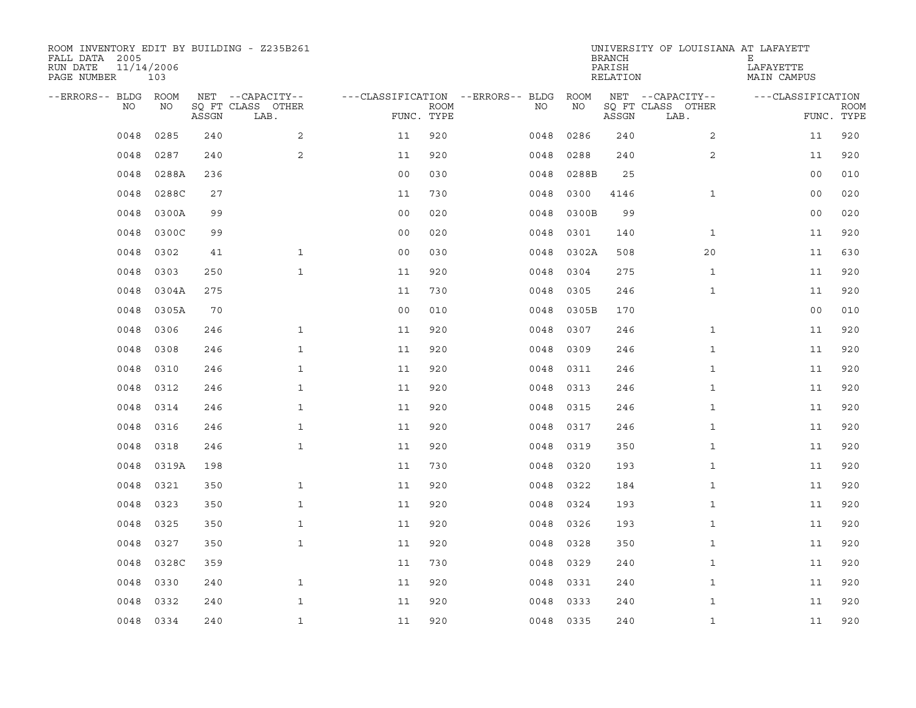| ROOM INVENTORY EDIT BY BUILDING - Z235B261<br>FALL DATA 2005<br>RUN DATE<br>PAGE NUMBER | 11/14/2006<br>103 |       |                           |                |      |                                   |           | <b>BRANCH</b><br>PARISH<br>RELATION | UNIVERSITY OF LOUISIANA AT LAFAYETT | Е<br>LAFAYETTE<br>MAIN CAMPUS |                           |
|-----------------------------------------------------------------------------------------|-------------------|-------|---------------------------|----------------|------|-----------------------------------|-----------|-------------------------------------|-------------------------------------|-------------------------------|---------------------------|
| --ERRORS-- BLDG ROOM                                                                    |                   |       | NET --CAPACITY--          |                |      | ---CLASSIFICATION --ERRORS-- BLDG | ROOM      |                                     | NET --CAPACITY--                    | ---CLASSIFICATION             |                           |
| NO                                                                                      | NO                | ASSGN | SQ FT CLASS OTHER<br>LAB. | FUNC. TYPE     | ROOM | NO                                | NO        | ASSGN                               | SQ FT CLASS OTHER<br>LAB.           |                               | <b>ROOM</b><br>FUNC. TYPE |
| 0048                                                                                    | 0285              | 240   | 2                         | 11             | 920  | 0048                              | 0286      | 240                                 | $\overline{2}$                      | 11                            | 920                       |
| 0048                                                                                    | 0287              | 240   | 2                         | 11             | 920  | 0048                              | 0288      | 240                                 | 2                                   | 11                            | 920                       |
| 0048                                                                                    | 0288A             | 236   |                           | 0 <sub>0</sub> | 030  | 0048                              | 0288B     | 25                                  |                                     | 0 <sub>0</sub>                | 010                       |
| 0048                                                                                    | 0288C             | 27    |                           | 11             | 730  | 0048                              | 0300      | 4146                                | $\mathbf{1}$                        | 0 <sub>0</sub>                | 020                       |
| 0048                                                                                    | 0300A             | 99    |                           | 0 <sub>0</sub> | 020  | 0048                              | 0300B     | 99                                  |                                     | 0 <sub>0</sub>                | 020                       |
| 0048                                                                                    | 0300C             | 99    |                           | 0 <sub>0</sub> | 020  | 0048                              | 0301      | 140                                 | $\mathbf{1}$                        | 11                            | 920                       |
| 0048                                                                                    | 0302              | 41    | $\mathbf{1}$              | 0 <sub>0</sub> | 030  | 0048                              | 0302A     | 508                                 | 20                                  | 11                            | 630                       |
| 0048                                                                                    | 0303              | 250   | $\mathbf{1}$              | 11             | 920  | 0048                              | 0304      | 275                                 | $\mathbf{1}$                        | 11                            | 920                       |
| 0048                                                                                    | 0304A             | 275   |                           | 11             | 730  | 0048                              | 0305      | 246                                 | $\mathbf{1}$                        | 11                            | 920                       |
| 0048                                                                                    | 0305A             | 70    |                           | 0 <sub>0</sub> | 010  | 0048                              | 0305B     | 170                                 |                                     | 0 <sub>0</sub>                | 010                       |
| 0048                                                                                    | 0306              | 246   | $\mathbf{1}$              | 11             | 920  | 0048                              | 0307      | 246                                 | $\mathbf{1}$                        | 11                            | 920                       |
| 0048                                                                                    | 0308              | 246   | $\mathbf{1}$              | 11             | 920  | 0048                              | 0309      | 246                                 | $\mathbf{1}$                        | 11                            | 920                       |
| 0048                                                                                    | 0310              | 246   | $\mathbf{1}$              | 11             | 920  | 0048                              | 0311      | 246                                 | $\mathbf{1}$                        | 11                            | 920                       |
| 0048                                                                                    | 0312              | 246   | $\mathbf 1$               | 11             | 920  | 0048                              | 0313      | 246                                 | $\mathbf{1}$                        | 11                            | 920                       |
| 0048                                                                                    | 0314              | 246   | $\mathbf{1}$              | 11             | 920  | 0048                              | 0315      | 246                                 | $\mathbf{1}$                        | 11                            | 920                       |
| 0048                                                                                    | 0316              | 246   | $\mathbf{1}$              | 11             | 920  | 0048                              | 0317      | 246                                 | $\mathbf{1}$                        | 11                            | 920                       |
| 0048                                                                                    | 0318              | 246   | $\mathbf{1}$              | 11             | 920  | 0048                              | 0319      | 350                                 | $\mathbf{1}$                        | 11                            | 920                       |
| 0048                                                                                    | 0319A             | 198   |                           | 11             | 730  | 0048                              | 0320      | 193                                 | $\mathbf{1}$                        | 11                            | 920                       |
| 0048                                                                                    | 0321              | 350   | $\mathbf{1}$              | 11             | 920  | 0048                              | 0322      | 184                                 | $\mathbf{1}$                        | 11                            | 920                       |
| 0048                                                                                    | 0323              | 350   | $\mathbf{1}$              | 11             | 920  | 0048                              | 0324      | 193                                 | $\mathbf{1}$                        | 11                            | 920                       |
| 0048                                                                                    | 0325              | 350   | $\mathbf{1}$              | 11             | 920  | 0048                              | 0326      | 193                                 | $\mathbf{1}$                        | 11                            | 920                       |
| 0048                                                                                    | 0327              | 350   | $\mathbf{1}$              | 11             | 920  | 0048                              | 0328      | 350                                 | $\mathbf{1}$                        | 11                            | 920                       |
| 0048                                                                                    | 0328C             | 359   |                           | 11             | 730  | 0048                              | 0329      | 240                                 | $\mathbf{1}$                        | 11                            | 920                       |
| 0048                                                                                    | 0330              | 240   | $\mathbf{1}$              | 11             | 920  | 0048                              | 0331      | 240                                 | $\mathbf{1}$                        | 11                            | 920                       |
| 0048                                                                                    | 0332              | 240   | $\mathbf{1}$              | 11             | 920  | 0048                              | 0333      | 240                                 | $\mathbf{1}$                        | 11                            | 920                       |
|                                                                                         | 0048 0334         | 240   | $\mathbf{1}$              | 11             | 920  |                                   | 0048 0335 | 240                                 | $\mathbf{1}$                        | 11                            | 920                       |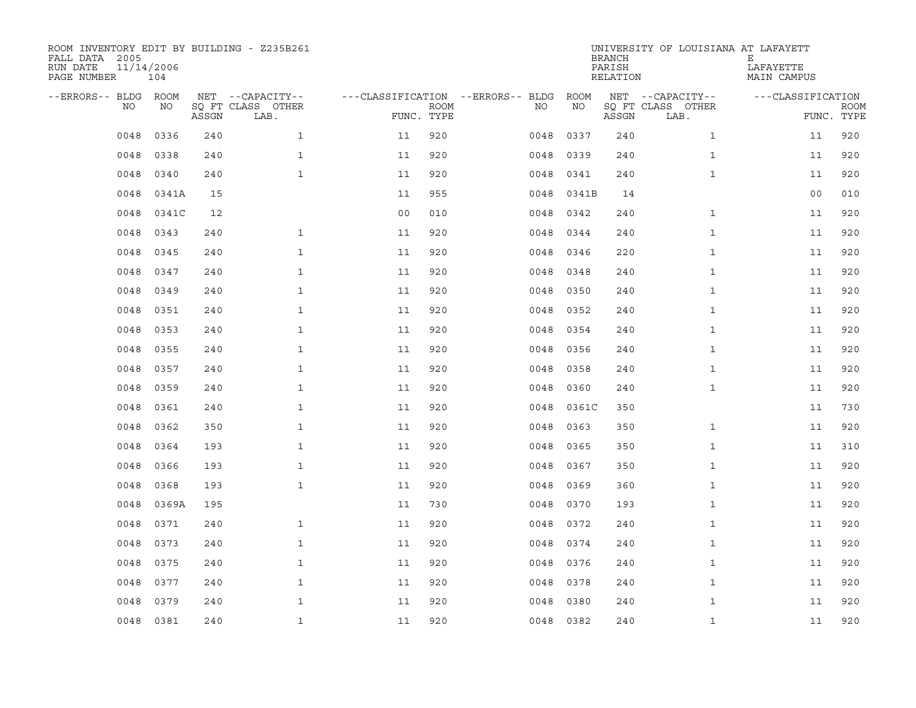| ROOM INVENTORY EDIT BY BUILDING - Z235B261<br>FALL DATA 2005<br>RUN DATE<br>PAGE NUMBER | 11/14/2006<br>104 |       |                           |                                   |             |           |       | <b>BRANCH</b><br>PARISH<br>RELATION | UNIVERSITY OF LOUISIANA AT LAFAYETT | Е<br>LAFAYETTE<br>MAIN CAMPUS |                           |
|-----------------------------------------------------------------------------------------|-------------------|-------|---------------------------|-----------------------------------|-------------|-----------|-------|-------------------------------------|-------------------------------------|-------------------------------|---------------------------|
| --ERRORS-- BLDG ROOM                                                                    |                   |       | NET --CAPACITY--          | ---CLASSIFICATION --ERRORS-- BLDG |             |           | ROOM  |                                     | NET --CAPACITY--                    | ---CLASSIFICATION             |                           |
| NO.                                                                                     | NO.               | ASSGN | SQ FT CLASS OTHER<br>LAB. | FUNC. TYPE                        | <b>ROOM</b> | NO.       | NO    | ASSGN                               | SQ FT CLASS OTHER<br>LAB.           |                               | <b>ROOM</b><br>FUNC. TYPE |
| 0048                                                                                    | 0336              | 240   | $\mathbf{1}$              | 11                                | 920         | 0048      | 0337  | 240                                 | $\mathbf{1}$                        | 11                            | 920                       |
| 0048                                                                                    | 0338              | 240   | $\mathbf{1}$              | 11                                | 920         | 0048      | 0339  | 240                                 | $\mathbf{1}$                        | 11                            | 920                       |
| 0048                                                                                    | 0340              | 240   | $\mathbf{1}$              | 11                                | 920         | 0048      | 0341  | 240                                 | $\mathbf{1}$                        | 11                            | 920                       |
| 0048                                                                                    | 0341A             | 15    |                           | 11                                | 955         | 0048      | 0341B | 14                                  |                                     | 0 <sub>0</sub>                | 010                       |
| 0048                                                                                    | 0341C             | 12    |                           | 0 <sub>0</sub>                    | 010         | 0048      | 0342  | 240                                 | $\mathbf{1}$                        | 11                            | 920                       |
| 0048                                                                                    | 0343              | 240   | $\mathbf{1}$              | 11                                | 920         | 0048      | 0344  | 240                                 | $\mathbf{1}$                        | 11                            | 920                       |
| 0048                                                                                    | 0345              | 240   | $\mathbf{1}$              | 11                                | 920         | 0048      | 0346  | 220                                 | $\mathbf{1}$                        | 11                            | 920                       |
| 0048                                                                                    | 0347              | 240   | $\mathbf{1}$              | 11                                | 920         | 0048      | 0348  | 240                                 | $\mathbf{1}$                        | 11                            | 920                       |
| 0048                                                                                    | 0349              | 240   | $\mathbf{1}$              | 11                                | 920         | 0048      | 0350  | 240                                 | $\mathbf{1}$                        | 11                            | 920                       |
| 0048                                                                                    | 0351              | 240   | $\mathbf{1}$              | 11                                | 920         | 0048      | 0352  | 240                                 | $\mathbf{1}$                        | 11                            | 920                       |
| 0048                                                                                    | 0353              | 240   | $\mathbf{1}$              | 11                                | 920         | 0048      | 0354  | 240                                 | $\mathbf{1}$                        | 11                            | 920                       |
| 0048                                                                                    | 0355              | 240   | $\mathbf{1}$              | 11                                | 920         | 0048      | 0356  | 240                                 | $\mathbf{1}$                        | 11                            | 920                       |
| 0048                                                                                    | 0357              | 240   | $\mathbf{1}$              | 11                                | 920         | 0048      | 0358  | 240                                 | $\mathbf{1}$                        | 11                            | 920                       |
| 0048                                                                                    | 0359              | 240   | $\mathbf{1}$              | 11                                | 920         | 0048      | 0360  | 240                                 | $\mathbf{1}$                        | 11                            | 920                       |
| 0048                                                                                    | 0361              | 240   | $\mathbf{1}$              | 11                                | 920         | 0048      | 0361C | 350                                 |                                     | 11                            | 730                       |
| 0048                                                                                    | 0362              | 350   | $\mathbf{1}$              | 11                                | 920         | 0048      | 0363  | 350                                 | $\mathbf{1}$                        | 11                            | 920                       |
| 0048                                                                                    | 0364              | 193   | $\mathbf{1}$              | 11                                | 920         | 0048      | 0365  | 350                                 | $\mathbf{1}$                        | 11                            | 310                       |
| 0048                                                                                    | 0366              | 193   | $\mathbf{1}$              | 11                                | 920         | 0048      | 0367  | 350                                 | $\mathbf{1}$                        | 11                            | 920                       |
| 0048                                                                                    | 0368              | 193   | $\mathbf{1}$              | 11                                | 920         | 0048      | 0369  | 360                                 | $\mathbf{1}$                        | 11                            | 920                       |
| 0048                                                                                    | 0369A             | 195   |                           | 11                                | 730         | 0048      | 0370  | 193                                 | $\mathbf{1}$                        | 11                            | 920                       |
| 0048                                                                                    | 0371              | 240   | $\mathbf{1}$              | 11                                | 920         | 0048      | 0372  | 240                                 | $\mathbf{1}$                        | 11                            | 920                       |
| 0048                                                                                    | 0373              | 240   | $\mathbf{1}$              | 11                                | 920         | 0048      | 0374  | 240                                 | $\mathbf{1}$                        | 11                            | 920                       |
| 0048                                                                                    | 0375              | 240   | $\mathbf 1$               | 11                                | 920         | 0048      | 0376  | 240                                 | $\mathbf{1}$                        | 11                            | 920                       |
| 0048                                                                                    | 0377              | 240   | $\mathbf{1}$              | 11                                | 920         | 0048      | 0378  | 240                                 | $\mathbf{1}$                        | 11                            | 920                       |
| 0048                                                                                    | 0379              | 240   | $\mathbf{1}$              | 11                                | 920         | 0048      | 0380  | 240                                 | $\mathbf{1}$                        | 11                            | 920                       |
| 0048                                                                                    | 0381              | 240   | $\mathbf{1}$              | 11                                | 920         | 0048 0382 |       | 240                                 | $\mathbf{1}$                        | 11                            | 920                       |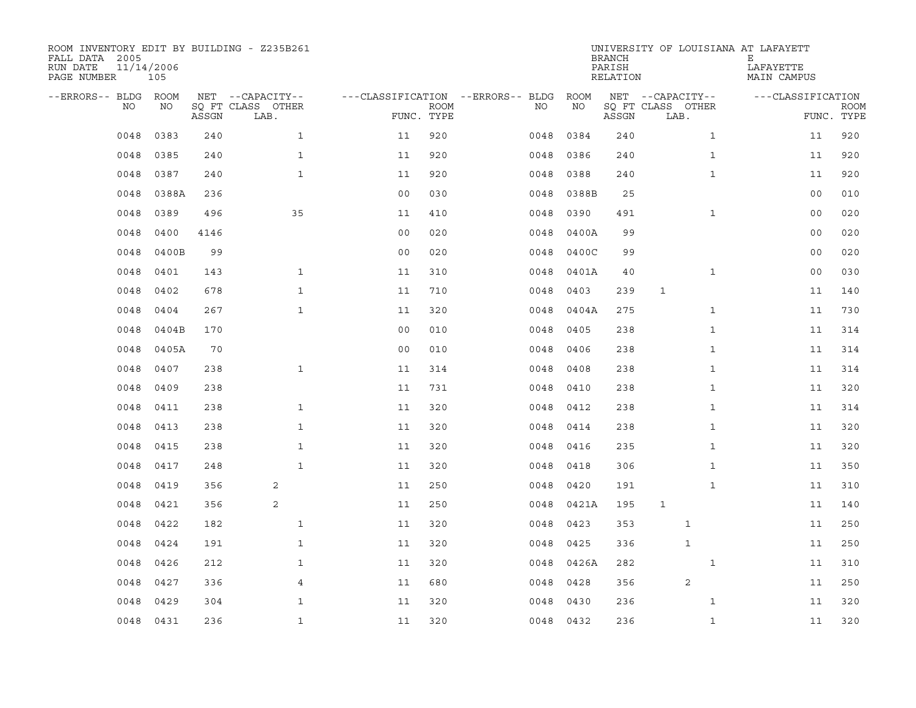| ROOM INVENTORY EDIT BY BUILDING - Z235B261<br>FALL DATA 2005<br>RUN DATE<br>PAGE NUMBER | 11/14/2006<br>105 |       |                           |                |             |                                   |           | <b>BRANCH</b><br>PARISH<br>RELATION | UNIVERSITY OF LOUISIANA AT LAFAYETT | Е<br>LAFAYETTE<br>MAIN CAMPUS |                           |
|-----------------------------------------------------------------------------------------|-------------------|-------|---------------------------|----------------|-------------|-----------------------------------|-----------|-------------------------------------|-------------------------------------|-------------------------------|---------------------------|
| --ERRORS-- BLDG ROOM                                                                    |                   |       | NET --CAPACITY--          |                |             | ---CLASSIFICATION --ERRORS-- BLDG | ROOM      |                                     | NET --CAPACITY--                    | ---CLASSIFICATION             |                           |
| NO                                                                                      | NO                | ASSGN | SQ FT CLASS OTHER<br>LAB. | FUNC. TYPE     | <b>ROOM</b> | NO                                | NO        | ASSGN                               | SQ FT CLASS OTHER<br>LAB.           |                               | <b>ROOM</b><br>FUNC. TYPE |
| 0048                                                                                    | 0383              | 240   | $\mathbf{1}$              | 11             | 920         | 0048                              | 0384      | 240                                 | $\mathbf{1}$                        | 11                            | 920                       |
| 0048                                                                                    | 0385              | 240   | $\mathbf{1}$              | 11             | 920         | 0048                              | 0386      | 240                                 | $\mathbf{1}$                        | 11                            | 920                       |
| 0048                                                                                    | 0387              | 240   | $\mathbf{1}$              | 11             | 920         | 0048                              | 0388      | 240                                 | $\mathbf{1}$                        | 11                            | 920                       |
| 0048                                                                                    | 0388A             | 236   |                           | 0 <sub>0</sub> | 030         | 0048                              | 0388B     | 25                                  |                                     | 00                            | 010                       |
| 0048                                                                                    | 0389              | 496   | 35                        | 11             | 410         | 0048                              | 0390      | 491                                 | $\mathbf{1}$                        | 00                            | 020                       |
| 0048                                                                                    | 0400              | 4146  |                           | 0 <sub>0</sub> | 020         | 0048                              | 0400A     | 99                                  |                                     | 00                            | 020                       |
| 0048                                                                                    | 0400B             | 99    |                           | 0 <sub>0</sub> | 020         | 0048                              | 0400C     | 99                                  |                                     | 00                            | 020                       |
| 0048                                                                                    | 0401              | 143   | $\mathbf{1}$              | 11             | 310         | 0048                              | 0401A     | 40                                  | $\mathbf{1}$                        | 00                            | 030                       |
| 0048                                                                                    | 0402              | 678   | $\mathbf{1}$              | 11             | 710         | 0048                              | 0403      | 239                                 | $\mathbf{1}$                        | 11                            | 140                       |
| 0048                                                                                    | 0404              | 267   | $\mathbf{1}$              | 11             | 320         | 0048                              | 0404A     | 275                                 | $\mathbf{1}$                        | 11                            | 730                       |
| 0048                                                                                    | 0404B             | 170   |                           | 0 <sub>0</sub> | 010         | 0048                              | 0405      | 238                                 | $\mathbf{1}$                        | 11                            | 314                       |
| 0048                                                                                    | 0405A             | 70    |                           | 0 <sub>0</sub> | 010         | 0048                              | 0406      | 238                                 | $\mathbf{1}$                        | 11                            | 314                       |
| 0048                                                                                    | 0407              | 238   | $\mathbf{1}$              | 11             | 314         | 0048                              | 0408      | 238                                 | $\mathbf{1}$                        | 11                            | 314                       |
| 0048                                                                                    | 0409              | 238   |                           | 11             | 731         | 0048                              | 0410      | 238                                 | $\mathbf{1}$                        | 11                            | 320                       |
| 0048                                                                                    | 0411              | 238   | $\mathbf{1}$              | 11             | 320         | 0048                              | 0412      | 238                                 | $\mathbf{1}$                        | 11                            | 314                       |
| 0048                                                                                    | 0413              | 238   | $\mathbf{1}$              | 11             | 320         | 0048                              | 0414      | 238                                 | $\mathbf{1}$                        | 11                            | 320                       |
| 0048                                                                                    | 0415              | 238   | $\mathbf{1}$              | 11             | 320         | 0048                              | 0416      | 235                                 | $\mathbf{1}$                        | 11                            | 320                       |
| 0048                                                                                    | 0417              | 248   | $\mathbf{1}$              | 11             | 320         | 0048                              | 0418      | 306                                 | $\mathbf{1}$                        | 11                            | 350                       |
| 0048                                                                                    | 0419              | 356   | 2                         | 11             | 250         | 0048                              | 0420      | 191                                 | $\mathbf{1}$                        | 11                            | 310                       |
| 0048                                                                                    | 0421              | 356   | 2                         | 11             | 250         | 0048                              | 0421A     | 195                                 | $\mathbf{1}$                        | 11                            | 140                       |
| 0048                                                                                    | 0422              | 182   | $\mathbf{1}$              | 11             | 320         | 0048                              | 0423      | 353                                 | $\mathbf{1}$                        | 11                            | 250                       |
| 0048                                                                                    | 0424              | 191   | $\mathbf{1}$              | 11             | 320         | 0048                              | 0425      | 336                                 | $\mathbf 1$                         | 11                            | 250                       |
| 0048                                                                                    | 0426              | 212   | $\mathbf{1}$              | 11             | 320         | 0048                              | 0426A     | 282                                 | $\mathbf{1}$                        | 11                            | 310                       |
| 0048                                                                                    | 0427              | 336   | $\overline{4}$            | 11             | 680         | 0048                              | 0428      | 356                                 | 2                                   | 11                            | 250                       |
| 0048                                                                                    | 0429              | 304   | $\mathbf{1}$              | 11             | 320         | 0048                              | 0430      | 236                                 | $\mathbf{1}$                        | 11                            | 320                       |
|                                                                                         | 0048 0431         | 236   | $\mathbf{1}$              | 11             | 320         |                                   | 0048 0432 | 236                                 | $\mathbf{1}$                        | 11                            | 320                       |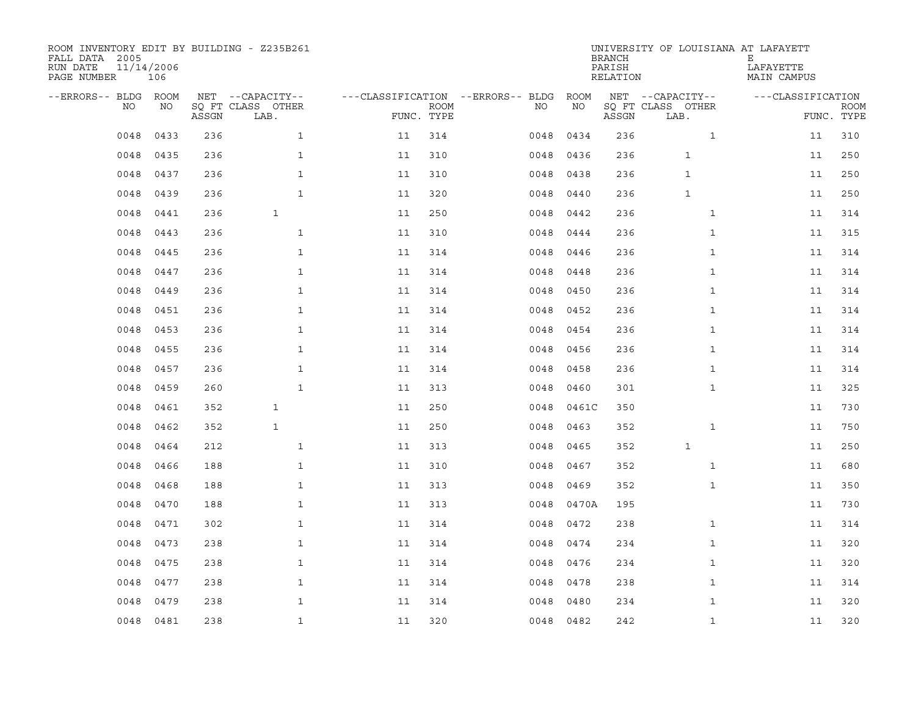| ROOM INVENTORY EDIT BY BUILDING - Z235B261<br>FALL DATA 2005<br>RUN DATE<br>PAGE NUMBER | 11/14/2006<br>106 |       |                           |                                   |             |      |             | <b>BRANCH</b><br>PARISH<br>RELATION | UNIVERSITY OF LOUISIANA AT LAFAYETT | Е<br>LAFAYETTE<br>MAIN CAMPUS |                           |
|-----------------------------------------------------------------------------------------|-------------------|-------|---------------------------|-----------------------------------|-------------|------|-------------|-------------------------------------|-------------------------------------|-------------------------------|---------------------------|
| --ERRORS-- BLDG                                                                         | ROOM              |       | NET --CAPACITY--          | ---CLASSIFICATION --ERRORS-- BLDG |             |      | <b>ROOM</b> |                                     | NET --CAPACITY--                    | ---CLASSIFICATION             |                           |
| NO                                                                                      | NO                | ASSGN | SO FT CLASS OTHER<br>LAB. | FUNC. TYPE                        | <b>ROOM</b> | NO.  | NO          | ASSGN                               | SQ FT CLASS OTHER<br>LAB.           |                               | <b>ROOM</b><br>FUNC. TYPE |
| 0048                                                                                    | 0433              | 236   | $\mathbf{1}$              | 11                                | 314         | 0048 | 0434        | 236                                 | $\mathbf{1}$                        | 11                            | 310                       |
| 0048                                                                                    | 0435              | 236   | $\mathbf{1}$              | 11                                | 310         | 0048 | 0436        | 236                                 | $\mathbf 1$                         | 11                            | 250                       |
| 0048                                                                                    | 0437              | 236   | $\mathbf{1}$              | 11                                | 310         | 0048 | 0438        | 236                                 | $\mathbf{1}$                        | 11                            | 250                       |
| 0048                                                                                    | 0439              | 236   | $\mathbf{1}$              | 11                                | 320         | 0048 | 0440        | 236                                 | $\mathbf{1}$                        | 11                            | 250                       |
| 0048                                                                                    | 0441              | 236   | $\mathbf{1}$              | 11                                | 250         | 0048 | 0442        | 236                                 | $\mathbf{1}$                        | 11                            | 314                       |
| 0048                                                                                    | 0443              | 236   | $\mathbf{1}$              | 11                                | 310         | 0048 | 0444        | 236                                 | $\mathbf{1}$                        | 11                            | 315                       |
| 0048                                                                                    | 0445              | 236   | $\mathbf{1}$              | 11                                | 314         | 0048 | 0446        | 236                                 | $\mathbf{1}$                        | 11                            | 314                       |
| 0048                                                                                    | 0447              | 236   | $\mathbf{1}$              | 11                                | 314         | 0048 | 0448        | 236                                 | $\mathbf{1}$                        | 11                            | 314                       |
| 0048                                                                                    | 0449              | 236   | $\mathbf{1}$              | 11                                | 314         | 0048 | 0450        | 236                                 | $\mathbf{1}$                        | 11                            | 314                       |
| 0048                                                                                    | 0451              | 236   | $\mathbf{1}$              | 11                                | 314         | 0048 | 0452        | 236                                 | $\mathbf{1}$                        | 11                            | 314                       |
| 0048                                                                                    | 0453              | 236   | $\mathbf{1}$              | 11                                | 314         | 0048 | 0454        | 236                                 | $\mathbf{1}$                        | 11                            | 314                       |
| 0048                                                                                    | 0455              | 236   | $\mathbf{1}$              | 11                                | 314         | 0048 | 0456        | 236                                 | $\mathbf{1}$                        | 11                            | 314                       |
| 0048                                                                                    | 0457              | 236   | $\mathbf{1}$              | 11                                | 314         | 0048 | 0458        | 236                                 | $\mathbf{1}$                        | 11                            | 314                       |
| 0048                                                                                    | 0459              | 260   | $\mathbf{1}$              | 11                                | 313         | 0048 | 0460        | 301                                 | $\mathbf{1}$                        | 11                            | 325                       |
| 0048                                                                                    | 0461              | 352   | $\mathbf{1}$              | 11                                | 250         | 0048 | 0461C       | 350                                 |                                     | 11                            | 730                       |
| 0048                                                                                    | 0462              | 352   | $\mathbf{1}$              | 11                                | 250         | 0048 | 0463        | 352                                 | $\mathbf{1}$                        | 11                            | 750                       |
| 0048                                                                                    | 0464              | 212   | $\mathbf{1}$              | 11                                | 313         | 0048 | 0465        | 352                                 | $\mathbf{1}$                        | 11                            | 250                       |
| 0048                                                                                    | 0466              | 188   | $\mathbf{1}$              | 11                                | 310         | 0048 | 0467        | 352                                 | $\mathbf{1}$                        | 11                            | 680                       |
| 0048                                                                                    | 0468              | 188   | $\mathbf{1}$              | 11                                | 313         | 0048 | 0469        | 352                                 | $\mathbf{1}$                        | 11                            | 350                       |
| 0048                                                                                    | 0470              | 188   | $\mathbf{1}$              | 11                                | 313         | 0048 | 0470A       | 195                                 |                                     | 11                            | 730                       |
| 0048                                                                                    | 0471              | 302   | $\mathbf{1}$              | 11                                | 314         | 0048 | 0472        | 238                                 | $\mathbf{1}$                        | 11                            | 314                       |
| 0048                                                                                    | 0473              | 238   | $\mathbf{1}$              | 11                                | 314         | 0048 | 0474        | 234                                 | $\mathbf{1}$                        | 11                            | 320                       |
| 0048                                                                                    | 0475              | 238   | $\mathbf{1}$              | 11                                | 314         | 0048 | 0476        | 234                                 | $\mathbf{1}$                        | 11                            | 320                       |
| 0048                                                                                    | 0477              | 238   | $\mathbf{1}$              | 11                                | 314         | 0048 | 0478        | 238                                 | $\mathbf{1}$                        | 11                            | 314                       |
| 0048                                                                                    | 0479              | 238   | $\mathbf{1}$              | 11                                | 314         | 0048 | 0480        | 234                                 | $\mathbf{1}$                        | 11                            | 320                       |
| 0048                                                                                    | 0481              | 238   | $\mathbf{1}$              | 11                                | 320         |      | 0048 0482   | 242                                 | $\mathbf{1}$                        | 11                            | 320                       |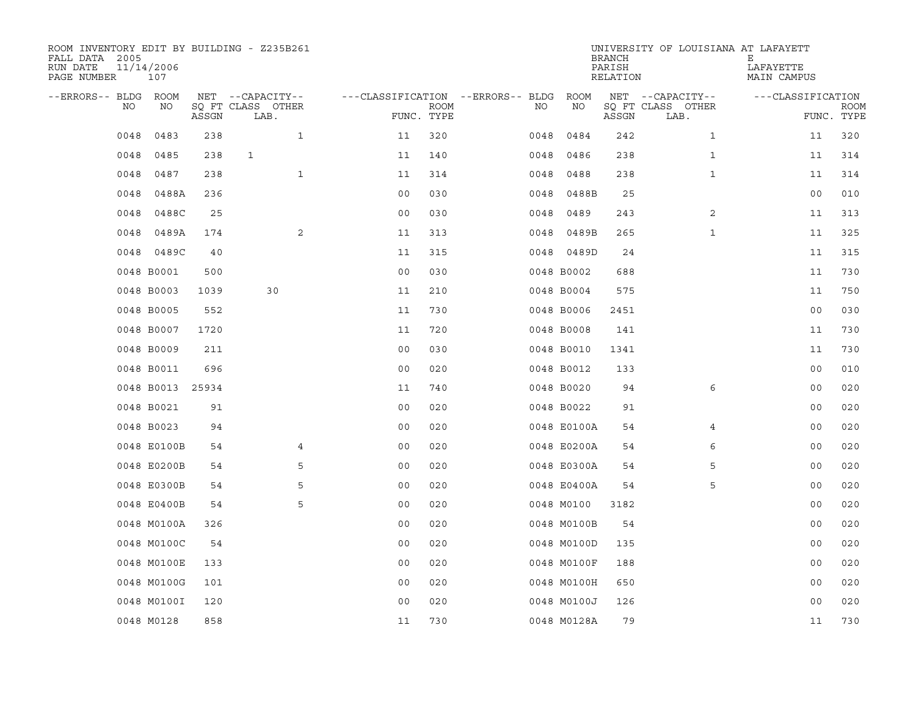| ROOM INVENTORY EDIT BY BUILDING - Z235B261<br>FALL DATA 2005<br>RUN DATE<br>PAGE NUMBER | 11/14/2006<br>107 |       |                           |                                   |      |      |             | <b>BRANCH</b><br>PARISH<br>RELATION | UNIVERSITY OF LOUISIANA AT LAFAYETT | Е<br>LAFAYETTE<br>MAIN CAMPUS |                           |
|-----------------------------------------------------------------------------------------|-------------------|-------|---------------------------|-----------------------------------|------|------|-------------|-------------------------------------|-------------------------------------|-------------------------------|---------------------------|
| --ERRORS-- BLDG ROOM                                                                    |                   |       | NET --CAPACITY--          | ---CLASSIFICATION --ERRORS-- BLDG |      |      | ROOM        |                                     | NET --CAPACITY--                    | ---CLASSIFICATION             |                           |
| NO                                                                                      | NO                | ASSGN | SQ FT CLASS OTHER<br>LAB. | FUNC. TYPE                        | ROOM | NO   | NO          | ASSGN                               | SQ FT CLASS OTHER<br>LAB.           |                               | <b>ROOM</b><br>FUNC. TYPE |
| 0048                                                                                    | 0483              | 238   | $\mathbf{1}$              | 11                                | 320  | 0048 | 0484        | 242                                 | $\mathbf{1}$                        | 11                            | 320                       |
| 0048                                                                                    | 0485              | 238   | $\mathbf{1}$              | 11                                | 140  | 0048 | 0486        | 238                                 | $\mathbf{1}$                        | 11                            | 314                       |
| 0048                                                                                    | 0487              | 238   | $\mathbf{1}$              | 11                                | 314  | 0048 | 0488        | 238                                 | $\mathbf{1}$                        | 11                            | 314                       |
| 0048                                                                                    | 0488A             | 236   |                           | 0 <sub>0</sub>                    | 030  | 0048 | 0488B       | 25                                  |                                     | 0 <sub>0</sub>                | 010                       |
| 0048                                                                                    | 0488C             | 25    |                           | 00                                | 030  | 0048 | 0489        | 243                                 | 2                                   | 11                            | 313                       |
| 0048                                                                                    | 0489A             | 174   | 2                         | 11                                | 313  |      | 0048 0489B  | 265                                 | $\mathbf{1}$                        | 11                            | 325                       |
| 0048                                                                                    | 0489C             | 40    |                           | 11                                | 315  |      | 0048 0489D  | 24                                  |                                     | 11                            | 315                       |
|                                                                                         | 0048 B0001        | 500   |                           | 0 <sub>0</sub>                    | 030  |      | 0048 B0002  | 688                                 |                                     | 11                            | 730                       |
|                                                                                         | 0048 B0003        | 1039  | 30                        | 11                                | 210  |      | 0048 B0004  | 575                                 |                                     | 11                            | 750                       |
|                                                                                         | 0048 B0005        | 552   |                           | 11                                | 730  |      | 0048 B0006  | 2451                                |                                     | 00                            | 030                       |
|                                                                                         | 0048 B0007        | 1720  |                           | 11                                | 720  |      | 0048 B0008  | 141                                 |                                     | 11                            | 730                       |
|                                                                                         | 0048 B0009        | 211   |                           | 0 <sub>0</sub>                    | 030  |      | 0048 B0010  | 1341                                |                                     | 11                            | 730                       |
|                                                                                         | 0048 B0011        | 696   |                           | 0 <sub>0</sub>                    | 020  |      | 0048 B0012  | 133                                 |                                     | 0 <sub>0</sub>                | 010                       |
|                                                                                         | 0048 B0013        | 25934 |                           | 11                                | 740  |      | 0048 B0020  | 94                                  | 6                                   | 00                            | 020                       |
|                                                                                         | 0048 B0021        | 91    |                           | 0 <sub>0</sub>                    | 020  |      | 0048 B0022  | 91                                  |                                     | 0 <sub>0</sub>                | 020                       |
|                                                                                         | 0048 B0023        | 94    |                           | 0 <sub>0</sub>                    | 020  |      | 0048 E0100A | 54                                  | 4                                   | 00                            | 020                       |
|                                                                                         | 0048 E0100B       | 54    | 4                         | 0 <sub>0</sub>                    | 020  |      | 0048 E0200A | 54                                  | 6                                   | 00                            | 020                       |
|                                                                                         | 0048 E0200B       | 54    | 5                         | 0 <sub>0</sub>                    | 020  |      | 0048 E0300A | 54                                  | 5                                   | 0 <sub>0</sub>                | 020                       |
|                                                                                         | 0048 E0300B       | 54    | 5                         | 0 <sub>0</sub>                    | 020  |      | 0048 E0400A | 54                                  | 5                                   | 00                            | 020                       |
|                                                                                         | 0048 E0400B       | 54    | 5                         | 0 <sub>0</sub>                    | 020  |      | 0048 M0100  | 3182                                |                                     | 0 <sub>0</sub>                | 020                       |
|                                                                                         | 0048 M0100A       | 326   |                           | 0 <sub>0</sub>                    | 020  |      | 0048 M0100B | 54                                  |                                     | 00                            | 020                       |
|                                                                                         | 0048 M0100C       | 54    |                           | 00                                | 020  |      | 0048 M0100D | 135                                 |                                     | 00                            | 020                       |
|                                                                                         | 0048 M0100E       | 133   |                           | 0 <sub>0</sub>                    | 020  |      | 0048 M0100F | 188                                 |                                     | 0 <sub>0</sub>                | 020                       |
|                                                                                         | 0048 M0100G       | 101   |                           | 0 <sub>0</sub>                    | 020  |      | 0048 M0100H | 650                                 |                                     | 00                            | 020                       |
|                                                                                         | 0048 M0100I       | 120   |                           | 0 <sub>0</sub>                    | 020  |      | 0048 M0100J | 126                                 |                                     | 0 <sub>0</sub>                | 020                       |
|                                                                                         | 0048 M0128        | 858   |                           | 11                                | 730  |      | 0048 M0128A | 79                                  |                                     | 11                            | 730                       |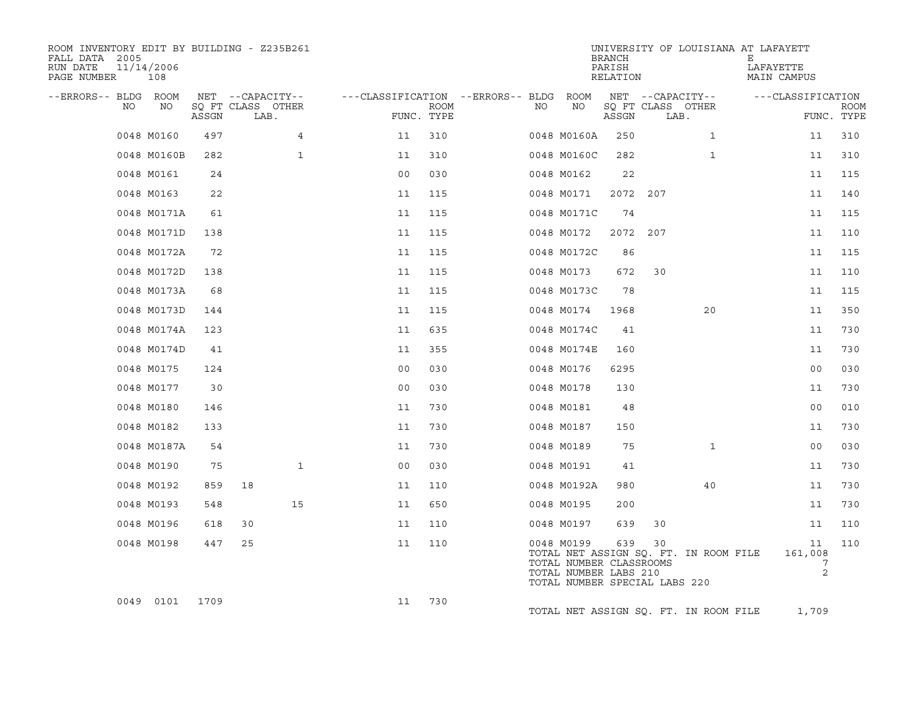| ROOM INVENTORY EDIT BY BUILDING - Z235B261<br>FALL DATA 2005<br>RUN DATE<br>PAGE NUMBER | 11/14/2006<br>108 |       |                           |                                   |                           |    |                                                                                                 | <b>BRANCH</b><br>PARISH<br>RELATION |     |                                       | UNIVERSITY OF LOUISIANA AT LAFAYETT<br>Е<br>LAFAYETTE<br>MAIN CAMPUS |                                      |             |
|-----------------------------------------------------------------------------------------|-------------------|-------|---------------------------|-----------------------------------|---------------------------|----|-------------------------------------------------------------------------------------------------|-------------------------------------|-----|---------------------------------------|----------------------------------------------------------------------|--------------------------------------|-------------|
| --ERRORS-- BLDG ROOM                                                                    |                   |       | NET --CAPACITY--          | ---CLASSIFICATION --ERRORS-- BLDG |                           |    | ROOM                                                                                            |                                     |     | NET --CAPACITY--                      |                                                                      | ---CLASSIFICATION                    |             |
| NO                                                                                      | NO                | ASSGN | SQ FT CLASS OTHER<br>LAB. |                                   | <b>ROOM</b><br>FUNC. TYPE | NO | NO                                                                                              | ASSGN                               |     | SQ FT CLASS OTHER<br>LAB.             |                                                                      | FUNC. TYPE                           | <b>ROOM</b> |
|                                                                                         | 0048 M0160        | 497   | 4                         | 11                                | 310                       |    | 0048 M0160A                                                                                     | 250                                 |     | $\mathbf{1}$                          |                                                                      | 11                                   | 310         |
|                                                                                         | 0048 M0160B       | 282   | $\mathbf{1}$              | 11                                | 310                       |    | 0048 M0160C                                                                                     | 282                                 |     | $\mathbf{1}$                          |                                                                      | 11                                   | 310         |
|                                                                                         | 0048 M0161        | 24    |                           | 0 <sub>0</sub>                    | 030                       |    | 0048 M0162                                                                                      | 22                                  |     |                                       |                                                                      | 11                                   | 115         |
|                                                                                         | 0048 M0163        | 22    |                           | 11                                | 115                       |    | 0048 M0171                                                                                      | 2072                                | 207 |                                       |                                                                      | 11                                   | 140         |
|                                                                                         | 0048 M0171A       | 61    |                           | 11                                | 115                       |    | 0048 M0171C                                                                                     | 74                                  |     |                                       |                                                                      | 11                                   | 115         |
|                                                                                         | 0048 M0171D       | 138   |                           | 11                                | 115                       |    | 0048 M0172                                                                                      | 2072                                | 207 |                                       |                                                                      | 11                                   | 110         |
|                                                                                         | 0048 M0172A       | 72    |                           | 11                                | 115                       |    | 0048 M0172C                                                                                     | 86                                  |     |                                       |                                                                      | 11                                   | 115         |
|                                                                                         | 0048 M0172D       | 138   |                           | 11                                | 115                       |    | 0048 M0173                                                                                      | 672                                 | 30  |                                       |                                                                      | 11                                   | 110         |
|                                                                                         | 0048 M0173A       | 68    |                           | 11                                | 115                       |    | 0048 M0173C                                                                                     | 78                                  |     |                                       |                                                                      | 11                                   | 115         |
|                                                                                         | 0048 M0173D       | 144   |                           | 11                                | 115                       |    | 0048 M0174                                                                                      | 1968                                |     | 20                                    |                                                                      | 11                                   | 350         |
|                                                                                         | 0048 M0174A       | 123   |                           | 11                                | 635                       |    | 0048 M0174C                                                                                     | 41                                  |     |                                       |                                                                      | 11                                   | 730         |
|                                                                                         | 0048 M0174D       | 41    |                           | 11                                | 355                       |    | 0048 M0174E                                                                                     | 160                                 |     |                                       |                                                                      | 11                                   | 730         |
|                                                                                         | 0048 M0175        | 124   |                           | 0 <sub>0</sub>                    | 030                       |    | 0048 M0176                                                                                      | 6295                                |     |                                       |                                                                      | 00                                   | 030         |
|                                                                                         | 0048 M0177        | 30    |                           | 0 <sub>0</sub>                    | 030                       |    | 0048 M0178                                                                                      | 130                                 |     |                                       |                                                                      | 11                                   | 730         |
|                                                                                         | 0048 M0180        | 146   |                           | 11                                | 730                       |    | 0048 M0181                                                                                      | 48                                  |     |                                       |                                                                      | 0 <sub>0</sub>                       | 010         |
|                                                                                         | 0048 M0182        | 133   |                           | 11                                | 730                       |    | 0048 M0187                                                                                      | 150                                 |     |                                       |                                                                      | 11                                   | 730         |
|                                                                                         | 0048 M0187A       | 54    |                           | 11                                | 730                       |    | 0048 M0189                                                                                      | 75                                  |     | $\mathbf{1}$                          |                                                                      | 0 <sub>0</sub>                       | 030         |
|                                                                                         | 0048 M0190        | 75    | $\mathbf{1}$              | 0 <sub>0</sub>                    | 030                       |    | 0048 M0191                                                                                      | 41                                  |     |                                       |                                                                      | 11                                   | 730         |
|                                                                                         | 0048 M0192        | 859   | 18                        | 11                                | 110                       |    | 0048 M0192A                                                                                     | 980                                 |     | 40                                    |                                                                      | 11                                   | 730         |
|                                                                                         | 0048 M0193        | 548   | 15                        | 11                                | 650                       |    | 0048 M0195                                                                                      | 200                                 |     |                                       |                                                                      | 11                                   | 730         |
|                                                                                         | 0048 M0196        | 618   | 30                        | 11                                | 110                       |    | 0048 M0197                                                                                      | 639                                 | 30  |                                       |                                                                      | 11                                   | 110         |
|                                                                                         | 0048 M0198        | 447   | 25                        | 11                                | 110                       |    | 0048 M0199<br>TOTAL NUMBER CLASSROOMS<br>TOTAL NUMBER LABS 210<br>TOTAL NUMBER SPECIAL LABS 220 | 639                                 | 30  | TOTAL NET ASSIGN SQ. FT. IN ROOM FILE |                                                                      | 11<br>161,008<br>7<br>$\overline{c}$ | 110         |
|                                                                                         | 0049 0101         | 1709  |                           | 11                                | 730                       |    |                                                                                                 |                                     |     | TOTAL NET ASSIGN SQ. FT. IN ROOM FILE |                                                                      | 1,709                                |             |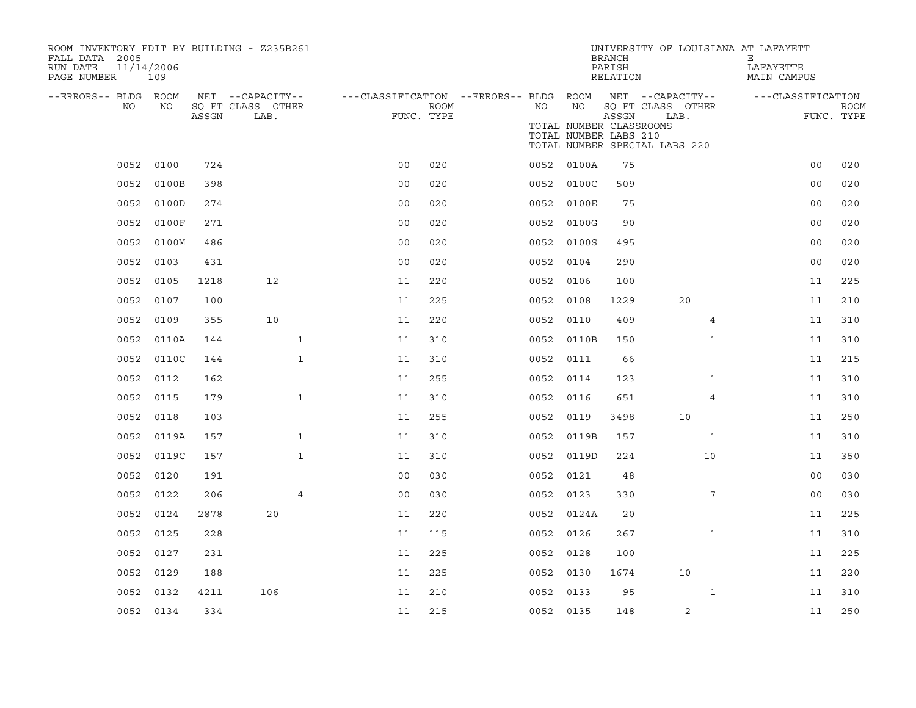| ROOM INVENTORY EDIT BY BUILDING - Z235B261<br>FALL DATA 2005<br>RUN DATE<br>PAGE NUMBER | 11/14/2006<br>109 |       |                                               |                                                      |             |           |                                                        | <b>BRANCH</b><br>PARISH<br>RELATION | UNIVERSITY OF LOUISIANA AT LAFAYETT                                            | Е<br>LAFAYETTE<br>MAIN CAMPUS |                           |
|-----------------------------------------------------------------------------------------|-------------------|-------|-----------------------------------------------|------------------------------------------------------|-------------|-----------|--------------------------------------------------------|-------------------------------------|--------------------------------------------------------------------------------|-------------------------------|---------------------------|
| --ERRORS-- BLDG ROOM<br>NO.                                                             | NO                | ASSGN | NET --CAPACITY--<br>SQ FT CLASS OTHER<br>LAB. | ---CLASSIFICATION --ERRORS-- BLDG ROOM<br>FUNC. TYPE | <b>ROOM</b> | NO        | NO<br>TOTAL NUMBER CLASSROOMS<br>TOTAL NUMBER LABS 210 | ASSGN                               | NET --CAPACITY--<br>SQ FT CLASS OTHER<br>LAB.<br>TOTAL NUMBER SPECIAL LABS 220 | ---CLASSIFICATION             | <b>ROOM</b><br>FUNC. TYPE |
|                                                                                         | 0052 0100         | 724   |                                               | 0 <sub>0</sub>                                       | 020         |           | 0052 0100A                                             | 75                                  |                                                                                | 0 <sub>0</sub>                | 020                       |
| 0052                                                                                    | 0100B             | 398   |                                               | 0 <sub>0</sub>                                       | 020         |           | 0052 0100C                                             | 509                                 |                                                                                | 0 <sub>0</sub>                | 020                       |
| 0052                                                                                    | 0100D             | 274   |                                               | 0 <sub>0</sub>                                       | 020         |           | 0052 0100E                                             | 75                                  |                                                                                | 00                            | 020                       |
| 0052                                                                                    | 0100F             | 271   |                                               | 0 <sub>0</sub>                                       | 020         |           | 0052 0100G                                             | 90                                  |                                                                                | 00                            | 020                       |
| 0052                                                                                    | 0100M             | 486   |                                               | 0 <sub>0</sub>                                       | 020         |           | 0052 0100S                                             | 495                                 |                                                                                | 00                            | 020                       |
| 0052                                                                                    | 0103              | 431   |                                               | 0 <sub>0</sub>                                       | 020         | 0052      | 0104                                                   | 290                                 |                                                                                | 0 <sub>0</sub>                | 020                       |
|                                                                                         | 0052 0105         | 1218  | 12                                            | 11                                                   | 220         | 0052 0106 |                                                        | 100                                 |                                                                                | 11                            | 225                       |
| 0052                                                                                    | 0107              | 100   |                                               | 11                                                   | 225         | 0052      | 0108                                                   | 1229                                | 20                                                                             | 11                            | 210                       |
| 0052                                                                                    | 0109              | 355   | 10                                            | 11                                                   | 220         | 0052 0110 |                                                        | 409                                 | 4                                                                              | 11                            | 310                       |
|                                                                                         | 0052 0110A        | 144   | $\mathbf{1}$                                  | 11                                                   | 310         |           | 0052 0110B                                             | 150                                 | $\mathbf{1}$                                                                   | 11                            | 310                       |
|                                                                                         | 0052 0110C        | 144   | $\mathbf{1}$                                  | 11                                                   | 310         | 0052 0111 |                                                        | 66                                  |                                                                                | 11                            | 215                       |
| 0052                                                                                    | 0112              | 162   |                                               | 11                                                   | 255         | 0052      | 0114                                                   | 123                                 | $\mathbf{1}$                                                                   | 11                            | 310                       |
| 0052                                                                                    | 0115              | 179   | $\mathbf{1}$                                  | 11                                                   | 310         | 0052      | 0116                                                   | 651                                 | 4                                                                              | 11                            | 310                       |
| 0052                                                                                    | 0118              | 103   |                                               | 11                                                   | 255         | 0052      | 0119                                                   | 3498                                | 10                                                                             | 11                            | 250                       |
| 0052                                                                                    | 0119A             | 157   | $\mathbf{1}$                                  | 11                                                   | 310         |           | 0052 0119B                                             | 157                                 | $\mathbf{1}$                                                                   | 11                            | 310                       |
| 0052                                                                                    | 0119C             | 157   | $\mathbf{1}$                                  | 11                                                   | 310         | 0052      | 0119D                                                  | 224                                 | 10                                                                             | 11                            | 350                       |
| 0052                                                                                    | 0120              | 191   |                                               | 0 <sub>0</sub>                                       | 030         | 0052 0121 |                                                        | 48                                  |                                                                                | 0 <sub>0</sub>                | 030                       |
| 0052                                                                                    | 0122              | 206   | $\overline{4}$                                | 0 <sub>0</sub>                                       | 030         | 0052 0123 |                                                        | 330                                 | 7                                                                              | 0 <sub>0</sub>                | 030                       |
| 0052                                                                                    | 0124              | 2878  | 20                                            | 11                                                   | 220         |           | 0052 0124A                                             | 20                                  |                                                                                | 11                            | 225                       |
| 0052                                                                                    | 0125              | 228   |                                               | 11                                                   | 115         | 0052 0126 |                                                        | 267                                 | $\mathbf{1}$                                                                   | 11                            | 310                       |
| 0052                                                                                    | 0127              | 231   |                                               | 11                                                   | 225         | 0052 0128 |                                                        | 100                                 |                                                                                | 11                            | 225                       |
| 0052                                                                                    | 0129              | 188   |                                               | 11                                                   | 225         | 0052 0130 |                                                        | 1674                                | 10                                                                             | 11                            | 220                       |
| 0052                                                                                    | 0132              | 4211  | 106                                           | 11                                                   | 210         | 0052      | 0133                                                   | 95                                  | $\mathbf{1}$                                                                   | 11                            | 310                       |
|                                                                                         | 0052 0134         | 334   |                                               | 11                                                   | 215         | 0052 0135 |                                                        | 148                                 | 2                                                                              | 11                            | 250                       |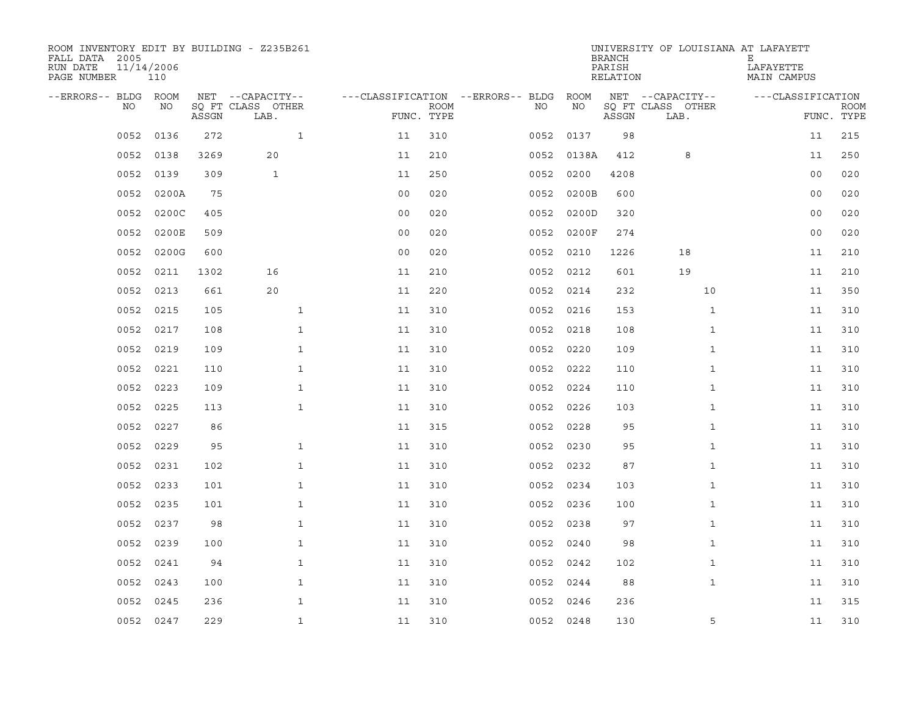| ROOM INVENTORY EDIT BY BUILDING - Z235B261<br>FALL DATA 2005<br>RUN DATE<br>PAGE NUMBER | 11/14/2006<br>110 |       |                           |                                   |             |           |       | <b>BRANCH</b><br>PARISH<br>RELATION | UNIVERSITY OF LOUISIANA AT LAFAYETT | Е<br>LAFAYETTE<br>MAIN CAMPUS |                           |
|-----------------------------------------------------------------------------------------|-------------------|-------|---------------------------|-----------------------------------|-------------|-----------|-------|-------------------------------------|-------------------------------------|-------------------------------|---------------------------|
| --ERRORS-- BLDG ROOM                                                                    |                   |       | NET --CAPACITY--          | ---CLASSIFICATION --ERRORS-- BLDG |             |           | ROOM  |                                     | NET --CAPACITY--                    | ---CLASSIFICATION             |                           |
| NO.                                                                                     | NO.               | ASSGN | SQ FT CLASS OTHER<br>LAB. | FUNC. TYPE                        | <b>ROOM</b> | NO.       | NO    | ASSGN                               | SQ FT CLASS OTHER<br>LAB.           |                               | <b>ROOM</b><br>FUNC. TYPE |
| 0052                                                                                    | 0136              | 272   | $\mathbf{1}$              | 11                                | 310         | 0052      | 0137  | 98                                  |                                     | 11                            | 215                       |
| 0052                                                                                    | 0138              | 3269  | 20                        | 11                                | 210         | 0052      | 0138A | 412                                 | 8                                   | 11                            | 250                       |
| 0052                                                                                    | 0139              | 309   | $\mathbf{1}$              | 11                                | 250         | 0052      | 0200  | 4208                                |                                     | 0 <sub>0</sub>                | 020                       |
| 0052                                                                                    | 0200A             | 75    |                           | 0 <sub>0</sub>                    | 020         | 0052      | 0200B | 600                                 |                                     | 0 <sub>0</sub>                | 020                       |
| 0052                                                                                    | 0200C             | 405   |                           | 0 <sub>0</sub>                    | 020         | 0052      | 0200D | 320                                 |                                     | 0 <sub>0</sub>                | 020                       |
| 0052                                                                                    | 0200E             | 509   |                           | 00                                | 020         | 0052      | 0200F | 274                                 |                                     | 0 <sub>0</sub>                | 020                       |
| 0052                                                                                    | 0200G             | 600   |                           | 0 <sub>0</sub>                    | 020         | 0052      | 0210  | 1226                                | 18                                  | 11                            | 210                       |
| 0052                                                                                    | 0211              | 1302  | 16                        | 11                                | 210         | 0052 0212 |       | 601                                 | 19                                  | 11                            | 210                       |
| 0052                                                                                    | 0213              | 661   | 20                        | 11                                | 220         | 0052      | 0214  | 232                                 | 10                                  | 11                            | 350                       |
| 0052                                                                                    | 0215              | 105   | $\mathbf{1}$              | 11                                | 310         | 0052      | 0216  | 153                                 | $\mathbf{1}$                        | 11                            | 310                       |
| 0052                                                                                    | 0217              | 108   | $\mathbf{1}$              | 11                                | 310         | 0052      | 0218  | 108                                 | $\mathbf{1}$                        | 11                            | 310                       |
| 0052                                                                                    | 0219              | 109   | $\mathbf{1}$              | 11                                | 310         | 0052      | 0220  | 109                                 | $\mathbf{1}$                        | 11                            | 310                       |
| 0052                                                                                    | 0221              | 110   | $\mathbf{1}$              | 11                                | 310         | 0052      | 0222  | 110                                 | $\mathbf{1}$                        | 11                            | 310                       |
| 0052                                                                                    | 0223              | 109   | $\mathbf{1}$              | 11                                | 310         | 0052      | 0224  | 110                                 | $\mathbf{1}$                        | 11                            | 310                       |
| 0052                                                                                    | 0225              | 113   | $\mathbf 1$               | 11                                | 310         | 0052      | 0226  | 103                                 | $\mathbf{1}$                        | 11                            | 310                       |
| 0052                                                                                    | 0227              | 86    |                           | 11                                | 315         | 0052      | 0228  | 95                                  | $\mathbf{1}$                        | 11                            | 310                       |
| 0052                                                                                    | 0229              | 95    | $\mathbf{1}$              | 11                                | 310         | 0052      | 0230  | 95                                  | $\mathbf{1}$                        | 11                            | 310                       |
| 0052                                                                                    | 0231              | 102   | $\mathbf{1}$              | 11                                | 310         | 0052 0232 |       | 87                                  | $\mathbf{1}$                        | 11                            | 310                       |
| 0052                                                                                    | 0233              | 101   | $\mathbf{1}$              | 11                                | 310         | 0052 0234 |       | 103                                 | $\mathbf{1}$                        | 11                            | 310                       |
| 0052                                                                                    | 0235              | 101   | $\mathbf{1}$              | 11                                | 310         | 0052      | 0236  | 100                                 | $\mathbf{1}$                        | 11                            | 310                       |
| 0052                                                                                    | 0237              | 98    | $\mathbf{1}$              | 11                                | 310         | 0052 0238 |       | 97                                  | $\mathbf{1}$                        | 11                            | 310                       |
| 0052                                                                                    | 0239              | 100   | $\mathbf{1}$              | 11                                | 310         | 0052      | 0240  | 98                                  | $\mathbf{1}$                        | 11                            | 310                       |
| 0052                                                                                    | 0241              | 94    | $\mathbf 1$               | 11                                | 310         | 0052 0242 |       | 102                                 | $\mathbf{1}$                        | 11                            | 310                       |
| 0052                                                                                    | 0243              | 100   | $\mathbf{1}$              | 11                                | 310         | 0052      | 0244  | 88                                  | $\mathbf{1}$                        | 11                            | 310                       |
| 0052                                                                                    | 0245              | 236   | $\mathbf{1}$              | 11                                | 310         | 0052      | 0246  | 236                                 |                                     | 11                            | 315                       |
|                                                                                         | 0052 0247         | 229   | $\mathbf{1}$              | 11                                | 310         | 0052 0248 |       | 130                                 | 5                                   | 11                            | 310                       |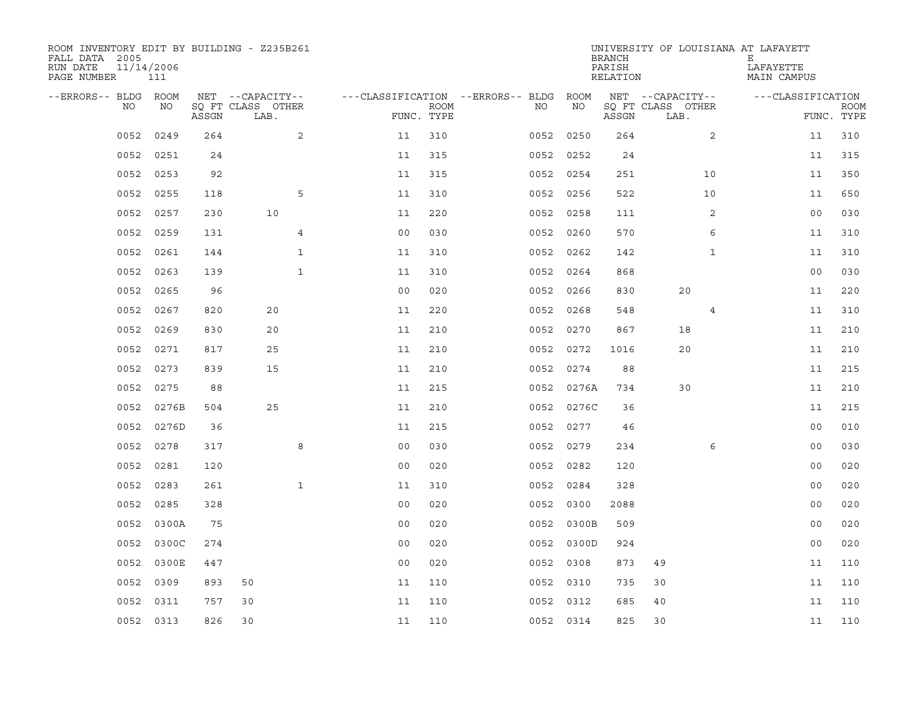| ROOM INVENTORY EDIT BY BUILDING - Z235B261<br>FALL DATA 2005<br>RUN DATE<br>PAGE NUMBER | 11/14/2006<br>111 |       |                           |                |                           |                                        |            | <b>BRANCH</b><br>PARISH<br>RELATION | UNIVERSITY OF LOUISIANA AT LAFAYETT | Е<br>LAFAYETTE<br>MAIN CAMPUS |                           |
|-----------------------------------------------------------------------------------------|-------------------|-------|---------------------------|----------------|---------------------------|----------------------------------------|------------|-------------------------------------|-------------------------------------|-------------------------------|---------------------------|
| --ERRORS-- BLDG ROOM                                                                    |                   |       | NET --CAPACITY--          |                |                           | ---CLASSIFICATION --ERRORS-- BLDG ROOM |            |                                     | NET --CAPACITY--                    | ---CLASSIFICATION             |                           |
| NO                                                                                      | NO                | ASSGN | SQ FT CLASS OTHER<br>LAB. |                | <b>ROOM</b><br>FUNC. TYPE | NO                                     | ΝO         | ASSGN                               | SQ FT CLASS OTHER<br>LAB.           |                               | <b>ROOM</b><br>FUNC. TYPE |
| 0052                                                                                    | 0249              | 264   | 2                         | 11             | 310                       | 0052                                   | 0250       | 264                                 | $\overline{2}$                      | 11                            | 310                       |
| 0052                                                                                    | 0251              | 24    |                           | 11             | 315                       | 0052                                   | 0252       | 24                                  |                                     | 11                            | 315                       |
| 0052                                                                                    | 0253              | 92    |                           | 11             | 315                       |                                        | 0052 0254  | 251                                 | 10                                  | 11                            | 350                       |
| 0052                                                                                    | 0255              | 118   | 5                         | 11             | 310                       |                                        | 0052 0256  | 522                                 | 10                                  | 11                            | 650                       |
| 0052                                                                                    | 0257              | 230   | 10                        | 11             | 220                       | 0052                                   | 0258       | 111                                 | 2                                   | 0 <sub>0</sub>                | 030                       |
| 0052                                                                                    | 0259              | 131   | 4                         | 0 <sub>0</sub> | 030                       |                                        | 0052 0260  | 570                                 | 6                                   | 11                            | 310                       |
| 0052                                                                                    | 0261              | 144   | $\mathbf{1}$              | 11             | 310                       |                                        | 0052 0262  | 142                                 | $\mathbf{1}$                        | 11                            | 310                       |
| 0052                                                                                    | 0263              | 139   | $\mathbf{1}$              | 11             | 310                       |                                        | 0052 0264  | 868                                 |                                     | 0 <sub>0</sub>                | 030                       |
| 0052                                                                                    | 0265              | 96    |                           | 0 <sub>0</sub> | 020                       | 0052                                   | 0266       | 830                                 | 20                                  | 11                            | 220                       |
| 0052                                                                                    | 0267              | 820   | 20                        | 11             | 220                       |                                        | 0052 0268  | 548                                 | 4                                   | 11                            | 310                       |
| 0052                                                                                    | 0269              | 830   | 20                        | 11             | 210                       | 0052                                   | 0270       | 867                                 | 18                                  | 11                            | 210                       |
|                                                                                         | 0052 0271         | 817   | 25                        | 11             | 210                       |                                        | 0052 0272  | 1016                                | 20                                  | 11                            | 210                       |
| 0052                                                                                    | 0273              | 839   | 15                        | 11             | 210                       | 0052                                   | 0274       | 88                                  |                                     | 11                            | 215                       |
| 0052                                                                                    | 0275              | 88    |                           | 11             | 215                       |                                        | 0052 0276A | 734                                 | 30                                  | 11                            | 210                       |
| 0052                                                                                    | 0276B             | 504   | 25                        | 11             | 210                       |                                        | 0052 0276C | 36                                  |                                     | 11                            | 215                       |
|                                                                                         | 0052 0276D        | 36    |                           | 11             | 215                       |                                        | 0052 0277  | 46                                  |                                     | 0 <sub>0</sub>                | 010                       |
| 0052                                                                                    | 0278              | 317   | 8                         | 0 <sub>0</sub> | 030                       |                                        | 0052 0279  | 234                                 | 6                                   | 0 <sub>0</sub>                | 030                       |
| 0052                                                                                    | 0281              | 120   |                           | 0 <sub>0</sub> | 020                       | 0052                                   | 0282       | 120                                 |                                     | 00                            | 020                       |
| 0052                                                                                    | 0283              | 261   | $\mathbf{1}$              | 11             | 310                       |                                        | 0052 0284  | 328                                 |                                     | 0 <sub>0</sub>                | 020                       |
| 0052                                                                                    | 0285              | 328   |                           | 0 <sub>0</sub> | 020                       |                                        | 0052 0300  | 2088                                |                                     | 0 <sub>0</sub>                | 020                       |
| 0052                                                                                    | 0300A             | 75    |                           | 0 <sub>0</sub> | 020                       | 0052                                   | 0300B      | 509                                 |                                     | 0 <sub>0</sub>                | 020                       |
| 0052                                                                                    | 0300C             | 274   |                           | 0 <sub>0</sub> | 020                       | 0052                                   | 0300D      | 924                                 |                                     | 0 <sub>0</sub>                | 020                       |
| 0052                                                                                    | 0300E             | 447   |                           | 0 <sub>0</sub> | 020                       |                                        | 0052 0308  | 873                                 | 49                                  | 11                            | 110                       |
| 0052                                                                                    | 0309              | 893   | 50                        | 11             | 110                       | 0052                                   | 0310       | 735                                 | 30                                  | 11                            | 110                       |
| 0052                                                                                    | 0311              | 757   | 30                        | 11             | 110                       | 0052                                   | 0312       | 685                                 | 40                                  | 11                            | 110                       |
|                                                                                         | 0052 0313         | 826   | 30                        | 11             | 110                       |                                        | 0052 0314  | 825                                 | 30                                  | 11                            | 110                       |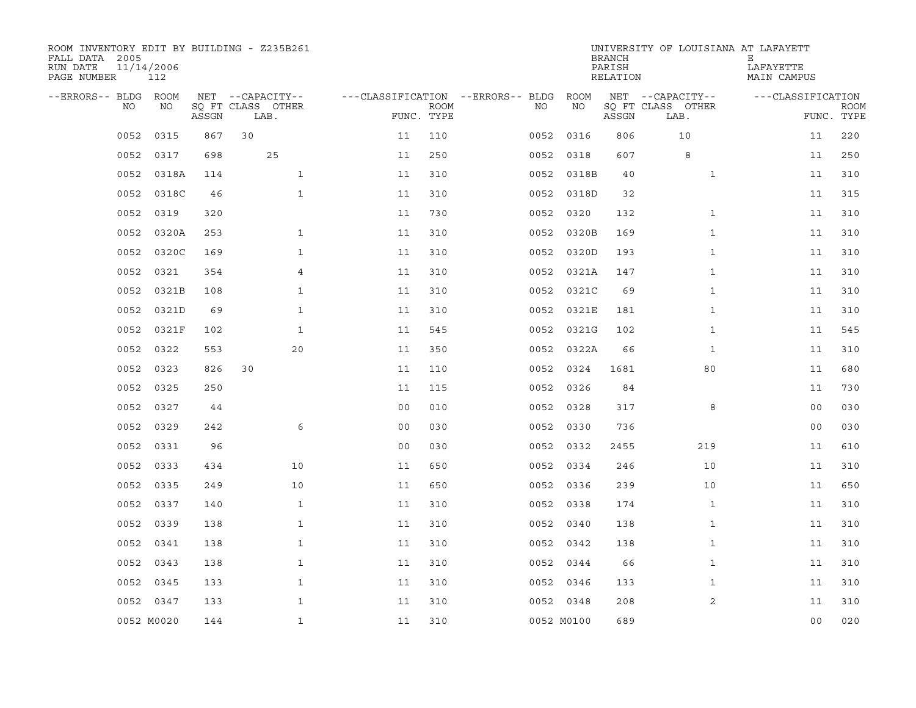| ROOM INVENTORY EDIT BY BUILDING - Z235B261<br>FALL DATA 2005<br>RUN DATE<br>PAGE NUMBER | 11/14/2006<br>112 |       |                           |                                   |                           |      |            | <b>BRANCH</b><br>PARISH<br>RELATION | UNIVERSITY OF LOUISIANA AT LAFAYETT | Е<br>LAFAYETTE<br>MAIN CAMPUS |                           |
|-----------------------------------------------------------------------------------------|-------------------|-------|---------------------------|-----------------------------------|---------------------------|------|------------|-------------------------------------|-------------------------------------|-------------------------------|---------------------------|
| --ERRORS-- BLDG ROOM                                                                    |                   |       | NET --CAPACITY--          | ---CLASSIFICATION --ERRORS-- BLDG |                           |      | ROOM       |                                     | NET --CAPACITY--                    | ---CLASSIFICATION             |                           |
| NO.                                                                                     | NO.               | ASSGN | SQ FT CLASS OTHER<br>LAB. |                                   | <b>ROOM</b><br>FUNC. TYPE | NO.  | NO         | ASSGN                               | SQ FT CLASS OTHER<br>LAB.           |                               | <b>ROOM</b><br>FUNC. TYPE |
| 0052                                                                                    | 0315              | 867   | 30                        | 11                                | 110                       | 0052 | 0316       | 806                                 | 10                                  | 11                            | 220                       |
| 0052                                                                                    | 0317              | 698   | 25                        | 11                                | 250                       | 0052 | 0318       | 607                                 | 8                                   | 11                            | 250                       |
| 0052                                                                                    | 0318A             | 114   | $\mathbf{1}$              | 11                                | 310                       | 0052 | 0318B      | 40                                  | $\mathbf{1}$                        | 11                            | 310                       |
| 0052                                                                                    | 0318C             | 46    | $\mathbf{1}$              | 11                                | 310                       |      | 0052 0318D | 32                                  |                                     | 11                            | 315                       |
| 0052                                                                                    | 0319              | 320   |                           | 11                                | 730                       | 0052 | 0320       | 132                                 | $\mathbf{1}$                        | 11                            | 310                       |
| 0052                                                                                    | 0320A             | 253   | $\mathbf{1}$              | 11                                | 310                       | 0052 | 0320B      | 169                                 | $\mathbf{1}$                        | 11                            | 310                       |
| 0052                                                                                    | 0320C             | 169   | $\mathbf 1$               | 11                                | 310                       | 0052 | 0320D      | 193                                 | $\mathbf{1}$                        | 11                            | 310                       |
| 0052                                                                                    | 0321              | 354   | 4                         | 11                                | 310                       | 0052 | 0321A      | 147                                 | $\mathbf{1}$                        | 11                            | 310                       |
| 0052                                                                                    | 0321B             | 108   | $\mathbf{1}$              | 11                                | 310                       | 0052 | 0321C      | 69                                  | $\mathbf{1}$                        | 11                            | 310                       |
| 0052                                                                                    | 0321D             | 69    | $\mathbf{1}$              | 11                                | 310                       | 0052 | 0321E      | 181                                 | $\mathbf{1}$                        | 11                            | 310                       |
| 0052                                                                                    | 0321F             | 102   | $\mathbf{1}$              | 11                                | 545                       | 0052 | 0321G      | 102                                 | $\mathbf{1}$                        | 11                            | 545                       |
| 0052                                                                                    | 0322              | 553   | 20                        | 11                                | 350                       | 0052 | 0322A      | 66                                  | $\mathbf{1}$                        | 11                            | 310                       |
| 0052                                                                                    | 0323              | 826   | 30                        | 11                                | 110                       | 0052 | 0324       | 1681                                | 80                                  | 11                            | 680                       |
| 0052                                                                                    | 0325              | 250   |                           | 11                                | 115                       | 0052 | 0326       | 84                                  |                                     | 11                            | 730                       |
| 0052                                                                                    | 0327              | 44    |                           | 0 <sub>0</sub>                    | 010                       | 0052 | 0328       | 317                                 | 8                                   | 0 <sub>0</sub>                | 030                       |
| 0052                                                                                    | 0329              | 242   | 6                         | 0 <sub>0</sub>                    | 030                       | 0052 | 0330       | 736                                 |                                     | 00                            | 030                       |
| 0052                                                                                    | 0331              | 96    |                           | 0 <sub>0</sub>                    | 030                       | 0052 | 0332       | 2455                                | 219                                 | 11                            | 610                       |
| 0052                                                                                    | 0333              | 434   | 10                        | 11                                | 650                       |      | 0052 0334  | 246                                 | 10                                  | 11                            | 310                       |
| 0052                                                                                    | 0335              | 249   | 10                        | 11                                | 650                       |      | 0052 0336  | 239                                 | 10                                  | 11                            | 650                       |
| 0052                                                                                    | 0337              | 140   | $\mathbf{1}$              | 11                                | 310                       | 0052 | 0338       | 174                                 | $\mathbf{1}$                        | 11                            | 310                       |
| 0052                                                                                    | 0339              | 138   | $\mathbf{1}$              | 11                                | 310                       |      | 0052 0340  | 138                                 | $\mathbf{1}$                        | 11                            | 310                       |
| 0052                                                                                    | 0341              | 138   | $\mathbf{1}$              | 11                                | 310                       |      | 0052 0342  | 138                                 | $\mathbf{1}$                        | 11                            | 310                       |
| 0052                                                                                    | 0343              | 138   | $\mathbf 1$               | 11                                | 310                       |      | 0052 0344  | 66                                  | $\mathbf{1}$                        | 11                            | 310                       |
| 0052                                                                                    | 0345              | 133   | $\mathbf{1}$              | 11                                | 310                       | 0052 | 0346       | 133                                 | $\mathbf{1}$                        | 11                            | 310                       |
|                                                                                         | 0052 0347         | 133   | $\mathbf{1}$              | 11                                | 310                       |      | 0052 0348  | 208                                 | 2                                   | 11                            | 310                       |
|                                                                                         | 0052 M0020        | 144   | $\mathbf{1}$              | 11                                | 310                       |      | 0052 M0100 | 689                                 |                                     | 0 <sub>0</sub>                | 020                       |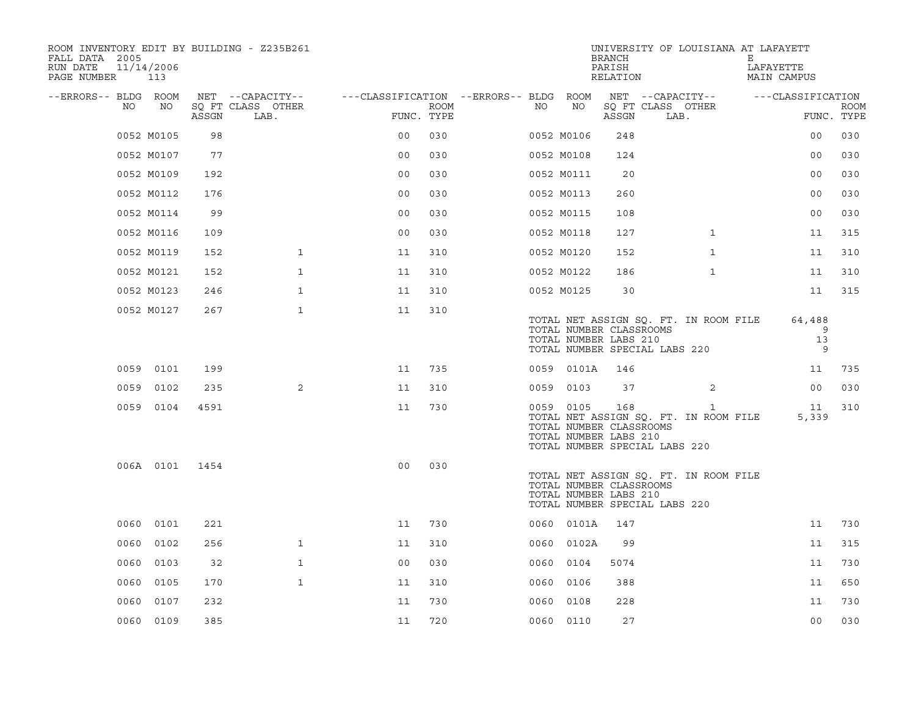| ROOM INVENTORY EDIT BY BUILDING - Z235B261<br>FALL DATA 2005<br>RUN DATE<br>PAGE NUMBER 113 | 11/14/2006 |       |                           |                                        |      |      |            | <b>BRANCH</b><br>PARISH<br>RELATION                     | UNIVERSITY OF LOUISIANA AT LAFAYETT                                                    | Е<br>LAFAYETTE<br>MAIN CAMPUS |                           |
|---------------------------------------------------------------------------------------------|------------|-------|---------------------------|----------------------------------------|------|------|------------|---------------------------------------------------------|----------------------------------------------------------------------------------------|-------------------------------|---------------------------|
| --ERRORS-- BLDG ROOM                                                                        |            |       | NET --CAPACITY--          | ---CLASSIFICATION --ERRORS-- BLDG ROOM |      |      |            |                                                         | NET --CAPACITY--                                                                       | ---CLASSIFICATION             |                           |
| NO                                                                                          | NO         | ASSGN | SO FT CLASS OTHER<br>LAB. | FUNC. TYPE                             | ROOM | NO   | NO         | ASSGN                                                   | SQ FT CLASS OTHER<br>LAB.                                                              |                               | <b>ROOM</b><br>FUNC. TYPE |
|                                                                                             | 0052 M0105 | 98    |                           | 0 <sub>0</sub>                         | 030  |      | 0052 M0106 | 248                                                     |                                                                                        | 0 <sub>0</sub>                | 030                       |
|                                                                                             | 0052 M0107 | 77    |                           | 0 <sub>0</sub>                         | 030  |      | 0052 M0108 | 124                                                     |                                                                                        | 00                            | 030                       |
|                                                                                             | 0052 M0109 | 192   |                           | 0 <sub>0</sub>                         | 030  |      | 0052 M0111 | 20                                                      |                                                                                        | 0 <sub>0</sub>                | 030                       |
|                                                                                             | 0052 M0112 | 176   |                           | 0 <sub>0</sub>                         | 030  |      | 0052 M0113 | 260                                                     |                                                                                        | 0 <sub>0</sub>                | 030                       |
|                                                                                             | 0052 M0114 | 99    |                           | 00                                     | 030  |      | 0052 M0115 | 108                                                     |                                                                                        | 0 <sub>0</sub>                | 030                       |
|                                                                                             | 0052 M0116 | 109   |                           | 0 <sub>0</sub>                         | 030  |      | 0052 M0118 | 127                                                     | $\mathbf{1}$                                                                           | 11                            | 315                       |
|                                                                                             | 0052 M0119 | 152   | $\mathbf{1}$              | 11                                     | 310  |      | 0052 M0120 | 152                                                     | $\mathbf{1}$                                                                           | 11                            | 310                       |
|                                                                                             | 0052 M0121 | 152   | $\mathbf{1}$              | 11                                     | 310  |      | 0052 M0122 | 186                                                     | $\mathbf{1}$                                                                           | 11                            | 310                       |
|                                                                                             | 0052 M0123 | 246   | $\mathbf{1}$              | 11                                     | 310  |      | 0052 M0125 | 30                                                      |                                                                                        | 11                            | 315                       |
|                                                                                             | 0052 M0127 | 267   | $\mathbf{1}$              | 11                                     | 310  |      |            | TOTAL NUMBER CLASSROOMS<br>TOTAL NUMBER LABS 210        | TOTAL NET ASSIGN SQ. FT. IN ROOM FILE<br>TOTAL NUMBER SPECIAL LABS 220                 | 64,488<br>9<br>13<br>9        |                           |
|                                                                                             | 0059 0101  | 199   |                           | 11                                     | 735  |      | 0059 0101A | 146                                                     |                                                                                        | 11                            | 735                       |
|                                                                                             | 0059 0102  | 235   | 2                         | 11                                     | 310  |      | 0059 0103  | 37                                                      | $\overline{2}$                                                                         | 0 <sub>0</sub>                | 030                       |
|                                                                                             | 0059 0104  | 4591  |                           | 11                                     | 730  |      | 0059 0105  | 168<br>TOTAL NUMBER CLASSROOMS<br>TOTAL NUMBER LABS 210 | $\mathbf{1}$<br>TOTAL NET ASSIGN SQ. FT. IN ROOM FILE<br>TOTAL NUMBER SPECIAL LABS 220 | 11<br>5,339                   | 310                       |
|                                                                                             | 006A 0101  | 1454  |                           | 0 <sub>0</sub>                         | 030  |      |            | TOTAL NUMBER CLASSROOMS<br>TOTAL NUMBER LABS 210        | TOTAL NET ASSIGN SQ. FT. IN ROOM FILE<br>TOTAL NUMBER SPECIAL LABS 220                 |                               |                           |
|                                                                                             | 0060 0101  | 221   |                           | 11                                     | 730  |      | 0060 0101A | 147                                                     |                                                                                        | 11                            | 730                       |
| 0060                                                                                        | 0102       | 256   | $\mathbf{1}$              | 11                                     | 310  | 0060 | 0102A      | 99                                                      |                                                                                        | 11                            | 315                       |
|                                                                                             | 0060 0103  | 32    | $\mathbf{1}$              | 0 <sub>0</sub>                         | 030  |      | 0060 0104  | 5074                                                    |                                                                                        | 11                            | 730                       |
| 0060                                                                                        | 0105       | 170   | $\mathbf{1}$              | 11                                     | 310  | 0060 | 0106       | 388                                                     |                                                                                        | 11                            | 650                       |
| 0060                                                                                        | 0107       | 232   |                           | 11                                     | 730  |      | 0060 0108  | 228                                                     |                                                                                        | 11                            | 730                       |
|                                                                                             | 0060 0109  | 385   |                           | 11                                     | 720  |      | 0060 0110  | 27                                                      |                                                                                        | 0 <sub>0</sub>                | 030                       |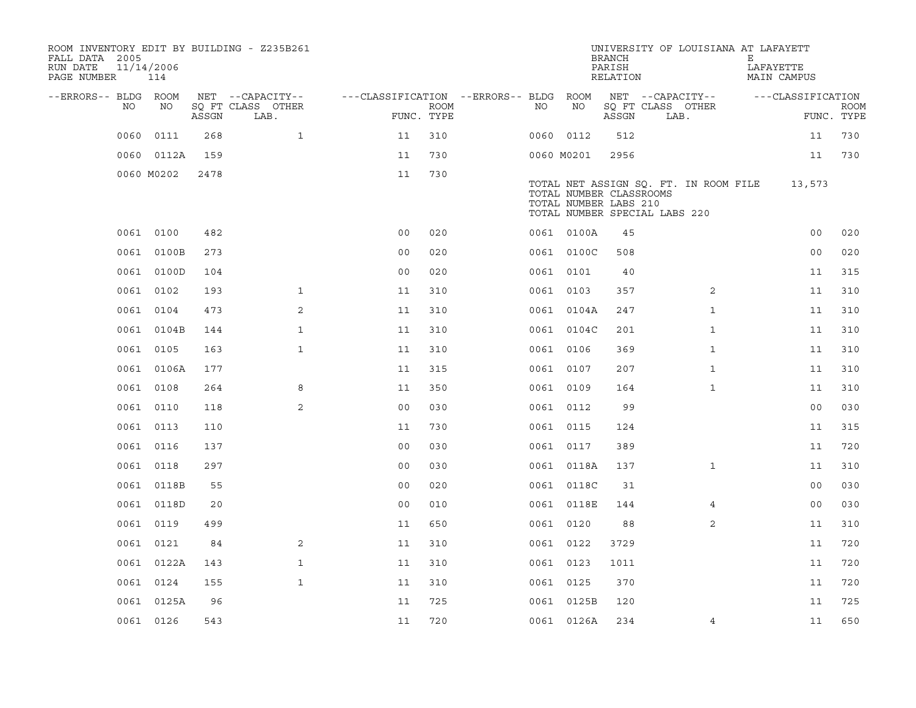| ROOM INVENTORY EDIT BY BUILDING - Z235B261<br>FALL DATA 2005<br>RUN DATE<br>PAGE NUMBER | 11/14/2006<br>114 |       |                           |                                        |             |           |            | <b>BRANCH</b><br>PARISH<br>RELATION                                               | UNIVERSITY OF LOUISIANA AT LAFAYETT   | Е | LAFAYETTE<br>MAIN CAMPUS |                           |
|-----------------------------------------------------------------------------------------|-------------------|-------|---------------------------|----------------------------------------|-------------|-----------|------------|-----------------------------------------------------------------------------------|---------------------------------------|---|--------------------------|---------------------------|
| --ERRORS-- BLDG ROOM                                                                    |                   |       | NET --CAPACITY--          | ---CLASSIFICATION --ERRORS-- BLDG ROOM |             |           |            |                                                                                   | NET --CAPACITY--                      |   | ---CLASSIFICATION        |                           |
| NO                                                                                      | NO                | ASSGN | SQ FT CLASS OTHER<br>LAB. | FUNC. TYPE                             | <b>ROOM</b> | NO.       | NO         | ASSGN                                                                             | SQ FT CLASS OTHER<br>LAB.             |   |                          | <b>ROOM</b><br>FUNC. TYPE |
| 0060                                                                                    | 0111              | 268   | $\mathbf{1}$              | 11                                     | 310         |           | 0060 0112  | 512                                                                               |                                       |   | 11                       | 730                       |
|                                                                                         | 0060 0112A        | 159   |                           | 11                                     | 730         |           | 0060 M0201 | 2956                                                                              |                                       |   | 11                       | 730                       |
|                                                                                         | 0060 M0202        | 2478  |                           | 11                                     | 730         |           |            | TOTAL NUMBER CLASSROOMS<br>TOTAL NUMBER LABS 210<br>TOTAL NUMBER SPECIAL LABS 220 | TOTAL NET ASSIGN SQ. FT. IN ROOM FILE |   | 13,573                   |                           |
|                                                                                         | 0061 0100         | 482   |                           | 0 <sub>0</sub>                         | 020         |           | 0061 0100A | 45                                                                                |                                       |   | 0 <sub>0</sub>           | 020                       |
|                                                                                         | 0061 0100B        | 273   |                           | 0 <sub>0</sub>                         | 020         |           | 0061 0100C | 508                                                                               |                                       |   | 0 <sub>0</sub>           | 020                       |
|                                                                                         | 0061 0100D        | 104   |                           | 0 <sub>0</sub>                         | 020         |           | 0061 0101  | 40                                                                                |                                       |   | 11                       | 315                       |
|                                                                                         | 0061 0102         | 193   | $\mathbf{1}$              | 11                                     | 310         |           | 0061 0103  | 357                                                                               | $\overline{2}$                        |   | 11                       | 310                       |
|                                                                                         | 0061 0104         | 473   | 2                         | 11                                     | 310         |           | 0061 0104A | 247                                                                               | $\mathbf{1}$                          |   | 11                       | 310                       |
|                                                                                         | 0061 0104B        | 144   | $\mathbf{1}$              | 11                                     | 310         |           | 0061 0104C | 201                                                                               | $\mathbf{1}$                          |   | 11                       | 310                       |
|                                                                                         | 0061 0105         | 163   | $\mathbf{1}$              | 11                                     | 310         |           | 0061 0106  | 369                                                                               | $\mathbf{1}$                          |   | 11                       | 310                       |
|                                                                                         | 0061 0106A        | 177   |                           | 11                                     | 315         |           | 0061 0107  | 207                                                                               | $\mathbf{1}$                          |   | 11                       | 310                       |
|                                                                                         | 0061 0108         | 264   | 8                         | 11                                     | 350         |           | 0061 0109  | 164                                                                               | $\mathbf{1}$                          |   | 11                       | 310                       |
|                                                                                         | 0061 0110         | 118   | 2                         | 0 <sub>0</sub>                         | 030         |           | 0061 0112  | 99                                                                                |                                       |   | 0 <sub>0</sub>           | 030                       |
|                                                                                         | 0061 0113         | 110   |                           | 11                                     | 730         |           | 0061 0115  | 124                                                                               |                                       |   | 11                       | 315                       |
|                                                                                         | 0061 0116         | 137   |                           | 0 <sub>0</sub>                         | 030         |           | 0061 0117  | 389                                                                               |                                       |   | 11                       | 720                       |
|                                                                                         | 0061 0118         | 297   |                           | 0 <sub>0</sub>                         | 030         |           | 0061 0118A | 137                                                                               | $\mathbf{1}$                          |   | 11                       | 310                       |
|                                                                                         | 0061 0118B        | 55    |                           | 0 <sub>0</sub>                         | 020         |           | 0061 0118C | 31                                                                                |                                       |   | 0 <sub>0</sub>           | 030                       |
|                                                                                         | 0061 0118D        | 20    |                           | 0 <sub>0</sub>                         | 010         |           | 0061 0118E | 144                                                                               | 4                                     |   | 00                       | 030                       |
|                                                                                         | 0061 0119         | 499   |                           | 11                                     | 650         |           | 0061 0120  | 88                                                                                | 2                                     |   | 11                       | 310                       |
|                                                                                         | 0061 0121         | 84    | 2                         | 11                                     | 310         |           | 0061 0122  | 3729                                                                              |                                       |   | 11                       | 720                       |
|                                                                                         | 0061 0122A        | 143   | $\mathbf{1}$              | 11                                     | 310         | 0061 0123 |            | 1011                                                                              |                                       |   | 11                       | 720                       |
|                                                                                         | 0061 0124         | 155   | $\mathbf{1}$              | 11                                     | 310         |           | 0061 0125  | 370                                                                               |                                       |   | 11                       | 720                       |
|                                                                                         | 0061 0125A        | 96    |                           | 11                                     | 725         |           | 0061 0125B | 120                                                                               |                                       |   | 11                       | 725                       |
|                                                                                         | 0061 0126         | 543   |                           | 11                                     | 720         |           | 0061 0126A | 234                                                                               | 4                                     |   | 11                       | 650                       |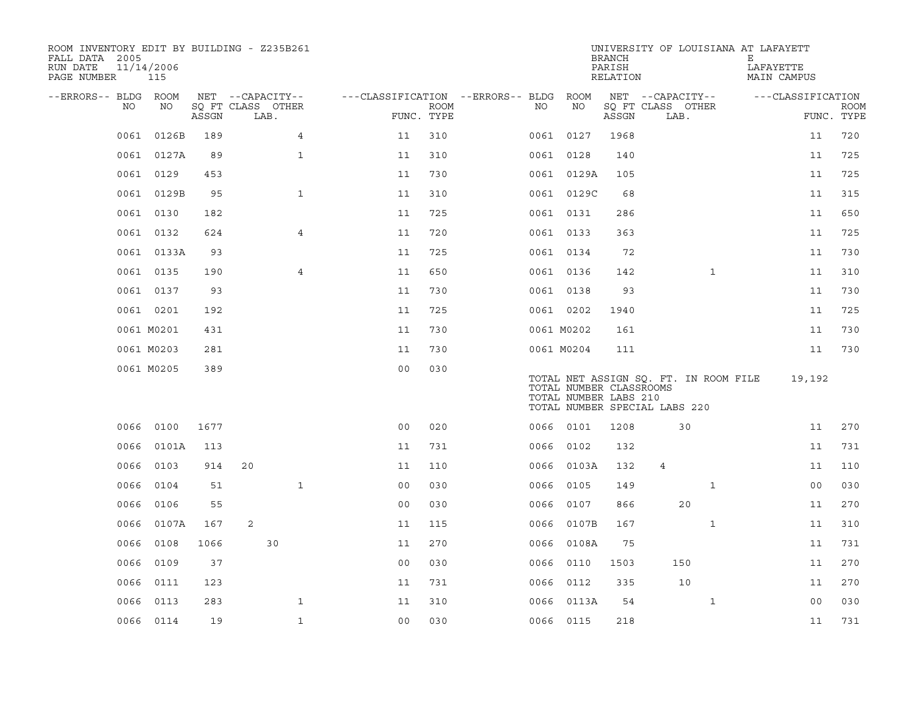| ROOM INVENTORY EDIT BY BUILDING - Z235B261<br>FALL DATA 2005<br>RUN DATE<br>PAGE NUMBER | 11/14/2006<br>115 |       |                           |                |                                        |             |      |                                                  | <b>BRANCH</b><br>PARISH<br>RELATION |                                                                        |              | UNIVERSITY OF LOUISIANA AT LAFAYETT<br>Е<br>LAFAYETTE<br>MAIN CAMPUS |                   |                           |
|-----------------------------------------------------------------------------------------|-------------------|-------|---------------------------|----------------|----------------------------------------|-------------|------|--------------------------------------------------|-------------------------------------|------------------------------------------------------------------------|--------------|----------------------------------------------------------------------|-------------------|---------------------------|
| --ERRORS-- BLDG ROOM                                                                    |                   |       | NET --CAPACITY--          |                | ---CLASSIFICATION --ERRORS-- BLDG ROOM |             |      |                                                  |                                     | NET --CAPACITY--                                                       |              |                                                                      | ---CLASSIFICATION |                           |
| NO.                                                                                     | NO                | ASSGN | SQ FT CLASS OTHER<br>LAB. |                | FUNC. TYPE                             | <b>ROOM</b> | NO   | NO                                               | ASSGN                               | SQ FT CLASS OTHER<br>LAB.                                              |              |                                                                      |                   | <b>ROOM</b><br>FUNC. TYPE |
| 0061                                                                                    | 0126B             | 189   |                           | 4              | 11                                     | 310         |      | 0061 0127                                        | 1968                                |                                                                        |              |                                                                      | 11                | 720                       |
|                                                                                         | 0061 0127A        | 89    |                           | $\mathbf{1}$   | 11                                     | 310         |      | 0061 0128                                        | 140                                 |                                                                        |              |                                                                      | 11                | 725                       |
|                                                                                         | 0061 0129         | 453   |                           |                | 11                                     | 730         |      | 0061 0129A                                       | 105                                 |                                                                        |              |                                                                      | 11                | 725                       |
|                                                                                         | 0061 0129B        | 95    |                           | $\mathbf{1}$   | 11                                     | 310         |      | 0061 0129C                                       | 68                                  |                                                                        |              |                                                                      | 11                | 315                       |
|                                                                                         | 0061 0130         | 182   |                           |                | 11                                     | 725         |      | 0061 0131                                        | 286                                 |                                                                        |              |                                                                      | 11                | 650                       |
| 0061                                                                                    | 0132              | 624   |                           | 4              | 11                                     | 720         |      | 0061 0133                                        | 363                                 |                                                                        |              |                                                                      | 11                | 725                       |
|                                                                                         | 0061 0133A        | 93    |                           |                | 11                                     | 725         |      | 0061 0134                                        | 72                                  |                                                                        |              |                                                                      | 11                | 730                       |
|                                                                                         | 0061 0135         | 190   |                           | $\overline{4}$ | 11                                     | 650         |      | 0061 0136                                        | 142                                 |                                                                        | $\mathbf{1}$ |                                                                      | 11                | 310                       |
|                                                                                         | 0061 0137         | 93    |                           |                | 11                                     | 730         |      | 0061 0138                                        | 93                                  |                                                                        |              |                                                                      | 11                | 730                       |
|                                                                                         | 0061 0201         | 192   |                           |                | 11                                     | 725         |      | 0061 0202                                        | 1940                                |                                                                        |              |                                                                      | 11                | 725                       |
|                                                                                         | 0061 M0201        | 431   |                           |                | 11                                     | 730         |      | 0061 M0202                                       | 161                                 |                                                                        |              |                                                                      | 11                | 730                       |
|                                                                                         | 0061 M0203        | 281   |                           |                | 11                                     | 730         |      | 0061 M0204                                       | 111                                 |                                                                        |              |                                                                      | 11                | 730                       |
|                                                                                         | 0061 M0205        | 389   |                           |                | 0 <sub>0</sub>                         | 030         |      | TOTAL NUMBER CLASSROOMS<br>TOTAL NUMBER LABS 210 |                                     | TOTAL NET ASSIGN SQ. FT. IN ROOM FILE<br>TOTAL NUMBER SPECIAL LABS 220 |              |                                                                      | 19,192            |                           |
| 0066                                                                                    | 0100              | 1677  |                           |                | 0 <sub>0</sub>                         | 020         |      | 0066 0101                                        | 1208                                |                                                                        | 30           |                                                                      | 11                | 270                       |
| 0066                                                                                    | 0101A             | 113   |                           |                | 11                                     | 731         |      | 0066 0102                                        | 132                                 |                                                                        |              |                                                                      | 11                | 731                       |
| 0066                                                                                    | 0103              | 914   | 20                        |                | 11                                     | 110         |      | 0066 0103A                                       | 132                                 | $\overline{4}$                                                         |              |                                                                      | 11                | 110                       |
| 0066                                                                                    | 0104              | 51    |                           | $\mathbf{1}$   | 0 <sub>0</sub>                         | 030         |      | 0066 0105                                        | 149                                 |                                                                        | $\mathbf{1}$ |                                                                      | 0 <sub>0</sub>    | 030                       |
| 0066                                                                                    | 0106              | 55    |                           |                | 0 <sub>0</sub>                         | 030         | 0066 | 0107                                             | 866                                 |                                                                        | 20           |                                                                      | 11                | 270                       |
| 0066                                                                                    | 0107A             | 167   | 2                         |                | 11                                     | 115         |      | 0066 0107B                                       | 167                                 |                                                                        | $\mathbf{1}$ |                                                                      | 11                | 310                       |
| 0066                                                                                    | 0108              | 1066  | 30                        |                | 11                                     | 270         | 0066 | 0108A                                            | 75                                  |                                                                        |              |                                                                      | 11                | 731                       |
| 0066                                                                                    | 0109              | 37    |                           |                | 0 <sub>0</sub>                         | 030         |      | 0066 0110                                        | 1503                                | 150                                                                    |              |                                                                      | 11                | 270                       |
| 0066                                                                                    | 0111              | 123   |                           |                | 11                                     | 731         |      | 0066 0112                                        | 335                                 |                                                                        | 10           |                                                                      | 11                | 270                       |
| 0066                                                                                    | 0113              | 283   |                           | $\mathbf{1}$   | 11                                     | 310         |      | 0066 0113A                                       | 54                                  |                                                                        | $\mathbf{1}$ |                                                                      | 00                | 030                       |
|                                                                                         | 0066 0114         | 19    |                           | $\mathbf{1}$   | 0 <sub>0</sub>                         | 030         |      | 0066 0115                                        | 218                                 |                                                                        |              |                                                                      | 11                | 731                       |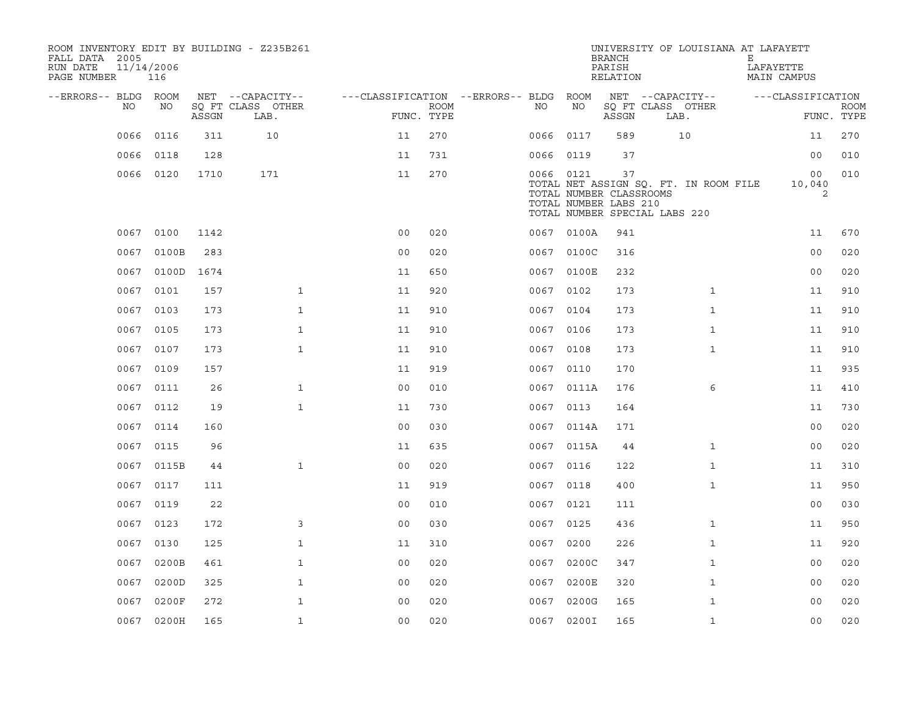| ROOM INVENTORY EDIT BY BUILDING - Z235B261<br>FALL DATA 2005<br>RUN DATE<br>PAGE NUMBER | 11/14/2006<br>116 |       |                           |                                   |             |           |            | <b>BRANCH</b><br>PARISH<br>RELATION                                                     | UNIVERSITY OF LOUISIANA AT LAFAYETT   | Е<br>LAFAYETTE | MAIN CAMPUS       |                           |
|-----------------------------------------------------------------------------------------|-------------------|-------|---------------------------|-----------------------------------|-------------|-----------|------------|-----------------------------------------------------------------------------------------|---------------------------------------|----------------|-------------------|---------------------------|
| --ERRORS-- BLDG ROOM                                                                    |                   |       | NET --CAPACITY--          | ---CLASSIFICATION --ERRORS-- BLDG |             |           | ROOM       |                                                                                         | NET --CAPACITY--                      |                | ---CLASSIFICATION |                           |
| NO                                                                                      | NO                | ASSGN | SQ FT CLASS OTHER<br>LAB. | FUNC. TYPE                        | <b>ROOM</b> | NO        | NO         | ASSGN                                                                                   | SQ FT CLASS OTHER<br>LAB.             |                |                   | <b>ROOM</b><br>FUNC. TYPE |
| 0066                                                                                    | 0116              | 311   | 10                        | 11                                | 270         | 0066      | 0117       | 589                                                                                     | 10                                    |                | 11                | 270                       |
| 0066                                                                                    | 0118              | 128   |                           | 11                                | 731         | 0066      | 0119       | 37                                                                                      |                                       |                | 0 <sub>0</sub>    | 010                       |
|                                                                                         | 0066 0120         | 1710  | 171                       | 11                                | 270         | 0066 0121 |            | 37<br>TOTAL NUMBER CLASSROOMS<br>TOTAL NUMBER LABS 210<br>TOTAL NUMBER SPECIAL LABS 220 | TOTAL NET ASSIGN SQ. FT. IN ROOM FILE |                | 00<br>10,040<br>2 | 010                       |
|                                                                                         | 0067 0100         | 1142  |                           | 0 <sub>0</sub>                    | 020         |           | 0067 0100A | 941                                                                                     |                                       |                | 11                | 670                       |
| 0067                                                                                    | 0100B             | 283   |                           | 0 <sub>0</sub>                    | 020         | 0067      | 0100C      | 316                                                                                     |                                       |                | 0 <sub>0</sub>    | 020                       |
| 0067                                                                                    | 0100D             | 1674  |                           | 11                                | 650         |           | 0067 0100E | 232                                                                                     |                                       |                | 0 <sub>0</sub>    | 020                       |
| 0067                                                                                    | 0101              | 157   | $\mathbf{1}$              | 11                                | 920         | 0067      | 0102       | 173                                                                                     | $\mathbf{1}$                          |                | 11                | 910                       |
| 0067                                                                                    | 0103              | 173   | $\mathbf{1}$              | 11                                | 910         | 0067 0104 |            | 173                                                                                     | $\mathbf{1}$                          |                | 11                | 910                       |
| 0067                                                                                    | 0105              | 173   | $\mathbf{1}$              | 11                                | 910         | 0067      | 0106       | 173                                                                                     | $\mathbf{1}$                          |                | 11                | 910                       |
|                                                                                         | 0067 0107         | 173   | $\mathbf{1}$              | 11                                | 910         | 0067 0108 |            | 173                                                                                     | $\mathbf{1}$                          |                | 11                | 910                       |
| 0067                                                                                    | 0109              | 157   |                           | 11                                | 919         | 0067      | 0110       | 170                                                                                     |                                       |                | 11                | 935                       |
|                                                                                         | 0067 0111         | 26    | $\mathbf{1}$              | 0 <sub>0</sub>                    | 010         |           | 0067 0111A | 176                                                                                     | 6                                     |                | 11                | 410                       |
| 0067                                                                                    | 0112              | 19    | $\mathbf{1}$              | 11                                | 730         | 0067      | 0113       | 164                                                                                     |                                       |                | 11                | 730                       |
|                                                                                         | 0067 0114         | 160   |                           | 0 <sub>0</sub>                    | 030         |           | 0067 0114A | 171                                                                                     |                                       |                | 0 <sub>0</sub>    | 020                       |
| 0067                                                                                    | 0115              | 96    |                           | 11                                | 635         | 0067      | 0115A      | 44                                                                                      | $\mathbf{1}$                          |                | 00                | 020                       |
|                                                                                         | 0067 0115B        | 44    | $\mathbf{1}$              | 0 <sub>0</sub>                    | 020         | 0067 0116 |            | 122                                                                                     | $\mathbf{1}$                          |                | 11                | 310                       |
| 0067                                                                                    | 0117              | 111   |                           | 11                                | 919         | 0067 0118 |            | 400                                                                                     | $\mathbf{1}$                          |                | 11                | 950                       |
| 0067                                                                                    | 0119              | 22    |                           | 0 <sub>0</sub>                    | 010         | 0067 0121 |            | 111                                                                                     |                                       |                | 0 <sub>0</sub>    | 030                       |
| 0067                                                                                    | 0123              | 172   | 3                         | 0 <sub>0</sub>                    | 030         | 0067      | 0125       | 436                                                                                     | $\mathbf{1}$                          |                | 11                | 950                       |
| 0067                                                                                    | 0130              | 125   | $\mathbf{1}$              | 11                                | 310         | 0067      | 0200       | 226                                                                                     | $\mathbf{1}$                          |                | 11                | 920                       |
| 0067                                                                                    | 0200B             | 461   | $\mathbf{1}$              | 0 <sub>0</sub>                    | 020         |           | 0067 0200C | 347                                                                                     | $\mathbf{1}$                          |                | 00                | 020                       |
| 0067                                                                                    | 0200D             | 325   | $\mathbf{1}$              | 0 <sub>0</sub>                    | 020         | 0067      | 0200E      | 320                                                                                     | $\mathbf{1}$                          |                | 0 <sub>0</sub>    | 020                       |
| 0067                                                                                    | 0200F             | 272   | $\mathbf{1}$              | 0 <sub>0</sub>                    | 020         | 0067      | 0200G      | 165                                                                                     | $\mathbf{1}$                          |                | 0 <sub>0</sub>    | 020                       |
|                                                                                         | 0067 0200H        | 165   | $\mathbf{1}$              | 0 <sub>0</sub>                    | 020         |           | 0067 0200I | 165                                                                                     | $\mathbf{1}$                          |                | 0 <sub>0</sub>    | 020                       |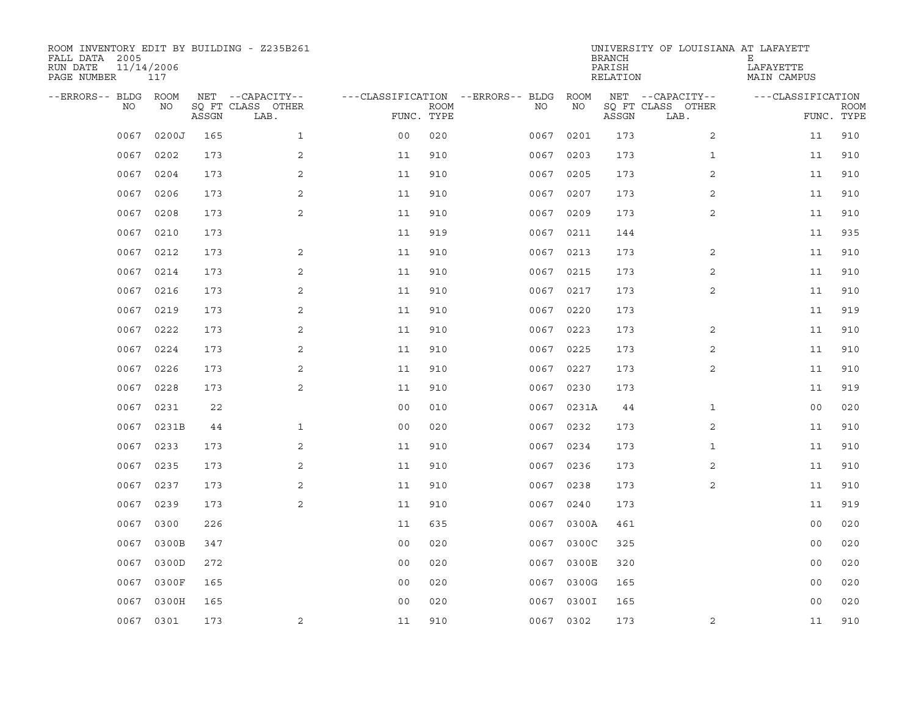| ROOM INVENTORY EDIT BY BUILDING - Z235B261<br>FALL DATA 2005<br>RUN DATE<br>PAGE NUMBER | 11/14/2006<br>117 |       |                           |                                   |             |           |            | <b>BRANCH</b><br>PARISH<br>RELATION | UNIVERSITY OF LOUISIANA AT LAFAYETT | Ε<br>LAFAYETTE<br>MAIN CAMPUS |                           |
|-----------------------------------------------------------------------------------------|-------------------|-------|---------------------------|-----------------------------------|-------------|-----------|------------|-------------------------------------|-------------------------------------|-------------------------------|---------------------------|
| --ERRORS-- BLDG                                                                         | <b>ROOM</b>       |       | NET --CAPACITY--          | ---CLASSIFICATION --ERRORS-- BLDG |             |           | ROOM       |                                     | NET --CAPACITY--                    | ---CLASSIFICATION             |                           |
| NO                                                                                      | NO                | ASSGN | SO FT CLASS OTHER<br>LAB. | FUNC. TYPE                        | <b>ROOM</b> | NO.       | NO         | ASSGN                               | SQ FT CLASS OTHER<br>LAB.           |                               | <b>ROOM</b><br>FUNC. TYPE |
| 0067                                                                                    | 0200J             | 165   | $\mathbf{1}$              | 0 <sub>0</sub>                    | 020         | 0067      | 0201       | 173                                 | 2                                   | 11                            | 910                       |
| 0067                                                                                    | 0202              | 173   | 2                         | 11                                | 910         | 0067 0203 |            | 173                                 | $\mathbf{1}$                        | 11                            | 910                       |
| 0067                                                                                    | 0204              | 173   | 2                         | 11                                | 910         | 0067      | 0205       | 173                                 | $\overline{2}$                      | 11                            | 910                       |
| 0067                                                                                    | 0206              | 173   | 2                         | 11                                | 910         | 0067      | 0207       | 173                                 | 2                                   | 11                            | 910                       |
| 0067                                                                                    | 0208              | 173   | 2                         | 11                                | 910         | 0067      | 0209       | 173                                 | $\overline{a}$                      | 11                            | 910                       |
| 0067                                                                                    | 0210              | 173   |                           | 11                                | 919         |           | 0067 0211  | 144                                 |                                     | 11                            | 935                       |
| 0067                                                                                    | 0212              | 173   | 2                         | 11                                | 910         | 0067      | 0213       | 173                                 | 2                                   | 11                            | 910                       |
| 0067                                                                                    | 0214              | 173   | 2                         | 11                                | 910         |           | 0067 0215  | 173                                 | 2                                   | 11                            | 910                       |
| 0067                                                                                    | 0216              | 173   | 2                         | 11                                | 910         | 0067      | 0217       | 173                                 | 2                                   | 11                            | 910                       |
| 0067                                                                                    | 0219              | 173   | 2                         | 11                                | 910         |           | 0067 0220  | 173                                 |                                     | 11                            | 919                       |
| 0067                                                                                    | 0222              | 173   | 2                         | 11                                | 910         | 0067      | 0223       | 173                                 | 2                                   | 11                            | 910                       |
|                                                                                         | 0067 0224         | 173   | 2                         | 11                                | 910         |           | 0067 0225  | 173                                 | 2                                   | 11                            | 910                       |
| 0067                                                                                    | 0226              | 173   | 2                         | 11                                | 910         | 0067      | 0227       | 173                                 | 2                                   | 11                            | 910                       |
| 0067                                                                                    | 0228              | 173   | 2                         | 11                                | 910         |           | 0067 0230  | 173                                 |                                     | 11                            | 919                       |
| 0067                                                                                    | 0231              | 22    |                           | 0 <sub>0</sub>                    | 010         | 0067      | 0231A      | 44                                  | $\mathbf{1}$                        | 0 <sub>0</sub>                | 020                       |
| 0067                                                                                    | 0231B             | 44    | $\mathbf 1$               | 0 <sub>0</sub>                    | 020         |           | 0067 0232  | 173                                 | 2                                   | 11                            | 910                       |
| 0067                                                                                    | 0233              | 173   | 2                         | 11                                | 910         | 0067      | 0234       | 173                                 | $\mathbf{1}$                        | 11                            | 910                       |
| 0067                                                                                    | 0235              | 173   | 2                         | 11                                | 910         |           | 0067 0236  | 173                                 | 2                                   | 11                            | 910                       |
| 0067                                                                                    | 0237              | 173   | 2                         | 11                                | 910         | 0067      | 0238       | 173                                 | $\overline{2}$                      | 11                            | 910                       |
| 0067                                                                                    | 0239              | 173   | 2                         | 11                                | 910         | 0067      | 0240       | 173                                 |                                     | 11                            | 919                       |
| 0067                                                                                    | 0300              | 226   |                           | 11                                | 635         |           | 0067 0300A | 461                                 |                                     | 00                            | 020                       |
| 0067                                                                                    | 0300B             | 347   |                           | 0 <sub>0</sub>                    | 020         | 0067      | 0300C      | 325                                 |                                     | 00                            | 020                       |
| 0067                                                                                    | 0300D             | 272   |                           | 0 <sub>0</sub>                    | 020         |           | 0067 0300E | 320                                 |                                     | 00                            | 020                       |
| 0067                                                                                    | 0300F             | 165   |                           | 00                                | 020         | 0067      | 0300G      | 165                                 |                                     | 0 <sub>0</sub>                | 020                       |
| 0067                                                                                    | 0300H             | 165   |                           | 0 <sub>0</sub>                    | 020         | 0067      | 0300I      | 165                                 |                                     | 0 <sub>0</sub>                | 020                       |
|                                                                                         | 0067 0301         | 173   | 2                         | 11                                | 910         |           | 0067 0302  | 173                                 | 2                                   | 11                            | 910                       |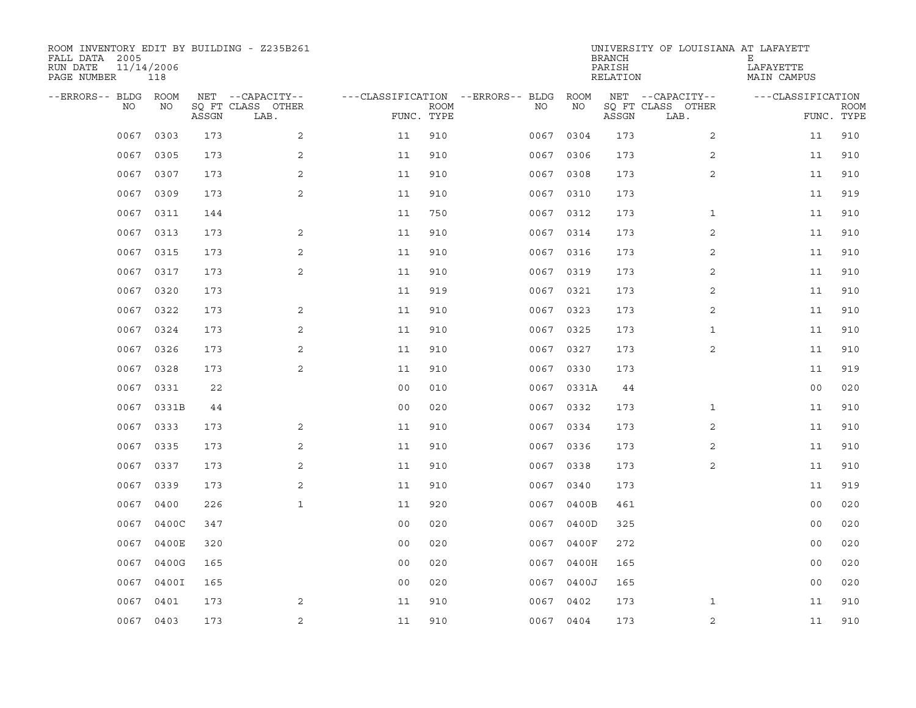| ROOM INVENTORY EDIT BY BUILDING - Z235B261<br>FALL DATA 2005<br>RUN DATE<br>PAGE NUMBER | 11/14/2006<br>118 |       |                           |                                   |             |           |            | <b>BRANCH</b><br>PARISH<br>RELATION | UNIVERSITY OF LOUISIANA AT LAFAYETT | Е<br>LAFAYETTE<br>MAIN CAMPUS |                           |
|-----------------------------------------------------------------------------------------|-------------------|-------|---------------------------|-----------------------------------|-------------|-----------|------------|-------------------------------------|-------------------------------------|-------------------------------|---------------------------|
| --ERRORS-- BLDG                                                                         | <b>ROOM</b>       |       | NET --CAPACITY--          | ---CLASSIFICATION --ERRORS-- BLDG |             |           | ROOM       |                                     | NET --CAPACITY--                    | ---CLASSIFICATION             |                           |
| NO                                                                                      | NO                | ASSGN | SO FT CLASS OTHER<br>LAB. | FUNC. TYPE                        | <b>ROOM</b> | NO.       | NO         | ASSGN                               | SQ FT CLASS OTHER<br>LAB.           |                               | <b>ROOM</b><br>FUNC. TYPE |
| 0067                                                                                    | 0303              | 173   | 2                         | 11                                | 910         | 0067      | 0304       | 173                                 | 2                                   | 11                            | 910                       |
| 0067                                                                                    | 0305              | 173   | 2                         | 11                                | 910         | 0067 0306 |            | 173                                 | 2                                   | 11                            | 910                       |
| 0067                                                                                    | 0307              | 173   | 2                         | 11                                | 910         | 0067      | 0308       | 173                                 | $\overline{2}$                      | 11                            | 910                       |
| 0067                                                                                    | 0309              | 173   | 2                         | 11                                | 910         | 0067 0310 |            | 173                                 |                                     | 11                            | 919                       |
| 0067                                                                                    | 0311              | 144   |                           | 11                                | 750         | 0067      | 0312       | 173                                 | $\mathbf{1}$                        | 11                            | 910                       |
| 0067                                                                                    | 0313              | 173   | 2                         | 11                                | 910         | 0067 0314 |            | 173                                 | 2                                   | 11                            | 910                       |
| 0067                                                                                    | 0315              | 173   | 2                         | 11                                | 910         | 0067      | 0316       | 173                                 | 2                                   | 11                            | 910                       |
| 0067                                                                                    | 0317              | 173   | 2                         | 11                                | 910         | 0067 0319 |            | 173                                 | 2                                   | 11                            | 910                       |
| 0067                                                                                    | 0320              | 173   |                           | 11                                | 919         | 0067      | 0321       | 173                                 | 2                                   | 11                            | 910                       |
| 0067                                                                                    | 0322              | 173   | 2                         | 11                                | 910         | 0067 0323 |            | 173                                 | 2                                   | 11                            | 910                       |
| 0067                                                                                    | 0324              | 173   | 2                         | 11                                | 910         | 0067      | 0325       | 173                                 | $\mathbf{1}$                        | 11                            | 910                       |
|                                                                                         | 0067 0326         | 173   | 2                         | 11                                | 910         | 0067 0327 |            | 173                                 | 2                                   | 11                            | 910                       |
| 0067                                                                                    | 0328              | 173   | 2                         | 11                                | 910         | 0067      | 0330       | 173                                 |                                     | 11                            | 919                       |
| 0067                                                                                    | 0331              | 22    |                           | 0 <sub>0</sub>                    | 010         |           | 0067 0331A | 44                                  |                                     | 00                            | 020                       |
| 0067                                                                                    | 0331B             | 44    |                           | 0 <sub>0</sub>                    | 020         | 0067      | 0332       | 173                                 | $\mathbf{1}$                        | 11                            | 910                       |
| 0067                                                                                    | 0333              | 173   | 2                         | 11                                | 910         | 0067 0334 |            | 173                                 | 2                                   | 11                            | 910                       |
| 0067                                                                                    | 0335              | 173   | 2                         | 11                                | 910         | 0067      | 0336       | 173                                 | 2                                   | 11                            | 910                       |
| 0067                                                                                    | 0337              | 173   | 2                         | 11                                | 910         | 0067 0338 |            | 173                                 | 2                                   | 11                            | 910                       |
| 0067                                                                                    | 0339              | 173   | 2                         | 11                                | 910         | 0067      | 0340       | 173                                 |                                     | 11                            | 919                       |
| 0067                                                                                    | 0400              | 226   | $\mathbf{1}$              | 11                                | 920         | 0067      | 0400B      | 461                                 |                                     | 0 <sub>0</sub>                | 020                       |
| 0067                                                                                    | 0400C             | 347   |                           | 0 <sub>0</sub>                    | 020         | 0067      | 0400D      | 325                                 |                                     | 00                            | 020                       |
| 0067                                                                                    | 0400E             | 320   |                           | 0 <sub>0</sub>                    | 020         | 0067      | 0400F      | 272                                 |                                     | 00                            | 020                       |
| 0067                                                                                    | 0400G             | 165   |                           | 0 <sub>0</sub>                    | 020         |           | 0067 0400H | 165                                 |                                     | 0 <sub>0</sub>                | 020                       |
| 0067                                                                                    | 0400I             | 165   |                           | 0 <sub>0</sub>                    | 020         |           | 0067 0400J | 165                                 |                                     | 0 <sub>0</sub>                | 020                       |
| 0067                                                                                    | 0401              | 173   | 2                         | 11                                | 910         | 0067      | 0402       | 173                                 | $\mathbf{1}$                        | 11                            | 910                       |
|                                                                                         | 0067 0403         | 173   | $\sqrt{2}$                | 11                                | 910         | 0067 0404 |            | 173                                 | $\overline{a}$                      | 11                            | 910                       |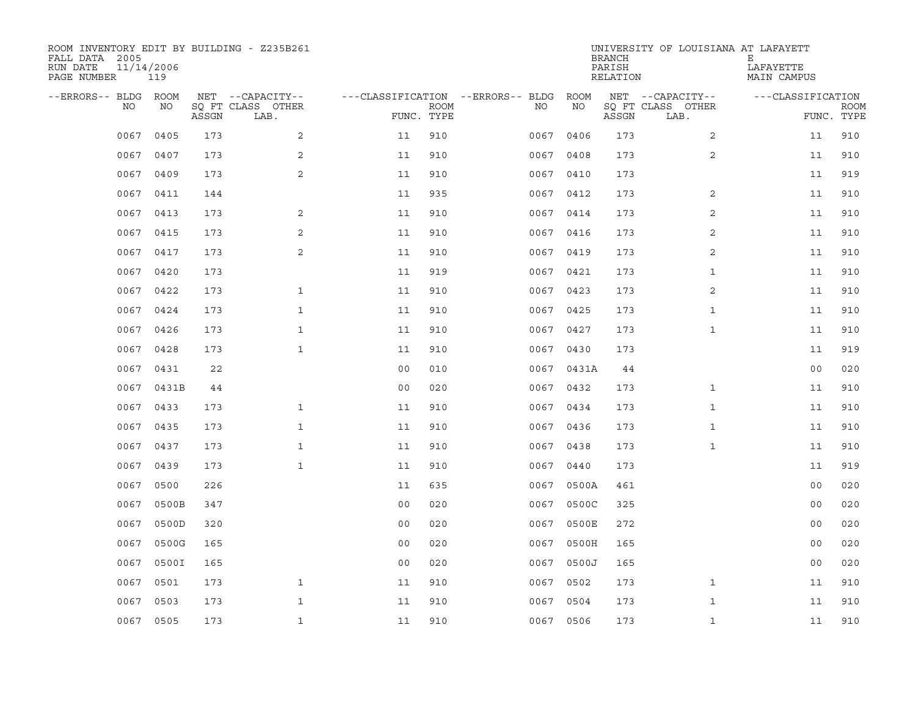| ROOM INVENTORY EDIT BY BUILDING - Z235B261<br>FALL DATA 2005<br>RUN DATE<br>PAGE NUMBER | 11/14/2006<br>119 |       |                           |                                        |             |           |            | <b>BRANCH</b><br>PARISH<br>RELATION | UNIVERSITY OF LOUISIANA AT LAFAYETT | Е<br>LAFAYETTE<br>MAIN CAMPUS |                           |
|-----------------------------------------------------------------------------------------|-------------------|-------|---------------------------|----------------------------------------|-------------|-----------|------------|-------------------------------------|-------------------------------------|-------------------------------|---------------------------|
| --ERRORS-- BLDG ROOM                                                                    |                   |       | NET --CAPACITY--          | ---CLASSIFICATION --ERRORS-- BLDG ROOM |             |           |            |                                     | NET --CAPACITY--                    | ---CLASSIFICATION             |                           |
| NO.                                                                                     | NO                | ASSGN | SQ FT CLASS OTHER<br>LAB. | FUNC. TYPE                             | <b>ROOM</b> | NO.       | NO         | ASSGN                               | SQ FT CLASS OTHER<br>LAB.           |                               | <b>ROOM</b><br>FUNC. TYPE |
| 0067                                                                                    | 0405              | 173   | 2                         | 11                                     | 910         | 0067      | 0406       | 173                                 | $\overline{2}$                      | 11                            | 910                       |
| 0067                                                                                    | 0407              | 173   | 2                         | 11                                     | 910         | 0067 0408 |            | 173                                 | 2                                   | 11                            | 910                       |
| 0067                                                                                    | 0409              | 173   | 2                         | 11                                     | 910         | 0067 0410 |            | 173                                 |                                     | 11                            | 919                       |
| 0067                                                                                    | 0411              | 144   |                           | 11                                     | 935         |           | 0067 0412  | 173                                 | 2                                   | 11                            | 910                       |
| 0067                                                                                    | 0413              | 173   | 2                         | 11                                     | 910         | 0067 0414 |            | 173                                 | 2                                   | 11                            | 910                       |
| 0067                                                                                    | 0415              | 173   | 2                         | 11                                     | 910         |           | 0067 0416  | 173                                 | 2                                   | 11                            | 910                       |
| 0067                                                                                    | 0417              | 173   | $\mathbf{2}$              | 11                                     | 910         | 0067 0419 |            | 173                                 | $\overline{a}$                      | 11                            | 910                       |
| 0067                                                                                    | 0420              | 173   |                           | 11                                     | 919         | 0067 0421 |            | 173                                 | $\mathbf{1}$                        | 11                            | 910                       |
| 0067                                                                                    | 0422              | 173   | $\mathbf{1}$              | 11                                     | 910         | 0067      | 0423       | 173                                 | 2                                   | 11                            | 910                       |
| 0067                                                                                    | 0424              | 173   | $\mathbf{1}$              | 11                                     | 910         |           | 0067 0425  | 173                                 | $\mathbf{1}$                        | 11                            | 910                       |
| 0067                                                                                    | 0426              | 173   | $\mathbf{1}$              | 11                                     | 910         | 0067      | 0427       | 173                                 | $\mathbf{1}$                        | 11                            | 910                       |
|                                                                                         | 0067 0428         | 173   | $\mathbf{1}$              | 11                                     | 910         |           | 0067 0430  | 173                                 |                                     | 11                            | 919                       |
| 0067                                                                                    | 0431              | 22    |                           | 0 <sub>0</sub>                         | 010         |           | 0067 0431A | 44                                  |                                     | 00                            | 020                       |
|                                                                                         | 0067 0431B        | 44    |                           | 0 <sub>0</sub>                         | 020         |           | 0067 0432  | 173                                 | $\mathbf{1}$                        | 11                            | 910                       |
| 0067                                                                                    | 0433              | 173   | $\mathbf{1}$              | 11                                     | 910         | 0067      | 0434       | 173                                 | $\mathbf{1}$                        | 11                            | 910                       |
|                                                                                         | 0067 0435         | 173   | $\mathbf{1}$              | 11                                     | 910         |           | 0067 0436  | 173                                 | $\mathbf{1}$                        | 11                            | 910                       |
| 0067                                                                                    | 0437              | 173   | $\mathbf{1}$              | 11                                     | 910         | 0067      | 0438       | 173                                 | $\mathbf{1}$                        | 11                            | 910                       |
| 0067                                                                                    | 0439              | 173   | $\mathbf{1}$              | 11                                     | 910         | 0067      | 0440       | 173                                 |                                     | 11                            | 919                       |
| 0067                                                                                    | 0500              | 226   |                           | 11                                     | 635         | 0067      | 0500A      | 461                                 |                                     | 00                            | 020                       |
| 0067                                                                                    | 0500B             | 347   |                           | 0 <sub>0</sub>                         | 020         | 0067      | 0500C      | 325                                 |                                     | 0 <sub>0</sub>                | 020                       |
| 0067                                                                                    | 0500D             | 320   |                           | 0 <sub>0</sub>                         | 020         | 0067      | 0500E      | 272                                 |                                     | 0 <sub>0</sub>                | 020                       |
| 0067                                                                                    | 0500G             | 165   |                           | 0 <sub>0</sub>                         | 020         | 0067      | 0500H      | 165                                 |                                     | 00                            | 020                       |
| 0067                                                                                    | 0500I             | 165   |                           | 0 <sub>0</sub>                         | 020         |           | 0067 0500J | 165                                 |                                     | 0 <sub>0</sub>                | 020                       |
| 0067                                                                                    | 0501              | 173   | $\mathbf{1}$              | 11                                     | 910         | 0067 0502 |            | 173                                 | $\mathbf{1}$                        | 11                            | 910                       |
| 0067                                                                                    | 0503              | 173   | $\mathbf{1}$              | 11                                     | 910         | 0067      | 0504       | 173                                 | $\mathbf{1}$                        | 11                            | 910                       |
|                                                                                         | 0067 0505         | 173   | $\mathbf{1}$              | 11                                     | 910         | 0067 0506 |            | 173                                 | $\mathbf{1}$                        | 11                            | 910                       |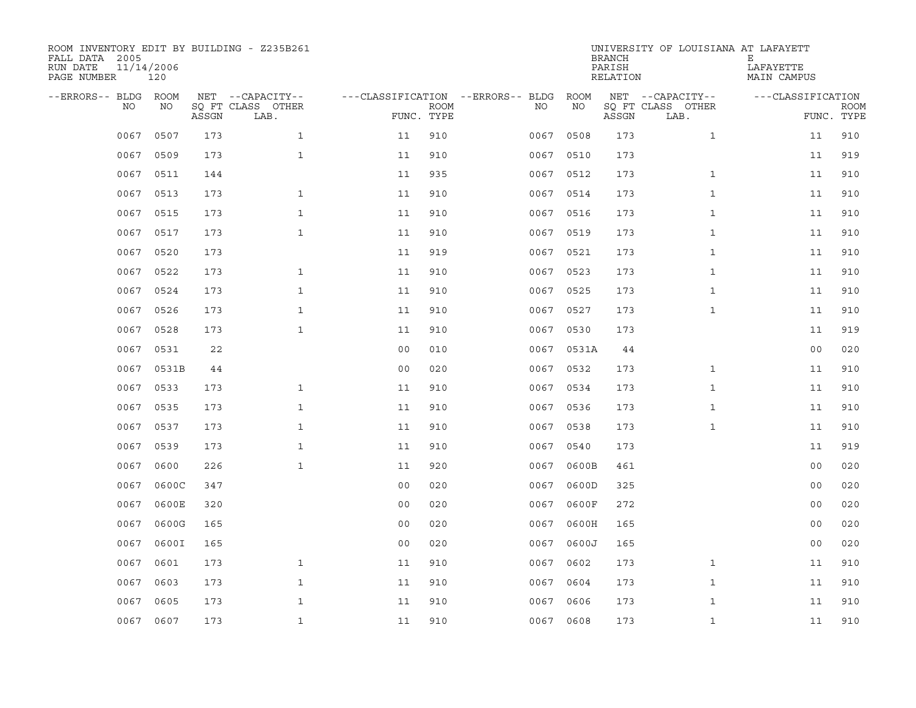| ROOM INVENTORY EDIT BY BUILDING - Z235B261<br>FALL DATA 2005<br>RUN DATE<br>PAGE NUMBER | 11/14/2006<br>120 |       |                           |                |             |                                   |      |            | <b>BRANCH</b><br>PARISH<br>RELATION | UNIVERSITY OF LOUISIANA AT LAFAYETT | Е<br>LAFAYETTE<br>MAIN CAMPUS |             |
|-----------------------------------------------------------------------------------------|-------------------|-------|---------------------------|----------------|-------------|-----------------------------------|------|------------|-------------------------------------|-------------------------------------|-------------------------------|-------------|
| --ERRORS-- BLDG                                                                         | <b>ROOM</b>       |       | NET --CAPACITY--          |                |             | ---CLASSIFICATION --ERRORS-- BLDG |      | ROOM       |                                     | NET --CAPACITY--                    | ---CLASSIFICATION             |             |
| NO                                                                                      | NO                | ASSGN | SO FT CLASS OTHER<br>LAB. | FUNC. TYPE     | <b>ROOM</b> |                                   | NO.  | NO         | ASSGN                               | SQ FT CLASS OTHER<br>LAB.           | FUNC. TYPE                    | <b>ROOM</b> |
| 0067                                                                                    | 0507              | 173   | $\mathbf{1}$              | 11             | 910         |                                   | 0067 | 0508       | 173                                 | $\mathbf{1}$                        | 11                            | 910         |
| 0067                                                                                    | 0509              | 173   | $\mathbf{1}$              | 11             | 910         |                                   |      | 0067 0510  | 173                                 |                                     | 11                            | 919         |
| 0067                                                                                    | 0511              | 144   |                           | 11             | 935         |                                   | 0067 | 0512       | 173                                 | $\mathbf{1}$                        | 11                            | 910         |
| 0067                                                                                    | 0513              | 173   | $\mathbf{1}$              | 11             | 910         |                                   |      | 0067 0514  | 173                                 | $\mathbf{1}$                        | 11                            | 910         |
| 0067                                                                                    | 0515              | 173   | $\mathbf 1$               | 11             | 910         |                                   | 0067 | 0516       | 173                                 | $\mathbf{1}$                        | 11                            | 910         |
| 0067                                                                                    | 0517              | 173   | $\mathbf{1}$              | 11             | 910         |                                   |      | 0067 0519  | 173                                 | $\mathbf{1}$                        | 11                            | 910         |
| 0067                                                                                    | 0520              | 173   |                           | 11             | 919         |                                   | 0067 | 0521       | 173                                 | $\mathbf{1}$                        | 11                            | 910         |
| 0067                                                                                    | 0522              | 173   | $\mathbf{1}$              | 11             | 910         |                                   |      | 0067 0523  | 173                                 | $\mathbf{1}$                        | 11                            | 910         |
| 0067                                                                                    | 0524              | 173   | $\mathbf{1}$              | 11             | 910         |                                   | 0067 | 0525       | 173                                 | $\mathbf{1}$                        | 11                            | 910         |
| 0067                                                                                    | 0526              | 173   | $\mathbf{1}$              | 11             | 910         |                                   |      | 0067 0527  | 173                                 | $\mathbf{1}$                        | 11                            | 910         |
| 0067                                                                                    | 0528              | 173   | $\mathbf{1}$              | 11             | 910         |                                   | 0067 | 0530       | 173                                 |                                     | 11                            | 919         |
|                                                                                         | 0067 0531         | 22    |                           | 0 <sub>0</sub> | 010         |                                   |      | 0067 0531A | 44                                  |                                     | 00                            | 020         |
| 0067                                                                                    | 0531B             | 44    |                           | 0 <sub>0</sub> | 020         |                                   | 0067 | 0532       | 173                                 | $\mathbf{1}$                        | 11                            | 910         |
| 0067                                                                                    | 0533              | 173   | $\mathbf{1}$              | 11             | 910         |                                   |      | 0067 0534  | 173                                 | $\mathbf{1}$                        | 11                            | 910         |
| 0067                                                                                    | 0535              | 173   | $\mathbf{1}$              | 11             | 910         |                                   | 0067 | 0536       | 173                                 | $\mathbf{1}$                        | 11                            | 910         |
| 0067                                                                                    | 0537              | 173   | $\mathbf 1$               | 11             | 910         |                                   | 0067 | 0538       | 173                                 | $\mathbf{1}$                        | 11                            | 910         |
| 0067                                                                                    | 0539              | 173   | $\mathbf{1}$              | 11             | 910         |                                   | 0067 | 0540       | 173                                 |                                     | 11                            | 919         |
| 0067                                                                                    | 0600              | 226   | $\mathbf{1}$              | 11             | 920         |                                   | 0067 | 0600B      | 461                                 |                                     | 0 <sub>0</sub>                | 020         |
| 0067                                                                                    | 0600C             | 347   |                           | 0 <sub>0</sub> | 020         |                                   | 0067 | 0600D      | 325                                 |                                     | 0 <sub>0</sub>                | 020         |
| 0067                                                                                    | 0600E             | 320   |                           | 0 <sub>0</sub> | 020         |                                   | 0067 | 0600F      | 272                                 |                                     | 0 <sub>0</sub>                | 020         |
| 0067                                                                                    | 0600G             | 165   |                           | 0 <sub>0</sub> | 020         |                                   | 0067 | 0600H      | 165                                 |                                     | 0 <sub>0</sub>                | 020         |
| 0067                                                                                    | 0600I             | 165   |                           | 0 <sub>0</sub> | 020         |                                   | 0067 | 0600J      | 165                                 |                                     | 00                            | 020         |
| 0067                                                                                    | 0601              | 173   | $\mathbf{1}$              | 11             | 910         |                                   | 0067 | 0602       | 173                                 | $\mathbf{1}$                        | 11                            | 910         |
| 0067                                                                                    | 0603              | 173   | $\mathbf{1}$              | 11             | 910         |                                   | 0067 | 0604       | 173                                 | $\mathbf{1}$                        | 11                            | 910         |
| 0067                                                                                    | 0605              | 173   | $\mathbf{1}$              | 11             | 910         |                                   | 0067 | 0606       | 173                                 | $\mathbf{1}$                        | 11                            | 910         |
|                                                                                         | 0067 0607         | 173   | $\mathbf{1}$              | 11             | 910         |                                   |      | 0067 0608  | 173                                 | $\mathbf{1}$                        | 11                            | 910         |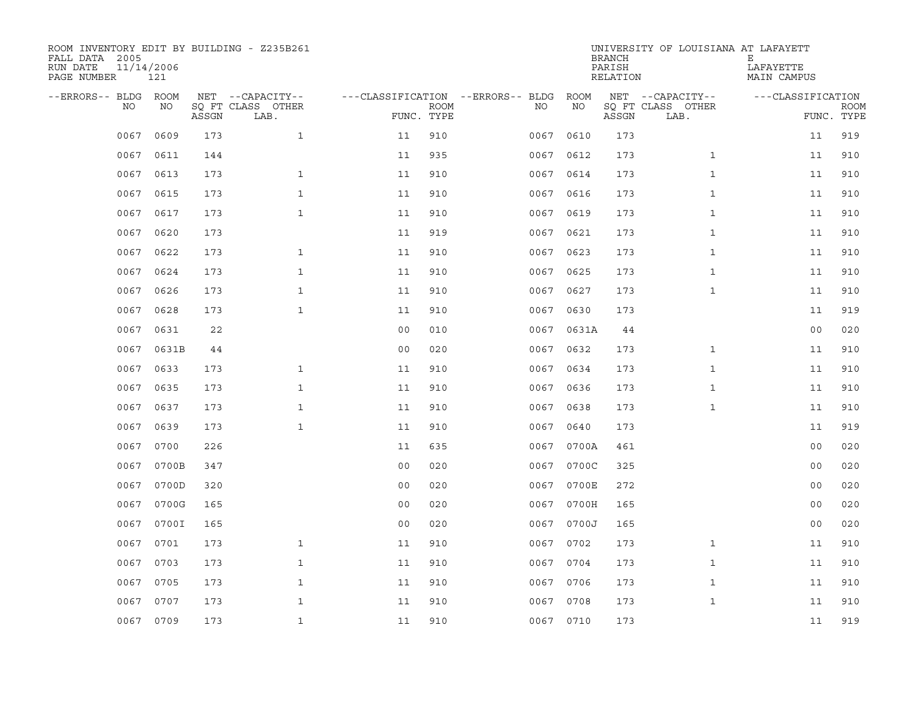| ROOM INVENTORY EDIT BY BUILDING - Z235B261<br>FALL DATA 2005<br>RUN DATE<br>PAGE NUMBER | 11/14/2006<br>121 |       |                           |                                   |             |           |            | <b>BRANCH</b><br>PARISH<br>RELATION | UNIVERSITY OF LOUISIANA AT LAFAYETT | Е<br>LAFAYETTE<br>MAIN CAMPUS |                           |
|-----------------------------------------------------------------------------------------|-------------------|-------|---------------------------|-----------------------------------|-------------|-----------|------------|-------------------------------------|-------------------------------------|-------------------------------|---------------------------|
| --ERRORS-- BLDG ROOM                                                                    |                   |       | NET --CAPACITY--          | ---CLASSIFICATION --ERRORS-- BLDG |             |           | ROOM       |                                     | NET --CAPACITY--                    | ---CLASSIFICATION             |                           |
| NO.                                                                                     | NO                | ASSGN | SQ FT CLASS OTHER<br>LAB. | FUNC. TYPE                        | <b>ROOM</b> | NO.       | NO         | ASSGN                               | SQ FT CLASS OTHER<br>LAB.           |                               | <b>ROOM</b><br>FUNC. TYPE |
| 0067                                                                                    | 0609              | 173   | $\mathbf{1}$              | 11                                | 910         | 0067      | 0610       | 173                                 |                                     | 11                            | 919                       |
| 0067                                                                                    | 0611              | 144   |                           | 11                                | 935         | 0067 0612 |            | 173                                 | $\mathbf{1}$                        | 11                            | 910                       |
| 0067                                                                                    | 0613              | 173   | $\mathbf{1}$              | 11                                | 910         | 0067 0614 |            | 173                                 | $\mathbf{1}$                        | 11                            | 910                       |
| 0067                                                                                    | 0615              | 173   | $\mathbf{1}$              | 11                                | 910         |           | 0067 0616  | 173                                 | $\mathbf{1}$                        | 11                            | 910                       |
| 0067                                                                                    | 0617              | 173   | $\mathbf{1}$              | 11                                | 910         | 0067      | 0619       | 173                                 | $\mathbf{1}$                        | 11                            | 910                       |
| 0067                                                                                    | 0620              | 173   |                           | 11                                | 919         | 0067 0621 |            | 173                                 | $\mathbf{1}$                        | 11                            | 910                       |
| 0067                                                                                    | 0622              | 173   | $\mathbf{1}$              | 11                                | 910         | 0067      | 0623       | 173                                 | $\mathbf{1}$                        | 11                            | 910                       |
| 0067                                                                                    | 0624              | 173   | $\mathbf{1}$              | 11                                | 910         |           | 0067 0625  | 173                                 | $\mathbf{1}$                        | 11                            | 910                       |
| 0067                                                                                    | 0626              | 173   | $\mathbf{1}$              | 11                                | 910         | 0067      | 0627       | 173                                 | $\mathbf{1}$                        | 11                            | 910                       |
| 0067                                                                                    | 0628              | 173   | $\mathbf{1}$              | 11                                | 910         |           | 0067 0630  | 173                                 |                                     | 11                            | 919                       |
| 0067                                                                                    | 0631              | 22    |                           | 0 <sub>0</sub>                    | 010         | 0067      | 0631A      | 44                                  |                                     | 0 <sub>0</sub>                | 020                       |
|                                                                                         | 0067 0631B        | 44    |                           | 0 <sub>0</sub>                    | 020         |           | 0067 0632  | 173                                 | $\mathbf{1}$                        | 11                            | 910                       |
| 0067                                                                                    | 0633              | 173   | $\mathbf{1}$              | 11                                | 910         | 0067      | 0634       | 173                                 | $\mathbf{1}$                        | 11                            | 910                       |
|                                                                                         | 0067 0635         | 173   | $\mathbf{1}$              | 11                                | 910         | 0067 0636 |            | 173                                 | $\mathbf{1}$                        | 11                            | 910                       |
| 0067                                                                                    | 0637              | 173   | $\mathbf{1}$              | 11                                | 910         | 0067      | 0638       | 173                                 | $\mathbf{1}$                        | 11                            | 910                       |
| 0067                                                                                    | 0639              | 173   | $\mathbf{1}$              | 11                                | 910         |           | 0067 0640  | 173                                 |                                     | 11                            | 919                       |
| 0067                                                                                    | 0700              | 226   |                           | 11                                | 635         | 0067      | 0700A      | 461                                 |                                     | 00                            | 020                       |
| 0067                                                                                    | 0700B             | 347   |                           | 0 <sub>0</sub>                    | 020         |           | 0067 0700C | 325                                 |                                     | 00                            | 020                       |
| 0067                                                                                    | 0700D             | 320   |                           | 0 <sub>0</sub>                    | 020         | 0067      | 0700E      | 272                                 |                                     | 0 <sub>0</sub>                | 020                       |
| 0067                                                                                    | 0700G             | 165   |                           | 0 <sub>0</sub>                    | 020         |           | 0067 0700H | 165                                 |                                     | 0 <sub>0</sub>                | 020                       |
| 0067                                                                                    | 0700I             | 165   |                           | 0 <sub>0</sub>                    | 020         |           | 0067 0700J | 165                                 |                                     | 0 <sub>0</sub>                | 020                       |
| 0067                                                                                    | 0701              | 173   | $\mathbf{1}$              | 11                                | 910         |           | 0067 0702  | 173                                 | $\mathbf{1}$                        | 11                            | 910                       |
| 0067                                                                                    | 0703              | 173   | $\mathbf{1}$              | 11                                | 910         | 0067 0704 |            | 173                                 | $\mathbf{1}$                        | 11                            | 910                       |
| 0067                                                                                    | 0705              | 173   | $\mathbf{1}$              | 11                                | 910         | 0067 0706 |            | 173                                 | $\mathbf{1}$                        | 11                            | 910                       |
| 0067                                                                                    | 0707              | 173   | $\mathbf{1}$              | 11                                | 910         |           | 0067 0708  | 173                                 | $\mathbf{1}$                        | 11                            | 910                       |
|                                                                                         | 0067 0709         | 173   | $\mathbf{1}$              | 11                                | 910         | 0067 0710 |            | 173                                 |                                     | 11                            | 919                       |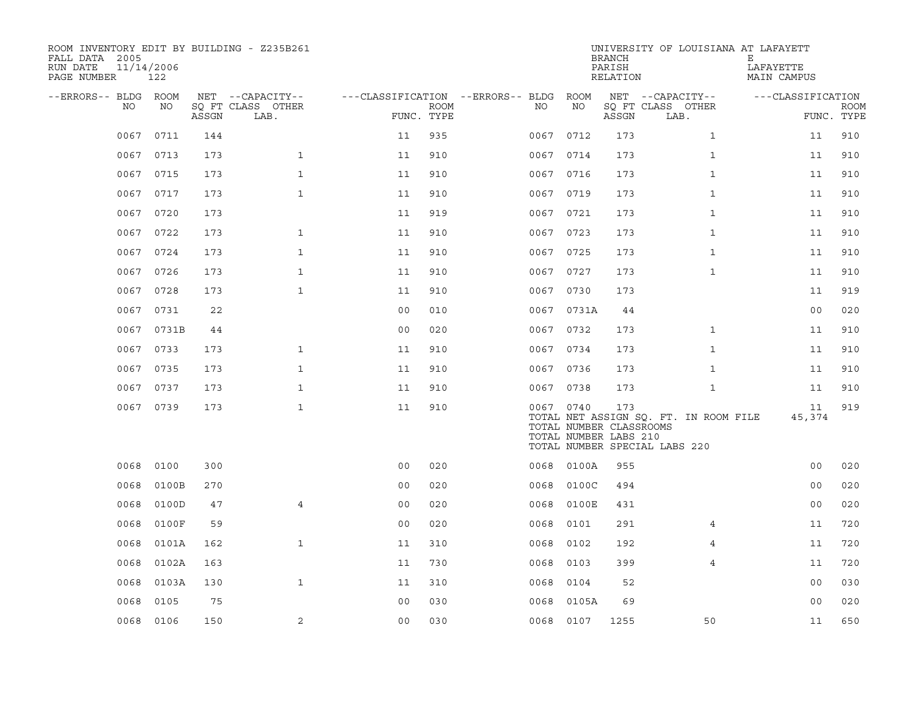| ROOM INVENTORY EDIT BY BUILDING - Z235B261<br>FALL DATA 2005<br>RUN DATE<br>PAGE NUMBER | 11/14/2006<br>122 |       |                                       |                                        |             |      |                                                               | <b>BRANCH</b><br>PARISH<br>RELATION | UNIVERSITY OF LOUISIANA AT LAFAYETT                                    | Е<br>LAFAYETTE<br>MAIN CAMPUS |             |
|-----------------------------------------------------------------------------------------|-------------------|-------|---------------------------------------|----------------------------------------|-------------|------|---------------------------------------------------------------|-------------------------------------|------------------------------------------------------------------------|-------------------------------|-------------|
| --ERRORS-- BLDG ROOM<br>NO.                                                             | NO                |       | NET --CAPACITY--<br>SQ FT CLASS OTHER | ---CLASSIFICATION --ERRORS-- BLDG ROOM | <b>ROOM</b> | NO   | NO                                                            |                                     | NET --CAPACITY--<br>SQ FT CLASS OTHER                                  | ---CLASSIFICATION             | <b>ROOM</b> |
|                                                                                         |                   | ASSGN | LAB.                                  | FUNC. TYPE                             |             |      |                                                               | ASSGN                               | LAB.                                                                   | FUNC. TYPE                    |             |
| 0067                                                                                    | 0711              | 144   |                                       | 11                                     | 935         | 0067 | 0712                                                          | 173                                 | $\mathbf{1}$                                                           | 11                            | 910         |
| 0067                                                                                    | 0713              | 173   | $\mathbf{1}$                          | 11                                     | 910         |      | 0067 0714                                                     | 173                                 | $\mathbf{1}$                                                           | 11                            | 910         |
| 0067                                                                                    | 0715              | 173   | $\mathbf{1}$                          | 11                                     | 910         |      | 0067 0716                                                     | 173                                 | $\mathbf{1}$                                                           | 11                            | 910         |
| 0067                                                                                    | 0717              | 173   | $\mathbf{1}$                          | 11                                     | 910         |      | 0067 0719                                                     | 173                                 | $\mathbf{1}$                                                           | 11                            | 910         |
| 0067                                                                                    | 0720              | 173   |                                       | 11                                     | 919         |      | 0067 0721                                                     | 173                                 | $\mathbf{1}$                                                           | 11                            | 910         |
| 0067                                                                                    | 0722              | 173   | $\mathbf{1}$                          | 11                                     | 910         |      | 0067 0723                                                     | 173                                 | $\mathbf{1}$                                                           | 11                            | 910         |
| 0067                                                                                    | 0724              | 173   | $\mathbf{1}$                          | 11                                     | 910         |      | 0067 0725                                                     | 173                                 | $\mathbf{1}$                                                           | 11                            | 910         |
| 0067                                                                                    | 0726              | 173   | $\mathbf{1}$                          | 11                                     | 910         |      | 0067 0727                                                     | 173                                 | $\mathbf{1}$                                                           | 11                            | 910         |
| 0067                                                                                    | 0728              | 173   | $\mathbf{1}$                          | 11                                     | 910         |      | 0067 0730                                                     | 173                                 |                                                                        | 11                            | 919         |
|                                                                                         | 0067 0731         | 22    |                                       | 0 <sub>0</sub>                         | 010         |      | 0067 0731A                                                    | 44                                  |                                                                        | 0 <sub>0</sub>                | 020         |
|                                                                                         | 0067 0731B        | 44    |                                       | 0 <sub>0</sub>                         | 020         |      | 0067 0732                                                     | 173                                 | $\mathbf{1}$                                                           | 11                            | 910         |
|                                                                                         | 0067 0733         | 173   | $\mathbf{1}$                          | 11                                     | 910         |      | 0067 0734                                                     | 173                                 | $\mathbf{1}$                                                           | 11                            | 910         |
| 0067                                                                                    | 0735              | 173   | $\mathbf{1}$                          | 11                                     | 910         |      | 0067 0736                                                     | 173                                 | $\mathbf{1}$                                                           | 11                            | 910         |
| 0067                                                                                    | 0737              | 173   | $\mathbf{1}$                          | 11                                     | 910         |      | 0067 0738                                                     | 173                                 | $\mathbf{1}$                                                           | 11                            | 910         |
|                                                                                         | 0067 0739         | 173   | $\mathbf{1}$                          | 11                                     | 910         |      | 0067 0740<br>TOTAL NUMBER CLASSROOMS<br>TOTAL NUMBER LABS 210 | 173                                 | TOTAL NET ASSIGN SQ. FT. IN ROOM FILE<br>TOTAL NUMBER SPECIAL LABS 220 | 11<br>45,374                  | 919         |
| 0068                                                                                    | 0100              | 300   |                                       | 0 <sub>0</sub>                         | 020         | 0068 | 0100A                                                         | 955                                 |                                                                        | 0 <sub>0</sub>                | 020         |
| 0068                                                                                    | 0100B             | 270   |                                       | 0 <sub>0</sub>                         | 020         | 0068 | 0100C                                                         | 494                                 |                                                                        | 0 <sub>0</sub>                | 020         |
| 0068                                                                                    | 0100D             | 47    | $\overline{4}$                        | 0 <sub>0</sub>                         | 020         | 0068 | 0100E                                                         | 431                                 |                                                                        | 0 <sub>0</sub>                | 020         |
| 0068                                                                                    | 0100F             | 59    |                                       | 0 <sub>0</sub>                         | 020         | 0068 | 0101                                                          | 291                                 | 4                                                                      | 11                            | 720         |
| 0068                                                                                    | 0101A             | 162   | $\mathbf{1}$                          | 11                                     | 310         | 0068 | 0102                                                          | 192                                 | 4                                                                      | 11                            | 720         |
| 0068                                                                                    | 0102A             | 163   |                                       | 11                                     | 730         | 0068 | 0103                                                          | 399                                 | 4                                                                      | 11                            | 720         |
| 0068                                                                                    | 0103A             | 130   | $\mathbf{1}$                          | 11                                     | 310         | 0068 | 0104                                                          | 52                                  |                                                                        | 0 <sub>0</sub>                | 030         |
| 0068                                                                                    | 0105              | 75    |                                       | 0 <sub>0</sub>                         | 030         | 0068 | 0105A                                                         | 69                                  |                                                                        | 00                            | 020         |
|                                                                                         | 0068 0106         | 150   | 2                                     | 0 <sub>0</sub>                         | 030         |      | 0068 0107                                                     | 1255                                | 50                                                                     | 11                            | 650         |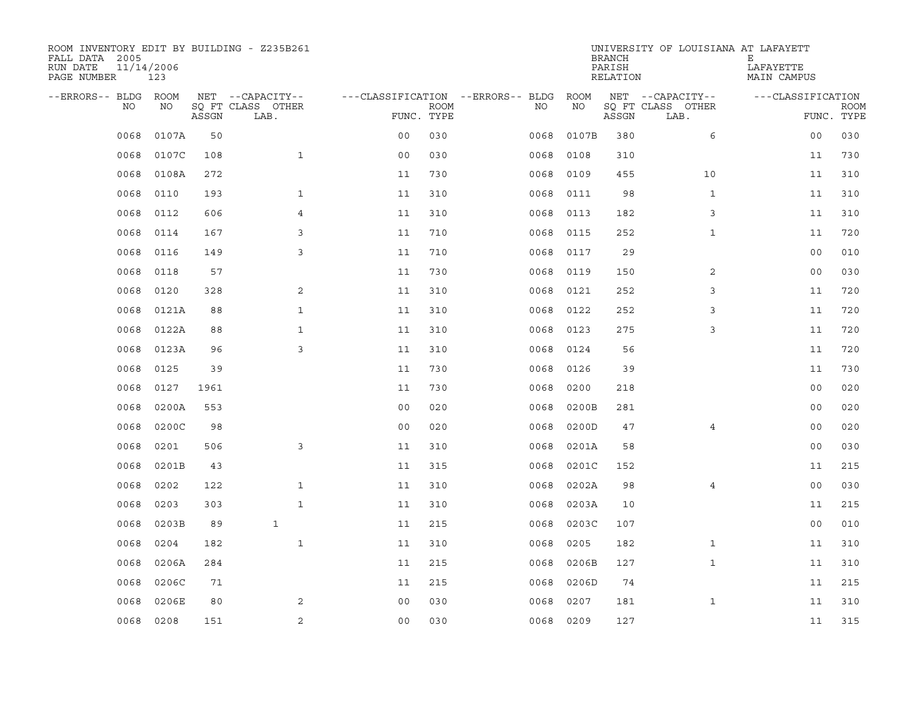| ROOM INVENTORY EDIT BY BUILDING - Z235B261<br>FALL DATA 2005<br>RUN DATE<br>PAGE NUMBER | 11/14/2006<br>123 |       |                           |                                   |             |           |       | <b>BRANCH</b><br>PARISH<br>RELATION | UNIVERSITY OF LOUISIANA AT LAFAYETT | Е<br>LAFAYETTE<br>MAIN CAMPUS |                           |
|-----------------------------------------------------------------------------------------|-------------------|-------|---------------------------|-----------------------------------|-------------|-----------|-------|-------------------------------------|-------------------------------------|-------------------------------|---------------------------|
| --ERRORS-- BLDG                                                                         | <b>ROOM</b>       |       | NET --CAPACITY--          | ---CLASSIFICATION --ERRORS-- BLDG |             |           | ROOM  |                                     | NET --CAPACITY--                    | ---CLASSIFICATION             |                           |
| NO                                                                                      | NO                | ASSGN | SO FT CLASS OTHER<br>LAB. | FUNC. TYPE                        | <b>ROOM</b> | NO.       | NO    | ASSGN                               | SQ FT CLASS OTHER<br>LAB.           |                               | <b>ROOM</b><br>FUNC. TYPE |
| 0068                                                                                    | 0107A             | 50    |                           | 0 <sub>0</sub>                    | 030         | 0068      | 0107B | 380                                 | 6                                   | 0 <sub>0</sub>                | 030                       |
| 0068                                                                                    | 0107C             | 108   | $\mathbf{1}$              | 0 <sub>0</sub>                    | 030         | 0068      | 0108  | 310                                 |                                     | 11                            | 730                       |
| 0068                                                                                    | 0108A             | 272   |                           | 11                                | 730         | 0068      | 0109  | 455                                 | 10                                  | 11                            | 310                       |
| 0068                                                                                    | 0110              | 193   | $\mathbf 1$               | 11                                | 310         | 0068      | 0111  | 98                                  | $\mathbf{1}$                        | 11                            | 310                       |
| 0068                                                                                    | 0112              | 606   | $\overline{4}$            | 11                                | 310         | 0068      | 0113  | 182                                 | 3                                   | 11                            | 310                       |
| 0068                                                                                    | 0114              | 167   | 3                         | 11                                | 710         | 0068      | 0115  | 252                                 | $\mathbf{1}$                        | 11                            | 720                       |
| 0068                                                                                    | 0116              | 149   | 3                         | 11                                | 710         | 0068      | 0117  | 29                                  |                                     | 0 <sub>0</sub>                | 010                       |
| 0068                                                                                    | 0118              | 57    |                           | 11                                | 730         | 0068      | 0119  | 150                                 | 2                                   | 0 <sub>0</sub>                | 030                       |
| 0068                                                                                    | 0120              | 328   | 2                         | 11                                | 310         | 0068      | 0121  | 252                                 | 3                                   | 11                            | 720                       |
| 0068                                                                                    | 0121A             | 88    | $\mathbf{1}$              | 11                                | 310         | 0068      | 0122  | 252                                 | 3                                   | 11                            | 720                       |
| 0068                                                                                    | 0122A             | 88    | $\mathbf{1}$              | 11                                | 310         | 0068      | 0123  | 275                                 | 3                                   | 11                            | 720                       |
| 0068                                                                                    | 0123A             | 96    | 3                         | 11                                | 310         | 0068      | 0124  | 56                                  |                                     | 11                            | 720                       |
| 0068                                                                                    | 0125              | 39    |                           | 11                                | 730         | 0068      | 0126  | 39                                  |                                     | 11                            | 730                       |
| 0068                                                                                    | 0127              | 1961  |                           | 11                                | 730         | 0068      | 0200  | 218                                 |                                     | 0 <sub>0</sub>                | 020                       |
| 0068                                                                                    | 0200A             | 553   |                           | 0 <sub>0</sub>                    | 020         | 0068      | 0200B | 281                                 |                                     | 0 <sub>0</sub>                | 020                       |
| 0068                                                                                    | 0200C             | 98    |                           | 0 <sub>0</sub>                    | 020         | 0068      | 0200D | 47                                  | 4                                   | 00                            | 020                       |
| 0068                                                                                    | 0201              | 506   | 3                         | 11                                | 310         | 0068      | 0201A | 58                                  |                                     | 00                            | 030                       |
| 0068                                                                                    | 0201B             | 43    |                           | 11                                | 315         | 0068      | 0201C | 152                                 |                                     | 11                            | 215                       |
| 0068                                                                                    | 0202              | 122   | $\mathbf{1}$              | 11                                | 310         | 0068      | 0202A | 98                                  | $\overline{4}$                      | 0 <sub>0</sub>                | 030                       |
| 0068                                                                                    | 0203              | 303   | $\mathbf{1}$              | 11                                | 310         | 0068      | 0203A | 10                                  |                                     | 11                            | 215                       |
| 0068                                                                                    | 0203B             | 89    | $\mathbf{1}$              | 11                                | 215         | 0068      | 0203C | 107                                 |                                     | 0 <sub>0</sub>                | 010                       |
| 0068                                                                                    | 0204              | 182   | $\mathbf{1}$              | 11                                | 310         | 0068      | 0205  | 182                                 | $\mathbf{1}$                        | 11                            | 310                       |
| 0068                                                                                    | 0206A             | 284   |                           | 11                                | 215         | 0068      | 0206B | 127                                 | $\mathbf{1}$                        | 11                            | 310                       |
| 0068                                                                                    | 0206C             | 71    |                           | 11                                | 215         | 0068      | 0206D | 74                                  |                                     | 11                            | 215                       |
| 0068                                                                                    | 0206E             | 80    | 2                         | 0 <sub>0</sub>                    | 030         | 0068      | 0207  | 181                                 | $\mathbf{1}$                        | 11                            | 310                       |
| 0068                                                                                    | 0208              | 151   | $\sqrt{2}$                | 00                                | 030         | 0068 0209 |       | 127                                 |                                     | 11                            | 315                       |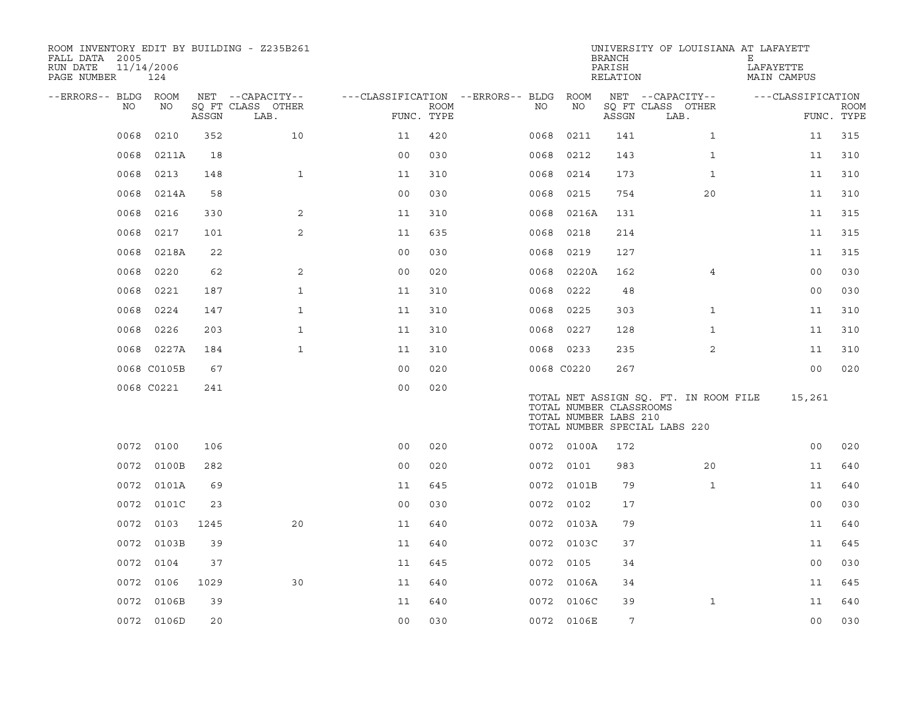| ROOM INVENTORY EDIT BY BUILDING - Z235B261<br>FALL DATA 2005<br>RUN DATE<br>PAGE NUMBER | 11/14/2006<br>124 |       |                                       |                                        |             |            |                                                  | <b>BRANCH</b><br>PARISH<br>RELATION | UNIVERSITY OF LOUISIANA AT LAFAYETT                                    | Е<br>LAFAYETTE<br>MAIN CAMPUS |             |
|-----------------------------------------------------------------------------------------|-------------------|-------|---------------------------------------|----------------------------------------|-------------|------------|--------------------------------------------------|-------------------------------------|------------------------------------------------------------------------|-------------------------------|-------------|
| --ERRORS-- BLDG ROOM<br>NO.                                                             | NO                |       | NET --CAPACITY--<br>SQ FT CLASS OTHER | ---CLASSIFICATION --ERRORS-- BLDG ROOM | <b>ROOM</b> | NO         | NO                                               |                                     | NET --CAPACITY--<br>SQ FT CLASS OTHER                                  | ---CLASSIFICATION             | <b>ROOM</b> |
|                                                                                         |                   | ASSGN | LAB.                                  | FUNC. TYPE                             |             |            |                                                  | ASSGN                               | LAB.                                                                   |                               | FUNC. TYPE  |
| 0068                                                                                    | 0210              | 352   | 10                                    | 11                                     | 420         | 0068       | 0211                                             | 141                                 | $\mathbf{1}$                                                           | 11                            | 315         |
| 0068                                                                                    | 0211A             | 18    |                                       | 0 <sub>0</sub>                         | 030         | 0068       | 0212                                             | 143                                 | $\mathbf{1}$                                                           | 11                            | 310         |
| 0068                                                                                    | 0213              | 148   | $\mathbf{1}$                          | 11                                     | 310         | 0068       | 0214                                             | 173                                 | $\mathbf{1}$                                                           | 11                            | 310         |
| 0068                                                                                    | 0214A             | 58    |                                       | 0 <sub>0</sub>                         | 030         | 0068       | 0215                                             | 754                                 | 20                                                                     | 11                            | 310         |
| 0068                                                                                    | 0216              | 330   | 2                                     | 11                                     | 310         | 0068       | 0216A                                            | 131                                 |                                                                        | 11                            | 315         |
| 0068                                                                                    | 0217              | 101   | 2                                     | 11                                     | 635         | 0068       | 0218                                             | 214                                 |                                                                        | 11                            | 315         |
| 0068                                                                                    | 0218A             | 22    |                                       | 0 <sub>0</sub>                         | 030         | 0068       | 0219                                             | 127                                 |                                                                        | 11                            | 315         |
| 0068                                                                                    | 0220              | 62    | 2                                     | 0 <sub>0</sub>                         | 020         | 0068       | 0220A                                            | 162                                 | 4                                                                      | 00                            | 030         |
| 0068                                                                                    | 0221              | 187   | $\mathbf{1}$                          | 11                                     | 310         | 0068       | 0222                                             | 48                                  |                                                                        | 0 <sub>0</sub>                | 030         |
| 0068                                                                                    | 0224              | 147   | $\mathbf{1}$                          | 11                                     | 310         | 0068       | 0225                                             | 303                                 | $\mathbf{1}$                                                           | 11                            | 310         |
| 0068                                                                                    | 0226              | 203   | $\mathbf{1}$                          | 11                                     | 310         | 0068       | 0227                                             | 128                                 | $\mathbf{1}$                                                           | 11                            | 310         |
|                                                                                         | 0068 0227A        | 184   | $\mathbf{1}$                          | 11                                     | 310         |            | 0068 0233                                        | 235                                 | 2                                                                      | 11                            | 310         |
|                                                                                         | 0068 C0105B       | 67    |                                       | 0 <sub>0</sub>                         | 020         | 0068 C0220 |                                                  | 267                                 |                                                                        | 0 <sub>0</sub>                | 020         |
|                                                                                         | 0068 C0221        | 241   |                                       | 0 <sub>0</sub>                         | 020         |            | TOTAL NUMBER CLASSROOMS<br>TOTAL NUMBER LABS 210 |                                     | TOTAL NET ASSIGN SO. FT. IN ROOM FILE<br>TOTAL NUMBER SPECIAL LABS 220 | 15,261                        |             |
|                                                                                         | 0072 0100         | 106   |                                       | 0 <sub>0</sub>                         | 020         |            | 0072 0100A                                       | 172                                 |                                                                        | 0 <sub>0</sub>                | 020         |
|                                                                                         | 0072 0100B        | 282   |                                       | 0 <sub>0</sub>                         | 020         | 0072 0101  |                                                  | 983                                 | 20                                                                     | 11                            | 640         |
|                                                                                         | 0072 0101A        | 69    |                                       | 11                                     | 645         |            | 0072 0101B                                       | 79                                  | $\mathbf{1}$                                                           | 11                            | 640         |
| 0072                                                                                    | 0101C             | 23    |                                       | 0 <sub>0</sub>                         | 030         | 0072       | 0102                                             | 17                                  |                                                                        | 0 <sub>0</sub>                | 030         |
|                                                                                         | 0072 0103         | 1245  | 20                                    | 11                                     | 640         |            | 0072 0103A                                       | 79                                  |                                                                        | 11                            | 640         |
| 0072                                                                                    | 0103B             | 39    |                                       | 11                                     | 640         |            | 0072 0103C                                       | 37                                  |                                                                        | 11                            | 645         |
|                                                                                         | 0072 0104         | 37    |                                       | 11                                     | 645         |            | 0072 0105                                        | 34                                  |                                                                        | 0 <sub>0</sub>                | 030         |
| 0072                                                                                    | 0106              | 1029  | 30                                    | 11                                     | 640         | 0072       | 0106A                                            | 34                                  |                                                                        | 11                            | 645         |
|                                                                                         | 0072 0106B        | 39    |                                       | 11                                     | 640         |            | 0072 0106C                                       | 39                                  | $\mathbf{1}$                                                           | 11                            | 640         |
|                                                                                         | 0072 0106D        | 20    |                                       | 0 <sub>0</sub>                         | 030         |            | 0072 0106E                                       | 7                                   |                                                                        | 0 <sub>0</sub>                | 030         |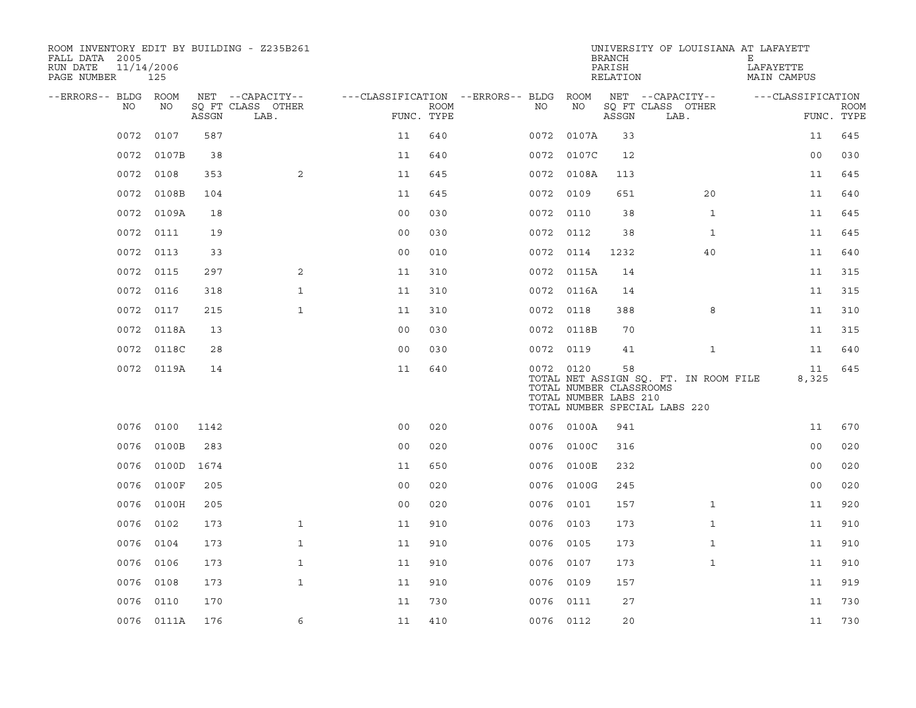| ROOM INVENTORY EDIT BY BUILDING - Z235B261<br>FALL DATA 2005<br>RUN DATE<br>PAGE NUMBER | 11/14/2006<br>125 |       |                                       |                                        |             |           |                                                  | <b>BRANCH</b><br>PARISH<br>RELATION | UNIVERSITY OF LOUISIANA AT LAFAYETT                                    | Е<br>LAFAYETTE<br><b>MAIN CAMPUS</b> |                           |
|-----------------------------------------------------------------------------------------|-------------------|-------|---------------------------------------|----------------------------------------|-------------|-----------|--------------------------------------------------|-------------------------------------|------------------------------------------------------------------------|--------------------------------------|---------------------------|
| --ERRORS-- BLDG ROOM<br>NO.                                                             | NO                |       | NET --CAPACITY--<br>SQ FT CLASS OTHER | ---CLASSIFICATION --ERRORS-- BLDG ROOM | <b>ROOM</b> | NO        | NO                                               |                                     | NET --CAPACITY--<br>SQ FT CLASS OTHER                                  | ---CLASSIFICATION                    |                           |
|                                                                                         |                   | ASSGN | LAB.                                  | FUNC. TYPE                             |             |           |                                                  | ASSGN                               | LAB.                                                                   |                                      | <b>ROOM</b><br>FUNC. TYPE |
| 0072                                                                                    | 0107              | 587   |                                       | 11                                     | 640         | 0072      | 0107A                                            | 33                                  |                                                                        | 11                                   | 645                       |
|                                                                                         | 0072 0107B        | 38    |                                       | 11                                     | 640         |           | 0072 0107C                                       | 12                                  |                                                                        | 00                                   | 030                       |
|                                                                                         | 0072 0108         | 353   | $\overline{2}$                        | 11                                     | 645         |           | 0072 0108A                                       | 113                                 |                                                                        | 11                                   | 645                       |
|                                                                                         | 0072 0108B        | 104   |                                       | 11                                     | 645         | 0072 0109 |                                                  | 651                                 | 20                                                                     | 11                                   | 640                       |
| 0072                                                                                    | 0109A             | 18    |                                       | 00                                     | 030         | 0072 0110 |                                                  | 38                                  | $\mathbf{1}$                                                           | 11                                   | 645                       |
|                                                                                         | 0072 0111         | 19    |                                       | 0 <sub>0</sub>                         | 030         | 0072 0112 |                                                  | 38                                  | $\mathbf{1}$                                                           | 11                                   | 645                       |
| 0072                                                                                    | 0113              | 33    |                                       | 0 <sub>0</sub>                         | 010         | 0072 0114 |                                                  | 1232                                | 40                                                                     | 11                                   | 640                       |
|                                                                                         | 0072 0115         | 297   | 2                                     | 11                                     | 310         |           | 0072 0115A                                       | 14                                  |                                                                        | 11                                   | 315                       |
| 0072                                                                                    | 0116              | 318   | $\mathbf{1}$                          | 11                                     | 310         |           | 0072 0116A                                       | 14                                  |                                                                        | 11                                   | 315                       |
|                                                                                         | 0072 0117         | 215   | $\mathbf{1}$                          | 11                                     | 310         | 0072 0118 |                                                  | 388                                 | 8                                                                      | 11                                   | 310                       |
|                                                                                         | 0072 0118A        | 13    |                                       | 0 <sub>0</sub>                         | 030         |           | 0072 0118B                                       | 70                                  |                                                                        | 11                                   | 315                       |
|                                                                                         | 0072 0118C        | 28    |                                       | 0 <sub>0</sub>                         | 030         | 0072 0119 |                                                  | 41                                  | $\mathbf{1}$                                                           | 11                                   | 640                       |
|                                                                                         | 0072 0119A        | 14    |                                       | 11                                     | 640         | 0072 0120 | TOTAL NUMBER CLASSROOMS<br>TOTAL NUMBER LABS 210 | 58                                  | TOTAL NET ASSIGN SQ. FT. IN ROOM FILE<br>TOTAL NUMBER SPECIAL LABS 220 | 11<br>8,325                          | 645                       |
|                                                                                         | 0076 0100         | 1142  |                                       | 0 <sub>0</sub>                         | 020         |           | 0076 0100A                                       | 941                                 |                                                                        | 11                                   | 670                       |
| 0076                                                                                    | 0100B             | 283   |                                       | 0 <sub>0</sub>                         | 020         |           | 0076 0100C                                       | 316                                 |                                                                        | 0 <sub>0</sub>                       | 020                       |
| 0076                                                                                    | 0100D             | 1674  |                                       | 11                                     | 650         |           | 0076 0100E                                       | 232                                 |                                                                        | 0 <sub>0</sub>                       | 020                       |
| 0076                                                                                    | 0100F             | 205   |                                       | 0 <sub>0</sub>                         | 020         |           | 0076 0100G                                       | 245                                 |                                                                        | 0 <sub>0</sub>                       | 020                       |
| 0076                                                                                    | 0100H             | 205   |                                       | 0 <sub>0</sub>                         | 020         | 0076 0101 |                                                  | 157                                 | $\mathbf{1}$                                                           | 11                                   | 920                       |
| 0076                                                                                    | 0102              | 173   | $\mathbf{1}$                          | 11                                     | 910         | 0076 0103 |                                                  | 173                                 | $\mathbf{1}$                                                           | 11                                   | 910                       |
| 0076                                                                                    | 0104              | 173   | $\mathbf{1}$                          | 11                                     | 910         | 0076 0105 |                                                  | 173                                 | $\mathbf{1}$                                                           | 11                                   | 910                       |
|                                                                                         | 0076 0106         | 173   | $\mathbf{1}$                          | 11                                     | 910         | 0076 0107 |                                                  | 173                                 | $\mathbf{1}$                                                           | 11                                   | 910                       |
| 0076                                                                                    | 0108              | 173   | $\mathbf{1}$                          | 11                                     | 910         | 0076 0109 |                                                  | 157                                 |                                                                        | 11                                   | 919                       |
| 0076                                                                                    | 0110              | 170   |                                       | 11                                     | 730         | 0076 0111 |                                                  | 27                                  |                                                                        | 11                                   | 730                       |
|                                                                                         | 0076 0111A        | 176   | 6                                     | 11                                     | 410         | 0076 0112 |                                                  | 20                                  |                                                                        | 11                                   | 730                       |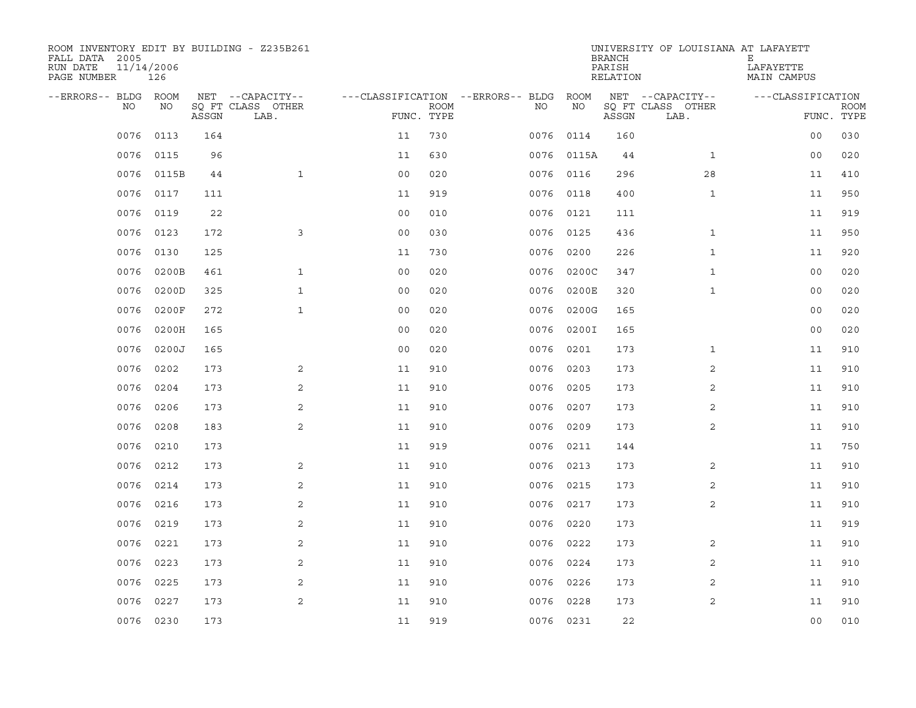| ROOM INVENTORY EDIT BY BUILDING - Z235B261<br>FALL DATA 2005<br>RUN DATE<br>PAGE NUMBER | 11/14/2006<br>126 |       |                           |                                   |             |           |            | <b>BRANCH</b><br>PARISH<br>RELATION | UNIVERSITY OF LOUISIANA AT LAFAYETT | Е<br>LAFAYETTE<br>MAIN CAMPUS |                           |
|-----------------------------------------------------------------------------------------|-------------------|-------|---------------------------|-----------------------------------|-------------|-----------|------------|-------------------------------------|-------------------------------------|-------------------------------|---------------------------|
| --ERRORS-- BLDG ROOM                                                                    |                   |       | NET --CAPACITY--          | ---CLASSIFICATION --ERRORS-- BLDG |             |           | ROOM       |                                     | NET --CAPACITY--                    | ---CLASSIFICATION             |                           |
| NO                                                                                      | NO                | ASSGN | SQ FT CLASS OTHER<br>LAB. | FUNC. TYPE                        | <b>ROOM</b> | NO.       | NO         | ASSGN                               | SQ FT CLASS OTHER<br>LAB.           |                               | <b>ROOM</b><br>FUNC. TYPE |
| 0076                                                                                    | 0113              | 164   |                           | 11                                | 730         | 0076      | 0114       | 160                                 |                                     | 0 <sub>0</sub>                | 030                       |
| 0076                                                                                    | 0115              | 96    |                           | 11                                | 630         |           | 0076 0115A | 44                                  | $\mathbf{1}$                        | 0 <sub>0</sub>                | 020                       |
| 0076                                                                                    | 0115B             | 44    | $\mathbf{1}$              | 0 <sub>0</sub>                    | 020         |           | 0076 0116  | 296                                 | 28                                  | 11                            | 410                       |
| 0076                                                                                    | 0117              | 111   |                           | 11                                | 919         |           | 0076 0118  | 400                                 | $\mathbf{1}$                        | 11                            | 950                       |
| 0076                                                                                    | 0119              | 22    |                           | 0 <sub>0</sub>                    | 010         | 0076      | 0121       | 111                                 |                                     | 11                            | 919                       |
| 0076                                                                                    | 0123              | 172   | 3                         | 0 <sub>0</sub>                    | 030         | 0076 0125 |            | 436                                 | $\mathbf{1}$                        | 11                            | 950                       |
| 0076                                                                                    | 0130              | 125   |                           | 11                                | 730         | 0076      | 0200       | 226                                 | $\mathbf{1}$                        | 11                            | 920                       |
| 0076                                                                                    | 0200B             | 461   | $\mathbf{1}$              | 0 <sub>0</sub>                    | 020         | 0076      | 0200C      | 347                                 | $\mathbf{1}$                        | 00                            | 020                       |
| 0076                                                                                    | 0200D             | 325   | $\mathbf{1}$              | 0 <sub>0</sub>                    | 020         | 0076      | 0200E      | 320                                 | $\mathbf{1}$                        | 0 <sub>0</sub>                | 020                       |
| 0076                                                                                    | 0200F             | 272   | $\mathbf{1}$              | 0 <sub>0</sub>                    | 020         | 0076      | 0200G      | 165                                 |                                     | 0 <sub>0</sub>                | 020                       |
| 0076                                                                                    | 0200H             | 165   |                           | 0 <sub>0</sub>                    | 020         | 0076      | 0200I      | 165                                 |                                     | 0 <sub>0</sub>                | 020                       |
| 0076                                                                                    | 0200J             | 165   |                           | 0 <sub>0</sub>                    | 020         | 0076      | 0201       | 173                                 | $\mathbf{1}$                        | 11                            | 910                       |
| 0076                                                                                    | 0202              | 173   | 2                         | 11                                | 910         | 0076      | 0203       | 173                                 | 2                                   | 11                            | 910                       |
| 0076                                                                                    | 0204              | 173   | 2                         | 11                                | 910         | 0076      | 0205       | 173                                 | 2                                   | 11                            | 910                       |
| 0076                                                                                    | 0206              | 173   | 2                         | 11                                | 910         | 0076      | 0207       | 173                                 | 2                                   | 11                            | 910                       |
| 0076                                                                                    | 0208              | 183   | 2                         | 11                                | 910         |           | 0076 0209  | 173                                 | 2                                   | 11                            | 910                       |
| 0076                                                                                    | 0210              | 173   |                           | 11                                | 919         | 0076      | 0211       | 144                                 |                                     | 11                            | 750                       |
| 0076                                                                                    | 0212              | 173   | 2                         | 11                                | 910         | 0076      | 0213       | 173                                 | 2                                   | 11                            | 910                       |
| 0076                                                                                    | 0214              | 173   | 2                         | 11                                | 910         | 0076 0215 |            | 173                                 | 2                                   | 11                            | 910                       |
| 0076                                                                                    | 0216              | 173   | 2                         | 11                                | 910         | 0076      | 0217       | 173                                 | 2                                   | 11                            | 910                       |
| 0076                                                                                    | 0219              | 173   | 2                         | 11                                | 910         |           | 0076 0220  | 173                                 |                                     | 11                            | 919                       |
| 0076                                                                                    | 0221              | 173   | 2                         | 11                                | 910         | 0076      | 0222       | 173                                 | 2                                   | 11                            | 910                       |
| 0076                                                                                    | 0223              | 173   | 2                         | 11                                | 910         | 0076 0224 |            | 173                                 | 2                                   | 11                            | 910                       |
| 0076                                                                                    | 0225              | 173   | 2                         | 11                                | 910         | 0076      | 0226       | 173                                 | 2                                   | 11                            | 910                       |
| 0076                                                                                    | 0227              | 173   | 2                         | 11                                | 910         | 0076      | 0228       | 173                                 | 2                                   | 11                            | 910                       |
|                                                                                         | 0076 0230         | 173   |                           | 11                                | 919         |           | 0076 0231  | 22                                  |                                     | 0 <sub>0</sub>                | 010                       |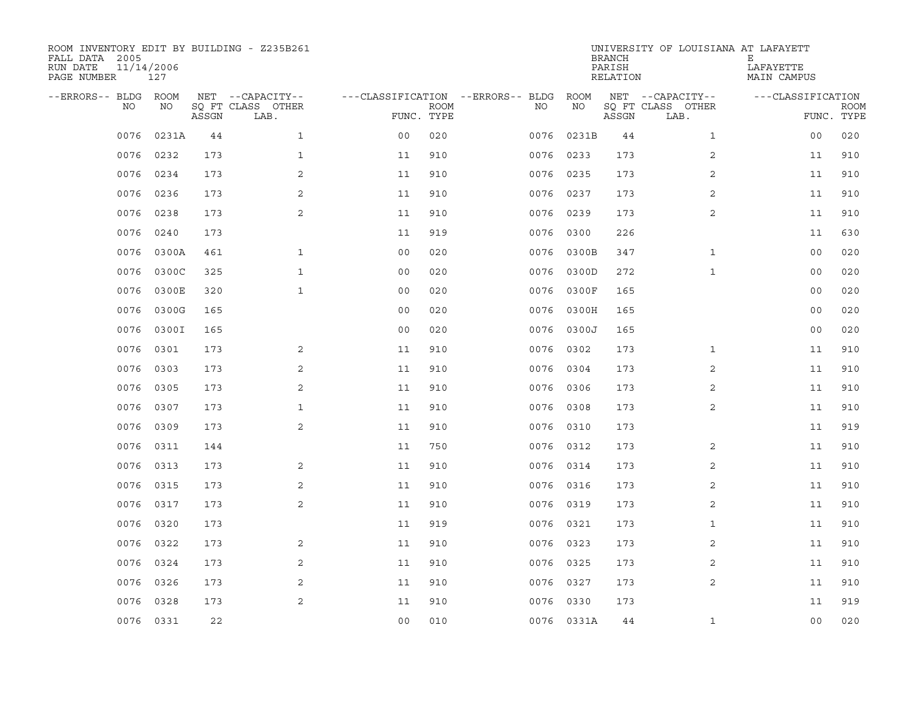| ROOM INVENTORY EDIT BY BUILDING - Z235B261<br>FALL DATA 2005<br>RUN DATE<br>PAGE NUMBER | 11/14/2006<br>127 |       |                           |                                   |             |           |            | <b>BRANCH</b><br>PARISH<br>RELATION | UNIVERSITY OF LOUISIANA AT LAFAYETT | Е<br>LAFAYETTE<br>MAIN CAMPUS |                           |
|-----------------------------------------------------------------------------------------|-------------------|-------|---------------------------|-----------------------------------|-------------|-----------|------------|-------------------------------------|-------------------------------------|-------------------------------|---------------------------|
| --ERRORS-- BLDG                                                                         | ROOM              |       | NET --CAPACITY--          | ---CLASSIFICATION --ERRORS-- BLDG |             |           | ROOM       |                                     | NET --CAPACITY--                    | ---CLASSIFICATION             |                           |
| NO                                                                                      | NO                | ASSGN | SQ FT CLASS OTHER<br>LAB. | FUNC. TYPE                        | <b>ROOM</b> | NO.       | NO         | ASSGN                               | SQ FT CLASS OTHER<br>LAB.           |                               | <b>ROOM</b><br>FUNC. TYPE |
| 0076                                                                                    | 0231A             | 44    | $\mathbf{1}$              | 0 <sub>0</sub>                    | 020         | 0076      | 0231B      | 44                                  | $\mathbf{1}$                        | 0 <sub>0</sub>                | 020                       |
| 0076                                                                                    | 0232              | 173   | $\mathbf{1}$              | 11                                | 910         | 0076 0233 |            | 173                                 | 2                                   | 11                            | 910                       |
| 0076                                                                                    | 0234              | 173   | 2                         | 11                                | 910         | 0076      | 0235       | 173                                 | $\overline{2}$                      | 11                            | 910                       |
| 0076                                                                                    | 0236              | 173   | 2                         | 11                                | 910         | 0076      | 0237       | 173                                 | 2                                   | 11                            | 910                       |
| 0076                                                                                    | 0238              | 173   | 2                         | 11                                | 910         | 0076      | 0239       | 173                                 | $\overline{a}$                      | 11                            | 910                       |
| 0076                                                                                    | 0240              | 173   |                           | 11                                | 919         | 0076      | 0300       | 226                                 |                                     | 11                            | 630                       |
| 0076                                                                                    | 0300A             | 461   | $\mathbf{1}$              | 0 <sub>0</sub>                    | 020         | 0076      | 0300B      | 347                                 | $\mathbf{1}$                        | 00                            | 020                       |
| 0076                                                                                    | 0300C             | 325   | $\mathbf{1}$              | 0 <sub>0</sub>                    | 020         | 0076      | 0300D      | 272                                 | $\mathbf{1}$                        | 0 <sub>0</sub>                | 020                       |
| 0076                                                                                    | 0300E             | 320   | $\mathbf{1}$              | 0 <sub>0</sub>                    | 020         | 0076      | 0300F      | 165                                 |                                     | 0 <sub>0</sub>                | 020                       |
| 0076                                                                                    | 0300G             | 165   |                           | 0 <sub>0</sub>                    | 020         | 0076      | 0300H      | 165                                 |                                     | 0 <sub>0</sub>                | 020                       |
| 0076                                                                                    | 0300I             | 165   |                           | 0 <sub>0</sub>                    | 020         | 0076      | 0300J      | 165                                 |                                     | 0 <sub>0</sub>                | 020                       |
| 0076                                                                                    | 0301              | 173   | 2                         | 11                                | 910         |           | 0076 0302  | 173                                 | $\mathbf{1}$                        | 11                            | 910                       |
| 0076                                                                                    | 0303              | 173   | 2                         | 11                                | 910         | 0076      | 0304       | 173                                 | 2                                   | 11                            | 910                       |
| 0076                                                                                    | 0305              | 173   | 2                         | 11                                | 910         | 0076      | 0306       | 173                                 | 2                                   | 11                            | 910                       |
| 0076                                                                                    | 0307              | 173   | $\mathbf{1}$              | 11                                | 910         | 0076      | 0308       | 173                                 | $\overline{a}$                      | 11                            | 910                       |
| 0076                                                                                    | 0309              | 173   | 2                         | 11                                | 910         | 0076      | 0310       | 173                                 |                                     | 11                            | 919                       |
| 0076                                                                                    | 0311              | 144   |                           | 11                                | 750         | 0076      | 0312       | 173                                 | 2                                   | 11                            | 910                       |
| 0076                                                                                    | 0313              | 173   | 2                         | 11                                | 910         | 0076      | 0314       | 173                                 | 2                                   | 11                            | 910                       |
| 0076                                                                                    | 0315              | 173   | 2                         | 11                                | 910         | 0076 0316 |            | 173                                 | 2                                   | 11                            | 910                       |
| 0076                                                                                    | 0317              | 173   | 2                         | 11                                | 910         | 0076      | 0319       | 173                                 | $\overline{2}$                      | 11                            | 910                       |
| 0076                                                                                    | 0320              | 173   |                           | 11                                | 919         |           | 0076 0321  | 173                                 | $\mathbf{1}$                        | 11                            | 910                       |
| 0076                                                                                    | 0322              | 173   | 2                         | 11                                | 910         | 0076      | 0323       | 173                                 | 2                                   | 11                            | 910                       |
| 0076                                                                                    | 0324              | 173   | 2                         | 11                                | 910         | 0076 0325 |            | 173                                 | 2                                   | 11                            | 910                       |
| 0076                                                                                    | 0326              | 173   | 2                         | 11                                | 910         | 0076      | 0327       | 173                                 | 2                                   | 11                            | 910                       |
| 0076                                                                                    | 0328              | 173   | 2                         | 11                                | 910         | 0076      | 0330       | 173                                 |                                     | 11                            | 919                       |
|                                                                                         | 0076 0331         | 22    |                           | 0 <sub>0</sub>                    | 010         |           | 0076 0331A | 44                                  | $\mathbf{1}$                        | 0 <sub>0</sub>                | 020                       |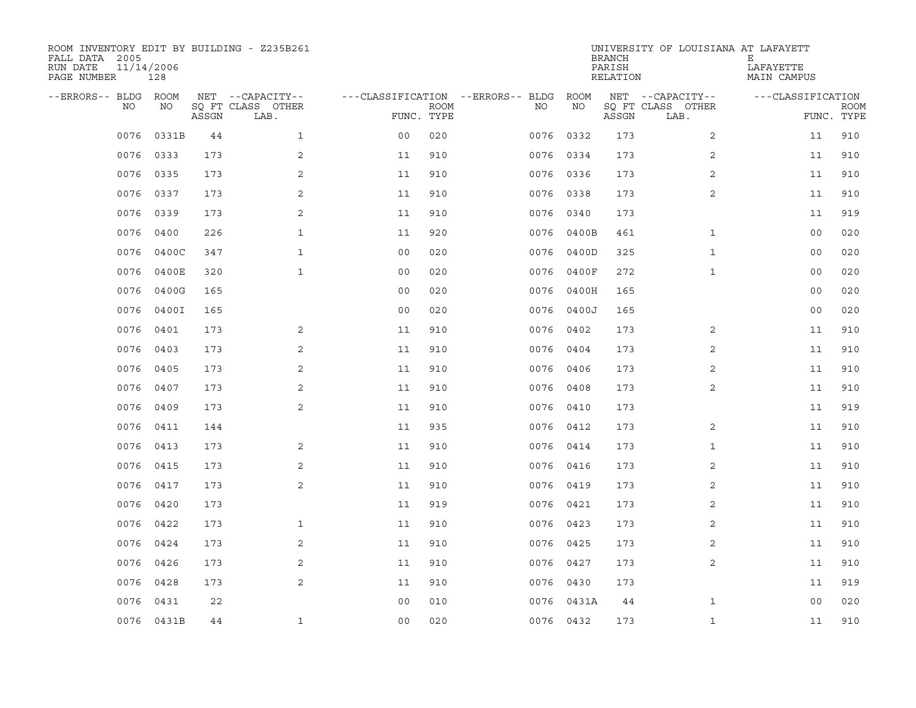| ROOM INVENTORY EDIT BY BUILDING - Z235B261<br>FALL DATA 2005<br>RUN DATE<br>PAGE NUMBER | 11/14/2006<br>128 |       |                           |                                   |             |           |            | <b>BRANCH</b><br>PARISH<br>RELATION | UNIVERSITY OF LOUISIANA AT LAFAYETT | Е<br>LAFAYETTE<br>MAIN CAMPUS |             |
|-----------------------------------------------------------------------------------------|-------------------|-------|---------------------------|-----------------------------------|-------------|-----------|------------|-------------------------------------|-------------------------------------|-------------------------------|-------------|
| --ERRORS-- BLDG ROOM                                                                    |                   |       | NET --CAPACITY--          | ---CLASSIFICATION --ERRORS-- BLDG |             |           | ROOM       |                                     | NET --CAPACITY--                    | ---CLASSIFICATION             |             |
| NO                                                                                      | NO                | ASSGN | SQ FT CLASS OTHER<br>LAB. | FUNC. TYPE                        | <b>ROOM</b> | NO.       | NO         | ASSGN                               | SQ FT CLASS OTHER<br>LAB.           | FUNC. TYPE                    | <b>ROOM</b> |
| 0076                                                                                    | 0331B             | 44    | $\mathbf{1}$              | 0 <sub>0</sub>                    | 020         | 0076      | 0332       | 173                                 | $\overline{2}$                      | 11                            | 910         |
| 0076                                                                                    | 0333              | 173   | 2                         | 11                                | 910         | 0076 0334 |            | 173                                 | $\overline{2}$                      | 11                            | 910         |
| 0076                                                                                    | 0335              | 173   | 2                         | 11                                | 910         | 0076 0336 |            | 173                                 | 2                                   | 11                            | 910         |
| 0076                                                                                    | 0337              | 173   | 2                         | 11                                | 910         | 0076 0338 |            | 173                                 | 2                                   | 11                            | 910         |
| 0076                                                                                    | 0339              | 173   | 2                         | 11                                | 910         | 0076      | 0340       | 173                                 |                                     | 11                            | 919         |
| 0076                                                                                    | 0400              | 226   | $\mathbf{1}$              | 11                                | 920         | 0076      | 0400B      | 461                                 | $\mathbf{1}$                        | 0 <sub>0</sub>                | 020         |
| 0076                                                                                    | 0400C             | 347   | $\mathbf{1}$              | 0 <sub>0</sub>                    | 020         | 0076      | 0400D      | 325                                 | $\mathbf{1}$                        | 0 <sub>0</sub>                | 020         |
| 0076                                                                                    | 0400E             | 320   | $\mathbf{1}$              | 00                                | 020         | 0076      | 0400F      | 272                                 | $\mathbf{1}$                        | 00                            | 020         |
| 0076                                                                                    | 0400G             | 165   |                           | 0 <sub>0</sub>                    | 020         | 0076      | 0400H      | 165                                 |                                     | 0 <sub>0</sub>                | 020         |
| 0076                                                                                    | 0400I             | 165   |                           | 0 <sub>0</sub>                    | 020         |           | 0076 0400J | 165                                 |                                     | 0 <sub>0</sub>                | 020         |
| 0076                                                                                    | 0401              | 173   | 2                         | 11                                | 910         | 0076      | 0402       | 173                                 | 2                                   | 11                            | 910         |
| 0076                                                                                    | 0403              | 173   | 2                         | 11                                | 910         | 0076 0404 |            | 173                                 | 2                                   | 11                            | 910         |
| 0076                                                                                    | 0405              | 173   | 2                         | 11                                | 910         | 0076      | 0406       | 173                                 | 2                                   | 11                            | 910         |
| 0076                                                                                    | 0407              | 173   | 2                         | 11                                | 910         | 0076 0408 |            | 173                                 | 2                                   | 11                            | 910         |
| 0076                                                                                    | 0409              | 173   | 2                         | 11                                | 910         | 0076      | 0410       | 173                                 |                                     | 11                            | 919         |
| 0076                                                                                    | 0411              | 144   |                           | 11                                | 935         | 0076 0412 |            | 173                                 | 2                                   | 11                            | 910         |
| 0076                                                                                    | 0413              | 173   | 2                         | 11                                | 910         | 0076      | 0414       | 173                                 | $\mathbf{1}$                        | 11                            | 910         |
| 0076                                                                                    | 0415              | 173   | 2                         | 11                                | 910         | 0076      | 0416       | 173                                 | 2                                   | 11                            | 910         |
| 0076                                                                                    | 0417              | 173   | 2                         | 11                                | 910         | 0076 0419 |            | 173                                 | 2                                   | 11                            | 910         |
| 0076                                                                                    | 0420              | 173   |                           | 11                                | 919         | 0076 0421 |            | 173                                 | 2                                   | 11                            | 910         |
| 0076                                                                                    | 0422              | 173   | $\mathbf{1}$              | 11                                | 910         | 0076 0423 |            | 173                                 | $\overline{2}$                      | 11                            | 910         |
| 0076                                                                                    | 0424              | 173   | 2                         | 11                                | 910         | 0076      | 0425       | 173                                 | 2                                   | 11                            | 910         |
| 0076                                                                                    | 0426              | 173   | 2                         | 11                                | 910         | 0076 0427 |            | 173                                 | 2                                   | 11                            | 910         |
| 0076                                                                                    | 0428              | 173   | 2                         | 11                                | 910         | 0076 0430 |            | 173                                 |                                     | 11                            | 919         |
| 0076                                                                                    | 0431              | 22    |                           | 0 <sub>0</sub>                    | 010         |           | 0076 0431A | 44                                  | $\mathbf{1}$                        | 0 <sub>0</sub>                | 020         |
|                                                                                         | 0076 0431B        | 44    | $\mathbf{1}$              | 00                                | 020         | 0076 0432 |            | 173                                 | $\mathbf{1}$                        | 11                            | 910         |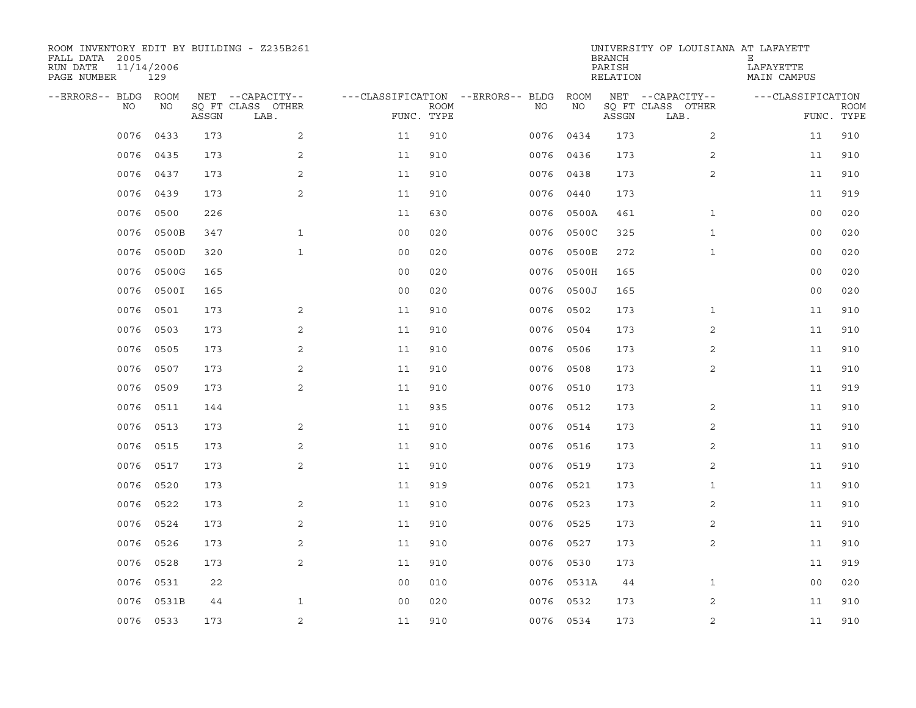| ROOM INVENTORY EDIT BY BUILDING - Z235B261<br>FALL DATA 2005<br>RUN DATE<br>PAGE NUMBER | 11/14/2006<br>129 |       |                           |                                   |             |           |            | <b>BRANCH</b><br>PARISH<br>RELATION | UNIVERSITY OF LOUISIANA AT LAFAYETT | Е<br>LAFAYETTE<br>MAIN CAMPUS |                           |
|-----------------------------------------------------------------------------------------|-------------------|-------|---------------------------|-----------------------------------|-------------|-----------|------------|-------------------------------------|-------------------------------------|-------------------------------|---------------------------|
| --ERRORS-- BLDG ROOM                                                                    |                   |       | NET --CAPACITY--          | ---CLASSIFICATION --ERRORS-- BLDG |             |           | ROOM       |                                     | NET --CAPACITY--                    | ---CLASSIFICATION             |                           |
| NO.                                                                                     | NO.               | ASSGN | SQ FT CLASS OTHER<br>LAB. | FUNC. TYPE                        | <b>ROOM</b> | NO.       | NO         | ASSGN                               | SQ FT CLASS OTHER<br>LAB.           |                               | <b>ROOM</b><br>FUNC. TYPE |
| 0076                                                                                    | 0433              | 173   | 2                         | 11                                | 910         | 0076      | 0434       | 173                                 | 2                                   | 11                            | 910                       |
| 0076                                                                                    | 0435              | 173   | 2                         | 11                                | 910         | 0076      | 0436       | 173                                 | 2                                   | 11                            | 910                       |
| 0076                                                                                    | 0437              | 173   | 2                         | 11                                | 910         | 0076 0438 |            | 173                                 | 2                                   | 11                            | 910                       |
| 0076                                                                                    | 0439              | 173   | 2                         | 11                                | 910         | 0076      | 0440       | 173                                 |                                     | 11                            | 919                       |
| 0076                                                                                    | 0500              | 226   |                           | 11                                | 630         | 0076      | 0500A      | 461                                 | $\mathbf{1}$                        | 0 <sub>0</sub>                | 020                       |
| 0076                                                                                    | 0500B             | 347   | 1                         | 0 <sub>0</sub>                    | 020         | 0076      | 0500C      | 325                                 | $\mathbf{1}$                        | 0 <sub>0</sub>                | 020                       |
| 0076                                                                                    | 0500D             | 320   | $\mathbf{1}$              | 0 <sub>0</sub>                    | 020         | 0076      | 0500E      | 272                                 | $\mathbf{1}$                        | 00                            | 020                       |
| 0076                                                                                    | 0500G             | 165   |                           | 0 <sub>0</sub>                    | 020         | 0076      | 0500H      | 165                                 |                                     | 00                            | 020                       |
| 0076                                                                                    | 0500I             | 165   |                           | 0 <sub>0</sub>                    | 020         | 0076      | 0500J      | 165                                 |                                     | 0 <sub>0</sub>                | 020                       |
| 0076                                                                                    | 0501              | 173   | $\boldsymbol{2}$          | 11                                | 910         | 0076      | 0502       | 173                                 | $\mathbf{1}$                        | 11                            | 910                       |
| 0076                                                                                    | 0503              | 173   | 2                         | 11                                | 910         | 0076      | 0504       | 173                                 | 2                                   | 11                            | 910                       |
| 0076                                                                                    | 0505              | 173   | 2                         | 11                                | 910         |           | 0076 0506  | 173                                 | 2                                   | 11                            | 910                       |
| 0076                                                                                    | 0507              | 173   | 2                         | 11                                | 910         | 0076      | 0508       | 173                                 | 2                                   | 11                            | 910                       |
| 0076                                                                                    | 0509              | 173   | 2                         | 11                                | 910         | 0076      | 0510       | 173                                 |                                     | 11                            | 919                       |
| 0076                                                                                    | 0511              | 144   |                           | 11                                | 935         | 0076      | 0512       | 173                                 | 2                                   | 11                            | 910                       |
| 0076                                                                                    | 0513              | 173   | 2                         | 11                                | 910         | 0076      | 0514       | 173                                 | 2                                   | 11                            | 910                       |
| 0076                                                                                    | 0515              | 173   | 2                         | 11                                | 910         | 0076      | 0516       | 173                                 | 2                                   | 11                            | 910                       |
| 0076                                                                                    | 0517              | 173   | 2                         | 11                                | 910         | 0076      | 0519       | 173                                 | 2                                   | 11                            | 910                       |
| 0076                                                                                    | 0520              | 173   |                           | 11                                | 919         | 0076 0521 |            | 173                                 | $\mathbf{1}$                        | 11                            | 910                       |
| 0076                                                                                    | 0522              | 173   | 2                         | 11                                | 910         | 0076      | 0523       | 173                                 | 2                                   | 11                            | 910                       |
| 0076                                                                                    | 0524              | 173   | 2                         | 11                                | 910         | 0076 0525 |            | 173                                 | 2                                   | 11                            | 910                       |
| 0076                                                                                    | 0526              | 173   | 2                         | 11                                | 910         | 0076      | 0527       | 173                                 | 2                                   | 11                            | 910                       |
| 0076                                                                                    | 0528              | 173   | 2                         | 11                                | 910         | 0076 0530 |            | 173                                 |                                     | 11                            | 919                       |
| 0076                                                                                    | 0531              | 22    |                           | 00                                | 010         |           | 0076 0531A | 44                                  | $\mathbf{1}$                        | 00                            | 020                       |
| 0076                                                                                    | 0531B             | 44    | $\mathbf{1}$              | 0 <sub>0</sub>                    | 020         | 0076 0532 |            | 173                                 | 2                                   | 11                            | 910                       |
|                                                                                         | 0076 0533         | 173   | $\overline{2}$            | 11                                | 910         | 0076 0534 |            | 173                                 | 2                                   | 11                            | 910                       |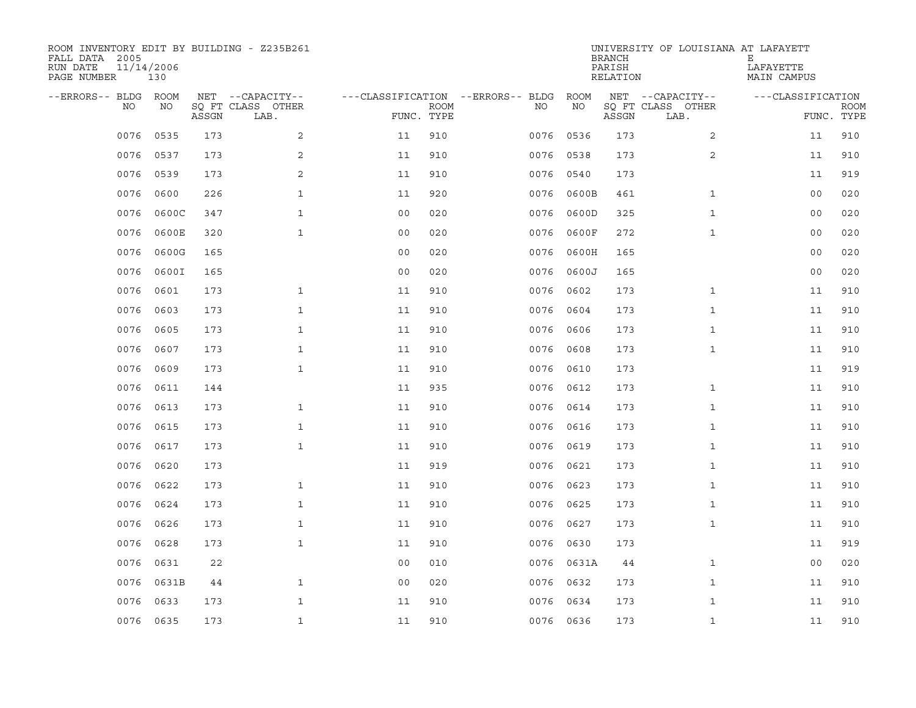| ROOM INVENTORY EDIT BY BUILDING - Z235B261<br>FALL DATA 2005<br>RUN DATE<br>PAGE NUMBER | 11/14/2006<br>130 |       |                           |                                   |             |           |            | <b>BRANCH</b><br>PARISH<br>RELATION | UNIVERSITY OF LOUISIANA AT LAFAYETT | Е<br>LAFAYETTE<br>MAIN CAMPUS |                           |
|-----------------------------------------------------------------------------------------|-------------------|-------|---------------------------|-----------------------------------|-------------|-----------|------------|-------------------------------------|-------------------------------------|-------------------------------|---------------------------|
| --ERRORS-- BLDG ROOM                                                                    |                   |       | NET --CAPACITY--          | ---CLASSIFICATION --ERRORS-- BLDG |             |           | ROOM       |                                     | NET --CAPACITY--                    | ---CLASSIFICATION             |                           |
| NO                                                                                      | NO                | ASSGN | SQ FT CLASS OTHER<br>LAB. | FUNC. TYPE                        | <b>ROOM</b> | NO.       | NO         | ASSGN                               | SQ FT CLASS OTHER<br>LAB.           |                               | <b>ROOM</b><br>FUNC. TYPE |
| 0076                                                                                    | 0535              | 173   | 2                         | 11                                | 910         | 0076      | 0536       | 173                                 | $\overline{2}$                      | 11                            | 910                       |
| 0076                                                                                    | 0537              | 173   | 2                         | 11                                | 910         | 0076      | 0538       | 173                                 | 2                                   | 11                            | 910                       |
| 0076                                                                                    | 0539              | 173   | 2                         | 11                                | 910         | 0076      | 0540       | 173                                 |                                     | 11                            | 919                       |
| 0076                                                                                    | 0600              | 226   | $\mathbf{1}$              | 11                                | 920         | 0076      | 0600B      | 461                                 | $\mathbf{1}$                        | 00                            | 020                       |
| 0076                                                                                    | 0600C             | 347   | $\mathbf{1}$              | 00                                | 020         | 0076      | 0600D      | 325                                 | $\mathbf{1}$                        | 00                            | 020                       |
| 0076                                                                                    | 0600E             | 320   | $\mathbf{1}$              | 0 <sub>0</sub>                    | 020         | 0076      | 0600F      | 272                                 | $\mathbf{1}$                        | 00                            | 020                       |
| 0076                                                                                    | 0600G             | 165   |                           | 00                                | 020         | 0076      | 0600H      | 165                                 |                                     | 0 <sub>0</sub>                | 020                       |
| 0076                                                                                    | 0600I             | 165   |                           | 0 <sub>0</sub>                    | 020         | 0076      | 0600J      | 165                                 |                                     | 00                            | 020                       |
| 0076                                                                                    | 0601              | 173   | $\mathbf{1}$              | 11                                | 910         | 0076      | 0602       | 173                                 | $\mathbf{1}$                        | 11                            | 910                       |
| 0076                                                                                    | 0603              | 173   | $\mathbf{1}$              | 11                                | 910         | 0076      | 0604       | 173                                 | $\mathbf{1}$                        | 11                            | 910                       |
| 0076                                                                                    | 0605              | 173   | $\mathbf{1}$              | 11                                | 910         | 0076      | 0606       | 173                                 | $\mathbf{1}$                        | 11                            | 910                       |
| 0076                                                                                    | 0607              | 173   | $\mathbf{1}$              | 11                                | 910         | 0076      | 0608       | 173                                 | $\mathbf{1}$                        | 11                            | 910                       |
| 0076                                                                                    | 0609              | 173   | $\mathbf{1}$              | 11                                | 910         | 0076      | 0610       | 173                                 |                                     | 11                            | 919                       |
| 0076                                                                                    | 0611              | 144   |                           | 11                                | 935         | 0076      | 0612       | 173                                 | $\mathbf{1}$                        | 11                            | 910                       |
| 0076                                                                                    | 0613              | 173   | $\mathbf{1}$              | 11                                | 910         | 0076      | 0614       | 173                                 | $\mathbf{1}$                        | 11                            | 910                       |
| 0076                                                                                    | 0615              | 173   | $\mathbf{1}$              | 11                                | 910         | 0076      | 0616       | 173                                 | $\mathbf{1}$                        | 11                            | 910                       |
| 0076                                                                                    | 0617              | 173   | $\mathbf{1}$              | 11                                | 910         | 0076      | 0619       | 173                                 | $\mathbf{1}$                        | 11                            | 910                       |
| 0076                                                                                    | 0620              | 173   |                           | 11                                | 919         | 0076      | 0621       | 173                                 | $\mathbf{1}$                        | 11                            | 910                       |
| 0076                                                                                    | 0622              | 173   | $\mathbf{1}$              | 11                                | 910         | 0076      | 0623       | 173                                 | $\mathbf{1}$                        | 11                            | 910                       |
| 0076                                                                                    | 0624              | 173   | $\mathbf{1}$              | 11                                | 910         | 0076      | 0625       | 173                                 | $\mathbf{1}$                        | 11                            | 910                       |
| 0076                                                                                    | 0626              | 173   | $\mathbf{1}$              | 11                                | 910         |           | 0076 0627  | 173                                 | $\mathbf{1}$                        | 11                            | 910                       |
| 0076                                                                                    | 0628              | 173   | $\mathbf{1}$              | 11                                | 910         | 0076      | 0630       | 173                                 |                                     | 11                            | 919                       |
| 0076                                                                                    | 0631              | 22    |                           | 0 <sub>0</sub>                    | 010         |           | 0076 0631A | 44                                  | $\mathbf{1}$                        | 0 <sub>0</sub>                | 020                       |
| 0076                                                                                    | 0631B             | 44    | $\mathbf{1}$              | 0 <sub>0</sub>                    | 020         | 0076 0632 |            | 173                                 | $\mathbf{1}$                        | 11                            | 910                       |
| 0076                                                                                    | 0633              | 173   | $\mathbf{1}$              | 11                                | 910         | 0076      | 0634       | 173                                 | $\mathbf{1}$                        | 11                            | 910                       |
|                                                                                         | 0076 0635         | 173   | $\mathbf{1}$              | 11                                | 910         | 0076 0636 |            | 173                                 | $\mathbf{1}$                        | 11                            | 910                       |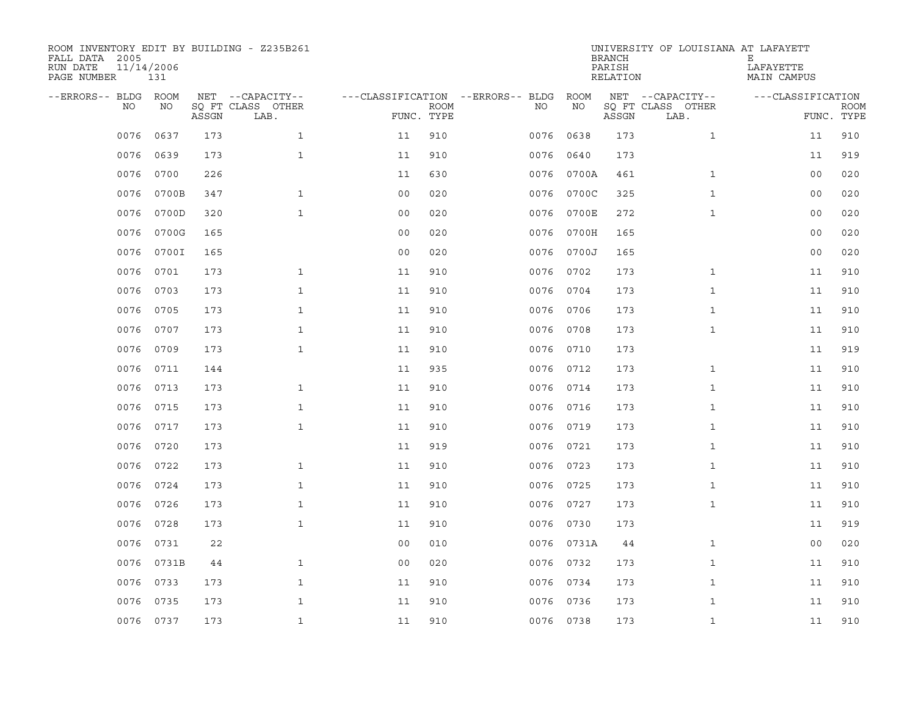| ROOM INVENTORY EDIT BY BUILDING - Z235B261<br>FALL DATA 2005<br>RUN DATE<br>PAGE NUMBER | 11/14/2006<br>131 |       |                           |                                   |             |           |            | <b>BRANCH</b><br>PARISH<br>RELATION | UNIVERSITY OF LOUISIANA AT LAFAYETT | Е<br>LAFAYETTE<br>MAIN CAMPUS |                           |
|-----------------------------------------------------------------------------------------|-------------------|-------|---------------------------|-----------------------------------|-------------|-----------|------------|-------------------------------------|-------------------------------------|-------------------------------|---------------------------|
| --ERRORS-- BLDG ROOM                                                                    |                   |       | NET --CAPACITY--          | ---CLASSIFICATION --ERRORS-- BLDG |             |           | ROOM       |                                     | NET --CAPACITY--                    | ---CLASSIFICATION             |                           |
| NO.                                                                                     | NO.               | ASSGN | SQ FT CLASS OTHER<br>LAB. | FUNC. TYPE                        | <b>ROOM</b> | NO.       | NO         | ASSGN                               | SQ FT CLASS OTHER<br>LAB.           |                               | <b>ROOM</b><br>FUNC. TYPE |
| 0076                                                                                    | 0637              | 173   | $\mathbf{1}$              | 11                                | 910         | 0076      | 0638       | 173                                 | $\mathbf{1}$                        | 11                            | 910                       |
| 0076                                                                                    | 0639              | 173   | $\mathbf{1}$              | 11                                | 910         | 0076      | 0640       | 173                                 |                                     | 11                            | 919                       |
| 0076                                                                                    | 0700              | 226   |                           | 11                                | 630         |           | 0076 0700A | 461                                 | $\mathbf{1}$                        | 00                            | 020                       |
| 0076                                                                                    | 0700B             | 347   | $\mathbf{1}$              | 0 <sub>0</sub>                    | 020         | 0076      | 0700C      | 325                                 | $\mathbf{1}$                        | 0 <sub>0</sub>                | 020                       |
| 0076                                                                                    | 0700D             | 320   | $\mathbf{1}$              | 0 <sub>0</sub>                    | 020         | 0076      | 0700E      | 272                                 | $\mathbf{1}$                        | 0 <sub>0</sub>                | 020                       |
| 0076                                                                                    | 0700G             | 165   |                           | 00                                | 020         | 0076      | 0700H      | 165                                 |                                     | 00                            | 020                       |
| 0076                                                                                    | 0700I             | 165   |                           | 0 <sub>0</sub>                    | 020         |           | 0076 0700J | 165                                 |                                     | 00                            | 020                       |
| 0076                                                                                    | 0701              | 173   | $\mathbf{1}$              | 11                                | 910         | 0076 0702 |            | 173                                 | $\mathbf{1}$                        | 11                            | 910                       |
| 0076                                                                                    | 0703              | 173   | $\mathbf{1}$              | 11                                | 910         | 0076      | 0704       | 173                                 | $\mathbf{1}$                        | 11                            | 910                       |
| 0076                                                                                    | 0705              | 173   | $\mathbf{1}$              | 11                                | 910         | 0076 0706 |            | 173                                 | $\mathbf{1}$                        | 11                            | 910                       |
| 0076                                                                                    | 0707              | 173   | $\mathbf{1}$              | 11                                | 910         | 0076 0708 |            | 173                                 | $\mathbf{1}$                        | 11                            | 910                       |
| 0076                                                                                    | 0709              | 173   | $\mathbf{1}$              | 11                                | 910         | 0076 0710 |            | 173                                 |                                     | 11                            | 919                       |
| 0076                                                                                    | 0711              | 144   |                           | 11                                | 935         | 0076 0712 |            | 173                                 | $\mathbf{1}$                        | 11                            | 910                       |
| 0076                                                                                    | 0713              | 173   | $\mathbf{1}$              | 11                                | 910         | 0076      | 0714       | 173                                 | $\mathbf{1}$                        | 11                            | 910                       |
| 0076                                                                                    | 0715              | 173   | $\mathbf{1}$              | 11                                | 910         | 0076 0716 |            | 173                                 | $\mathbf{1}$                        | 11                            | 910                       |
| 0076                                                                                    | 0717              | 173   | $\mathbf{1}$              | 11                                | 910         | 0076 0719 |            | 173                                 | $\mathbf{1}$                        | 11                            | 910                       |
| 0076                                                                                    | 0720              | 173   |                           | 11                                | 919         | 0076 0721 |            | 173                                 | $\mathbf{1}$                        | 11                            | 910                       |
| 0076                                                                                    | 0722              | 173   | $\mathbf{1}$              | 11                                | 910         | 0076 0723 |            | 173                                 | $\mathbf{1}$                        | 11                            | 910                       |
| 0076                                                                                    | 0724              | 173   | $\mathbf{1}$              | 11                                | 910         | 0076 0725 |            | 173                                 | $\mathbf{1}$                        | 11                            | 910                       |
| 0076                                                                                    | 0726              | 173   | $\mathbf{1}$              | 11                                | 910         | 0076 0727 |            | 173                                 | $\mathbf{1}$                        | 11                            | 910                       |
| 0076                                                                                    | 0728              | 173   | $\mathbf{1}$              | 11                                | 910         | 0076 0730 |            | 173                                 |                                     | 11                            | 919                       |
| 0076                                                                                    | 0731              | 22    |                           | 0 <sub>0</sub>                    | 010         |           | 0076 0731A | 44                                  | $\mathbf{1}$                        | 0 <sub>0</sub>                | 020                       |
| 0076                                                                                    | 0731B             | 44    | $\mathbf{1}$              | 0 <sub>0</sub>                    | 020         | 0076 0732 |            | 173                                 | $\mathbf{1}$                        | 11                            | 910                       |
| 0076                                                                                    | 0733              | 173   | $\mathbf{1}$              | 11                                | 910         | 0076 0734 |            | 173                                 | $\mathbf{1}$                        | 11                            | 910                       |
| 0076                                                                                    | 0735              | 173   | $\mathbf{1}$              | 11                                | 910         | 0076 0736 |            | 173                                 | $\mathbf{1}$                        | 11                            | 910                       |
|                                                                                         | 0076 0737         | 173   | $\mathbf{1}$              | 11                                | 910         | 0076 0738 |            | 173                                 | $\mathbf{1}$                        | 11                            | 910                       |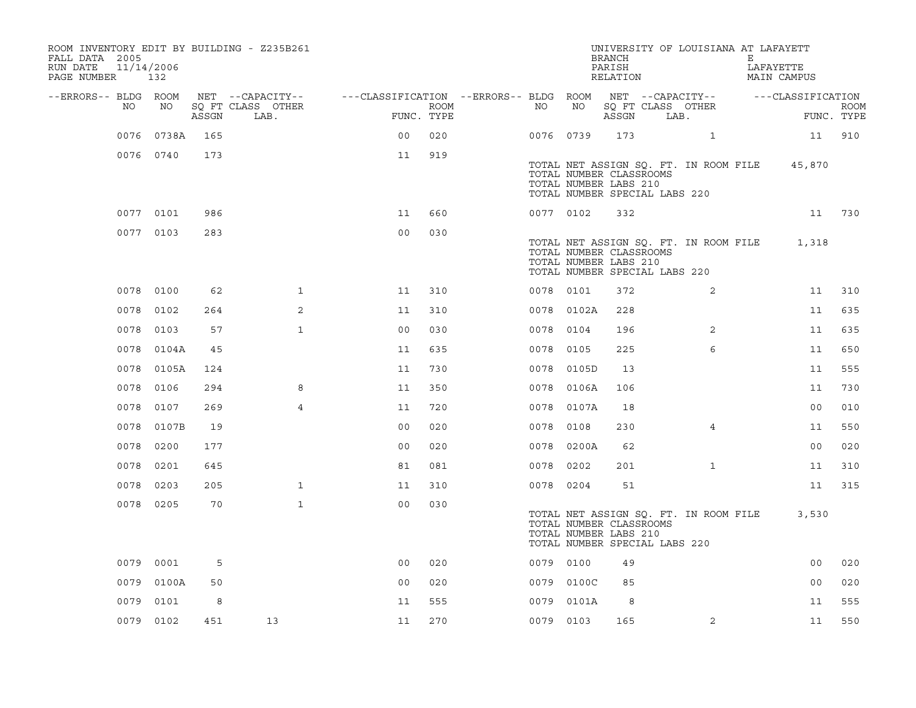| ROOM INVENTORY EDIT BY BUILDING - Z235B261<br>FALL DATA 2005<br>RUN DATE<br>PAGE NUMBER 132 | 11/14/2006 |       |                           |                                                         |                    |           |            | <b>BRANCH</b><br>PARISH<br>RELATION                                               |      | UNIVERSITY OF LOUISIANA AT LAFAYETT   | Е | LAFAYETTE<br>MAIN CAMPUS |                           |
|---------------------------------------------------------------------------------------------|------------|-------|---------------------------|---------------------------------------------------------|--------------------|-----------|------------|-----------------------------------------------------------------------------------|------|---------------------------------------|---|--------------------------|---------------------------|
| --ERRORS-- BLDG ROOM                                                                        |            |       | NET --CAPACITY--          | ---CLASSIFICATION --ERRORS-- BLDG ROOM NET --CAPACITY-- |                    |           |            |                                                                                   |      |                                       |   | ---CLASSIFICATION        |                           |
| NO                                                                                          | NO         | ASSGN | SQ FT CLASS OTHER<br>LAB. |                                                         | ROOM<br>FUNC. TYPE | NO        | NO         | SQ FT CLASS OTHER<br>ASSGN                                                        | LAB. |                                       |   |                          | <b>ROOM</b><br>FUNC. TYPE |
|                                                                                             | 0076 0738A | 165   |                           | 0 <sup>0</sup>                                          | 020                | 0076 0739 |            | 173                                                                               |      | $\mathbf{1}$                          |   |                          | 11 910                    |
|                                                                                             | 0076 0740  | 173   |                           | 11                                                      | 919                |           |            |                                                                                   |      |                                       |   |                          |                           |
|                                                                                             |            |       |                           |                                                         |                    |           |            | TOTAL NUMBER CLASSROOMS<br>TOTAL NUMBER LABS 210<br>TOTAL NUMBER SPECIAL LABS 220 |      | TOTAL NET ASSIGN SQ. FT. IN ROOM FILE |   | 45,870                   |                           |
|                                                                                             | 0077 0101  | 986   |                           | 11                                                      | 660                | 0077 0102 |            | 332                                                                               |      |                                       |   | 11                       | 730                       |
|                                                                                             | 0077 0103  | 283   |                           | 0 <sub>0</sub>                                          | 030                |           |            |                                                                                   |      |                                       |   |                          |                           |
|                                                                                             |            |       |                           |                                                         |                    |           |            | TOTAL NUMBER CLASSROOMS<br>TOTAL NUMBER LABS 210<br>TOTAL NUMBER SPECIAL LABS 220 |      | TOTAL NET ASSIGN SQ. FT. IN ROOM FILE |   | 1,318                    |                           |
|                                                                                             | 0078 0100  | 62    | $\mathbf{1}$              | 11                                                      | 310                | 0078 0101 |            | 372                                                                               |      | $\overline{2}$                        |   | 11                       | 310                       |
|                                                                                             | 0078 0102  | 264   | 2                         | 11                                                      | 310                |           | 0078 0102A | 228                                                                               |      |                                       |   | 11                       | 635                       |
| 0078                                                                                        | 0103       | 57    | $\mathbf{1}$              | 0 <sub>0</sub>                                          | 030                | 0078 0104 |            | 196                                                                               |      | 2                                     |   | 11                       | 635                       |
|                                                                                             | 0078 0104A | 45    |                           | 11                                                      | 635                | 0078 0105 |            | 225                                                                               |      | 6                                     |   | 11                       | 650                       |
| 0078                                                                                        | 0105A      | 124   |                           | 11                                                      | 730                |           | 0078 0105D | 13                                                                                |      |                                       |   | 11                       | 555                       |
| 0078                                                                                        | 0106       | 294   | 8                         | 11                                                      | 350                |           | 0078 0106A | 106                                                                               |      |                                       |   | 11                       | 730                       |
| 0078                                                                                        | 0107       | 269   | $\overline{4}$            | 11                                                      | 720                |           | 0078 0107A | 18                                                                                |      |                                       |   | 00                       | 010                       |
| 0078                                                                                        | 0107B      | 19    |                           | 0 <sub>0</sub>                                          | 020                | 0078 0108 |            | 230                                                                               |      | 4                                     |   | 11                       | 550                       |
| 0078                                                                                        | 0200       | 177   |                           | 0 <sub>0</sub>                                          | 020                | 0078      | 0200A      | 62                                                                                |      |                                       |   | 0 <sub>0</sub>           | 020                       |
| 0078                                                                                        | 0201       | 645   |                           | 81                                                      | 081                | 0078 0202 |            | 201                                                                               |      | $\mathbf{1}$                          |   | 11                       | 310                       |
|                                                                                             | 0078 0203  | 205   | $\mathbf{1}$              | 11                                                      | 310                | 0078 0204 |            | 51                                                                                |      |                                       |   | 11                       | 315                       |
|                                                                                             | 0078 0205  | 70    | $\mathbf{1}$              | 0 <sub>0</sub>                                          | 030                |           |            |                                                                                   |      |                                       |   |                          |                           |
|                                                                                             |            |       |                           |                                                         |                    |           |            | TOTAL NUMBER CLASSROOMS<br>TOTAL NUMBER LABS 210<br>TOTAL NUMBER SPECIAL LABS 220 |      | TOTAL NET ASSIGN SQ. FT. IN ROOM FILE |   | 3,530                    |                           |
|                                                                                             | 0079 0001  | 5     |                           | 0 <sub>0</sub>                                          | 020                | 0079 0100 |            | 49                                                                                |      |                                       |   | 0 <sub>0</sub>           | 020                       |
|                                                                                             | 0079 0100A | 50    |                           | 0 <sub>0</sub>                                          | 020                |           | 0079 0100C | 85                                                                                |      |                                       |   | 00                       | 020                       |
| 0079                                                                                        | 0101       | 8     |                           | 11                                                      | 555                |           | 0079 0101A | 8                                                                                 |      |                                       |   | 11                       | 555                       |
|                                                                                             | 0079 0102  | 451   | 13                        | 11                                                      | 270                | 0079 0103 |            | 165                                                                               |      | $\overline{2}$                        |   | 11                       | 550                       |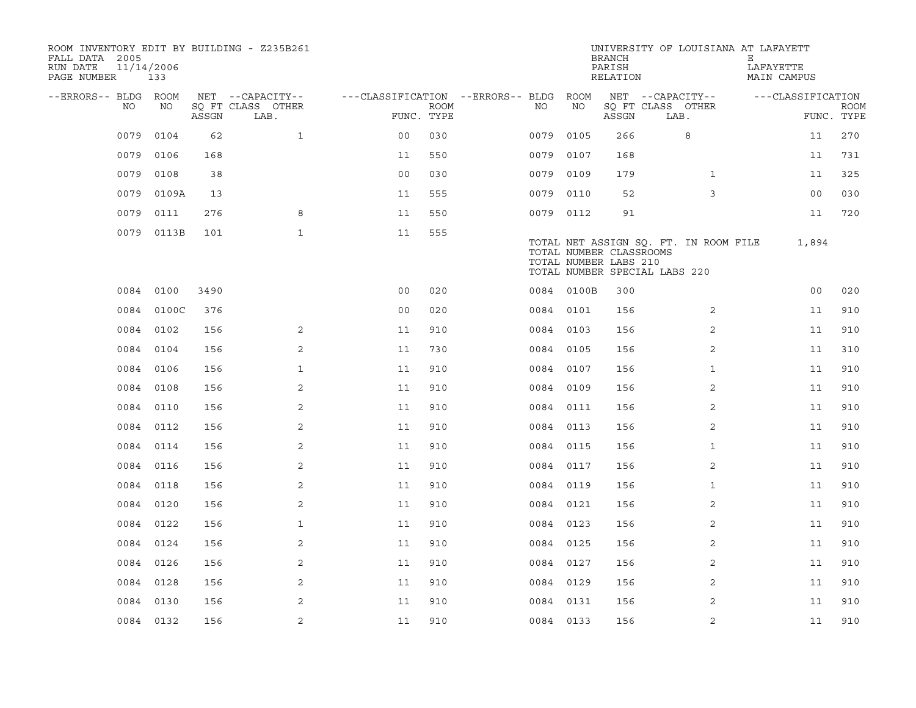| ROOM INVENTORY EDIT BY BUILDING - Z235B261<br>FALL DATA 2005<br>RUN DATE<br>PAGE NUMBER | 11/14/2006<br>133 |       |                           |                                   |             |           |            | <b>BRANCH</b><br>PARISH<br>RELATION              | UNIVERSITY OF LOUISIANA AT LAFAYETT                                    | Е<br>LAFAYETTE<br>MAIN CAMPUS |                           |
|-----------------------------------------------------------------------------------------|-------------------|-------|---------------------------|-----------------------------------|-------------|-----------|------------|--------------------------------------------------|------------------------------------------------------------------------|-------------------------------|---------------------------|
| --ERRORS-- BLDG                                                                         | ROOM              |       | NET --CAPACITY--          | ---CLASSIFICATION --ERRORS-- BLDG |             |           | ROOM       |                                                  | NET --CAPACITY--                                                       | ---CLASSIFICATION             |                           |
| NO                                                                                      | NO                | ASSGN | SQ FT CLASS OTHER<br>LAB. | FUNC. TYPE                        | <b>ROOM</b> | NO        | NO         | ASSGN                                            | SQ FT CLASS OTHER<br>LAB.                                              |                               | <b>ROOM</b><br>FUNC. TYPE |
| 0079                                                                                    | 0104              | 62    | $\mathbf{1}$              | 0 <sub>0</sub>                    | 030         | 0079      | 0105       | 266                                              | 8                                                                      | 11                            | 270                       |
| 0079                                                                                    | 0106              | 168   |                           | 11                                | 550         | 0079      | 0107       | 168                                              |                                                                        | 11                            | 731                       |
| 0079                                                                                    | 0108              | 38    |                           | 0 <sub>0</sub>                    | 030         | 0079      | 0109       | 179                                              | $\mathbf{1}$                                                           | 11                            | 325                       |
| 0079                                                                                    | 0109A             | 13    |                           | 11                                | 555         | 0079 0110 |            | 52                                               | 3                                                                      | 0 <sub>0</sub>                | 030                       |
| 0079                                                                                    | 0111              | 276   | 8                         | 11                                | 550         | 0079 0112 |            | 91                                               |                                                                        | 11                            | 720                       |
|                                                                                         | 0079 0113B        | 101   | $\mathbf{1}$              | 11                                | 555         |           |            | TOTAL NUMBER CLASSROOMS<br>TOTAL NUMBER LABS 210 | TOTAL NET ASSIGN SQ. FT. IN ROOM FILE<br>TOTAL NUMBER SPECIAL LABS 220 | 1,894                         |                           |
|                                                                                         | 0084 0100         | 3490  |                           | 0 <sub>0</sub>                    | 020         |           | 0084 0100B | 300                                              |                                                                        | 0 <sub>0</sub>                | 020                       |
|                                                                                         | 0084 0100C        | 376   |                           | 0 <sub>0</sub>                    | 020         | 0084 0101 |            | 156                                              | 2                                                                      | 11                            | 910                       |
|                                                                                         | 0084 0102         | 156   | 2                         | 11                                | 910         | 0084 0103 |            | 156                                              | 2                                                                      | 11                            | 910                       |
|                                                                                         | 0084 0104         | 156   | 2                         | 11                                | 730         | 0084 0105 |            | 156                                              | 2                                                                      | 11                            | 310                       |
| 0084                                                                                    | 0106              | 156   | $\mathbf{1}$              | 11                                | 910         | 0084 0107 |            | 156                                              | $\mathbf{1}$                                                           | 11                            | 910                       |
|                                                                                         | 0084 0108         | 156   | 2                         | 11                                | 910         | 0084 0109 |            | 156                                              | 2                                                                      | 11                            | 910                       |
|                                                                                         | 0084 0110         | 156   | 2                         | 11                                | 910         | 0084 0111 |            | 156                                              | $\overline{2}$                                                         | 11                            | 910                       |
|                                                                                         | 0084 0112         | 156   | 2                         | 11                                | 910         | 0084 0113 |            | 156                                              | 2                                                                      | 11                            | 910                       |
| 0084                                                                                    | 0114              | 156   | 2                         | 11                                | 910         | 0084 0115 |            | 156                                              | $\mathbf{1}$                                                           | 11                            | 910                       |
|                                                                                         | 0084 0116         | 156   | 2                         | 11                                | 910         | 0084 0117 |            | 156                                              | 2                                                                      | 11                            | 910                       |
|                                                                                         | 0084 0118         | 156   | 2                         | 11                                | 910         | 0084 0119 |            | 156                                              | $\mathbf{1}$                                                           | 11                            | 910                       |
|                                                                                         | 0084 0120         | 156   | 2                         | 11                                | 910         | 0084 0121 |            | 156                                              | 2                                                                      | 11                            | 910                       |
|                                                                                         | 0084 0122         | 156   | $\mathbf{1}$              | 11                                | 910         | 0084 0123 |            | 156                                              | 2                                                                      | 11                            | 910                       |
|                                                                                         | 0084 0124         | 156   | 2                         | 11                                | 910         | 0084 0125 |            | 156                                              | $\overline{2}$                                                         | 11                            | 910                       |
|                                                                                         | 0084 0126         | 156   | 2                         | 11                                | 910         | 0084 0127 |            | 156                                              | 2                                                                      | 11                            | 910                       |
|                                                                                         | 0084 0128         | 156   | 2                         | 11                                | 910         | 0084 0129 |            | 156                                              | 2                                                                      | 11                            | 910                       |
| 0084                                                                                    | 0130              | 156   | 2                         | 11                                | 910         | 0084 0131 |            | 156                                              | 2                                                                      | 11                            | 910                       |
|                                                                                         | 0084 0132         | 156   | $\sqrt{2}$                | 11                                | 910         | 0084 0133 |            | 156                                              | 2                                                                      | 11                            | 910                       |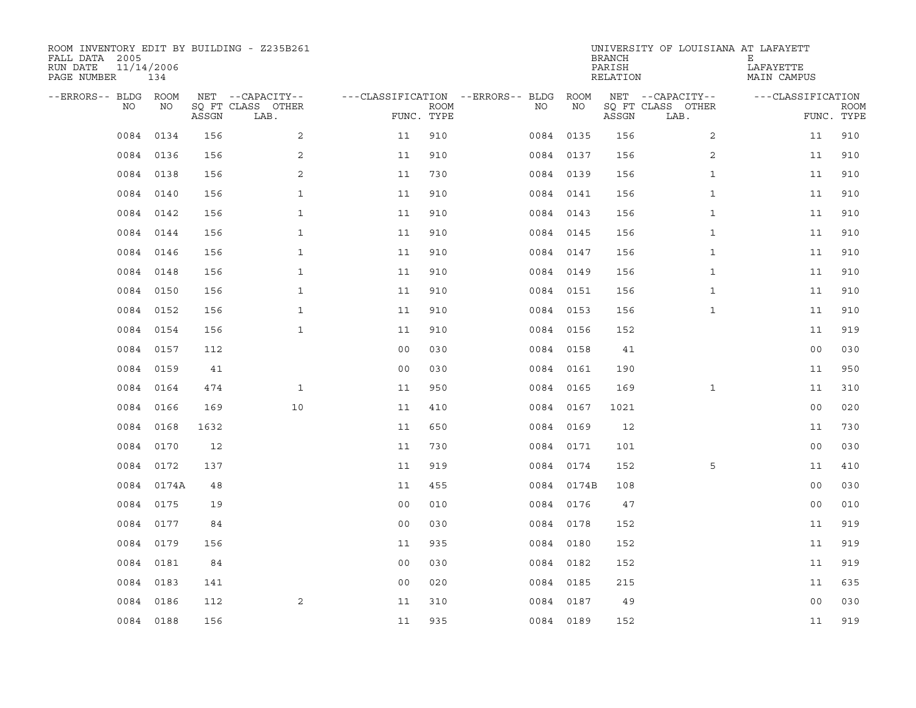| ROOM INVENTORY EDIT BY BUILDING - Z235B261<br>FALL DATA 2005<br>RUN DATE<br>PAGE NUMBER | 11/14/2006<br>134 |       |                           |                                   |             |           |            | <b>BRANCH</b><br>PARISH<br>RELATION | UNIVERSITY OF LOUISIANA AT LAFAYETT | Е<br>LAFAYETTE<br>MAIN CAMPUS |                           |
|-----------------------------------------------------------------------------------------|-------------------|-------|---------------------------|-----------------------------------|-------------|-----------|------------|-------------------------------------|-------------------------------------|-------------------------------|---------------------------|
| --ERRORS-- BLDG                                                                         | ROOM              |       | NET --CAPACITY--          | ---CLASSIFICATION --ERRORS-- BLDG |             |           | ROOM       |                                     | NET --CAPACITY--                    | ---CLASSIFICATION             |                           |
| NO                                                                                      | NO                | ASSGN | SO FT CLASS OTHER<br>LAB. | FUNC. TYPE                        | <b>ROOM</b> | NO.       | NO         | ASSGN                               | SQ FT CLASS OTHER<br>LAB.           |                               | <b>ROOM</b><br>FUNC. TYPE |
| 0084                                                                                    | 0134              | 156   | 2                         | 11                                | 910         | 0084 0135 |            | 156                                 | $\overline{2}$                      | 11                            | 910                       |
|                                                                                         | 0084 0136         | 156   | 2                         | 11                                | 910         | 0084 0137 |            | 156                                 | 2                                   | 11                            | 910                       |
| 0084                                                                                    | 0138              | 156   | 2                         | 11                                | 730         | 0084 0139 |            | 156                                 | $\mathbf{1}$                        | 11                            | 910                       |
| 0084                                                                                    | 0140              | 156   | $\mathbf{1}$              | 11                                | 910         |           | 0084 0141  | 156                                 | $\mathbf{1}$                        | 11                            | 910                       |
| 0084                                                                                    | 0142              | 156   | $\mathbf{1}$              | 11                                | 910         |           | 0084 0143  | 156                                 | $\mathbf{1}$                        | 11                            | 910                       |
|                                                                                         | 0084 0144         | 156   | $\mathbf{1}$              | 11                                | 910         |           | 0084 0145  | 156                                 | $\mathbf{1}$                        | 11                            | 910                       |
| 0084                                                                                    | 0146              | 156   | $\mathbf{1}$              | 11                                | 910         | 0084 0147 |            | 156                                 | $\mathbf{1}$                        | 11                            | 910                       |
|                                                                                         | 0084 0148         | 156   | $\mathbf{1}$              | 11                                | 910         |           | 0084 0149  | 156                                 | $\mathbf{1}$                        | 11                            | 910                       |
| 0084                                                                                    | 0150              | 156   | $\mathbf{1}$              | 11                                | 910         |           | 0084 0151  | 156                                 | $\mathbf{1}$                        | 11                            | 910                       |
|                                                                                         | 0084 0152         | 156   | $\mathbf{1}$              | 11                                | 910         | 0084 0153 |            | 156                                 | $\mathbf{1}$                        | 11                            | 910                       |
|                                                                                         | 0084 0154         | 156   | $\mathbf{1}$              | 11                                | 910         | 0084 0156 |            | 152                                 |                                     | 11                            | 919                       |
|                                                                                         | 0084 0157         | 112   |                           | 0 <sub>0</sub>                    | 030         |           | 0084 0158  | 41                                  |                                     | 0 <sub>0</sub>                | 030                       |
|                                                                                         | 0084 0159         | 41    |                           | 0 <sub>0</sub>                    | 030         |           | 0084 0161  | 190                                 |                                     | 11                            | 950                       |
|                                                                                         | 0084 0164         | 474   | $\mathbf{1}$              | 11                                | 950         |           | 0084 0165  | 169                                 | $\mathbf{1}$                        | 11                            | 310                       |
| 0084                                                                                    | 0166              | 169   | 10                        | 11                                | 410         | 0084 0167 |            | 1021                                |                                     | 0 <sub>0</sub>                | 020                       |
| 0084                                                                                    | 0168              | 1632  |                           | 11                                | 650         | 0084 0169 |            | 12                                  |                                     | 11                            | 730                       |
| 0084                                                                                    | 0170              | 12    |                           | 11                                | 730         |           | 0084 0171  | 101                                 |                                     | 0 <sub>0</sub>                | 030                       |
| 0084                                                                                    | 0172              | 137   |                           | 11                                | 919         |           | 0084 0174  | 152                                 | 5                                   | 11                            | 410                       |
|                                                                                         | 0084 0174A        | 48    |                           | 11                                | 455         |           | 0084 0174B | 108                                 |                                     | 0 <sub>0</sub>                | 030                       |
| 0084                                                                                    | 0175              | 19    |                           | 0 <sub>0</sub>                    | 010         | 0084 0176 |            | 47                                  |                                     | 0 <sub>0</sub>                | 010                       |
|                                                                                         | 0084 0177         | 84    |                           | 0 <sub>0</sub>                    | 030         |           | 0084 0178  | 152                                 |                                     | 11                            | 919                       |
| 0084                                                                                    | 0179              | 156   |                           | 11                                | 935         |           | 0084 0180  | 152                                 |                                     | 11                            | 919                       |
|                                                                                         | 0084 0181         | 84    |                           | 0 <sub>0</sub>                    | 030         | 0084 0182 |            | 152                                 |                                     | 11                            | 919                       |
|                                                                                         | 0084 0183         | 141   |                           | 0 <sub>0</sub>                    | 020         | 0084 0185 |            | 215                                 |                                     | 11                            | 635                       |
| 0084                                                                                    | 0186              | 112   | 2                         | 11                                | 310         |           | 0084 0187  | 49                                  |                                     | 0 <sub>0</sub>                | 030                       |
|                                                                                         | 0084 0188         | 156   |                           | 11                                | 935         | 0084 0189 |            | 152                                 |                                     | 11                            | 919                       |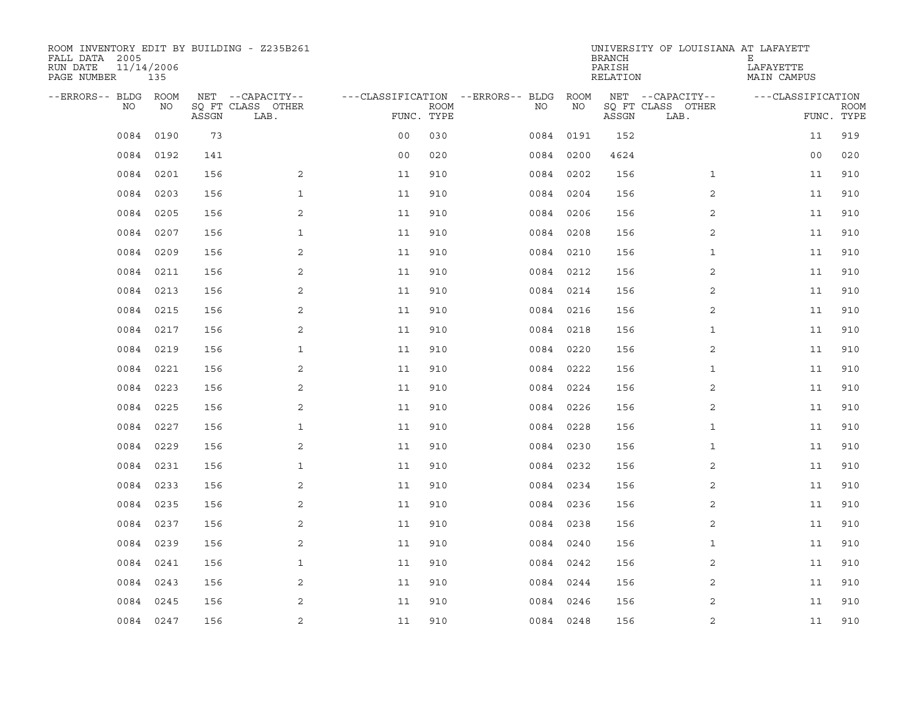| ROOM INVENTORY EDIT BY BUILDING - Z235B261<br>FALL DATA 2005<br>RUN DATE<br>PAGE NUMBER | 11/14/2006<br>135 |       |                           |                                   |             |      |           | <b>BRANCH</b><br>PARISH<br>RELATION | UNIVERSITY OF LOUISIANA AT LAFAYETT | Е<br>LAFAYETTE<br>MAIN CAMPUS |                           |
|-----------------------------------------------------------------------------------------|-------------------|-------|---------------------------|-----------------------------------|-------------|------|-----------|-------------------------------------|-------------------------------------|-------------------------------|---------------------------|
| --ERRORS-- BLDG                                                                         | ROOM              |       | NET --CAPACITY--          | ---CLASSIFICATION --ERRORS-- BLDG |             |      | ROOM      |                                     | NET --CAPACITY--                    | ---CLASSIFICATION             |                           |
| NO                                                                                      | NO                | ASSGN | SO FT CLASS OTHER<br>LAB. | FUNC. TYPE                        | <b>ROOM</b> | NO.  | NO        | ASSGN                               | SQ FT CLASS OTHER<br>LAB.           |                               | <b>ROOM</b><br>FUNC. TYPE |
| 0084                                                                                    | 0190              | 73    |                           | 0 <sub>0</sub>                    | 030         | 0084 | 0191      | 152                                 |                                     | 11                            | 919                       |
| 0084                                                                                    | 0192              | 141   |                           | 0 <sub>0</sub>                    | 020         |      | 0084 0200 | 4624                                |                                     | 0 <sub>0</sub>                | 020                       |
| 0084                                                                                    | 0201              | 156   | 2                         | 11                                | 910         |      | 0084 0202 | 156                                 | $\mathbf{1}$                        | 11                            | 910                       |
| 0084                                                                                    | 0203              | 156   | $\mathbf 1$               | 11                                | 910         | 0084 | 0204      | 156                                 | 2                                   | 11                            | 910                       |
| 0084                                                                                    | 0205              | 156   | 2                         | 11                                | 910         | 0084 | 0206      | 156                                 | 2                                   | 11                            | 910                       |
| 0084                                                                                    | 0207              | 156   | $\mathbf{1}$              | 11                                | 910         | 0084 | 0208      | 156                                 | 2                                   | 11                            | 910                       |
| 0084                                                                                    | 0209              | 156   | 2                         | 11                                | 910         | 0084 | 0210      | 156                                 | $\mathbf{1}$                        | 11                            | 910                       |
| 0084                                                                                    | 0211              | 156   | 2                         | 11                                | 910         |      | 0084 0212 | 156                                 | 2                                   | 11                            | 910                       |
| 0084                                                                                    | 0213              | 156   | 2                         | 11                                | 910         | 0084 | 0214      | 156                                 | 2                                   | 11                            | 910                       |
| 0084                                                                                    | 0215              | 156   | 2                         | 11                                | 910         |      | 0084 0216 | 156                                 | 2                                   | 11                            | 910                       |
| 0084                                                                                    | 0217              | 156   | 2                         | 11                                | 910         | 0084 | 0218      | 156                                 | $\mathbf{1}$                        | 11                            | 910                       |
|                                                                                         | 0084 0219         | 156   | $\mathbf{1}$              | 11                                | 910         |      | 0084 0220 | 156                                 | 2                                   | 11                            | 910                       |
| 0084                                                                                    | 0221              | 156   | 2                         | 11                                | 910         | 0084 | 0222      | 156                                 | $\mathbf{1}$                        | 11                            | 910                       |
| 0084                                                                                    | 0223              | 156   | 2                         | 11                                | 910         |      | 0084 0224 | 156                                 | 2                                   | 11                            | 910                       |
| 0084                                                                                    | 0225              | 156   | 2                         | 11                                | 910         | 0084 | 0226      | 156                                 | $\overline{a}$                      | 11                            | 910                       |
| 0084                                                                                    | 0227              | 156   | $\mathbf 1$               | 11                                | 910         |      | 0084 0228 | 156                                 | $\mathbf{1}$                        | 11                            | 910                       |
| 0084                                                                                    | 0229              | 156   | 2                         | 11                                | 910         | 0084 | 0230      | 156                                 | $\mathbf{1}$                        | 11                            | 910                       |
| 0084                                                                                    | 0231              | 156   | $\mathbf{1}$              | 11                                | 910         |      | 0084 0232 | 156                                 | 2                                   | 11                            | 910                       |
| 0084                                                                                    | 0233              | 156   | 2                         | 11                                | 910         |      | 0084 0234 | 156                                 | 2                                   | 11                            | 910                       |
| 0084                                                                                    | 0235              | 156   | 2                         | 11                                | 910         |      | 0084 0236 | 156                                 | $\overline{2}$                      | 11                            | 910                       |
| 0084                                                                                    | 0237              | 156   | 2                         | 11                                | 910         |      | 0084 0238 | 156                                 | 2                                   | 11                            | 910                       |
| 0084                                                                                    | 0239              | 156   | 2                         | 11                                | 910         |      | 0084 0240 | 156                                 | $\mathbf{1}$                        | 11                            | 910                       |
| 0084                                                                                    | 0241              | 156   | $\mathbf{1}$              | 11                                | 910         |      | 0084 0242 | 156                                 | 2                                   | 11                            | 910                       |
| 0084                                                                                    | 0243              | 156   | 2                         | 11                                | 910         |      | 0084 0244 | 156                                 | 2                                   | 11                            | 910                       |
| 0084                                                                                    | 0245              | 156   | 2                         | 11                                | 910         | 0084 | 0246      | 156                                 | 2                                   | 11                            | 910                       |
|                                                                                         | 0084 0247         | 156   | $\sqrt{2}$                | 11                                | 910         |      | 0084 0248 | 156                                 | 2                                   | 11                            | 910                       |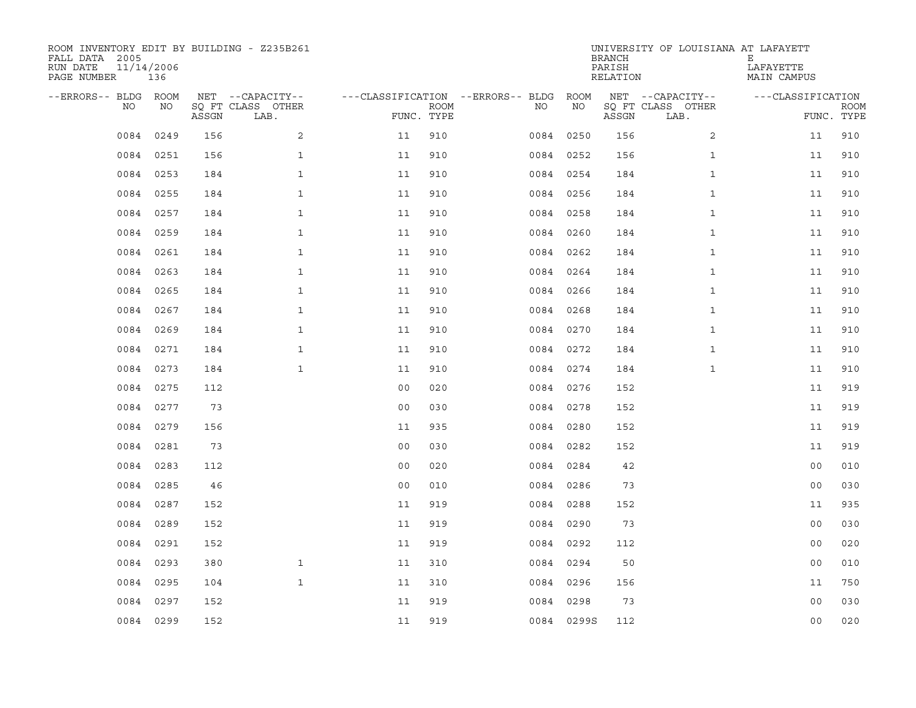| ROOM INVENTORY EDIT BY BUILDING - Z235B261<br>FALL DATA 2005<br>RUN DATE<br>PAGE NUMBER | 11/14/2006<br>136 |       |                           |                |             |                                   |      |            | <b>BRANCH</b><br>PARISH<br>RELATION | UNIVERSITY OF LOUISIANA AT LAFAYETT | Е<br>LAFAYETTE<br>MAIN CAMPUS |                           |
|-----------------------------------------------------------------------------------------|-------------------|-------|---------------------------|----------------|-------------|-----------------------------------|------|------------|-------------------------------------|-------------------------------------|-------------------------------|---------------------------|
| --ERRORS-- BLDG ROOM                                                                    |                   |       | NET --CAPACITY--          |                |             | ---CLASSIFICATION --ERRORS-- BLDG |      | ROOM       |                                     | NET --CAPACITY--                    | ---CLASSIFICATION             |                           |
| NO                                                                                      | NO                | ASSGN | SO FT CLASS OTHER<br>LAB. | FUNC. TYPE     | <b>ROOM</b> |                                   | NO.  | NO         | ASSGN                               | SQ FT CLASS OTHER<br>LAB.           |                               | <b>ROOM</b><br>FUNC. TYPE |
| 0084                                                                                    | 0249              | 156   | 2                         | 11             | 910         |                                   |      | 0084 0250  | 156                                 | $\overline{2}$                      | 11                            | 910                       |
| 0084                                                                                    | 0251              | 156   | $\mathbf{1}$              | 11             | 910         |                                   |      | 0084 0252  | 156                                 | $\mathbf{1}$                        | 11                            | 910                       |
| 0084                                                                                    | 0253              | 184   | $\mathbf{1}$              | 11             | 910         |                                   |      | 0084 0254  | 184                                 | $\mathbf{1}$                        | 11                            | 910                       |
| 0084                                                                                    | 0255              | 184   | $\mathbf{1}$              | 11             | 910         |                                   |      | 0084 0256  | 184                                 | $\mathbf{1}$                        | 11                            | 910                       |
| 0084                                                                                    | 0257              | 184   | $\mathbf{1}$              | 11             | 910         |                                   | 0084 | 0258       | 184                                 | $\mathbf{1}$                        | 11                            | 910                       |
| 0084                                                                                    | 0259              | 184   | $\mathbf{1}$              | 11             | 910         |                                   |      | 0084 0260  | 184                                 | $\mathbf{1}$                        | 11                            | 910                       |
| 0084                                                                                    | 0261              | 184   | $\mathbf{1}$              | 11             | 910         |                                   | 0084 | 0262       | 184                                 | $\mathbf{1}$                        | 11                            | 910                       |
| 0084                                                                                    | 0263              | 184   | $\mathbf{1}$              | 11             | 910         |                                   |      | 0084 0264  | 184                                 | $\mathbf{1}$                        | 11                            | 910                       |
| 0084                                                                                    | 0265              | 184   | $\mathbf{1}$              | 11             | 910         |                                   |      | 0084 0266  | 184                                 | $\mathbf{1}$                        | 11                            | 910                       |
|                                                                                         | 0084 0267         | 184   | $\mathbf{1}$              | 11             | 910         |                                   |      | 0084 0268  | 184                                 | $\mathbf{1}$                        | 11                            | 910                       |
| 0084                                                                                    | 0269              | 184   | $\mathbf{1}$              | 11             | 910         |                                   |      | 0084 0270  | 184                                 | $\mathbf{1}$                        | 11                            | 910                       |
|                                                                                         | 0084 0271         | 184   | $\mathbf{1}$              | 11             | 910         |                                   |      | 0084 0272  | 184                                 | $\mathbf{1}$                        | 11                            | 910                       |
| 0084                                                                                    | 0273              | 184   | $\mathbf{1}$              | 11             | 910         |                                   |      | 0084 0274  | 184                                 | $\mathbf{1}$                        | 11                            | 910                       |
| 0084                                                                                    | 0275              | 112   |                           | 0 <sub>0</sub> | 020         |                                   |      | 0084 0276  | 152                                 |                                     | 11                            | 919                       |
| 0084                                                                                    | 0277              | 73    |                           | 0 <sub>0</sub> | 030         |                                   | 0084 | 0278       | 152                                 |                                     | 11                            | 919                       |
|                                                                                         | 0084 0279         | 156   |                           | 11             | 935         |                                   |      | 0084 0280  | 152                                 |                                     | 11                            | 919                       |
| 0084                                                                                    | 0281              | 73    |                           | 0 <sub>0</sub> | 030         |                                   | 0084 | 0282       | 152                                 |                                     | 11                            | 919                       |
| 0084                                                                                    | 0283              | 112   |                           | 0 <sub>0</sub> | 020         |                                   |      | 0084 0284  | 42                                  |                                     | 0 <sub>0</sub>                | 010                       |
| 0084                                                                                    | 0285              | 46    |                           | 0 <sub>0</sub> | 010         |                                   |      | 0084 0286  | 73                                  |                                     | 0 <sub>0</sub>                | 030                       |
| 0084                                                                                    | 0287              | 152   |                           | 11             | 919         |                                   |      | 0084 0288  | 152                                 |                                     | 11                            | 935                       |
| 0084                                                                                    | 0289              | 152   |                           | 11             | 919         |                                   |      | 0084 0290  | 73                                  |                                     | 0 <sub>0</sub>                | 030                       |
| 0084                                                                                    | 0291              | 152   |                           | 11             | 919         |                                   |      | 0084 0292  | 112                                 |                                     | 0 <sub>0</sub>                | 020                       |
| 0084                                                                                    | 0293              | 380   | $\mathbf{1}$              | 11             | 310         |                                   |      | 0084 0294  | 50                                  |                                     | 0 <sub>0</sub>                | 010                       |
| 0084                                                                                    | 0295              | 104   | $\mathbf{1}$              | 11             | 310         |                                   |      | 0084 0296  | 156                                 |                                     | 11                            | 750                       |
| 0084                                                                                    | 0297              | 152   |                           | 11             | 919         |                                   | 0084 | 0298       | 73                                  |                                     | 0 <sub>0</sub>                | 030                       |
|                                                                                         | 0084 0299         | 152   |                           | 11             | 919         |                                   |      | 0084 0299S | 112                                 |                                     | 0 <sub>0</sub>                | 020                       |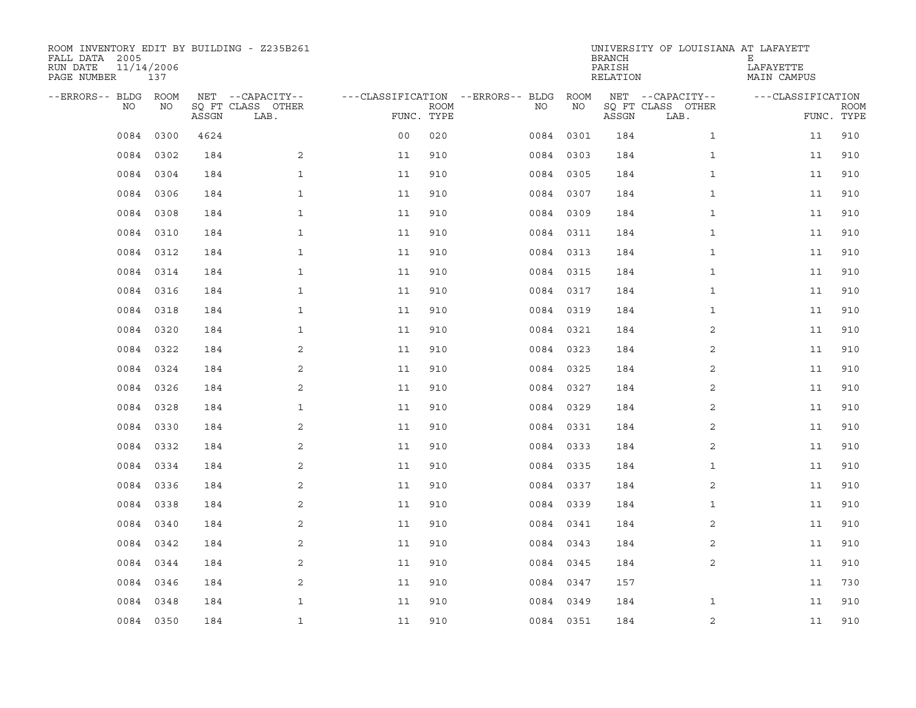| ROOM INVENTORY EDIT BY BUILDING - Z235B261<br>FALL DATA 2005<br>RUN DATE<br>PAGE NUMBER | 11/14/2006<br>137 |       |                                               |                |             |                                         |            | <b>BRANCH</b><br>PARISH<br>RELATION | UNIVERSITY OF LOUISIANA AT LAFAYETT           | Ε<br>LAFAYETTE<br>MAIN CAMPUS |                           |
|-----------------------------------------------------------------------------------------|-------------------|-------|-----------------------------------------------|----------------|-------------|-----------------------------------------|------------|-------------------------------------|-----------------------------------------------|-------------------------------|---------------------------|
| --ERRORS-- BLDG ROOM<br>NO                                                              | NO                | ASSGN | NET --CAPACITY--<br>SQ FT CLASS OTHER<br>LAB. | FUNC. TYPE     | <b>ROOM</b> | ---CLASSIFICATION --ERRORS-- BLDG<br>NO | ROOM<br>ΝO | ASSGN                               | NET --CAPACITY--<br>SQ FT CLASS OTHER<br>LAB. | ---CLASSIFICATION             | <b>ROOM</b><br>FUNC. TYPE |
| 0084                                                                                    | 0300              | 4624  |                                               | 0 <sub>0</sub> | 020         | 0084                                    | 0301       | 184                                 | $\mathbf{1}$                                  | 11                            | 910                       |
| 0084                                                                                    | 0302              | 184   | 2                                             | 11             | 910         |                                         | 0084 0303  | 184                                 | $\mathbf{1}$                                  | 11                            | 910                       |
| 0084                                                                                    | 0304              | 184   | $\mathbf{1}$                                  | 11             | 910         |                                         | 0084 0305  | 184                                 | $\mathbf{1}$                                  | 11                            | 910                       |
| 0084                                                                                    | 0306              | 184   | $\mathbf{1}$                                  | 11             | 910         |                                         | 0084 0307  | 184                                 | $\mathbf{1}$                                  | 11                            | 910                       |
| 0084                                                                                    | 0308              | 184   | $\mathbf{1}$                                  | 11             | 910         |                                         | 0084 0309  | 184                                 | $\mathbf{1}$                                  | 11                            | 910                       |
|                                                                                         | 0084 0310         | 184   | $\mathbf 1$                                   | 11             | 910         |                                         | 0084 0311  | 184                                 | $\mathbf{1}$                                  | 11                            | 910                       |
|                                                                                         | 0084 0312         | 184   | $\mathbf{1}$                                  | 11             | 910         |                                         | 0084 0313  | 184                                 | $\mathbf{1}$                                  | 11                            | 910                       |
|                                                                                         | 0084 0314         | 184   | $\mathbf{1}$                                  | 11             | 910         |                                         | 0084 0315  | 184                                 | $\mathbf{1}$                                  | 11                            | 910                       |
| 0084                                                                                    | 0316              | 184   | $\mathbf{1}$                                  | 11             | 910         |                                         | 0084 0317  | 184                                 | $\mathbf{1}$                                  | 11                            | 910                       |
|                                                                                         | 0084 0318         | 184   | $\mathbf{1}$                                  | 11             | 910         |                                         | 0084 0319  | 184                                 | $\mathbf{1}$                                  | 11                            | 910                       |
| 0084                                                                                    | 0320              | 184   | $\mathbf{1}$                                  | 11             | 910         |                                         | 0084 0321  | 184                                 | 2                                             | 11                            | 910                       |
|                                                                                         | 0084 0322         | 184   | 2                                             | 11             | 910         |                                         | 0084 0323  | 184                                 | $\overline{2}$                                | 11                            | 910                       |
| 0084                                                                                    | 0324              | 184   | 2                                             | 11             | 910         |                                         | 0084 0325  | 184                                 | 2                                             | 11                            | 910                       |
| 0084                                                                                    | 0326              | 184   | 2                                             | 11             | 910         |                                         | 0084 0327  | 184                                 | 2                                             | 11                            | 910                       |
| 0084                                                                                    | 0328              | 184   | $\mathbf{1}$                                  | 11             | 910         |                                         | 0084 0329  | 184                                 | 2                                             | 11                            | 910                       |
| 0084                                                                                    | 0330              | 184   | 2                                             | 11             | 910         |                                         | 0084 0331  | 184                                 | 2                                             | 11                            | 910                       |
| 0084                                                                                    | 0332              | 184   | 2                                             | 11             | 910         | 0084                                    | 0333       | 184                                 | 2                                             | 11                            | 910                       |
| 0084                                                                                    | 0334              | 184   | 2                                             | 11             | 910         |                                         | 0084 0335  | 184                                 | $\mathbf{1}$                                  | 11                            | 910                       |
| 0084                                                                                    | 0336              | 184   | 2                                             | 11             | 910         |                                         | 0084 0337  | 184                                 | 2                                             | 11                            | 910                       |
| 0084                                                                                    | 0338              | 184   | 2                                             | 11             | 910         |                                         | 0084 0339  | 184                                 | $\mathbf{1}$                                  | 11                            | 910                       |
| 0084                                                                                    | 0340              | 184   | 2                                             | 11             | 910         |                                         | 0084 0341  | 184                                 | 2                                             | 11                            | 910                       |
| 0084                                                                                    | 0342              | 184   | 2                                             | 11             | 910         |                                         | 0084 0343  | 184                                 | 2                                             | 11                            | 910                       |
|                                                                                         | 0084 0344         | 184   | 2                                             | 11             | 910         |                                         | 0084 0345  | 184                                 | 2                                             | 11                            | 910                       |
| 0084                                                                                    | 0346              | 184   | 2                                             | 11             | 910         |                                         | 0084 0347  | 157                                 |                                               | 11                            | 730                       |
| 0084                                                                                    | 0348              | 184   | $\mathbf{1}$                                  | 11             | 910         | 0084                                    | 0349       | 184                                 | $\mathbf{1}$                                  | 11                            | 910                       |
|                                                                                         | 0084 0350         | 184   | $\mathbf{1}$                                  | 11             | 910         |                                         | 0084 0351  | 184                                 | 2                                             | 11                            | 910                       |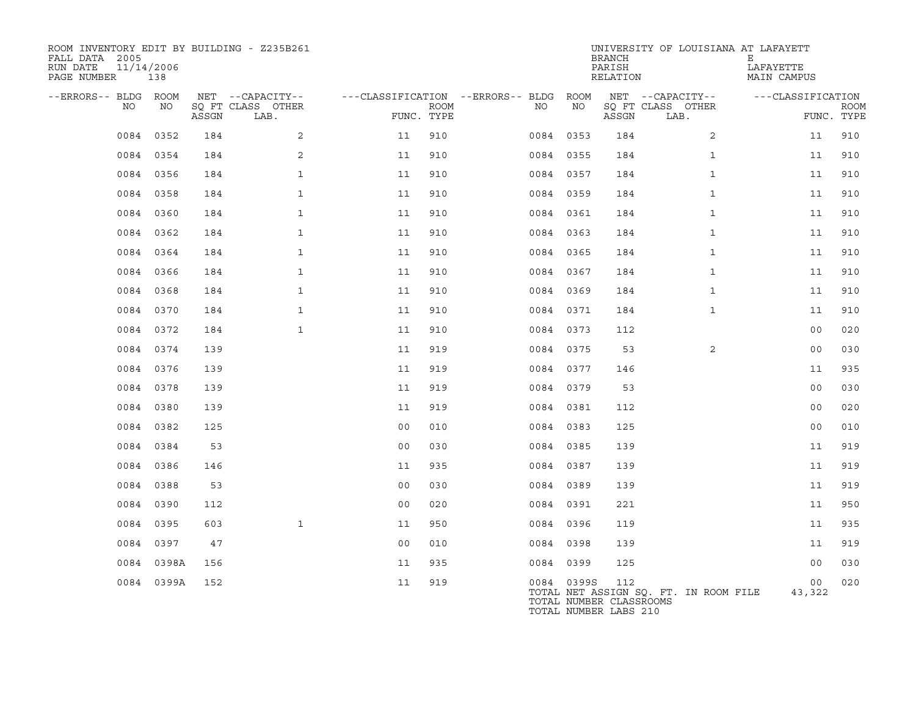| ROOM INVENTORY EDIT BY BUILDING - Z235B261<br>FALL DATA 2005<br>RUN DATE<br>11/14/2006<br>PAGE NUMBER | 138        |       |                           |                |             |                                              |            | <b>BRANCH</b><br>PARISH<br>RELATION                     | UNIVERSITY OF LOUISIANA AT LAFAYETT   | Е<br>LAFAYETTE<br>MAIN CAMPUS |                           |
|-------------------------------------------------------------------------------------------------------|------------|-------|---------------------------|----------------|-------------|----------------------------------------------|------------|---------------------------------------------------------|---------------------------------------|-------------------------------|---------------------------|
| --ERRORS-- BLDG ROOM<br>NO                                                                            | NO         |       | NET --CAPACITY--          |                | <b>ROOM</b> | ---CLASSIFICATION --ERRORS-- BLDG ROOM<br>NO | ΝO         |                                                         | NET --CAPACITY--                      | ---CLASSIFICATION             |                           |
|                                                                                                       |            | ASSGN | SQ FT CLASS OTHER<br>LAB. | FUNC. TYPE     |             |                                              |            | ASSGN                                                   | SQ FT CLASS OTHER<br>LAB.             |                               | <b>ROOM</b><br>FUNC. TYPE |
|                                                                                                       | 0084 0352  | 184   | 2                         | 11             | 910         |                                              | 0084 0353  | 184                                                     | $\overline{a}$                        | 11                            | 910                       |
|                                                                                                       | 0084 0354  | 184   | 2                         | 11             | 910         |                                              | 0084 0355  | 184                                                     | $\mathbf{1}$                          | 11                            | 910                       |
|                                                                                                       | 0084 0356  | 184   | $\mathbf{1}$              | 11             | 910         |                                              | 0084 0357  | 184                                                     | $\mathbf{1}$                          | 11                            | 910                       |
|                                                                                                       | 0084 0358  | 184   | $\mathbf{1}$              | 11             | 910         |                                              | 0084 0359  | 184                                                     | $\mathbf{1}$                          | 11                            | 910                       |
|                                                                                                       | 0084 0360  | 184   | $\mathbf{1}$              | 11             | 910         |                                              | 0084 0361  | 184                                                     | $\mathbf{1}$                          | 11                            | 910                       |
|                                                                                                       | 0084 0362  | 184   | $\mathbf{1}$              | 11             | 910         |                                              | 0084 0363  | 184                                                     | $\mathbf{1}$                          | 11                            | 910                       |
|                                                                                                       | 0084 0364  | 184   | $\mathbf{1}$              | 11             | 910         |                                              | 0084 0365  | 184                                                     | $\mathbf{1}$                          | 11                            | 910                       |
|                                                                                                       | 0084 0366  | 184   | $\mathbf{1}$              | 11             | 910         |                                              | 0084 0367  | 184                                                     | $\mathbf{1}$                          | 11                            | 910                       |
|                                                                                                       | 0084 0368  | 184   | $\mathbf{1}$              | 11             | 910         |                                              | 0084 0369  | 184                                                     | $\mathbf{1}$                          | 11                            | 910                       |
|                                                                                                       | 0084 0370  | 184   | $\mathbf{1}$              | 11             | 910         |                                              | 0084 0371  | 184                                                     | $\mathbf{1}$                          | 11                            | 910                       |
|                                                                                                       | 0084 0372  | 184   | $\mathbf{1}$              | 11             | 910         |                                              | 0084 0373  | 112                                                     |                                       | 0 <sub>0</sub>                | 020                       |
|                                                                                                       | 0084 0374  | 139   |                           | 11             | 919         |                                              | 0084 0375  | 53                                                      | 2                                     | 0 <sub>0</sub>                | 030                       |
|                                                                                                       | 0084 0376  | 139   |                           | 11             | 919         |                                              | 0084 0377  | 146                                                     |                                       | 11                            | 935                       |
|                                                                                                       | 0084 0378  | 139   |                           | 11             | 919         |                                              | 0084 0379  | 53                                                      |                                       | 0 <sub>0</sub>                | 030                       |
|                                                                                                       | 0084 0380  | 139   |                           | 11             | 919         |                                              | 0084 0381  | 112                                                     |                                       | 0 <sub>0</sub>                | 020                       |
|                                                                                                       | 0084 0382  | 125   |                           | 0 <sub>0</sub> | 010         |                                              | 0084 0383  | 125                                                     |                                       | 0 <sub>0</sub>                | 010                       |
|                                                                                                       | 0084 0384  | 53    |                           | 0 <sub>0</sub> | 030         |                                              | 0084 0385  | 139                                                     |                                       | 11                            | 919                       |
|                                                                                                       | 0084 0386  | 146   |                           | 11             | 935         |                                              | 0084 0387  | 139                                                     |                                       | 11                            | 919                       |
|                                                                                                       | 0084 0388  | 53    |                           | 0 <sub>0</sub> | 030         |                                              | 0084 0389  | 139                                                     |                                       | 11                            | 919                       |
|                                                                                                       | 0084 0390  | 112   |                           | 0 <sub>0</sub> | 020         |                                              | 0084 0391  | 221                                                     |                                       | 11                            | 950                       |
|                                                                                                       | 0084 0395  | 603   | $\mathbf{1}$              | 11             | 950         |                                              | 0084 0396  | 119                                                     |                                       | 11                            | 935                       |
|                                                                                                       | 0084 0397  | 47    |                           | 0 <sub>0</sub> | 010         |                                              | 0084 0398  | 139                                                     |                                       | 11                            | 919                       |
|                                                                                                       | 0084 0398A | 156   |                           | 11             | 935         |                                              | 0084 0399  | 125                                                     |                                       | 0 <sub>0</sub>                | 030                       |
|                                                                                                       | 0084 0399A | 152   |                           | 11             | 919         |                                              | 0084 0399S | 112<br>TOTAL NUMBER CLASSROOMS<br>TOTAL NUMBER LABS 210 | TOTAL NET ASSIGN SQ. FT. IN ROOM FILE | 00<br>43,322                  | 020                       |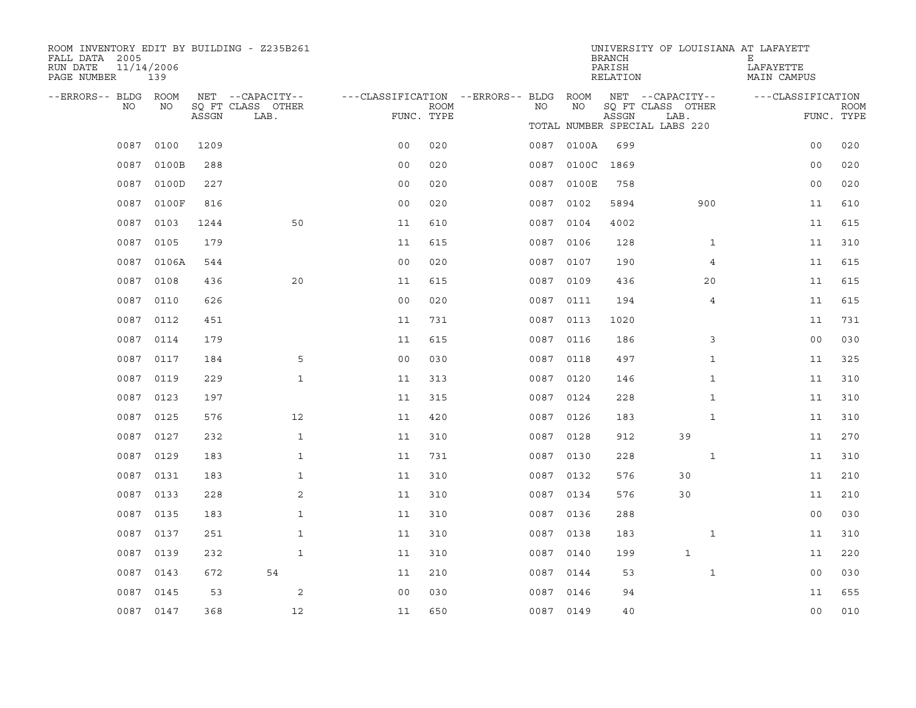| ROOM INVENTORY EDIT BY BUILDING - Z235B261<br>FALL DATA 2005<br>RUN DATE<br>PAGE NUMBER | 11/14/2006<br>139 |       |                                               |                                                      |             |           |            | <b>BRANCH</b><br>PARISH<br>RELATION | UNIVERSITY OF LOUISIANA AT LAFAYETT           | Е<br>LAFAYETTE<br>MAIN CAMPUS |                           |
|-----------------------------------------------------------------------------------------|-------------------|-------|-----------------------------------------------|------------------------------------------------------|-------------|-----------|------------|-------------------------------------|-----------------------------------------------|-------------------------------|---------------------------|
| --ERRORS-- BLDG ROOM<br>NO.                                                             | NO                | ASSGN | NET --CAPACITY--<br>SQ FT CLASS OTHER<br>LAB. | ---CLASSIFICATION --ERRORS-- BLDG ROOM<br>FUNC. TYPE | <b>ROOM</b> | NO.       | NO.        | ASSGN                               | NET --CAPACITY--<br>SQ FT CLASS OTHER<br>LAB. | ---CLASSIFICATION             | <b>ROOM</b><br>FUNC. TYPE |
|                                                                                         |                   |       |                                               |                                                      |             |           |            |                                     | TOTAL NUMBER SPECIAL LABS 220                 |                               |                           |
| 0087                                                                                    | 0100              | 1209  |                                               | 0 <sub>0</sub>                                       | 020         |           | 0087 0100A | 699                                 |                                               | 0 <sub>0</sub>                | 020                       |
| 0087                                                                                    | 0100B             | 288   |                                               | 0 <sub>0</sub>                                       | 020         |           | 0087 0100C | 1869                                |                                               | 0 <sub>0</sub>                | 020                       |
| 0087                                                                                    | 0100D             | 227   |                                               | 0 <sup>0</sup>                                       | 020         |           | 0087 0100E | 758                                 |                                               | 0 <sub>0</sub>                | 020                       |
|                                                                                         | 0087 0100F        | 816   |                                               | 0 <sub>0</sub>                                       | 020         |           | 0087 0102  | 5894                                | 900                                           | 11                            | 610                       |
|                                                                                         | 0087 0103         | 1244  | 50                                            | 11                                                   | 610         | 0087 0104 |            | 4002                                |                                               | 11                            | 615                       |
|                                                                                         | 0087 0105         | 179   |                                               | 11                                                   | 615         |           | 0087 0106  | 128                                 | $\mathbf{1}$                                  | 11                            | 310                       |
|                                                                                         | 0087 0106A        | 544   |                                               | 0 <sub>0</sub>                                       | 020         | 0087 0107 |            | 190                                 | 4                                             | 11                            | 615                       |
|                                                                                         | 0087 0108         | 436   | 20                                            | 11                                                   | 615         | 0087 0109 |            | 436                                 | 20                                            | 11                            | 615                       |
| 0087                                                                                    | 0110              | 626   |                                               | 0 <sub>0</sub>                                       | 020         | 0087 0111 |            | 194                                 | 4                                             | 11                            | 615                       |
|                                                                                         | 0087 0112         | 451   |                                               | 11                                                   | 731         | 0087 0113 |            | 1020                                |                                               | 11                            | 731                       |
| 0087                                                                                    | 0114              | 179   |                                               | 11                                                   | 615         | 0087 0116 |            | 186                                 | 3                                             | 0 <sub>0</sub>                | 030                       |
|                                                                                         | 0087 0117         | 184   | 5                                             | 0 <sub>0</sub>                                       | 030         | 0087 0118 |            | 497                                 | $\mathbf{1}$                                  | 11                            | 325                       |
| 0087                                                                                    | 0119              | 229   | $\mathbf{1}$                                  | 11                                                   | 313         | 0087 0120 |            | 146                                 | $\mathbf{1}$                                  | 11                            | 310                       |
|                                                                                         | 0087 0123         | 197   |                                               | 11                                                   | 315         | 0087 0124 |            | 228                                 | $\mathbf{1}$                                  | 11                            | 310                       |
| 0087                                                                                    | 0125              | 576   | $12 \overline{ }$                             | 11                                                   | 420         | 0087 0126 |            | 183                                 | $\mathbf{1}$                                  | 11                            | 310                       |
|                                                                                         | 0087 0127         | 232   | $\mathbf{1}$                                  | 11                                                   | 310         | 0087 0128 |            | 912                                 | 39                                            | 11                            | 270                       |
| 0087                                                                                    | 0129              | 183   | $\mathbf{1}$                                  | 11                                                   | 731         | 0087      | 0130       | 228                                 | $\mathbf{1}$                                  | 11                            | 310                       |
|                                                                                         | 0087 0131         | 183   | $\mathbf 1$                                   | 11                                                   | 310         | 0087 0132 |            | 576                                 | 30                                            | 11                            | 210                       |
| 0087                                                                                    | 0133              | 228   | 2                                             | 11                                                   | 310         | 0087      | 0134       | 576                                 | 30                                            | 11                            | 210                       |
| 0087                                                                                    | 0135              | 183   | $\mathbf{1}$                                  | 11                                                   | 310         | 0087 0136 |            | 288                                 |                                               | 0 <sub>0</sub>                | 030                       |
| 0087                                                                                    | 0137              | 251   | $\mathbf{1}$                                  | 11                                                   | 310         | 0087      | 0138       | 183                                 | $\mathbf{1}$                                  | 11                            | 310                       |
| 0087                                                                                    | 0139              | 232   | $\mathbf{1}$                                  | 11                                                   | 310         | 0087 0140 |            | 199                                 | $\mathbf 1$                                   | 11                            | 220                       |
| 0087                                                                                    | 0143              | 672   | 54                                            | 11                                                   | 210         | 0087      | 0144       | 53                                  | $\mathbf{1}$                                  | 0 <sub>0</sub>                | 030                       |
| 0087                                                                                    | 0145              | 53    | 2                                             | 0 <sub>0</sub>                                       | 030         | 0087 0146 |            | 94                                  |                                               | 11                            | 655                       |
|                                                                                         | 0087 0147         | 368   | 12                                            | 11                                                   | 650         | 0087 0149 |            | 40                                  |                                               | 0 <sub>0</sub>                | 010                       |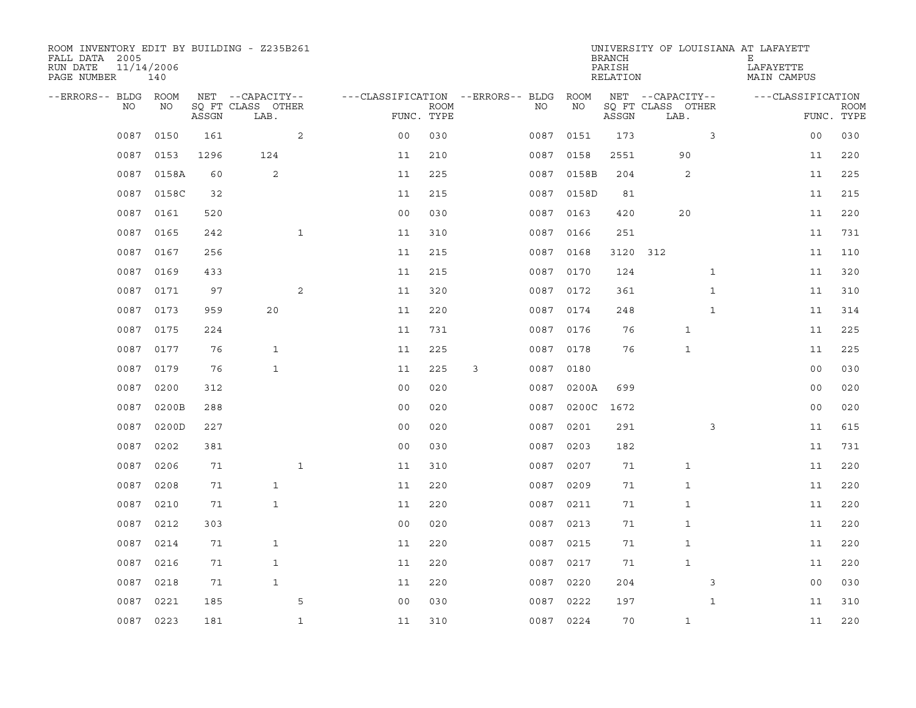| ROOM INVENTORY EDIT BY BUILDING - Z235B261<br>FALL DATA 2005<br>RUN DATE<br>PAGE NUMBER | 11/14/2006<br>140 |       |                                       |              |                                        |      |   |      |            | <b>BRANCH</b><br>PARISH<br>RELATION |                                       |              | UNIVERSITY OF LOUISIANA AT LAFAYETT<br>Е<br>LAFAYETTE<br>MAIN CAMPUS |                |             |
|-----------------------------------------------------------------------------------------|-------------------|-------|---------------------------------------|--------------|----------------------------------------|------|---|------|------------|-------------------------------------|---------------------------------------|--------------|----------------------------------------------------------------------|----------------|-------------|
| --ERRORS-- BLDG ROOM<br>NO                                                              | NO                |       | NET --CAPACITY--<br>SQ FT CLASS OTHER |              | ---CLASSIFICATION --ERRORS-- BLDG ROOM | ROOM |   | NO   | NO         |                                     | NET --CAPACITY--<br>SQ FT CLASS OTHER |              | ---CLASSIFICATION                                                    |                | <b>ROOM</b> |
|                                                                                         |                   | ASSGN | LAB.                                  |              | FUNC. TYPE                             |      |   |      |            | ASSGN                               | LAB.                                  |              |                                                                      | FUNC. TYPE     |             |
| 0087                                                                                    | 0150              | 161   |                                       | 2            | 0 <sub>0</sub>                         | 030  |   | 0087 | 0151       | 173                                 |                                       | 3            |                                                                      | 00             | 030         |
| 0087                                                                                    | 0153              | 1296  | 124                                   |              | 11                                     | 210  |   | 0087 | 0158       | 2551                                | 90                                    |              |                                                                      | 11             | 220         |
| 0087                                                                                    | 0158A             | 60    | 2                                     |              | 11                                     | 225  |   | 0087 | 0158B      | 204                                 | 2                                     |              |                                                                      | 11             | 225         |
| 0087                                                                                    | 0158C             | 32    |                                       |              | 11                                     | 215  |   |      | 0087 0158D | 81                                  |                                       |              |                                                                      | 11             | 215         |
| 0087                                                                                    | 0161              | 520   |                                       |              | 0 <sub>0</sub>                         | 030  |   |      | 0087 0163  | 420                                 | 20                                    |              |                                                                      | 11             | 220         |
| 0087                                                                                    | 0165              | 242   |                                       | $\mathbf{1}$ | 11                                     | 310  |   |      | 0087 0166  | 251                                 |                                       |              |                                                                      | 11             | 731         |
| 0087                                                                                    | 0167              | 256   |                                       |              | 11                                     | 215  |   | 0087 | 0168       | 3120                                | 312                                   |              |                                                                      | 11             | 110         |
| 0087                                                                                    | 0169              | 433   |                                       |              | 11                                     | 215  |   |      | 0087 0170  | 124                                 |                                       | $\mathbf{1}$ |                                                                      | 11             | 320         |
| 0087                                                                                    | 0171              | 97    |                                       | 2            | 11                                     | 320  |   | 0087 | 0172       | 361                                 |                                       | $\mathbf{1}$ |                                                                      | 11             | 310         |
| 0087                                                                                    | 0173              | 959   | 20                                    |              | 11                                     | 220  |   |      | 0087 0174  | 248                                 |                                       | $\mathbf{1}$ |                                                                      | 11             | 314         |
| 0087                                                                                    | 0175              | 224   |                                       |              | 11                                     | 731  |   |      | 0087 0176  | 76                                  | $\mathbf 1$                           |              |                                                                      | 11             | 225         |
|                                                                                         | 0087 0177         | 76    | $\mathbf{1}$                          |              | 11                                     | 225  |   |      | 0087 0178  | 76                                  | $\mathbf{1}$                          |              |                                                                      | 11             | 225         |
| 0087                                                                                    | 0179              | 76    | $\mathbf{1}$                          |              | 11                                     | 225  | 3 | 0087 | 0180       |                                     |                                       |              |                                                                      | 0 <sub>0</sub> | 030         |
| 0087                                                                                    | 0200              | 312   |                                       |              | 0 <sub>0</sub>                         | 020  |   | 0087 | 0200A      | 699                                 |                                       |              |                                                                      | 00             | 020         |
| 0087                                                                                    | 0200B             | 288   |                                       |              | 0 <sub>0</sub>                         | 020  |   | 0087 | 0200C      | 1672                                |                                       |              |                                                                      | 0 <sub>0</sub> | 020         |
| 0087                                                                                    | 0200D             | 227   |                                       |              | 0 <sub>0</sub>                         | 020  |   | 0087 | 0201       | 291                                 |                                       | 3            |                                                                      | 11             | 615         |
| 0087                                                                                    | 0202              | 381   |                                       |              | 0 <sub>0</sub>                         | 030  |   | 0087 | 0203       | 182                                 |                                       |              |                                                                      | 11             | 731         |
| 0087                                                                                    | 0206              | 71    |                                       | $\mathbf{1}$ | 11                                     | 310  |   | 0087 | 0207       | 71                                  | 1                                     |              |                                                                      | 11             | 220         |
| 0087                                                                                    | 0208              | 71    | $\mathbf{1}$                          |              | 11                                     | 220  |   |      | 0087 0209  | 71                                  | $\mathbf{1}$                          |              |                                                                      | 11             | 220         |
| 0087                                                                                    | 0210              | 71    | $\mathbf{1}$                          |              | 11                                     | 220  |   | 0087 | 0211       | 71                                  | $\mathbf{1}$                          |              |                                                                      | 11             | 220         |
| 0087                                                                                    | 0212              | 303   |                                       |              | 0 <sub>0</sub>                         | 020  |   |      | 0087 0213  | 71                                  | 1                                     |              |                                                                      | 11             | 220         |
| 0087                                                                                    | 0214              | 71    | $\mathbf{1}$                          |              | 11                                     | 220  |   | 0087 | 0215       | 71                                  | $\mathbf 1$                           |              |                                                                      | 11             | 220         |
| 0087                                                                                    | 0216              | 71    | $\mathbf{1}$                          |              | 11                                     | 220  |   |      | 0087 0217  | 71                                  | $\mathbf{1}$                          |              |                                                                      | 11             | 220         |
| 0087                                                                                    | 0218              | 71    | $\mathbf{1}$                          |              | 11                                     | 220  |   | 0087 | 0220       | 204                                 |                                       | 3            |                                                                      | 0 <sub>0</sub> | 030         |
| 0087                                                                                    | 0221              | 185   |                                       | 5            | 0 <sub>0</sub>                         | 030  |   | 0087 | 0222       | 197                                 |                                       | $\mathbf{1}$ |                                                                      | 11             | 310         |
|                                                                                         | 0087 0223         | 181   |                                       | $\mathbf{1}$ | 11                                     | 310  |   |      | 0087 0224  | 70                                  | $\mathbf{1}$                          |              |                                                                      | 11             | 220         |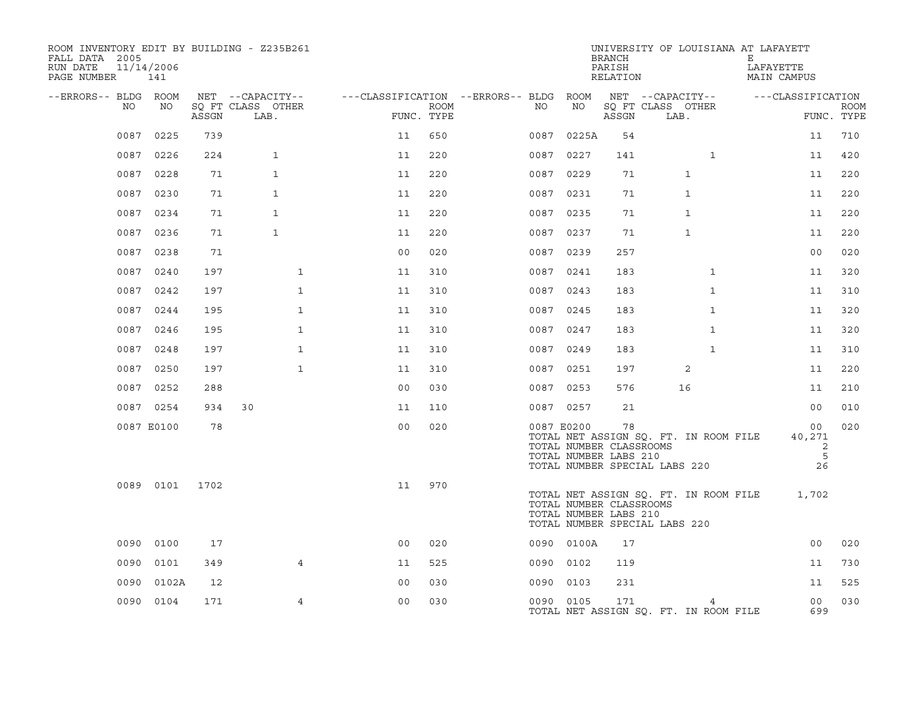| ROOM INVENTORY EDIT BY BUILDING - Z235B261<br>FALL DATA 2005<br>RUN DATE<br>PAGE NUMBER | 11/14/2006<br>141 |       |                           |                |      |                                        |            | <b>BRANCH</b><br>PARISH<br>RELATION                    | UNIVERSITY OF LOUISIANA AT LAFAYETT                                    | Е<br>LAFAYETTE<br>MAIN CAMPUS |                           |
|-----------------------------------------------------------------------------------------|-------------------|-------|---------------------------|----------------|------|----------------------------------------|------------|--------------------------------------------------------|------------------------------------------------------------------------|-------------------------------|---------------------------|
| --ERRORS-- BLDG ROOM                                                                    |                   |       | NET --CAPACITY--          |                |      | ---CLASSIFICATION --ERRORS-- BLDG ROOM |            |                                                        | NET --CAPACITY--                                                       | ---CLASSIFICATION             |                           |
| NO                                                                                      | NO                | ASSGN | SO FT CLASS OTHER<br>LAB. | FUNC. TYPE     | ROOM | NO                                     | NO         | ASSGN                                                  | SQ FT CLASS OTHER<br>LAB.                                              |                               | <b>ROOM</b><br>FUNC. TYPE |
|                                                                                         | 0087 0225         | 739   |                           | 11             | 650  |                                        | 0087 0225A | 54                                                     |                                                                        | 11                            | 710                       |
|                                                                                         | 0087 0226         | 224   | $\mathbf{1}$              | 11             | 220  |                                        | 0087 0227  | 141                                                    | $\mathbf{1}$                                                           | 11                            | 420                       |
| 0087                                                                                    | 0228              | 71    | $\mathbf{1}$              | 11             | 220  |                                        | 0087 0229  | 71                                                     | $\mathbf{1}$                                                           | 11                            | 220                       |
| 0087                                                                                    | 0230              | 71    | $\mathbf{1}$              | 11             | 220  | 0087                                   | 0231       | 71                                                     | $\mathbf{1}$                                                           | 11                            | 220                       |
| 0087                                                                                    | 0234              | 71    | 1                         | 11             | 220  |                                        | 0087 0235  | 71                                                     | 1                                                                      | 11                            | 220                       |
| 0087                                                                                    | 0236              | 71    | $\mathbf{1}$              | 11             | 220  |                                        | 0087 0237  | 71                                                     | $\mathbf{1}$                                                           | 11                            | 220                       |
| 0087                                                                                    | 0238              | 71    |                           | 0 <sub>0</sub> | 020  |                                        | 0087 0239  | 257                                                    |                                                                        | 0 <sub>0</sub>                | 020                       |
| 0087                                                                                    | 0240              | 197   | $\mathbf{1}$              | 11             | 310  |                                        | 0087 0241  | 183                                                    | $\mathbf{1}$                                                           | 11                            | 320                       |
| 0087                                                                                    | 0242              | 197   | $\mathbf{1}$              | 11             | 310  |                                        | 0087 0243  | 183                                                    | $\mathbf{1}$                                                           | 11                            | 310                       |
|                                                                                         | 0087 0244         | 195   | $\mathbf{1}$              | 11             | 310  |                                        | 0087 0245  | 183                                                    | $\mathbf{1}$                                                           | 11                            | 320                       |
|                                                                                         | 0087 0246         | 195   | $\mathbf{1}$              | 11             | 310  |                                        | 0087 0247  | 183                                                    | $\mathbf{1}$                                                           | 11                            | 320                       |
| 0087                                                                                    | 0248              | 197   | $\mathbf{1}$              | 11             | 310  |                                        | 0087 0249  | 183                                                    | $\mathbf{1}$                                                           | 11                            | 310                       |
|                                                                                         | 0087 0250         | 197   | $\mathbf{1}$              | 11             | 310  |                                        | 0087 0251  | 197                                                    | 2                                                                      | 11                            | 220                       |
|                                                                                         | 0087 0252         | 288   |                           | 0 <sub>0</sub> | 030  |                                        | 0087 0253  | 576                                                    | 16                                                                     | 11                            | 210                       |
|                                                                                         | 0087 0254         | 934   | 30                        | 11             | 110  |                                        | 0087 0257  | 21                                                     |                                                                        | 0 <sub>0</sub>                | 010                       |
|                                                                                         | 0087 E0100        | 78    |                           | 0 <sub>0</sub> | 020  |                                        | 0087 E0200 | 78<br>TOTAL NUMBER CLASSROOMS<br>TOTAL NUMBER LABS 210 | TOTAL NET ASSIGN SQ. FT. IN ROOM FILE<br>TOTAL NUMBER SPECIAL LABS 220 | 00<br>40,271<br>2<br>5<br>26  | 020                       |
|                                                                                         | 0089 0101         | 1702  |                           | 11             | 970  |                                        |            | TOTAL NUMBER CLASSROOMS<br>TOTAL NUMBER LABS 210       | TOTAL NET ASSIGN SQ. FT. IN ROOM FILE<br>TOTAL NUMBER SPECIAL LABS 220 | 1,702                         |                           |
| 0090                                                                                    | 0100              | 17    |                           | 0 <sub>0</sub> | 020  |                                        | 0090 0100A | 17                                                     |                                                                        | 0 <sub>0</sub>                | 020                       |
| 0090                                                                                    | 0101              | 349   | 4                         | 11             | 525  | 0090                                   | 0102       | 119                                                    |                                                                        | 11                            | 730                       |
| 0090                                                                                    | 0102A             | 12    |                           | 0 <sub>0</sub> | 030  |                                        | 0090 0103  | 231                                                    |                                                                        | 11                            | 525                       |
|                                                                                         | 0090 0104         | 171   | $\overline{4}$            | 0 <sub>0</sub> | 030  |                                        | 0090 0105  | 171                                                    | 4<br>TOTAL NET ASSIGN SQ. FT. IN ROOM FILE                             | 0 <sub>0</sub><br>699         | 030                       |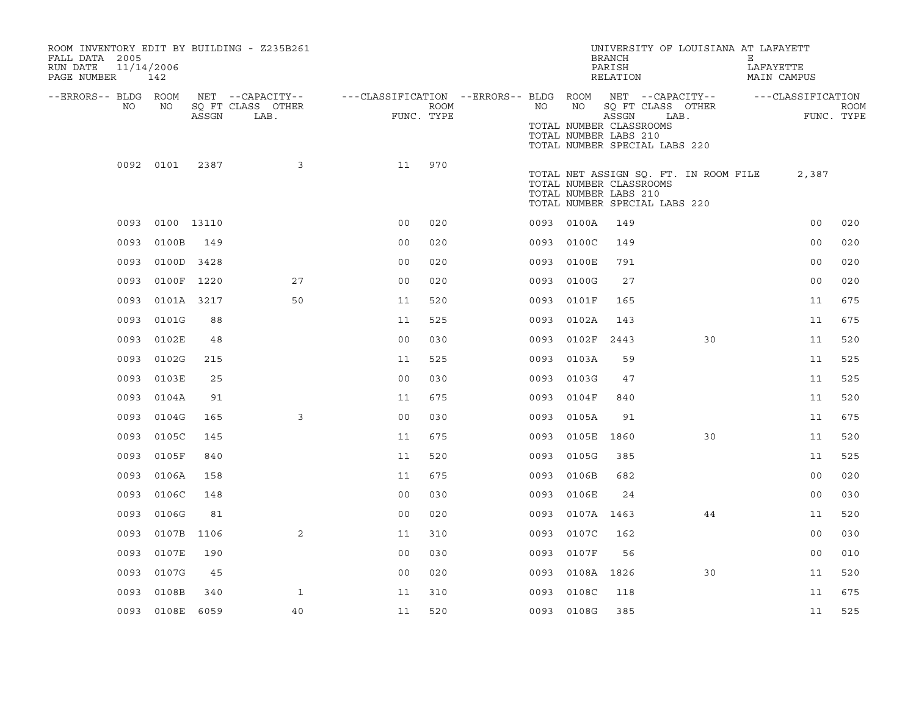| ROOM INVENTORY EDIT BY BUILDING - Z235B261<br>FALL DATA 2005<br>11/14/2006<br>RUN DATE<br>PAGE NUMBER | 142             |       |                                               |                                                         |                    |      |                 | UNIVERSITY OF LOUISIANA AT LAFAYETT<br><b>BRANCH</b><br>PARISH<br>RELATION                                                 |      | E.<br>LAFAYETTE<br>MAIN CAMPUS |                                 |             |
|-------------------------------------------------------------------------------------------------------|-----------------|-------|-----------------------------------------------|---------------------------------------------------------|--------------------|------|-----------------|----------------------------------------------------------------------------------------------------------------------------|------|--------------------------------|---------------------------------|-------------|
| --ERRORS-- BLDG ROOM<br>NO                                                                            | NO              | ASSGN | NET --CAPACITY--<br>SQ FT CLASS OTHER<br>LAB. | ---CLASSIFICATION --ERRORS-- BLDG ROOM NET --CAPACITY-- | ROOM<br>FUNC. TYPE | NO   | NO              | SQ FT CLASS OTHER<br>ASSGN<br>TOTAL NUMBER CLASSROOMS<br>TOTAL NUMBER LABS 210<br>TOTAL NUMBER SPECIAL LABS 220            | LAB. |                                | ---CLASSIFICATION<br>FUNC. TYPE | <b>ROOM</b> |
|                                                                                                       | 0092 0101       | 2387  | 3                                             | 11                                                      | 970                |      |                 | TOTAL NET ASSIGN SQ. FT. IN ROOM FILE<br>TOTAL NUMBER CLASSROOMS<br>TOTAL NUMBER LABS 210<br>TOTAL NUMBER SPECIAL LABS 220 |      |                                | 2,387                           |             |
|                                                                                                       | 0093 0100 13110 |       |                                               | 0 <sub>0</sub>                                          | 020                |      | 0093 0100A      | 149                                                                                                                        |      |                                | 0 <sub>0</sub>                  | 020         |
| 0093                                                                                                  | 0100B           | 149   |                                               | 0 <sub>0</sub>                                          | 020                |      | 0093 0100C      | 149                                                                                                                        |      |                                | 0 <sub>0</sub>                  | 020         |
|                                                                                                       | 0093 0100D 3428 |       |                                               | 0 <sub>0</sub>                                          | 020                |      | 0093 0100E      | 791                                                                                                                        |      |                                | 0 <sub>0</sub>                  | 020         |
| 0093                                                                                                  | 0100F 1220      |       | 27                                            | 0 <sub>0</sub>                                          | 020                |      | 0093 0100G      | 27                                                                                                                         |      |                                | 0 <sub>0</sub>                  | 020         |
| 0093                                                                                                  | 0101A 3217      |       | 50                                            | 11                                                      | 520                | 0093 | 0101F           | 165                                                                                                                        |      |                                | 11                              | 675         |
| 0093                                                                                                  | 0101G           | 88    |                                               | 11                                                      | 525                |      | 0093 0102A      | 143                                                                                                                        |      |                                | 11                              | 675         |
|                                                                                                       | 0093 0102E      | 48    |                                               | 0 <sub>0</sub>                                          | 030                |      | 0093 0102F      | 2443                                                                                                                       | 30   |                                | 11                              | 520         |
|                                                                                                       | 0093 0102G      | 215   |                                               | 11                                                      | 525                |      | 0093 0103A      | 59                                                                                                                         |      |                                | 11                              | 525         |
| 0093                                                                                                  | 0103E           | 25    |                                               | 0 <sub>0</sub>                                          | 030                | 0093 | 0103G           | 47                                                                                                                         |      |                                | 11                              | 525         |
| 0093                                                                                                  | 0104A           | 91    |                                               | 11                                                      | 675                |      | 0093 0104F      | 840                                                                                                                        |      |                                | 11                              | 520         |
| 0093                                                                                                  | 0104G           | 165   | 3                                             | 0 <sub>0</sub>                                          | 030                | 0093 | 0105A           | 91                                                                                                                         |      |                                | 11                              | 675         |
|                                                                                                       | 0093 0105C      | 145   |                                               | 11                                                      | 675                |      | 0093 0105E 1860 |                                                                                                                            | 30   |                                | 11                              | 520         |
| 0093                                                                                                  | 0105F           | 840   |                                               | 11                                                      | 520                | 0093 | 0105G           | 385                                                                                                                        |      |                                | 11                              | 525         |
| 0093                                                                                                  | 0106A           | 158   |                                               | 11                                                      | 675                |      | 0093 0106B      | 682                                                                                                                        |      |                                | 0 <sub>0</sub>                  | 020         |
| 0093                                                                                                  | 0106C           | 148   |                                               | 0 <sub>0</sub>                                          | 030                | 0093 | 0106E           | 24                                                                                                                         |      |                                | 0 <sub>0</sub>                  | 030         |
| 0093                                                                                                  | 0106G           | 81    |                                               | 0 <sub>0</sub>                                          | 020                | 0093 | 0107A 1463      |                                                                                                                            | 44   |                                | 11                              | 520         |
| 0093                                                                                                  | 0107B           | 1106  | $\overline{2}$                                | 11                                                      | 310                | 0093 | 0107C           | 162                                                                                                                        |      |                                | 0 <sub>0</sub>                  | 030         |
| 0093                                                                                                  | 0107E           | 190   |                                               | 0 <sub>0</sub>                                          | 030                | 0093 | 0107F           | 56                                                                                                                         |      |                                | 0 <sub>0</sub>                  | 010         |
| 0093                                                                                                  | 0107G           | 45    |                                               | 00                                                      | 020                | 0093 | 0108A 1826      |                                                                                                                            | 30   |                                | 11                              | 520         |
| 0093                                                                                                  | 0108B           | 340   | $\mathbf{1}$                                  | 11                                                      | 310                | 0093 | 0108C           | 118                                                                                                                        |      |                                | 11                              | 675         |
|                                                                                                       | 0093 0108E 6059 |       | 40                                            | 11                                                      | 520                |      | 0093 0108G      | 385                                                                                                                        |      |                                | 11                              | 525         |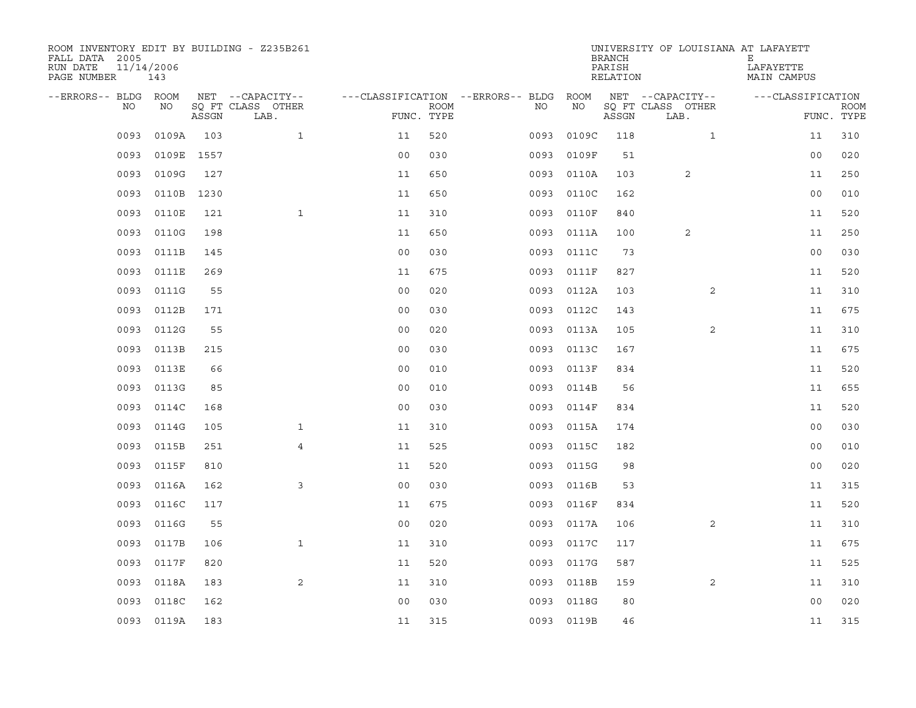| ROOM INVENTORY EDIT BY BUILDING - Z235B261<br>FALL DATA 2005<br>RUN DATE<br>PAGE NUMBER | 11/14/2006<br>143 |       |                           |                                        |             |      |            | <b>BRANCH</b><br>PARISH<br>RELATION | UNIVERSITY OF LOUISIANA AT LAFAYETT | Е<br>LAFAYETTE<br>MAIN CAMPUS |                           |
|-----------------------------------------------------------------------------------------|-------------------|-------|---------------------------|----------------------------------------|-------------|------|------------|-------------------------------------|-------------------------------------|-------------------------------|---------------------------|
| --ERRORS-- BLDG ROOM                                                                    |                   |       | NET --CAPACITY--          | ---CLASSIFICATION --ERRORS-- BLDG ROOM |             |      |            |                                     | NET --CAPACITY--                    | ---CLASSIFICATION             |                           |
| NO.                                                                                     | NO                | ASSGN | SQ FT CLASS OTHER<br>LAB. | FUNC. TYPE                             | <b>ROOM</b> | NO.  | NO         | ASSGN                               | SQ FT CLASS OTHER<br>LAB.           |                               | <b>ROOM</b><br>FUNC. TYPE |
| 0093                                                                                    | 0109A             | 103   | $\mathbf{1}$              | 11                                     | 520         | 0093 | 0109C      | 118                                 | $\mathbf{1}$                        | 11                            | 310                       |
| 0093                                                                                    | 0109E 1557        |       |                           | 0 <sub>0</sub>                         | 030         | 0093 | 0109F      | 51                                  |                                     | 0 <sub>0</sub>                | 020                       |
| 0093                                                                                    | 0109G             | 127   |                           | 11                                     | 650         | 0093 | 0110A      | 103                                 | 2                                   | 11                            | 250                       |
| 0093                                                                                    | 0110B 1230        |       |                           | 11                                     | 650         | 0093 | 0110C      | 162                                 |                                     | 0 <sub>0</sub>                | 010                       |
| 0093                                                                                    | 0110E             | 121   | $\mathbf{1}$              | 11                                     | 310         | 0093 | 0110F      | 840                                 |                                     | 11                            | 520                       |
| 0093                                                                                    | 0110G             | 198   |                           | 11                                     | 650         |      | 0093 0111A | 100                                 | 2                                   | 11                            | 250                       |
| 0093                                                                                    | 0111B             | 145   |                           | 0 <sub>0</sub>                         | 030         | 0093 | 0111C      | 73                                  |                                     | 0 <sub>0</sub>                | 030                       |
| 0093                                                                                    | 0111E             | 269   |                           | 11                                     | 675         | 0093 | 0111F      | 827                                 |                                     | 11                            | 520                       |
| 0093                                                                                    | 0111G             | 55    |                           | 0 <sub>0</sub>                         | 020         | 0093 | 0112A      | 103                                 | 2                                   | 11                            | 310                       |
| 0093                                                                                    | 0112B             | 171   |                           | 0 <sub>0</sub>                         | 030         |      | 0093 0112C | 143                                 |                                     | 11                            | 675                       |
| 0093                                                                                    | 0112G             | 55    |                           | 0 <sub>0</sub>                         | 020         | 0093 | 0113A      | 105                                 | $\overline{2}$                      | 11                            | 310                       |
| 0093                                                                                    | 0113B             | 215   |                           | 0 <sub>0</sub>                         | 030         |      | 0093 0113C | 167                                 |                                     | 11                            | 675                       |
| 0093                                                                                    | 0113E             | 66    |                           | 0 <sub>0</sub>                         | 010         | 0093 | 0113F      | 834                                 |                                     | 11                            | 520                       |
| 0093                                                                                    | 0113G             | 85    |                           | 0 <sub>0</sub>                         | 010         | 0093 | 0114B      | 56                                  |                                     | 11                            | 655                       |
| 0093                                                                                    | 0114C             | 168   |                           | 0 <sub>0</sub>                         | 030         | 0093 | 0114F      | 834                                 |                                     | 11                            | 520                       |
| 0093                                                                                    | 0114G             | 105   | $\mathbf{1}$              | 11                                     | 310         | 0093 | 0115A      | 174                                 |                                     | 0 <sub>0</sub>                | 030                       |
| 0093                                                                                    | 0115B             | 251   | 4                         | 11                                     | 525         | 0093 | 0115C      | 182                                 |                                     | 00                            | 010                       |
| 0093                                                                                    | 0115F             | 810   |                           | 11                                     | 520         |      | 0093 0115G | 98                                  |                                     | 00                            | 020                       |
| 0093                                                                                    | 0116A             | 162   | 3                         | 0 <sub>0</sub>                         | 030         |      | 0093 0116B | 53                                  |                                     | 11                            | 315                       |
| 0093                                                                                    | 0116C             | 117   |                           | 11                                     | 675         | 0093 | 0116F      | 834                                 |                                     | 11                            | 520                       |
| 0093                                                                                    | 0116G             | 55    |                           | 0 <sub>0</sub>                         | 020         | 0093 | 0117A      | 106                                 | 2                                   | 11                            | 310                       |
| 0093                                                                                    | 0117B             | 106   | $\mathbf{1}$              | 11                                     | 310         | 0093 | 0117C      | 117                                 |                                     | 11                            | 675                       |
| 0093                                                                                    | 0117F             | 820   |                           | 11                                     | 520         |      | 0093 0117G | 587                                 |                                     | 11                            | 525                       |
| 0093                                                                                    | 0118A             | 183   | 2                         | 11                                     | 310         | 0093 | 0118B      | 159                                 | $\overline{2}$                      | 11                            | 310                       |
| 0093                                                                                    | 0118C             | 162   |                           | 0 <sub>0</sub>                         | 030         |      | 0093 0118G | 80                                  |                                     | 0 <sub>0</sub>                | 020                       |
|                                                                                         | 0093 0119A        | 183   |                           | 11                                     | 315         |      | 0093 0119B | 46                                  |                                     | 11                            | 315                       |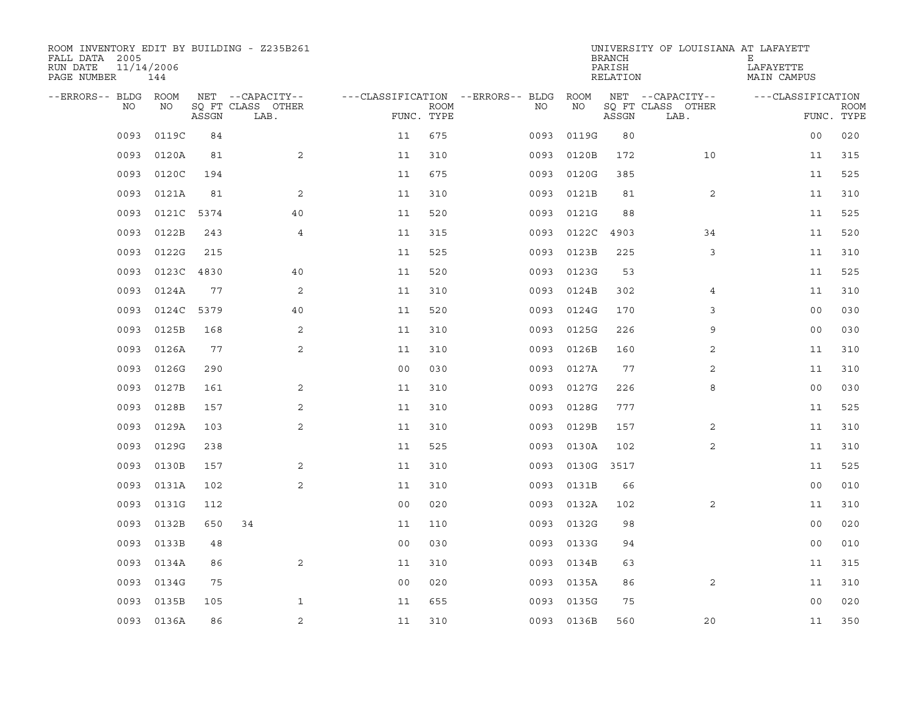| ROOM INVENTORY EDIT BY BUILDING - Z235B261<br>FALL DATA 2005<br>RUN DATE<br>PAGE NUMBER | 11/14/2006<br>144 |       |                           |                |             |                                   |            | <b>BRANCH</b><br>PARISH<br>RELATION | UNIVERSITY OF LOUISIANA AT LAFAYETT | Е<br>LAFAYETTE<br>MAIN CAMPUS |                           |
|-----------------------------------------------------------------------------------------|-------------------|-------|---------------------------|----------------|-------------|-----------------------------------|------------|-------------------------------------|-------------------------------------|-------------------------------|---------------------------|
| --ERRORS-- BLDG ROOM                                                                    |                   |       | NET --CAPACITY--          |                |             | ---CLASSIFICATION --ERRORS-- BLDG | ROOM       |                                     | NET --CAPACITY--                    | ---CLASSIFICATION             |                           |
| NO                                                                                      | NO                | ASSGN | SQ FT CLASS OTHER<br>LAB. | FUNC. TYPE     | <b>ROOM</b> | NO                                | NO         | ASSGN                               | SQ FT CLASS OTHER<br>LAB.           |                               | <b>ROOM</b><br>FUNC. TYPE |
| 0093                                                                                    | 0119C             | 84    |                           | 11             | 675         | 0093                              | 0119G      | 80                                  |                                     | 0 <sub>0</sub>                | 020                       |
| 0093                                                                                    | 0120A             | 81    | 2                         | 11             | 310         | 0093                              | 0120B      | 172                                 | 10                                  | 11                            | 315                       |
| 0093                                                                                    | 0120C             | 194   |                           | 11             | 675         | 0093                              | 0120G      | 385                                 |                                     | 11                            | 525                       |
| 0093                                                                                    | 0121A             | 81    | 2                         | 11             | 310         | 0093                              | 0121B      | 81                                  | 2                                   | 11                            | 310                       |
| 0093                                                                                    | 0121C             | 5374  | 40                        | 11             | 520         | 0093                              | 0121G      | 88                                  |                                     | 11                            | 525                       |
| 0093                                                                                    | 0122B             | 243   | 4                         | 11             | 315         | 0093                              | 0122C      | 4903                                | 34                                  | 11                            | 520                       |
| 0093                                                                                    | 0122G             | 215   |                           | 11             | 525         | 0093                              | 0123B      | 225                                 | 3                                   | 11                            | 310                       |
| 0093                                                                                    | 0123C 4830        |       | 40                        | 11             | 520         | 0093                              | 0123G      | 53                                  |                                     | 11                            | 525                       |
| 0093                                                                                    | 0124A             | 77    | 2                         | 11             | 310         | 0093                              | 0124B      | 302                                 | 4                                   | 11                            | 310                       |
| 0093                                                                                    | 0124C 5379        |       | 40                        | 11             | 520         | 0093                              | 0124G      | 170                                 | 3                                   | 0 <sub>0</sub>                | 030                       |
| 0093                                                                                    | 0125B             | 168   | 2                         | 11             | 310         | 0093                              | 0125G      | 226                                 | 9                                   | 0 <sub>0</sub>                | 030                       |
| 0093                                                                                    | 0126A             | 77    | 2                         | 11             | 310         | 0093                              | 0126B      | 160                                 | 2                                   | 11                            | 310                       |
| 0093                                                                                    | 0126G             | 290   |                           | 0 <sub>0</sub> | 030         | 0093                              | 0127A      | 77                                  | 2                                   | 11                            | 310                       |
| 0093                                                                                    | 0127B             | 161   | 2                         | 11             | 310         | 0093                              | 0127G      | 226                                 | 8                                   | 00                            | 030                       |
| 0093                                                                                    | 0128B             | 157   | 2                         | 11             | 310         | 0093                              | 0128G      | 777                                 |                                     | 11                            | 525                       |
| 0093                                                                                    | 0129A             | 103   | 2                         | 11             | 310         | 0093                              | 0129B      | 157                                 | 2                                   | 11                            | 310                       |
| 0093                                                                                    | 0129G             | 238   |                           | 11             | 525         | 0093                              | 0130A      | 102                                 | 2                                   | 11                            | 310                       |
| 0093                                                                                    | 0130B             | 157   | 2                         | 11             | 310         | 0093                              | 0130G      | 3517                                |                                     | 11                            | 525                       |
| 0093                                                                                    | 0131A             | 102   | 2                         | 11             | 310         | 0093                              | 0131B      | 66                                  |                                     | 0 <sub>0</sub>                | 010                       |
| 0093                                                                                    | 0131G             | 112   |                           | 0 <sub>0</sub> | 020         | 0093                              | 0132A      | 102                                 | $\overline{2}$                      | 11                            | 310                       |
| 0093                                                                                    | 0132B             | 650   | 34                        | 11             | 110         | 0093                              | 0132G      | 98                                  |                                     | 0 <sub>0</sub>                | 020                       |
| 0093                                                                                    | 0133B             | 48    |                           | 0 <sub>0</sub> | 030         | 0093                              | 0133G      | 94                                  |                                     | 0 <sub>0</sub>                | 010                       |
| 0093                                                                                    | 0134A             | 86    | 2                         | 11             | 310         | 0093                              | 0134B      | 63                                  |                                     | 11                            | 315                       |
| 0093                                                                                    | 0134G             | 75    |                           | 0 <sub>0</sub> | 020         | 0093                              | 0135A      | 86                                  | 2                                   | 11                            | 310                       |
| 0093                                                                                    | 0135B             | 105   | $\mathbf{1}$              | 11             | 655         | 0093                              | 0135G      | 75                                  |                                     | 0 <sub>0</sub>                | 020                       |
|                                                                                         | 0093 0136A        | 86    | 2                         | 11             | 310         |                                   | 0093 0136B | 560                                 | 20                                  | 11                            | 350                       |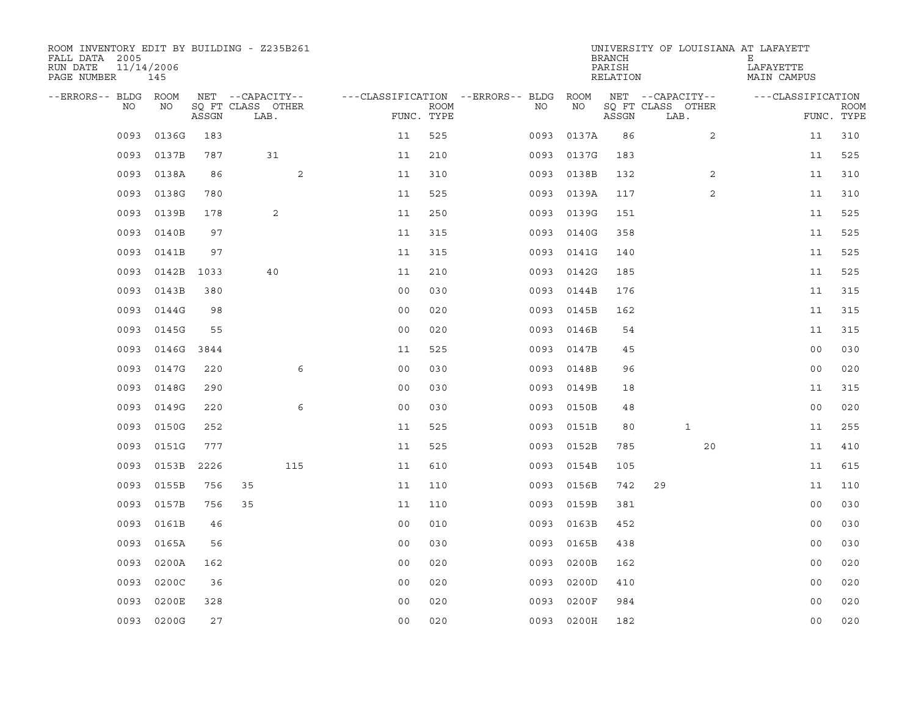| ROOM INVENTORY EDIT BY BUILDING - Z235B261<br>FALL DATA 2005<br>RUN DATE<br>PAGE NUMBER | 11/14/2006<br>145 |       |                           |                                   |                           |      |            | <b>BRANCH</b><br>PARISH<br>RELATION | UNIVERSITY OF LOUISIANA AT LAFAYETT | Е<br>LAFAYETTE<br>MAIN CAMPUS |                           |
|-----------------------------------------------------------------------------------------|-------------------|-------|---------------------------|-----------------------------------|---------------------------|------|------------|-------------------------------------|-------------------------------------|-------------------------------|---------------------------|
| --ERRORS-- BLDG                                                                         | ROOM              |       | NET --CAPACITY--          | ---CLASSIFICATION --ERRORS-- BLDG |                           |      | ROOM       |                                     | NET --CAPACITY--                    | ---CLASSIFICATION             |                           |
| NO                                                                                      | NO                | ASSGN | SO FT CLASS OTHER<br>LAB. |                                   | <b>ROOM</b><br>FUNC. TYPE | NO.  | NO         | ASSGN                               | SQ FT CLASS OTHER<br>LAB.           |                               | <b>ROOM</b><br>FUNC. TYPE |
| 0093                                                                                    | 0136G             | 183   |                           | 11                                | 525                       | 0093 | 0137A      | 86                                  | $\overline{2}$                      | 11                            | 310                       |
| 0093                                                                                    | 0137B             | 787   | 31                        | 11                                | 210                       | 0093 | 0137G      | 183                                 |                                     | 11                            | 525                       |
| 0093                                                                                    | 0138A             | 86    | 2                         | 11                                | 310                       | 0093 | 0138B      | 132                                 | 2                                   | 11                            | 310                       |
| 0093                                                                                    | 0138G             | 780   |                           | 11                                | 525                       | 0093 | 0139A      | 117                                 | 2                                   | 11                            | 310                       |
| 0093                                                                                    | 0139B             | 178   | 2                         | 11                                | 250                       | 0093 | 0139G      | 151                                 |                                     | 11                            | 525                       |
| 0093                                                                                    | 0140B             | 97    |                           | 11                                | 315                       | 0093 | 0140G      | 358                                 |                                     | 11                            | 525                       |
| 0093                                                                                    | 0141B             | 97    |                           | 11                                | 315                       | 0093 | 0141G      | 140                                 |                                     | 11                            | 525                       |
| 0093                                                                                    | 0142B             | 1033  | 40                        | 11                                | 210                       | 0093 | 0142G      | 185                                 |                                     | 11                            | 525                       |
| 0093                                                                                    | 0143B             | 380   |                           | 0 <sub>0</sub>                    | 030                       | 0093 | 0144B      | 176                                 |                                     | 11                            | 315                       |
| 0093                                                                                    | 0144G             | 98    |                           | 0 <sub>0</sub>                    | 020                       | 0093 | 0145B      | 162                                 |                                     | 11                            | 315                       |
| 0093                                                                                    | 0145G             | 55    |                           | 0 <sub>0</sub>                    | 020                       | 0093 | 0146B      | 54                                  |                                     | 11                            | 315                       |
| 0093                                                                                    | 0146G 3844        |       |                           | 11                                | 525                       | 0093 | 0147B      | 45                                  |                                     | 0 <sub>0</sub>                | 030                       |
| 0093                                                                                    | 0147G             | 220   | 6                         | 0 <sub>0</sub>                    | 030                       | 0093 | 0148B      | 96                                  |                                     | 0 <sub>0</sub>                | 020                       |
| 0093                                                                                    | 0148G             | 290   |                           | 0 <sub>0</sub>                    | 030                       | 0093 | 0149B      | 18                                  |                                     | 11                            | 315                       |
| 0093                                                                                    | 0149G             | 220   | 6                         | 0 <sub>0</sub>                    | 030                       | 0093 | 0150B      | 48                                  |                                     | 00                            | 020                       |
| 0093                                                                                    | 0150G             | 252   |                           | 11                                | 525                       | 0093 | 0151B      | 80                                  | $\mathbf 1$                         | 11                            | 255                       |
| 0093                                                                                    | 0151G             | 777   |                           | 11                                | 525                       | 0093 | 0152B      | 785                                 | 20                                  | 11                            | 410                       |
| 0093                                                                                    | 0153B             | 2226  | 115                       | 11                                | 610                       | 0093 | 0154B      | 105                                 |                                     | 11                            | 615                       |
| 0093                                                                                    | 0155B             | 756   | 35                        | 11                                | 110                       | 0093 | 0156B      | 742                                 | 29                                  | 11                            | 110                       |
| 0093                                                                                    | 0157B             | 756   | 35                        | 11                                | 110                       | 0093 | 0159B      | 381                                 |                                     | 0 <sub>0</sub>                | 030                       |
| 0093                                                                                    | 0161B             | 46    |                           | 0 <sub>0</sub>                    | 010                       | 0093 | 0163B      | 452                                 |                                     | 0 <sub>0</sub>                | 030                       |
| 0093                                                                                    | 0165A             | 56    |                           | 0 <sub>0</sub>                    | 030                       | 0093 | 0165B      | 438                                 |                                     | 0 <sub>0</sub>                | 030                       |
| 0093                                                                                    | 0200A             | 162   |                           | 0 <sub>0</sub>                    | 020                       | 0093 | 0200B      | 162                                 |                                     | 00                            | 020                       |
| 0093                                                                                    | 0200C             | 36    |                           | 0 <sub>0</sub>                    | 020                       | 0093 | 0200D      | 410                                 |                                     | 0 <sub>0</sub>                | 020                       |
| 0093                                                                                    | 0200E             | 328   |                           | 0 <sub>0</sub>                    | 020                       | 0093 | 0200F      | 984                                 |                                     | 0 <sub>0</sub>                | 020                       |
|                                                                                         | 0093 0200G        | 27    |                           | 0 <sub>0</sub>                    | 020                       |      | 0093 0200H | 182                                 |                                     | 0 <sub>0</sub>                | 020                       |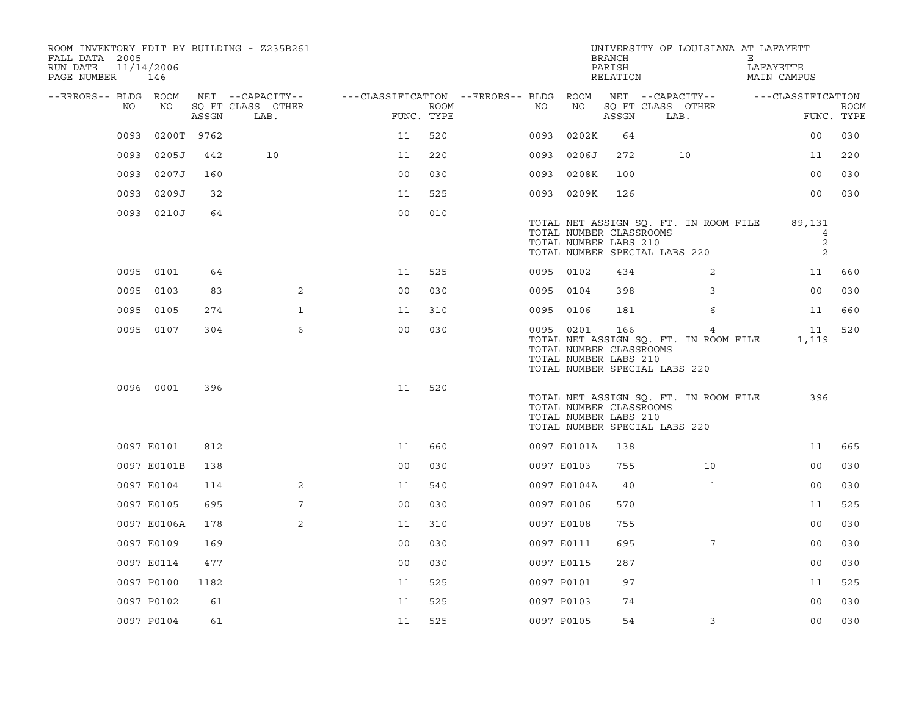| ROOM INVENTORY EDIT BY BUILDING - Z235B261<br>FALL DATA 2005<br>RUN DATE<br>PAGE NUMBER | 11/14/2006<br>146 |       |                                       |                                        |      |            |                                                               | <b>BRANCH</b><br>PARISH<br>RELATION | UNIVERSITY OF LOUISIANA AT LAFAYETT                                         | Е<br>LAFAYETTE<br>MAIN CAMPUS |             |
|-----------------------------------------------------------------------------------------|-------------------|-------|---------------------------------------|----------------------------------------|------|------------|---------------------------------------------------------------|-------------------------------------|-----------------------------------------------------------------------------|-------------------------------|-------------|
| --ERRORS-- BLDG ROOM<br>NO.                                                             | NO                |       | NET --CAPACITY--<br>SQ FT CLASS OTHER | ---CLASSIFICATION --ERRORS-- BLDG ROOM | ROOM | NO         | NO                                                            |                                     | NET --CAPACITY--<br>SQ FT CLASS OTHER                                       | ---CLASSIFICATION             | <b>ROOM</b> |
|                                                                                         |                   | ASSGN | LAB.                                  | FUNC. TYPE                             |      |            |                                                               | ASSGN                               | LAB.                                                                        |                               | FUNC. TYPE  |
| 0093                                                                                    | 0200T 9762        |       |                                       | 11                                     | 520  | 0093       | 0202K                                                         | 64                                  |                                                                             | 00                            | 030         |
| 0093                                                                                    | 0205J             | 442   | 10                                    | 11                                     | 220  | 0093       | 0206J                                                         | 272                                 | 10                                                                          | 11                            | 220         |
|                                                                                         | 0093 0207J        | 160   |                                       | 0 <sub>0</sub>                         | 030  | 0093       | 0208K                                                         | 100                                 |                                                                             | 0 <sub>0</sub>                | 030         |
| 0093                                                                                    | 0209J             | 32    |                                       | 11                                     | 525  |            | 0093 0209K                                                    | 126                                 |                                                                             | 0 <sub>0</sub>                | 030         |
|                                                                                         | 0093 0210J        | 64    |                                       | 0 <sub>0</sub>                         | 010  |            | TOTAL NUMBER CLASSROOMS<br>TOTAL NUMBER LABS 210              |                                     | TOTAL NET ASSIGN SQ. FT. IN ROOM FILE<br>TOTAL NUMBER SPECIAL LABS 220      | 89,131<br>4<br>2<br>2         |             |
|                                                                                         | 0095 0101         | 64    |                                       | 11                                     | 525  |            | 0095 0102                                                     | 434                                 | 2                                                                           | 11                            | 660         |
|                                                                                         | 0095 0103         | 83    | $\overline{2}$                        | 0 <sub>0</sub>                         | 030  |            | 0095 0104                                                     | 398                                 | 3                                                                           | 0 <sub>0</sub>                | 030         |
|                                                                                         | 0095 0105         | 274   | $\mathbf 1$                           | 11                                     | 310  |            | 0095 0106                                                     | 181                                 | 6                                                                           | 11                            | 660         |
|                                                                                         | 0095 0107         | 304   | 6                                     | 0 <sub>0</sub>                         | 030  |            | 0095 0201<br>TOTAL NUMBER CLASSROOMS<br>TOTAL NUMBER LABS 210 | 166                                 | 4<br>TOTAL NET ASSIGN SQ. FT. IN ROOM FILE<br>TOTAL NUMBER SPECIAL LABS 220 | 11<br>1,119                   | 520         |
|                                                                                         | 0096 0001         | 396   |                                       | 11                                     | 520  |            | TOTAL NUMBER CLASSROOMS<br>TOTAL NUMBER LABS 210              |                                     | TOTAL NET ASSIGN SQ. FT. IN ROOM FILE<br>TOTAL NUMBER SPECIAL LABS 220      | 396                           |             |
|                                                                                         | 0097 E0101        | 812   |                                       | 11                                     | 660  |            | 0097 E0101A                                                   | 138                                 |                                                                             | 11                            | 665         |
|                                                                                         | 0097 E0101B       | 138   |                                       | 0 <sub>0</sub>                         | 030  |            | 0097 E0103                                                    | 755                                 | 10                                                                          | 00                            | 030         |
|                                                                                         | 0097 E0104        | 114   | 2                                     | 11                                     | 540  |            | 0097 E0104A                                                   | 40                                  | $\mathbf{1}$                                                                | 0 <sub>0</sub>                | 030         |
|                                                                                         | 0097 E0105        | 695   | 7                                     | 0 <sub>0</sub>                         | 030  |            | 0097 E0106                                                    | 570                                 |                                                                             | 11                            | 525         |
|                                                                                         | 0097 E0106A       | 178   | 2                                     | 11                                     | 310  |            | 0097 E0108                                                    | 755                                 |                                                                             | 0 <sub>0</sub>                | 030         |
|                                                                                         | 0097 E0109        | 169   |                                       | 0 <sub>0</sub>                         | 030  |            | 0097 E0111                                                    | 695                                 | $7\phantom{.0}$                                                             | 0 <sub>0</sub>                | 030         |
|                                                                                         | 0097 E0114        | 477   |                                       | 0 <sub>0</sub>                         | 030  | 0097 E0115 |                                                               | 287                                 |                                                                             | 0 <sub>0</sub>                | 030         |
|                                                                                         | 0097 P0100        | 1182  |                                       | 11                                     | 525  |            | 0097 P0101                                                    | 97                                  |                                                                             | 11                            | 525         |
|                                                                                         | 0097 P0102        | 61    |                                       | 11                                     | 525  |            | 0097 P0103                                                    | 74                                  |                                                                             | 0 <sub>0</sub>                | 030         |
|                                                                                         | 0097 P0104        | 61    |                                       | 11                                     | 525  |            | 0097 P0105                                                    | 54                                  | 3                                                                           | 0 <sub>0</sub>                | 030         |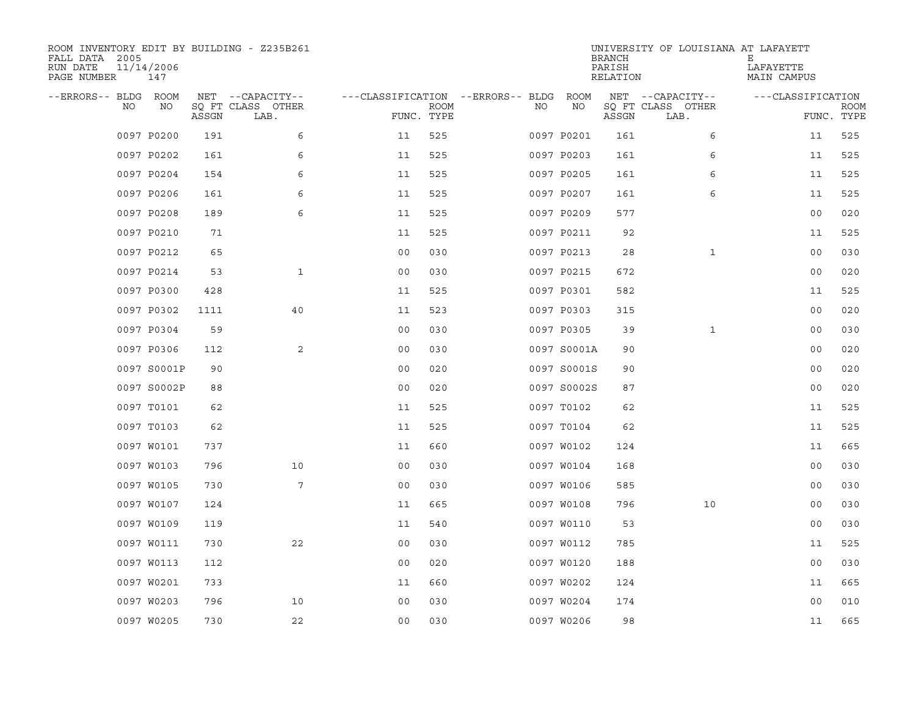| ROOM INVENTORY EDIT BY BUILDING - Z235B261<br>FALL DATA 2005<br>RUN DATE<br>PAGE NUMBER | 11/14/2006<br>147 |       |                           |                                   |      |    |             | <b>BRANCH</b><br>PARISH<br>RELATION | UNIVERSITY OF LOUISIANA AT LAFAYETT | Ε<br>LAFAYETTE<br>MAIN CAMPUS |                           |
|-----------------------------------------------------------------------------------------|-------------------|-------|---------------------------|-----------------------------------|------|----|-------------|-------------------------------------|-------------------------------------|-------------------------------|---------------------------|
| --ERRORS-- BLDG ROOM                                                                    |                   |       | NET --CAPACITY--          | ---CLASSIFICATION --ERRORS-- BLDG |      |    | ROOM        |                                     | NET --CAPACITY--                    | ---CLASSIFICATION             |                           |
| NO                                                                                      | NO                | ASSGN | SQ FT CLASS OTHER<br>LAB. | FUNC. TYPE                        | ROOM | NO | NO          | ASSGN                               | SQ FT CLASS OTHER<br>LAB.           |                               | <b>ROOM</b><br>FUNC. TYPE |
|                                                                                         | 0097 P0200        | 191   | 6                         | 11                                | 525  |    | 0097 P0201  | 161                                 | 6                                   | 11                            | 525                       |
|                                                                                         | 0097 P0202        | 161   | 6                         | 11                                | 525  |    | 0097 P0203  | 161                                 | 6                                   | 11                            | 525                       |
|                                                                                         | 0097 P0204        | 154   | 6                         | 11                                | 525  |    | 0097 P0205  | 161                                 | 6                                   | 11                            | 525                       |
|                                                                                         | 0097 P0206        | 161   | 6                         | 11                                | 525  |    | 0097 P0207  | 161                                 | 6                                   | 11                            | 525                       |
|                                                                                         | 0097 P0208        | 189   | 6                         | 11                                | 525  |    | 0097 P0209  | 577                                 |                                     | 00                            | 020                       |
|                                                                                         | 0097 P0210        | 71    |                           | 11                                | 525  |    | 0097 P0211  | 92                                  |                                     | 11                            | 525                       |
|                                                                                         | 0097 P0212        | 65    |                           | 0 <sub>0</sub>                    | 030  |    | 0097 P0213  | 28                                  | $\mathbf{1}$                        | 0 <sub>0</sub>                | 030                       |
|                                                                                         | 0097 P0214        | 53    | $\mathbf{1}$              | 0 <sub>0</sub>                    | 030  |    | 0097 P0215  | 672                                 |                                     | 0 <sub>0</sub>                | 020                       |
|                                                                                         | 0097 P0300        | 428   |                           | 11                                | 525  |    | 0097 P0301  | 582                                 |                                     | 11                            | 525                       |
|                                                                                         | 0097 P0302        | 1111  | 40                        | 11                                | 523  |    | 0097 P0303  | 315                                 |                                     | 0 <sub>0</sub>                | 020                       |
|                                                                                         | 0097 P0304        | 59    |                           | 0 <sub>0</sub>                    | 030  |    | 0097 P0305  | 39                                  | $\mathbf{1}$                        | 0 <sub>0</sub>                | 030                       |
|                                                                                         | 0097 P0306        | 112   | 2                         | 0 <sub>0</sub>                    | 030  |    | 0097 S0001A | 90                                  |                                     | 0 <sub>0</sub>                | 020                       |
|                                                                                         | 0097 S0001P       | 90    |                           | 0 <sub>0</sub>                    | 020  |    | 0097 S0001S | 90                                  |                                     | 0 <sub>0</sub>                | 020                       |
|                                                                                         | 0097 S0002P       | 88    |                           | 0 <sub>0</sub>                    | 020  |    | 0097 S0002S | 87                                  |                                     | 00                            | 020                       |
|                                                                                         | 0097 T0101        | 62    |                           | 11                                | 525  |    | 0097 T0102  | 62                                  |                                     | 11                            | 525                       |
|                                                                                         | 0097 T0103        | 62    |                           | 11                                | 525  |    | 0097 T0104  | 62                                  |                                     | 11                            | 525                       |
|                                                                                         | 0097 W0101        | 737   |                           | 11                                | 660  |    | 0097 W0102  | 124                                 |                                     | 11                            | 665                       |
|                                                                                         | 0097 W0103        | 796   | 10                        | 00                                | 030  |    | 0097 W0104  | 168                                 |                                     | 0 <sub>0</sub>                | 030                       |
|                                                                                         | 0097 W0105        | 730   | 7                         | 0 <sub>0</sub>                    | 030  |    | 0097 W0106  | 585                                 |                                     | 0 <sub>0</sub>                | 030                       |
|                                                                                         | 0097 W0107        | 124   |                           | 11                                | 665  |    | 0097 W0108  | 796                                 | 10                                  | 0 <sub>0</sub>                | 030                       |
|                                                                                         | 0097 W0109        | 119   |                           | 11                                | 540  |    | 0097 W0110  | 53                                  |                                     | 0 <sub>0</sub>                | 030                       |
|                                                                                         | 0097 W0111        | 730   | 22                        | 00                                | 030  |    | 0097 W0112  | 785                                 |                                     | 11                            | 525                       |
|                                                                                         | 0097 W0113        | 112   |                           | 0 <sub>0</sub>                    | 020  |    | 0097 W0120  | 188                                 |                                     | 0 <sub>0</sub>                | 030                       |
|                                                                                         | 0097 W0201        | 733   |                           | 11                                | 660  |    | 0097 W0202  | 124                                 |                                     | 11                            | 665                       |
|                                                                                         | 0097 W0203        | 796   | 10                        | 0 <sub>0</sub>                    | 030  |    | 0097 W0204  | 174                                 |                                     | 0 <sub>0</sub>                | 010                       |
|                                                                                         | 0097 W0205        | 730   | 22                        | 0 <sub>0</sub>                    | 030  |    | 0097 W0206  | 98                                  |                                     | 11                            | 665                       |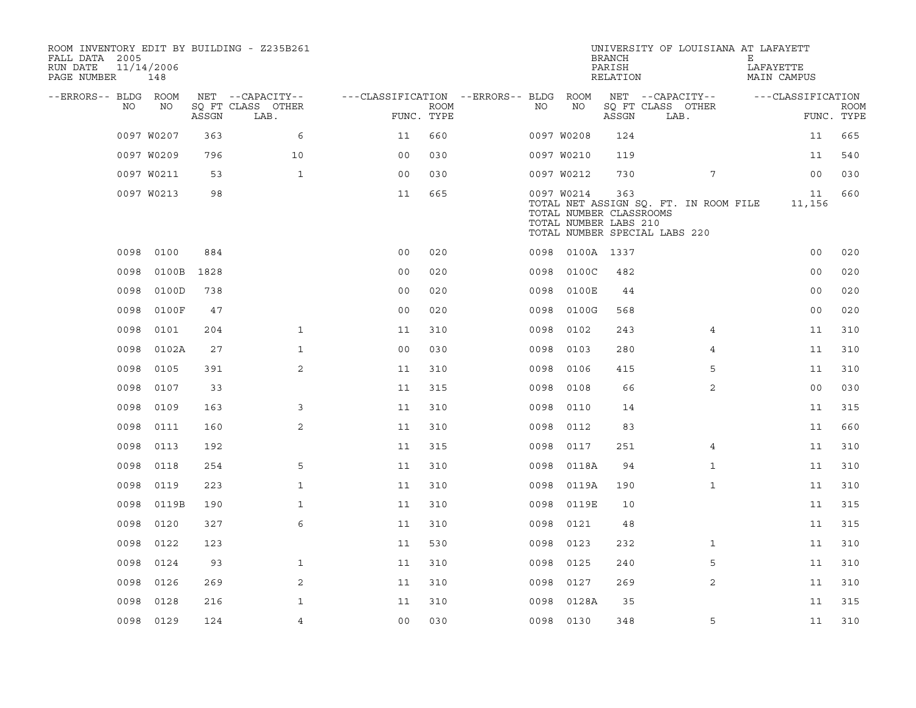| ROOM INVENTORY EDIT BY BUILDING - Z235B261<br>FALL DATA 2005<br>RUN DATE<br>PAGE NUMBER | 11/14/2006<br>148 |       |                           |                                        |             |      |                                                                | <b>BRANCH</b><br>PARISH<br>RELATION | UNIVERSITY OF LOUISIANA AT LAFAYETT                                    | Е<br>LAFAYETTE<br>MAIN CAMPUS |                           |
|-----------------------------------------------------------------------------------------|-------------------|-------|---------------------------|----------------------------------------|-------------|------|----------------------------------------------------------------|-------------------------------------|------------------------------------------------------------------------|-------------------------------|---------------------------|
| --ERRORS-- BLDG ROOM                                                                    |                   |       | NET --CAPACITY--          | ---CLASSIFICATION --ERRORS-- BLDG ROOM |             |      |                                                                |                                     | NET --CAPACITY--                                                       | ---CLASSIFICATION             |                           |
| NO                                                                                      | NO                | ASSGN | SQ FT CLASS OTHER<br>LAB. | FUNC. TYPE                             | <b>ROOM</b> | NO   | NO                                                             | ASSGN                               | SQ FT CLASS OTHER<br>LAB.                                              |                               | <b>ROOM</b><br>FUNC. TYPE |
|                                                                                         | 0097 W0207        | 363   | 6                         | 11                                     | 660         |      | 0097 W0208                                                     | 124                                 |                                                                        | 11                            | 665                       |
|                                                                                         | 0097 W0209        | 796   | 10                        | 00                                     | 030         |      | 0097 W0210                                                     | 119                                 |                                                                        | 11                            | 540                       |
|                                                                                         | 0097 W0211        | 53    | $\mathbf{1}$              | 0 <sub>0</sub>                         | 030         |      | 0097 W0212                                                     | 730                                 | 7                                                                      | 0 <sub>0</sub>                | 030                       |
|                                                                                         | 0097 W0213        | 98    |                           | 11                                     | 665         |      | 0097 W0214<br>TOTAL NUMBER CLASSROOMS<br>TOTAL NUMBER LABS 210 | 363                                 | TOTAL NET ASSIGN SQ. FT. IN ROOM FILE<br>TOTAL NUMBER SPECIAL LABS 220 | 11<br>11,156                  | 660                       |
| 0098                                                                                    | 0100              | 884   |                           | 0 <sub>0</sub>                         | 020         |      | 0098 0100A 1337                                                |                                     |                                                                        | 0 <sub>0</sub>                | 020                       |
| 0098                                                                                    | 0100B             | 1828  |                           | 0 <sub>0</sub>                         | 020         | 0098 | 0100C                                                          | 482                                 |                                                                        | 0 <sub>0</sub>                | 020                       |
| 0098                                                                                    | 0100D             | 738   |                           | 00                                     | 020         | 0098 | 0100E                                                          | 44                                  |                                                                        | 00                            | 020                       |
| 0098                                                                                    | 0100F             | 47    |                           | 0 <sub>0</sub>                         | 020         |      | 0098 0100G                                                     | 568                                 |                                                                        | 00                            | 020                       |
| 0098                                                                                    | 0101              | 204   | $\mathbf{1}$              | 11                                     | 310         | 0098 | 0102                                                           | 243                                 | $\overline{4}$                                                         | 11                            | 310                       |
| 0098                                                                                    | 0102A             | 27    | $\mathbf{1}$              | 0 <sub>0</sub>                         | 030         | 0098 | 0103                                                           | 280                                 | 4                                                                      | 11                            | 310                       |
| 0098                                                                                    | 0105              | 391   | 2                         | 11                                     | 310         | 0098 | 0106                                                           | 415                                 | 5                                                                      | 11                            | 310                       |
| 0098                                                                                    | 0107              | 33    |                           | 11                                     | 315         | 0098 | 0108                                                           | 66                                  | 2                                                                      | 00                            | 030                       |
| 0098                                                                                    | 0109              | 163   | 3                         | 11                                     | 310         | 0098 | 0110                                                           | 14                                  |                                                                        | 11                            | 315                       |
| 0098                                                                                    | 0111              | 160   | 2                         | 11                                     | 310         | 0098 | 0112                                                           | 83                                  |                                                                        | 11                            | 660                       |
| 0098                                                                                    | 0113              | 192   |                           | 11                                     | 315         | 0098 | 0117                                                           | 251                                 | 4                                                                      | 11                            | 310                       |
| 0098                                                                                    | 0118              | 254   | 5                         | 11                                     | 310         | 0098 | 0118A                                                          | 94                                  | $\mathbf{1}$                                                           | 11                            | 310                       |
| 0098                                                                                    | 0119              | 223   | $\mathbf{1}$              | 11                                     | 310         | 0098 | 0119A                                                          | 190                                 | $\mathbf{1}$                                                           | 11                            | 310                       |
| 0098                                                                                    | 0119B             | 190   | $\mathbf{1}$              | 11                                     | 310         | 0098 | 0119E                                                          | 10                                  |                                                                        | 11                            | 315                       |
| 0098                                                                                    | 0120              | 327   | 6                         | 11                                     | 310         | 0098 | 0121                                                           | 48                                  |                                                                        | 11                            | 315                       |
| 0098                                                                                    | 0122              | 123   |                           | 11                                     | 530         | 0098 | 0123                                                           | 232                                 | $\mathbf{1}$                                                           | 11                            | 310                       |
| 0098                                                                                    | 0124              | 93    | $\mathbf{1}$              | 11                                     | 310         | 0098 | 0125                                                           | 240                                 | 5                                                                      | 11                            | 310                       |
| 0098                                                                                    | 0126              | 269   | 2                         | 11                                     | 310         | 0098 | 0127                                                           | 269                                 | 2                                                                      | 11                            | 310                       |
| 0098                                                                                    | 0128              | 216   | $\mathbf{1}$              | 11                                     | 310         | 0098 | 0128A                                                          | 35                                  |                                                                        | 11                            | 315                       |
|                                                                                         | 0098 0129         | 124   | $\overline{4}$            | 0 <sub>0</sub>                         | 030         |      | 0098 0130                                                      | 348                                 | 5                                                                      | 11                            | 310                       |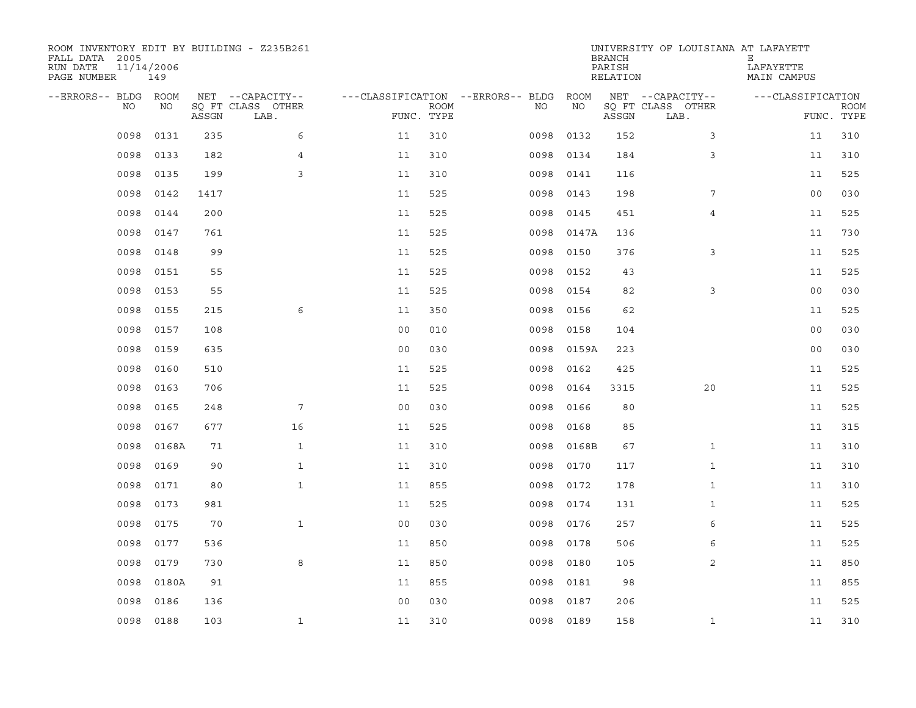| ROOM INVENTORY EDIT BY BUILDING - Z235B261<br>FALL DATA 2005<br>RUN DATE<br>PAGE NUMBER | 11/14/2006<br>149 |       |                           |                                   |      |      |           | <b>BRANCH</b><br>PARISH<br>RELATION | UNIVERSITY OF LOUISIANA AT LAFAYETT | Е<br>LAFAYETTE<br>MAIN CAMPUS |                           |
|-----------------------------------------------------------------------------------------|-------------------|-------|---------------------------|-----------------------------------|------|------|-----------|-------------------------------------|-------------------------------------|-------------------------------|---------------------------|
| --ERRORS-- BLDG ROOM                                                                    |                   |       | NET --CAPACITY--          | ---CLASSIFICATION --ERRORS-- BLDG |      |      | ROOM      |                                     | NET --CAPACITY--                    | ---CLASSIFICATION             |                           |
| NO.                                                                                     | NO                | ASSGN | SQ FT CLASS OTHER<br>LAB. | FUNC. TYPE                        | ROOM | NO.  | NO        | ASSGN                               | SQ FT CLASS OTHER<br>LAB.           |                               | <b>ROOM</b><br>FUNC. TYPE |
| 0098                                                                                    | 0131              | 235   | 6                         | 11                                | 310  | 0098 | 0132      | 152                                 | 3                                   | 11                            | 310                       |
| 0098                                                                                    | 0133              | 182   | $\overline{4}$            | 11                                | 310  | 0098 | 0134      | 184                                 | 3                                   | 11                            | 310                       |
| 0098                                                                                    | 0135              | 199   | 3                         | 11                                | 310  | 0098 | 0141      | 116                                 |                                     | 11                            | 525                       |
| 0098                                                                                    | 0142              | 1417  |                           | 11                                | 525  | 0098 | 0143      | 198                                 | 7                                   | 00                            | 030                       |
| 0098                                                                                    | 0144              | 200   |                           | 11                                | 525  | 0098 | 0145      | 451                                 | $\overline{4}$                      | 11                            | 525                       |
| 0098                                                                                    | 0147              | 761   |                           | 11                                | 525  | 0098 | 0147A     | 136                                 |                                     | 11                            | 730                       |
| 0098                                                                                    | 0148              | 99    |                           | 11                                | 525  | 0098 | 0150      | 376                                 | 3                                   | 11                            | 525                       |
| 0098                                                                                    | 0151              | 55    |                           | 11                                | 525  | 0098 | 0152      | 43                                  |                                     | 11                            | 525                       |
| 0098                                                                                    | 0153              | 55    |                           | 11                                | 525  | 0098 | 0154      | 82                                  | 3                                   | 0 <sub>0</sub>                | 030                       |
| 0098                                                                                    | 0155              | 215   | 6                         | 11                                | 350  | 0098 | 0156      | 62                                  |                                     | 11                            | 525                       |
| 0098                                                                                    | 0157              | 108   |                           | 0 <sub>0</sub>                    | 010  | 0098 | 0158      | 104                                 |                                     | 00                            | 030                       |
| 0098                                                                                    | 0159              | 635   |                           | 0 <sub>0</sub>                    | 030  | 0098 | 0159A     | 223                                 |                                     | 00                            | 030                       |
| 0098                                                                                    | 0160              | 510   |                           | 11                                | 525  | 0098 | 0162      | 425                                 |                                     | 11                            | 525                       |
| 0098                                                                                    | 0163              | 706   |                           | 11                                | 525  | 0098 | 0164      | 3315                                | 20                                  | 11                            | 525                       |
| 0098                                                                                    | 0165              | 248   | 7                         | 0 <sub>0</sub>                    | 030  | 0098 | 0166      | 80                                  |                                     | 11                            | 525                       |
| 0098                                                                                    | 0167              | 677   | 16                        | 11                                | 525  | 0098 | 0168      | 85                                  |                                     | 11                            | 315                       |
| 0098                                                                                    | 0168A             | 71    | $\mathbf{1}$              | 11                                | 310  | 0098 | 0168B     | 67                                  | $\mathbf{1}$                        | 11                            | 310                       |
| 0098                                                                                    | 0169              | 90    | $\mathbf{1}$              | 11                                | 310  | 0098 | 0170      | 117                                 | $\mathbf{1}$                        | 11                            | 310                       |
| 0098                                                                                    | 0171              | 80    | $\mathbf{1}$              | 11                                | 855  | 0098 | 0172      | 178                                 | $\mathbf{1}$                        | 11                            | 310                       |
| 0098                                                                                    | 0173              | 981   |                           | 11                                | 525  | 0098 | 0174      | 131                                 | $\mathbf{1}$                        | 11                            | 525                       |
| 0098                                                                                    | 0175              | 70    | $\mathbf{1}$              | 0 <sub>0</sub>                    | 030  | 0098 | 0176      | 257                                 | 6                                   | 11                            | 525                       |
| 0098                                                                                    | 0177              | 536   |                           | 11                                | 850  | 0098 | 0178      | 506                                 | 6                                   | 11                            | 525                       |
| 0098                                                                                    | 0179              | 730   | 8                         | 11                                | 850  | 0098 | 0180      | 105                                 | 2                                   | 11                            | 850                       |
| 0098                                                                                    | 0180A             | 91    |                           | 11                                | 855  | 0098 | 0181      | 98                                  |                                     | 11                            | 855                       |
| 0098                                                                                    | 0186              | 136   |                           | 0 <sub>0</sub>                    | 030  | 0098 | 0187      | 206                                 |                                     | 11                            | 525                       |
| 0098                                                                                    | 0188              | 103   | $\mathbf{1}$              | 11                                | 310  |      | 0098 0189 | 158                                 | $\mathbf{1}$                        | 11                            | 310                       |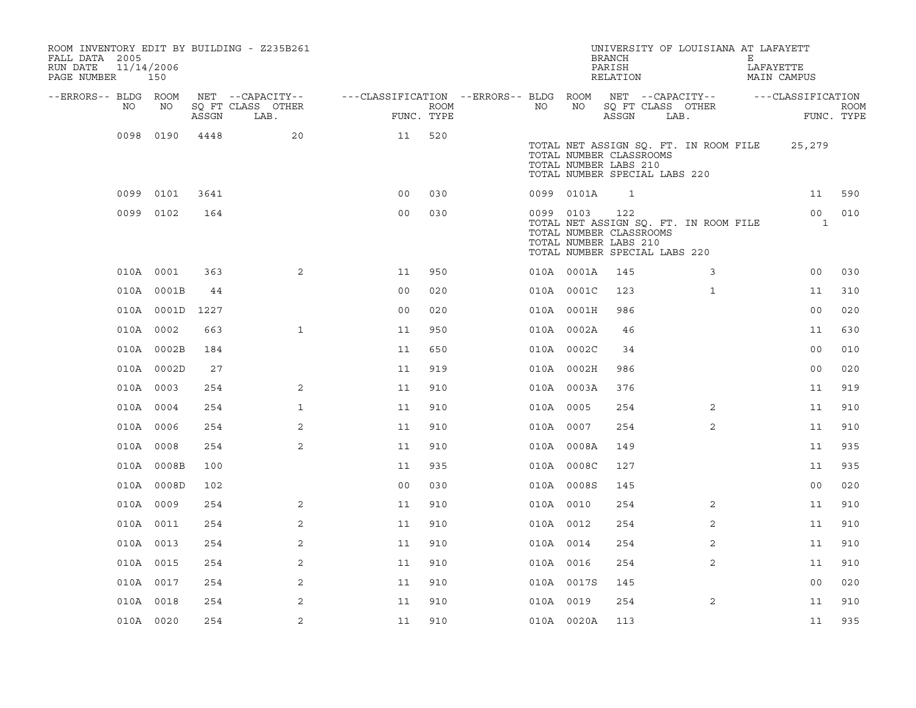| FALL DATA 2005<br>RUN DATE<br>PAGE NUMBER 150 | 11/14/2006 |                 | ROOM INVENTORY EDIT BY BUILDING - Z235B261 |                                                         |                    |           |            | <b>BRANCH</b><br>PARISH<br>RELATION                                                      |      | UNIVERSITY OF LOUISIANA AT LAFAYETT   | Е | LAFAYETTE<br><b>MAIN CAMPUS</b> |                           |
|-----------------------------------------------|------------|-----------------|--------------------------------------------|---------------------------------------------------------|--------------------|-----------|------------|------------------------------------------------------------------------------------------|------|---------------------------------------|---|---------------------------------|---------------------------|
| --ERRORS-- BLDG ROOM                          |            |                 | NET --CAPACITY--                           | ---CLASSIFICATION --ERRORS-- BLDG ROOM NET --CAPACITY-- |                    |           |            |                                                                                          |      |                                       |   | ---CLASSIFICATION               |                           |
| NO                                            | NO         | ASSGN           | SQ FT CLASS OTHER<br>LAB.                  |                                                         | ROOM<br>FUNC. TYPE | NO        | NO         | SQ FT CLASS OTHER<br>ASSGN                                                               | LAB. |                                       |   |                                 | <b>ROOM</b><br>FUNC. TYPE |
|                                               | 0098 0190  | 4448            | 20                                         | 11                                                      | 520                |           |            | TOTAL NUMBER CLASSROOMS<br>TOTAL NUMBER LABS 210<br>TOTAL NUMBER SPECIAL LABS 220        |      | TOTAL NET ASSIGN SQ. FT. IN ROOM FILE |   | 25,279                          |                           |
|                                               | 0099 0101  | 3641            |                                            | 0 <sub>0</sub>                                          | 030                |           | 0099 0101A | 1                                                                                        |      |                                       |   | 11                              | 590                       |
|                                               | 0099 0102  | 164             |                                            | 0 <sub>0</sub>                                          | 030                | 0099 0103 |            | 122<br>TOTAL NUMBER CLASSROOMS<br>TOTAL NUMBER LABS 210<br>TOTAL NUMBER SPECIAL LABS 220 |      | TOTAL NET ASSIGN SQ. FT. IN ROOM FILE |   | 00 <sub>o</sub><br>$\mathbf{1}$ | 010                       |
|                                               | 010A 0001  | 363             | 2                                          | 11                                                      | 950                |           | 010A 0001A | 145                                                                                      |      | 3                                     |   | 00                              | 030                       |
|                                               | 010A 0001B | 44              |                                            | 0 <sub>0</sub>                                          | 020                |           | 010A 0001C | 123                                                                                      |      | $\mathbf{1}$                          |   | 11                              | 310                       |
|                                               |            | 010A 0001D 1227 |                                            | 0 <sub>0</sub>                                          | 020                |           | 010A 0001H | 986                                                                                      |      |                                       |   | 00                              | 020                       |
|                                               | 010A 0002  | 663             | $\mathbf{1}$                               | 11                                                      | 950                |           | 010A 0002A | 46                                                                                       |      |                                       |   | 11                              | 630                       |
|                                               | 010A 0002B | 184             |                                            | 11                                                      | 650                |           | 010A 0002C | 34                                                                                       |      |                                       |   | 0 <sub>0</sub>                  | 010                       |
|                                               | 010A 0002D | 27              |                                            | 11                                                      | 919                |           | 010A 0002H | 986                                                                                      |      |                                       |   | 0 <sub>0</sub>                  | 020                       |
|                                               | 010A 0003  | 254             | 2                                          | 11                                                      | 910                |           | 010A 0003A | 376                                                                                      |      |                                       |   | 11                              | 919                       |
|                                               | 010A 0004  | 254             | $\mathbf{1}$                               | 11                                                      | 910                | 010A 0005 |            | 254                                                                                      |      | $\overline{2}$                        |   | 11                              | 910                       |
|                                               | 010A 0006  | 254             | 2                                          | 11                                                      | 910                | 010A 0007 |            | 254                                                                                      |      | $\overline{2}$                        |   | 11                              | 910                       |
|                                               | 010A 0008  | 254             | 2                                          | 11                                                      | 910                |           | 010A 0008A | 149                                                                                      |      |                                       |   | 11                              | 935                       |
|                                               | 010A 0008B | 100             |                                            | 11                                                      | 935                |           | 010A 0008C | 127                                                                                      |      |                                       |   | 11                              | 935                       |
|                                               | 010A 0008D | 102             |                                            | 0 <sub>0</sub>                                          | 030                |           | 010A 0008S | 145                                                                                      |      |                                       |   | 0 <sub>0</sub>                  | 020                       |
|                                               | 010A 0009  | 254             | 2                                          | 11                                                      | 910                | 010A 0010 |            | 254                                                                                      |      | 2                                     |   | 11                              | 910                       |
|                                               | 010A 0011  | 254             | $\overline{2}$                             | 11                                                      | 910                | 010A 0012 |            | 254                                                                                      |      | 2                                     |   | 11                              | 910                       |
|                                               | 010A 0013  | 254             | 2                                          | 11                                                      | 910                | 010A 0014 |            | 254                                                                                      |      | 2                                     |   | 11                              | 910                       |
|                                               | 010A 0015  | 254             | 2                                          | 11                                                      | 910                | 010A 0016 |            | 254                                                                                      |      | 2                                     |   | 11                              | 910                       |
|                                               | 010A 0017  | 254             | 2                                          | 11                                                      | 910                |           | 010A 0017S | 145                                                                                      |      |                                       |   | 0 <sub>0</sub>                  | 020                       |
|                                               | 010A 0018  | 254             | 2                                          | 11                                                      | 910                | 010A 0019 |            | 254                                                                                      |      | 2                                     |   | 11                              | 910                       |
|                                               | 010A 0020  | 254             | $\sqrt{2}$                                 | 11                                                      | 910                |           | 010A 0020A | 113                                                                                      |      |                                       |   | 11                              | 935                       |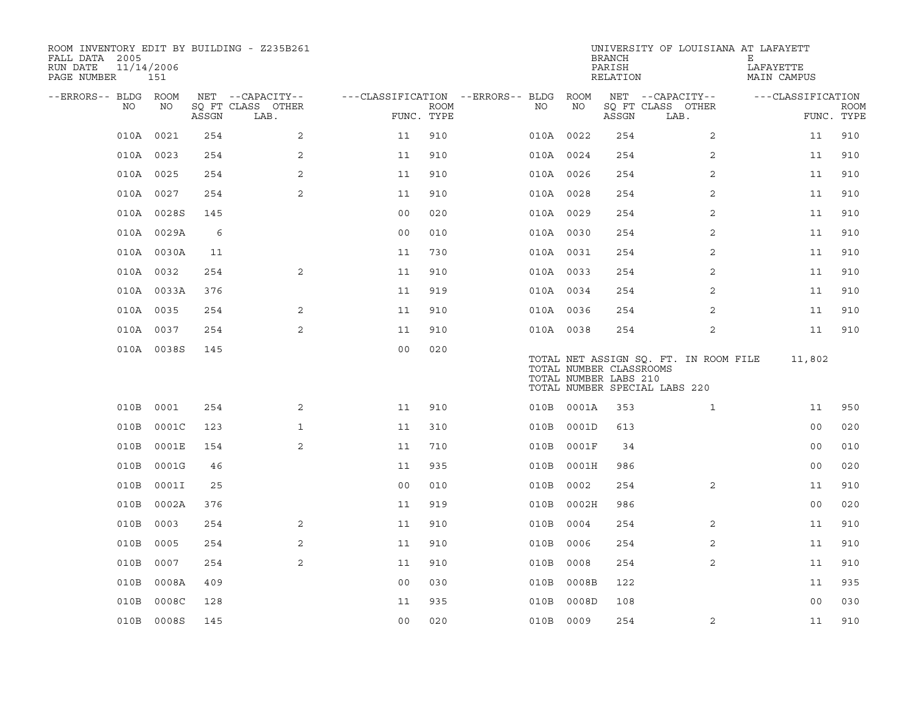| ROOM INVENTORY EDIT BY BUILDING - Z235B261<br>FALL DATA 2005<br>RUN DATE<br>PAGE NUMBER | 11/14/2006<br>151 |       |                           |                                        |      |           |            | <b>BRANCH</b><br>PARISH<br>RELATION              | UNIVERSITY OF LOUISIANA AT LAFAYETT                                    | Е<br>LAFAYETTE<br>MAIN CAMPUS |             |
|-----------------------------------------------------------------------------------------|-------------------|-------|---------------------------|----------------------------------------|------|-----------|------------|--------------------------------------------------|------------------------------------------------------------------------|-------------------------------|-------------|
| --ERRORS-- BLDG ROOM                                                                    |                   |       | NET --CAPACITY--          | ---CLASSIFICATION --ERRORS-- BLDG ROOM |      |           |            |                                                  | NET --CAPACITY--                                                       | ---CLASSIFICATION             |             |
| NO                                                                                      | NO                | ASSGN | SQ FT CLASS OTHER<br>LAB. | FUNC. TYPE                             | ROOM | NO        | NO         | ASSGN                                            | SQ FT CLASS OTHER<br>LAB.                                              | FUNC. TYPE                    | <b>ROOM</b> |
|                                                                                         | 010A 0021         | 254   | 2                         | 11                                     | 910  |           | 010A 0022  | 254                                              | $\overline{2}$                                                         | 11                            | 910         |
|                                                                                         | 010A 0023         | 254   | 2                         | 11                                     | 910  | 010A 0024 |            | 254                                              | 2                                                                      | 11                            | 910         |
|                                                                                         | 010A 0025         | 254   | 2                         | 11                                     | 910  | 010A 0026 |            | 254                                              | $\overline{2}$                                                         | 11                            | 910         |
|                                                                                         | 010A 0027         | 254   | 2                         | 11                                     | 910  |           | 010A 0028  | 254                                              | 2                                                                      | 11                            | 910         |
|                                                                                         | 010A 0028S        | 145   |                           | 00                                     | 020  |           | 010A 0029  | 254                                              | 2                                                                      | 11                            | 910         |
|                                                                                         | 010A 0029A        | 6     |                           | 0 <sub>0</sub>                         | 010  | 010A 0030 |            | 254                                              | 2                                                                      | 11                            | 910         |
|                                                                                         | 010A 0030A        | 11    |                           | 11                                     | 730  | 010A 0031 |            | 254                                              | 2                                                                      | 11                            | 910         |
|                                                                                         | 010A 0032         | 254   | 2                         | 11                                     | 910  |           | 010A 0033  | 254                                              | 2                                                                      | 11                            | 910         |
|                                                                                         | 010A 0033A        | 376   |                           | 11                                     | 919  |           | 010A 0034  | 254                                              | 2                                                                      | 11                            | 910         |
|                                                                                         | 010A 0035         | 254   | 2                         | 11                                     | 910  |           | 010A 0036  | 254                                              | $\overline{2}$                                                         | 11                            | 910         |
|                                                                                         | 010A 0037         | 254   | 2                         | 11                                     | 910  | 010A 0038 |            | 254                                              | $\overline{2}$                                                         | 11                            | 910         |
|                                                                                         | 010A 0038S        | 145   |                           | 0 <sub>0</sub>                         | 020  |           |            | TOTAL NUMBER CLASSROOMS<br>TOTAL NUMBER LABS 210 | TOTAL NET ASSIGN SQ. FT. IN ROOM FILE<br>TOTAL NUMBER SPECIAL LABS 220 | 11,802                        |             |
|                                                                                         | 010B 0001         | 254   | 2                         | 11                                     | 910  |           | 010B 0001A | 353                                              | $\mathbf{1}$                                                           | 11                            | 950         |
|                                                                                         | 010B 0001C        | 123   | $\mathbf{1}$              | 11                                     | 310  |           | 010B 0001D | 613                                              |                                                                        | 0 <sub>0</sub>                | 020         |
| 010B                                                                                    | 0001E             | 154   | 2                         | 11                                     | 710  |           | 010B 0001F | 34                                               |                                                                        | 0 <sub>0</sub>                | 010         |
| 010B                                                                                    | 0001G             | 46    |                           | 11                                     | 935  |           | 010B 0001H | 986                                              |                                                                        | 00                            | 020         |
| 010B                                                                                    | 0001I             | 25    |                           | 0 <sub>0</sub>                         | 010  | 010B      | 0002       | 254                                              | 2                                                                      | 11                            | 910         |
| 010B                                                                                    | 0002A             | 376   |                           | 11                                     | 919  |           | 010B 0002H | 986                                              |                                                                        | 0 <sub>0</sub>                | 020         |
| 010B                                                                                    | 0003              | 254   | 2                         | 11                                     | 910  |           | 010B 0004  | 254                                              | 2                                                                      | 11                            | 910         |
| 010B                                                                                    | 0005              | 254   | 2                         | 11                                     | 910  | 010B      | 0006       | 254                                              | 2                                                                      | 11                            | 910         |
| 010B                                                                                    | 0007              | 254   | 2                         | 11                                     | 910  | 010B      | 0008       | 254                                              | 2                                                                      | 11                            | 910         |
| 010B                                                                                    | 0008A             | 409   |                           | 0 <sub>0</sub>                         | 030  | 010B      | 0008B      | 122                                              |                                                                        | 11                            | 935         |
| 010B                                                                                    | 0008C             | 128   |                           | 11                                     | 935  | 010B      | 0008D      | 108                                              |                                                                        | 00                            | 030         |
|                                                                                         | 010B 0008S        | 145   |                           | 00                                     | 020  | 010B 0009 |            | 254                                              | $\overline{2}$                                                         | 11                            | 910         |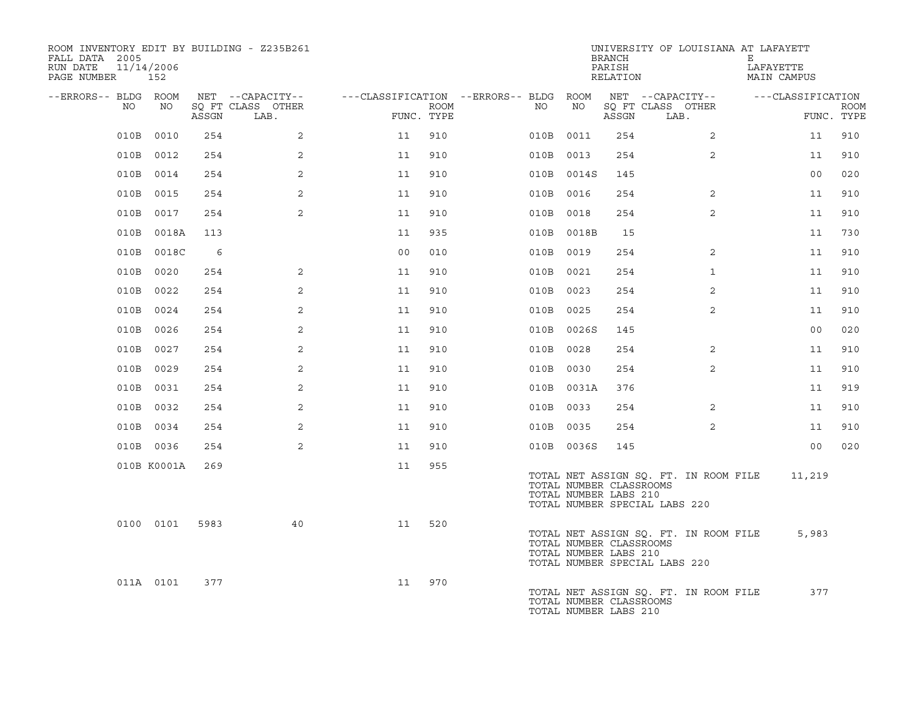| ROOM INVENTORY EDIT BY BUILDING - Z235B261<br>FALL DATA 2005<br>11/14/2006<br>RUN DATE<br>PAGE NUMBER | 152         |       |                           |                                        |             |    |            | BRANCH<br>PARISH<br>RELATION                     | UNIVERSITY OF LOUISIANA AT LAFAYETT                                    | E<br>LAFAYETTE<br>MAIN CAMPUS |                           |
|-------------------------------------------------------------------------------------------------------|-------------|-------|---------------------------|----------------------------------------|-------------|----|------------|--------------------------------------------------|------------------------------------------------------------------------|-------------------------------|---------------------------|
| --ERRORS-- BLDG ROOM                                                                                  |             |       | NET --CAPACITY--          | ---CLASSIFICATION --ERRORS-- BLDG ROOM |             |    |            |                                                  | NET --CAPACITY--                                                       | ---CLASSIFICATION             |                           |
| NO                                                                                                    | NO          | ASSGN | SO FT CLASS OTHER<br>LAB. | FUNC. TYPE                             | <b>ROOM</b> | NO | NO         | ASSGN                                            | SO FT CLASS OTHER<br>LAB.                                              |                               | <b>ROOM</b><br>FUNC. TYPE |
| 010B                                                                                                  | 0010        | 254   | 2                         | 11                                     | 910         |    | 010B 0011  | 254                                              | $\overline{2}$                                                         | 11                            | 910                       |
|                                                                                                       | 010B 0012   | 254   | 2                         | 11                                     | 910         |    | 010B 0013  | 254                                              | $\overline{2}$                                                         | 11                            | 910                       |
|                                                                                                       | 010B 0014   | 254   | $\overline{2}$            | 11                                     | 910         |    | 010B 0014S | 145                                              |                                                                        | 00                            | 020                       |
|                                                                                                       | 010B 0015   | 254   | $\overline{2}$            | 11                                     | 910         |    | 010B 0016  | 254                                              | 2                                                                      | 11                            | 910                       |
|                                                                                                       | 010B 0017   | 254   | 2                         | 11                                     | 910         |    | 010B 0018  | 254                                              | 2                                                                      | 11                            | 910                       |
|                                                                                                       | 010B 0018A  | 113   |                           | 11                                     | 935         |    | 010B 0018B | 15                                               |                                                                        | 11                            | 730                       |
|                                                                                                       | 010B 0018C  | 6     |                           | 0 <sub>0</sub>                         | 010         |    | 010B 0019  | 254                                              | 2                                                                      | 11                            | 910                       |
|                                                                                                       | 010B 0020   | 254   | $\overline{2}$            | 11                                     | 910         |    | 010B 0021  | 254                                              | $\mathbf{1}$                                                           | 11                            | 910                       |
|                                                                                                       | 010B 0022   | 254   | 2                         | 11                                     | 910         |    | 010B 0023  | 254                                              | $\overline{2}$                                                         | 11                            | 910                       |
|                                                                                                       | 010B 0024   | 254   | 2                         | 11                                     | 910         |    | 010B 0025  | 254                                              | 2                                                                      | 11                            | 910                       |
|                                                                                                       | 010B 0026   | 254   | 2                         | 11                                     | 910         |    | 010B 0026S | 145                                              |                                                                        | 00                            | 020                       |
|                                                                                                       | 010B 0027   | 254   | 2                         | 11                                     | 910         |    | 010B 0028  | 254                                              | 2                                                                      | 11                            | 910                       |
|                                                                                                       | 010B 0029   | 254   | 2                         | 11                                     | 910         |    | 010B 0030  | 254                                              | $\overline{2}$                                                         | 11                            | 910                       |
|                                                                                                       | 010B 0031   | 254   | 2                         | 11                                     | 910         |    | 010B 0031A | 376                                              |                                                                        | 11                            | 919                       |
|                                                                                                       | 010B 0032   | 254   | 2                         | 11                                     | 910         |    | 010B 0033  | 254                                              | 2                                                                      | 11                            | 910                       |
|                                                                                                       | 010B 0034   | 254   | $\overline{2}$            | 11                                     | 910         |    | 010B 0035  | 254                                              | $\overline{2}$                                                         | 11                            | 910                       |
|                                                                                                       | 010B 0036   | 254   | 2                         | 11                                     | 910         |    | 010B 0036S | 145                                              |                                                                        | 0 <sub>0</sub>                | 020                       |
|                                                                                                       | 010B K0001A | 269   |                           | 11                                     | 955         |    |            | TOTAL NUMBER CLASSROOMS<br>TOTAL NUMBER LABS 210 | TOTAL NET ASSIGN SQ. FT. IN ROOM FILE<br>TOTAL NUMBER SPECIAL LABS 220 | 11,219                        |                           |
|                                                                                                       | 0100 0101   | 5983  | 40                        | 11                                     | 520         |    |            | TOTAL NUMBER CLASSROOMS<br>TOTAL NUMBER LABS 210 | TOTAL NET ASSIGN SQ. FT. IN ROOM FILE<br>TOTAL NUMBER SPECIAL LABS 220 | 5,983                         |                           |
|                                                                                                       | 011A 0101   | 377   |                           | 11                                     | 970         |    |            | TOTAL NUMBER CLASSROOMS<br>TOTAL NUMBER LABS 210 | TOTAL NET ASSIGN SQ. FT. IN ROOM FILE                                  | 377                           |                           |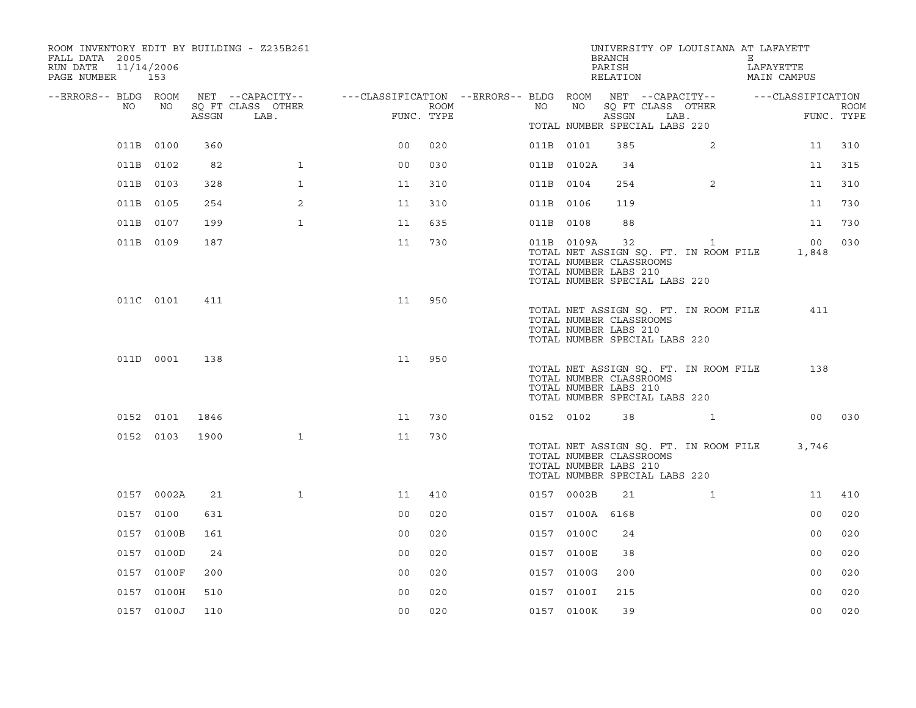| ROOM INVENTORY EDIT BY BUILDING - Z235B261<br>FALL DATA 2005<br>RUN DATE<br>11/14/2006<br>PAGE NUMBER 153 |            |       |                           |                                                         |      |           |                 | UNIVERSITY OF LOUISIANA AT LAFAYETT<br>BRANCH<br>PARISH<br>RELATION                                                              |      |                | Е | LAFAYETTE<br>MAIN CAMPUS |                           |
|-----------------------------------------------------------------------------------------------------------|------------|-------|---------------------------|---------------------------------------------------------|------|-----------|-----------------|----------------------------------------------------------------------------------------------------------------------------------|------|----------------|---|--------------------------|---------------------------|
| --ERRORS-- BLDG ROOM                                                                                      |            |       | NET --CAPACITY--          | ---CLASSIFICATION --ERRORS-- BLDG ROOM NET --CAPACITY-- |      |           |                 |                                                                                                                                  |      |                |   | ---CLASSIFICATION        |                           |
| NO                                                                                                        | NO         | ASSGN | SQ FT CLASS OTHER<br>LAB. | FUNC. TYPE                                              | ROOM | NO        | NO              | SQ FT CLASS OTHER<br>ASSGN                                                                                                       | LAB. |                |   |                          | <b>ROOM</b><br>FUNC. TYPE |
|                                                                                                           |            |       |                           |                                                         |      |           |                 | TOTAL NUMBER SPECIAL LABS 220                                                                                                    |      |                |   |                          |                           |
|                                                                                                           | 011B 0100  | 360   |                           | 0 <sub>0</sub>                                          | 020  | 011B 0101 |                 | 385                                                                                                                              |      | 2              |   | 11                       | 310                       |
|                                                                                                           | 011B 0102  | 82    | $\mathbf{1}$              | 0 <sub>0</sub>                                          | 030  |           | 011B 0102A      | 34                                                                                                                               |      |                |   | 11                       | 315                       |
|                                                                                                           | 011B 0103  | 328   | $\mathbf{1}$              | 11                                                      | 310  | 011B 0104 |                 | 254                                                                                                                              |      | $\overline{2}$ |   | 11                       | 310                       |
|                                                                                                           | 011B 0105  | 254   | 2                         | 11                                                      | 310  | 011B 0106 |                 | 119                                                                                                                              |      |                |   | 11                       | 730                       |
|                                                                                                           | 011B 0107  | 199   | $\mathbf{1}$              | 11                                                      | 635  | 011B 0108 |                 | 88                                                                                                                               |      |                |   | 11                       | 730                       |
|                                                                                                           | 011B 0109  | 187   |                           | 11                                                      | 730  |           | 011B 0109A      | 32<br>TOTAL NET ASSIGN SQ. FT. IN ROOM FILE<br>TOTAL NUMBER CLASSROOMS<br>TOTAL NUMBER LABS 210<br>TOTAL NUMBER SPECIAL LABS 220 |      | $\mathbf{1}$   |   | 00 <sub>o</sub><br>1,848 | 030                       |
|                                                                                                           | 011C 0101  | 411   |                           | 11                                                      | 950  |           |                 | TOTAL NET ASSIGN SQ. FT. IN ROOM FILE<br>TOTAL NUMBER CLASSROOMS<br>TOTAL NUMBER LABS 210<br>TOTAL NUMBER SPECIAL LABS 220       |      |                |   | 411                      |                           |
|                                                                                                           | 011D 0001  | 138   |                           | 11                                                      | 950  |           |                 | TOTAL NET ASSIGN SQ. FT. IN ROOM FILE<br>TOTAL NUMBER CLASSROOMS<br>TOTAL NUMBER LABS 210<br>TOTAL NUMBER SPECIAL LABS 220       |      |                |   | 138                      |                           |
|                                                                                                           | 0152 0101  | 1846  |                           | 11                                                      | 730  | 0152 0102 |                 | 38                                                                                                                               |      |                |   |                          | 00 030                    |
|                                                                                                           | 0152 0103  | 1900  | $\mathbf{1}$              | 11                                                      | 730  |           |                 | TOTAL NET ASSIGN SQ. FT. IN ROOM FILE<br>TOTAL NUMBER CLASSROOMS<br>TOTAL NUMBER LABS 210<br>TOTAL NUMBER SPECIAL LABS 220       |      |                |   | 3,746                    |                           |
|                                                                                                           | 0157 0002A | 21    | $\mathbf{1}$              | 11                                                      | 410  |           | 0157 0002B      | 21                                                                                                                               |      | $\mathbf{1}$   |   | 11                       | 410                       |
|                                                                                                           | 0157 0100  | 631   |                           | 0 <sub>0</sub>                                          | 020  |           | 0157 0100A 6168 |                                                                                                                                  |      |                |   | 0 <sub>0</sub>           | 020                       |
|                                                                                                           | 0157 0100B | 161   |                           | 0 <sub>0</sub>                                          | 020  |           | 0157 0100C      | 24                                                                                                                               |      |                |   | 0 <sub>0</sub>           | 020                       |
|                                                                                                           | 0157 0100D | 24    |                           | 0 <sub>0</sub>                                          | 020  |           | 0157 0100E      | 38                                                                                                                               |      |                |   | 0 <sub>0</sub>           | 020                       |
|                                                                                                           | 0157 0100F | 200   |                           | 0 <sub>0</sub>                                          | 020  |           | 0157 0100G      | 200                                                                                                                              |      |                |   | 0 <sub>0</sub>           | 020                       |
|                                                                                                           | 0157 0100H | 510   |                           | 0 <sub>0</sub>                                          | 020  |           | 0157 0100I      | 215                                                                                                                              |      |                |   | 0 <sub>0</sub>           | 020                       |
|                                                                                                           | 0157 0100J | 110   |                           | 0 <sub>0</sub>                                          | 020  |           | 0157 0100K      | 39                                                                                                                               |      |                |   | 0 <sub>0</sub>           | 020                       |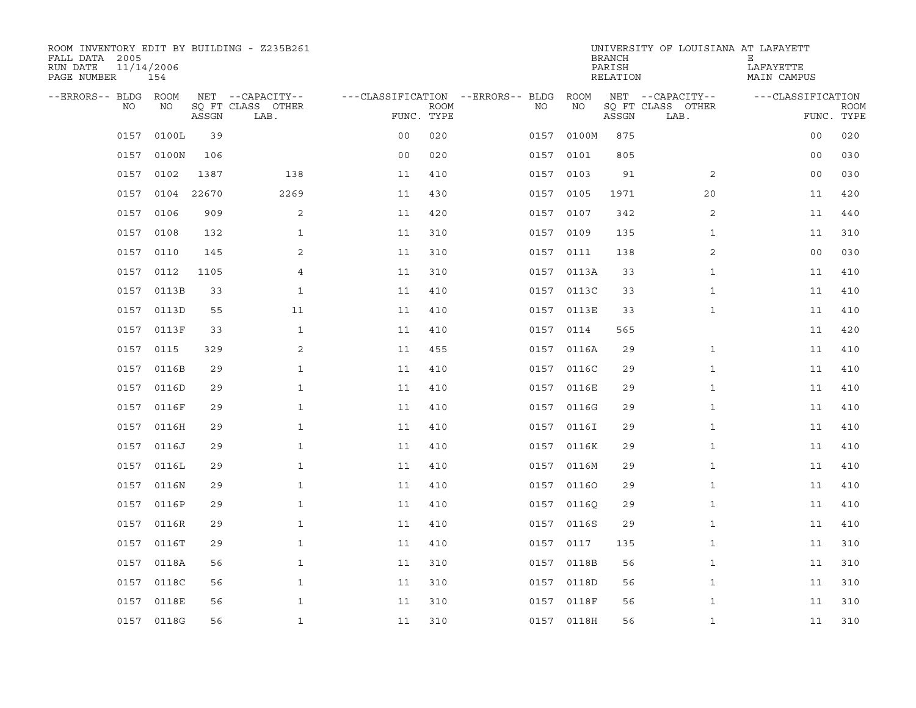| ROOM INVENTORY EDIT BY BUILDING - Z235B261<br>FALL DATA 2005<br>RUN DATE<br>PAGE NUMBER | 11/14/2006<br>154 |       |                           |                                   |             |           |            | <b>BRANCH</b><br>PARISH<br>RELATION | UNIVERSITY OF LOUISIANA AT LAFAYETT | Е<br>LAFAYETTE<br>MAIN CAMPUS |             |
|-----------------------------------------------------------------------------------------|-------------------|-------|---------------------------|-----------------------------------|-------------|-----------|------------|-------------------------------------|-------------------------------------|-------------------------------|-------------|
| --ERRORS-- BLDG ROOM                                                                    |                   |       | NET --CAPACITY--          | ---CLASSIFICATION --ERRORS-- BLDG |             |           | ROOM       |                                     | NET --CAPACITY--                    | ---CLASSIFICATION             |             |
| NO                                                                                      | NO                | ASSGN | SQ FT CLASS OTHER<br>LAB. | FUNC. TYPE                        | <b>ROOM</b> | NO.       | NO         | ASSGN                               | SQ FT CLASS OTHER<br>LAB.           | FUNC. TYPE                    | <b>ROOM</b> |
| 0157                                                                                    | 0100L             | 39    |                           | 0 <sub>0</sub>                    | 020         | 0157      | 0100M      | 875                                 |                                     | 0 <sub>0</sub>                | 020         |
| 0157                                                                                    | 0100N             | 106   |                           | 0 <sub>0</sub>                    | 020         | 0157      | 0101       | 805                                 |                                     | 0 <sub>0</sub>                | 030         |
| 0157                                                                                    | 0102              | 1387  | 138                       | 11                                | 410         | 0157 0103 |            | 91                                  | $\overline{2}$                      | 0 <sub>0</sub>                | 030         |
| 0157                                                                                    | 0104              | 22670 | 2269                      | 11                                | 430         | 0157 0105 |            | 1971                                | 20                                  | 11                            | 420         |
| 0157                                                                                    | 0106              | 909   | 2                         | 11                                | 420         | 0157      | 0107       | 342                                 | 2                                   | 11                            | 440         |
| 0157                                                                                    | 0108              | 132   | $\mathbf{1}$              | 11                                | 310         | 0157 0109 |            | 135                                 | $\mathbf{1}$                        | 11                            | 310         |
| 0157                                                                                    | 0110              | 145   | 2                         | 11                                | 310         | 0157 0111 |            | 138                                 | $\overline{a}$                      | 0 <sub>0</sub>                | 030         |
| 0157                                                                                    | 0112              | 1105  | $\overline{4}$            | 11                                | 310         |           | 0157 0113A | 33                                  | $\mathbf{1}$                        | 11                            | 410         |
| 0157                                                                                    | 0113B             | 33    | $\mathbf{1}$              | 11                                | 410         |           | 0157 0113C | 33                                  | $\mathbf{1}$                        | 11                            | 410         |
|                                                                                         | 0157 0113D        | 55    | 11                        | 11                                | 410         |           | 0157 0113E | 33                                  | $\mathbf{1}$                        | 11                            | 410         |
| 0157                                                                                    | 0113F             | 33    | $\mathbf{1}$              | 11                                | 410         | 0157      | 0114       | 565                                 |                                     | 11                            | 420         |
|                                                                                         | 0157 0115         | 329   | 2                         | 11                                | 455         |           | 0157 0116A | 29                                  | $\mathbf{1}$                        | 11                            | 410         |
|                                                                                         | 0157 0116B        | 29    | $\mathbf{1}$              | 11                                | 410         |           | 0157 0116C | 29                                  | $\mathbf{1}$                        | 11                            | 410         |
|                                                                                         | 0157 0116D        | 29    | $\mathbf{1}$              | 11                                | 410         |           | 0157 0116E | 29                                  | $\mathbf{1}$                        | 11                            | 410         |
|                                                                                         | 0157 0116F        | 29    | $\mathbf{1}$              | 11                                | 410         | 0157      | 0116G      | 29                                  | $\mathbf{1}$                        | 11                            | 410         |
|                                                                                         | 0157 0116H        | 29    | $\mathbf{1}$              | 11                                | 410         |           | 0157 0116I | 29                                  | $\mathbf{1}$                        | 11                            | 410         |
|                                                                                         | 0157 0116J        | 29    | $\mathbf{1}$              | 11                                | 410         |           | 0157 0116K | 29                                  | $\mathbf{1}$                        | 11                            | 410         |
|                                                                                         | 0157 0116L        | 29    | $\mathbf 1$               | 11                                | 410         |           | 0157 0116M | 29                                  | $\mathbf{1}$                        | 11                            | 410         |
|                                                                                         | 0157 0116N        | 29    | $\mathbf{1}$              | 11                                | 410         |           | 0157 01160 | 29                                  | $\mathbf{1}$                        | 11                            | 410         |
|                                                                                         | 0157 0116P        | 29    | $\mathbf{1}$              | 11                                | 410         | 0157      | 01160      | 29                                  | $\mathbf{1}$                        | 11                            | 410         |
|                                                                                         | 0157 0116R        | 29    | $\mathbf{1}$              | 11                                | 410         |           | 0157 0116S | 29                                  | $\mathbf{1}$                        | 11                            | 410         |
| 0157                                                                                    | 0116T             | 29    | $\mathbf{1}$              | 11                                | 410         | 0157      | 0117       | 135                                 | $\mathbf{1}$                        | 11                            | 310         |
|                                                                                         | 0157 0118A        | 56    | $\mathbf{1}$              | 11                                | 310         |           | 0157 0118B | 56                                  | $\mathbf{1}$                        | 11                            | 310         |
| 0157                                                                                    | 0118C             | 56    | $\mathbf{1}$              | 11                                | 310         |           | 0157 0118D | 56                                  | $\mathbf{1}$                        | 11                            | 310         |
|                                                                                         | 0157 0118E        | 56    | $\mathbf{1}$              | 11                                | 310         |           | 0157 0118F | 56                                  | $\mathbf{1}$                        | 11                            | 310         |
|                                                                                         | 0157 0118G        | 56    | $\mathbf{1}$              | 11                                | 310         |           | 0157 0118H | 56                                  | $\mathbf{1}$                        | 11                            | 310         |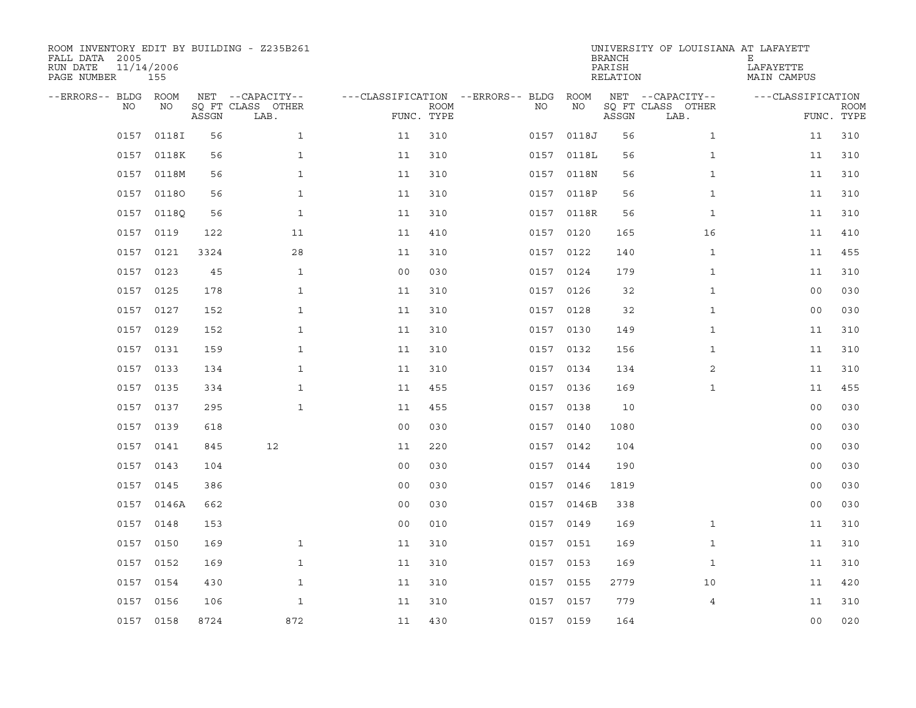| ROOM INVENTORY EDIT BY BUILDING - Z235B261<br>FALL DATA 2005<br>RUN DATE<br>PAGE NUMBER | 11/14/2006<br>155 |       |                                               |                                        |                           |           |            | <b>BRANCH</b><br>PARISH<br>RELATION | UNIVERSITY OF LOUISIANA AT LAFAYETT           | Е<br>LAFAYETTE<br>MAIN CAMPUS |                           |
|-----------------------------------------------------------------------------------------|-------------------|-------|-----------------------------------------------|----------------------------------------|---------------------------|-----------|------------|-------------------------------------|-----------------------------------------------|-------------------------------|---------------------------|
| --ERRORS-- BLDG ROOM<br>NO                                                              | NO                | ASSGN | NET --CAPACITY--<br>SQ FT CLASS OTHER<br>LAB. | ---CLASSIFICATION --ERRORS-- BLDG ROOM | <b>ROOM</b><br>FUNC. TYPE | NO        | ΝO         | ASSGN                               | NET --CAPACITY--<br>SQ FT CLASS OTHER<br>LAB. | ---CLASSIFICATION             | <b>ROOM</b><br>FUNC. TYPE |
| 0157                                                                                    | 0118I             | 56    | $\mathbf{1}$                                  | 11                                     | 310                       | 0157      | 0118J      | 56                                  | $\mathbf{1}$                                  | 11                            | 310                       |
|                                                                                         | 0157 0118K        | 56    | $\mathbf{1}$                                  | 11                                     | 310                       |           | 0157 0118L | 56                                  | $\mathbf{1}$                                  | 11                            | 310                       |
| 0157                                                                                    | 0118M             | 56    | $\mathbf{1}$                                  | 11                                     | 310                       |           | 0157 0118N | 56                                  | $\mathbf{1}$                                  | 11                            | 310                       |
|                                                                                         | 0157 01180        | 56    | $\mathbf{1}$                                  | 11                                     | 310                       |           | 0157 0118P | 56                                  | $\mathbf{1}$                                  | 11                            | 310                       |
| 0157                                                                                    | 0118Q             | 56    | $\mathbf{1}$                                  | 11                                     | 310                       |           | 0157 0118R | 56                                  | $\mathbf{1}$                                  | 11                            | 310                       |
|                                                                                         | 0157 0119         | 122   | 11                                            | 11                                     | 410                       | 0157 0120 |            | 165                                 | 16                                            | 11                            | 410                       |
| 0157                                                                                    | 0121              | 3324  | 28                                            | 11                                     | 310                       | 0157      | 0122       | 140                                 | $\mathbf{1}$                                  | 11                            | 455                       |
|                                                                                         | 0157 0123         | 45    | $\mathbf{1}$                                  | 0 <sub>0</sub>                         | 030                       | 0157 0124 |            | 179                                 | $\mathbf{1}$                                  | 11                            | 310                       |
|                                                                                         | 0157 0125         | 178   | $\mathbf{1}$                                  | 11                                     | 310                       | 0157 0126 |            | 32                                  | $\mathbf{1}$                                  | 00                            | 030                       |
|                                                                                         | 0157 0127         | 152   | $\mathbf{1}$                                  | 11                                     | 310                       | 0157 0128 |            | 32                                  | $\mathbf{1}$                                  | 00                            | 030                       |
|                                                                                         | 0157 0129         | 152   | $\mathbf{1}$                                  | 11                                     | 310                       | 0157 0130 |            | 149                                 | $\mathbf{1}$                                  | 11                            | 310                       |
|                                                                                         | 0157 0131         | 159   | $\mathbf{1}$                                  | 11                                     | 310                       | 0157 0132 |            | 156                                 | $\mathbf{1}$                                  | 11                            | 310                       |
|                                                                                         | 0157 0133         | 134   | $\mathbf{1}$                                  | 11                                     | 310                       | 0157 0134 |            | 134                                 | 2                                             | 11                            | 310                       |
|                                                                                         | 0157 0135         | 334   | $\mathbf 1$                                   | 11                                     | 455                       |           | 0157 0136  | 169                                 | $\mathbf{1}$                                  | 11                            | 455                       |
|                                                                                         | 0157 0137         | 295   | $\mathbf{1}$                                  | 11                                     | 455                       | 0157 0138 |            | 10                                  |                                               | 00                            | 030                       |
|                                                                                         | 0157 0139         | 618   |                                               | 0 <sub>0</sub>                         | 030                       | 0157 0140 |            | 1080                                |                                               | 00                            | 030                       |
| 0157                                                                                    | 0141              | 845   | 12                                            | 11                                     | 220                       |           | 0157 0142  | 104                                 |                                               | 00                            | 030                       |
|                                                                                         | 0157 0143         | 104   |                                               | 0 <sub>0</sub>                         | 030                       | 0157 0144 |            | 190                                 |                                               | 00                            | 030                       |
|                                                                                         | 0157 0145         | 386   |                                               | 0 <sub>0</sub>                         | 030                       | 0157 0146 |            | 1819                                |                                               | 0 <sub>0</sub>                | 030                       |
| 0157                                                                                    | 0146A             | 662   |                                               | 0 <sub>0</sub>                         | 030                       |           | 0157 0146B | 338                                 |                                               | 0 <sub>0</sub>                | 030                       |
|                                                                                         | 0157 0148         | 153   |                                               | 0 <sub>0</sub>                         | 010                       | 0157 0149 |            | 169                                 | $\mathbf{1}$                                  | 11                            | 310                       |
| 0157                                                                                    | 0150              | 169   | $\mathbf{1}$                                  | 11                                     | 310                       | 0157 0151 |            | 169                                 | $\mathbf{1}$                                  | 11                            | 310                       |
|                                                                                         | 0157 0152         | 169   | $\mathbf{1}$                                  | 11                                     | 310                       | 0157 0153 |            | 169                                 | $\mathbf{1}$                                  | 11                            | 310                       |
| 0157                                                                                    | 0154              | 430   | $\mathbf{1}$                                  | 11                                     | 310                       | 0157 0155 |            | 2779                                | 10                                            | 11                            | 420                       |
|                                                                                         | 0157 0156         | 106   | $\mathbf{1}$                                  | 11                                     | 310                       | 0157 0157 |            | 779                                 | $\overline{4}$                                | 11                            | 310                       |
|                                                                                         | 0157 0158         | 8724  | 872                                           | 11                                     | 430                       | 0157 0159 |            | 164                                 |                                               | 0 <sub>0</sub>                | 020                       |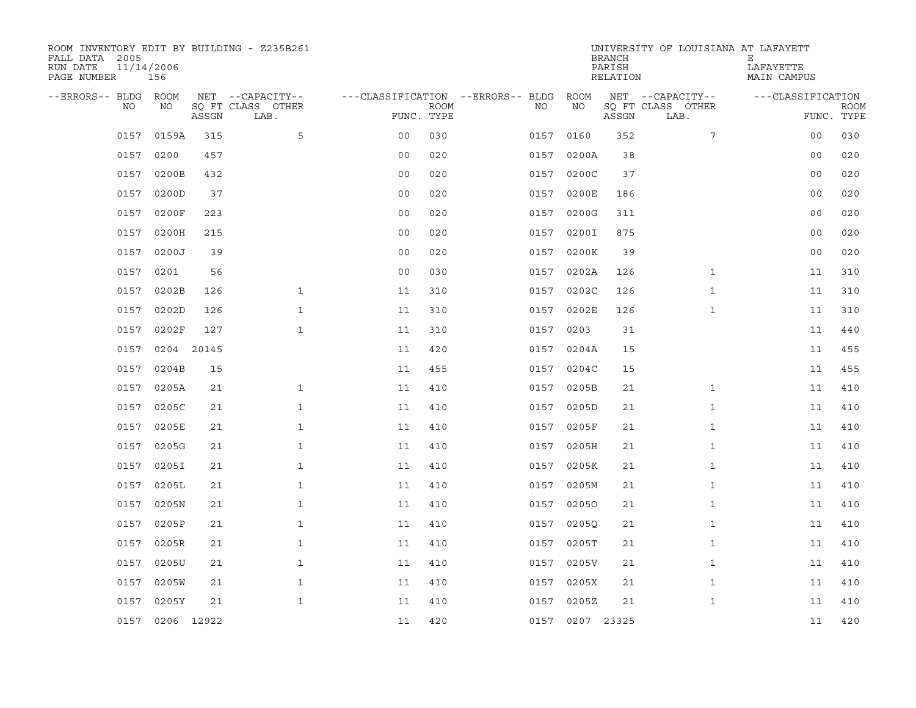| ROOM INVENTORY EDIT BY BUILDING - Z235B261<br>FALL DATA 2005<br>RUN DATE<br>PAGE NUMBER | 11/14/2006<br>156 |       |                           |                                        |             |      |                 | <b>BRANCH</b><br>PARISH<br>RELATION | UNIVERSITY OF LOUISIANA AT LAFAYETT | Е<br>LAFAYETTE<br>MAIN CAMPUS |             |
|-----------------------------------------------------------------------------------------|-------------------|-------|---------------------------|----------------------------------------|-------------|------|-----------------|-------------------------------------|-------------------------------------|-------------------------------|-------------|
| --ERRORS-- BLDG ROOM                                                                    |                   |       | NET --CAPACITY--          | ---CLASSIFICATION --ERRORS-- BLDG ROOM |             |      |                 |                                     | NET --CAPACITY--                    | ---CLASSIFICATION             |             |
| NO                                                                                      | NO                | ASSGN | SQ FT CLASS OTHER<br>LAB. | FUNC. TYPE                             | <b>ROOM</b> | NO.  | NO              | ASSGN                               | SQ FT CLASS OTHER<br>LAB.           | FUNC. TYPE                    | <b>ROOM</b> |
| 0157                                                                                    | 0159A             | 315   | 5                         | 0 <sub>0</sub>                         | 030         | 0157 | 0160            | 352                                 | $7\overline{ }$                     | 0 <sub>0</sub>                | 030         |
| 0157                                                                                    | 0200              | 457   |                           | 0 <sub>0</sub>                         | 020         | 0157 | 0200A           | 38                                  |                                     | 0 <sub>0</sub>                | 020         |
| 0157                                                                                    | 0200B             | 432   |                           | 0 <sub>0</sub>                         | 020         | 0157 | 0200C           | 37                                  |                                     | 0 <sub>0</sub>                | 020         |
| 0157                                                                                    | 0200D             | 37    |                           | 0 <sub>0</sub>                         | 020         |      | 0157 0200E      | 186                                 |                                     | 00                            | 020         |
| 0157                                                                                    | 0200F             | 223   |                           | 00                                     | 020         | 0157 | 0200G           | 311                                 |                                     | 00                            | 020         |
| 0157                                                                                    | 0200H             | 215   |                           | 0 <sub>0</sub>                         | 020         |      | 0157 0200I      | 875                                 |                                     | 00                            | 020         |
| 0157                                                                                    | 0200J             | 39    |                           | 00                                     | 020         | 0157 | 0200K           | 39                                  |                                     | 0 <sub>0</sub>                | 020         |
| 0157                                                                                    | 0201              | 56    |                           | 0 <sub>0</sub>                         | 030         |      | 0157 0202A      | 126                                 | $\mathbf{1}$                        | 11                            | 310         |
| 0157                                                                                    | 0202B             | 126   | $\mathbf{1}$              | 11                                     | 310         | 0157 | 0202C           | 126                                 | $\mathbf{1}$                        | 11                            | 310         |
| 0157                                                                                    | 0202D             | 126   | $\mathbf{1}$              | 11                                     | 310         |      | 0157 0202E      | 126                                 | $\mathbf{1}$                        | 11                            | 310         |
| 0157                                                                                    | 0202F             | 127   | $\mathbf{1}$              | 11                                     | 310         | 0157 | 0203            | 31                                  |                                     | 11                            | 440         |
|                                                                                         | 0157 0204 20145   |       |                           | 11                                     | 420         |      | 0157 0204A      | 15                                  |                                     | 11                            | 455         |
| 0157                                                                                    | 0204B             | 15    |                           | 11                                     | 455         |      | 0157 0204C      | 15                                  |                                     | 11                            | 455         |
|                                                                                         | 0157 0205A        | 21    | $\mathbf{1}$              | 11                                     | 410         |      | 0157 0205B      | 21                                  | $\mathbf{1}$                        | 11                            | 410         |
| 0157                                                                                    | 0205C             | 21    | $\mathbf{1}$              | 11                                     | 410         | 0157 | 0205D           | 21                                  | $\mathbf{1}$                        | 11                            | 410         |
|                                                                                         | 0157 0205E        | 21    | $\mathbf{1}$              | 11                                     | 410         |      | 0157 0205F      | 21                                  | $\mathbf{1}$                        | 11                            | 410         |
| 0157                                                                                    | 0205G             | 21    | $\mathbf{1}$              | 11                                     | 410         | 0157 | 0205H           | 21                                  | $\mathbf{1}$                        | 11                            | 410         |
|                                                                                         | 0157 0205I        | 21    | $\mathbf 1$               | 11                                     | 410         |      | 0157 0205K      | 21                                  | $\mathbf{1}$                        | 11                            | 410         |
|                                                                                         | 0157 0205L        | 21    | $\mathbf{1}$              | 11                                     | 410         |      | 0157 0205M      | 21                                  | $\mathbf{1}$                        | 11                            | 410         |
| 0157                                                                                    | 0205N             | 21    | $\mathbf{1}$              | 11                                     | 410         | 0157 | 02050           | 21                                  | $\mathbf{1}$                        | 11                            | 410         |
|                                                                                         | 0157 0205P        | 21    | $\mathbf{1}$              | 11                                     | 410         | 0157 | 02050           | 21                                  | $\mathbf{1}$                        | 11                            | 410         |
| 0157                                                                                    | 0205R             | 21    | $\mathbf{1}$              | 11                                     | 410         | 0157 | 0205T           | 21                                  | $\mathbf{1}$                        | 11                            | 410         |
|                                                                                         | 0157 0205U        | 21    | $\mathbf{1}$              | 11                                     | 410         |      | 0157 0205V      | 21                                  | $\mathbf{1}$                        | 11                            | 410         |
| 0157                                                                                    | 0205W             | 21    | $\mathbf{1}$              | 11                                     | 410         |      | 0157 0205X      | 21                                  | $\mathbf{1}$                        | 11                            | 410         |
| 0157                                                                                    | 0205Y             | 21    | $\mathbf{1}$              | 11                                     | 410         |      | 0157 0205Z      | 21                                  | $\mathbf{1}$                        | 11                            | 410         |
|                                                                                         | 0157 0206 12922   |       |                           | 11                                     | 420         |      | 0157 0207 23325 |                                     |                                     | 11                            | 420         |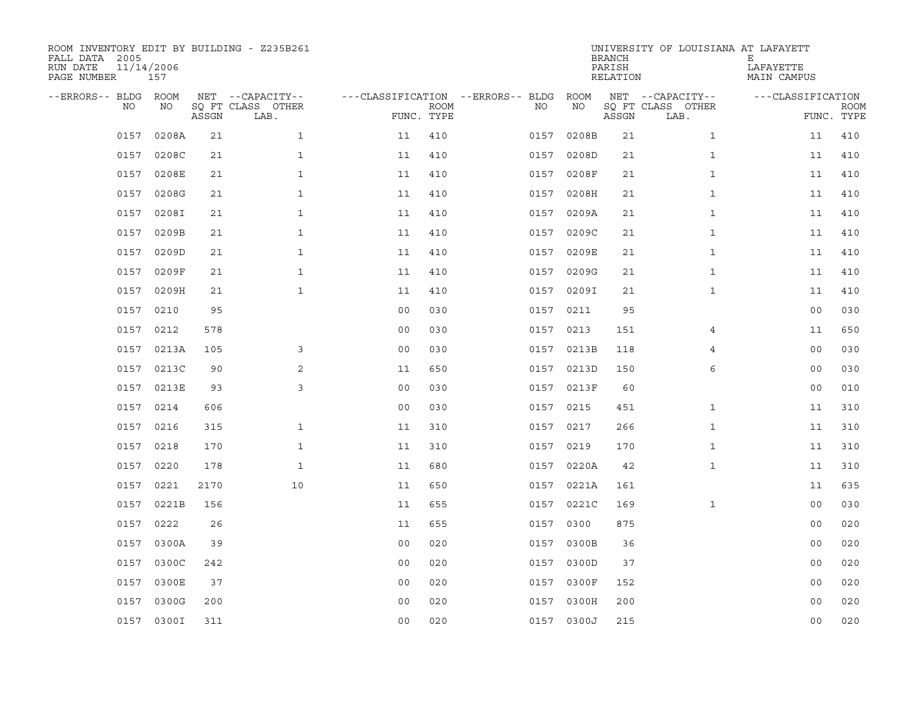| ROOM INVENTORY EDIT BY BUILDING - Z235B261<br>FALL DATA 2005<br>RUN DATE<br>PAGE NUMBER | 11/14/2006<br>157 |       |                                               |                |                           |                                              |            |       | <b>BRANCH</b><br>PARISH<br>RELATION | UNIVERSITY OF LOUISIANA AT LAFAYETT           | Е<br>LAFAYETTE<br>MAIN CAMPUS |                           |
|-----------------------------------------------------------------------------------------|-------------------|-------|-----------------------------------------------|----------------|---------------------------|----------------------------------------------|------------|-------|-------------------------------------|-----------------------------------------------|-------------------------------|---------------------------|
| --ERRORS-- BLDG ROOM<br>NO                                                              | NO                | ASSGN | NET --CAPACITY--<br>SQ FT CLASS OTHER<br>LAB. |                | <b>ROOM</b><br>FUNC. TYPE | ---CLASSIFICATION --ERRORS-- BLDG ROOM<br>NO |            | ΝO    | ASSGN                               | NET --CAPACITY--<br>SQ FT CLASS OTHER<br>LAB. | ---CLASSIFICATION             | <b>ROOM</b><br>FUNC. TYPE |
| 0157                                                                                    | 0208A             | 21    | $\mathbf{1}$                                  | 11             | 410                       | 0157                                         |            | 0208B | 21                                  | $\mathbf{1}$                                  | 11                            | 410                       |
| 0157                                                                                    | 0208C             | 21    | $\mathbf{1}$                                  | 11             | 410                       |                                              | 0157 0208D |       | 21                                  | $\mathbf{1}$                                  | 11                            | 410                       |
| 0157                                                                                    | 0208E             | 21    | $\mathbf{1}$                                  | 11             | 410                       | 0157                                         |            | 0208F | 21                                  | $\mathbf{1}$                                  | 11                            | 410                       |
| 0157                                                                                    | 0208G             | 21    | $\mathbf{1}$                                  | 11             | 410                       |                                              | 0157 0208H |       | 21                                  | $\mathbf{1}$                                  | 11                            | 410                       |
| 0157                                                                                    | 0208I             | 21    | $\mathbf{1}$                                  | 11             | 410                       | 0157                                         |            | 0209A | 21                                  | $\mathbf{1}$                                  | 11                            | 410                       |
| 0157                                                                                    | 0209B             | 21    | $\mathbf{1}$                                  | 11             | 410                       |                                              | 0157 0209C |       | 21                                  | $\mathbf{1}$                                  | 11                            | 410                       |
| 0157                                                                                    | 0209D             | 21    | $\mathbf{1}$                                  | 11             | 410                       |                                              | 0157       | 0209E | 21                                  | $\mathbf{1}$                                  | 11                            | 410                       |
|                                                                                         | 0157 0209F        | 21    | $\mathbf{1}$                                  | 11             | 410                       |                                              | 0157 0209G |       | 21                                  | $\mathbf{1}$                                  | 11                            | 410                       |
|                                                                                         | 0157 0209H        | 21    | $\mathbf{1}$                                  | 11             | 410                       |                                              | 0157 0209I |       | 21                                  | $\mathbf{1}$                                  | 11                            | 410                       |
|                                                                                         | 0157 0210         | 95    |                                               | 0 <sub>0</sub> | 030                       |                                              | 0157 0211  |       | 95                                  |                                               | 00                            | 030                       |
| 0157                                                                                    | 0212              | 578   |                                               | 0 <sub>0</sub> | 030                       |                                              | 0157 0213  |       | 151                                 | 4                                             | 11                            | 650                       |
|                                                                                         | 0157 0213A        | 105   | 3                                             | 0 <sub>0</sub> | 030                       |                                              | 0157 0213B |       | 118                                 | $\overline{4}$                                | 0 <sub>0</sub>                | 030                       |
|                                                                                         | 0157 0213C        | 90    | 2                                             | 11             | 650                       |                                              | 0157 0213D |       | 150                                 | 6                                             | 00                            | 030                       |
|                                                                                         | 0157 0213E        | 93    | 3                                             | 0 <sub>0</sub> | 030                       |                                              | 0157 0213F |       | 60                                  |                                               | 00                            | 010                       |
| 0157                                                                                    | 0214              | 606   |                                               | 0 <sub>0</sub> | 030                       |                                              | 0157 0215  |       | 451                                 | $\mathbf{1}$                                  | 11                            | 310                       |
|                                                                                         | 0157 0216         | 315   | $\mathbf{1}$                                  | 11             | 310                       |                                              | 0157 0217  |       | 266                                 | $\mathbf{1}$                                  | 11                            | 310                       |
| 0157                                                                                    | 0218              | 170   | $\mathbf{1}$                                  | 11             | 310                       |                                              | 0157 0219  |       | 170                                 | $\mathbf{1}$                                  | 11                            | 310                       |
|                                                                                         | 0157 0220         | 178   | $\mathbf{1}$                                  | 11             | 680                       |                                              | 0157 0220A |       | 42                                  | $\mathbf{1}$                                  | 11                            | 310                       |
|                                                                                         | 0157 0221         | 2170  | 10                                            | 11             | 650                       |                                              | 0157 0221A |       | 161                                 |                                               | 11                            | 635                       |
| 0157                                                                                    | 0221B             | 156   |                                               | 11             | 655                       |                                              | 0157 0221C |       | 169                                 | $\mathbf{1}$                                  | 0 <sub>0</sub>                | 030                       |
|                                                                                         | 0157 0222         | 26    |                                               | 11             | 655                       |                                              | 0157 0300  |       | 875                                 |                                               | 00                            | 020                       |
| 0157                                                                                    | 0300A             | 39    |                                               | 0 <sub>0</sub> | 020                       |                                              | 0157 0300B |       | 36                                  |                                               | 00                            | 020                       |
|                                                                                         | 0157 0300C        | 242   |                                               | 0 <sub>0</sub> | 020                       |                                              | 0157 0300D |       | 37                                  |                                               | 00                            | 020                       |
| 0157                                                                                    | 0300E             | 37    |                                               | 00             | 020                       |                                              | 0157 0300F |       | 152                                 |                                               | 0 <sub>0</sub>                | 020                       |
| 0157                                                                                    | 0300G             | 200   |                                               | 0 <sub>0</sub> | 020                       |                                              | 0157 0300H |       | 200                                 |                                               | 0 <sub>0</sub>                | 020                       |
|                                                                                         | 0157 0300I        | 311   |                                               | 0 <sub>0</sub> | 020                       |                                              | 0157 0300J |       | 215                                 |                                               | 0 <sub>0</sub>                | 020                       |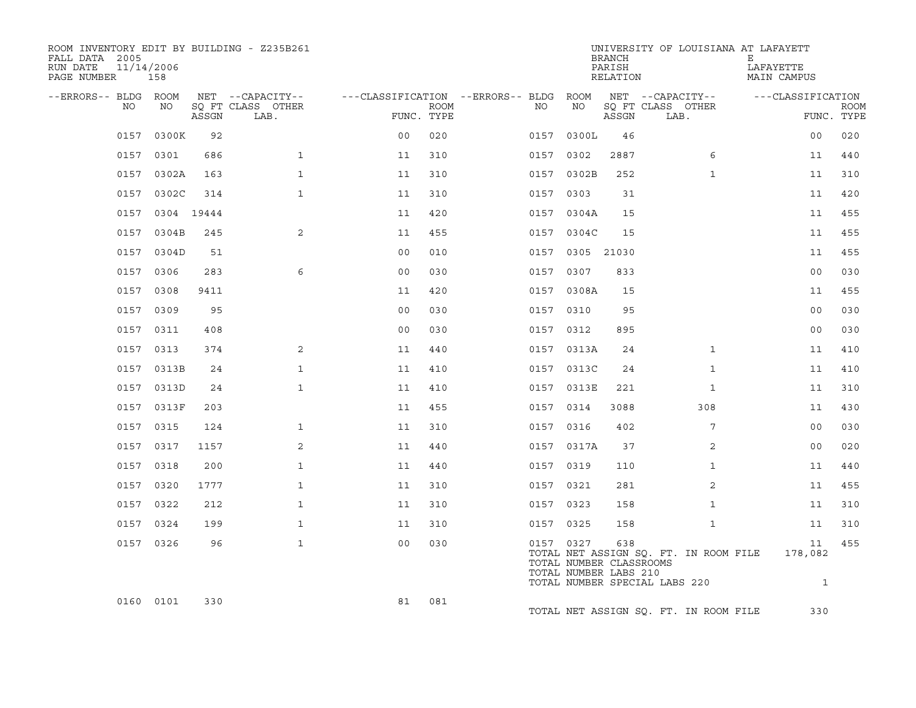| ROOM INVENTORY EDIT BY BUILDING - Z235B261<br>FALL DATA 2005<br>RUN DATE<br>11/14/2006<br>PAGE NUMBER | 158             |       |                           |                |      |                                        |                 | <b>BRANCH</b><br>PARISH<br>RELATION                     | UNIVERSITY OF LOUISIANA AT LAFAYETT                                    | Е<br>LAFAYETTE<br>MAIN CAMPUS |                           |
|-------------------------------------------------------------------------------------------------------|-----------------|-------|---------------------------|----------------|------|----------------------------------------|-----------------|---------------------------------------------------------|------------------------------------------------------------------------|-------------------------------|---------------------------|
| --ERRORS-- BLDG ROOM                                                                                  |                 |       | NET --CAPACITY--          |                |      | ---CLASSIFICATION --ERRORS-- BLDG ROOM |                 |                                                         | NET --CAPACITY--                                                       | ---CLASSIFICATION             |                           |
| NO                                                                                                    | NO              | ASSGN | SO FT CLASS OTHER<br>LAB. | FUNC. TYPE     | ROOM | NO                                     | NO              | ASSGN                                                   | SO FT CLASS OTHER<br>LAB.                                              |                               | <b>ROOM</b><br>FUNC. TYPE |
|                                                                                                       | 0157 0300K      | 92    |                           | 0 <sub>0</sub> | 020  |                                        | 0157 0300L      | 46                                                      |                                                                        | 00                            | 020                       |
|                                                                                                       | 0157 0301       | 686   | $\mathbf{1}$              | 11             | 310  | 0157 0302                              |                 | 2887                                                    | 6                                                                      | 11                            | 440                       |
|                                                                                                       | 0157 0302A      | 163   | $\mathbf{1}$              | 11             | 310  |                                        | 0157 0302B      | 252                                                     | $\mathbf{1}$                                                           | 11                            | 310                       |
| 0157                                                                                                  | 0302C           | 314   | $\mathbf{1}$              | 11             | 310  | 0157                                   | 0303            | 31                                                      |                                                                        | 11                            | 420                       |
|                                                                                                       | 0157 0304 19444 |       |                           | 11             | 420  |                                        | 0157 0304A      | 15                                                      |                                                                        | 11                            | 455                       |
|                                                                                                       | 0157 0304B      | 245   | 2                         | 11             | 455  |                                        | 0157 0304C      | 15                                                      |                                                                        | 11                            | 455                       |
|                                                                                                       | 0157 0304D      | 51    |                           | 0 <sub>0</sub> | 010  |                                        | 0157 0305 21030 |                                                         |                                                                        | 11                            | 455                       |
| 0157                                                                                                  | 0306            | 283   | 6                         | 0 <sub>0</sub> | 030  |                                        | 0157 0307       | 833                                                     |                                                                        | 0 <sub>0</sub>                | 030                       |
|                                                                                                       | 0157 0308       | 9411  |                           | 11             | 420  |                                        | 0157 0308A      | 15                                                      |                                                                        | 11                            | 455                       |
|                                                                                                       | 0157 0309       | 95    |                           | 0 <sub>0</sub> | 030  | 0157 0310                              |                 | 95                                                      |                                                                        | 00                            | 030                       |
|                                                                                                       | 0157 0311       | 408   |                           | 0 <sub>0</sub> | 030  | 0157 0312                              |                 | 895                                                     |                                                                        | 00                            | 030                       |
|                                                                                                       | 0157 0313       | 374   | 2                         | 11             | 440  |                                        | 0157 0313A      | 24                                                      | $\mathbf{1}$                                                           | 11                            | 410                       |
|                                                                                                       | 0157 0313B      | 24    | $\mathbf{1}$              | 11             | 410  |                                        | 0157 0313C      | 24                                                      | $\mathbf{1}$                                                           | 11                            | 410                       |
|                                                                                                       | 0157 0313D      | 24    | $\mathbf{1}$              | 11             | 410  |                                        | 0157 0313E      | 221                                                     | $\mathbf{1}$                                                           | 11                            | 310                       |
|                                                                                                       | 0157 0313F      | 203   |                           | 11             | 455  |                                        | 0157 0314       | 3088                                                    | 308                                                                    | 11                            | 430                       |
|                                                                                                       | 0157 0315       | 124   | $\mathbf{1}$              | 11             | 310  |                                        | 0157 0316       | 402                                                     | 7                                                                      | 0 <sub>0</sub>                | 030                       |
|                                                                                                       | 0157 0317       | 1157  | 2                         | 11             | 440  |                                        | 0157 0317A      | 37                                                      | 2                                                                      | 0 <sub>0</sub>                | 020                       |
|                                                                                                       | 0157 0318       | 200   | $\mathbf{1}$              | 11             | 440  |                                        | 0157 0319       | 110                                                     | $\mathbf{1}$                                                           | 11                            | 440                       |
|                                                                                                       | 0157 0320       | 1777  | $\mathbf{1}$              | 11             | 310  | 0157 0321                              |                 | 281                                                     | 2                                                                      | 11                            | 455                       |
|                                                                                                       | 0157 0322       | 212   | $\mathbf{1}$              | 11             | 310  |                                        | 0157 0323       | 158                                                     | $\mathbf{1}$                                                           | 11                            | 310                       |
|                                                                                                       | 0157 0324       | 199   | $\mathbf{1}$              | 11             | 310  | 0157 0325                              |                 | 158                                                     | $\mathbf{1}$                                                           | 11                            | 310                       |
|                                                                                                       | 0157 0326       | 96    | $\mathbf{1}$              | 0 <sub>0</sub> | 030  | 0157 0327                              |                 | 638<br>TOTAL NUMBER CLASSROOMS<br>TOTAL NUMBER LABS 210 | TOTAL NET ASSIGN SQ. FT. IN ROOM FILE<br>TOTAL NUMBER SPECIAL LABS 220 | 11<br>178,082<br>$\mathbf{1}$ | 455                       |
|                                                                                                       | 0160 0101       | 330   |                           | 81             | 081  |                                        |                 |                                                         | TOTAL NET ASSIGN SQ. FT. IN ROOM FILE                                  | 330                           |                           |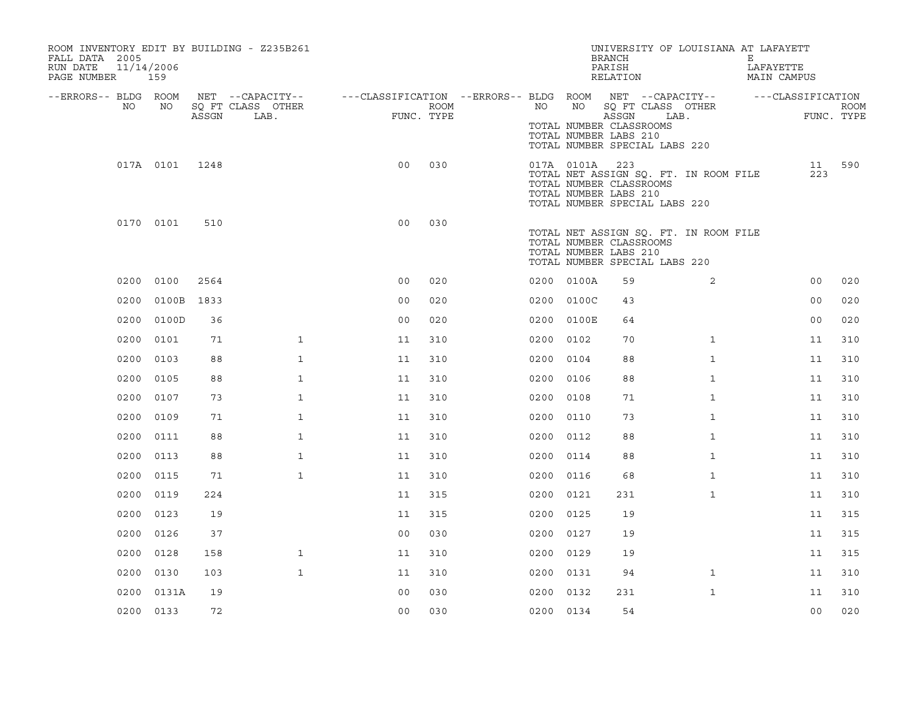| FALL DATA 2005<br>RUN DATE<br>PAGE NUMBER |      | 11/14/2006<br>159 |       | ROOM INVENTORY EDIT BY BUILDING - Z235B261    |                                                         |                    |           |                | UNIVERSITY OF LOUISIANA AT LAFAYETT<br><b>BRANCH</b><br>PARISH<br>RELATION                                                 |              | Е<br>LAFAYETTE | MAIN CAMPUS                     |             |
|-------------------------------------------|------|-------------------|-------|-----------------------------------------------|---------------------------------------------------------|--------------------|-----------|----------------|----------------------------------------------------------------------------------------------------------------------------|--------------|----------------|---------------------------------|-------------|
| --ERRORS-- BLDG ROOM                      | NO   | NO                | ASSGN | NET --CAPACITY--<br>SQ FT CLASS OTHER<br>LAB. | ---CLASSIFICATION --ERRORS-- BLDG ROOM NET --CAPACITY-- | ROOM<br>FUNC. TYPE | NO        | NO             | SQ FT CLASS OTHER<br>ASSGN<br>TOTAL NUMBER CLASSROOMS<br>TOTAL NUMBER LABS 210<br>TOTAL NUMBER SPECIAL LABS 220            | LAB.         |                | ---CLASSIFICATION<br>FUNC. TYPE | <b>ROOM</b> |
|                                           |      | 017A 0101         | 1248  |                                               | 0 <sub>0</sub>                                          | 030                |           | 017A 0101A 223 | TOTAL NET ASSIGN SQ. FT. IN ROOM FILE<br>TOTAL NUMBER CLASSROOMS<br>TOTAL NUMBER LABS 210<br>TOTAL NUMBER SPECIAL LABS 220 |              |                | 11<br>223                       | 590         |
|                                           |      | 0170 0101         | 510   |                                               | 0 <sub>0</sub>                                          | 030                |           |                | TOTAL NET ASSIGN SQ. FT. IN ROOM FILE<br>TOTAL NUMBER CLASSROOMS<br>TOTAL NUMBER LABS 210<br>TOTAL NUMBER SPECIAL LABS 220 |              |                |                                 |             |
|                                           |      | 0200 0100         | 2564  |                                               | 0 <sub>0</sub>                                          | 020                |           | 0200 0100A     | 59                                                                                                                         | 2            |                | 0 <sub>0</sub>                  | 020         |
|                                           | 0200 | 0100B             | 1833  |                                               | 0 <sub>0</sub>                                          | 020                |           | 0200 0100C     | 43                                                                                                                         |              |                | 0 <sub>0</sub>                  | 020         |
|                                           | 0200 | 0100D             | 36    |                                               | 0 <sub>0</sub>                                          | 020                |           | 0200 0100E     | 64                                                                                                                         |              |                | 00                              | 020         |
|                                           | 0200 | 0101              | 71    | $\mathbf{1}$                                  | 11                                                      | 310                | 0200      | 0102           | 70                                                                                                                         | $\mathbf{1}$ |                | 11                              | 310         |
|                                           | 0200 | 0103              | 88    | $\mathbf{1}$                                  | 11                                                      | 310                | 0200 0104 |                | 88                                                                                                                         | $\mathbf{1}$ |                | 11                              | 310         |
|                                           | 0200 | 0105              | 88    | $\mathbf{1}$                                  | 11                                                      | 310                | 0200      | 0106           | 88                                                                                                                         | $\mathbf{1}$ |                | 11                              | 310         |
|                                           | 0200 | 0107              | 73    | $\mathbf{1}$                                  | 11                                                      | 310                | 0200 0108 |                | 71                                                                                                                         | $\mathbf{1}$ |                | 11                              | 310         |
|                                           | 0200 | 0109              | 71    | $\mathbf 1$                                   | 11                                                      | 310                | 0200 0110 |                | 73                                                                                                                         | $\mathbf{1}$ |                | 11                              | 310         |
|                                           | 0200 | 0111              | 88    | $\mathbf 1$                                   | 11                                                      | 310                | 0200 0112 |                | 88                                                                                                                         | $\mathbf{1}$ |                | 11                              | 310         |
|                                           | 0200 | 0113              | 88    | $\mathbf{1}$                                  | 11                                                      | 310                | 0200 0114 |                | 88                                                                                                                         | $\mathbf{1}$ |                | 11                              | 310         |
|                                           | 0200 | 0115              | 71    | $\mathbf{1}$                                  | 11                                                      | 310                | 0200 0116 |                | 68                                                                                                                         | $\mathbf{1}$ |                | 11                              | 310         |
|                                           | 0200 | 0119              | 224   |                                               | 11                                                      | 315                | 0200 0121 |                | 231                                                                                                                        | $\mathbf{1}$ |                | 11                              | 310         |
|                                           | 0200 | 0123              | 19    |                                               | 11                                                      | 315                | 0200 0125 |                | 19                                                                                                                         |              |                | 11                              | 315         |
|                                           | 0200 | 0126              | 37    |                                               | 0 <sub>0</sub>                                          | 030                | 0200 0127 |                | 19                                                                                                                         |              |                | 11                              | 315         |
|                                           | 0200 | 0128              | 158   | $\mathbf{1}$                                  | 11                                                      | 310                | 0200 0129 |                | 19                                                                                                                         |              |                | 11                              | 315         |
|                                           | 0200 | 0130              | 103   | $\mathbf{1}$                                  | 11                                                      | 310                | 0200 0131 |                | 94                                                                                                                         | $\mathbf{1}$ |                | 11                              | 310         |
|                                           | 0200 | 0131A             | 19    |                                               | 0 <sub>0</sub>                                          | 030                | 0200 0132 |                | 231                                                                                                                        | $\mathbf{1}$ |                | 11                              | 310         |
|                                           |      | 0200 0133         | 72    |                                               | 0 <sub>0</sub>                                          | 030                | 0200 0134 |                | 54                                                                                                                         |              |                | 0 <sub>0</sub>                  | 020         |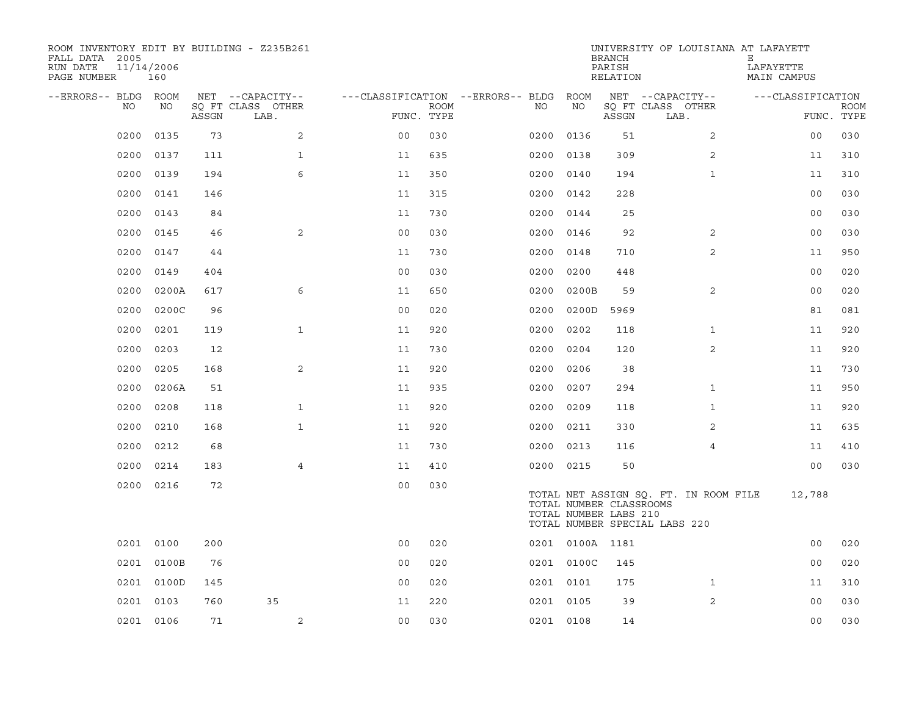| ROOM INVENTORY EDIT BY BUILDING - Z235B261<br>FALL DATA 2005<br>RUN DATE<br>PAGE NUMBER | 11/14/2006<br>160 |       |                                       |                                        |             |      |                 | <b>BRANCH</b><br>PARISH<br>RELATION              | UNIVERSITY OF LOUISIANA AT LAFAYETT                                    | Е<br>LAFAYETTE<br>MAIN CAMPUS |             |
|-----------------------------------------------------------------------------------------|-------------------|-------|---------------------------------------|----------------------------------------|-------------|------|-----------------|--------------------------------------------------|------------------------------------------------------------------------|-------------------------------|-------------|
| --ERRORS-- BLDG ROOM<br>NO                                                              | NO                |       | NET --CAPACITY--<br>SQ FT CLASS OTHER | ---CLASSIFICATION --ERRORS-- BLDG ROOM | <b>ROOM</b> | NO   | NO              |                                                  | NET --CAPACITY--<br>SQ FT CLASS OTHER                                  | ---CLASSIFICATION             | <b>ROOM</b> |
|                                                                                         |                   | ASSGN | LAB.                                  | FUNC. TYPE                             |             |      |                 | ASSGN                                            | LAB.                                                                   |                               | FUNC. TYPE  |
| 0200                                                                                    | 0135              | 73    | 2                                     | 0 <sub>0</sub>                         | 030         | 0200 | 0136            | 51                                               | $\overline{2}$                                                         | 0 <sub>0</sub>                | 030         |
| 0200                                                                                    | 0137              | 111   | $\mathbf{1}$                          | 11                                     | 635         | 0200 | 0138            | 309                                              | 2                                                                      | 11                            | 310         |
| 0200                                                                                    | 0139              | 194   | 6                                     | 11                                     | 350         | 0200 | 0140            | 194                                              | $\mathbf{1}$                                                           | 11                            | 310         |
| 0200                                                                                    | 0141              | 146   |                                       | 11                                     | 315         | 0200 | 0142            | 228                                              |                                                                        | 0 <sub>0</sub>                | 030         |
| 0200                                                                                    | 0143              | 84    |                                       | 11                                     | 730         | 0200 | 0144            | 25                                               |                                                                        | 00                            | 030         |
| 0200                                                                                    | 0145              | 46    | 2                                     | 0 <sub>0</sub>                         | 030         | 0200 | 0146            | 92                                               | 2                                                                      | 00                            | 030         |
| 0200                                                                                    | 0147              | 44    |                                       | 11                                     | 730         | 0200 | 0148            | 710                                              | $\overline{2}$                                                         | 11                            | 950         |
| 0200                                                                                    | 0149              | 404   |                                       | 0 <sub>0</sub>                         | 030         | 0200 | 0200            | 448                                              |                                                                        | 0 <sub>0</sub>                | 020         |
| 0200                                                                                    | 0200A             | 617   | 6                                     | 11                                     | 650         | 0200 | 0200B           | 59                                               | 2                                                                      | 0 <sub>0</sub>                | 020         |
| 0200                                                                                    | 0200C             | 96    |                                       | 0 <sub>0</sub>                         | 020         | 0200 | 0200D           | 5969                                             |                                                                        | 81                            | 081         |
| 0200                                                                                    | 0201              | 119   | $\mathbf{1}$                          | 11                                     | 920         | 0200 | 0202            | 118                                              | $\mathbf{1}$                                                           | 11                            | 920         |
| 0200                                                                                    | 0203              | 12    |                                       | 11                                     | 730         | 0200 | 0204            | 120                                              | $\overline{2}$                                                         | 11                            | 920         |
| 0200                                                                                    | 0205              | 168   | 2                                     | 11                                     | 920         | 0200 | 0206            | 38                                               |                                                                        | 11                            | 730         |
| 0200                                                                                    | 0206A             | 51    |                                       | 11                                     | 935         | 0200 | 0207            | 294                                              | $\mathbf{1}$                                                           | 11                            | 950         |
| 0200                                                                                    | 0208              | 118   | $\mathbf{1}$                          | 11                                     | 920         | 0200 | 0209            | 118                                              | $\mathbf{1}$                                                           | 11                            | 920         |
| 0200                                                                                    | 0210              | 168   | $\mathbf{1}$                          | 11                                     | 920         | 0200 | 0211            | 330                                              | 2                                                                      | 11                            | 635         |
| 0200                                                                                    | 0212              | 68    |                                       | 11                                     | 730         | 0200 | 0213            | 116                                              | 4                                                                      | 11                            | 410         |
| 0200                                                                                    | 0214              | 183   | $\overline{4}$                        | 11                                     | 410         |      | 0200 0215       | 50                                               |                                                                        | 0 <sub>0</sub>                | 030         |
|                                                                                         | 0200 0216         | 72    |                                       | 0 <sub>0</sub>                         | 030         |      |                 | TOTAL NUMBER CLASSROOMS<br>TOTAL NUMBER LABS 210 | TOTAL NET ASSIGN SQ. FT. IN ROOM FILE<br>TOTAL NUMBER SPECIAL LABS 220 | 12,788                        |             |
|                                                                                         | 0201 0100         | 200   |                                       | 0 <sub>0</sub>                         | 020         |      | 0201 0100A 1181 |                                                  |                                                                        | 0 <sub>0</sub>                | 020         |
|                                                                                         | 0201 0100B        | 76    |                                       | 0 <sub>0</sub>                         | 020         |      | 0201 0100C      | 145                                              |                                                                        | 0 <sub>0</sub>                | 020         |
|                                                                                         | 0201 0100D        | 145   |                                       | 0 <sub>0</sub>                         | 020         |      | 0201 0101       | 175                                              | $\mathbf{1}$                                                           | 11                            | 310         |
|                                                                                         | 0201 0103         | 760   | 35                                    | 11                                     | 220         |      | 0201 0105       | 39                                               | 2                                                                      | 0 <sub>0</sub>                | 030         |
|                                                                                         | 0201 0106         | 71    | 2                                     | 0 <sub>0</sub>                         | 030         |      | 0201 0108       | 14                                               |                                                                        | 0 <sub>0</sub>                | 030         |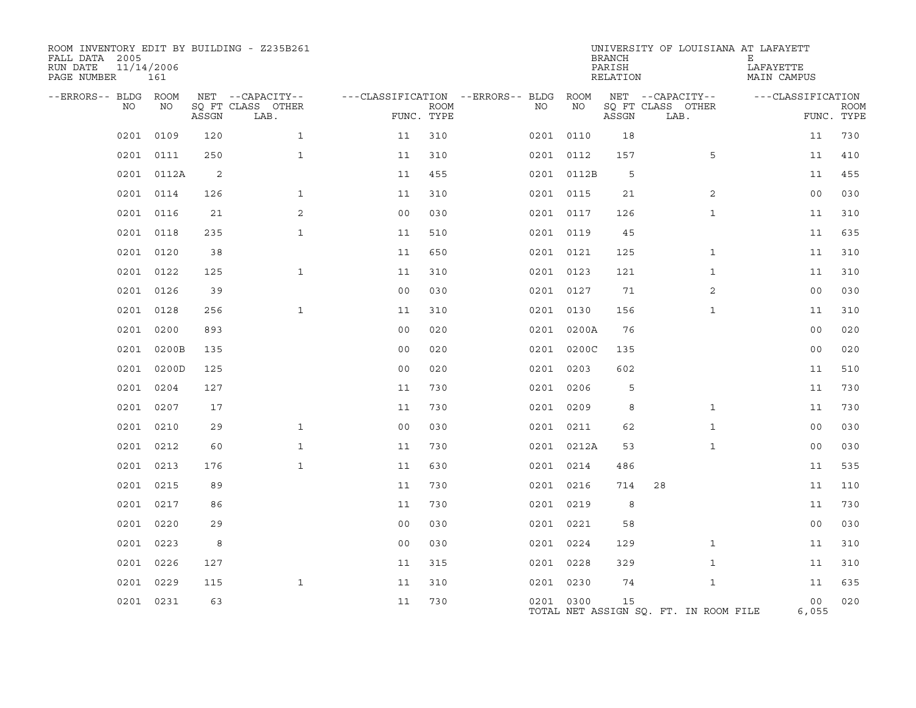| ROOM INVENTORY EDIT BY BUILDING - Z235B261<br>FALL DATA 2005<br>RUN DATE<br>11/14/2006<br>PAGE NUMBER | 161        |       |                           |                |             |                                   |            | <b>BRANCH</b><br>PARISH<br>RELATION | UNIVERSITY OF LOUISIANA AT LAFAYETT   | Е<br>LAFAYETTE<br>MAIN CAMPUS |                           |
|-------------------------------------------------------------------------------------------------------|------------|-------|---------------------------|----------------|-------------|-----------------------------------|------------|-------------------------------------|---------------------------------------|-------------------------------|---------------------------|
| --ERRORS-- BLDG ROOM                                                                                  |            |       | NET --CAPACITY--          |                |             | ---CLASSIFICATION --ERRORS-- BLDG | ROOM       |                                     | NET --CAPACITY--                      | ---CLASSIFICATION             |                           |
| NO                                                                                                    | NO         | ASSGN | SQ FT CLASS OTHER<br>LAB. | FUNC. TYPE     | <b>ROOM</b> | NO                                | ΝO         | ASSGN                               | SQ FT CLASS OTHER<br>LAB.             |                               | <b>ROOM</b><br>FUNC. TYPE |
| 0201                                                                                                  | 0109       | 120   | $\mathbf{1}$              | 11             | 310         |                                   | 0201 0110  | 18                                  |                                       | 11                            | 730                       |
| 0201                                                                                                  | 0111       | 250   | $\mathbf{1}$              | 11             | 310         |                                   | 0201 0112  | 157                                 | 5                                     | 11                            | 410                       |
|                                                                                                       | 0201 0112A | 2     |                           | 11             | 455         |                                   | 0201 0112B | 5                                   |                                       | 11                            | 455                       |
| 0201                                                                                                  | 0114       | 126   | $\mathbf{1}$              | 11             | 310         |                                   | 0201 0115  | 21                                  | $\overline{2}$                        | 0 <sub>0</sub>                | 030                       |
|                                                                                                       | 0201 0116  | 21    | 2                         | 0 <sub>0</sub> | 030         |                                   | 0201 0117  | 126                                 | $\mathbf{1}$                          | 11                            | 310                       |
| 0201                                                                                                  | 0118       | 235   | $\mathbf{1}$              | 11             | 510         |                                   | 0201 0119  | 45                                  |                                       | 11                            | 635                       |
|                                                                                                       | 0201 0120  | 38    |                           | 11             | 650         |                                   | 0201 0121  | 125                                 | $\mathbf{1}$                          | 11                            | 310                       |
| 0201                                                                                                  | 0122       | 125   | $\mathbf{1}$              | 11             | 310         |                                   | 0201 0123  | 121                                 | $\mathbf{1}$                          | 11                            | 310                       |
|                                                                                                       | 0201 0126  | 39    |                           | 0 <sub>0</sub> | 030         |                                   | 0201 0127  | 71                                  | 2                                     | 0 <sub>0</sub>                | 030                       |
|                                                                                                       | 0201 0128  | 256   | $\mathbf{1}$              | 11             | 310         |                                   | 0201 0130  | 156                                 | $\mathbf{1}$                          | 11                            | 310                       |
| 0201                                                                                                  | 0200       | 893   |                           | 0 <sub>0</sub> | 020         |                                   | 0201 0200A | 76                                  |                                       | 0 <sub>0</sub>                | 020                       |
| 0201                                                                                                  | 0200B      | 135   |                           | 0 <sub>0</sub> | 020         |                                   | 0201 0200C | 135                                 |                                       | 0 <sub>0</sub>                | 020                       |
| 0201                                                                                                  | 0200D      | 125   |                           | 0 <sup>0</sup> | 020         |                                   | 0201 0203  | 602                                 |                                       | 11                            | 510                       |
| 0201                                                                                                  | 0204       | 127   |                           | 11             | 730         |                                   | 0201 0206  | 5                                   |                                       | 11                            | 730                       |
| 0201                                                                                                  | 0207       | 17    |                           | 11             | 730         |                                   | 0201 0209  | 8                                   | $\mathbf{1}$                          | 11                            | 730                       |
|                                                                                                       | 0201 0210  | 29    | $\mathbf{1}$              | 0 <sub>0</sub> | 030         |                                   | 0201 0211  | 62                                  | $\mathbf{1}$                          | 00                            | 030                       |
|                                                                                                       | 0201 0212  | 60    | $\mathbf{1}$              | 11             | 730         |                                   | 0201 0212A | 53                                  | $\mathbf{1}$                          | 0 <sub>0</sub>                | 030                       |
|                                                                                                       | 0201 0213  | 176   | $\mathbf{1}$              | 11             | 630         |                                   | 0201 0214  | 486                                 |                                       | 11                            | 535                       |
| 0201                                                                                                  | 0215       | 89    |                           | 11             | 730         |                                   | 0201 0216  | 714                                 | 28                                    | 11                            | 110                       |
|                                                                                                       | 0201 0217  | 86    |                           | 11             | 730         |                                   | 0201 0219  | 8                                   |                                       | 11                            | 730                       |
| 0201                                                                                                  | 0220       | 29    |                           | 0 <sub>0</sub> | 030         |                                   | 0201 0221  | 58                                  |                                       | 0 <sub>0</sub>                | 030                       |
| 0201                                                                                                  | 0223       | 8     |                           | 0 <sub>0</sub> | 030         |                                   | 0201 0224  | 129                                 | $\mathbf{1}$                          | 11                            | 310                       |
| 0201                                                                                                  | 0226       | 127   |                           | 11             | 315         |                                   | 0201 0228  | 329                                 | $\mathbf{1}$                          | 11                            | 310                       |
| 0201                                                                                                  | 0229       | 115   | $\mathbf{1}$              | 11             | 310         |                                   | 0201 0230  | 74                                  | $\mathbf{1}$                          | 11                            | 635                       |
|                                                                                                       | 0201 0231  | 63    |                           | 11             | 730         |                                   | 0201 0300  | 15                                  | TOTAL NET ASSIGN SQ. FT. IN ROOM FILE | 0 <sub>0</sub><br>6,055       | 020                       |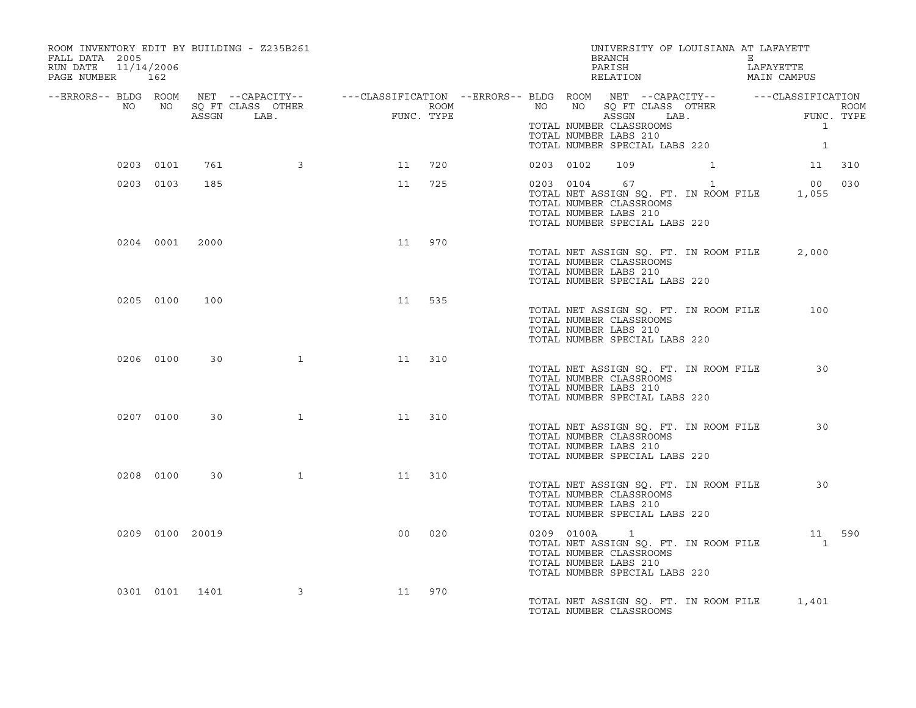| ROOM INVENTORY EDIT BY BUILDING - Z235B261<br>FALL DATA 2005<br>11/14/2006<br>RUN DATE<br>PAGE NUMBER 162 |           |                 |                         |                                                                                                                                                                                                                                     |     |           |                                                                                                     | UNIVERSITY OF LOUISIANA AT LAFAYETT<br>BRANCH E E<br>PARISH LAFAYETTE<br>RELATION MAIN CAMPUS |                                                       |  |
|-----------------------------------------------------------------------------------------------------------|-----------|-----------------|-------------------------|-------------------------------------------------------------------------------------------------------------------------------------------------------------------------------------------------------------------------------------|-----|-----------|-----------------------------------------------------------------------------------------------------|-----------------------------------------------------------------------------------------------|-------------------------------------------------------|--|
|                                                                                                           |           |                 |                         | -ERRORS-- BLDG ROOM NET --CAPACITY-- -----CLASSIFICATION --ERRORS-- BLDG ROOM NET --CAPACITY-- --------------<br>NO NO SQ FT CLASS OTHER ROOM ROOM NO ROST CLASS OFHER ROOM<br>ASSGN LAB. FUNC. TYPE THER THER ROOM ASSGN LAB. TURE |     |           | TOTAL NUMBER CLASSROOMS<br>TOTAL NUMBER LABS 210                                                    |                                                                                               |                                                       |  |
|                                                                                                           |           |                 |                         |                                                                                                                                                                                                                                     |     |           |                                                                                                     | TOTAL NUMBER SPECIAL LABS 220                                                                 | $\overline{1}$                                        |  |
|                                                                                                           | 0203 0101 | 761             | $\sim$ 3                | 11 720                                                                                                                                                                                                                              |     | 0203 0102 | 109                                                                                                 |                                                                                               | 1 1 310                                               |  |
|                                                                                                           | 0203 0103 | 185             |                         | 11                                                                                                                                                                                                                                  | 725 |           | 0203 0104 67 1<br>TOTAL NUMBER CLASSROOMS<br>TOTAL NUMBER LABS 210<br>TOTAL NUMBER SPECIAL LABS 220 |                                                                                               | 00 030<br>TOTAL NET ASSIGN SQ. FT. IN ROOM FILE 1,055 |  |
|                                                                                                           |           | 0204 0001 2000  |                         | 11                                                                                                                                                                                                                                  | 970 |           | TOTAL NUMBER CLASSROOMS<br>TOTAL NUMBER LABS 210<br>TOTAL NUMBER SPECIAL LABS 220                   | TOTAL NET ASSIGN SQ. FT. IN ROOM FILE                                                         | 2,000                                                 |  |
|                                                                                                           | 0205 0100 | 100             |                         | 11                                                                                                                                                                                                                                  | 535 |           | TOTAL NUMBER CLASSROOMS<br>TOTAL NUMBER LABS 210<br>TOTAL NUMBER SPECIAL LABS 220                   | TOTAL NET ASSIGN SQ. FT. IN ROOM FILE                                                         | 100                                                   |  |
|                                                                                                           | 0206 0100 | 30              | 1                       | 11                                                                                                                                                                                                                                  | 310 |           | TOTAL NUMBER CLASSROOMS<br>TOTAL NUMBER LABS 210<br>TOTAL NUMBER SPECIAL LABS 220                   | TOTAL NET ASSIGN SQ. FT. IN ROOM FILE                                                         | 30                                                    |  |
|                                                                                                           | 0207 0100 | 30              | $\mathbf{1}$            | 11 310                                                                                                                                                                                                                              |     |           | TOTAL NUMBER CLASSROOMS<br>TOTAL NUMBER LABS 210<br>TOTAL NUMBER SPECIAL LABS 220                   | TOTAL NET ASSIGN SQ. FT. IN ROOM FILE                                                         | 30                                                    |  |
|                                                                                                           | 0208 0100 | 30              |                         | $\mathbf 1$<br>11                                                                                                                                                                                                                   | 310 |           | TOTAL NUMBER CLASSROOMS<br>TOTAL NUMBER LABS 210<br>TOTAL NUMBER SPECIAL LABS 220                   | TOTAL NET ASSIGN SQ. FT. IN ROOM FILE 30                                                      |                                                       |  |
|                                                                                                           |           | 0209 0100 20019 |                         | 00                                                                                                                                                                                                                                  | 020 |           | TOTAL NUMBER CLASSROOMS<br>TOTAL NUMBER LABS 210<br>TOTAL NUMBER SPECIAL LABS 220                   | 0209 0100A 1<br>TOTAL NET ASSIGN SQ. FT. IN ROOM FILE                                         | 11 590<br>$\sim$ 1                                    |  |
|                                                                                                           |           | 0301 0101 1401  | $\overline{\mathbf{3}}$ | 11                                                                                                                                                                                                                                  | 970 |           | TOTAL NUMBER CLASSROOMS                                                                             | TOTAL NET ASSIGN SQ. FT. IN ROOM FILE 1,401                                                   |                                                       |  |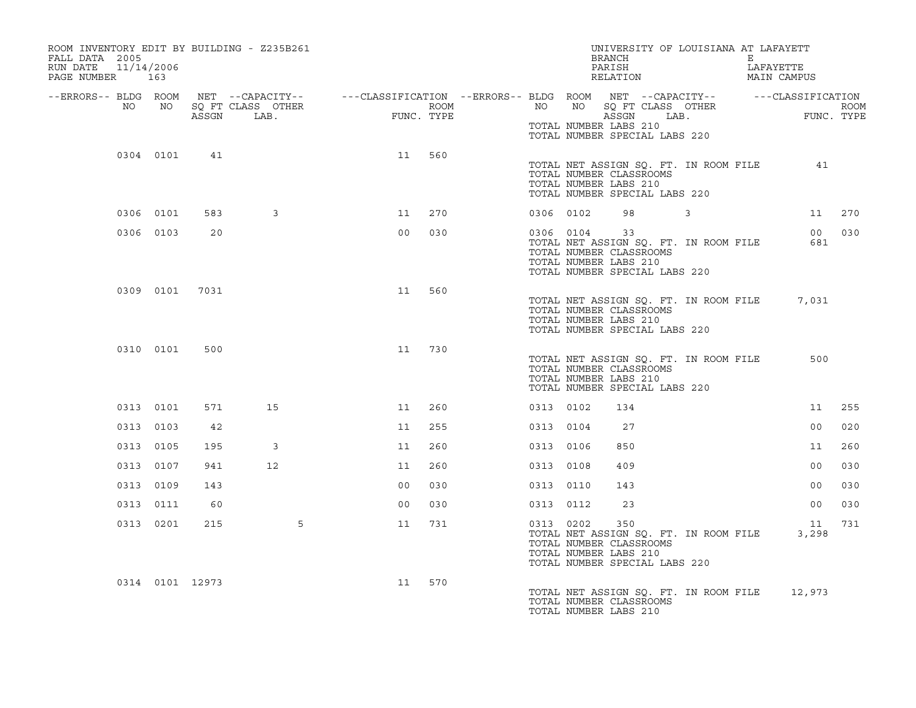| ROOM INVENTORY EDIT BY BUILDING - Z235B261<br>FALL DATA 2005<br>RUN DATE<br>11/14/2006<br>PAGE NUMBER 163                |           |                 |                           |                |                    |           |           | UNIVERSITY OF LOUISIANA AT LAFAYETT<br>BRANCH<br>PARISH<br>RELATION                                                               | the contract of the contract of the European State of the Contract of the Contract of the European State of the | LAFAYETTE<br>MAIN CAMPUS |      |
|--------------------------------------------------------------------------------------------------------------------------|-----------|-----------------|---------------------------|----------------|--------------------|-----------|-----------|-----------------------------------------------------------------------------------------------------------------------------------|-----------------------------------------------------------------------------------------------------------------|--------------------------|------|
| --ERRORS-- BLDG ROOM NET --CAPACITY-- ----CLASSIFICATION --ERRORS-- BLDG ROOM NET --CAPACITY-- -----CLASSIFICATION<br>NO | NO        | ASSGN           | SQ FT CLASS OTHER<br>LAB. | FIMC           | ROOM<br>FUNC. TYPE | NO        | NO 11     | SQ FT CLASS OTHER<br>ASSGN<br>TOTAL NUMBER LABS 210                                                                               | LAB.                                                                                                            | FUNC. TYPE               | ROOM |
|                                                                                                                          | 0304 0101 | 41              |                           | 11             | 560                |           |           | TOTAL NUMBER SPECIAL LABS 220                                                                                                     |                                                                                                                 |                          |      |
|                                                                                                                          |           |                 |                           |                |                    |           |           | TOTAL NET ASSIGN SQ. FT. IN ROOM FILE<br>TOTAL NUMBER CLASSROOMS<br>TOTAL NUMBER LABS 210<br>TOTAL NUMBER SPECIAL LABS 220        |                                                                                                                 | 41                       |      |
|                                                                                                                          | 0306 0101 | 583             | 3                         | 11             | 270                |           | 0306 0102 | 98 3                                                                                                                              |                                                                                                                 | 11 270                   |      |
|                                                                                                                          | 0306 0103 | 20              |                           | 0 <sub>0</sub> | 030                |           | 0306 0104 | 33<br>TOTAL NET ASSIGN SQ. FT. IN ROOM FILE<br>TOTAL NUMBER CLASSROOMS<br>TOTAL NUMBER LABS 210<br>TOTAL NUMBER SPECIAL LABS 220  |                                                                                                                 | 00 030<br>681            |      |
|                                                                                                                          | 0309 0101 | 7031            |                           | 11             | 560                |           |           | TOTAL NET ASSIGN SQ. FT. IN ROOM FILE<br>TOTAL NUMBER CLASSROOMS<br>TOTAL NUMBER LABS 210<br>TOTAL NUMBER SPECIAL LABS 220        |                                                                                                                 | 7,031                    |      |
|                                                                                                                          | 0310 0101 | 500             |                           | 11             | 730                |           |           | TOTAL NET ASSIGN SQ. FT. IN ROOM FILE<br>TOTAL NUMBER CLASSROOMS<br>TOTAL NUMBER LABS 210<br>TOTAL NUMBER SPECIAL LABS 220        |                                                                                                                 | 500                      |      |
|                                                                                                                          | 0313 0101 | 571             | 15                        | 11             | 260                | 0313 0102 |           | 134                                                                                                                               |                                                                                                                 | 11                       | 255  |
|                                                                                                                          | 0313 0103 | 42              |                           | 11             | 255                | 0313 0104 |           | 27                                                                                                                                |                                                                                                                 | 00                       | 020  |
|                                                                                                                          | 0313 0105 | 195             | 3                         | 11             | 260                | 0313 0106 |           | 850                                                                                                                               |                                                                                                                 | 11                       | 260  |
|                                                                                                                          | 0313 0107 | 941             | 12                        | 11             | 260                | 0313 0108 |           | 409                                                                                                                               |                                                                                                                 | 0 <sub>0</sub>           | 030  |
|                                                                                                                          | 0313 0109 | 143             |                           | 0 <sub>0</sub> | 030                | 0313 0110 |           | 143                                                                                                                               |                                                                                                                 | 00                       | 030  |
|                                                                                                                          | 0313 0111 | 60              |                           | 0 <sub>0</sub> | 030                | 0313 0112 |           | 23                                                                                                                                |                                                                                                                 | 00                       | 030  |
|                                                                                                                          | 0313 0201 | 215             | 5                         | 11             | 731                |           | 0313 0202 | 350<br>TOTAL NET ASSIGN SQ. FT. IN ROOM FILE<br>TOTAL NUMBER CLASSROOMS<br>TOTAL NUMBER LABS 210<br>TOTAL NUMBER SPECIAL LABS 220 |                                                                                                                 | 11<br>3,298              | 731  |
|                                                                                                                          |           | 0314 0101 12973 |                           | 11             | 570                |           |           | TOTAL NET ASSIGN SQ. FT. IN ROOM FILE<br>TOTAL NUMBER CLASSROOMS<br>TOTAL NUMBER LABS 210                                         |                                                                                                                 | 12,973                   |      |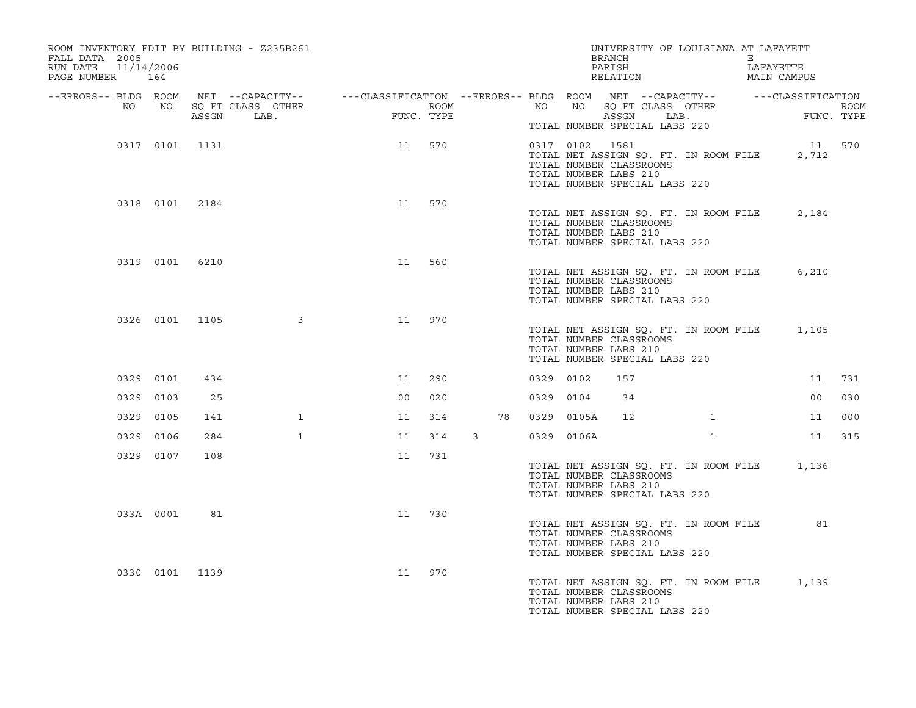| ROOM INVENTORY EDIT BY BUILDING - Z235B261<br>FALL DATA 2005<br>RUN DATE<br>PAGE NUMBER 164 | 11/14/2006     |       |                           |                                                                                                                     |            |                  |    |                | BRANCH<br>PARISH<br>RELATION                                                                                       | UNIVERSITY OF LOUISIANA AT LAFAYETT   | E | LAFAYETTE<br>MAIN CAMPUS                              |      |
|---------------------------------------------------------------------------------------------|----------------|-------|---------------------------|---------------------------------------------------------------------------------------------------------------------|------------|------------------|----|----------------|--------------------------------------------------------------------------------------------------------------------|---------------------------------------|---|-------------------------------------------------------|------|
| NO                                                                                          | NO             | ASSGN | SQ FT CLASS OTHER<br>LAB. | --ERRORS-- BLDG ROOM NET --CAPACITY-- - ---CLASSIFICATION --ERRORS-- BLDG ROOM NET --CAPACITY-- - ---CLASSIFICATION | FUNC. TYPE | ROOM <b>ROOM</b> |    | NO             |                                                                                                                    | ASSGN LAB.                            |   | NO SQ FT CLASS OTHER<br>ASSON LAB<br>FUNC. TYPE       | ROOM |
|                                                                                             | 0317 0101 1131 |       |                           | 11                                                                                                                  | 570        |                  |    | 0317 0102 1581 | TOTAL NUMBER SPECIAL LABS 220<br>TOTAL NUMBER CLASSROOMS<br>TOTAL NUMBER LABS 210<br>TOTAL NUMBER SPECIAL LABS 220 |                                       |   | 11 570<br>TOTAL NET ASSIGN SQ. FT. IN ROOM FILE 2,712 |      |
|                                                                                             | 0318 0101 2184 |       |                           | 11                                                                                                                  | 570        |                  |    |                | TOTAL NUMBER CLASSROOMS<br>TOTAL NUMBER LABS 210<br>TOTAL NUMBER SPECIAL LABS 220                                  | TOTAL NET ASSIGN SQ. FT. IN ROOM FILE |   | 2,184                                                 |      |
|                                                                                             | 0319 0101 6210 |       |                           | 11                                                                                                                  | 560        |                  |    |                | TOTAL NUMBER CLASSROOMS<br>TOTAL NUMBER LABS 210<br>TOTAL NUMBER SPECIAL LABS 220                                  |                                       |   | TOTAL NET ASSIGN SQ. FT. IN ROOM FILE 6,210           |      |
|                                                                                             | 0326 0101 1105 |       | $\sim$ 3                  | 11                                                                                                                  | 970        |                  |    |                | TOTAL NUMBER CLASSROOMS<br>TOTAL NUMBER LABS 210<br>TOTAL NUMBER SPECIAL LABS 220                                  |                                       |   | TOTAL NET ASSIGN SQ. FT. IN ROOM FILE 1,105           |      |
|                                                                                             | 0329 0101      | 434   |                           | 11                                                                                                                  | 290        |                  |    | 0329 0102      | 157                                                                                                                |                                       |   | 11                                                    | 731  |
|                                                                                             | 0329 0103      | 25    |                           | 00                                                                                                                  | 020        |                  |    | 0329 0104      | 34                                                                                                                 |                                       |   | 00                                                    | 030  |
|                                                                                             | 0329 0105      | 141   | $\mathbf{1}$              | 11                                                                                                                  | 314        |                  | 78 | 0329 0105A     | 12                                                                                                                 |                                       |   | 11                                                    | 000  |
|                                                                                             | 0329 0106      | 284   | $\mathbf{1}$              | 11                                                                                                                  | 314        | $\mathbf{3}$     |    | 0329 0106A     |                                                                                                                    | $\mathbf{1}$                          |   | 11                                                    | 315  |
|                                                                                             | 0329 0107      | 108   |                           | 11                                                                                                                  | 731        |                  |    |                | TOTAL NUMBER CLASSROOMS<br>TOTAL NUMBER LABS 210<br>TOTAL NUMBER SPECIAL LABS 220                                  |                                       |   | TOTAL NET ASSIGN SQ. FT. IN ROOM FILE 1,136           |      |
|                                                                                             | 033A 0001      | 81    |                           | 11                                                                                                                  | 730        |                  |    |                | TOTAL NUMBER CLASSROOMS<br>TOTAL NUMBER LABS 210<br>TOTAL NUMBER SPECIAL LABS 220                                  | TOTAL NET ASSIGN SQ. FT. IN ROOM FILE |   | 81                                                    |      |
|                                                                                             | 0330 0101 1139 |       |                           | 11                                                                                                                  | 970        |                  |    |                | TOTAL NUMBER CLASSROOMS<br>TOTAL NUMBER LABS 210<br>TOTAL NUMBER SPECIAL LABS 220                                  |                                       |   | TOTAL NET ASSIGN SQ. FT. IN ROOM FILE 1,139           |      |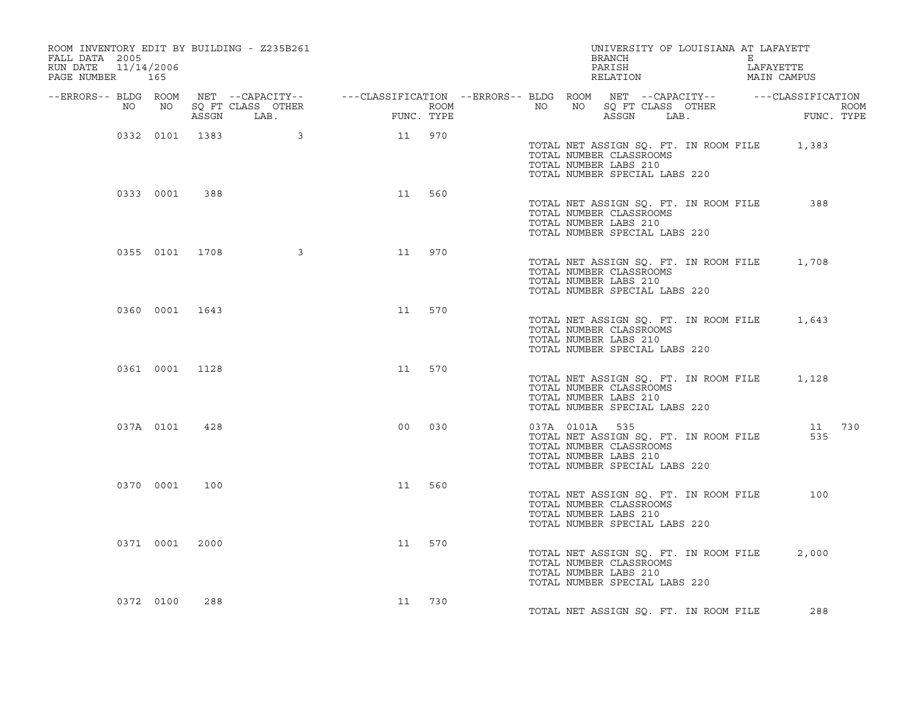| ROOM INVENTORY EDIT BY BUILDING - Z235B261<br>FALL DATA 2005<br>RUN DATE<br>PAGE NUMBER 165 | 11/14/2006     |       |                           |                                                                                                                     |            |                  |    | BRANCH<br>PARISH<br>RELATION                                                                        | UNIVERSITY OF LOUISIANA AT LAFAYETT   | E | LAFAYETTE<br>MAIN CAMPUS                    |        |
|---------------------------------------------------------------------------------------------|----------------|-------|---------------------------|---------------------------------------------------------------------------------------------------------------------|------------|------------------|----|-----------------------------------------------------------------------------------------------------|---------------------------------------|---|---------------------------------------------|--------|
| NO                                                                                          | NO             | ASSGN | SQ FT CLASS OTHER<br>LAB. | --ERRORS-- BLDG ROOM NET --CAPACITY-- - ---CLASSIFICATION --ERRORS-- BLDG ROOM NET --CAPACITY-- - ---CLASSIFICATION | FUNC. TYPE | ROOM <b>ROOM</b> | NO | ASSGN                                                                                               | LAB.                                  |   | FUNC. TYPE                                  | ROOM   |
|                                                                                             | 0332 0101 1383 |       | $\sim$ 3                  | 11 970                                                                                                              |            |                  |    | TOTAL NUMBER CLASSROOMS<br>TOTAL NUMBER LABS 210<br>TOTAL NUMBER SPECIAL LABS 220                   |                                       |   | TOTAL NET ASSIGN SQ. FT. IN ROOM FILE 1,383 |        |
|                                                                                             | 0333 0001      | 388   |                           | 11                                                                                                                  | 560        |                  |    | TOTAL NUMBER CLASSROOMS<br>TOTAL NUMBER LABS 210<br>TOTAL NUMBER SPECIAL LABS 220                   | TOTAL NET ASSIGN SO. FT. IN ROOM FILE |   | 388                                         |        |
|                                                                                             | 0355 0101 1708 |       | $\overline{\mathbf{3}}$   | 11                                                                                                                  | 970        |                  |    | TOTAL NUMBER CLASSROOMS<br>TOTAL NUMBER LABS 210<br>TOTAL NUMBER SPECIAL LABS 220                   | TOTAL NET ASSIGN SQ. FT. IN ROOM FILE |   | 1,708                                       |        |
|                                                                                             | 0360 0001 1643 |       |                           | 11                                                                                                                  | 570        |                  |    | TOTAL NUMBER CLASSROOMS<br>TOTAL NUMBER LABS 210<br>TOTAL NUMBER SPECIAL LABS 220                   | TOTAL NET ASSIGN SQ. FT. IN ROOM FILE |   | 1,643                                       |        |
|                                                                                             | 0361 0001 1128 |       |                           | 11 570                                                                                                              |            |                  |    | TOTAL NUMBER CLASSROOMS<br>TOTAL NUMBER LABS 210<br>TOTAL NUMBER SPECIAL LABS 220                   | TOTAL NET ASSIGN SQ. FT. IN ROOM FILE |   | 1,128                                       |        |
|                                                                                             | 037A 0101      | 428   |                           | 0 <sub>0</sub>                                                                                                      | 030        |                  |    | 037A 0101A 535<br>TOTAL NUMBER CLASSROOMS<br>TOTAL NUMBER LABS 210<br>TOTAL NUMBER SPECIAL LABS 220 | TOTAL NET ASSIGN SQ. FT. IN ROOM FILE |   | 535                                         | 11 730 |
|                                                                                             | 0370 0001      | 100   |                           | 11                                                                                                                  | 560        |                  |    | TOTAL NUMBER CLASSROOMS<br>TOTAL NUMBER LABS 210<br>TOTAL NUMBER SPECIAL LABS 220                   | TOTAL NET ASSIGN SO. FT. IN ROOM FILE |   | 100                                         |        |
|                                                                                             | 0371 0001 2000 |       |                           | 11                                                                                                                  | 570        |                  |    | TOTAL NUMBER CLASSROOMS<br>TOTAL NUMBER LABS 210<br>TOTAL NUMBER SPECIAL LABS 220                   | TOTAL NET ASSIGN SQ. FT. IN ROOM FILE |   | 2,000                                       |        |
|                                                                                             | 0372 0100      | 288   |                           | 11 730                                                                                                              |            |                  |    |                                                                                                     | TOTAL NET ASSIGN SQ. FT. IN ROOM FILE |   | 288                                         |        |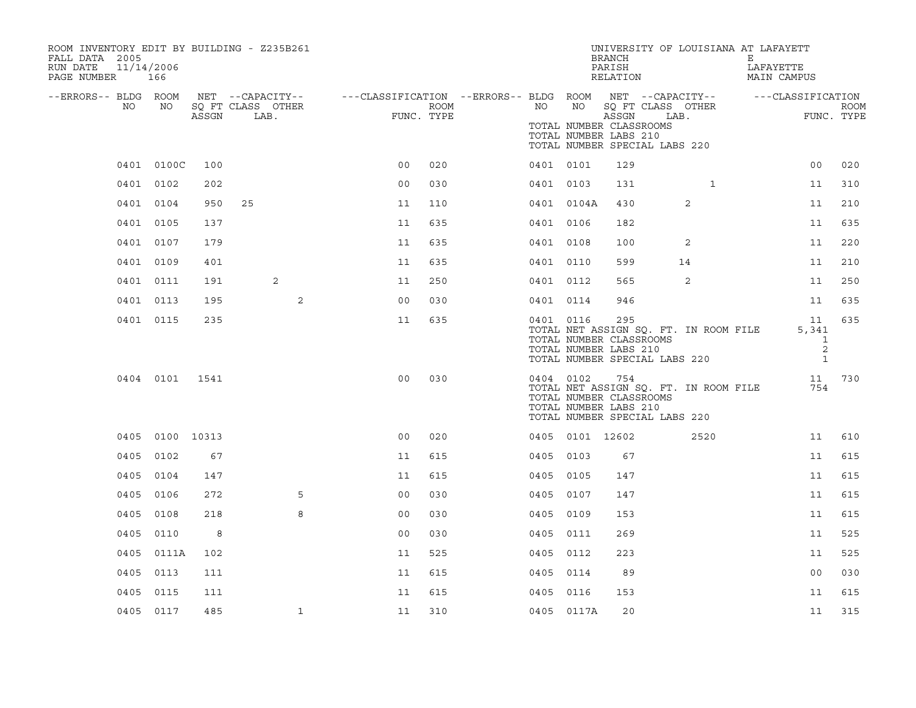| ROOM INVENTORY EDIT BY BUILDING - Z235B261<br>FALL DATA 2005<br>RUN DATE<br>11/14/2006<br>PAGE NUMBER 166 |                 |       |                           |                                                                                                |                    |           |                 | BRANCH<br>PARISH<br>RELATION                              | UNIVERSITY OF LOUISIANA AT LAFAYETT                                    | E<br>LAFAYETTE<br>MAIN CAMPUS                                  |                    |
|-----------------------------------------------------------------------------------------------------------|-----------------|-------|---------------------------|------------------------------------------------------------------------------------------------|--------------------|-----------|-----------------|-----------------------------------------------------------|------------------------------------------------------------------------|----------------------------------------------------------------|--------------------|
| --ERRORS-- BLDG ROOM<br>NO                                                                                | NO              | ASSGN | SQ FT CLASS OTHER<br>LAB. | NET --CAPACITY--   ---CLASSIFICATION --ERRORS-- BLDG ROOM NET --CAPACITY--   ---CLASSIFICATION | ROOM<br>FUNC. TYPE | NO        | NO <sub>N</sub> | ASSGN<br>TOTAL NUMBER CLASSROOMS<br>TOTAL NUMBER LABS 210 | SQ FT CLASS OTHER<br>LAB.<br>TOTAL NUMBER SPECIAL LABS 220             |                                                                | ROOM<br>FUNC. TYPE |
|                                                                                                           | 0401 0100C      | 100   |                           | 0 <sub>0</sub>                                                                                 | 020                | 0401 0101 |                 | 129                                                       |                                                                        | 0 <sub>0</sub>                                                 | 020                |
|                                                                                                           | 0401 0102       | 202   |                           | 0 <sup>0</sup>                                                                                 | 030                | 0401 0103 |                 | 131                                                       | $\mathbf{1}$                                                           | 11                                                             | 310                |
|                                                                                                           | 0401 0104       | 950   | 25                        | 11                                                                                             | 110                |           | 0401 0104A      | 430                                                       | 2                                                                      | 11                                                             | 210                |
|                                                                                                           | 0401 0105       | 137   |                           | 11                                                                                             | 635                | 0401 0106 |                 | 182                                                       |                                                                        | 11                                                             | 635                |
|                                                                                                           | 0401 0107       | 179   |                           | 11                                                                                             | 635                | 0401 0108 |                 | 100                                                       | 2                                                                      | 11                                                             | 220                |
|                                                                                                           | 0401 0109       | 401   |                           | 11                                                                                             | 635                | 0401 0110 |                 | 599                                                       | 14                                                                     | 11                                                             | 210                |
|                                                                                                           | 0401 0111       | 191   | 2                         | 11                                                                                             | 250                | 0401 0112 |                 | 565                                                       | 2                                                                      | 11                                                             | 250                |
|                                                                                                           | 0401 0113       | 195   | 2                         | 0 <sub>0</sub>                                                                                 | 030                | 0401 0114 |                 | 946                                                       |                                                                        | 11                                                             | 635                |
|                                                                                                           | 0401 0115       | 235   |                           | 11                                                                                             | 635                | 0401 0116 |                 | 295<br>TOTAL NUMBER CLASSROOMS<br>TOTAL NUMBER LABS 210   | TOTAL NET ASSIGN SQ. FT. IN ROOM FILE<br>TOTAL NUMBER SPECIAL LABS 220 | 11<br>5,341<br>$\overline{\phantom{a}}$<br>2<br>$\overline{1}$ | 635                |
|                                                                                                           | 0404 0101 1541  |       |                           | 0 <sub>0</sub>                                                                                 | 030                | 0404 0102 |                 | 754<br>TOTAL NUMBER CLASSROOMS<br>TOTAL NUMBER LABS 210   | TOTAL NET ASSIGN SQ. FT. IN ROOM FILE<br>TOTAL NUMBER SPECIAL LABS 220 | 11<br>754                                                      | 730                |
|                                                                                                           | 0405 0100 10313 |       |                           | 0 <sub>0</sub>                                                                                 | 020                |           | 0405 0101 12602 |                                                           | 2520                                                                   | 11                                                             | 610                |
|                                                                                                           | 0405 0102       | 67    |                           | 11                                                                                             | 615                | 0405 0103 |                 | 67                                                        |                                                                        | 11                                                             | 615                |
|                                                                                                           | 0405 0104       | 147   |                           | 11                                                                                             | 615                | 0405 0105 |                 | 147                                                       |                                                                        | 11                                                             | 615                |
|                                                                                                           | 0405 0106       | 272   | 5                         | 0 <sub>0</sub>                                                                                 | 030                | 0405 0107 |                 | 147                                                       |                                                                        | 11                                                             | 615                |
|                                                                                                           | 0405 0108       | 218   | 8                         | 0 <sub>0</sub>                                                                                 | 030                | 0405 0109 |                 | 153                                                       |                                                                        | 11                                                             | 615                |
|                                                                                                           | 0405 0110       | 8     |                           | 0 <sub>0</sub>                                                                                 | 030                | 0405 0111 |                 | 269                                                       |                                                                        | 11                                                             | 525                |
|                                                                                                           | 0405 0111A      | 102   |                           | 11                                                                                             | 525                | 0405 0112 |                 | 223                                                       |                                                                        | 11                                                             | 525                |
|                                                                                                           | 0405 0113       | 111   |                           | 11                                                                                             | 615                | 0405 0114 |                 | 89                                                        |                                                                        | 0 <sub>0</sub>                                                 | 030                |
|                                                                                                           | 0405 0115       | 111   |                           | 11                                                                                             | 615                | 0405 0116 |                 | 153                                                       |                                                                        | 11                                                             | 615                |
|                                                                                                           | 0405 0117       | 485   | $\mathbf{1}$              | 11                                                                                             | 310                |           | 0405 0117A      | 20                                                        |                                                                        | 11                                                             | 315                |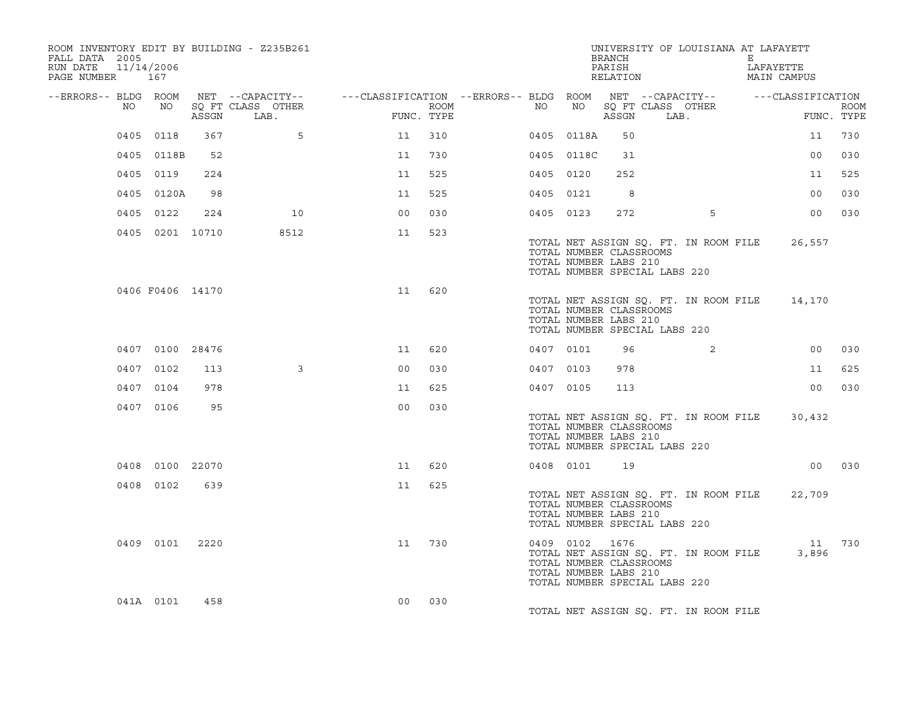| ROOM INVENTORY EDIT BY BUILDING - Z235B261<br>FALL DATA 2005<br>RUN DATE<br>PAGE NUMBER 167 | 11/14/2006       |       |                           |                                                                                                               |      |    |                | BRANCH<br>PARISH<br>RELATION                     | UNIVERSITY OF LOUISIANA AT LAFAYETT                                           | E | LAFAYETTE<br>MAIN CAMPUS |             |
|---------------------------------------------------------------------------------------------|------------------|-------|---------------------------|---------------------------------------------------------------------------------------------------------------|------|----|----------------|--------------------------------------------------|-------------------------------------------------------------------------------|---|--------------------------|-------------|
| --ERRORS-- BLDG ROOM<br>NO                                                                  | NO               | ASSGN | SQ FT CLASS OTHER<br>LAB. | NET --CAPACITY-- - ---CLASSIFICATION --ERRORS-- BLDG ROOM NET --CAPACITY-- - ----CLASSIFICATION<br>FUNC. TYPE | ROOM | NO |                | ASSGN                                            | NO SQ FT CLASS OTHER<br>LAB.                                                  |   | FUNC. TYPE               | <b>ROOM</b> |
|                                                                                             | 0405 0118        | 367   | 5                         | 11                                                                                                            | 310  |    | 0405 0118A     | 50                                               |                                                                               |   | 11                       | 730         |
|                                                                                             | 0405 0118B       | 52    |                           | 11                                                                                                            | 730  |    | 0405 0118C     | 31                                               |                                                                               |   | 0 <sub>0</sub>           | 030         |
|                                                                                             | 0405 0119        | 224   |                           | 11                                                                                                            | 525  |    | 0405 0120      | 252                                              |                                                                               |   | 11                       | 525         |
|                                                                                             | 0405 0120A       | 98    |                           | 11                                                                                                            | 525  |    | 0405 0121      | - 8                                              |                                                                               |   | 0 <sub>0</sub>           | 030         |
|                                                                                             | 0405 0122        | 224   | 10                        | 0 <sub>0</sub>                                                                                                | 030  |    | 0405 0123      | 272                                              | 5                                                                             |   | 00                       | 030         |
|                                                                                             | 0405 0201 10710  |       | 8512                      | 11                                                                                                            | 523  |    |                | TOTAL NUMBER CLASSROOMS<br>TOTAL NUMBER LABS 210 | TOTAL NET ASSIGN SQ. FT. IN ROOM FILE<br>TOTAL NUMBER SPECIAL LABS 220        |   | 26,557                   |             |
|                                                                                             | 0406 F0406 14170 |       |                           | 11                                                                                                            | 620  |    |                | TOTAL NUMBER CLASSROOMS<br>TOTAL NUMBER LABS 210 | TOTAL NET ASSIGN SQ. FT. IN ROOM FILE 14,170<br>TOTAL NUMBER SPECIAL LABS 220 |   |                          |             |
|                                                                                             | 0407 0100 28476  |       |                           | 11                                                                                                            | 620  |    | 0407 0101      | 96                                               | 2                                                                             |   | 0 <sub>0</sub>           | 030         |
|                                                                                             | 0407 0102        | 113   | $\mathbf{3}$              | 0 <sup>0</sup>                                                                                                | 030  |    | 0407 0103      | 978                                              |                                                                               |   | 11                       | 625         |
|                                                                                             | 0407 0104        | 978   |                           | 11                                                                                                            | 625  |    | 0407 0105      | 113                                              |                                                                               |   | 0 <sub>0</sub>           | 030         |
|                                                                                             | 0407 0106        | 95    |                           | 0 <sub>0</sub>                                                                                                | 030  |    |                | TOTAL NUMBER CLASSROOMS<br>TOTAL NUMBER LABS 210 | TOTAL NET ASSIGN SQ. FT. IN ROOM FILE<br>TOTAL NUMBER SPECIAL LABS 220        |   | 30,432                   |             |
|                                                                                             | 0408 0100 22070  |       |                           | 11                                                                                                            | 620  |    | 0408 0101      | 19                                               |                                                                               |   |                          | 00 030      |
|                                                                                             | 0408 0102        | 639   |                           | 11                                                                                                            | 625  |    |                | TOTAL NUMBER CLASSROOMS<br>TOTAL NUMBER LABS 210 | TOTAL NET ASSIGN SQ. FT. IN ROOM FILE<br>TOTAL NUMBER SPECIAL LABS 220        |   | 22,709                   |             |
|                                                                                             | 0409 0101 2220   |       |                           | 11                                                                                                            | 730  |    | 0409 0102 1676 | TOTAL NUMBER CLASSROOMS<br>TOTAL NUMBER LABS 210 | TOTAL NET ASSIGN SQ. FT. IN ROOM FILE<br>TOTAL NUMBER SPECIAL LABS 220        |   | 11 730<br>3,896          |             |
|                                                                                             | 041A 0101        | 458   |                           | 0 <sub>0</sub>                                                                                                | 030  |    |                |                                                  | TOTAL NET ASSIGN SQ. FT. IN ROOM FILE                                         |   |                          |             |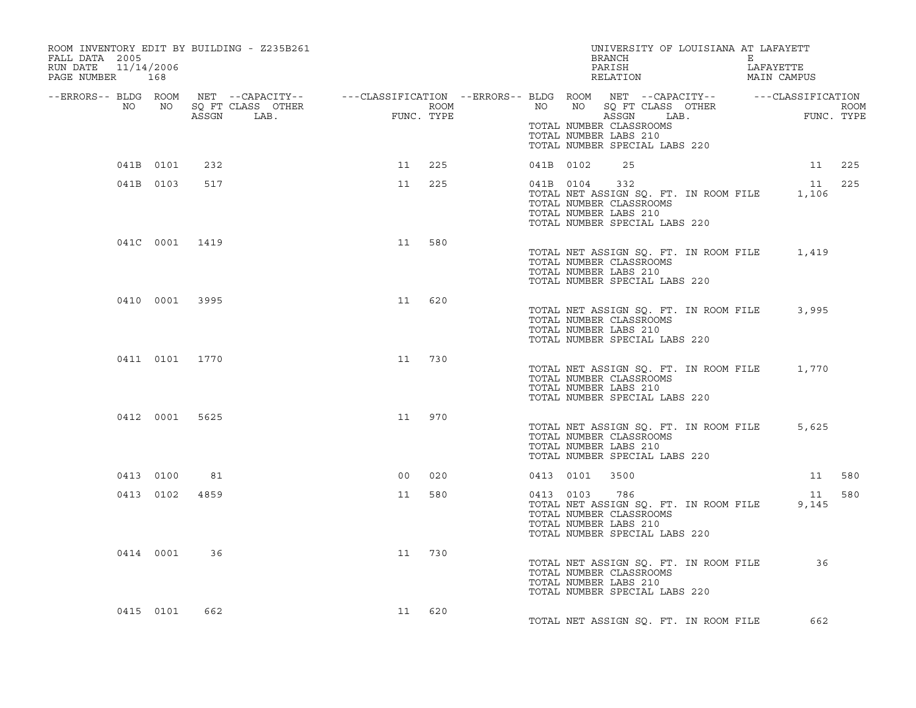| ROOM INVENTORY EDIT BY BUILDING - Z235B261<br>FALL DATA 2005<br>11/14/2006<br>RUN DATE<br>PAGE NUMBER 168                                                                                                                            |                |                |                |        |  |                | UNIVERSITY OF LOUISIANA AT LAFAYETT<br>BRANCH E E<br>PARISH LAFAYETTE<br>RELATION MAIN CAMPUS                                                     |  |                 |  |
|--------------------------------------------------------------------------------------------------------------------------------------------------------------------------------------------------------------------------------------|----------------|----------------|----------------|--------|--|----------------|---------------------------------------------------------------------------------------------------------------------------------------------------|--|-----------------|--|
| ERRORS-- BLDG ROOM NET --CAPACITY-- ---CLASSIFICATION --ERRORS-- BLDG ROOM NET --CAPACITY-- -----CLASSIFICATION<br>NO NO SQ FT CLASS OTHER ROOM ROOM NO SQ FT CLASS OTHER ROOM ROOM NO SQ FT CLASS OTHER ROOM<br>ASSGN LAB. FUNC. TY |                |                |                |        |  |                |                                                                                                                                                   |  |                 |  |
|                                                                                                                                                                                                                                      |                |                |                |        |  |                | TOTAL NUMBER CLASSROOMS<br>TOTAL NUMBER LABS 210<br>TOTAL NUMBER SPECIAL LABS 220                                                                 |  |                 |  |
| 041B 0101                                                                                                                                                                                                                            |                | 232            | 11 225         |        |  | 041B 0102      | 25                                                                                                                                                |  | 11 225          |  |
|                                                                                                                                                                                                                                      | 041B 0103      | 517            |                | 11 225 |  |                | 041B 0104 332<br>TOTAL NET ASSIGN SQ. FT. IN ROOM FILE 1,106<br>TOTAL NUMBER CLASSROOMS<br>TOTAL NUMBER LABS 210<br>TOTAL NUMBER SPECIAL LABS 220 |  | 11 225          |  |
|                                                                                                                                                                                                                                      |                | 041C 0001 1419 | 11             | 580    |  |                | TOTAL NET ASSIGN SQ. FT. IN ROOM FILE 1,419<br>TOTAL NUMBER CLASSROOMS<br>TOTAL NUMBER LABS 210<br>TOTAL NUMBER SPECIAL LABS 220                  |  |                 |  |
|                                                                                                                                                                                                                                      | 0410 0001 3995 |                | 11             | 620    |  |                | TOTAL NET ASSIGN SQ. FT. IN ROOM FILE 3,995<br>TOTAL NUMBER CLASSROOMS<br>TOTAL NUMBER LABS 210<br>TOTAL NUMBER SPECIAL LABS 220                  |  |                 |  |
|                                                                                                                                                                                                                                      | 0411 0101 1770 |                | 11 730         |        |  |                | TOTAL NET ASSIGN SQ. FT. IN ROOM FILE 1,770<br>TOTAL NUMBER CLASSROOMS<br>TOTAL NUMBER LABS 210<br>TOTAL NUMBER SPECIAL LABS 220                  |  |                 |  |
|                                                                                                                                                                                                                                      |                | 0412 0001 5625 | 11 970         |        |  |                | TOTAL NET ASSIGN SQ. FT. IN ROOM FILE<br>TOTAL NUMBER CLASSROOMS<br>TOTAL NUMBER LABS 210<br>TOTAL NUMBER SPECIAL LABS 220                        |  | 5,625           |  |
|                                                                                                                                                                                                                                      | 0413 0100      | 81             | 0 <sub>0</sub> | 020    |  | 0413 0101 3500 |                                                                                                                                                   |  | 11 580          |  |
|                                                                                                                                                                                                                                      | 0413 0102      | 4859           | 11             | 580    |  |                | 0413 0103 786<br>TOTAL NET ASSIGN SQ. FT. IN ROOM FILE<br>TOTAL NUMBER CLASSROOMS<br>TOTAL NUMBER LABS 210<br>TOTAL NUMBER SPECIAL LABS 220       |  | 11 580<br>9,145 |  |
|                                                                                                                                                                                                                                      | 0414 0001      | 36             | 11             | 730    |  |                | TOTAL NET ASSIGN SQ. FT. IN ROOM FILE 36<br>TOTAL NUMBER CLASSROOMS<br>TOTAL NUMBER LABS 210<br>TOTAL NUMBER SPECIAL LABS 220                     |  |                 |  |
|                                                                                                                                                                                                                                      | 0415 0101      | 662            | 11 620         |        |  |                | TOTAL NET ASSIGN SO. FT. IN ROOM FILE                                                                                                             |  | 662             |  |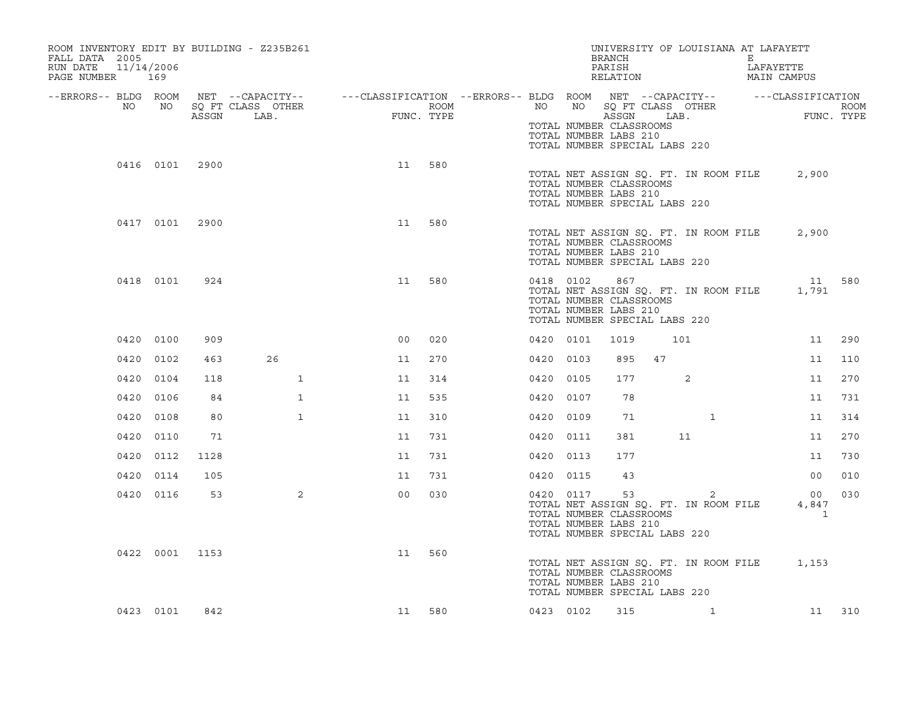| FALL DATA 2005<br>RUN DATE<br>PAGE NUMBER 169 |      | 11/14/2006 |                | ROOM INVENTORY EDIT BY BUILDING - Z235B261                                                                                  |                |                    |           |           | UNIVERSITY OF LOUISIANA AT LAFAYETT<br>BRANCH<br>PARISH<br>RELATION                                                               |    |              | E | LAFAYETTE<br>MAIN CAMPUS                          |     |
|-----------------------------------------------|------|------------|----------------|-----------------------------------------------------------------------------------------------------------------------------|----------------|--------------------|-----------|-----------|-----------------------------------------------------------------------------------------------------------------------------------|----|--------------|---|---------------------------------------------------|-----|
| --ERRORS-- BLDG ROOM                          | NO   | NO         | ASSGN          | NET --CAPACITY-- - ---CLASSIFICATION --ERRORS-- BLDG ROOM NET --CAPACITY-- - ---CLASSIFICATION<br>SQ FT CLASS OTHER<br>LAB. | FUNC.          | ROOM<br>FUNC. TYPE |           |           | TOTAL NUMBER CLASSROOMS                                                                                                           |    |              |   | NO NO SOFT CLASS OTHER TUNC. TYPE ROOM ASSGN LAB. |     |
|                                               |      |            |                |                                                                                                                             |                |                    |           |           | TOTAL NUMBER LABS 210<br>TOTAL NUMBER SPECIAL LABS 220                                                                            |    |              |   |                                                   |     |
|                                               |      |            | 0416 0101 2900 |                                                                                                                             | 11             | 580                |           |           | TOTAL NET ASSIGN SQ. FT. IN ROOM FILE<br>TOTAL NUMBER CLASSROOMS<br>TOTAL NUMBER LABS 210<br>TOTAL NUMBER SPECIAL LABS 220        |    |              |   | 2,900                                             |     |
|                                               |      |            | 0417 0101 2900 |                                                                                                                             | 11             | 580                |           |           | TOTAL NET ASSIGN SQ. FT. IN ROOM FILE<br>TOTAL NUMBER CLASSROOMS<br>TOTAL NUMBER LABS 210<br>TOTAL NUMBER SPECIAL LABS 220        |    |              |   | 2,900                                             |     |
|                                               |      | 0418 0101  | 924            |                                                                                                                             | 11             | 580                |           | 0418 0102 | 867<br>TOTAL NET ASSIGN SQ. FT. IN ROOM FILE<br>TOTAL NUMBER CLASSROOMS<br>TOTAL NUMBER LABS 210<br>TOTAL NUMBER SPECIAL LABS 220 |    |              |   | 11 580<br>1,791                                   |     |
|                                               |      | 0420 0100  | 909            |                                                                                                                             | 0 <sub>0</sub> | 020                |           | 0420 0101 | 1019                                                                                                                              |    | 101          |   | 11                                                | 290 |
|                                               |      | 0420 0102  | 463            | 26                                                                                                                          | 11             | 270                |           | 0420 0103 | 895                                                                                                                               | 47 |              |   | 11                                                | 110 |
|                                               | 0420 | 0104       | 118            | $\mathbf{1}$                                                                                                                | 11             | 314                | 0420 0105 |           | 177                                                                                                                               |    | 2            |   | 11                                                | 270 |
|                                               |      | 0420 0106  | 84             | $\mathbf{1}$                                                                                                                | 11             | 535                | 0420 0107 |           | 78                                                                                                                                |    |              |   | 11                                                | 731 |
|                                               | 0420 | 0108       | 80             | $\mathbf{1}$                                                                                                                | 11             | 310                | 0420 0109 |           | 71                                                                                                                                |    | $\mathbf{1}$ |   | 11                                                | 314 |
|                                               |      | 0420 0110  | 71             |                                                                                                                             | 11             | 731                | 0420 0111 |           | 381                                                                                                                               |    | 11           |   | 11                                                | 270 |
|                                               |      | 0420 0112  | 1128           |                                                                                                                             | 11             | 731                | 0420 0113 |           | 177                                                                                                                               |    |              |   | 11                                                | 730 |
|                                               |      | 0420 0114  | 105            |                                                                                                                             | 11             | 731                | 0420 0115 |           | 43                                                                                                                                |    |              |   | 00 <sub>o</sub>                                   | 010 |
|                                               |      | 0420 0116  | 53             | $\overline{2}$                                                                                                              | 0 <sub>0</sub> | 030                |           | 0420 0117 | 53<br>TOTAL NET ASSIGN SQ. FT. IN ROOM FILE<br>TOTAL NUMBER CLASSROOMS<br>TOTAL NUMBER LABS 210<br>TOTAL NUMBER SPECIAL LABS 220  |    | 2            |   | 00<br>4,847<br>$\overline{1}$                     | 030 |
|                                               |      |            | 0422 0001 1153 |                                                                                                                             | 11             | 560                |           |           | TOTAL NUMBER CLASSROOMS<br>TOTAL NUMBER LABS 210<br>TOTAL NUMBER SPECIAL LABS 220                                                 |    |              |   | TOTAL NET ASSIGN SQ. FT. IN ROOM FILE 1,153       |     |
|                                               |      | 0423 0101  | 842            |                                                                                                                             |                | 11 580             |           | 0423 0102 | 315                                                                                                                               |    | $\mathbf{1}$ |   | 11 310                                            |     |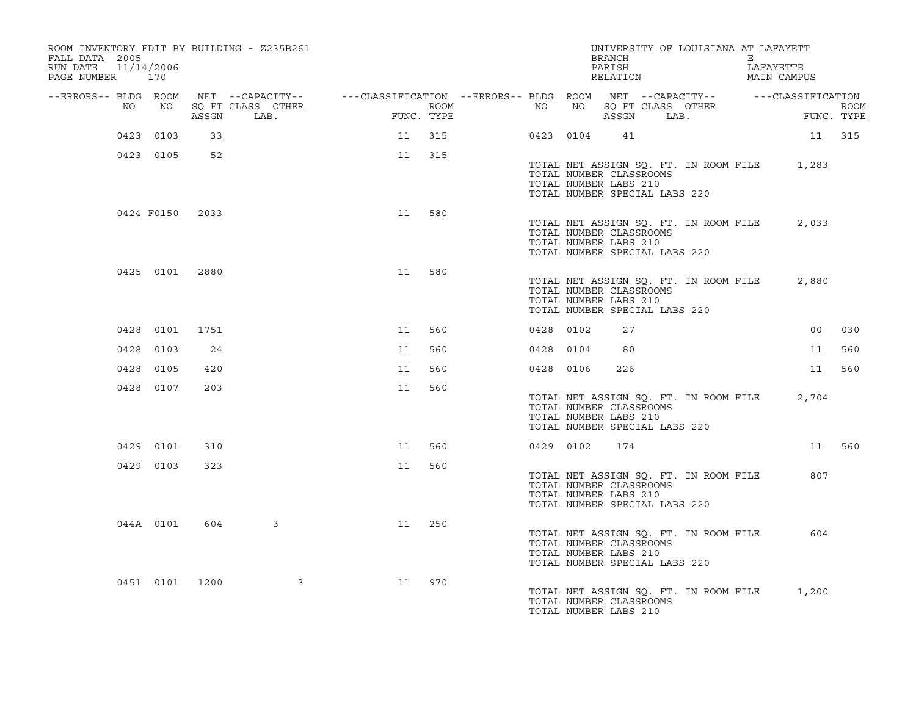| ROOM INVENTORY EDIT BY BUILDING - Z235B261<br>FALL DATA 2005<br>RUN DATE 11/14/2006<br>PAGE NUMBER 170 |                 |       |                                                                                                                                          |    |            |                  |           |           | UNIVERSITY OF LOUISIANA AT LAFAYETT<br>BRANCH<br>PARISH<br>RELATION                                                        |  | E | LAFAYETTE<br>MAIN CAMPUS                                     |        |
|--------------------------------------------------------------------------------------------------------|-----------------|-------|------------------------------------------------------------------------------------------------------------------------------------------|----|------------|------------------|-----------|-----------|----------------------------------------------------------------------------------------------------------------------------|--|---|--------------------------------------------------------------|--------|
| NO                                                                                                     | NO              |       | --ERRORS-- BLDG ROOM NET --CAPACITY-- - ---CLASSIFICATION --ERRORS-- BLDG ROOM NET --CAPACITY-- - ---CLASSIFICATION<br>SO FT CLASS OTHER |    |            | ROOM <b>ROOM</b> | NO        |           |                                                                                                                            |  |   | NO SQ FT CLASS OTHER ROOM<br>NO SQ FT CLASS OTHER FUNC. TYPE |        |
|                                                                                                        |                 | ASSGN | LAB.                                                                                                                                     |    | FUNC. TYPE |                  |           |           |                                                                                                                            |  |   |                                                              |        |
|                                                                                                        | 0423 0103       | 33    |                                                                                                                                          |    | 11 315     |                  |           | 0423 0104 | 41                                                                                                                         |  |   | 11 315                                                       |        |
|                                                                                                        | 0423 0105       | 52    |                                                                                                                                          | 11 | 315        |                  |           |           | TOTAL NUMBER CLASSROOMS<br>TOTAL NUMBER LABS 210<br>TOTAL NUMBER SPECIAL LABS 220                                          |  |   | TOTAL NET ASSIGN SQ. FT. IN ROOM FILE 1,283                  |        |
|                                                                                                        | 0424 F0150 2033 |       |                                                                                                                                          | 11 | 580        |                  |           |           | TOTAL NET ASSIGN SQ. FT. IN ROOM FILE<br>TOTAL NUMBER CLASSROOMS<br>TOTAL NUMBER LABS 210<br>TOTAL NUMBER SPECIAL LABS 220 |  |   | 2,033                                                        |        |
|                                                                                                        | 0425 0101 2880  |       |                                                                                                                                          | 11 | 580        |                  |           |           | TOTAL NET ASSIGN SQ. FT. IN ROOM FILE<br>TOTAL NUMBER CLASSROOMS<br>TOTAL NUMBER LABS 210<br>TOTAL NUMBER SPECIAL LABS 220 |  |   | 2,880                                                        |        |
|                                                                                                        | 0428 0101       | 1751  |                                                                                                                                          | 11 | 560        |                  | 0428 0102 |           | 27                                                                                                                         |  |   | 00                                                           | 030    |
|                                                                                                        | 0428 0103       | 24    |                                                                                                                                          | 11 | 560        |                  | 0428 0104 |           | 80                                                                                                                         |  |   | 11                                                           | 560    |
|                                                                                                        | 0428 0105       | 420   |                                                                                                                                          | 11 | 560        |                  | 0428 0106 |           | 226                                                                                                                        |  |   | 11                                                           | 560    |
|                                                                                                        | 0428 0107       | 203   |                                                                                                                                          | 11 | 560        |                  |           |           | TOTAL NET ASSIGN SQ. FT. IN ROOM FILE<br>TOTAL NUMBER CLASSROOMS<br>TOTAL NUMBER LABS 210<br>TOTAL NUMBER SPECIAL LABS 220 |  |   | 2,704                                                        |        |
|                                                                                                        | 0429 0101       | 310   |                                                                                                                                          | 11 | 560        |                  |           | 0429 0102 | 174                                                                                                                        |  |   |                                                              | 11 560 |
|                                                                                                        | 0429 0103       | 323   |                                                                                                                                          | 11 | 560        |                  |           |           | TOTAL NET ASSIGN SQ. FT. IN ROOM FILE<br>TOTAL NUMBER CLASSROOMS<br>TOTAL NUMBER LABS 210<br>TOTAL NUMBER SPECIAL LABS 220 |  |   | 807                                                          |        |
|                                                                                                        | 044A 0101       | 604   | $\mathbf{3}$                                                                                                                             | 11 | 250        |                  |           |           | TOTAL NET ASSIGN SQ. FT. IN ROOM FILE<br>TOTAL NUMBER CLASSROOMS<br>TOTAL NUMBER LABS 210<br>TOTAL NUMBER SPECIAL LABS 220 |  |   | 604                                                          |        |
|                                                                                                        | 0451 0101 1200  |       | $\overline{\mathbf{3}}$                                                                                                                  | 11 | 970        |                  |           |           | TOTAL NET ASSIGN SQ. FT. IN ROOM FILE<br>TOTAL NUMBER CLASSROOMS<br>TOTAL NUMBER LABS 210                                  |  |   | 1,200                                                        |        |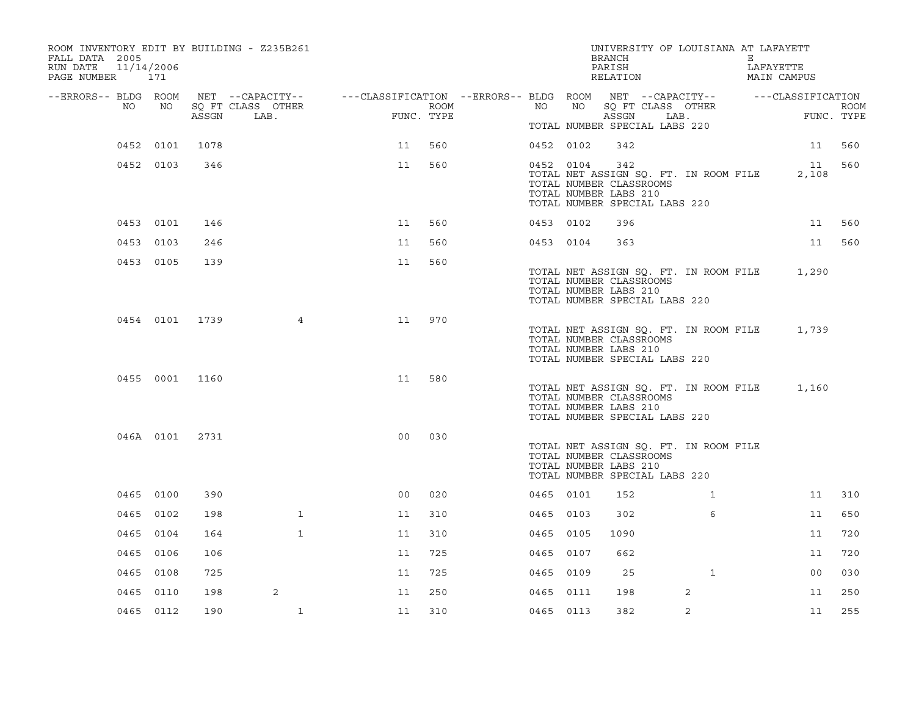| FALL DATA 2005<br>RUN DATE<br>PAGE NUMBER 171 |    | 11/14/2006     |       | ROOM INVENTORY EDIT BY BUILDING - Z235B261 |                                                                                                |            |           |    | UNIVERSITY OF LOUISIANA AT LAFAYETT<br>BRANCH<br>PARISH<br>RELATION                                                        |              | Е | LAFAYETTE<br>MAIN CAMPUS |             |
|-----------------------------------------------|----|----------------|-------|--------------------------------------------|------------------------------------------------------------------------------------------------|------------|-----------|----|----------------------------------------------------------------------------------------------------------------------------|--------------|---|--------------------------|-------------|
| --ERRORS-- BLDG ROOM                          | NO | NO             |       | SQ FT CLASS OTHER                          | NET --CAPACITY-- - ---CLASSIFICATION --ERRORS-- BLDG ROOM NET --CAPACITY-- - ---CLASSIFICATION | ROOM       | NO        | NO | SQ FT CLASS OTHER                                                                                                          |              |   |                          | <b>ROOM</b> |
|                                               |    |                | ASSGN | LAB.                                       |                                                                                                | FUNC. TYPE |           |    | ASSGN<br>TOTAL NUMBER SPECIAL LABS 220                                                                                     | LAB.         |   | FUNC. TYPE               |             |
|                                               |    | 0452 0101      | 1078  |                                            | 11                                                                                             | 560        | 0452 0102 |    | 342                                                                                                                        |              |   | 11                       | 560         |
|                                               |    | 0452 0103      | 346   |                                            | 11                                                                                             | 560        | 0452 0104 |    | 342                                                                                                                        |              |   | 11                       | 560         |
|                                               |    |                |       |                                            |                                                                                                |            |           |    | TOTAL NET ASSIGN SQ. FT. IN ROOM FILE<br>TOTAL NUMBER CLASSROOMS<br>TOTAL NUMBER LABS 210<br>TOTAL NUMBER SPECIAL LABS 220 |              |   | 2,108                    |             |
|                                               |    | 0453 0101      | 146   |                                            | 11                                                                                             | 560        | 0453 0102 |    | 396                                                                                                                        |              |   | 11                       | 560         |
|                                               |    | 0453 0103      | 246   |                                            | 11                                                                                             | 560        | 0453 0104 |    | 363                                                                                                                        |              |   | 11                       | 560         |
|                                               |    | 0453 0105      | 139   |                                            | 11                                                                                             | 560        |           |    | TOTAL NET ASSIGN SQ. FT. IN ROOM FILE<br>TOTAL NUMBER CLASSROOMS<br>TOTAL NUMBER LABS 210<br>TOTAL NUMBER SPECIAL LABS 220 |              |   | 1,290                    |             |
|                                               |    | 0454 0101 1739 |       | 4                                          | 11                                                                                             | 970        |           |    | TOTAL NET ASSIGN SQ. FT. IN ROOM FILE<br>TOTAL NUMBER CLASSROOMS<br>TOTAL NUMBER LABS 210<br>TOTAL NUMBER SPECIAL LABS 220 |              |   | 1,739                    |             |
|                                               |    | 0455 0001      | 1160  |                                            | 11                                                                                             | 580        |           |    | TOTAL NET ASSIGN SQ. FT. IN ROOM FILE<br>TOTAL NUMBER CLASSROOMS<br>TOTAL NUMBER LABS 210<br>TOTAL NUMBER SPECIAL LABS 220 |              |   | 1,160                    |             |
|                                               |    | 046A 0101 2731 |       |                                            | 0 <sub>0</sub>                                                                                 | 030        |           |    | TOTAL NET ASSIGN SQ. FT. IN ROOM FILE<br>TOTAL NUMBER CLASSROOMS<br>TOTAL NUMBER LABS 210<br>TOTAL NUMBER SPECIAL LABS 220 |              |   |                          |             |
|                                               |    | 0465 0100      | 390   |                                            | 0 <sub>0</sub>                                                                                 | 020        | 0465 0101 |    | 152                                                                                                                        | $\mathbf{1}$ |   | 11                       | 310         |
|                                               |    | 0465 0102      | 198   | $\mathbf{1}$                               | 11                                                                                             | 310        | 0465 0103 |    | 302                                                                                                                        | 6            |   | 11                       | 650         |
|                                               |    | 0465 0104      | 164   | $\mathbf{1}$                               | 11                                                                                             | 310        | 0465 0105 |    | 1090                                                                                                                       |              |   | 11                       | 720         |
|                                               |    | 0465 0106      | 106   |                                            | 11                                                                                             | 725        | 0465 0107 |    | 662                                                                                                                        |              |   | 11                       | 720         |
|                                               |    | 0465 0108      | 725   |                                            | 11                                                                                             | 725        | 0465 0109 |    | 25                                                                                                                         | $\mathbf{1}$ |   | 0 <sub>0</sub>           | 030         |
|                                               |    | 0465 0110      | 198   | 2                                          | 11                                                                                             | 250        | 0465 0111 |    | 198                                                                                                                        | 2            |   | 11                       | 250         |
|                                               |    | 0465 0112      | 190   | $\mathbf{1}$                               | 11                                                                                             | 310        | 0465 0113 |    | 382                                                                                                                        | 2            |   | 11                       | 255         |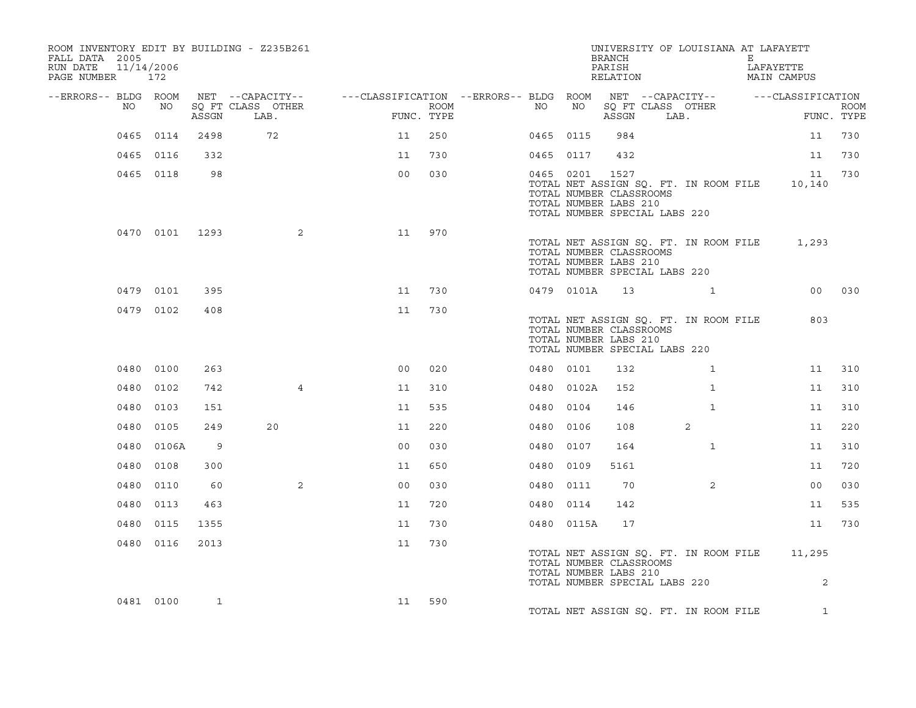| ROOM INVENTORY EDIT BY BUILDING - Z235B261<br>FALL DATA 2005<br>RUN DATE<br>PAGE NUMBER 172 | 11/14/2006     |       |                                                                                                                             |                |      |           |            | <b>BRANCH</b><br>PARISH<br>RELATION                                                       | UNIVERSITY OF LOUISIANA AT LAFAYETT   | E | LAFAYETTE<br>MAIN CAMPUS                          |                           |
|---------------------------------------------------------------------------------------------|----------------|-------|-----------------------------------------------------------------------------------------------------------------------------|----------------|------|-----------|------------|-------------------------------------------------------------------------------------------|---------------------------------------|---|---------------------------------------------------|---------------------------|
| --ERRORS-- BLDG ROOM<br>NO                                                                  | NO             | ASSGN | NET --CAPACITY-- - ---CLASSIFICATION --ERRORS-- BLDG ROOM NET --CAPACITY-- - ---CLASSIFICATION<br>SQ FT CLASS OTHER<br>LAB. | FUNC. TYPE     | ROOM | NO        | NO         | ASSGN                                                                                     | SQ FT CLASS OTHER<br>LAB.             |   |                                                   | <b>ROOM</b><br>FUNC. TYPE |
|                                                                                             | 0465 0114      | 2498  | 72                                                                                                                          | 11             | 250  | 0465 0115 |            | 984                                                                                       |                                       |   | 11                                                | 730                       |
|                                                                                             | 0465 0116      | 332   |                                                                                                                             | 11             | 730  | 0465 0117 |            | 432                                                                                       |                                       |   | 11                                                | 730                       |
|                                                                                             | 0465 0118      | 98    |                                                                                                                             | 0 <sub>0</sub> | 030  | 0465 0201 |            | 1527<br>TOTAL NUMBER CLASSROOMS<br>TOTAL NUMBER LABS 210<br>TOTAL NUMBER SPECIAL LABS 220 | TOTAL NET ASSIGN SQ. FT. IN ROOM FILE |   | 11<br>10,140                                      | 730                       |
|                                                                                             | 0470 0101 1293 |       | 2                                                                                                                           | 11             | 970  |           |            | TOTAL NUMBER CLASSROOMS<br>TOTAL NUMBER LABS 210<br>TOTAL NUMBER SPECIAL LABS 220         | TOTAL NET ASSIGN SQ. FT. IN ROOM FILE |   | 1,293                                             |                           |
|                                                                                             | 0479 0101      | 395   |                                                                                                                             | 11             | 730  |           | 0479 0101A |                                                                                           | 13 1                                  |   |                                                   | 00 030                    |
|                                                                                             | 0479 0102      | 408   |                                                                                                                             | 11             | 730  |           |            | TOTAL NUMBER CLASSROOMS<br>TOTAL NUMBER LABS 210<br>TOTAL NUMBER SPECIAL LABS 220         | TOTAL NET ASSIGN SQ. FT. IN ROOM FILE |   | 803                                               |                           |
|                                                                                             | 0480 0100      | 263   |                                                                                                                             | 0 <sub>0</sub> | 020  | 0480 0101 |            | 132                                                                                       | $\mathbf{1}$                          |   | 11                                                | 310                       |
|                                                                                             | 0480 0102      | 742   | $\overline{4}$                                                                                                              | 11             | 310  |           | 0480 0102A | 152                                                                                       | $\mathbf{1}$                          |   | 11                                                | 310                       |
|                                                                                             | 0480 0103      | 151   |                                                                                                                             | 11             | 535  | 0480 0104 |            | 146                                                                                       | $\mathbf{1}$                          |   | 11                                                | 310                       |
| 0480                                                                                        | 0105           | 249   | 20                                                                                                                          | 11             | 220  | 0480 0106 |            | 108                                                                                       | 2                                     |   | 11                                                | 220                       |
|                                                                                             | 0480 0106A     | 9     |                                                                                                                             | 0 <sub>0</sub> | 030  | 0480 0107 |            | 164                                                                                       | $\mathbf{1}$                          |   | 11                                                | 310                       |
|                                                                                             | 0480 0108      | 300   |                                                                                                                             | 11             | 650  | 0480 0109 |            | 5161                                                                                      |                                       |   | 11                                                | 720                       |
|                                                                                             | 0480 0110      | 60    | 2                                                                                                                           | 0 <sub>0</sub> | 030  | 0480 0111 |            | 70                                                                                        | $\overline{2}$                        |   | 0 <sub>0</sub>                                    | 030                       |
|                                                                                             | 0480 0113      | 463   |                                                                                                                             | 11             | 720  | 0480 0114 |            | 142                                                                                       |                                       |   | 11                                                | 535                       |
|                                                                                             | 0480 0115      | 1355  |                                                                                                                             | 11             | 730  |           | 0480 0115A | 17                                                                                        |                                       |   | 11                                                | 730                       |
|                                                                                             | 0480 0116      | 2013  |                                                                                                                             | 11             | 730  |           |            | TOTAL NUMBER CLASSROOMS<br>TOTAL NUMBER LABS 210<br>TOTAL NUMBER SPECIAL LABS 220         |                                       |   | TOTAL NET ASSIGN SQ. FT. IN ROOM FILE 11,295<br>2 |                           |
|                                                                                             | 0481 0100      | 1     |                                                                                                                             | 11             | 590  |           |            |                                                                                           | TOTAL NET ASSIGN SQ. FT. IN ROOM FILE |   | $\mathbf{1}$                                      |                           |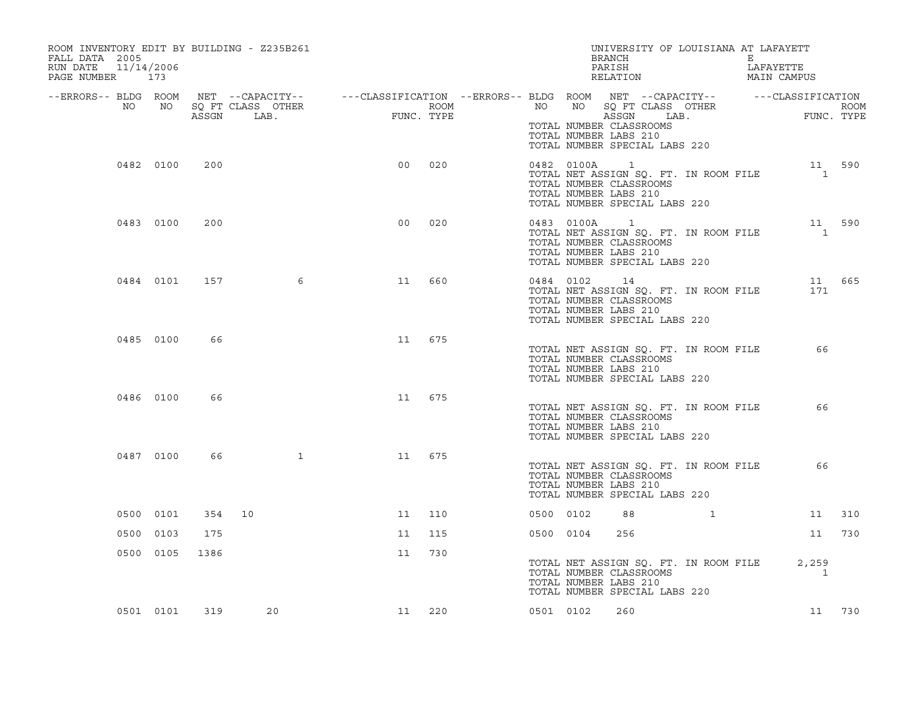| ROOM INVENTORY EDIT BY BUILDING - Z235B261<br>FALL DATA 2005<br>11/14/2006<br>RUN DATE<br>PAGE NUMBER 173 |           |               |              |                                                                                                                                                                                                                                                                                                      |        |           |            | UNIVERSITY OF LOUISIANA AT LAFAYETT<br>BRANCH E<br>PARTSH IAFZ<br>PARISH<br>RELATION                                                         | LAFAYETTE<br>MAIN CAMPUS |                          |        |
|-----------------------------------------------------------------------------------------------------------|-----------|---------------|--------------|------------------------------------------------------------------------------------------------------------------------------------------------------------------------------------------------------------------------------------------------------------------------------------------------------|--------|-----------|------------|----------------------------------------------------------------------------------------------------------------------------------------------|--------------------------|--------------------------|--------|
|                                                                                                           |           |               |              | --ERRORS-- BLDG ROOM NET --CAPACITY-- -----CLASSIFICATION --ERRORS-- BLDG ROOM NET --CAPACITY-- --------------<br>ROOM MO SQ FT CLASS OTHER ROOM ROOM NO NO SQ FT CLASS OTHER ROOM<br>ASSGN LAB. FUNC. TYPE ASSGN LAB. FUNC. TYPE<br>BLDG ROOM NET --CAPACIII<br>NO NO SQFTCLASS OTHER<br>ASSGN LAB. |        |           |            | TOTAL NUMBER CLASSROOMS<br>TOTAL NUMBER LABS 210<br>TOTAL NUMBER SPECIAL LABS 220                                                            |                          |                          |        |
|                                                                                                           | 0482 0100 | 200           |              | 0 <sub>0</sub>                                                                                                                                                                                                                                                                                       | 020    |           | 0482 0100A | $\overline{1}$<br>TOTAL NET ASSIGN SQ. FT. IN ROOM FILE<br>TOTAL NUMBER CLASSROOMS<br>TOTAL NUMBER LABS 210<br>TOTAL NUMBER SPECIAL LABS 220 |                          | 11 590<br>$\overline{1}$ |        |
|                                                                                                           | 0483 0100 | 200           |              | 0 <sub>0</sub>                                                                                                                                                                                                                                                                                       | 020    |           | 0483 0100A | $\overline{1}$<br>TOTAL NET ASSIGN SQ. FT. IN ROOM FILE<br>TOTAL NUMBER CLASSROOMS<br>TOTAL NUMBER LABS 210<br>TOTAL NUMBER SPECIAL LABS 220 |                          | 11 590<br>$\sim$ 1       |        |
|                                                                                                           | 0484 0101 | 157           | 6            | 11                                                                                                                                                                                                                                                                                                   | 660    |           | 0484 0102  | 14<br>TOTAL NET ASSIGN SQ. FT. IN ROOM FILE<br>TOTAL NUMBER CLASSROOMS<br>TOTAL NUMBER LABS 210<br>TOTAL NUMBER SPECIAL LABS 220             |                          | 11 665<br>171            |        |
|                                                                                                           | 0485 0100 | 66            |              | 11                                                                                                                                                                                                                                                                                                   | 675    |           |            | TOTAL NET ASSIGN SQ. FT. IN ROOM FILE<br>TOTAL NUMBER CLASSROOMS<br>TOTAL NUMBER LABS 210<br>TOTAL NUMBER SPECIAL LABS 220                   |                          | 66                       |        |
|                                                                                                           | 0486 0100 | 66            |              | 11                                                                                                                                                                                                                                                                                                   | 675    |           |            | TOTAL NET ASSIGN SQ. FT. IN ROOM FILE<br>TOTAL NUMBER CLASSROOMS<br>TOTAL NUMBER LABS 210<br>TOTAL NUMBER SPECIAL LABS 220                   |                          | 66                       |        |
|                                                                                                           | 0487 0100 | 66            | $\mathbf{1}$ | 11                                                                                                                                                                                                                                                                                                   | 675    |           |            | TOTAL NET ASSIGN SQ. FT. IN ROOM FILE<br>TOTAL NUMBER CLASSROOMS<br>TOTAL NUMBER LABS 210<br>TOTAL NUMBER SPECIAL LABS 220                   |                          | 66                       |        |
|                                                                                                           | 0500 0101 |               | 354 10       | 11                                                                                                                                                                                                                                                                                                   | 110    | 0500 0102 |            | 88                                                                                                                                           | $\mathbf{1}$             |                          | 11 310 |
|                                                                                                           | 0500 0103 | 175           |              | 11                                                                                                                                                                                                                                                                                                   | 115    |           | 0500 0104  | 256                                                                                                                                          |                          | 11                       | 730    |
|                                                                                                           | 0500 0105 | 1386          |              | 11                                                                                                                                                                                                                                                                                                   | 730    |           |            | TOTAL NET ASSIGN SQ. FT. IN ROOM FILE<br>TOTAL NUMBER CLASSROOMS<br>TOTAL NUMBER LABS 210<br>TOTAL NUMBER SPECIAL LABS 220                   |                          | 2,259<br>1               |        |
|                                                                                                           |           | 0501 0101 319 | 20           |                                                                                                                                                                                                                                                                                                      | 11 220 | 0501 0102 |            | 260                                                                                                                                          |                          |                          | 11 730 |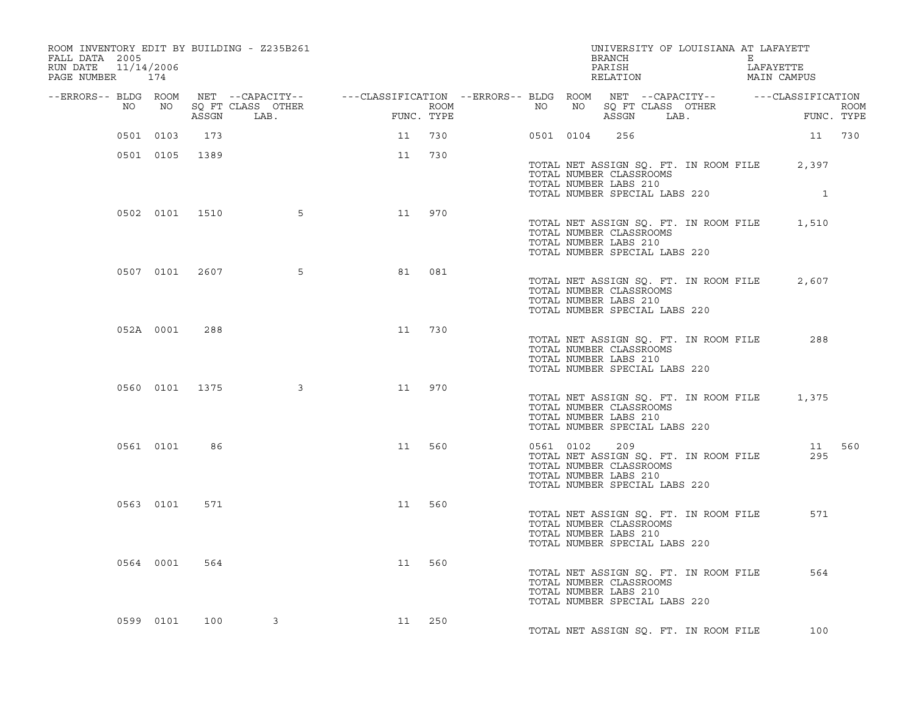| ROOM INVENTORY EDIT BY BUILDING - Z235B261<br>FALL DATA 2005<br>11/14/2006<br>RUN DATE<br>PAGE NUMBER 174 |           |                |                         |                                                                                                                                                                                                                                   |     |  |           | BRANCH<br>PARISH<br>RELATION                                                             | UNIVERSITY OF LOUISIANA AT LAFAYETT         | $E$ $\sim$ | LAFAYETTE<br>MAIN CAMPUS |        |
|-----------------------------------------------------------------------------------------------------------|-----------|----------------|-------------------------|-----------------------------------------------------------------------------------------------------------------------------------------------------------------------------------------------------------------------------------|-----|--|-----------|------------------------------------------------------------------------------------------|---------------------------------------------|------------|--------------------------|--------|
|                                                                                                           |           |                |                         |                                                                                                                                                                                                                                   |     |  |           |                                                                                          |                                             |            |                          |        |
|                                                                                                           |           |                |                         | ERRORS-- BLDG ROOM NET --CAPACITY-- ----CLASSIFICATION --ERRORS-- BLDG ROOM NET --CAPACITY-- ----------------<br>NO NO SQ FT CLASS OTHER ROOM ROOM NO SQ FT CLASS OTHER ROOM ROOM NO SQ FT CLASS OTHER ROOM ASSGN LAB. FUNC. TYPE |     |  |           |                                                                                          |                                             |            |                          |        |
|                                                                                                           | 0501 0103 | 173            |                         | 11                                                                                                                                                                                                                                | 730 |  | 0501 0104 | 256                                                                                      |                                             |            | 11 730                   |        |
|                                                                                                           |           | 0501 0105 1389 |                         | 11                                                                                                                                                                                                                                | 730 |  |           | TOTAL NUMBER CLASSROOMS<br>TOTAL NUMBER LABS 210<br>TOTAL NUMBER SPECIAL LABS 220        | TOTAL NET ASSIGN SQ. FT. IN ROOM FILE 2,397 |            | $\mathbf{1}$             |        |
|                                                                                                           |           |                | 0502 0101 1510 5        | 11                                                                                                                                                                                                                                | 970 |  |           | TOTAL NUMBER CLASSROOMS<br>TOTAL NUMBER LABS 210<br>TOTAL NUMBER SPECIAL LABS 220        | TOTAL NET ASSIGN SQ. FT. IN ROOM FILE 1,510 |            |                          |        |
|                                                                                                           |           | 0507 0101 2607 | 5 <sup>5</sup>          | 81                                                                                                                                                                                                                                | 081 |  |           | TOTAL NUMBER CLASSROOMS<br>TOTAL NUMBER LABS 210<br>TOTAL NUMBER SPECIAL LABS 220        | TOTAL NET ASSIGN SQ. FT. IN ROOM FILE       |            | 2,607                    |        |
|                                                                                                           | 052A 0001 | 288            |                         | 11                                                                                                                                                                                                                                | 730 |  |           | TOTAL NUMBER CLASSROOMS<br>TOTAL NUMBER LABS 210<br>TOTAL NUMBER SPECIAL LABS 220        | TOTAL NET ASSIGN SQ. FT. IN ROOM FILE       |            | 288                      |        |
|                                                                                                           |           | 0560 0101 1375 | $\overline{\mathbf{3}}$ | 11                                                                                                                                                                                                                                | 970 |  |           | TOTAL NUMBER CLASSROOMS<br>TOTAL NUMBER LABS 210<br>TOTAL NUMBER SPECIAL LABS 220        | TOTAL NET ASSIGN SQ. FT. IN ROOM FILE 1,375 |            |                          |        |
|                                                                                                           | 0561 0101 | 86             |                         | 11                                                                                                                                                                                                                                | 560 |  | 0561 0102 | 209<br>TOTAL NUMBER CLASSROOMS<br>TOTAL NUMBER LABS 210<br>TOTAL NUMBER SPECIAL LABS 220 | TOTAL NET ASSIGN SQ. FT. IN ROOM FILE       |            | 295                      | 11 560 |
|                                                                                                           | 0563 0101 | 571            |                         | 11                                                                                                                                                                                                                                | 560 |  |           | TOTAL NUMBER CLASSROOMS<br>TOTAL NUMBER LABS 210<br>TOTAL NUMBER SPECIAL LABS 220        | TOTAL NET ASSIGN SQ. FT. IN ROOM FILE       |            | 571                      |        |
|                                                                                                           | 0564 0001 | 564            |                         | 11                                                                                                                                                                                                                                | 560 |  |           | TOTAL NUMBER CLASSROOMS<br>TOTAL NUMBER LABS 210<br>TOTAL NUMBER SPECIAL LABS 220        | TOTAL NET ASSIGN SQ. FT. IN ROOM FILE       |            | 564                      |        |
|                                                                                                           | 0599 0101 | 100            | 3                       | 11 250                                                                                                                                                                                                                            |     |  |           |                                                                                          | TOTAL NET ASSIGN SO. FT. IN ROOM FILE       |            | 100                      |        |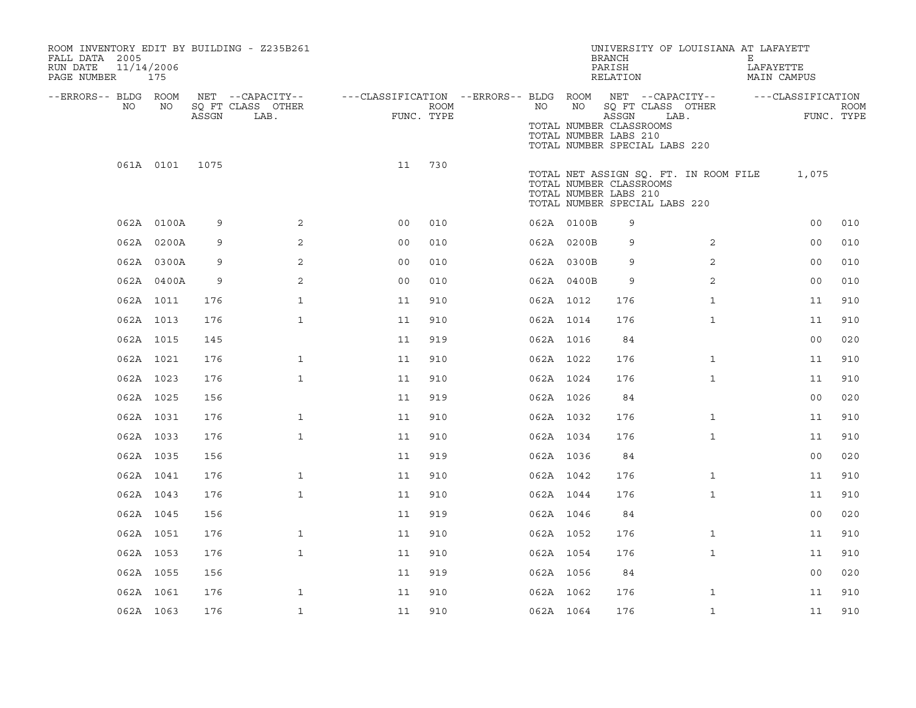| FALL DATA 2005<br>RUN DATE<br>PAGE NUMBER |           | 11/14/2006<br>175 |       | ROOM INVENTORY EDIT BY BUILDING - Z235B261    |                                                         |                    |           |            | UNIVERSITY OF LOUISIANA AT LAFAYETT<br><b>BRANCH</b><br>PARISH<br>RELATION                                                 |                | Е<br>LAFAYETTE<br>MAIN CAMPUS |                   |                           |
|-------------------------------------------|-----------|-------------------|-------|-----------------------------------------------|---------------------------------------------------------|--------------------|-----------|------------|----------------------------------------------------------------------------------------------------------------------------|----------------|-------------------------------|-------------------|---------------------------|
| --ERRORS-- BLDG ROOM                      | NO        | NO                | ASSGN | NET --CAPACITY--<br>SQ FT CLASS OTHER<br>LAB. | ---CLASSIFICATION --ERRORS-- BLDG ROOM NET --CAPACITY-- | ROOM<br>FUNC. TYPE | NO        | NO         | SQ FT CLASS OTHER<br>ASSGN<br>TOTAL NUMBER CLASSROOMS<br>TOTAL NUMBER LABS 210<br>TOTAL NUMBER SPECIAL LABS 220            | LAB.           |                               | ---CLASSIFICATION | <b>ROOM</b><br>FUNC. TYPE |
|                                           |           | 061A 0101         | 1075  |                                               | 11                                                      | 730                |           |            | TOTAL NET ASSIGN SO. FT. IN ROOM FILE<br>TOTAL NUMBER CLASSROOMS<br>TOTAL NUMBER LABS 210<br>TOTAL NUMBER SPECIAL LABS 220 |                |                               | 1,075             |                           |
|                                           |           | 062A 0100A        | 9     | $\overline{2}$                                | 0 <sub>0</sub>                                          | 010                |           | 062A 0100B | 9                                                                                                                          |                |                               | 0 <sub>0</sub>    | 010                       |
|                                           |           | 062A 0200A        | 9     | 2                                             | 0 <sub>0</sub>                                          | 010                |           | 062A 0200B | 9                                                                                                                          | 2              |                               | 00                | 010                       |
|                                           |           | 062A 0300A        | 9     | 2                                             | 0 <sub>0</sub>                                          | 010                |           | 062A 0300B | 9                                                                                                                          | $\overline{2}$ |                               | 0 <sub>0</sub>    | 010                       |
|                                           |           | 062A 0400A        | 9     | 2                                             | 0 <sub>0</sub>                                          | 010                |           | 062A 0400B | 9                                                                                                                          | 2              |                               | 0 <sub>0</sub>    | 010                       |
|                                           |           | 062A 1011         | 176   | $\mathbf{1}$                                  | 11                                                      | 910                | 062A 1012 |            | 176                                                                                                                        | $\mathbf{1}$   |                               | 11                | 910                       |
|                                           | 062A 1013 |                   | 176   | $\mathbf{1}$                                  | 11                                                      | 910                | 062A 1014 |            | 176                                                                                                                        | $\mathbf{1}$   |                               | 11                | 910                       |
|                                           |           | 062A 1015         | 145   |                                               | 11                                                      | 919                | 062A 1016 |            | 84                                                                                                                         |                |                               | 0 <sub>0</sub>    | 020                       |
|                                           |           | 062A 1021         | 176   | $\mathbf{1}$                                  | 11                                                      | 910                | 062A 1022 |            | 176                                                                                                                        | $\mathbf{1}$   |                               | 11                | 910                       |
|                                           |           | 062A 1023         | 176   | $\mathbf{1}$                                  | 11                                                      | 910                | 062A 1024 |            | 176                                                                                                                        | $\mathbf{1}$   |                               | 11                | 910                       |
|                                           | 062A 1025 |                   | 156   |                                               | 11                                                      | 919                | 062A 1026 |            | 84                                                                                                                         |                |                               | 0 <sub>0</sub>    | 020                       |
|                                           |           | 062A 1031         | 176   | $\mathbf{1}$                                  | 11                                                      | 910                | 062A 1032 |            | 176                                                                                                                        | $\mathbf{1}$   |                               | 11                | 910                       |
|                                           |           | 062A 1033         | 176   | $\mathbf{1}$                                  | 11                                                      | 910                | 062A 1034 |            | 176                                                                                                                        | $\mathbf{1}$   |                               | 11                | 910                       |
|                                           |           | 062A 1035         | 156   |                                               | 11                                                      | 919                | 062A 1036 |            | 84                                                                                                                         |                |                               | 0 <sub>0</sub>    | 020                       |
|                                           |           | 062A 1041         | 176   | $\mathbf{1}$                                  | 11                                                      | 910                | 062A 1042 |            | 176                                                                                                                        | $\mathbf{1}$   |                               | 11                | 910                       |
|                                           | 062A 1043 |                   | 176   | $\mathbf{1}$                                  | 11                                                      | 910                | 062A 1044 |            | 176                                                                                                                        | $\mathbf{1}$   |                               | 11                | 910                       |
|                                           | 062A 1045 |                   | 156   |                                               | 11                                                      | 919                | 062A 1046 |            | 84                                                                                                                         |                |                               | 0 <sub>0</sub>    | 020                       |
|                                           |           | 062A 1051         | 176   | $\mathbf{1}$                                  | 11                                                      | 910                | 062A 1052 |            | 176                                                                                                                        | $\mathbf{1}$   |                               | 11                | 910                       |
|                                           | 062A 1053 |                   | 176   | $\mathbf{1}$                                  | 11                                                      | 910                | 062A 1054 |            | 176                                                                                                                        | $\mathbf{1}$   |                               | 11                | 910                       |
|                                           |           | 062A 1055         | 156   |                                               | 11                                                      | 919                | 062A 1056 |            | 84                                                                                                                         |                |                               | 0 <sub>0</sub>    | 020                       |
|                                           |           | 062A 1061         | 176   | $\mathbf{1}$                                  | 11                                                      | 910                | 062A 1062 |            | 176                                                                                                                        | $\mathbf{1}$   |                               | 11                | 910                       |
|                                           |           | 062A 1063         | 176   | $\mathbf{1}$                                  | 11                                                      | 910                | 062A 1064 |            | 176                                                                                                                        | $\mathbf{1}$   |                               | 11                | 910                       |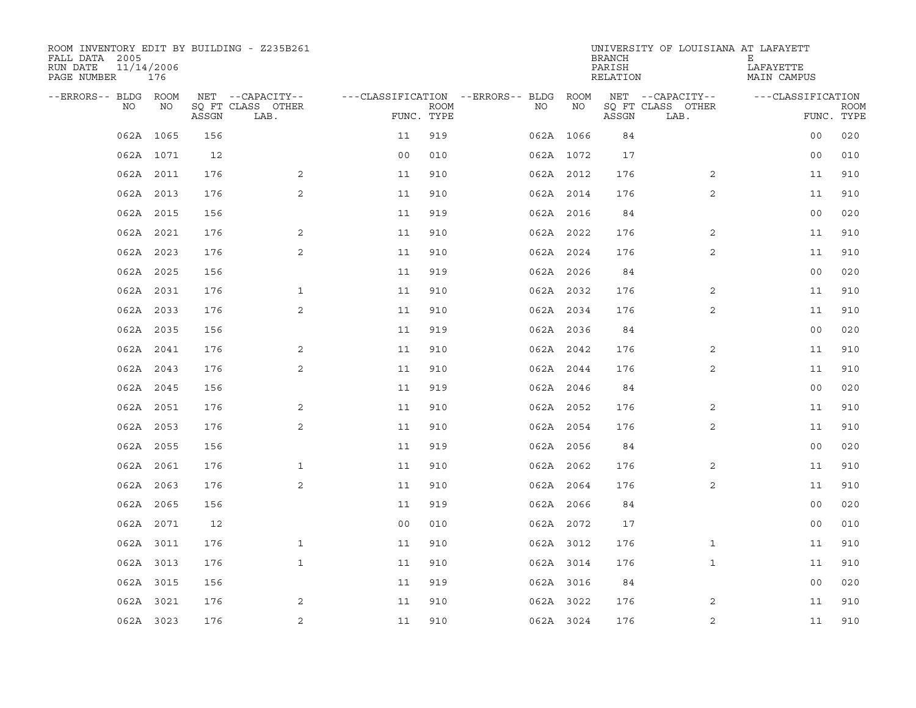| ROOM INVENTORY EDIT BY BUILDING - Z235B261<br>FALL DATA 2005<br>RUN DATE<br>PAGE NUMBER | 11/14/2006<br>176 |       |                           |                                        |             |     |           | <b>BRANCH</b><br>PARISH<br>RELATION | UNIVERSITY OF LOUISIANA AT LAFAYETT | Е<br>LAFAYETTE<br>MAIN CAMPUS |             |
|-----------------------------------------------------------------------------------------|-------------------|-------|---------------------------|----------------------------------------|-------------|-----|-----------|-------------------------------------|-------------------------------------|-------------------------------|-------------|
| --ERRORS-- BLDG ROOM                                                                    |                   |       | NET --CAPACITY--          | ---CLASSIFICATION --ERRORS-- BLDG ROOM |             |     |           |                                     | NET --CAPACITY--                    | ---CLASSIFICATION             |             |
| NO.                                                                                     | NO                | ASSGN | SQ FT CLASS OTHER<br>LAB. | FUNC. TYPE                             | <b>ROOM</b> | NO. | NO        | ASSGN                               | SQ FT CLASS OTHER<br>LAB.           | FUNC. TYPE                    | <b>ROOM</b> |
|                                                                                         | 062A 1065         | 156   |                           | 11                                     | 919         |     | 062A 1066 | 84                                  |                                     | 0 <sub>0</sub>                | 020         |
|                                                                                         | 062A 1071         | 12    |                           | 0 <sub>0</sub>                         | 010         |     | 062A 1072 | 17                                  |                                     | 0 <sub>0</sub>                | 010         |
|                                                                                         | 062A 2011         | 176   | 2                         | 11                                     | 910         |     | 062A 2012 | 176                                 | 2                                   | 11                            | 910         |
|                                                                                         | 062A 2013         | 176   | 2                         | 11                                     | 910         |     | 062A 2014 | 176                                 | 2                                   | 11                            | 910         |
|                                                                                         | 062A 2015         | 156   |                           | 11                                     | 919         |     | 062A 2016 | 84                                  |                                     | 0 <sub>0</sub>                | 020         |
|                                                                                         | 062A 2021         | 176   | 2                         | 11                                     | 910         |     | 062A 2022 | 176                                 | 2                                   | 11                            | 910         |
|                                                                                         | 062A 2023         | 176   | 2                         | 11                                     | 910         |     | 062A 2024 | 176                                 | 2                                   | 11                            | 910         |
|                                                                                         | 062A 2025         | 156   |                           | 11                                     | 919         |     | 062A 2026 | 84                                  |                                     | 0 <sub>0</sub>                | 020         |
|                                                                                         | 062A 2031         | 176   | $\mathbf{1}$              | 11                                     | 910         |     | 062A 2032 | 176                                 | 2                                   | 11                            | 910         |
|                                                                                         | 062A 2033         | 176   | 2                         | 11                                     | 910         |     | 062A 2034 | 176                                 | $\overline{2}$                      | 11                            | 910         |
|                                                                                         | 062A 2035         | 156   |                           | 11                                     | 919         |     | 062A 2036 | 84                                  |                                     | 0 <sub>0</sub>                | 020         |
|                                                                                         | 062A 2041         | 176   | 2                         | 11                                     | 910         |     | 062A 2042 | 176                                 | 2                                   | 11                            | 910         |
|                                                                                         | 062A 2043         | 176   | 2                         | 11                                     | 910         |     | 062A 2044 | 176                                 | 2                                   | 11                            | 910         |
|                                                                                         | 062A 2045         | 156   |                           | 11                                     | 919         |     | 062A 2046 | 84                                  |                                     | 0 <sub>0</sub>                | 020         |
|                                                                                         | 062A 2051         | 176   | 2                         | 11                                     | 910         |     | 062A 2052 | 176                                 | 2                                   | 11                            | 910         |
|                                                                                         | 062A 2053         | 176   | 2                         | 11                                     | 910         |     | 062A 2054 | 176                                 | 2                                   | 11                            | 910         |
|                                                                                         | 062A 2055         | 156   |                           | 11                                     | 919         |     | 062A 2056 | 84                                  |                                     | 0 <sub>0</sub>                | 020         |
|                                                                                         | 062A 2061         | 176   | $\mathbf{1}$              | 11                                     | 910         |     | 062A 2062 | 176                                 | 2                                   | 11                            | 910         |
|                                                                                         | 062A 2063         | 176   | 2                         | 11                                     | 910         |     | 062A 2064 | 176                                 | 2                                   | 11                            | 910         |
|                                                                                         | 062A 2065         | 156   |                           | 11                                     | 919         |     | 062A 2066 | 84                                  |                                     | 0 <sub>0</sub>                | 020         |
|                                                                                         | 062A 2071         | 12    |                           | 0 <sub>0</sub>                         | 010         |     | 062A 2072 | 17                                  |                                     | 0 <sub>0</sub>                | 010         |
|                                                                                         | 062A 3011         | 176   | $\mathbf{1}$              | 11                                     | 910         |     | 062A 3012 | 176                                 | $\mathbf{1}$                        | 11                            | 910         |
|                                                                                         | 062A 3013         | 176   | $\mathbf{1}$              | 11                                     | 910         |     | 062A 3014 | 176                                 | $\mathbf{1}$                        | 11                            | 910         |
|                                                                                         | 062A 3015         | 156   |                           | 11                                     | 919         |     | 062A 3016 | 84                                  |                                     | 00                            | 020         |
|                                                                                         | 062A 3021         | 176   | 2                         | 11                                     | 910         |     | 062A 3022 | 176                                 | 2                                   | 11                            | 910         |
|                                                                                         | 062A 3023         | 176   | $\overline{a}$            | 11                                     | 910         |     | 062A 3024 | 176                                 | 2                                   | 11                            | 910         |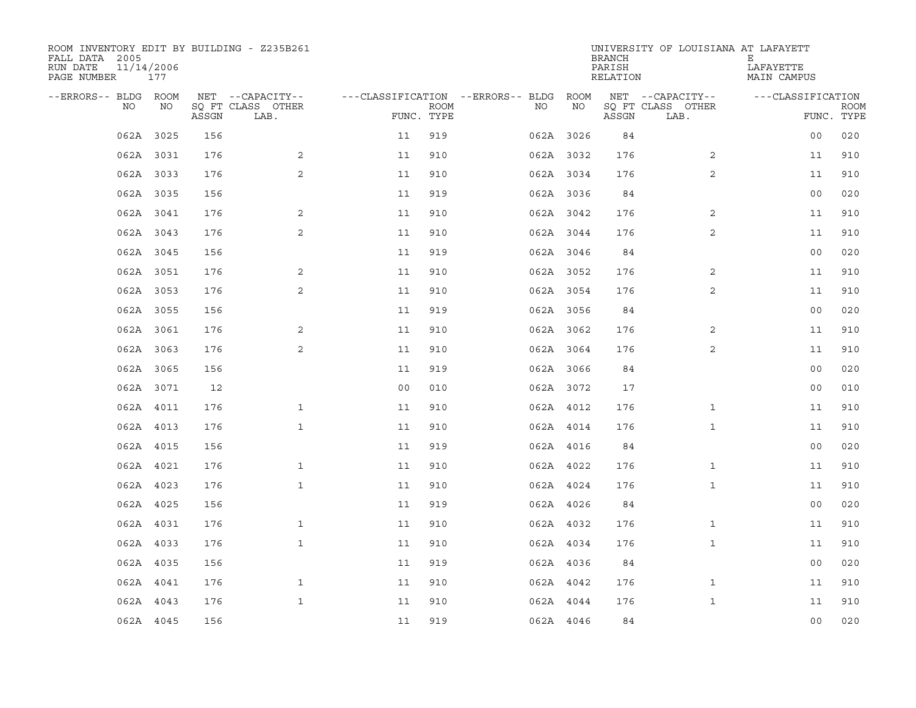| ROOM INVENTORY EDIT BY BUILDING - Z235B261<br>FALL DATA 2005<br>RUN DATE<br>PAGE NUMBER | 11/14/2006<br>177 |       |                           |                                        |             |           |    | <b>BRANCH</b><br>PARISH<br>RELATION | UNIVERSITY OF LOUISIANA AT LAFAYETT | Е<br>LAFAYETTE<br>MAIN CAMPUS |                           |
|-----------------------------------------------------------------------------------------|-------------------|-------|---------------------------|----------------------------------------|-------------|-----------|----|-------------------------------------|-------------------------------------|-------------------------------|---------------------------|
| --ERRORS-- BLDG ROOM                                                                    |                   |       | NET --CAPACITY--          | ---CLASSIFICATION --ERRORS-- BLDG ROOM |             |           |    |                                     | NET --CAPACITY--                    | ---CLASSIFICATION             |                           |
| NO                                                                                      | NO                | ASSGN | SQ FT CLASS OTHER<br>LAB. | FUNC. TYPE                             | <b>ROOM</b> | NO.       | NO | ASSGN                               | SQ FT CLASS OTHER<br>LAB.           |                               | <b>ROOM</b><br>FUNC. TYPE |
|                                                                                         | 062A 3025         | 156   |                           | 11                                     | 919         | 062A 3026 |    | 84                                  |                                     | 0 <sub>0</sub>                | 020                       |
|                                                                                         | 062A 3031         | 176   | 2                         | 11                                     | 910         | 062A 3032 |    | 176                                 | 2                                   | 11                            | 910                       |
|                                                                                         | 062A 3033         | 176   | 2                         | 11                                     | 910         | 062A 3034 |    | 176                                 | $\overline{2}$                      | 11                            | 910                       |
|                                                                                         | 062A 3035         | 156   |                           | 11                                     | 919         | 062A 3036 |    | 84                                  |                                     | 0 <sub>0</sub>                | 020                       |
|                                                                                         | 062A 3041         | 176   | 2                         | 11                                     | 910         | 062A 3042 |    | 176                                 | 2                                   | 11                            | 910                       |
|                                                                                         | 062A 3043         | 176   | 2                         | 11                                     | 910         | 062A 3044 |    | 176                                 | 2                                   | 11                            | 910                       |
|                                                                                         | 062A 3045         | 156   |                           | 11                                     | 919         | 062A 3046 |    | 84                                  |                                     | 0 <sub>0</sub>                | 020                       |
|                                                                                         | 062A 3051         | 176   | 2                         | 11                                     | 910         | 062A 3052 |    | 176                                 | 2                                   | 11                            | 910                       |
|                                                                                         | 062A 3053         | 176   | 2                         | 11                                     | 910         | 062A 3054 |    | 176                                 | 2                                   | 11                            | 910                       |
|                                                                                         | 062A 3055         | 156   |                           | 11                                     | 919         | 062A 3056 |    | 84                                  |                                     | 0 <sub>0</sub>                | 020                       |
|                                                                                         | 062A 3061         | 176   | 2                         | 11                                     | 910         | 062A 3062 |    | 176                                 | 2                                   | 11                            | 910                       |
|                                                                                         | 062A 3063         | 176   | $\overline{a}$            | 11                                     | 910         | 062A 3064 |    | 176                                 | 2                                   | 11                            | 910                       |
|                                                                                         | 062A 3065         | 156   |                           | 11                                     | 919         | 062A 3066 |    | 84                                  |                                     | 0 <sub>0</sub>                | 020                       |
|                                                                                         | 062A 3071         | 12    |                           | 0 <sub>0</sub>                         | 010         | 062A 3072 |    | 17                                  |                                     | 0 <sub>0</sub>                | 010                       |
|                                                                                         | 062A 4011         | 176   | $\mathbf{1}$              | 11                                     | 910         | 062A 4012 |    | 176                                 | $\mathbf{1}$                        | 11                            | 910                       |
|                                                                                         | 062A 4013         | 176   | $\mathbf{1}$              | 11                                     | 910         | 062A 4014 |    | 176                                 | $\mathbf{1}$                        | 11                            | 910                       |
|                                                                                         | 062A 4015         | 156   |                           | 11                                     | 919         | 062A 4016 |    | 84                                  |                                     | 00                            | 020                       |
|                                                                                         | 062A 4021         | 176   | $\mathbf 1$               | 11                                     | 910         | 062A 4022 |    | 176                                 | $\mathbf{1}$                        | 11                            | 910                       |
|                                                                                         | 062A 4023         | 176   | $\mathbf{1}$              | 11                                     | 910         | 062A 4024 |    | 176                                 | $\mathbf{1}$                        | 11                            | 910                       |
|                                                                                         | 062A 4025         | 156   |                           | 11                                     | 919         | 062A 4026 |    | 84                                  |                                     | 0 <sub>0</sub>                | 020                       |
|                                                                                         | 062A 4031         | 176   | $\mathbf{1}$              | 11                                     | 910         | 062A 4032 |    | 176                                 | $\mathbf{1}$                        | 11                            | 910                       |
|                                                                                         | 062A 4033         | 176   | $\mathbf{1}$              | 11                                     | 910         | 062A 4034 |    | 176                                 | $\mathbf{1}$                        | 11                            | 910                       |
|                                                                                         | 062A 4035         | 156   |                           | 11                                     | 919         | 062A 4036 |    | 84                                  |                                     | 0 <sub>0</sub>                | 020                       |
|                                                                                         | 062A 4041         | 176   | $\mathbf{1}$              | 11                                     | 910         | 062A 4042 |    | 176                                 | $\mathbf{1}$                        | 11                            | 910                       |
|                                                                                         | 062A 4043         | 176   | $\mathbf{1}$              | 11                                     | 910         | 062A 4044 |    | 176                                 | $\mathbf{1}$                        | 11                            | 910                       |
|                                                                                         | 062A 4045         | 156   |                           | 11                                     | 919         | 062A 4046 |    | 84                                  |                                     | 0 <sub>0</sub>                | 020                       |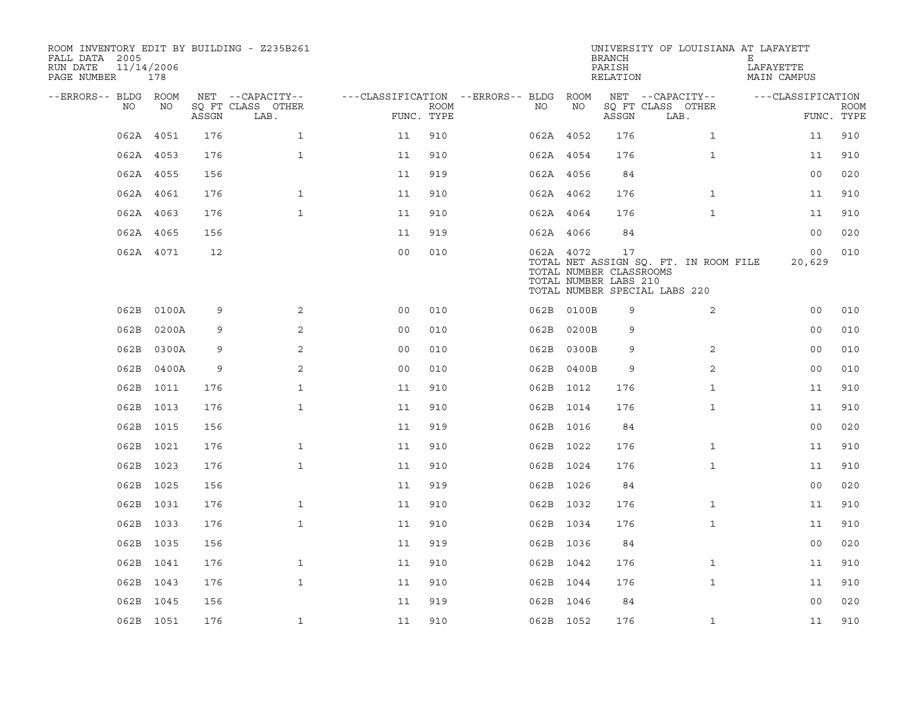| ROOM INVENTORY EDIT BY BUILDING - Z235B261<br>FALL DATA 2005<br>RUN DATE<br>PAGE NUMBER | 11/14/2006<br>178 |       |                           |                                        |             |           |            | <b>BRANCH</b><br>PARISH<br>RELATION                    | UNIVERSITY OF LOUISIANA AT LAFAYETT                                    | Е<br>LAFAYETTE<br>MAIN CAMPUS |                           |
|-----------------------------------------------------------------------------------------|-------------------|-------|---------------------------|----------------------------------------|-------------|-----------|------------|--------------------------------------------------------|------------------------------------------------------------------------|-------------------------------|---------------------------|
| --ERRORS-- BLDG ROOM                                                                    |                   |       | NET --CAPACITY--          | ---CLASSIFICATION --ERRORS-- BLDG ROOM |             |           |            |                                                        | NET --CAPACITY--                                                       | ---CLASSIFICATION             |                           |
| NO                                                                                      | NO                | ASSGN | SQ FT CLASS OTHER<br>LAB. | FUNC. TYPE                             | <b>ROOM</b> | NO        | NO         | ASSGN                                                  | SQ FT CLASS OTHER<br>LAB.                                              |                               | <b>ROOM</b><br>FUNC. TYPE |
|                                                                                         | 062A 4051         | 176   | $\mathbf{1}$              | 11                                     | 910         | 062A 4052 |            | 176                                                    | $\mathbf{1}$                                                           | 11                            | 910                       |
|                                                                                         | 062A 4053         | 176   | $\mathbf{1}$              | 11                                     | 910         | 062A 4054 |            | 176                                                    | $\mathbf{1}$                                                           | 11                            | 910                       |
|                                                                                         | 062A 4055         | 156   |                           | 11                                     | 919         | 062A 4056 |            | 84                                                     |                                                                        | 0 <sub>0</sub>                | 020                       |
|                                                                                         | 062A 4061         | 176   | $\mathbf{1}$              | 11                                     | 910         | 062A 4062 |            | 176                                                    | $\mathbf{1}$                                                           | 11                            | 910                       |
|                                                                                         | 062A 4063         | 176   | $\mathbf{1}$              | 11                                     | 910         | 062A 4064 |            | 176                                                    | $\mathbf{1}$                                                           | 11                            | 910                       |
|                                                                                         | 062A 4065         | 156   |                           | 11                                     | 919         | 062A 4066 |            | 84                                                     |                                                                        | 00                            | 020                       |
|                                                                                         | 062A 4071         | 12    |                           | 0 <sub>0</sub>                         | 010         | 062A 4072 |            | 17<br>TOTAL NUMBER CLASSROOMS<br>TOTAL NUMBER LABS 210 | TOTAL NET ASSIGN SQ. FT. IN ROOM FILE<br>TOTAL NUMBER SPECIAL LABS 220 | 00<br>20,629                  | 010                       |
| 062B                                                                                    | 0100A             | 9     | 2                         | 0 <sub>0</sub>                         | 010         |           | 062B 0100B | 9                                                      | 2                                                                      | 00                            | 010                       |
| 062B                                                                                    | 0200A             | 9     | 2                         | 0 <sub>0</sub>                         | 010         |           | 062B 0200B | 9                                                      |                                                                        | 0 <sub>0</sub>                | 010                       |
| 062B                                                                                    | 0300A             | 9     | 2                         | 0 <sub>0</sub>                         | 010         |           | 062B 0300B | 9                                                      | 2                                                                      | 0 <sub>0</sub>                | 010                       |
| 062B                                                                                    | 0400A             | 9     | 2                         | 0 <sub>0</sub>                         | 010         |           | 062B 0400B | 9                                                      | $\overline{2}$                                                         | 0 <sub>0</sub>                | 010                       |
|                                                                                         | 062B 1011         | 176   | $\mathbf{1}$              | 11                                     | 910         | 062B 1012 |            | 176                                                    | $\mathbf{1}$                                                           | 11                            | 910                       |
|                                                                                         | 062B 1013         | 176   | $\mathbf{1}$              | 11                                     | 910         | 062B 1014 |            | 176                                                    | $\mathbf{1}$                                                           | 11                            | 910                       |
|                                                                                         | 062B 1015         | 156   |                           | 11                                     | 919         | 062B 1016 |            | 84                                                     |                                                                        | 0 <sub>0</sub>                | 020                       |
|                                                                                         | 062B 1021         | 176   | $\mathbf{1}$              | 11                                     | 910         | 062B 1022 |            | 176                                                    | $\mathbf{1}$                                                           | 11                            | 910                       |
|                                                                                         | 062B 1023         | 176   | $\mathbf{1}$              | 11                                     | 910         | 062B 1024 |            | 176                                                    | $\mathbf{1}$                                                           | 11                            | 910                       |
|                                                                                         | 062B 1025         | 156   |                           | 11                                     | 919         | 062B 1026 |            | 84                                                     |                                                                        | 00                            | 020                       |
|                                                                                         | 062B 1031         | 176   | $\mathbf{1}$              | 11                                     | 910         | 062B 1032 |            | 176                                                    | $\mathbf{1}$                                                           | 11                            | 910                       |
|                                                                                         | 062B 1033         | 176   | $\mathbf{1}$              | 11                                     | 910         | 062B 1034 |            | 176                                                    | $\mathbf{1}$                                                           | 11                            | 910                       |
|                                                                                         | 062B 1035         | 156   |                           | 11                                     | 919         | 062B 1036 |            | 84                                                     |                                                                        | 00                            | 020                       |
|                                                                                         | 062B 1041         | 176   | $\mathbf{1}$              | 11                                     | 910         | 062B 1042 |            | 176                                                    | $\mathbf{1}$                                                           | 11                            | 910                       |
|                                                                                         | 062B 1043         | 176   | $\mathbf{1}$              | 11                                     | 910         | 062B 1044 |            | 176                                                    | $\mathbf{1}$                                                           | 11                            | 910                       |
|                                                                                         | 062B 1045         | 156   |                           | 11                                     | 919         | 062B 1046 |            | 84                                                     |                                                                        | 0 <sub>0</sub>                | 020                       |
|                                                                                         | 062B 1051         | 176   | $\mathbf{1}$              | 11                                     | 910         | 062B 1052 |            | 176                                                    | $\mathbf{1}$                                                           | 11                            | 910                       |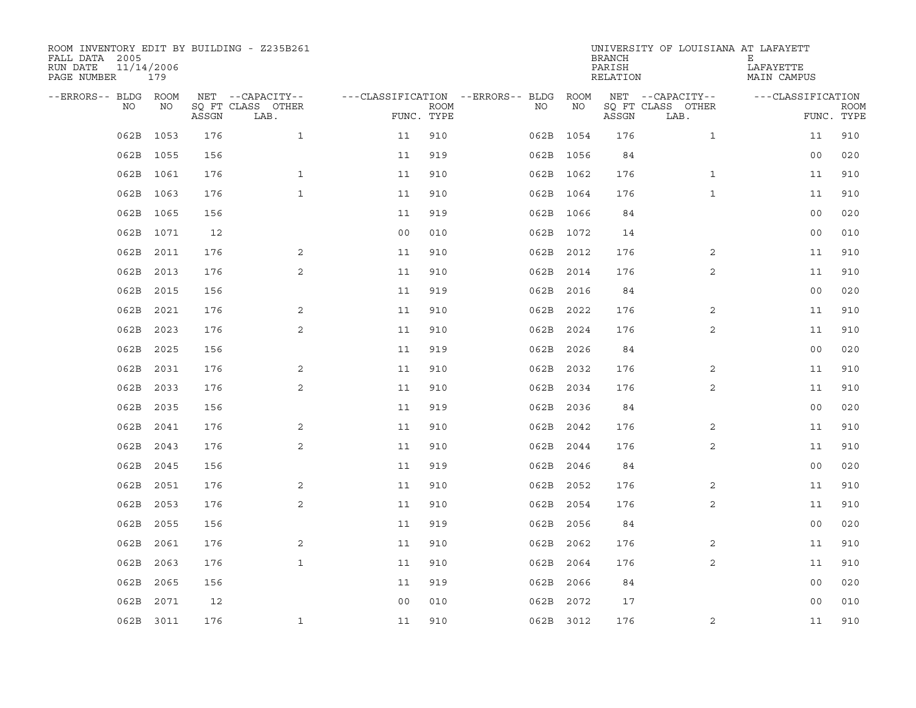| ROOM INVENTORY EDIT BY BUILDING - Z235B261<br>FALL DATA 2005<br>RUN DATE<br>PAGE NUMBER | 11/14/2006<br>179 |       |                           |                                        |             |           |      | <b>BRANCH</b><br>PARISH<br>RELATION | UNIVERSITY OF LOUISIANA AT LAFAYETT | Е<br>LAFAYETTE<br>MAIN CAMPUS |             |
|-----------------------------------------------------------------------------------------|-------------------|-------|---------------------------|----------------------------------------|-------------|-----------|------|-------------------------------------|-------------------------------------|-------------------------------|-------------|
| --ERRORS-- BLDG ROOM                                                                    |                   |       | NET --CAPACITY--          | ---CLASSIFICATION --ERRORS-- BLDG ROOM |             |           |      |                                     | NET --CAPACITY--                    | ---CLASSIFICATION             |             |
| NO.                                                                                     | NO                | ASSGN | SQ FT CLASS OTHER<br>LAB. | FUNC. TYPE                             | <b>ROOM</b> | NO.       | NO   | ASSGN                               | SQ FT CLASS OTHER<br>LAB.           | FUNC. TYPE                    | <b>ROOM</b> |
| 062B                                                                                    | 1053              | 176   | $\mathbf{1}$              | 11                                     | 910         | 062B 1054 |      | 176                                 | $\mathbf{1}$                        | 11                            | 910         |
| 062B                                                                                    | 1055              | 156   |                           | 11                                     | 919         | 062B 1056 |      | 84                                  |                                     | 0 <sub>0</sub>                | 020         |
|                                                                                         | 062B 1061         | 176   | $\mathbf{1}$              | 11                                     | 910         | 062B 1062 |      | 176                                 | $\mathbf{1}$                        | 11                            | 910         |
|                                                                                         | 062B 1063         | 176   | $\mathbf{1}$              | 11                                     | 910         | 062B 1064 |      | 176                                 | $\mathbf{1}$                        | 11                            | 910         |
| 062B                                                                                    | 1065              | 156   |                           | 11                                     | 919         | 062B 1066 |      | 84                                  |                                     | 0 <sub>0</sub>                | 020         |
|                                                                                         | 062B 1071         | 12    |                           | 0 <sub>0</sub>                         | 010         | 062B 1072 |      | 14                                  |                                     | 0 <sub>0</sub>                | 010         |
| 062B                                                                                    | 2011              | 176   | 2                         | 11                                     | 910         | 062B 2012 |      | 176                                 | 2                                   | 11                            | 910         |
| 062B                                                                                    | 2013              | 176   | $\overline{2}$            | 11                                     | 910         | 062B 2014 |      | 176                                 | 2                                   | 11                            | 910         |
| 062B                                                                                    | 2015              | 156   |                           | 11                                     | 919         | 062B      | 2016 | 84                                  |                                     | 0 <sub>0</sub>                | 020         |
| 062B                                                                                    | 2021              | 176   | $\overline{a}$            | 11                                     | 910         | 062B      | 2022 | 176                                 | 2                                   | 11                            | 910         |
| 062B                                                                                    | 2023              | 176   | 2                         | 11                                     | 910         | 062B      | 2024 | 176                                 | 2                                   | 11                            | 910         |
| 062B                                                                                    | 2025              | 156   |                           | 11                                     | 919         | 062B 2026 |      | 84                                  |                                     | 0 <sub>0</sub>                | 020         |
| 062B                                                                                    | 2031              | 176   | 2                         | 11                                     | 910         | 062B      | 2032 | 176                                 | 2                                   | 11                            | 910         |
| 062B                                                                                    | 2033              | 176   | $\overline{a}$            | 11                                     | 910         | 062B      | 2034 | 176                                 | 2                                   | 11                            | 910         |
| 062B                                                                                    | 2035              | 156   |                           | 11                                     | 919         | 062B      | 2036 | 84                                  |                                     | 0 <sub>0</sub>                | 020         |
| 062B                                                                                    | 2041              | 176   | 2                         | 11                                     | 910         | 062B      | 2042 | 176                                 | 2                                   | 11                            | 910         |
| 062B                                                                                    | 2043              | 176   | 2                         | 11                                     | 910         | 062B      | 2044 | 176                                 | 2                                   | 11                            | 910         |
| 062B                                                                                    | 2045              | 156   |                           | 11                                     | 919         | 062B      | 2046 | 84                                  |                                     | 0 <sub>0</sub>                | 020         |
| 062B                                                                                    | 2051              | 176   | 2                         | 11                                     | 910         | 062B      | 2052 | 176                                 | 2                                   | 11                            | 910         |
| 062B                                                                                    | 2053              | 176   | 2                         | 11                                     | 910         | 062B 2054 |      | 176                                 | 2                                   | 11                            | 910         |
| 062B                                                                                    | 2055              | 156   |                           | 11                                     | 919         | 062B 2056 |      | 84                                  |                                     | 0 <sub>0</sub>                | 020         |
| 062B                                                                                    | 2061              | 176   | 2                         | 11                                     | 910         | 062B 2062 |      | 176                                 | 2                                   | 11                            | 910         |
| 062B                                                                                    | 2063              | 176   | $\mathbf{1}$              | 11                                     | 910         | 062B      | 2064 | 176                                 | 2                                   | 11                            | 910         |
| 062B                                                                                    | 2065              | 156   |                           | 11                                     | 919         | 062B      | 2066 | 84                                  |                                     | 00                            | 020         |
| 062B                                                                                    | 2071              | 12    |                           | 0 <sub>0</sub>                         | 010         | 062B 2072 |      | 17                                  |                                     | 00                            | 010         |
|                                                                                         | 062B 3011         | 176   | $\mathbf{1}$              | 11                                     | 910         | 062B 3012 |      | 176                                 | 2                                   | 11                            | 910         |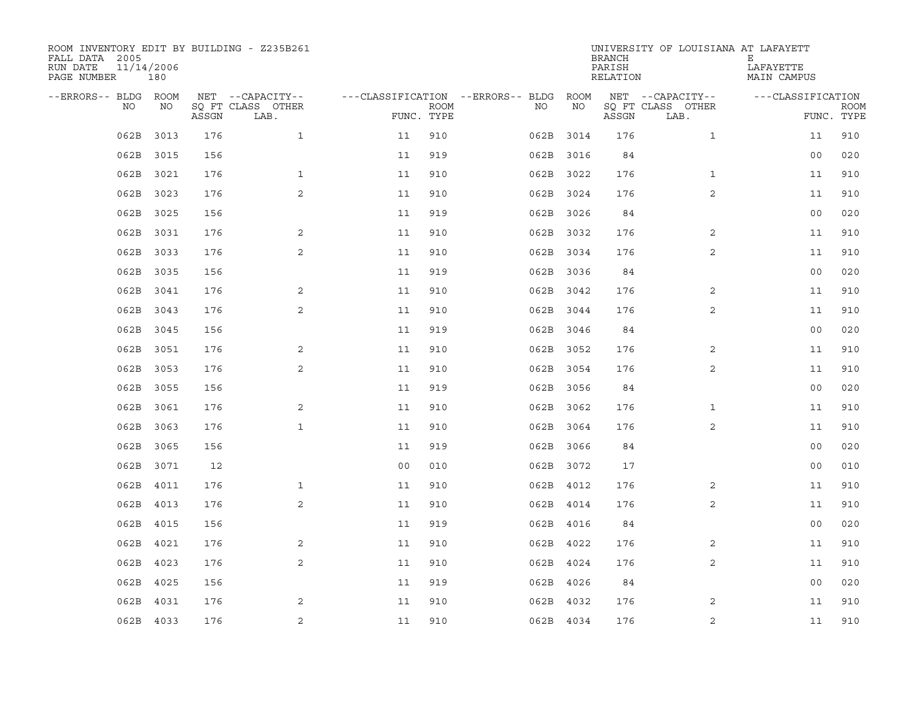| ROOM INVENTORY EDIT BY BUILDING - Z235B261<br>FALL DATA 2005<br>RUN DATE<br>PAGE NUMBER | 11/14/2006<br>180 |       |                           |                                        |             |      |           | <b>BRANCH</b><br>PARISH<br>RELATION | UNIVERSITY OF LOUISIANA AT LAFAYETT | Е<br>LAFAYETTE<br>MAIN CAMPUS |             |
|-----------------------------------------------------------------------------------------|-------------------|-------|---------------------------|----------------------------------------|-------------|------|-----------|-------------------------------------|-------------------------------------|-------------------------------|-------------|
| --ERRORS-- BLDG ROOM                                                                    |                   |       | NET --CAPACITY--          | ---CLASSIFICATION --ERRORS-- BLDG ROOM |             |      |           |                                     | NET --CAPACITY--                    | ---CLASSIFICATION             |             |
| NO.                                                                                     | NO                | ASSGN | SQ FT CLASS OTHER<br>LAB. | FUNC. TYPE                             | <b>ROOM</b> | NO.  | NO        | ASSGN                               | SQ FT CLASS OTHER<br>LAB.           | FUNC. TYPE                    | <b>ROOM</b> |
| 062B                                                                                    | 3013              | 176   | $\mathbf{1}$              | 11                                     | 910         |      | 062B 3014 | 176                                 | $\mathbf{1}$                        | 11                            | 910         |
| 062B                                                                                    | 3015              | 156   |                           | 11                                     | 919         |      | 062B 3016 | 84                                  |                                     | 0 <sub>0</sub>                | 020         |
| 062B                                                                                    | 3021              | 176   | $\mathbf{1}$              | 11                                     | 910         |      | 062B 3022 | 176                                 | $\mathbf{1}$                        | 11                            | 910         |
| 062B                                                                                    | 3023              | 176   | 2                         | 11                                     | 910         |      | 062B 3024 | 176                                 | 2                                   | 11                            | 910         |
| 062B                                                                                    | 3025              | 156   |                           | 11                                     | 919         |      | 062B 3026 | 84                                  |                                     | 0 <sub>0</sub>                | 020         |
| 062B                                                                                    | 3031              | 176   | 2                         | 11                                     | 910         |      | 062B 3032 | 176                                 | 2                                   | 11                            | 910         |
| 062B                                                                                    | 3033              | 176   | 2                         | 11                                     | 910         |      | 062B 3034 | 176                                 | 2                                   | 11                            | 910         |
| 062B                                                                                    | 3035              | 156   |                           | 11                                     | 919         |      | 062B 3036 | 84                                  |                                     | 0 <sub>0</sub>                | 020         |
| 062B                                                                                    | 3041              | 176   | 2                         | 11                                     | 910         | 062B | 3042      | 176                                 | 2                                   | 11                            | 910         |
| 062B                                                                                    | 3043              | 176   | $\mathbf{2}$              | 11                                     | 910         |      | 062B 3044 | 176                                 | $\overline{2}$                      | 11                            | 910         |
| 062B                                                                                    | 3045              | 156   |                           | 11                                     | 919         |      | 062B 3046 | 84                                  |                                     | 0 <sub>0</sub>                | 020         |
| 062B                                                                                    | 3051              | 176   | 2                         | 11                                     | 910         |      | 062B 3052 | 176                                 | 2                                   | 11                            | 910         |
| 062B                                                                                    | 3053              | 176   | 2                         | 11                                     | 910         |      | 062B 3054 | 176                                 | 2                                   | 11                            | 910         |
| 062B                                                                                    | 3055              | 156   |                           | 11                                     | 919         |      | 062B 3056 | 84                                  |                                     | 0 <sub>0</sub>                | 020         |
| 062B                                                                                    | 3061              | 176   | 2                         | 11                                     | 910         |      | 062B 3062 | 176                                 | $\mathbf{1}$                        | 11                            | 910         |
| 062B                                                                                    | 3063              | 176   | $\mathbf{1}$              | 11                                     | 910         |      | 062B 3064 | 176                                 | 2                                   | 11                            | 910         |
| 062B                                                                                    | 3065              | 156   |                           | 11                                     | 919         |      | 062B 3066 | 84                                  |                                     | 0 <sub>0</sub>                | 020         |
| 062B                                                                                    | 3071              | 12    |                           | 0 <sub>0</sub>                         | 010         |      | 062B 3072 | 17                                  |                                     | 0 <sub>0</sub>                | 010         |
| 062B                                                                                    | 4011              | 176   | $\mathbf{1}$              | 11                                     | 910         |      | 062B 4012 | 176                                 | 2                                   | 11                            | 910         |
| 062B                                                                                    | 4013              | 176   | 2                         | 11                                     | 910         |      | 062B 4014 | 176                                 | 2                                   | 11                            | 910         |
| 062B                                                                                    | 4015              | 156   |                           | 11                                     | 919         |      | 062B 4016 | 84                                  |                                     | 0 <sub>0</sub>                | 020         |
| 062B                                                                                    | 4021              | 176   | 2                         | 11                                     | 910         |      | 062B 4022 | 176                                 | 2                                   | 11                            | 910         |
| 062B                                                                                    | 4023              | 176   | 2                         | 11                                     | 910         |      | 062B 4024 | 176                                 | 2                                   | 11                            | 910         |
| 062B                                                                                    | 4025              | 156   |                           | 11                                     | 919         |      | 062B 4026 | 84                                  |                                     | 00                            | 020         |
| 062B                                                                                    | 4031              | 176   | 2                         | 11                                     | 910         |      | 062B 4032 | 176                                 | 2                                   | 11                            | 910         |
|                                                                                         | 062B 4033         | 176   | $\overline{2}$            | 11                                     | 910         |      | 062B 4034 | 176                                 | $\overline{2}$                      | 11                            | 910         |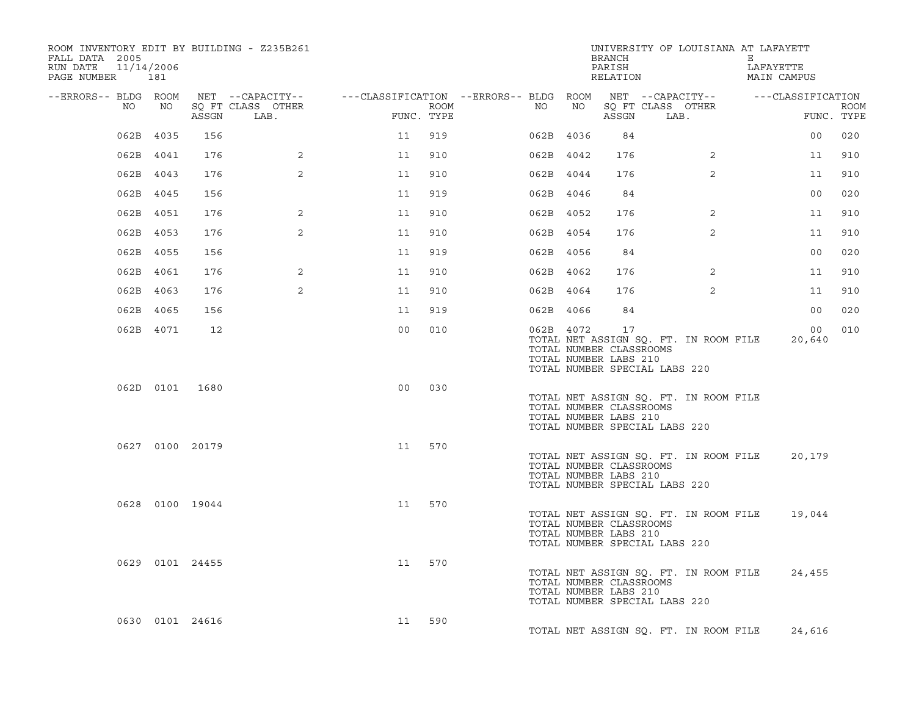| ROOM INVENTORY EDIT BY BUILDING - Z235B261<br>FALL DATA 2005<br>11/14/2006<br>RUN DATE<br>PAGE NUMBER 181 |           |                 |                                                                                        |                |                    |    |           | BRANCH<br>PARISH<br>RELATION                           | UNIVERSITY OF LOUISIANA AT LAFAYETT                                    | Е<br>LAFAYETTE<br>MAIN CAMPUS |                           |
|-----------------------------------------------------------------------------------------------------------|-----------|-----------------|----------------------------------------------------------------------------------------|----------------|--------------------|----|-----------|--------------------------------------------------------|------------------------------------------------------------------------|-------------------------------|---------------------------|
| --ERRORS-- BLDG ROOM<br>NO                                                                                | NO        | ASSGN           | NET --CAPACITY-- - ---CLASSIFICATION --ERRORS-- BLDG ROOM<br>SO FT CLASS OTHER<br>LAB. |                | ROOM<br>FUNC. TYPE | NO | NO        | ASSGN                                                  | NET --CAPACITY-- - --CLASSIFICATION<br>SQ FT CLASS OTHER<br>LAB.       |                               | <b>ROOM</b><br>FUNC. TYPE |
|                                                                                                           | 062B 4035 | 156             |                                                                                        | 11             | 919                |    | 062B 4036 | 84                                                     |                                                                        | 00                            | 020                       |
|                                                                                                           | 062B 4041 | 176             | 2                                                                                      | 11             | 910                |    | 062B 4042 | 176                                                    | $\overline{2}$                                                         | 11                            | 910                       |
|                                                                                                           | 062B 4043 | 176             | 2                                                                                      | 11             | 910                |    | 062B 4044 | 176                                                    | $\overline{2}$                                                         | 11                            | 910                       |
|                                                                                                           | 062B 4045 | 156             |                                                                                        | 11             | 919                |    | 062B 4046 | 84                                                     |                                                                        | 0 <sub>0</sub>                | 020                       |
|                                                                                                           | 062B 4051 | 176             | 2                                                                                      | 11             | 910                |    | 062B 4052 | 176                                                    | 2                                                                      | 11                            | 910                       |
|                                                                                                           | 062B 4053 | 176             | $\overline{2}$                                                                         | 11             | 910                |    | 062B 4054 | 176                                                    | $\overline{2}$                                                         | 11                            | 910                       |
|                                                                                                           | 062B 4055 | 156             |                                                                                        | 11             | 919                |    | 062B 4056 | 84                                                     |                                                                        | 0 <sub>0</sub>                | 020                       |
|                                                                                                           | 062B 4061 | 176             | 2                                                                                      | 11             | 910                |    | 062B 4062 | 176                                                    | $\overline{2}$                                                         | 11                            | 910                       |
|                                                                                                           | 062B 4063 | 176             | $\overline{2}$                                                                         | 11             | 910                |    | 062B 4064 | 176                                                    | $\overline{2}$                                                         | 11                            | 910                       |
|                                                                                                           | 062B 4065 | 156             |                                                                                        | 11             | 919                |    | 062B 4066 | 84                                                     |                                                                        | 0 <sub>0</sub>                | 020                       |
|                                                                                                           | 062B 4071 | 12              |                                                                                        | 0 <sub>0</sub> | 010                |    | 062B 4072 | 17<br>TOTAL NUMBER CLASSROOMS<br>TOTAL NUMBER LABS 210 | TOTAL NET ASSIGN SQ. FT. IN ROOM FILE<br>TOTAL NUMBER SPECIAL LABS 220 | 00<br>20,640                  | 010                       |
|                                                                                                           |           | 062D 0101 1680  |                                                                                        | 0 <sub>0</sub> | 030                |    |           | TOTAL NUMBER CLASSROOMS<br>TOTAL NUMBER LABS 210       | TOTAL NET ASSIGN SQ. FT. IN ROOM FILE<br>TOTAL NUMBER SPECIAL LABS 220 |                               |                           |
|                                                                                                           |           | 0627 0100 20179 |                                                                                        | 11             | 570                |    |           | TOTAL NUMBER CLASSROOMS<br>TOTAL NUMBER LABS 210       | TOTAL NET ASSIGN SQ. FT. IN ROOM FILE<br>TOTAL NUMBER SPECIAL LABS 220 | 20,179                        |                           |
|                                                                                                           |           | 0628 0100 19044 |                                                                                        | 11             | 570                |    |           | TOTAL NUMBER CLASSROOMS<br>TOTAL NUMBER LABS 210       | TOTAL NET ASSIGN SQ. FT. IN ROOM FILE<br>TOTAL NUMBER SPECIAL LABS 220 | 19,044                        |                           |
|                                                                                                           |           | 0629 0101 24455 |                                                                                        | 11             | 570                |    |           | TOTAL NUMBER CLASSROOMS<br>TOTAL NUMBER LABS 210       | TOTAL NET ASSIGN SQ. FT. IN ROOM FILE<br>TOTAL NUMBER SPECIAL LABS 220 | 24,455                        |                           |
|                                                                                                           |           | 0630 0101 24616 |                                                                                        | 11             | 590                |    |           |                                                        | TOTAL NET ASSIGN SO. FT. IN ROOM FILE                                  | 24,616                        |                           |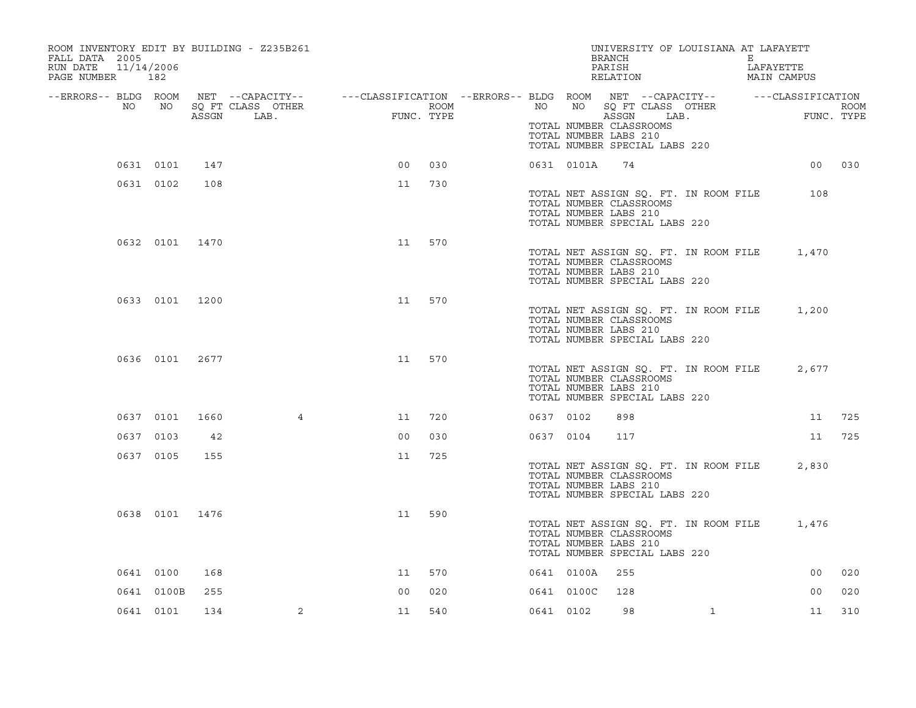| ROOM INVENTORY EDIT BY BUILDING - Z235B261<br>FALL DATA 2005<br>RUN DATE<br>PAGE NUMBER 182 | 11/14/2006 |                |                                                                                                                                           |                                                                                                                                                                                                                                                                                                                                                                                                                                                                 |            |           |            | UNIVERSITY OF LOUISIANA AT LAFAYETT<br>BRANCH<br>PARISH<br>RELATION                                                        |              | E<br>LAFAYETTE | MAIN CAMPUS    |             |
|---------------------------------------------------------------------------------------------|------------|----------------|-------------------------------------------------------------------------------------------------------------------------------------------|-----------------------------------------------------------------------------------------------------------------------------------------------------------------------------------------------------------------------------------------------------------------------------------------------------------------------------------------------------------------------------------------------------------------------------------------------------------------|------------|-----------|------------|----------------------------------------------------------------------------------------------------------------------------|--------------|----------------|----------------|-------------|
| NO                                                                                          | NO         |                | --ERRORS-- BLDG ROOM NET --CAPACITY-- -----CLASSIFICATION --ERRORS-- BLDG ROOM NET --CAPACITY-- ------CLASSIFICATION<br>SQ FT CLASS OTHER | $\begin{aligned} \mathcal{L}_1 = \mathcal{L}_2 = \mathcal{L}_3 = \mathcal{L}_4 = \mathcal{L}_5 = \mathcal{L}_6 = \mathcal{L}_7 = \mathcal{L}_7 = \mathcal{L}_8 = \mathcal{L}_7 = \mathcal{L}_8 = \mathcal{L}_9 = \mathcal{L}_9 = \mathcal{L}_7 = \mathcal{L}_8 = \mathcal{L}_9 = \mathcal{L}_7 = \mathcal{L}_8 = \mathcal{L}_9 = \mathcal{L}_9 = \mathcal{L}_8 = \mathcal{L}_9 = \mathcal{L}_9 = \mathcal{L}_9 = \mathcal{L}_9 = \mathcal{L}_9 = \mathcal{L}_9$ | ROOM       | NO        |            | NO SQ FT CLASS OTHER                                                                                                       |              |                |                | <b>ROOM</b> |
|                                                                                             |            | ASSGN          | LAB.                                                                                                                                      |                                                                                                                                                                                                                                                                                                                                                                                                                                                                 | FUNC. TYPE |           |            | ASSGN<br>TOTAL NUMBER CLASSROOMS<br>TOTAL NUMBER LABS 210<br>TOTAL NUMBER SPECIAL LABS 220                                 | LAB.         |                | FUNC. TYPE     |             |
|                                                                                             | 0631 0101  | 147            |                                                                                                                                           | 0 <sub>0</sub>                                                                                                                                                                                                                                                                                                                                                                                                                                                  | 030        |           | 0631 0101A | 74                                                                                                                         |              |                |                | 00 030      |
|                                                                                             | 0631 0102  | 108            |                                                                                                                                           | 11                                                                                                                                                                                                                                                                                                                                                                                                                                                              | 730        |           |            | TOTAL NET ASSIGN SQ. FT. IN ROOM FILE<br>TOTAL NUMBER CLASSROOMS<br>TOTAL NUMBER LABS 210<br>TOTAL NUMBER SPECIAL LABS 220 |              |                | 108            |             |
|                                                                                             |            | 0632 0101 1470 |                                                                                                                                           | 11                                                                                                                                                                                                                                                                                                                                                                                                                                                              | 570        |           |            | TOTAL NET ASSIGN SQ. FT. IN ROOM FILE<br>TOTAL NUMBER CLASSROOMS<br>TOTAL NUMBER LABS 210<br>TOTAL NUMBER SPECIAL LABS 220 |              |                | 1,470          |             |
|                                                                                             |            | 0633 0101 1200 |                                                                                                                                           | 11                                                                                                                                                                                                                                                                                                                                                                                                                                                              | 570        |           |            | TOTAL NET ASSIGN SQ. FT. IN ROOM FILE<br>TOTAL NUMBER CLASSROOMS<br>TOTAL NUMBER LABS 210<br>TOTAL NUMBER SPECIAL LABS 220 |              |                | 1,200          |             |
|                                                                                             |            | 0636 0101 2677 |                                                                                                                                           | 11                                                                                                                                                                                                                                                                                                                                                                                                                                                              | 570        |           |            | TOTAL NET ASSIGN SQ. FT. IN ROOM FILE<br>TOTAL NUMBER CLASSROOMS<br>TOTAL NUMBER LABS 210<br>TOTAL NUMBER SPECIAL LABS 220 |              |                | 2,677          |             |
|                                                                                             | 0637 0101  | 1660           | $\overline{4}$                                                                                                                            | 11                                                                                                                                                                                                                                                                                                                                                                                                                                                              | 720        | 0637 0102 |            | 898                                                                                                                        |              |                | 11             | 725         |
|                                                                                             | 0637 0103  | 42             |                                                                                                                                           | 0 <sub>0</sub>                                                                                                                                                                                                                                                                                                                                                                                                                                                  | 030        | 0637 0104 |            | 117                                                                                                                        |              |                | 11             | 725         |
|                                                                                             | 0637 0105  | 155            |                                                                                                                                           | 11                                                                                                                                                                                                                                                                                                                                                                                                                                                              | 725        |           |            | TOTAL NET ASSIGN SQ. FT. IN ROOM FILE<br>TOTAL NUMBER CLASSROOMS<br>TOTAL NUMBER LABS 210<br>TOTAL NUMBER SPECIAL LABS 220 |              |                | 2,830          |             |
|                                                                                             |            | 0638 0101 1476 |                                                                                                                                           | 11                                                                                                                                                                                                                                                                                                                                                                                                                                                              | 590        |           |            | TOTAL NET ASSIGN SQ. FT. IN ROOM FILE<br>TOTAL NUMBER CLASSROOMS<br>TOTAL NUMBER LABS 210<br>TOTAL NUMBER SPECIAL LABS 220 |              |                | 1,476          |             |
|                                                                                             | 0641 0100  | 168            |                                                                                                                                           | 11                                                                                                                                                                                                                                                                                                                                                                                                                                                              | 570        |           | 0641 0100A | 255                                                                                                                        |              |                | 00             | 020         |
|                                                                                             | 0641 0100B | 255            |                                                                                                                                           | 0 <sup>0</sup>                                                                                                                                                                                                                                                                                                                                                                                                                                                  | 020        |           | 0641 0100C | 128                                                                                                                        |              |                | 0 <sub>0</sub> | 020         |
|                                                                                             | 0641 0101  | 134            | $\overline{2}$                                                                                                                            | 11                                                                                                                                                                                                                                                                                                                                                                                                                                                              | 540        | 0641 0102 |            | 98                                                                                                                         | $\mathbf{1}$ |                | 11             | 310         |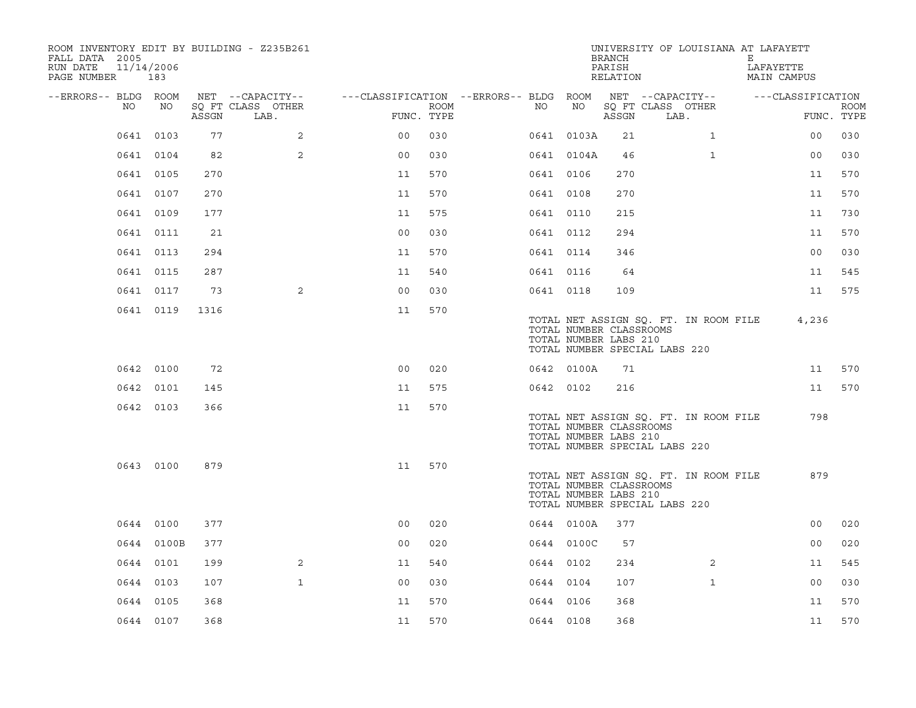| ROOM INVENTORY EDIT BY BUILDING - Z235B261<br>FALL DATA 2005<br>11/14/2006<br>RUN DATE<br>PAGE NUMBER 183 |            |       |                                       |                                        |      |           |            | <b>BRANCH</b><br>PARISH<br>RELATION              |                                       |                                       | UNIVERSITY OF LOUISIANA AT LAFAYETT<br>Е<br>LAFAYETTE<br>MAIN CAMPUS |                |             |
|-----------------------------------------------------------------------------------------------------------|------------|-------|---------------------------------------|----------------------------------------|------|-----------|------------|--------------------------------------------------|---------------------------------------|---------------------------------------|----------------------------------------------------------------------|----------------|-------------|
| --ERRORS-- BLDG ROOM<br>NO                                                                                | NO         |       | NET --CAPACITY--<br>SQ FT CLASS OTHER | ---CLASSIFICATION --ERRORS-- BLDG ROOM | ROOM | NO        | NO         |                                                  | NET --CAPACITY--<br>SQ FT CLASS OTHER |                                       | ---CLASSIFICATION                                                    |                | <b>ROOM</b> |
|                                                                                                           |            | ASSGN | LAB.                                  | FUNC. TYPE                             |      |           |            | ASSGN                                            | LAB.                                  |                                       |                                                                      | FUNC. TYPE     |             |
|                                                                                                           | 0641 0103  | 77    | 2                                     | 0 <sub>0</sub>                         | 030  |           | 0641 0103A | 21                                               |                                       | $\mathbf{1}$                          |                                                                      | 00             | 030         |
|                                                                                                           | 0641 0104  | 82    | $\overline{2}$                        | 0 <sub>0</sub>                         | 030  |           | 0641 0104A | 46                                               |                                       | $\mathbf{1}$                          |                                                                      | 00             | 030         |
|                                                                                                           | 0641 0105  | 270   |                                       | 11                                     | 570  | 0641 0106 |            | 270                                              |                                       |                                       |                                                                      | 11             | 570         |
|                                                                                                           | 0641 0107  | 270   |                                       | 11                                     | 570  | 0641 0108 |            | 270                                              |                                       |                                       |                                                                      | 11             | 570         |
|                                                                                                           | 0641 0109  | 177   |                                       | 11                                     | 575  | 0641 0110 |            | 215                                              |                                       |                                       |                                                                      | 11             | 730         |
|                                                                                                           | 0641 0111  | 21    |                                       | 0 <sub>0</sub>                         | 030  | 0641 0112 |            | 294                                              |                                       |                                       |                                                                      | 11             | 570         |
|                                                                                                           | 0641 0113  | 294   |                                       | 11                                     | 570  | 0641 0114 |            | 346                                              |                                       |                                       |                                                                      | 0 <sub>0</sub> | 030         |
|                                                                                                           | 0641 0115  | 287   |                                       | 11                                     | 540  | 0641 0116 |            | 64                                               |                                       |                                       |                                                                      | 11             | 545         |
|                                                                                                           | 0641 0117  | 73    | 2                                     | 0 <sub>0</sub>                         | 030  | 0641 0118 |            | 109                                              |                                       |                                       |                                                                      | 11             | 575         |
|                                                                                                           | 0641 0119  | 1316  |                                       | 11                                     | 570  |           |            | TOTAL NUMBER CLASSROOMS<br>TOTAL NUMBER LABS 210 | TOTAL NUMBER SPECIAL LABS 220         | TOTAL NET ASSIGN SO. FT. IN ROOM FILE |                                                                      | 4,236          |             |
|                                                                                                           | 0642 0100  | 72    |                                       | 0 <sup>0</sup>                         | 020  |           | 0642 0100A | 71                                               |                                       |                                       |                                                                      | 11             | 570         |
|                                                                                                           | 0642 0101  | 145   |                                       | 11                                     | 575  | 0642 0102 |            | 216                                              |                                       |                                       |                                                                      | 11             | 570         |
|                                                                                                           | 0642 0103  | 366   |                                       | 11                                     | 570  |           |            | TOTAL NUMBER CLASSROOMS<br>TOTAL NUMBER LABS 210 | TOTAL NUMBER SPECIAL LABS 220         | TOTAL NET ASSIGN SQ. FT. IN ROOM FILE |                                                                      | 798            |             |
|                                                                                                           | 0643 0100  | 879   |                                       | 11                                     | 570  |           |            | TOTAL NUMBER CLASSROOMS<br>TOTAL NUMBER LABS 210 | TOTAL NUMBER SPECIAL LABS 220         | TOTAL NET ASSIGN SQ. FT. IN ROOM FILE |                                                                      | 879            |             |
|                                                                                                           | 0644 0100  | 377   |                                       | 0 <sub>0</sub>                         | 020  |           | 0644 0100A | 377                                              |                                       |                                       |                                                                      | 0 <sub>0</sub> | 020         |
|                                                                                                           | 0644 0100B | 377   |                                       | 0 <sub>0</sub>                         | 020  |           | 0644 0100C | 57                                               |                                       |                                       |                                                                      | 0 <sub>0</sub> | 020         |
|                                                                                                           | 0644 0101  | 199   | $\overline{2}$                        | 11                                     | 540  | 0644 0102 |            | 234                                              |                                       | 2                                     |                                                                      | 11             | 545         |
|                                                                                                           | 0644 0103  | 107   | $\mathbf{1}$                          | 0 <sub>0</sub>                         | 030  | 0644 0104 |            | 107                                              |                                       | $\mathbf{1}$                          |                                                                      | 00             | 030         |
|                                                                                                           | 0644 0105  | 368   |                                       | 11                                     | 570  | 0644 0106 |            | 368                                              |                                       |                                       |                                                                      | 11             | 570         |
|                                                                                                           | 0644 0107  | 368   |                                       | 11                                     | 570  | 0644 0108 |            | 368                                              |                                       |                                       |                                                                      | 11             | 570         |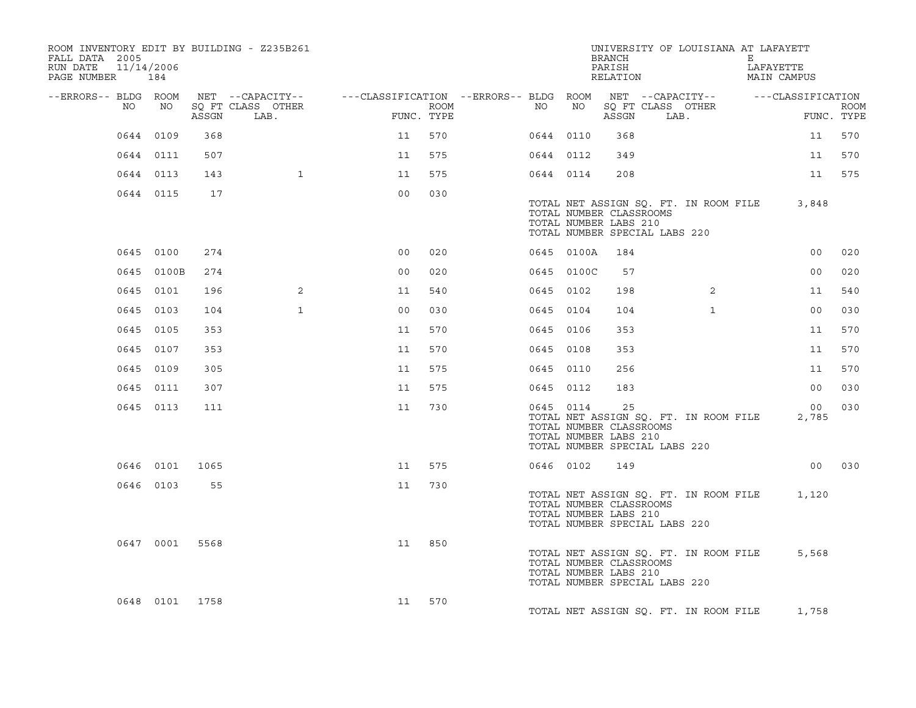| ROOM INVENTORY EDIT BY BUILDING - Z235B261<br>FALL DATA 2005<br>RUN DATE<br>PAGE NUMBER 184 | 11/14/2006     |       |                           |                                                                                                |                    |           |                                                  | <b>BRANCH</b><br>PARISH<br>RELATION |                               | UNIVERSITY OF LOUISIANA AT LAFAYETT   | Е | LAFAYETTE<br>MAIN CAMPUS |                           |
|---------------------------------------------------------------------------------------------|----------------|-------|---------------------------|------------------------------------------------------------------------------------------------|--------------------|-----------|--------------------------------------------------|-------------------------------------|-------------------------------|---------------------------------------|---|--------------------------|---------------------------|
| --ERRORS-- BLDG ROOM<br>NO                                                                  | NO             | ASSGN | SQ FT CLASS OTHER<br>LAB. | NET --CAPACITY-- - ---CLASSIFICATION --ERRORS-- BLDG ROOM NET --CAPACITY-- - ---CLASSIFICATION | ROOM<br>FUNC. TYPE | NO        | NO                                               | ASSGN                               |                               | SQ FT CLASS OTHER<br>LAB.             |   |                          | <b>ROOM</b><br>FUNC. TYPE |
|                                                                                             | 0644 0109      | 368   |                           | 11                                                                                             | 570                | 0644 0110 |                                                  | 368                                 |                               |                                       |   | 11                       | 570                       |
|                                                                                             | 0644 0111      | 507   |                           | 11                                                                                             | 575                | 0644 0112 |                                                  | 349                                 |                               |                                       |   | 11                       | 570                       |
|                                                                                             | 0644 0113      | 143   | $\mathbf{1}$              | 11                                                                                             | 575                | 0644 0114 |                                                  | 208                                 |                               |                                       |   | 11                       | 575                       |
|                                                                                             | 0644 0115      | 17    |                           | 0 <sub>0</sub>                                                                                 | 030                |           | TOTAL NUMBER CLASSROOMS<br>TOTAL NUMBER LABS 210 |                                     | TOTAL NUMBER SPECIAL LABS 220 | TOTAL NET ASSIGN SQ. FT. IN ROOM FILE |   | 3,848                    |                           |
|                                                                                             | 0645 0100      | 274   |                           | 0 <sub>0</sub>                                                                                 | 020                |           | 0645 0100A                                       | 184                                 |                               |                                       |   | 0 <sub>0</sub>           | 020                       |
|                                                                                             | 0645 0100B     | 274   |                           | 0 <sub>0</sub>                                                                                 | 020                |           | 0645 0100C                                       | 57                                  |                               |                                       |   | 0 <sub>0</sub>           | 020                       |
|                                                                                             | 0645 0101      | 196   | $\overline{2}$            | 11                                                                                             | 540                | 0645 0102 |                                                  | 198                                 |                               | $\overline{2}$                        |   | 11                       | 540                       |
|                                                                                             | 0645 0103      | 104   | $\mathbf{1}$              | 0 <sub>0</sub>                                                                                 | 030                | 0645 0104 |                                                  | 104                                 |                               | $\mathbf{1}$                          |   | 0 <sub>0</sub>           | 030                       |
|                                                                                             | 0645 0105      | 353   |                           | 11                                                                                             | 570                | 0645 0106 |                                                  | 353                                 |                               |                                       |   | 11                       | 570                       |
|                                                                                             | 0645 0107      | 353   |                           | 11                                                                                             | 570                | 0645 0108 |                                                  | 353                                 |                               |                                       |   | 11                       | 570                       |
|                                                                                             | 0645 0109      | 305   |                           | 11                                                                                             | 575                | 0645 0110 |                                                  | 256                                 |                               |                                       |   | 11                       | 570                       |
|                                                                                             | 0645 0111      | 307   |                           | 11                                                                                             | 575                | 0645 0112 |                                                  | 183                                 |                               |                                       |   | 0 <sub>0</sub>           | 030                       |
|                                                                                             | 0645 0113      | 111   |                           | 11                                                                                             | 730                | 0645 0114 | TOTAL NUMBER CLASSROOMS<br>TOTAL NUMBER LABS 210 | 25                                  | TOTAL NUMBER SPECIAL LABS 220 | TOTAL NET ASSIGN SQ. FT. IN ROOM FILE |   | 00 <sub>o</sub><br>2,785 | 030                       |
|                                                                                             | 0646 0101      | 1065  |                           | 11                                                                                             | 575                | 0646 0102 |                                                  | 149                                 |                               |                                       |   |                          | 00 030                    |
|                                                                                             | 0646 0103      | 55    |                           | 11                                                                                             | 730                |           | TOTAL NUMBER CLASSROOMS<br>TOTAL NUMBER LABS 210 |                                     | TOTAL NUMBER SPECIAL LABS 220 | TOTAL NET ASSIGN SQ. FT. IN ROOM FILE |   | 1,120                    |                           |
|                                                                                             | 0647 0001      | 5568  |                           | 11                                                                                             | 850                |           | TOTAL NUMBER CLASSROOMS<br>TOTAL NUMBER LABS 210 |                                     | TOTAL NUMBER SPECIAL LABS 220 | TOTAL NET ASSIGN SQ. FT. IN ROOM FILE |   | 5,568                    |                           |
|                                                                                             | 0648 0101 1758 |       |                           | 11                                                                                             | 570                |           |                                                  |                                     |                               | TOTAL NET ASSIGN SQ. FT. IN ROOM FILE |   | 1,758                    |                           |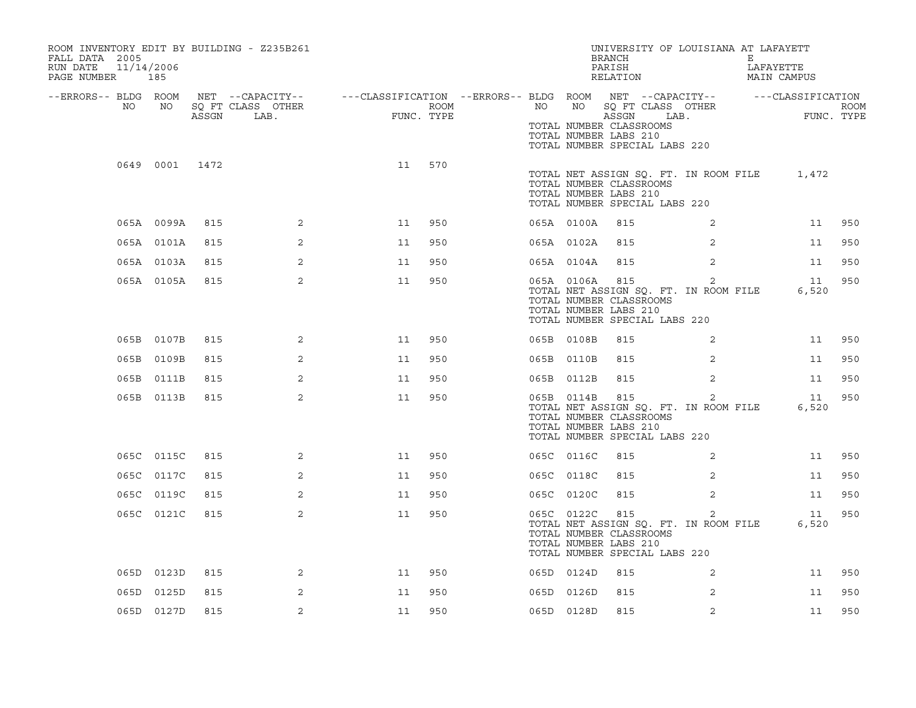| ROOM INVENTORY EDIT BY BUILDING - Z235B261<br>FALL DATA 2005<br>RUN DATE<br>11/14/2006<br>PAGE NUMBER | 185        |       |                                               |                                                                                           |      |    |            | <b>BRANCH</b><br>PARISH<br>RELATION                                                                                               |                | UNIVERSITY OF LOUISIANA AT LAFAYETT<br>Е<br>LAFAYETTE<br>MAIN CAMPUS |                           |
|-------------------------------------------------------------------------------------------------------|------------|-------|-----------------------------------------------|-------------------------------------------------------------------------------------------|------|----|------------|-----------------------------------------------------------------------------------------------------------------------------------|----------------|----------------------------------------------------------------------|---------------------------|
| --ERRORS-- BLDG ROOM<br>NO                                                                            | NO         | ASSGN | NET --CAPACITY--<br>SO FT CLASS OTHER<br>LAB. | ---CLASSIFICATION --ERRORS-- BLDG ROOM NET --CAPACITY--   ---CLASSIFICATION<br>FUNC. TYPE | ROOM | NO |            | NO SQ FT CLASS OTHER<br>ASSGN<br>TOTAL NUMBER CLASSROOMS<br>TOTAL NUMBER LABS 210<br>TOTAL NUMBER SPECIAL LABS 220                | LAB.           |                                                                      | <b>ROOM</b><br>FUNC. TYPE |
|                                                                                                       | 0649 0001  | 1472  |                                               | 11                                                                                        | 570  |    |            | TOTAL NET ASSIGN SQ. FT. IN ROOM FILE<br>TOTAL NUMBER CLASSROOMS<br>TOTAL NUMBER LABS 210<br>TOTAL NUMBER SPECIAL LABS 220        |                | 1,472                                                                |                           |
|                                                                                                       | 065A 0099A | 815   | $\overline{2}$                                | 11                                                                                        | 950  |    | 065A 0100A | 815                                                                                                                               | 2              |                                                                      | 950<br>11                 |
|                                                                                                       | 065A 0101A | 815   | 2                                             | 11                                                                                        | 950  |    | 065A 0102A | 815                                                                                                                               | 2              |                                                                      | 11<br>950                 |
|                                                                                                       | 065A 0103A | 815   | $\overline{2}$                                | 11                                                                                        | 950  |    | 065A 0104A | 815                                                                                                                               | 2              |                                                                      | 11<br>950                 |
|                                                                                                       | 065A 0105A | 815   | 2                                             | 11                                                                                        | 950  |    | 065A 0106A | 815<br>TOTAL NET ASSIGN SQ. FT. IN ROOM FILE<br>TOTAL NUMBER CLASSROOMS<br>TOTAL NUMBER LABS 210<br>TOTAL NUMBER SPECIAL LABS 220 | $\overline{2}$ | 6,520                                                                | 950<br>11                 |
|                                                                                                       | 065B 0107B | 815   | 2                                             | 11                                                                                        | 950  |    | 065B 0108B | 815                                                                                                                               | 2              |                                                                      | 11<br>950                 |
|                                                                                                       | 065B 0109B | 815   | 2                                             | 11                                                                                        | 950  |    | 065B 0110B | 815                                                                                                                               | 2              |                                                                      | 950<br>11                 |
|                                                                                                       | 065B 0111B | 815   | $\overline{2}$                                | 11                                                                                        | 950  |    | 065B 0112B | 815                                                                                                                               | $\overline{2}$ |                                                                      | 11<br>950                 |
|                                                                                                       | 065B 0113B | 815   | 2                                             | 11                                                                                        | 950  |    | 065B 0114B | 815<br>TOTAL NET ASSIGN SQ. FT. IN ROOM FILE<br>TOTAL NUMBER CLASSROOMS<br>TOTAL NUMBER LABS 210<br>TOTAL NUMBER SPECIAL LABS 220 | $\overline{2}$ | 6,520                                                                | 950<br>11                 |
|                                                                                                       | 065C 0115C | 815   | $\overline{2}$                                | 11                                                                                        | 950  |    | 065C 0116C | 815                                                                                                                               | $\overline{2}$ |                                                                      | 11<br>950                 |
|                                                                                                       | 065C 0117C | 815   | 2                                             | 11                                                                                        | 950  |    | 065C 0118C | 815                                                                                                                               | 2              |                                                                      | 950<br>11                 |
|                                                                                                       | 065C 0119C | 815   | 2                                             | 11                                                                                        | 950  |    | 065C 0120C | 815                                                                                                                               | 2              |                                                                      | 950<br>11                 |
|                                                                                                       | 065C 0121C | 815   | $\overline{2}$                                | 11                                                                                        | 950  |    | 065C 0122C | 815<br>TOTAL NET ASSIGN SQ. FT. IN ROOM FILE<br>TOTAL NUMBER CLASSROOMS<br>TOTAL NUMBER LABS 210<br>TOTAL NUMBER SPECIAL LABS 220 | 2              | 6,520                                                                | 950<br>11                 |
|                                                                                                       | 065D 0123D | 815   | 2                                             | 11                                                                                        | 950  |    | 065D 0124D | 815                                                                                                                               | 2              |                                                                      | 950<br>11                 |
|                                                                                                       | 065D 0125D | 815   | 2                                             | 11                                                                                        | 950  |    | 065D 0126D | 815                                                                                                                               | 2              |                                                                      | 950<br>11                 |
|                                                                                                       | 065D 0127D | 815   | 2                                             | 11                                                                                        | 950  |    | 065D 0128D | 815                                                                                                                               | $\overline{2}$ |                                                                      | 950<br>11                 |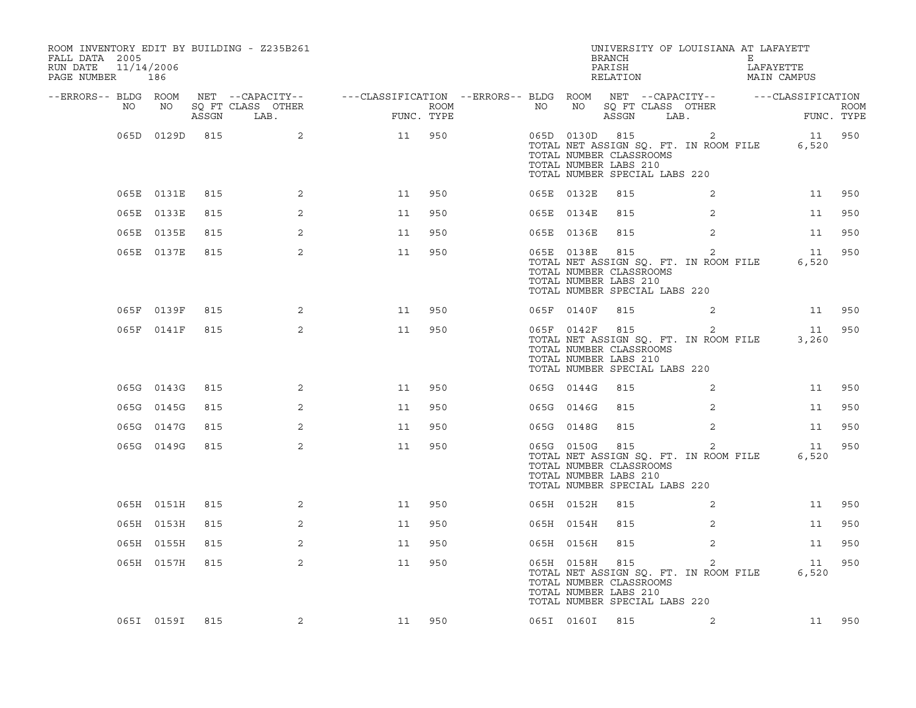| ROOM INVENTORY EDIT BY BUILDING - Z235B261<br>FALL DATA 2005<br>RUN DATE<br>11/14/2006<br>PAGE NUMBER 186 |                |     |                   |                                                                                                |      |    |            | BRANCH<br>PARISH<br>RELATION                                                                        |                                                         | UNIVERSITY OF LOUISIANA AT LAFAYETT<br>E<br>LAFAYETTE<br>MAIN CAMPUS |           |
|-----------------------------------------------------------------------------------------------------------|----------------|-----|-------------------|------------------------------------------------------------------------------------------------|------|----|------------|-----------------------------------------------------------------------------------------------------|---------------------------------------------------------|----------------------------------------------------------------------|-----------|
| --ERRORS-- BLDG ROOM<br>NO                                                                                | NO             |     | SQ FT CLASS OTHER | NET --CAPACITY--   ---CLASSIFICATION --ERRORS-- BLDG ROOM NET --CAPACITY--   ---CLASSIFICATION | ROOM | NO | NO         |                                                                                                     | SQ FT CLASS OTHER                                       |                                                                      |           |
|                                                                                                           |                |     | ASSGN LAB.        | FUNC. TYPE                                                                                     |      |    |            | ASSGN LAB.                                                                                          |                                                         | RUOP                                                                 |           |
|                                                                                                           | 065D 0129D 815 |     | $\sim$ 2          | 11                                                                                             | 950  |    |            | 065D 0130D 815<br>TOTAL NUMBER CLASSROOMS<br>TOTAL NUMBER LABS 210<br>TOTAL NUMBER SPECIAL LABS 220 | $\sim$ 2<br>TOTAL NET ASSIGN SQ. FT. IN ROOM FILE       | 6,520                                                                | 11 950    |
|                                                                                                           | 065E 0131E     | 815 | 2                 | 11                                                                                             | 950  |    | 065E 0132E | 815                                                                                                 | 2                                                       | 11                                                                   | 950       |
|                                                                                                           | 065E 0133E     | 815 | 2                 | 11                                                                                             | 950  |    | 065E 0134E | 815                                                                                                 | 2                                                       | 11                                                                   | 950       |
|                                                                                                           | 065E 0135E     | 815 | 2                 | 11                                                                                             | 950  |    | 065E 0136E | 815                                                                                                 | 2                                                       | 11                                                                   | 950       |
|                                                                                                           | 065E 0137E     | 815 | $\overline{a}$    | 11                                                                                             | 950  |    |            | 065E 0138E 815<br>TOTAL NUMBER CLASSROOMS<br>TOTAL NUMBER LABS 210<br>TOTAL NUMBER SPECIAL LABS 220 | $\overline{c}$<br>TOTAL NET ASSIGN SQ. FT. IN ROOM FILE | 11<br>6,520                                                          | 950       |
|                                                                                                           | 065F 0139F     | 815 | 2                 | 11                                                                                             | 950  |    | 065F 0140F | 815                                                                                                 | 2                                                       |                                                                      | 11 950    |
|                                                                                                           | 065F 0141F     | 815 | $\overline{2}$    | 11                                                                                             | 950  |    |            | 065F 0142F 815<br>TOTAL NUMBER CLASSROOMS<br>TOTAL NUMBER LABS 210<br>TOTAL NUMBER SPECIAL LABS 220 | $\overline{c}$                                          | 11<br>TOTAL NET ASSIGN SQ. FT. IN ROOM FILE 3,260                    | 950       |
|                                                                                                           | 065G 0143G     | 815 | $\overline{2}$    | 11                                                                                             | 950  |    | 065G 0144G | 815                                                                                                 | 2                                                       | 11                                                                   | 950       |
|                                                                                                           | 065G 0145G     | 815 | 2                 | 11                                                                                             | 950  |    | 065G 0146G | 815                                                                                                 | 2                                                       | 11                                                                   | 950       |
|                                                                                                           | 065G 0147G     | 815 | 2                 | 11                                                                                             | 950  |    | 065G 0148G | 815                                                                                                 | $\overline{2}$                                          | 11                                                                   | 950       |
|                                                                                                           | 065G 0149G     | 815 | $\overline{2}$    | 11                                                                                             | 950  |    | 065G 0150G | 815<br>TOTAL NUMBER CLASSROOMS<br>TOTAL NUMBER LABS 210<br>TOTAL NUMBER SPECIAL LABS 220            | 2<br>TOTAL NET ASSIGN SQ. FT. IN ROOM FILE              | 11<br>6,520                                                          | 950       |
|                                                                                                           | 065H 0151H     | 815 | $\overline{2}$    | 11                                                                                             | 950  |    | 065H 0152H | 815                                                                                                 | 2                                                       | 11                                                                   | 950       |
|                                                                                                           | 065H 0153H     | 815 | 2                 | 11                                                                                             | 950  |    | 065H 0154H | 815                                                                                                 | 2                                                       | 11                                                                   | 950       |
|                                                                                                           | 065H 0155H     | 815 | 2                 | 11                                                                                             | 950  |    | 065H 0156H | 815                                                                                                 | 2                                                       | 11                                                                   | 950       |
|                                                                                                           | 065H 0157H     | 815 | 2                 | 11                                                                                             | 950  |    |            | 065H 0158H 815<br>TOTAL NUMBER CLASSROOMS<br>TOTAL NUMBER LABS 210<br>TOTAL NUMBER SPECIAL LABS 220 | 2<br>TOTAL NET ASSIGN SQ. FT. IN ROOM FILE              | 6,520                                                                | 950<br>11 |
|                                                                                                           | 065I 0159I     | 815 | 2                 | 11 950                                                                                         |      |    | 065I 0160I | 815                                                                                                 | 2                                                       |                                                                      | 11 950    |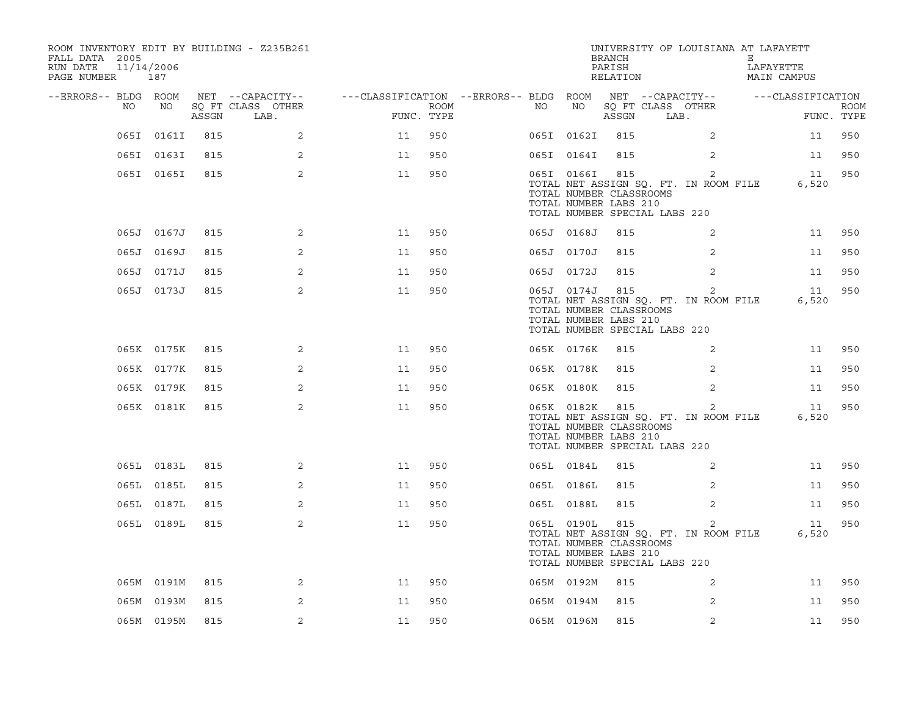| ROOM INVENTORY EDIT BY BUILDING - Z235B261<br>FALL DATA 2005<br>RUN DATE<br>PAGE NUMBER 187 | 11/14/2006 |       |                           |                                                         |                    |    |            | <b>BRANCH</b><br>PARISH<br>RELATION                                                                 | UNIVERSITY OF LOUISIANA AT LAFAYETT                     | Е | LAFAYETTE<br>MAIN CAMPUS |                           |
|---------------------------------------------------------------------------------------------|------------|-------|---------------------------|---------------------------------------------------------|--------------------|----|------------|-----------------------------------------------------------------------------------------------------|---------------------------------------------------------|---|--------------------------|---------------------------|
| --ERRORS-- BLDG ROOM                                                                        |            |       | NET --CAPACITY--          | ---CLASSIFICATION --ERRORS-- BLDG ROOM NET --CAPACITY-- |                    |    |            |                                                                                                     |                                                         |   | ---CLASSIFICATION        |                           |
| NO                                                                                          | NO         | ASSGN | SQ FT CLASS OTHER<br>LAB. |                                                         | ROOM<br>FUNC. TYPE | NO | NO         | ASSGN                                                                                               | SQ FT CLASS OTHER<br>LAB.                               |   |                          | <b>ROOM</b><br>FUNC. TYPE |
|                                                                                             | 065I 0161I | 815   | 2                         | 11                                                      | 950                |    | 065I 0162I | 815                                                                                                 | 2                                                       |   | 11                       | 950                       |
|                                                                                             | 065I 0163I | 815   | 2                         | 11                                                      | 950                |    | 065I 0164I | 815                                                                                                 | 2                                                       |   | 11                       | 950                       |
|                                                                                             | 065I 0165I | 815   | 2                         | 11                                                      | 950                |    | 065I 0166I | 815<br>TOTAL NUMBER CLASSROOMS<br>TOTAL NUMBER LABS 210<br>TOTAL NUMBER SPECIAL LABS 220            | 2<br>TOTAL NET ASSIGN SQ. FT. IN ROOM FILE              |   | 11<br>6,520              | 950                       |
|                                                                                             | 065J 0167J | 815   | 2                         | 11                                                      | 950                |    | 065J 0168J | 815                                                                                                 | 2                                                       |   | 11                       | 950                       |
|                                                                                             | 065J 0169J | 815   | $\overline{2}$            | 11                                                      | 950                |    | 065J 0170J | 815                                                                                                 | $\overline{2}$                                          |   | 11                       | 950                       |
|                                                                                             | 065J 0171J | 815   | 2                         | 11                                                      | 950                |    | 065J 0172J | 815                                                                                                 | $\overline{2}$                                          |   | 11                       | 950                       |
|                                                                                             | 065J 0173J | 815   | 2                         | 11                                                      | 950                |    | 065J 0174J | 815<br>TOTAL NUMBER CLASSROOMS<br>TOTAL NUMBER LABS 210<br>TOTAL NUMBER SPECIAL LABS 220            | 2<br>TOTAL NET ASSIGN SQ. FT. IN ROOM FILE              |   | 11<br>6,520              | 950                       |
|                                                                                             | 065K 0175K | 815   | 2                         | 11                                                      | 950                |    | 065K 0176K | 815                                                                                                 | 2                                                       |   | 11                       | 950                       |
|                                                                                             | 065K 0177K | 815   | 2                         | 11                                                      | 950                |    | 065K 0178K | 815                                                                                                 | 2                                                       |   | 11                       | 950                       |
|                                                                                             | 065K 0179K | 815   | 2                         | 11                                                      | 950                |    | 065K 0180K | 815                                                                                                 | 2                                                       |   | 11                       | 950                       |
|                                                                                             | 065K 0181K | 815   | $\overline{2}$            | 11                                                      | 950                |    |            | 065K 0182K 815<br>TOTAL NUMBER CLASSROOMS<br>TOTAL NUMBER LABS 210<br>TOTAL NUMBER SPECIAL LABS 220 | $\overline{2}$<br>TOTAL NET ASSIGN SQ. FT. IN ROOM FILE |   | 11<br>6,520              | 950                       |
|                                                                                             | 065L 0183L | 815   | 2                         | 11                                                      | 950                |    | 065L 0184L | 815                                                                                                 | 2                                                       |   | 11                       | 950                       |
|                                                                                             | 065L 0185L | 815   | 2                         | 11                                                      | 950                |    | 065L 0186L | 815                                                                                                 | 2                                                       |   | 11                       | 950                       |
|                                                                                             | 065L 0187L | 815   | 2                         | 11                                                      | 950                |    | 065L 0188L | 815                                                                                                 | 2                                                       |   | 11                       | 950                       |
|                                                                                             | 065L 0189L | 815   | 2                         | 11                                                      | 950                |    | 065L 0190L | 815<br>TOTAL NUMBER CLASSROOMS<br>TOTAL NUMBER LABS 210<br>TOTAL NUMBER SPECIAL LABS 220            | 2<br>TOTAL NET ASSIGN SQ. FT. IN ROOM FILE              |   | 11<br>6,520              | 950                       |
|                                                                                             | 065M 0191M | 815   | 2                         | 11                                                      | 950                |    | 065M 0192M | 815                                                                                                 | 2                                                       |   | 11                       | 950                       |
|                                                                                             | 065M 0193M | 815   | 2                         | 11                                                      | 950                |    | 065M 0194M | 815                                                                                                 | 2                                                       |   | 11                       | 950                       |
|                                                                                             | 065M 0195M | 815   | 2                         | 11                                                      | 950                |    | 065M 0196M | 815                                                                                                 | 2                                                       |   | 11                       | 950                       |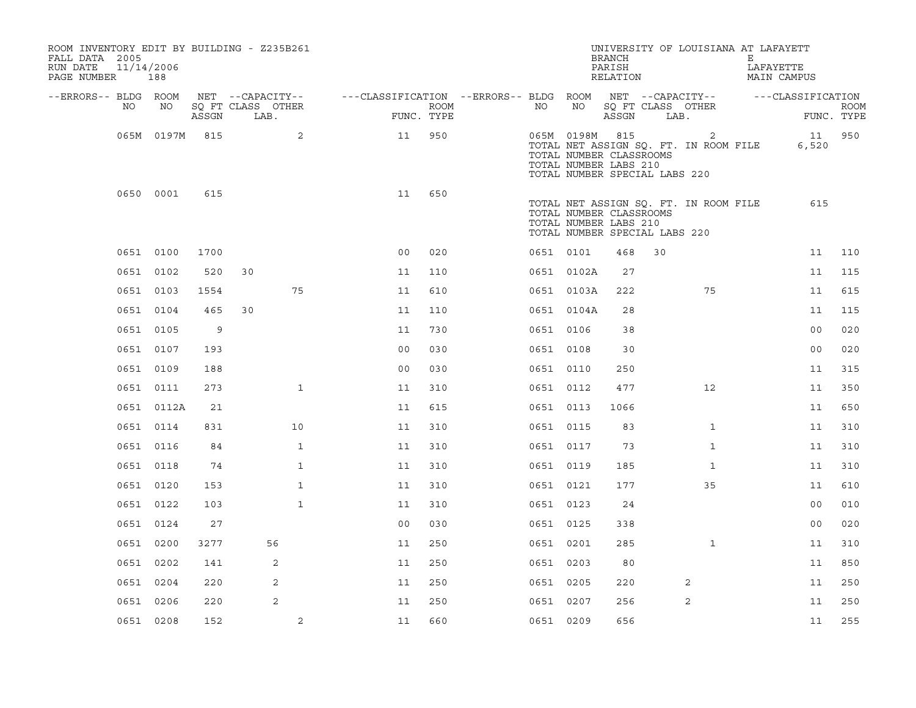| ROOM INVENTORY EDIT BY BUILDING - Z235B261<br>FALL DATA 2005<br>RUN DATE<br>PAGE NUMBER 188 | 11/14/2006 |            |       |    |                                       |                                                         |            |             |           |                | <b>BRANCH</b><br>PARISH<br>RELATION                                               |      | UNIVERSITY OF LOUISIANA AT LAFAYETT        | E. | LAFAYETTE<br>MAIN CAMPUS |             |
|---------------------------------------------------------------------------------------------|------------|------------|-------|----|---------------------------------------|---------------------------------------------------------|------------|-------------|-----------|----------------|-----------------------------------------------------------------------------------|------|--------------------------------------------|----|--------------------------|-------------|
| --ERRORS-- BLDG ROOM                                                                        | NO         | NO         |       |    | NET --CAPACITY--<br>SQ FT CLASS OTHER | ---CLASSIFICATION --ERRORS-- BLDG ROOM NET --CAPACITY-- |            | <b>ROOM</b> | NO        | NO             | SO FT CLASS OTHER                                                                 |      |                                            |    | ---CLASSIFICATION        | <b>ROOM</b> |
|                                                                                             |            |            | ASSGN |    | LAB.                                  |                                                         | FUNC. TYPE |             |           |                | ASSGN                                                                             | LAB. |                                            |    |                          | FUNC. TYPE  |
|                                                                                             |            | 065M 0197M | 815   |    | 2                                     | 11                                                      | 950        |             |           | 065M 0198M 815 | TOTAL NUMBER CLASSROOMS<br>TOTAL NUMBER LABS 210<br>TOTAL NUMBER SPECIAL LABS 220 |      | 2<br>TOTAL NET ASSIGN SQ. FT. IN ROOM FILE |    | 6,520                    | 11 950      |
|                                                                                             | 0650 0001  |            | 615   |    |                                       | 11                                                      | 650        |             |           |                | TOTAL NUMBER CLASSROOMS<br>TOTAL NUMBER LABS 210<br>TOTAL NUMBER SPECIAL LABS 220 |      | TOTAL NET ASSIGN SQ. FT. IN ROOM FILE      |    | 615                      |             |
|                                                                                             | 0651 0100  |            | 1700  |    |                                       | 0 <sub>0</sub>                                          | 020        |             | 0651 0101 |                | 468                                                                               | 30   |                                            |    | 11                       | 110         |
|                                                                                             | 0651 0102  |            | 520   | 30 |                                       | 11                                                      | 110        |             |           | 0651 0102A     | 27                                                                                |      |                                            |    | 11                       | 115         |
|                                                                                             | 0651 0103  |            | 1554  |    | 75                                    | 11                                                      | 610        |             |           | 0651 0103A     | 222                                                                               |      | 75                                         |    | 11                       | 615         |
|                                                                                             | 0651 0104  |            | 465   | 30 |                                       | 11                                                      | 110        |             |           | 0651 0104A     | 28                                                                                |      |                                            |    | 11                       | 115         |
|                                                                                             | 0651 0105  |            | 9     |    |                                       | 11                                                      | 730        |             | 0651 0106 |                | 38                                                                                |      |                                            |    | 0 <sub>0</sub>           | 020         |
|                                                                                             | 0651 0107  |            | 193   |    |                                       | 0 <sub>0</sub>                                          | 030        |             | 0651 0108 |                | 30                                                                                |      |                                            |    | 0 <sub>0</sub>           | 020         |
|                                                                                             | 0651 0109  |            | 188   |    |                                       | 0 <sub>0</sub>                                          | 030        |             | 0651 0110 |                | 250                                                                               |      |                                            |    | 11                       | 315         |
|                                                                                             | 0651 0111  |            | 273   |    | $\mathbf{1}$                          | 11                                                      | 310        |             | 0651 0112 |                | 477                                                                               |      | 12 <sup>°</sup>                            |    | 11                       | 350         |
|                                                                                             |            | 0651 0112A | 21    |    |                                       | 11                                                      | 615        |             | 0651 0113 |                | 1066                                                                              |      |                                            |    | 11                       | 650         |
|                                                                                             | 0651 0114  |            | 831   |    | 10                                    | 11                                                      | 310        |             | 0651 0115 |                | 83                                                                                |      | $\mathbf{1}$                               |    | 11                       | 310         |
|                                                                                             | 0651 0116  |            | 84    |    | $\mathbf{1}$                          | 11                                                      | 310        |             | 0651 0117 |                | 73                                                                                |      | $\mathbf{1}$                               |    | 11                       | 310         |
|                                                                                             | 0651 0118  |            | 74    |    | $\mathbf{1}$                          | 11                                                      | 310        |             | 0651 0119 |                | 185                                                                               |      | $\mathbf{1}$                               |    | 11                       | 310         |
|                                                                                             | 0651 0120  |            | 153   |    | $\mathbf{1}$                          | 11                                                      | 310        |             | 0651 0121 |                | 177                                                                               |      | 35                                         |    | 11                       | 610         |
|                                                                                             | 0651 0122  |            | 103   |    | $\mathbf{1}$                          | 11                                                      | 310        |             | 0651 0123 |                | 24                                                                                |      |                                            |    | 0 <sub>0</sub>           | 010         |
|                                                                                             | 0651 0124  |            | 27    |    |                                       | 0 <sub>0</sub>                                          | 030        |             | 0651 0125 |                | 338                                                                               |      |                                            |    | 0 <sub>0</sub>           | 020         |
|                                                                                             | 0651 0200  |            | 3277  |    | 56                                    | 11                                                      | 250        |             | 0651 0201 |                | 285                                                                               |      | $\mathbf{1}$                               |    | 11                       | 310         |
|                                                                                             | 0651 0202  |            | 141   |    | 2                                     | 11                                                      | 250        |             | 0651 0203 |                | 80                                                                                |      |                                            |    | 11                       | 850         |
|                                                                                             | 0651 0204  |            | 220   |    | 2                                     | 11                                                      | 250        |             | 0651 0205 |                | 220                                                                               |      | 2                                          |    | 11                       | 250         |
|                                                                                             | 0651 0206  |            | 220   |    | 2                                     | 11                                                      | 250        |             | 0651 0207 |                | 256                                                                               |      | 2                                          |    | 11                       | 250         |
|                                                                                             | 0651 0208  |            | 152   |    | 2                                     | 11                                                      | 660        |             | 0651 0209 |                | 656                                                                               |      |                                            |    | 11                       | 255         |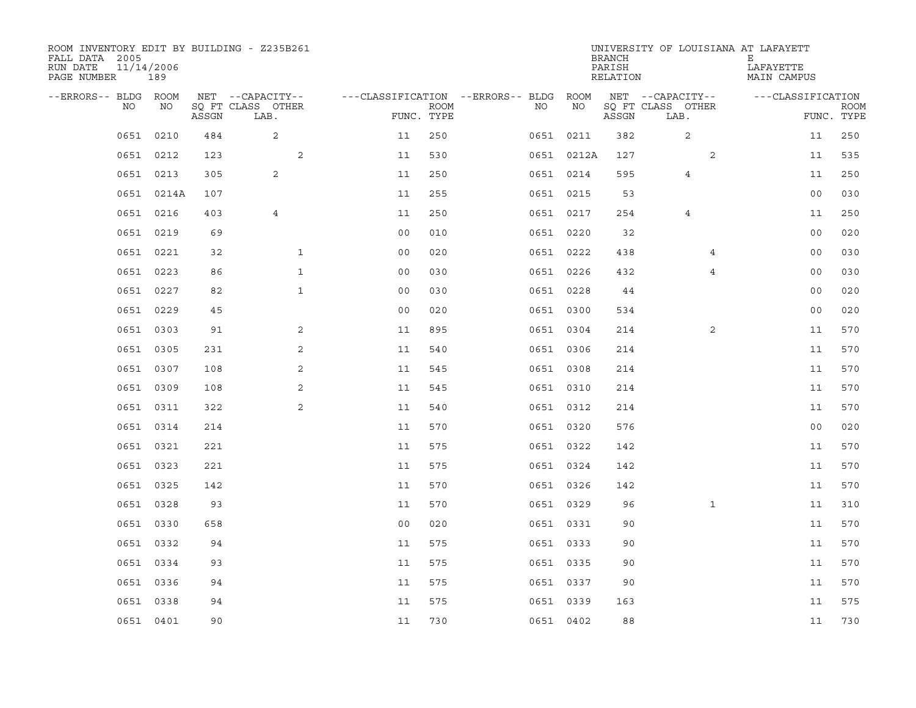| ROOM INVENTORY EDIT BY BUILDING - Z235B261<br>FALL DATA 2005<br>RUN DATE<br>PAGE NUMBER | 11/14/2006<br>189 |       |                           |                |             |                                        |            | <b>BRANCH</b><br>PARISH<br>RELATION | UNIVERSITY OF LOUISIANA AT LAFAYETT | Е<br>LAFAYETTE<br>MAIN CAMPUS |                           |
|-----------------------------------------------------------------------------------------|-------------------|-------|---------------------------|----------------|-------------|----------------------------------------|------------|-------------------------------------|-------------------------------------|-------------------------------|---------------------------|
| --ERRORS-- BLDG ROOM                                                                    |                   |       | NET --CAPACITY--          |                |             | ---CLASSIFICATION --ERRORS-- BLDG ROOM |            |                                     | NET --CAPACITY--                    | ---CLASSIFICATION             |                           |
| NO                                                                                      | NO                | ASSGN | SQ FT CLASS OTHER<br>LAB. | FUNC. TYPE     | <b>ROOM</b> | NO                                     | NO         | ASSGN                               | SQ FT CLASS OTHER<br>LAB.           |                               | <b>ROOM</b><br>FUNC. TYPE |
| 0651                                                                                    | 0210              | 484   | 2                         | 11             | 250         |                                        | 0651 0211  | 382                                 | 2                                   | 11                            | 250                       |
|                                                                                         | 0651 0212         | 123   | 2                         | 11             | 530         |                                        | 0651 0212A | 127                                 | 2                                   | 11                            | 535                       |
|                                                                                         | 0651 0213         | 305   | 2                         | 11             | 250         |                                        | 0651 0214  | 595                                 | 4                                   | 11                            | 250                       |
|                                                                                         | 0651 0214A        | 107   |                           | 11             | 255         |                                        | 0651 0215  | 53                                  |                                     | 0 <sub>0</sub>                | 030                       |
|                                                                                         | 0651 0216         | 403   | $\overline{4}$            | 11             | 250         |                                        | 0651 0217  | 254                                 | 4                                   | 11                            | 250                       |
|                                                                                         | 0651 0219         | 69    |                           | 0 <sub>0</sub> | 010         |                                        | 0651 0220  | 32                                  |                                     | 00                            | 020                       |
|                                                                                         | 0651 0221         | 32    | $\mathbf{1}$              | 00             | 020         |                                        | 0651 0222  | 438                                 | 4                                   | 0 <sub>0</sub>                | 030                       |
|                                                                                         | 0651 0223         | 86    | $\mathbf{1}$              | 0 <sub>0</sub> | 030         |                                        | 0651 0226  | 432                                 | $\overline{4}$                      | 0 <sub>0</sub>                | 030                       |
| 0651                                                                                    | 0227              | 82    | $\mathbf{1}$              | 0 <sub>0</sub> | 030         |                                        | 0651 0228  | 44                                  |                                     | 0 <sub>0</sub>                | 020                       |
|                                                                                         | 0651 0229         | 45    |                           | 0 <sub>0</sub> | 020         |                                        | 0651 0300  | 534                                 |                                     | 0 <sub>0</sub>                | 020                       |
|                                                                                         | 0651 0303         | 91    | 2                         | 11             | 895         |                                        | 0651 0304  | 214                                 | $\overline{2}$                      | 11                            | 570                       |
|                                                                                         | 0651 0305         | 231   | 2                         | 11             | 540         |                                        | 0651 0306  | 214                                 |                                     | 11                            | 570                       |
|                                                                                         | 0651 0307         | 108   | 2                         | 11             | 545         |                                        | 0651 0308  | 214                                 |                                     | 11                            | 570                       |
|                                                                                         | 0651 0309         | 108   | 2                         | 11             | 545         |                                        | 0651 0310  | 214                                 |                                     | 11                            | 570                       |
|                                                                                         | 0651 0311         | 322   | 2                         | 11             | 540         |                                        | 0651 0312  | 214                                 |                                     | 11                            | 570                       |
|                                                                                         | 0651 0314         | 214   |                           | 11             | 570         |                                        | 0651 0320  | 576                                 |                                     | 0 <sub>0</sub>                | 020                       |
|                                                                                         | 0651 0321         | 221   |                           | 11             | 575         |                                        | 0651 0322  | 142                                 |                                     | 11                            | 570                       |
|                                                                                         | 0651 0323         | 221   |                           | 11             | 575         |                                        | 0651 0324  | 142                                 |                                     | 11                            | 570                       |
|                                                                                         | 0651 0325         | 142   |                           | 11             | 570         |                                        | 0651 0326  | 142                                 |                                     | 11                            | 570                       |
|                                                                                         | 0651 0328         | 93    |                           | 11             | 570         |                                        | 0651 0329  | 96                                  | $\mathbf{1}$                        | 11                            | 310                       |
|                                                                                         | 0651 0330         | 658   |                           | 0 <sub>0</sub> | 020         |                                        | 0651 0331  | 90                                  |                                     | 11                            | 570                       |
|                                                                                         | 0651 0332         | 94    |                           | 11             | 575         |                                        | 0651 0333  | 90                                  |                                     | 11                            | 570                       |
|                                                                                         | 0651 0334         | 93    |                           | 11             | 575         |                                        | 0651 0335  | 90                                  |                                     | 11                            | 570                       |
|                                                                                         | 0651 0336         | 94    |                           | 11             | 575         |                                        | 0651 0337  | 90                                  |                                     | 11                            | 570                       |
|                                                                                         | 0651 0338         | 94    |                           | 11             | 575         |                                        | 0651 0339  | 163                                 |                                     | 11                            | 575                       |
|                                                                                         | 0651 0401         | 90    |                           | 11             | 730         |                                        | 0651 0402  | 88                                  |                                     | 11                            | 730                       |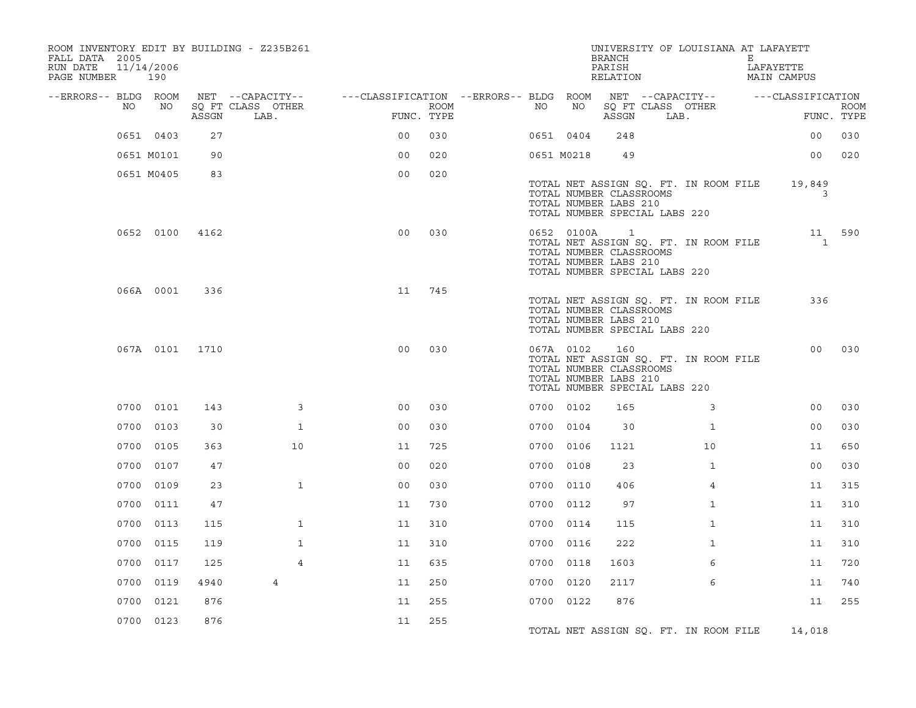| ROOM INVENTORY EDIT BY BUILDING - Z235B261<br>FALL DATA 2005<br>RUN DATE<br>PAGE NUMBER | 11/14/2006<br>190 |       |                           |                                        |      |    |            | <b>BRANCH</b><br>PARISH<br>RELATION                              | UNIVERSITY OF LOUISIANA AT LAFAYETT                                    | Е | LAFAYETTE<br>MAIN CAMPUS |                           |
|-----------------------------------------------------------------------------------------|-------------------|-------|---------------------------|----------------------------------------|------|----|------------|------------------------------------------------------------------|------------------------------------------------------------------------|---|--------------------------|---------------------------|
| --ERRORS-- BLDG ROOM                                                                    |                   |       | NET --CAPACITY--          | ---CLASSIFICATION --ERRORS-- BLDG ROOM |      |    |            |                                                                  | NET --CAPACITY--                                                       |   | ---CLASSIFICATION        |                           |
| NO                                                                                      | NO                | ASSGN | SQ FT CLASS OTHER<br>LAB. | FUNC. TYPE                             | ROOM | NO | NO         | ASSGN                                                            | SQ FT CLASS OTHER<br>LAB.                                              |   |                          | <b>ROOM</b><br>FUNC. TYPE |
|                                                                                         | 0651 0403         | 27    |                           | 0 <sub>0</sub>                         | 030  |    | 0651 0404  | 248                                                              |                                                                        |   | 0 <sub>0</sub>           | 030                       |
|                                                                                         | 0651 M0101        | 90    |                           | 0 <sub>0</sub>                         | 020  |    | 0651 M0218 | 49                                                               |                                                                        |   | 0 <sub>0</sub>           | 020                       |
|                                                                                         | 0651 M0405        | 83    |                           | 0 <sub>0</sub>                         | 020  |    |            | TOTAL NUMBER CLASSROOMS<br>TOTAL NUMBER LABS 210                 | TOTAL NET ASSIGN SQ. FT. IN ROOM FILE<br>TOTAL NUMBER SPECIAL LABS 220 |   | 19,849<br>3              |                           |
|                                                                                         | 0652 0100         | 4162  |                           | 0 <sub>0</sub>                         | 030  |    | 0652 0100A | $\mathbf{1}$<br>TOTAL NUMBER CLASSROOMS<br>TOTAL NUMBER LABS 210 | TOTAL NET ASSIGN SQ. FT. IN ROOM FILE<br>TOTAL NUMBER SPECIAL LABS 220 |   | $\mathbf{1}$             | 11 590                    |
|                                                                                         | 066A 0001         | 336   |                           | 11                                     | 745  |    |            | TOTAL NUMBER CLASSROOMS<br>TOTAL NUMBER LABS 210                 | TOTAL NET ASSIGN SQ. FT. IN ROOM FILE<br>TOTAL NUMBER SPECIAL LABS 220 |   | 336                      |                           |
|                                                                                         | 067A 0101         | 1710  |                           | 0 <sup>0</sup>                         | 030  |    | 067A 0102  | 160<br>TOTAL NUMBER CLASSROOMS<br>TOTAL NUMBER LABS 210          | TOTAL NET ASSIGN SQ. FT. IN ROOM FILE<br>TOTAL NUMBER SPECIAL LABS 220 |   | 00 <sub>o</sub>          | 030                       |
|                                                                                         | 0700 0101         | 143   | $\overline{3}$            | 00                                     | 030  |    | 0700 0102  | 165                                                              | 3                                                                      |   | 0 <sub>0</sub>           | 030                       |
|                                                                                         | 0700 0103         | 30    | $\mathbf{1}$              | 0 <sub>0</sub>                         | 030  |    | 0700 0104  | 30                                                               | $\mathbf{1}$                                                           |   | 00                       | 030                       |
|                                                                                         | 0700 0105         | 363   | 10                        | 11                                     | 725  |    | 0700 0106  | 1121                                                             | 10                                                                     |   | 11                       | 650                       |
|                                                                                         | 0700 0107         | 47    |                           | 0 <sub>0</sub>                         | 020  |    | 0700 0108  | 23                                                               | $\mathbf{1}$                                                           |   | 0 <sub>0</sub>           | 030                       |
|                                                                                         | 0700 0109         | 23    | $\mathbf{1}$              | 0 <sub>0</sub>                         | 030  |    | 0700 0110  | 406                                                              | 4                                                                      |   | 11                       | 315                       |
| 0700                                                                                    | 0111              | 47    |                           | 11                                     | 730  |    | 0700 0112  | 97                                                               | $\mathbf{1}$                                                           |   | 11                       | 310                       |
|                                                                                         | 0700 0113         | 115   | $\mathbf{1}$              | 11                                     | 310  |    | 0700 0114  | 115                                                              | $\mathbf{1}$                                                           |   | 11                       | 310                       |
|                                                                                         | 0700 0115         | 119   | $\mathbf{1}$              | 11                                     | 310  |    | 0700 0116  | 222                                                              | $\mathbf{1}$                                                           |   | 11                       | 310                       |
|                                                                                         | 0700 0117         | 125   | $\overline{4}$            | 11                                     | 635  |    | 0700 0118  | 1603                                                             | 6                                                                      |   | 11                       | 720                       |
|                                                                                         | 0700 0119         | 4940  | 4                         | 11                                     | 250  |    | 0700 0120  | 2117                                                             | 6                                                                      |   | 11                       | 740                       |
| 0700                                                                                    | 0121              | 876   |                           | 11                                     | 255  |    | 0700 0122  | 876                                                              |                                                                        |   | 11                       | 255                       |
|                                                                                         | 0700 0123         | 876   |                           | 11                                     | 255  |    |            |                                                                  | TOTAL NET ASSIGN SQ. FT. IN ROOM FILE                                  |   | 14,018                   |                           |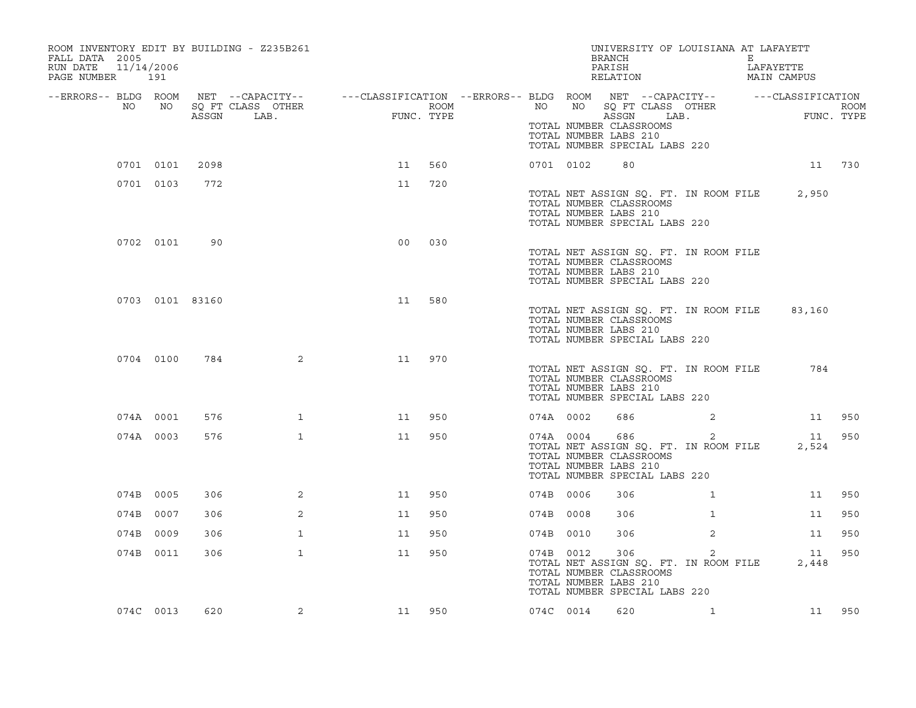| ROOM INVENTORY EDIT BY BUILDING - Z235B261<br>FALL DATA 2005<br>RUN DATE<br>PAGE NUMBER | 11/14/2006<br>191 |       |                                                                                                                             |                |      |           | UNIVERSITY OF LOUISIANA AT LAFAYETT<br><b>BRANCH</b><br>PARISH<br>RELATION                                                        |                | E | LAFAYETTE<br>MAIN CAMPUS |                    |
|-----------------------------------------------------------------------------------------|-------------------|-------|-----------------------------------------------------------------------------------------------------------------------------|----------------|------|-----------|-----------------------------------------------------------------------------------------------------------------------------------|----------------|---|--------------------------|--------------------|
| --ERRORS-- BLDG ROOM<br>NO                                                              | NO                | ASSGN | NET --CAPACITY-- - ---CLASSIFICATION --ERRORS-- BLDG ROOM NET --CAPACITY-- - ---CLASSIFICATION<br>SQ FT CLASS OTHER<br>LAB. | FUNC. TYPE     | ROOM | NO        | NO SQ FT CLASS OTHER<br>ASSGN                                                                                                     | LAB.           |   |                          | ROOM<br>FUNC. TYPE |
|                                                                                         |                   |       |                                                                                                                             |                |      |           | TOTAL NUMBER CLASSROOMS<br>TOTAL NUMBER LABS 210<br>TOTAL NUMBER SPECIAL LABS 220                                                 |                |   |                          |                    |
|                                                                                         | 0701 0101         | 2098  |                                                                                                                             | 11             | 560  | 0701 0102 | 80                                                                                                                                |                |   |                          | 11 730             |
|                                                                                         | 0701 0103         | 772   |                                                                                                                             | 11             | 720  |           | TOTAL NET ASSIGN SQ. FT. IN ROOM FILE<br>TOTAL NUMBER CLASSROOMS<br>TOTAL NUMBER LABS 210<br>TOTAL NUMBER SPECIAL LABS 220        |                |   | 2,950                    |                    |
|                                                                                         | 0702 0101         | 90    |                                                                                                                             | 0 <sub>0</sub> | 030  |           | TOTAL NET ASSIGN SQ. FT. IN ROOM FILE<br>TOTAL NUMBER CLASSROOMS<br>TOTAL NUMBER LABS 210<br>TOTAL NUMBER SPECIAL LABS 220        |                |   |                          |                    |
|                                                                                         | 0703 0101 83160   |       |                                                                                                                             | 11             | 580  |           | TOTAL NET ASSIGN SQ. FT. IN ROOM FILE<br>TOTAL NUMBER CLASSROOMS<br>TOTAL NUMBER LABS 210<br>TOTAL NUMBER SPECIAL LABS 220        |                |   | 83,160                   |                    |
|                                                                                         | 0704 0100         | 784   | 2                                                                                                                           | 11             | 970  |           | TOTAL NET ASSIGN SQ. FT. IN ROOM FILE<br>TOTAL NUMBER CLASSROOMS<br>TOTAL NUMBER LABS 210<br>TOTAL NUMBER SPECIAL LABS 220        |                |   | 784                      |                    |
|                                                                                         | 074A 0001         | 576   | $\mathbf{1}$                                                                                                                | 11             | 950  | 074A 0002 | 686                                                                                                                               | 2              |   | 11                       | 950                |
|                                                                                         | 074A 0003         | 576   | $\mathbf{1}$                                                                                                                | 11             | 950  | 074A 0004 | 686<br>TOTAL NET ASSIGN SQ. FT. IN ROOM FILE<br>TOTAL NUMBER CLASSROOMS<br>TOTAL NUMBER LABS 210<br>TOTAL NUMBER SPECIAL LABS 220 | 2              |   | 11<br>2,524              | 950                |
|                                                                                         | 074B 0005         | 306   | 2                                                                                                                           | 11             | 950  | 074B 0006 | 306                                                                                                                               | $\mathbf{1}$   |   | 11                       | 950                |
|                                                                                         | 074B 0007         | 306   | 2                                                                                                                           | 11             | 950  | 074B 0008 | 306                                                                                                                               | $\mathbf{1}$   |   | 11                       | 950                |
|                                                                                         | 074B 0009         | 306   | $\mathbf{1}$                                                                                                                | 11             | 950  | 074B 0010 | 306                                                                                                                               | $\overline{2}$ |   | 11                       | 950                |
|                                                                                         | 074B 0011         | 306   | $\mathbf{1}$                                                                                                                | 11             | 950  | 074B 0012 | 306<br>TOTAL NET ASSIGN SQ. FT. IN ROOM FILE<br>TOTAL NUMBER CLASSROOMS<br>TOTAL NUMBER LABS 210<br>TOTAL NUMBER SPECIAL LABS 220 | 2              |   | 11<br>2,448              | 950                |
|                                                                                         | 074C 0013         | 620   | 2                                                                                                                           | 11 950         |      | 074C 0014 | 620                                                                                                                               | $\mathbf{1}$   |   |                          | 11 950             |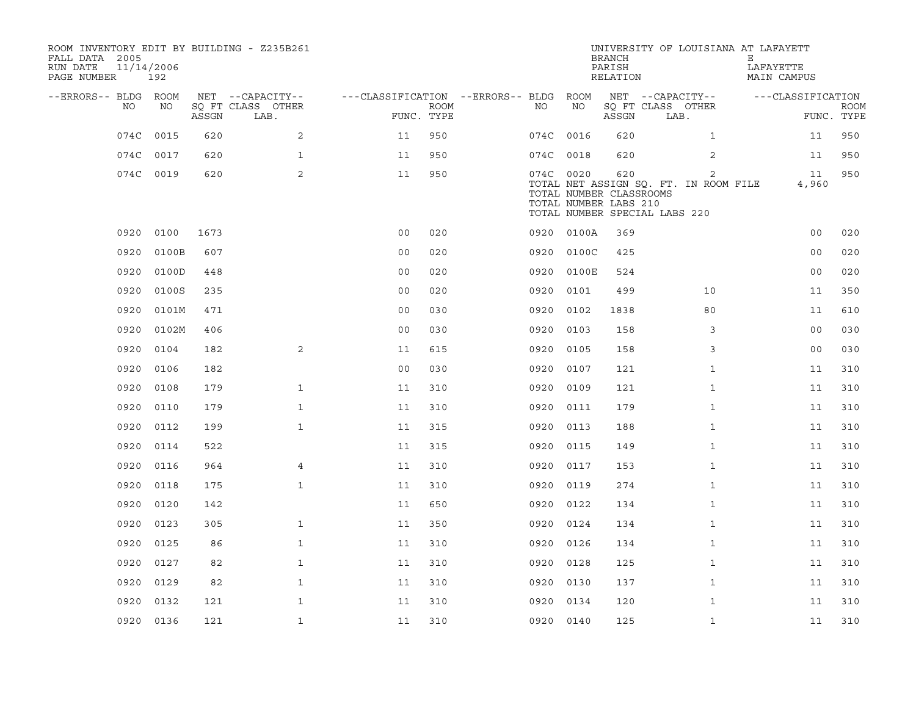| ROOM INVENTORY EDIT BY BUILDING - Z235B261<br>FALL DATA 2005<br>RUN DATE<br>PAGE NUMBER | 11/14/2006<br>192 |       |                           |                                        |             |           |            | <b>BRANCH</b><br>PARISH<br>RELATION                                                      | UNIVERSITY OF LOUISIANA AT LAFAYETT                     | Е<br>LAFAYETTE | MAIN CAMPUS       |                           |
|-----------------------------------------------------------------------------------------|-------------------|-------|---------------------------|----------------------------------------|-------------|-----------|------------|------------------------------------------------------------------------------------------|---------------------------------------------------------|----------------|-------------------|---------------------------|
| --ERRORS-- BLDG ROOM                                                                    |                   |       | NET --CAPACITY--          | ---CLASSIFICATION --ERRORS-- BLDG ROOM |             |           |            |                                                                                          | NET --CAPACITY--                                        |                | ---CLASSIFICATION |                           |
| NO                                                                                      | NO                | ASSGN | SQ FT CLASS OTHER<br>LAB. | FUNC. TYPE                             | <b>ROOM</b> | NO        | NO         | ASSGN                                                                                    | SQ FT CLASS OTHER<br>LAB.                               |                |                   | <b>ROOM</b><br>FUNC. TYPE |
| 074C                                                                                    | 0015              | 620   | 2                         | 11                                     | 950         | 074C 0016 |            | 620                                                                                      | $\mathbf{1}$                                            |                | 11                | 950                       |
|                                                                                         | 074C 0017         | 620   | $\mathbf{1}$              | 11                                     | 950         | 074C 0018 |            | 620                                                                                      | 2                                                       |                | 11                | 950                       |
|                                                                                         | 074C 0019         | 620   | 2                         | 11                                     | 950         | 074C 0020 |            | 620<br>TOTAL NUMBER CLASSROOMS<br>TOTAL NUMBER LABS 210<br>TOTAL NUMBER SPECIAL LABS 220 | $\overline{2}$<br>TOTAL NET ASSIGN SQ. FT. IN ROOM FILE |                | 11<br>4,960       | 950                       |
| 0920                                                                                    | 0100              | 1673  |                           | 0 <sub>0</sub>                         | 020         |           | 0920 0100A | 369                                                                                      |                                                         |                | 0 <sub>0</sub>    | 020                       |
| 0920                                                                                    | 0100B             | 607   |                           | 0 <sub>0</sub>                         | 020         | 0920      | 0100C      | 425                                                                                      |                                                         |                | 0 <sub>0</sub>    | 020                       |
| 0920                                                                                    | 0100D             | 448   |                           | 0 <sub>0</sub>                         | 020         | 0920      | 0100E      | 524                                                                                      |                                                         |                | 0 <sub>0</sub>    | 020                       |
| 0920                                                                                    | 0100S             | 235   |                           | 0 <sub>0</sub>                         | 020         | 0920      | 0101       | 499                                                                                      | 10                                                      |                | 11                | 350                       |
| 0920                                                                                    | 0101M             | 471   |                           | 0 <sub>0</sub>                         | 030         | 0920 0102 |            | 1838                                                                                     | 80                                                      |                | 11                | 610                       |
| 0920                                                                                    | 0102M             | 406   |                           | 0 <sub>0</sub>                         | 030         | 0920      | 0103       | 158                                                                                      | 3                                                       |                | 0 <sub>0</sub>    | 030                       |
| 0920                                                                                    | 0104              | 182   | 2                         | 11                                     | 615         | 0920 0105 |            | 158                                                                                      | 3                                                       |                | 0 <sub>0</sub>    | 030                       |
| 0920                                                                                    | 0106              | 182   |                           | 0 <sub>0</sub>                         | 030         | 0920      | 0107       | 121                                                                                      | $\mathbf{1}$                                            |                | 11                | 310                       |
| 0920                                                                                    | 0108              | 179   | $\mathbf{1}$              | 11                                     | 310         | 0920 0109 |            | 121                                                                                      | $\mathbf{1}$                                            |                | 11                | 310                       |
| 0920                                                                                    | 0110              | 179   | $\mathbf{1}$              | 11                                     | 310         | 0920      | 0111       | 179                                                                                      | $\mathbf{1}$                                            |                | 11                | 310                       |
| 0920                                                                                    | 0112              | 199   | $\mathbf{1}$              | 11                                     | 315         | 0920      | 0113       | 188                                                                                      | $\mathbf{1}$                                            |                | 11                | 310                       |
| 0920                                                                                    | 0114              | 522   |                           | 11                                     | 315         | 0920      | 0115       | 149                                                                                      | $\mathbf{1}$                                            |                | 11                | 310                       |
| 0920                                                                                    | 0116              | 964   | $\overline{4}$            | 11                                     | 310         | 0920      | 0117       | 153                                                                                      | $\mathbf{1}$                                            |                | 11                | 310                       |
| 0920                                                                                    | 0118              | 175   | $\mathbf{1}$              | 11                                     | 310         | 0920      | 0119       | 274                                                                                      | $\mathbf{1}$                                            |                | 11                | 310                       |
| 0920                                                                                    | 0120              | 142   |                           | 11                                     | 650         | 0920      | 0122       | 134                                                                                      | $\mathbf{1}$                                            |                | 11                | 310                       |
| 0920                                                                                    | 0123              | 305   | $\mathbf{1}$              | 11                                     | 350         | 0920      | 0124       | 134                                                                                      | $\mathbf{1}$                                            |                | 11                | 310                       |
| 0920                                                                                    | 0125              | 86    | $\mathbf{1}$              | 11                                     | 310         | 0920      | 0126       | 134                                                                                      | $\mathbf{1}$                                            |                | 11                | 310                       |
| 0920                                                                                    | 0127              | 82    | $\mathbf{1}$              | 11                                     | 310         | 0920      | 0128       | 125                                                                                      | $\mathbf{1}$                                            |                | 11                | 310                       |
| 0920                                                                                    | 0129              | 82    | $\mathbf{1}$              | 11                                     | 310         | 0920      | 0130       | 137                                                                                      | $\mathbf{1}$                                            |                | 11                | 310                       |
| 0920                                                                                    | 0132              | 121   | $\mathbf{1}$              | 11                                     | 310         | 0920      | 0134       | 120                                                                                      | $\mathbf{1}$                                            |                | 11                | 310                       |
|                                                                                         | 0920 0136         | 121   | $\mathbf{1}$              | 11                                     | 310         | 0920 0140 |            | 125                                                                                      | $\mathbf{1}$                                            |                | 11                | 310                       |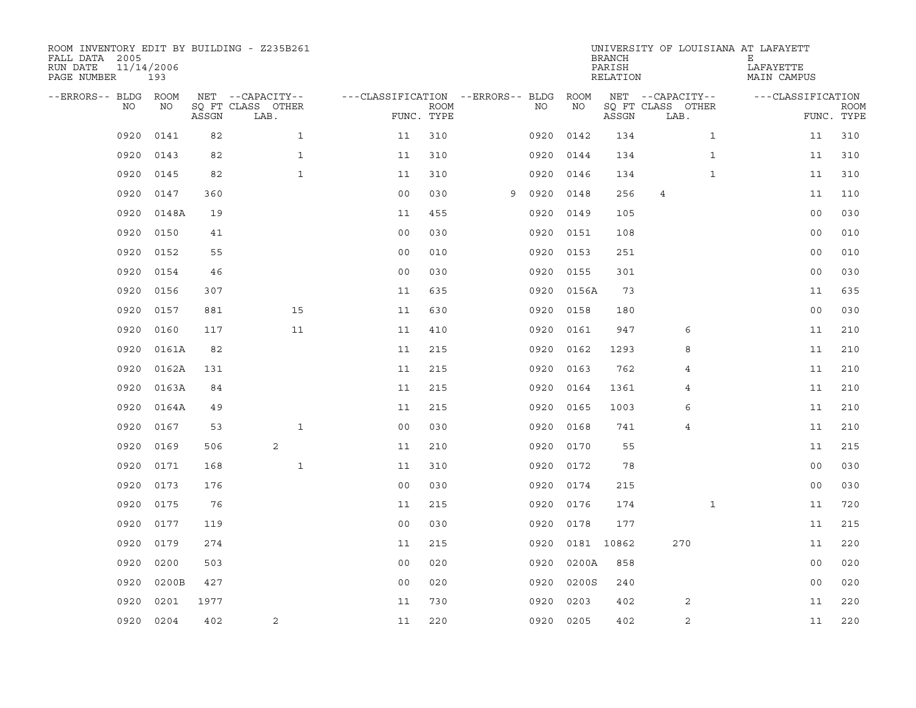| ROOM INVENTORY EDIT BY BUILDING - Z235B261<br>FALL DATA 2005<br>RUN DATE<br>PAGE NUMBER | 11/14/2006<br>193 |       |                           |                                        | UNIVERSITY OF LOUISIANA AT LAFAYETT<br><b>BRANCH</b><br>PARISH<br>RELATION |   |           |            |       |                           |              | Е<br>LAFAYETTE    | MAIN CAMPUS    |             |  |
|-----------------------------------------------------------------------------------------|-------------------|-------|---------------------------|----------------------------------------|----------------------------------------------------------------------------|---|-----------|------------|-------|---------------------------|--------------|-------------------|----------------|-------------|--|
| --ERRORS-- BLDG ROOM                                                                    |                   |       | NET --CAPACITY--          | ---CLASSIFICATION --ERRORS-- BLDG ROOM |                                                                            |   |           |            |       | NET --CAPACITY--          |              | ---CLASSIFICATION |                |             |  |
| NO                                                                                      | NO                | ASSGN | SQ FT CLASS OTHER<br>LAB. |                                        | <b>ROOM</b><br>FUNC. TYPE                                                  |   | NO.       | NO         | ASSGN | SQ FT CLASS OTHER<br>LAB. |              |                   | FUNC. TYPE     | <b>ROOM</b> |  |
| 0920                                                                                    | 0141              | 82    | $\mathbf{1}$              | 11                                     | 310                                                                        |   | 0920      | 0142       | 134   |                           | $\mathbf{1}$ |                   | 11             | 310         |  |
| 0920                                                                                    | 0143              | 82    | $\mathbf{1}$              | 11                                     | 310                                                                        |   | 0920      | 0144       | 134   |                           | $\mathbf{1}$ |                   | 11             | 310         |  |
| 0920                                                                                    | 0145              | 82    | $\mathbf{1}$              | 11                                     | 310                                                                        |   | 0920      | 0146       | 134   |                           | $\mathbf{1}$ |                   | 11             | 310         |  |
| 0920                                                                                    | 0147              | 360   |                           | 0 <sub>0</sub>                         | 030                                                                        | 9 | 0920      | 0148       | 256   | $\overline{4}$            |              |                   | 11             | 110         |  |
| 0920                                                                                    | 0148A             | 19    |                           | 11                                     | 455                                                                        |   | 0920      | 0149       | 105   |                           |              |                   | 0 <sub>0</sub> | 030         |  |
| 0920                                                                                    | 0150              | 41    |                           | 0 <sub>0</sub>                         | 030                                                                        |   | 0920      | 0151       | 108   |                           |              |                   | 0 <sub>0</sub> | 010         |  |
| 0920                                                                                    | 0152              | 55    |                           | 00                                     | 010                                                                        |   | 0920      | 0153       | 251   |                           |              |                   | 0 <sub>0</sub> | 010         |  |
| 0920                                                                                    | 0154              | 46    |                           | 0 <sub>0</sub>                         | 030                                                                        |   |           | 0920 0155  | 301   |                           |              |                   | 0 <sub>0</sub> | 030         |  |
| 0920                                                                                    | 0156              | 307   |                           | 11                                     | 635                                                                        |   | 0920      | 0156A      | 73    |                           |              |                   | 11             | 635         |  |
| 0920                                                                                    | 0157              | 881   | 15                        | 11                                     | 630                                                                        |   |           | 0920 0158  | 180   |                           |              |                   | 0 <sub>0</sub> | 030         |  |
| 0920                                                                                    | 0160              | 117   | 11                        | 11                                     | 410                                                                        |   | 0920      | 0161       | 947   | 6                         |              |                   | 11             | 210         |  |
| 0920                                                                                    | 0161A             | 82    |                           | 11                                     | 215                                                                        |   |           | 0920 0162  | 1293  | 8                         |              |                   | 11             | 210         |  |
| 0920                                                                                    | 0162A             | 131   |                           | 11                                     | 215                                                                        |   | 0920      | 0163       | 762   | 4                         |              |                   | 11             | 210         |  |
| 0920                                                                                    | 0163A             | 84    |                           | 11                                     | 215                                                                        |   | 0920      | 0164       | 1361  | 4                         |              |                   | 11             | 210         |  |
| 0920                                                                                    | 0164A             | 49    |                           | 11                                     | 215                                                                        |   | 0920      | 0165       | 1003  | 6                         |              |                   | 11             | 210         |  |
| 0920                                                                                    | 0167              | 53    | $\mathbf{1}$              | 0 <sub>0</sub>                         | 030                                                                        |   | 0920      | 0168       | 741   | $\overline{4}$            |              |                   | 11             | 210         |  |
| 0920                                                                                    | 0169              | 506   | 2                         | 11                                     | 210                                                                        |   | 0920      | 0170       | 55    |                           |              |                   | 11             | 215         |  |
| 0920                                                                                    | 0171              | 168   | $\mathbf{1}$              | 11                                     | 310                                                                        |   | 0920      | 0172       | 78    |                           |              |                   | 0 <sub>0</sub> | 030         |  |
| 0920                                                                                    | 0173              | 176   |                           | 0 <sub>0</sub>                         | 030                                                                        |   | 0920      | 0174       | 215   |                           |              |                   | 0 <sub>0</sub> | 030         |  |
| 0920                                                                                    | 0175              | 76    |                           | 11                                     | 215                                                                        |   | 0920      | 0176       | 174   |                           | $\mathbf{1}$ |                   | 11             | 720         |  |
| 0920                                                                                    | 0177              | 119   |                           | 0 <sub>0</sub>                         | 030                                                                        |   | 0920      | 0178       | 177   |                           |              |                   | 11             | 215         |  |
| 0920                                                                                    | 0179              | 274   |                           | 11                                     | 215                                                                        |   | 0920      | 0181 10862 |       | 270                       |              |                   | 11             | 220         |  |
| 0920                                                                                    | 0200              | 503   |                           | 0 <sub>0</sub>                         | 020                                                                        |   | 0920      | 0200A      | 858   |                           |              |                   | 0 <sub>0</sub> | 020         |  |
| 0920                                                                                    | 0200B             | 427   |                           | 0 <sub>0</sub>                         | 020                                                                        |   | 0920      | 0200S      | 240   |                           |              |                   | 0 <sub>0</sub> | 020         |  |
| 0920                                                                                    | 0201              | 1977  |                           | 11                                     | 730                                                                        |   | 0920      | 0203       | 402   | 2                         |              |                   | 11             | 220         |  |
| 0920                                                                                    | 0204              | 402   | 2                         | 11                                     | 220                                                                        |   | 0920 0205 |            | 402   | $\sqrt{2}$                |              |                   | 11             | 220         |  |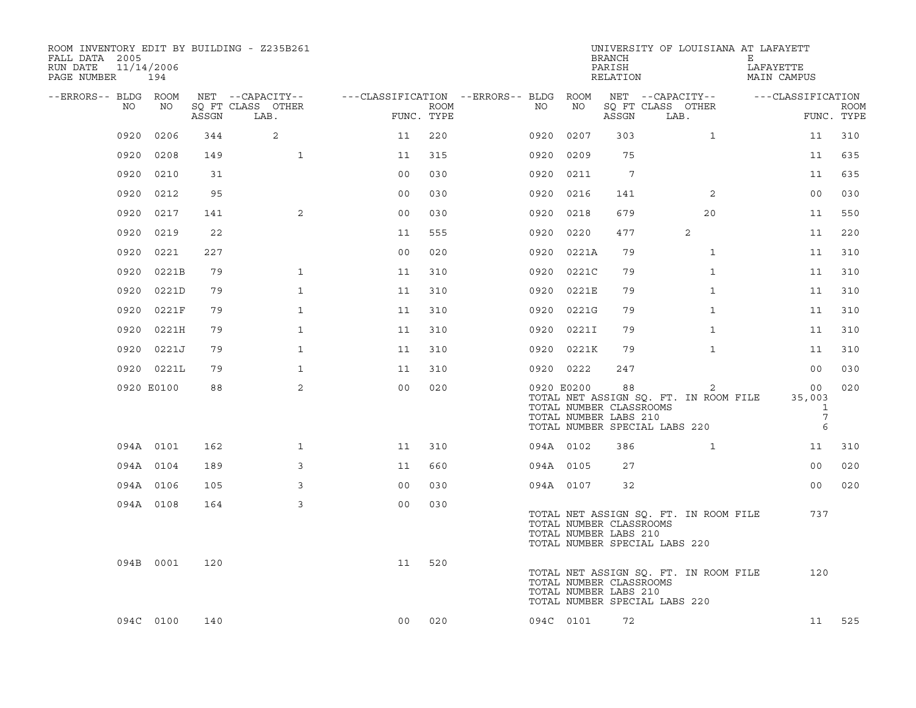| ROOM INVENTORY EDIT BY BUILDING - Z235B261<br>FALL DATA 2005<br>RUN DATE<br>PAGE NUMBER | 11/14/2006<br>194 |       |                                       |                                        |      |      |      |                                                                | <b>BRANCH</b><br>PARISH<br>RELATION | UNIVERSITY OF LOUISIANA AT LAFAYETT                                         | Е<br>LAFAYETTE<br>MAIN CAMPUS             |                           |
|-----------------------------------------------------------------------------------------|-------------------|-------|---------------------------------------|----------------------------------------|------|------|------|----------------------------------------------------------------|-------------------------------------|-----------------------------------------------------------------------------|-------------------------------------------|---------------------------|
| --ERRORS-- BLDG ROOM<br>NO.                                                             | NO                |       | NET --CAPACITY--<br>SQ FT CLASS OTHER | ---CLASSIFICATION --ERRORS-- BLDG ROOM | ROOM | NO   |      | NO                                                             |                                     | NET --CAPACITY--<br>SQ FT CLASS OTHER                                       | ---CLASSIFICATION                         |                           |
|                                                                                         |                   | ASSGN | LAB.                                  | FUNC. TYPE                             |      |      |      |                                                                | ASSGN                               | LAB.                                                                        |                                           | <b>ROOM</b><br>FUNC. TYPE |
| 0920                                                                                    | 0206              | 344   | 2                                     | 11                                     | 220  | 0920 |      | 0207                                                           | 303                                 | $\mathbf{1}$                                                                | 11                                        | 310                       |
| 0920                                                                                    | 0208              | 149   | $\mathbf{1}$                          | 11                                     | 315  |      | 0920 | 0209                                                           | 75                                  |                                                                             | 11                                        | 635                       |
| 0920                                                                                    | 0210              | 31    |                                       | 0 <sub>0</sub>                         | 030  |      | 0920 | 0211                                                           | 7                                   |                                                                             | 11                                        | 635                       |
| 0920                                                                                    | 0212              | 95    |                                       | 0 <sub>0</sub>                         | 030  |      | 0920 | 0216                                                           | 141                                 | 2                                                                           | 0 <sub>0</sub>                            | 030                       |
| 0920                                                                                    | 0217              | 141   | 2                                     | 00                                     | 030  |      | 0920 | 0218                                                           | 679                                 | 20                                                                          | 11                                        | 550                       |
| 0920                                                                                    | 0219              | 22    |                                       | 11                                     | 555  |      |      | 0920 0220                                                      | 477                                 | 2                                                                           | 11                                        | 220                       |
| 0920                                                                                    | 0221              | 227   |                                       | 0 <sub>0</sub>                         | 020  |      |      | 0920 0221A                                                     | 79                                  | $\mathbf{1}$                                                                | 11                                        | 310                       |
| 0920                                                                                    | 0221B             | 79    | $\mathbf{1}$                          | 11                                     | 310  |      |      | 0920 0221C                                                     | 79                                  | $\mathbf{1}$                                                                | 11                                        | 310                       |
| 0920                                                                                    | 0221D             | 79    | $\mathbf{1}$                          | 11                                     | 310  |      | 0920 | 0221E                                                          | 79                                  | $\mathbf{1}$                                                                | 11                                        | 310                       |
| 0920                                                                                    | 0221F             | 79    | $\mathbf{1}$                          | 11                                     | 310  |      |      | 0920 0221G                                                     | 79                                  | $\mathbf{1}$                                                                | 11                                        | 310                       |
|                                                                                         | 0920 0221H        | 79    | $\mathbf{1}$                          | 11                                     | 310  |      |      | 0920 0221I                                                     | 79                                  | $\mathbf{1}$                                                                | 11                                        | 310                       |
|                                                                                         | 0920 0221J        | 79    | $\mathbf{1}$                          | 11                                     | 310  |      |      | 0920 0221K                                                     | 79                                  | $\mathbf{1}$                                                                | 11                                        | 310                       |
|                                                                                         | 0920 0221L        | 79    | $\mathbf 1$                           | 11                                     | 310  |      |      | 0920 0222                                                      | 247                                 |                                                                             | 0 <sub>0</sub>                            | 030                       |
|                                                                                         | 0920 E0100        | 88    | $\overline{2}$                        | 0 <sub>0</sub>                         | 020  |      |      | 0920 E0200<br>TOTAL NUMBER CLASSROOMS<br>TOTAL NUMBER LABS 210 | 88                                  | 2<br>TOTAL NET ASSIGN SQ. FT. IN ROOM FILE<br>TOTAL NUMBER SPECIAL LABS 220 | 00<br>35,003<br>1<br>$7\overline{ }$<br>6 | 020                       |
|                                                                                         | 094A 0101         | 162   | $\mathbf{1}$                          | 11                                     | 310  |      |      | 094A 0102                                                      | 386                                 | $\mathbf{1}$                                                                | 11                                        | 310                       |
|                                                                                         | 094A 0104         | 189   | 3                                     | 11                                     | 660  |      |      | 094A 0105                                                      | 27                                  |                                                                             | 00                                        | 020                       |
|                                                                                         | 094A 0106         | 105   | 3                                     | 0 <sub>0</sub>                         | 030  |      |      | 094A 0107                                                      | 32                                  |                                                                             | 00                                        | 020                       |
|                                                                                         | 094A 0108         | 164   | 3                                     | 0 <sub>0</sub>                         | 030  |      |      | TOTAL NUMBER CLASSROOMS<br>TOTAL NUMBER LABS 210               |                                     | TOTAL NET ASSIGN SQ. FT. IN ROOM FILE<br>TOTAL NUMBER SPECIAL LABS 220      | 737                                       |                           |
|                                                                                         | 094B 0001         | 120   |                                       | 11                                     | 520  |      |      | TOTAL NUMBER CLASSROOMS<br>TOTAL NUMBER LABS 210               |                                     | TOTAL NET ASSIGN SQ. FT. IN ROOM FILE<br>TOTAL NUMBER SPECIAL LABS 220      | 120                                       |                           |
|                                                                                         | 094C 0100         | 140   |                                       | 00                                     | 020  |      |      | 094C 0101                                                      | 72                                  |                                                                             | 11                                        | 525                       |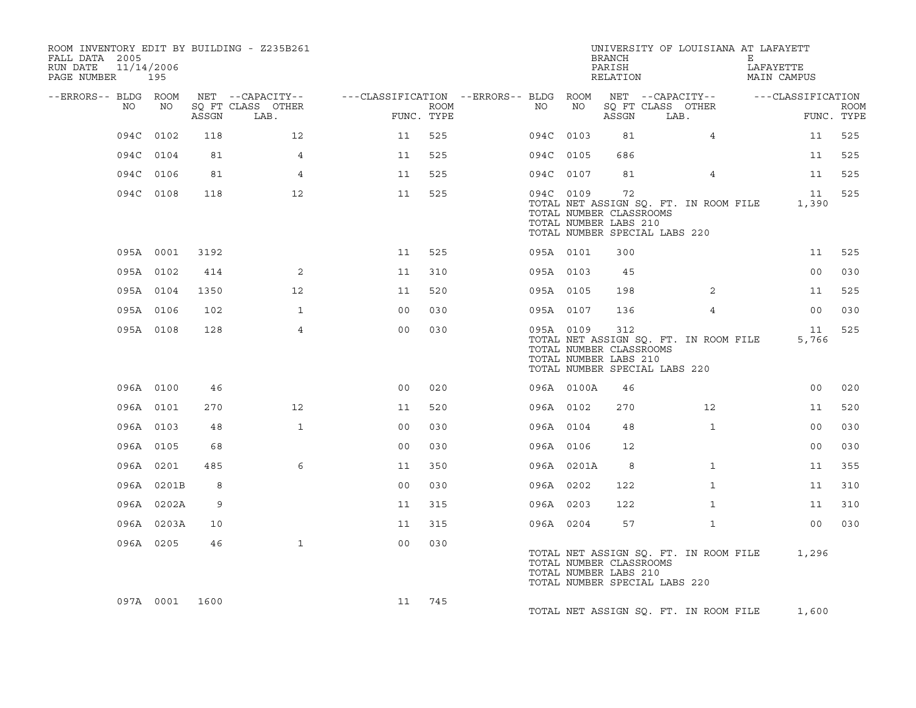| ROOM INVENTORY EDIT BY BUILDING - Z235B261<br>FALL DATA 2005<br>11/14/2006<br>RUN DATE<br>PAGE NUMBER 195 |            |       |                                       |                |            |                                              |            | BRANCH<br>PARISH<br>RELATION                            | UNIVERSITY OF LOUISIANA AT LAFAYETT                                    | Е<br>LAFAYETTE<br><b>MAIN CAMPUS</b> |                           |
|-----------------------------------------------------------------------------------------------------------|------------|-------|---------------------------------------|----------------|------------|----------------------------------------------|------------|---------------------------------------------------------|------------------------------------------------------------------------|--------------------------------------|---------------------------|
| --ERRORS-- BLDG ROOM<br>NO                                                                                | NO         |       | NET --CAPACITY--<br>SO FT CLASS OTHER |                | ROOM       | ---CLASSIFICATION --ERRORS-- BLDG ROOM<br>NO | NO         |                                                         | NET --CAPACITY--<br>SO FT CLASS OTHER                                  | ---CLASSIFICATION                    |                           |
|                                                                                                           |            | ASSGN | LAB.                                  |                | FUNC. TYPE |                                              |            | ASSGN                                                   | LAB.                                                                   |                                      | <b>ROOM</b><br>FUNC. TYPE |
|                                                                                                           | 094C 0102  | 118   | 12                                    | 11             | 525        |                                              | 094C 0103  | 81                                                      | 4                                                                      | 11                                   | 525                       |
|                                                                                                           | 094C 0104  | 81    | 4                                     | 11             | 525        |                                              | 094C 0105  | 686                                                     |                                                                        | 11                                   | 525                       |
|                                                                                                           | 094C 0106  | 81    | $\overline{4}$                        | 11             | 525        |                                              | 094C 0107  | 81                                                      | 4                                                                      | 11                                   | 525                       |
|                                                                                                           | 094C 0108  | 118   | 12                                    | 11             | 525        |                                              | 094C 0109  | 72<br>TOTAL NUMBER CLASSROOMS<br>TOTAL NUMBER LABS 210  | TOTAL NET ASSIGN SQ. FT. IN ROOM FILE<br>TOTAL NUMBER SPECIAL LABS 220 | 11<br>1,390                          | 525                       |
|                                                                                                           | 095A 0001  | 3192  |                                       | 11             | 525        |                                              | 095A 0101  | 300                                                     |                                                                        | 11                                   | 525                       |
|                                                                                                           | 095A 0102  | 414   | 2                                     | 11             | 310        |                                              | 095A 0103  | 45                                                      |                                                                        | 00                                   | 030                       |
|                                                                                                           | 095A 0104  | 1350  | 12                                    | 11             | 520        |                                              | 095A 0105  | 198                                                     | 2                                                                      | 11                                   | 525                       |
|                                                                                                           | 095A 0106  | 102   | $\mathbf{1}$                          | 0 <sup>0</sup> | 030        |                                              | 095A 0107  | 136                                                     | 4                                                                      | 00                                   | 030                       |
|                                                                                                           | 095A 0108  | 128   | $\overline{4}$                        | 0 <sup>0</sup> | 030        |                                              | 095A 0109  | 312<br>TOTAL NUMBER CLASSROOMS<br>TOTAL NUMBER LABS 210 | TOTAL NET ASSIGN SQ. FT. IN ROOM FILE<br>TOTAL NUMBER SPECIAL LABS 220 | 11<br>5,766                          | 525                       |
|                                                                                                           | 096A 0100  | 46    |                                       | 0 <sub>0</sub> | 020        |                                              | 096A 0100A | 46                                                      |                                                                        | 00                                   | 020                       |
|                                                                                                           | 096A 0101  | 270   | 12                                    | 11             | 520        |                                              | 096A 0102  | 270                                                     | 12                                                                     | 11                                   | 520                       |
|                                                                                                           | 096A 0103  | 48    | $\mathbf 1$                           | 0 <sub>0</sub> | 030        |                                              | 096A 0104  | 48                                                      | $\mathbf{1}$                                                           | 00                                   | 030                       |
|                                                                                                           | 096A 0105  | 68    |                                       | 0 <sup>0</sup> | 030        |                                              | 096A 0106  | 12                                                      |                                                                        | 00 <sub>o</sub>                      | 030                       |
|                                                                                                           | 096A 0201  | 485   | 6                                     | 11             | 350        |                                              | 096A 0201A | 8                                                       | $\mathbf{1}$                                                           | 11                                   | 355                       |
|                                                                                                           | 096A 0201B | 8     |                                       | 0 <sub>0</sub> | 030        |                                              | 096A 0202  | 122                                                     | $\mathbf{1}$                                                           | 11                                   | 310                       |
|                                                                                                           | 096A 0202A | 9     |                                       | 11             | 315        |                                              | 096A 0203  | 122                                                     | $\mathbf{1}$                                                           | 11                                   | 310                       |
|                                                                                                           | 096A 0203A | 10    |                                       | 11             | 315        |                                              | 096A 0204  | 57                                                      | $\mathbf{1}$                                                           | 00                                   | 030                       |
|                                                                                                           | 096A 0205  | 46    | $\mathbf{1}$                          | 0 <sub>0</sub> | 030        |                                              |            | TOTAL NUMBER CLASSROOMS<br>TOTAL NUMBER LABS 210        | TOTAL NET ASSIGN SQ. FT. IN ROOM FILE<br>TOTAL NUMBER SPECIAL LABS 220 | 1,296                                |                           |
|                                                                                                           | 097A 0001  | 1600  |                                       | 11             | 745        |                                              |            |                                                         | TOTAL NET ASSIGN SQ. FT. IN ROOM FILE                                  | 1,600                                |                           |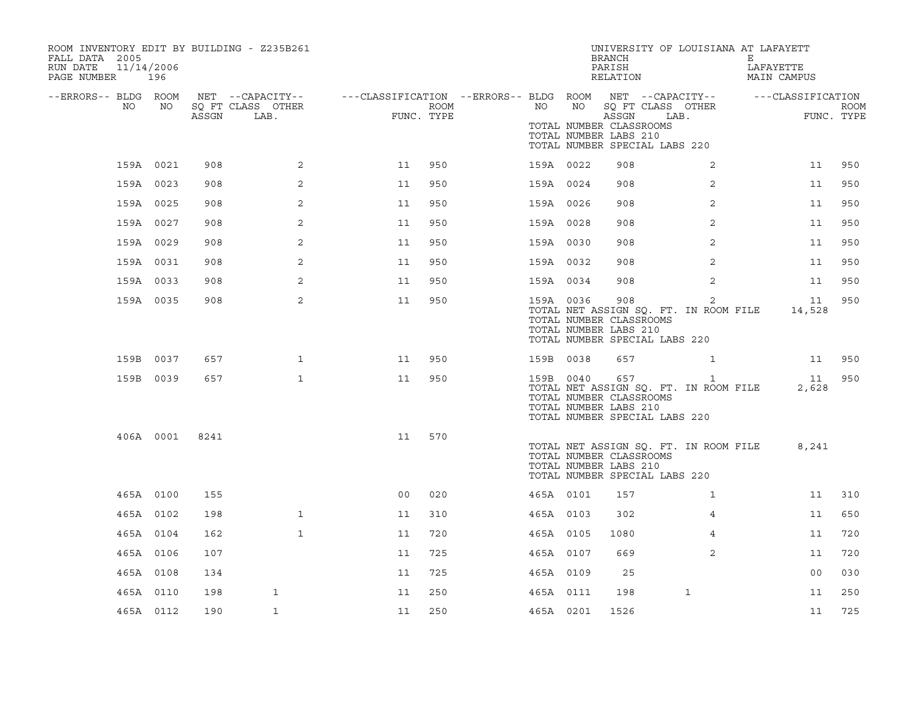| ROOM INVENTORY EDIT BY BUILDING - Z235B261<br>FALL DATA 2005<br>11/14/2006<br>RUN DATE<br>PAGE NUMBER 196 |           |       |                                               |                |                    |           |    | <b>BRANCH</b><br>PARISH<br>RELATION                       | UNIVERSITY OF LOUISIANA AT LAFAYETT                                                    | Е<br>LAFAYETTE<br>MAIN CAMPUS |                           |
|-----------------------------------------------------------------------------------------------------------|-----------|-------|-----------------------------------------------|----------------|--------------------|-----------|----|-----------------------------------------------------------|----------------------------------------------------------------------------------------|-------------------------------|---------------------------|
| --ERRORS-- BLDG ROOM<br>NO                                                                                | NO        | ASSGN | NET --CAPACITY--<br>SQ FT CLASS OTHER<br>LAB. |                | ROOM<br>FUNC. TYPE | NO        | NO | ASSGN<br>TOTAL NUMBER CLASSROOMS<br>TOTAL NUMBER LABS 210 | SQ FT CLASS OTHER<br>LAB.<br>TOTAL NUMBER SPECIAL LABS 220                             | ---CLASSIFICATION             | <b>ROOM</b><br>FUNC. TYPE |
|                                                                                                           | 159A 0021 | 908   | $\overline{a}$                                | 11             | 950                | 159A 0022 |    | 908                                                       | $\overline{a}$                                                                         | 11                            | 950                       |
|                                                                                                           | 159A 0023 | 908   | 2                                             | 11             | 950                | 159A 0024 |    | 908                                                       | 2                                                                                      | 11                            | 950                       |
|                                                                                                           | 159A 0025 | 908   | 2                                             | 11             | 950                | 159A 0026 |    | 908                                                       | $\overline{2}$                                                                         | 11                            | 950                       |
|                                                                                                           | 159A 0027 | 908   | 2                                             | 11             | 950                | 159A 0028 |    | 908                                                       | 2                                                                                      | 11                            | 950                       |
|                                                                                                           | 159A 0029 | 908   | 2                                             | 11             | 950                | 159A 0030 |    | 908                                                       | 2                                                                                      | 11                            | 950                       |
|                                                                                                           | 159A 0031 | 908   | 2                                             | 11             | 950                | 159A 0032 |    | 908                                                       | 2                                                                                      | 11                            | 950                       |
|                                                                                                           | 159A 0033 | 908   | 2                                             | 11             | 950                | 159A 0034 |    | 908                                                       | $\overline{2}$                                                                         | 11                            | 950                       |
|                                                                                                           | 159A 0035 | 908   | 2                                             | 11             | 950                | 159A 0036 |    | 908<br>TOTAL NUMBER CLASSROOMS<br>TOTAL NUMBER LABS 210   | 2<br>TOTAL NET ASSIGN SQ. FT. IN ROOM FILE<br>TOTAL NUMBER SPECIAL LABS 220            | 11<br>14,528                  | 950                       |
|                                                                                                           | 159B 0037 | 657   | $\mathbf{1}$                                  | 11             | 950                | 159B 0038 |    | 657                                                       | $\mathbf{1}$                                                                           | 11                            | 950                       |
|                                                                                                           | 159B 0039 | 657   | $\mathbf{1}$                                  | 11             | 950                | 159B 0040 |    | 657<br>TOTAL NUMBER CLASSROOMS<br>TOTAL NUMBER LABS 210   | $\mathbf{1}$<br>TOTAL NET ASSIGN SQ. FT. IN ROOM FILE<br>TOTAL NUMBER SPECIAL LABS 220 | 11<br>2,628                   | 950                       |
|                                                                                                           | 406A 0001 | 8241  |                                               | 11             | 570                |           |    | TOTAL NUMBER CLASSROOMS<br>TOTAL NUMBER LABS 210          | TOTAL NET ASSIGN SQ. FT. IN ROOM FILE<br>TOTAL NUMBER SPECIAL LABS 220                 | 8,241                         |                           |
|                                                                                                           | 465A 0100 | 155   |                                               | 0 <sup>0</sup> | 020                | 465A 0101 |    | 157                                                       | $\mathbf{1}$                                                                           | 11                            | 310                       |
|                                                                                                           | 465A 0102 | 198   | $\mathbf{1}$                                  | 11             | 310                | 465A 0103 |    | 302                                                       | 4                                                                                      | 11                            | 650                       |
|                                                                                                           | 465A 0104 | 162   | $\mathbf{1}$                                  | 11             | 720                | 465A 0105 |    | 1080                                                      | 4                                                                                      | 11                            | 720                       |
|                                                                                                           | 465A 0106 | 107   |                                               | 11             | 725                | 465A 0107 |    | 669                                                       | $\overline{2}$                                                                         | 11                            | 720                       |
|                                                                                                           | 465A 0108 | 134   |                                               | 11             | 725                | 465A 0109 |    | 25                                                        |                                                                                        | 00                            | 030                       |
|                                                                                                           | 465A 0110 | 198   | $\mathbf{1}$                                  | 11             | 250                | 465A 0111 |    | 198                                                       | 1                                                                                      | 11                            | 250                       |
|                                                                                                           | 465A 0112 | 190   | $\mathbf{1}$                                  | 11             | 250                | 465A 0201 |    | 1526                                                      |                                                                                        | 11                            | 725                       |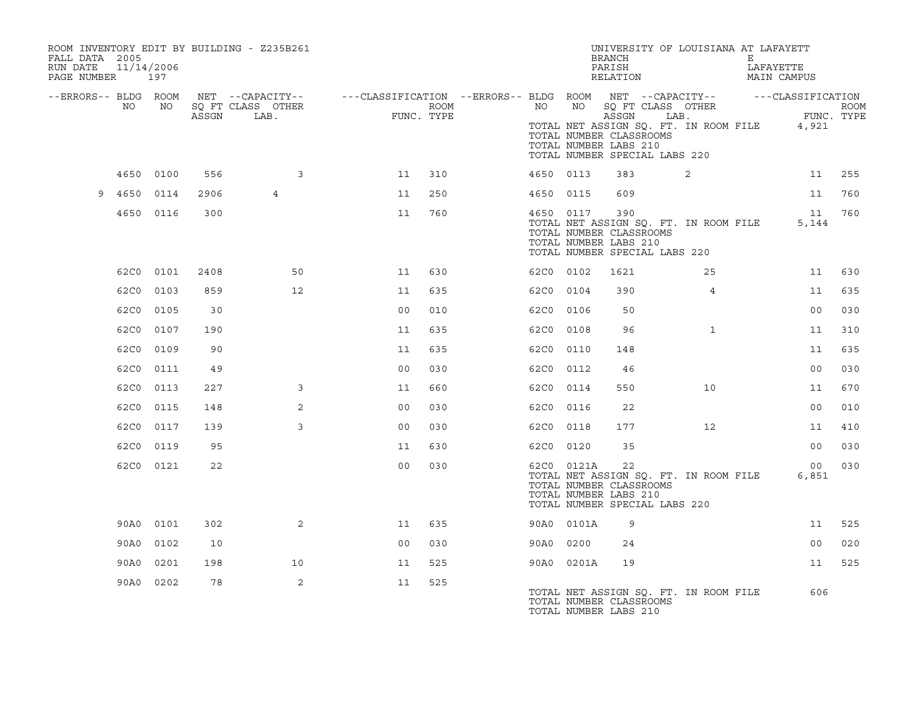| FALL DATA 2005<br>RUN DATE<br>PAGE NUMBER 197 | 11/14/2006 |           |       | ROOM INVENTORY EDIT BY BUILDING - Z235B261 |                                                                                                |                    |           |            | BRANCH<br>PARISH<br>RELATION                                                             | UNIVERSITY OF LOUISIANA AT LAFAYETT         | E<br>LAFAYETTE<br>MAIN CAMPUS |      |
|-----------------------------------------------|------------|-----------|-------|--------------------------------------------|------------------------------------------------------------------------------------------------|--------------------|-----------|------------|------------------------------------------------------------------------------------------|---------------------------------------------|-------------------------------|------|
| --ERRORS-- BLDG ROOM                          | NO         | NO        | ASSGN | SQ FT CLASS OTHER<br>LAB.                  | NET --CAPACITY-- - ---CLASSIFICATION --ERRORS-- BLDG ROOM NET --CAPACITY-- - ---CLASSIFICATION | ROOM<br>FUNC. TYPE | NO        | NO         | ASSGN                                                                                    | SQ FT CLASS OTHER<br>LAB.                   | FUNC. TYPE                    | ROOM |
|                                               |            |           |       |                                            |                                                                                                |                    |           |            | TOTAL NUMBER CLASSROOMS<br>TOTAL NUMBER LABS 210<br>TOTAL NUMBER SPECIAL LABS 220        | TOTAL NET ASSIGN SQ. FT. IN ROOM FILE 4,921 |                               |      |
|                                               | 4650 0100  |           | 556   | 3                                          | 11                                                                                             | 310                | 4650 0113 |            | 383                                                                                      | 2                                           | 11                            | 255  |
| 9                                             | 4650 0114  |           | 2906  | $\overline{4}$                             | 11                                                                                             | 250                | 4650 0115 |            | 609                                                                                      |                                             | 11                            | 760  |
|                                               |            | 4650 0116 | 300   |                                            | 11                                                                                             | 760                | 4650 0117 |            | 390<br>TOTAL NUMBER CLASSROOMS<br>TOTAL NUMBER LABS 210<br>TOTAL NUMBER SPECIAL LABS 220 | TOTAL NET ASSIGN SQ. FT. IN ROOM FILE       | 11<br>5,144                   | 760  |
|                                               |            | 62C0 0101 | 2408  | 50                                         | 11                                                                                             | 630                | 62C0 0102 |            | 1621                                                                                     | 25                                          | 11                            | 630  |
|                                               | 62C0 0103  |           | 859   | 12                                         | 11                                                                                             | 635                | 62C0 0104 |            | 390                                                                                      | $\overline{4}$                              | 11                            | 635  |
|                                               | 62C0 0105  |           | 30    |                                            | 0 <sub>0</sub>                                                                                 | 010                | 62C0 0106 |            | 50                                                                                       |                                             | 00                            | 030  |
|                                               | 62C0 0107  |           | 190   |                                            | 11                                                                                             | 635                | 62C0 0108 |            | 96                                                                                       | $\mathbf{1}$                                | 11                            | 310  |
|                                               | 62C0       | 0109      | 90    |                                            | 11                                                                                             | 635                | 62C0 0110 |            | 148                                                                                      |                                             | 11                            | 635  |
|                                               |            | 62C0 0111 | 49    |                                            | 0 <sub>0</sub>                                                                                 | 030                | 62C0 0112 |            | 46                                                                                       |                                             | 0 <sub>0</sub>                | 030  |
|                                               | 62C0 0113  |           | 227   | 3                                          | 11                                                                                             | 660                | 62C0 0114 |            | 550                                                                                      | 10                                          | 11                            | 670  |
|                                               | 62C0 0115  |           | 148   | 2                                          | 0 <sub>0</sub>                                                                                 | 030                | 62C0 0116 |            | 22                                                                                       |                                             | 0 <sub>0</sub>                | 010  |
|                                               | 62C0       | 0117      | 139   | 3                                          | 0 <sub>0</sub>                                                                                 | 030                | 62C0 0118 |            | 177                                                                                      | $12 \overline{ }$                           | 11                            | 410  |
|                                               |            | 62C0 0119 | 95    |                                            | 11                                                                                             | 630                | 62C0 0120 |            | 35                                                                                       |                                             | 00                            | 030  |
|                                               |            | 62C0 0121 | 22    |                                            | 0 <sub>0</sub>                                                                                 | 030                |           | 62C0 0121A | 22<br>TOTAL NUMBER CLASSROOMS<br>TOTAL NUMBER LABS 210<br>TOTAL NUMBER SPECIAL LABS 220  | TOTAL NET ASSIGN SQ. FT. IN ROOM FILE       | 00<br>6,851                   | 030  |
|                                               |            | 90A0 0101 | 302   | $\overline{2}$                             | 11                                                                                             | 635                |           | 90A0 0101A | 9                                                                                        |                                             | 11                            | 525  |
|                                               | 90A0 0102  |           | 10    |                                            | 0 <sub>0</sub>                                                                                 | 030                | 90A0 0200 |            | 24                                                                                       |                                             | 00                            | 020  |
|                                               | 90A0       | 0201      | 198   | 10                                         | 11                                                                                             | 525                |           | 90A0 0201A | 19                                                                                       |                                             | 11                            | 525  |
|                                               |            | 90A0 0202 | 78    | 2                                          | 11                                                                                             | 525                |           |            | TOTAL NUMBER CLASSROOMS<br>TOTAL NUMBER LABS 210                                         | TOTAL NET ASSIGN SQ. FT. IN ROOM FILE       | 606                           |      |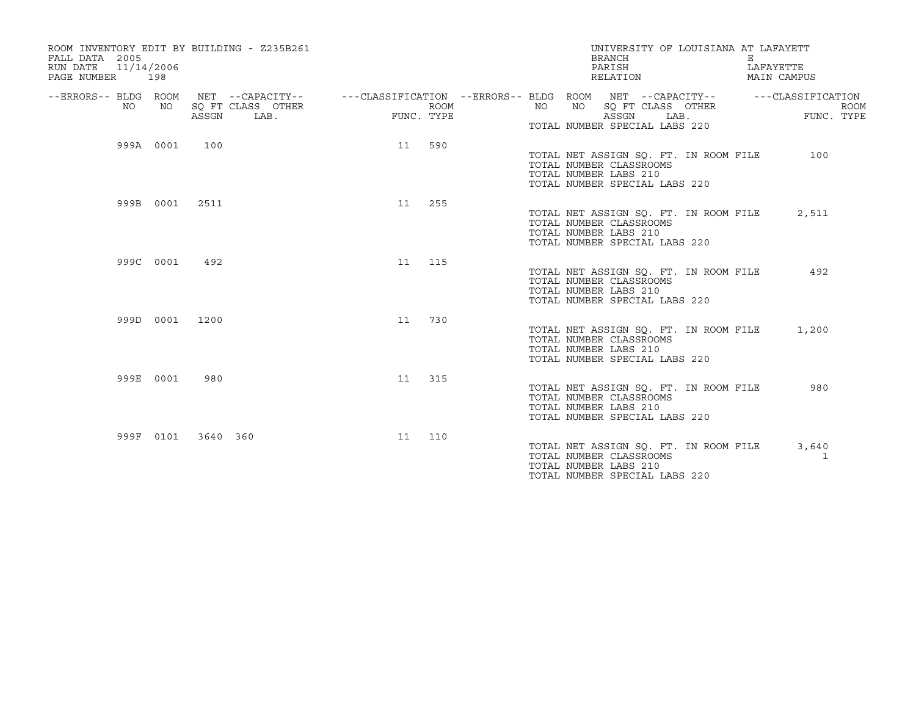| ROOM INVENTORY EDIT BY BUILDING - Z235B261<br>FALL DATA 2005<br>11/14/2006<br>RUN DATE<br>PAGE NUMBER 198 |           |          |                                               |    |                    |           | UNIVERSITY OF LOUISIANA AT LAFAYETT<br><b>BRANCH</b><br>PARISH<br>RELATION                                                 |      | Е | LAFAYETTE<br>MAIN CAMPUS                       |  |
|-----------------------------------------------------------------------------------------------------------|-----------|----------|-----------------------------------------------|----|--------------------|-----------|----------------------------------------------------------------------------------------------------------------------------|------|---|------------------------------------------------|--|
| --ERRORS-- BLDG ROOM<br>NO.                                                                               | NO        | ASSGN    | NET --CAPACITY--<br>SQ FT CLASS OTHER<br>LAB. |    | ROOM<br>FUNC. TYPE | NO.<br>NO | ---CLASSIFICATION --ERRORS-- BLDG ROOM NET --CAPACITY--<br>SQ FT CLASS OTHER<br>ASSGN<br>TOTAL NUMBER SPECIAL LABS 220     | LAB. |   | ---CLASSIFICATION<br><b>ROOM</b><br>FUNC. TYPE |  |
|                                                                                                           | 999A 0001 | 100      |                                               |    | 11 590             |           | TOTAL NET ASSIGN SQ. FT. IN ROOM FILE<br>TOTAL NUMBER CLASSROOMS<br>TOTAL NUMBER LABS 210<br>TOTAL NUMBER SPECIAL LABS 220 |      |   | 100                                            |  |
|                                                                                                           | 999B 0001 | 2511     |                                               | 11 | 255                |           | TOTAL NET ASSIGN SQ. FT. IN ROOM FILE<br>TOTAL NUMBER CLASSROOMS<br>TOTAL NUMBER LABS 210<br>TOTAL NUMBER SPECIAL LABS 220 |      |   | 2,511                                          |  |
|                                                                                                           | 999C 0001 | 492      |                                               | 11 | 115                |           | TOTAL NET ASSIGN SO. FT. IN ROOM FILE<br>TOTAL NUMBER CLASSROOMS<br>TOTAL NUMBER LABS 210<br>TOTAL NUMBER SPECIAL LABS 220 |      |   | 492                                            |  |
|                                                                                                           | 999D 0001 | 1200     |                                               | 11 | 730                |           | TOTAL NET ASSIGN SQ. FT. IN ROOM FILE<br>TOTAL NUMBER CLASSROOMS<br>TOTAL NUMBER LABS 210<br>TOTAL NUMBER SPECIAL LABS 220 |      |   | 1,200                                          |  |
|                                                                                                           | 999E 0001 | 980      |                                               | 11 | 315                |           | TOTAL NET ASSIGN SQ. FT. IN ROOM FILE<br>TOTAL NUMBER CLASSROOMS<br>TOTAL NUMBER LABS 210<br>TOTAL NUMBER SPECIAL LABS 220 |      |   | 980                                            |  |
|                                                                                                           | 999F 0101 | 3640 360 |                                               | 11 | 110                |           | TOTAL NET ASSIGN SQ. FT. IN ROOM FILE<br>TOTAL NUMBER CLASSROOMS<br>TOTAL NUMBER LABS 210<br>TOTAL NUMBER SPECIAL LABS 220 |      |   | 3,640<br>1                                     |  |